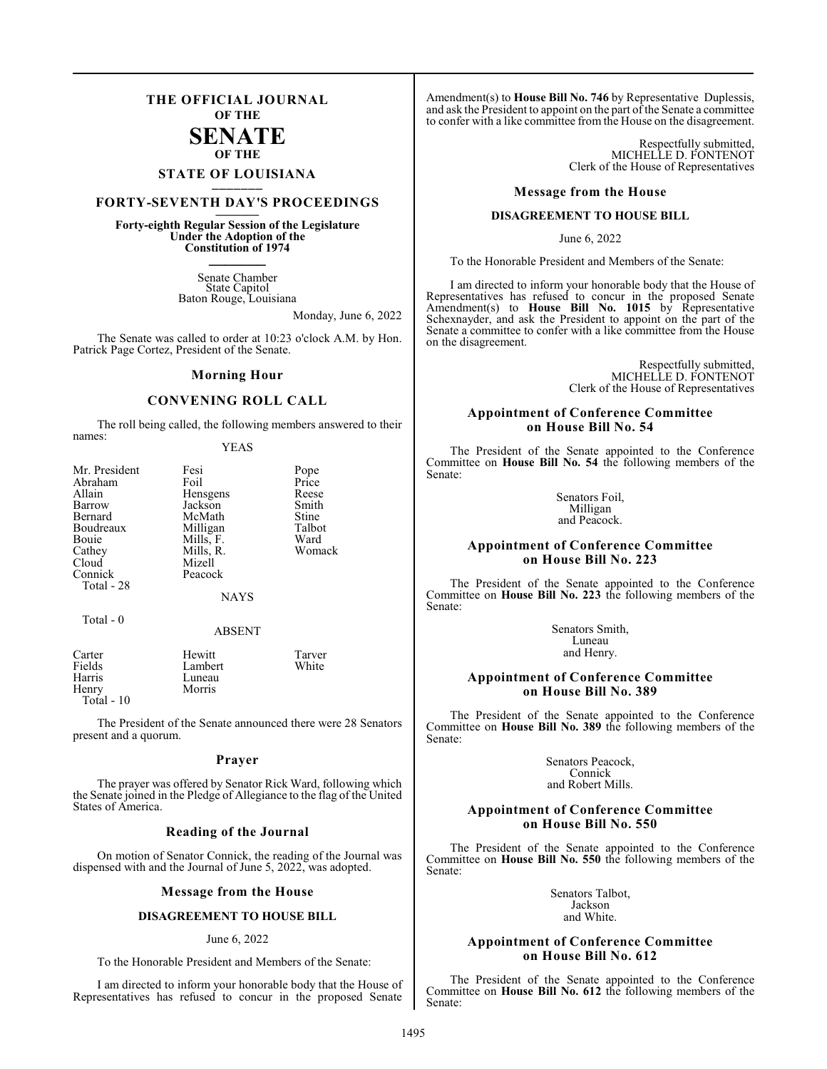## **THE OFFICIAL JOURNAL OF THE**

### **SENATE OF THE**

# **STATE OF LOUISIANA \_\_\_\_\_\_\_**

# **FORTY-SEVENTH DAY'S PROCEEDINGS \_\_\_\_\_\_\_**

**Forty-eighth Regular Session of the Legislature Under the Adoption of the Constitution of 1974 \_\_\_\_\_\_\_**

> Senate Chamber State Capitol Baton Rouge, Louisiana

> > Monday, June 6, 2022

The Senate was called to order at 10:23 o'clock A.M. by Hon. Patrick Page Cortez, President of the Senate.

#### **Morning Hour**

### **CONVENING ROLL CALL**

The roll being called, the following members answered to their names:

YEAS

| Mr. President | Fesi        | Pope   |
|---------------|-------------|--------|
| Abraham       | Foil        | Price  |
| Allain        | Hensgens    | Reese  |
| Barrow        | Jackson     | Smith  |
| Bernard       | McMath      | Stine  |
| Boudreaux     | Milligan    | Talbot |
| Bouie         | Mills, F.   | Ward   |
| Cathey        | Mills, R.   | Womack |
| Cloud         | Mizell      |        |
| Connick       | Peacock     |        |
| Total - 28    |             |        |
|               | <b>NAYS</b> |        |
| $Total - 0$   |             |        |

#### ABSENT

Tarver White

| Carter       | Hewitt  |
|--------------|---------|
| Fields       | Lambert |
| Harris       | Luneau  |
| Henry        | Morris  |
| Total - $10$ |         |

The President of the Senate announced there were 28 Senators present and a quorum.

#### **Prayer**

The prayer was offered by Senator Rick Ward, following which the Senate joined in the Pledge of Allegiance to the flag of the United States of America.

#### **Reading of the Journal**

On motion of Senator Connick, the reading of the Journal was dispensed with and the Journal of June 5, 2022, was adopted.

#### **Message from the House**

#### **DISAGREEMENT TO HOUSE BILL**

#### June 6, 2022

To the Honorable President and Members of the Senate:

I am directed to inform your honorable body that the House of Representatives has refused to concur in the proposed Senate

Amendment(s) to **House Bill No. 746** by Representative Duplessis, and ask the President to appoint on the part of the Senate a committee to confer with a like committee from the House on the disagreement.

> Respectfully submitted, MICHELLE D. FONTENOT Clerk of the House of Representatives

#### **Message from the House**

#### **DISAGREEMENT TO HOUSE BILL**

June 6, 2022

To the Honorable President and Members of the Senate:

I am directed to inform your honorable body that the House of Representatives has refused to concur in the proposed Senate Amendment(s) to **House Bill No. 1015** by Representative Schexnayder, and ask the President to appoint on the part of the Senate a committee to confer with a like committee from the House on the disagreement.

> Respectfully submitted, MICHELLE D. FONTENOT Clerk of the House of Representatives

#### **Appointment of Conference Committee on House Bill No. 54**

The President of the Senate appointed to the Conference Committee on **House Bill No. 54** the following members of the Senate:

> Senators Foil, Milligan and Peacock.

#### **Appointment of Conference Committee on House Bill No. 223**

The President of the Senate appointed to the Conference Committee on **House Bill No. 223** the following members of the Senate:

> Senators Smith, Luneau and Henry.

#### **Appointment of Conference Committee on House Bill No. 389**

The President of the Senate appointed to the Conference Committee on **House Bill No. 389** the following members of the Senate:

> Senators Peacock, Connick and Robert Mills.

#### **Appointment of Conference Committee on House Bill No. 550**

The President of the Senate appointed to the Conference Committee on **House Bill No. 550** the following members of the Senate:

> Senators Talbot, Jackson and White.

#### **Appointment of Conference Committee on House Bill No. 612**

The President of the Senate appointed to the Conference Committee on **House Bill No. 612** the following members of the Senate: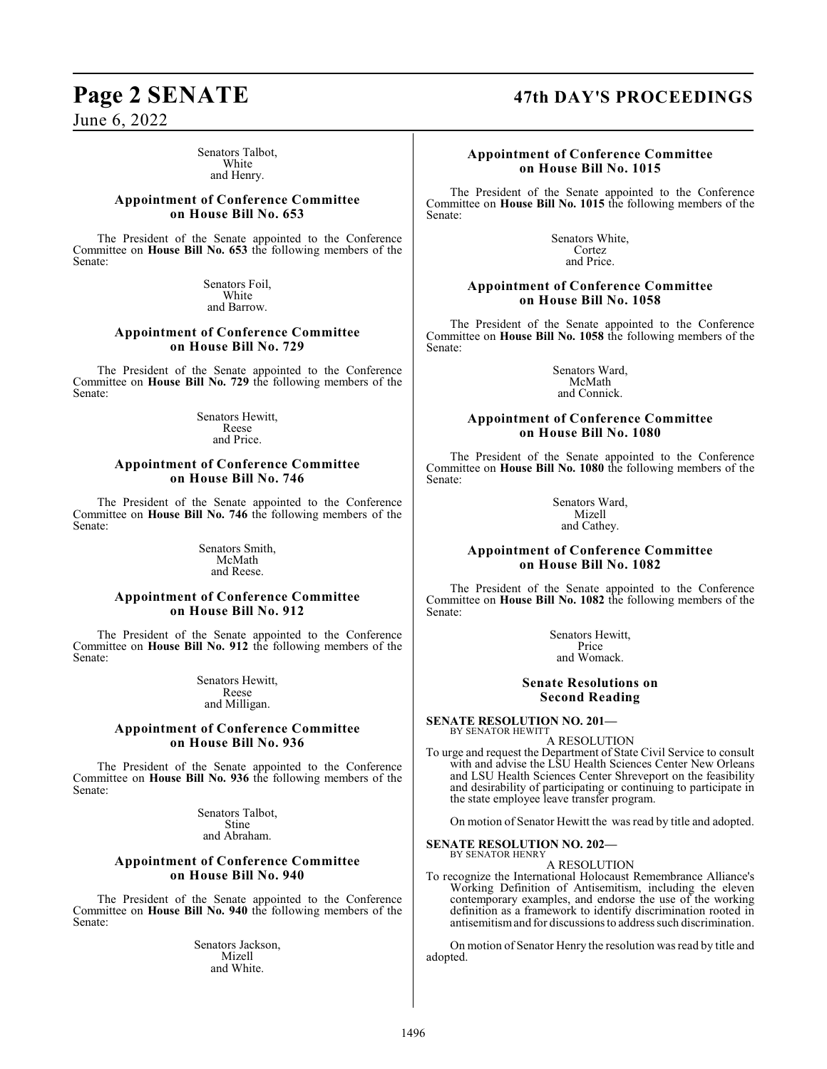Senators Talbot, White and Henry.

#### **Appointment of Conference Committee on House Bill No. 653**

The President of the Senate appointed to the Conference Committee on **House Bill No. 653** the following members of the Senate:

> Senators Foil, White and Barrow.

### **Appointment of Conference Committee on House Bill No. 729**

The President of the Senate appointed to the Conference Committee on **House Bill No. 729** the following members of the Senate:

> Senators Hewitt, Reese and Price.

#### **Appointment of Conference Committee on House Bill No. 746**

The President of the Senate appointed to the Conference Committee on **House Bill No. 746** the following members of the Senate:

> Senators Smith, McMath and Reese.

#### **Appointment of Conference Committee on House Bill No. 912**

The President of the Senate appointed to the Conference Committee on **House Bill No. 912** the following members of the Senate:

> Senators Hewitt, Reese and Milligan.

#### **Appointment of Conference Committee on House Bill No. 936**

The President of the Senate appointed to the Conference Committee on **House Bill No. 936** the following members of the Senate:

> Senators Talbot, Stine and Abraham.

#### **Appointment of Conference Committee on House Bill No. 940**

The President of the Senate appointed to the Conference Committee on **House Bill No. 940** the following members of the Senate:

> Senators Jackson, Mizell and White.

# **Page 2 SENATE 47th DAY'S PROCEEDINGS**

### **Appointment of Conference Committee on House Bill No. 1015**

The President of the Senate appointed to the Conference Committee on **House Bill No. 1015** the following members of the Senate:

> Senators White, Cortez and Price.

#### **Appointment of Conference Committee on House Bill No. 1058**

The President of the Senate appointed to the Conference Committee on **House Bill No. 1058** the following members of the Senate:

> Senators Ward, McMath and Connick.

#### **Appointment of Conference Committee on House Bill No. 1080**

The President of the Senate appointed to the Conference Committee on **House Bill No. 1080** the following members of the Senate:

> Senators Ward, Mizell and Cathey.

#### **Appointment of Conference Committee on House Bill No. 1082**

The President of the Senate appointed to the Conference Committee on **House Bill No. 1082** the following members of the Senate:

> Senators Hewitt, Price and Womack.

#### **Senate Resolutions on Second Reading**

**SENATE RESOLUTION NO. 201—** BY SENATOR HEWITT

A RESOLUTION

To urge and request the Department of State Civil Service to consult with and advise the LSU Health Sciences Center New Orleans and LSU Health Sciences Center Shreveport on the feasibility and desirability of participating or continuing to participate in the state employee leave transfer program.

On motion of Senator Hewitt the was read by title and adopted.

**SENATE RESOLUTION NO. 202—**

#### BY SENATOR HENRY A RESOLUTION

To recognize the International Holocaust Remembrance Alliance's Working Definition of Antisemitism, including the eleven contemporary examples, and endorse the use of the working definition as a framework to identify discrimination rooted in antisemitismand for discussions to address such discrimination.

On motion of Senator Henry the resolution wasread by title and adopted.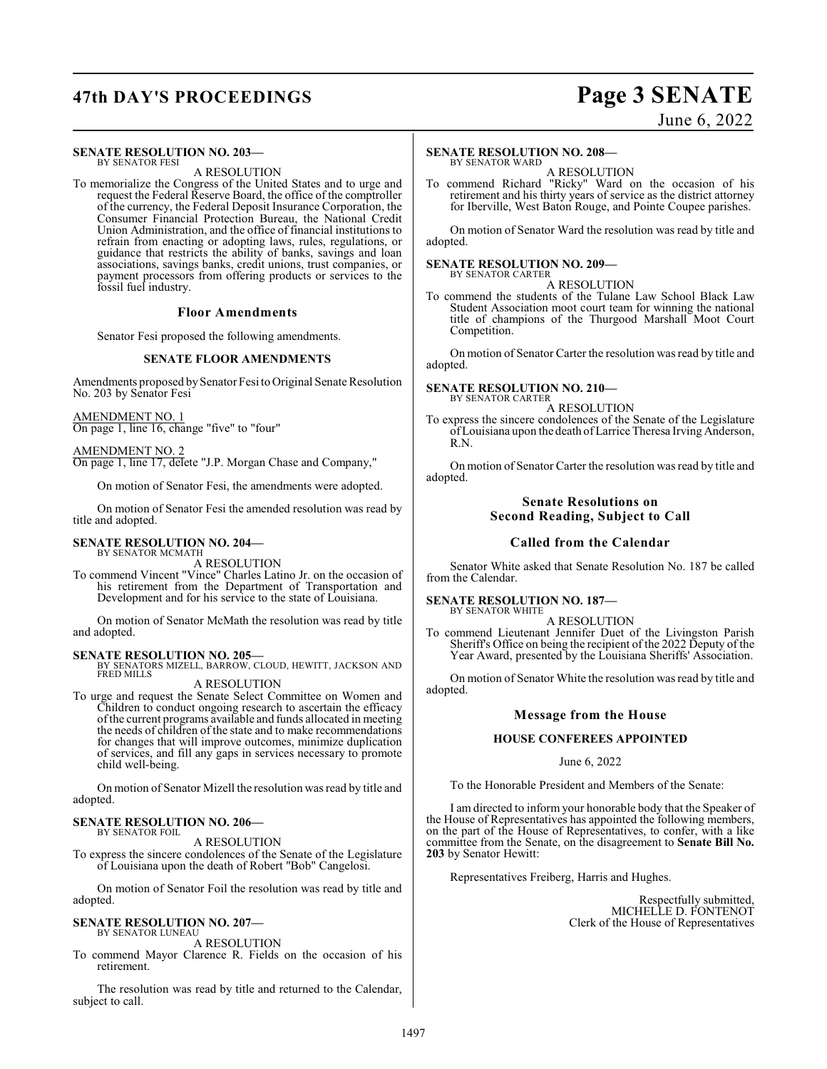# **47th DAY'S PROCEEDINGS Page 3 SENATE**

#### **SENATE RESOLUTION NO. 203—** BY SENATOR FESI

A RESOLUTION

To memorialize the Congress of the United States and to urge and request the Federal Reserve Board, the office of the comptroller of the currency, the Federal Deposit Insurance Corporation, the Consumer Financial Protection Bureau, the National Credit Union Administration, and the office of financial institutions to refrain from enacting or adopting laws, rules, regulations, or guidance that restricts the ability of banks, savings and loan associations, savings banks, credit unions, trust companies, or payment processors from offering products or services to the fossil fuel industry.

#### **Floor Amendments**

Senator Fesi proposed the following amendments.

#### **SENATE FLOOR AMENDMENTS**

Amendments proposed bySenator Fesi to Original Senate Resolution No. 203 by Senator Fesi

AMENDMENT NO. 1 On page 1, line 16, change "five" to "four"

AMENDMENT NO. 2 On page 1, line 17, delete "J.P. Morgan Chase and Company,"

On motion of Senator Fesi, the amendments were adopted.

On motion of Senator Fesi the amended resolution was read by title and adopted.

#### **SENATE RESOLUTION NO. 204—** BY SENATOR MCMATH

A RESOLUTION

To commend Vincent "Vince" Charles Latino Jr. on the occasion of his retirement from the Department of Transportation and Development and for his service to the state of Louisiana.

On motion of Senator McMath the resolution was read by title and adopted.

#### **SENATE RESOLUTION NO. 205—**

BY SENATORS MIZELL, BARROW, CLOUD, HEWITT, JACKSON AND FRED MILLS

#### A RESOLUTION

To urge and request the Senate Select Committee on Women and Children to conduct ongoing research to ascertain the efficacy of the current programs available and funds allocated in meeting the needs of children of the state and to make recommendations for changes that will improve outcomes, minimize duplication of services, and fill any gaps in services necessary to promote child well-being.

On motion of Senator Mizell the resolution wasread by title and adopted.

#### **SENATE RESOLUTION NO. 206—** BY SENATOR FOIL

A RESOLUTION

To express the sincere condolences of the Senate of the Legislature of Louisiana upon the death of Robert "Bob" Cangelosi.

On motion of Senator Foil the resolution was read by title and adopted.

#### **SENATE RESOLUTION NO. 207—** BY SENATOR LUNEAU

A RESOLUTION

To commend Mayor Clarence R. Fields on the occasion of his retirement.

The resolution was read by title and returned to the Calendar, subject to call.

## June 6, 2022

#### **SENATE RESOLUTION NO. 208—** BY SENATOR WARD

A RESOLUTION

To commend Richard "Ricky" Ward on the occasion of his retirement and his thirty years of service as the district attorney for Iberville, West Baton Rouge, and Pointe Coupee parishes.

On motion of Senator Ward the resolution was read by title and adopted.

#### **SENATE RESOLUTION NO. 209—** BY SENATOR CARTER

A RESOLUTION

To commend the students of the Tulane Law School Black Law Student Association moot court team for winning the national title of champions of the Thurgood Marshall Moot Court Competition.

On motion of Senator Carter the resolution was read by title and adopted.

#### **SENATE RESOLUTION NO. 210—** BY SENATOR CARTER

A RESOLUTION

To express the sincere condolences of the Senate of the Legislature of Louisiana upon the death of Larrice Theresa Irving Anderson, R<sub>N</sub>

On motion of Senator Carter the resolution was read by title and adopted.

#### **Senate Resolutions on Second Reading, Subject to Call**

#### **Called from the Calendar**

Senator White asked that Senate Resolution No. 187 be called from the Calendar.

#### **SENATE RESOLUTION NO. 187—** BY SENATOR WHITE

A RESOLUTION

To commend Lieutenant Jennifer Duet of the Livingston Parish Sheriff's Office on being the recipient of the 2022 Deputy of the Year Award, presented by the Louisiana Sheriffs' Association.

On motion of Senator White the resolution was read by title and adopted.

#### **Message from the House**

#### **HOUSE CONFEREES APPOINTED**

#### June 6, 2022

To the Honorable President and Members of the Senate:

I am directed to inform your honorable body that the Speaker of the House of Representatives has appointed the following members, on the part of the House of Representatives, to confer, with a like committee from the Senate, on the disagreement to **Senate Bill No. 203** by Senator Hewitt:

Representatives Freiberg, Harris and Hughes.

Respectfully submitted, MICHELLE D. FONTENOT Clerk of the House of Representatives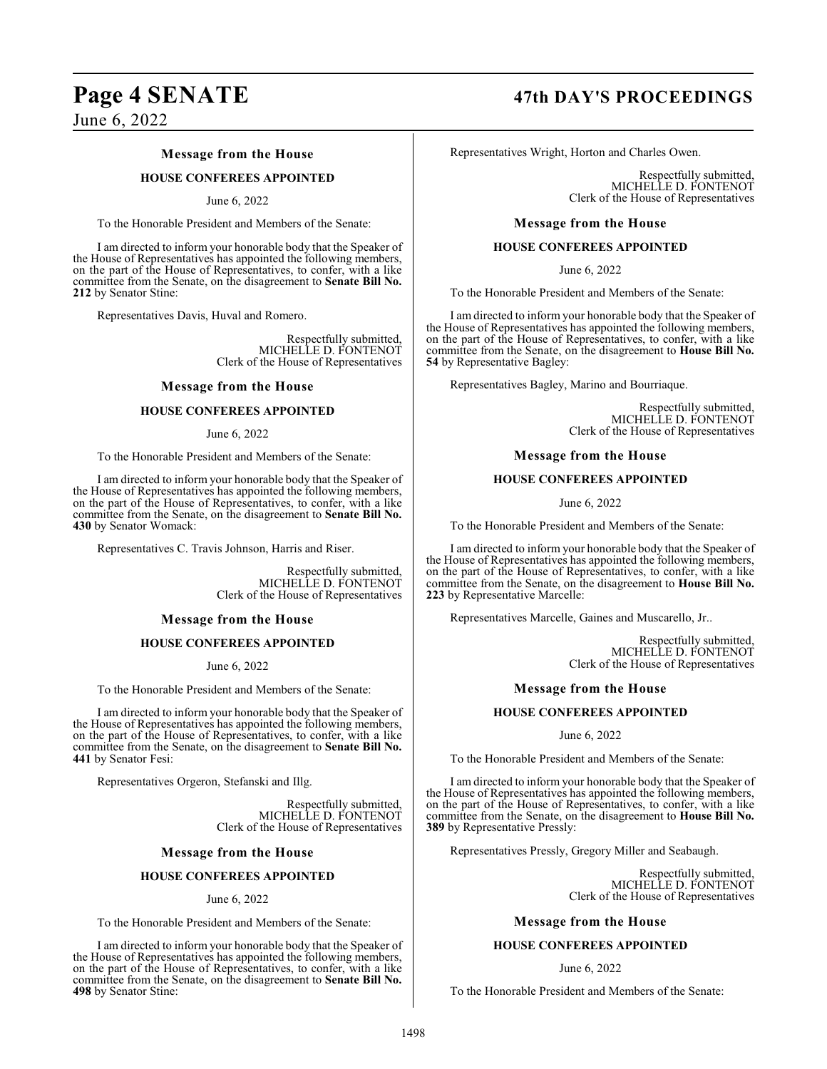#### **Message from the House**

#### **HOUSE CONFEREES APPOINTED**

#### June 6, 2022

To the Honorable President and Members of the Senate:

I am directed to inform your honorable body that the Speaker of the House of Representatives has appointed the following members, on the part of the House of Representatives, to confer, with a like committee from the Senate, on the disagreement to **Senate Bill No. 212** by Senator Stine:

Representatives Davis, Huval and Romero.

Respectfully submitted, MICHELLE D. FONTENOT Clerk of the House of Representatives

#### **Message from the House**

#### **HOUSE CONFEREES APPOINTED**

#### June 6, 2022

To the Honorable President and Members of the Senate:

I am directed to inform your honorable body that the Speaker of the House of Representatives has appointed the following members, on the part of the House of Representatives, to confer, with a like committee from the Senate, on the disagreement to **Senate Bill No. 430** by Senator Womack:

Representatives C. Travis Johnson, Harris and Riser.

Respectfully submitted, MICHELLE D. FONTENOT Clerk of the House of Representatives

#### **Message from the House**

#### **HOUSE CONFEREES APPOINTED**

June 6, 2022

To the Honorable President and Members of the Senate:

I am directed to inform your honorable body that the Speaker of the House of Representatives has appointed the following members, on the part of the House of Representatives, to confer, with a like committee from the Senate, on the disagreement to **Senate Bill No. 441** by Senator Fesi:

Representatives Orgeron, Stefanski and Illg.

Respectfully submitted, MICHELLE D. FONTENOT Clerk of the House of Representatives

#### **Message from the House**

#### **HOUSE CONFEREES APPOINTED**

#### June 6, 2022

To the Honorable President and Members of the Senate:

I am directed to inform your honorable body that the Speaker of the House of Representatives has appointed the following members, on the part of the House of Representatives, to confer, with a like committee from the Senate, on the disagreement to **Senate Bill No. 498** by Senator Stine:

# **Page 4 SENATE 47th DAY'S PROCEEDINGS**

Representatives Wright, Horton and Charles Owen.

Respectfully submitted, MICHELLE D. FONTENOT Clerk of the House of Representatives

#### **Message from the House**

#### **HOUSE CONFEREES APPOINTED**

June 6, 2022

To the Honorable President and Members of the Senate:

I am directed to inform your honorable body that the Speaker of the House of Representatives has appointed the following members, on the part of the House of Representatives, to confer, with a like committee from the Senate, on the disagreement to **House Bill No. 54** by Representative Bagley:

Representatives Bagley, Marino and Bourriaque.

Respectfully submitted, MICHELLE D. FONTENOT Clerk of the House of Representatives

#### **Message from the House**

#### **HOUSE CONFEREES APPOINTED**

June 6, 2022

To the Honorable President and Members of the Senate:

I am directed to inform your honorable body that the Speaker of the House of Representatives has appointed the following members, on the part of the House of Representatives, to confer, with a like committee from the Senate, on the disagreement to **House Bill No. 223** by Representative Marcelle:

Representatives Marcelle, Gaines and Muscarello, Jr..

Respectfully submitted, MICHELLE D. FONTENOT Clerk of the House of Representatives

#### **Message from the House**

#### **HOUSE CONFEREES APPOINTED**

June 6, 2022

To the Honorable President and Members of the Senate:

I am directed to inform your honorable body that the Speaker of the House of Representatives has appointed the following members, on the part of the House of Representatives, to confer, with a like committee from the Senate, on the disagreement to **House Bill No. 389** by Representative Pressly:

Representatives Pressly, Gregory Miller and Seabaugh.

Respectfully submitted, MICHELLE D. FONTENOT Clerk of the House of Representatives

#### **Message from the House**

#### **HOUSE CONFEREES APPOINTED**

#### June 6, 2022

To the Honorable President and Members of the Senate: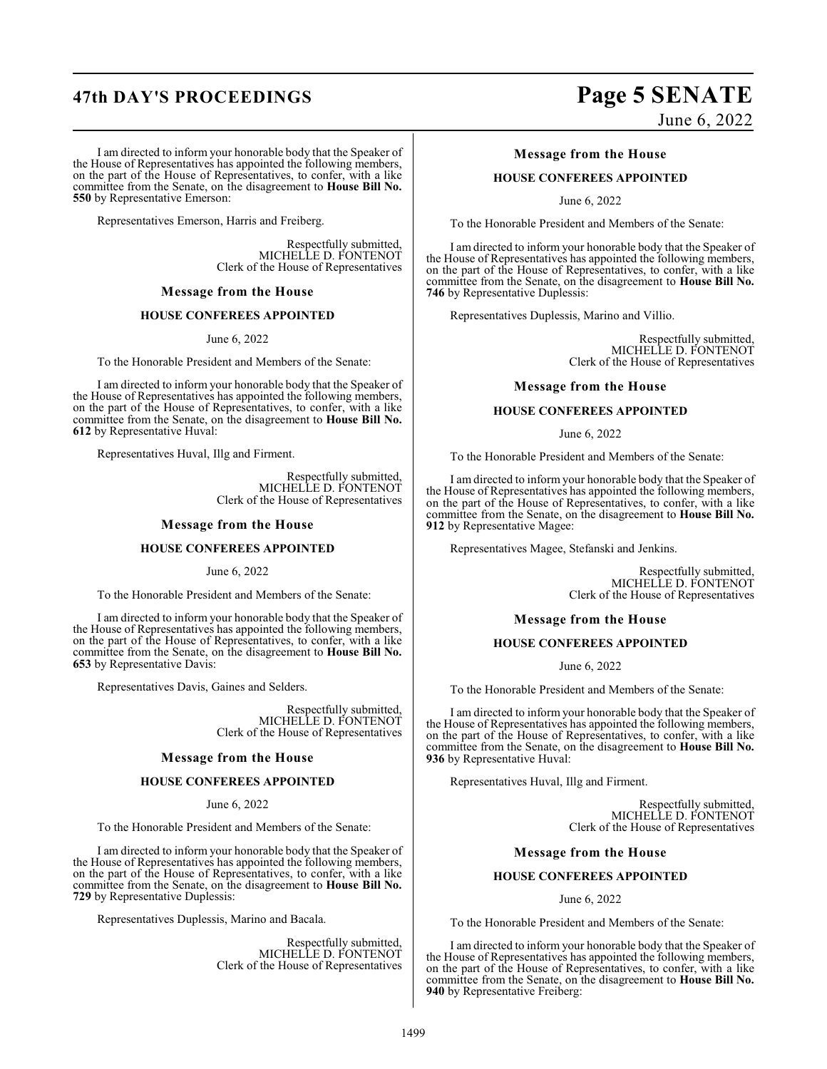# **47th DAY'S PROCEEDINGS Page 5 SENATE**

I am directed to inform your honorable body that the Speaker of the House of Representatives has appointed the following members, on the part of the House of Representatives, to confer, with a like committee from the Senate, on the disagreement to **House Bill No. 550** by Representative Emerson:

Representatives Emerson, Harris and Freiberg.

Respectfully submitted, MICHELLE D. FONTENOT Clerk of the House of Representatives

#### **Message from the House**

#### **HOUSE CONFEREES APPOINTED**

June 6, 2022

To the Honorable President and Members of the Senate:

I am directed to inform your honorable body that the Speaker of the House of Representatives has appointed the following members, on the part of the House of Representatives, to confer, with a like committee from the Senate, on the disagreement to **House Bill No. 612** by Representative Huval:

Representatives Huval, Illg and Firment.

Respectfully submitted, MICHELLE D. FONTENOT Clerk of the House of Representatives

#### **Message from the House**

#### **HOUSE CONFEREES APPOINTED**

June 6, 2022

To the Honorable President and Members of the Senate:

I am directed to inform your honorable body that the Speaker of the House of Representatives has appointed the following members, on the part of the House of Representatives, to confer, with a like committee from the Senate, on the disagreement to **House Bill No. 653** by Representative Davis:

Representatives Davis, Gaines and Selders.

Respectfully submitted, MICHELLE D. FONTENOT Clerk of the House of Representatives

#### **Message from the House**

#### **HOUSE CONFEREES APPOINTED**

June 6, 2022

To the Honorable President and Members of the Senate:

I am directed to inform your honorable body that the Speaker of the House of Representatives has appointed the following members, on the part of the House of Representatives, to confer, with a like committee from the Senate, on the disagreement to **House Bill No. 729** by Representative Duplessis:

Representatives Duplessis, Marino and Bacala.

Respectfully submitted, MICHELLE D. FONTENOT Clerk of the House of Representatives

# June 6, 2022

#### **Message from the House**

#### **HOUSE CONFEREES APPOINTED**

June 6, 2022

To the Honorable President and Members of the Senate:

I am directed to inform your honorable body that the Speaker of the House of Representatives has appointed the following members, on the part of the House of Representatives, to confer, with a like committee from the Senate, on the disagreement to **House Bill No. 746** by Representative Duplessis:

Representatives Duplessis, Marino and Villio.

Respectfully submitted, MICHELLE D. FONTENOT Clerk of the House of Representatives

#### **Message from the House**

#### **HOUSE CONFEREES APPOINTED**

June 6, 2022

To the Honorable President and Members of the Senate:

I am directed to inform your honorable body that the Speaker of the House of Representatives has appointed the following members, on the part of the House of Representatives, to confer, with a like committee from the Senate, on the disagreement to **House Bill No. 912** by Representative Magee:

Representatives Magee, Stefanski and Jenkins.

Respectfully submitted, MICHELLE D. FONTENOT Clerk of the House of Representatives

#### **Message from the House**

#### **HOUSE CONFEREES APPOINTED**

June 6, 2022

To the Honorable President and Members of the Senate:

I am directed to inform your honorable body that the Speaker of the House of Representatives has appointed the following members, on the part of the House of Representatives, to confer, with a like committee from the Senate, on the disagreement to **House Bill No. 936** by Representative Huval:

Representatives Huval, Illg and Firment.

Respectfully submitted, MICHELLE D. FONTENOT Clerk of the House of Representatives

#### **Message from the House**

#### **HOUSE CONFEREES APPOINTED**

June 6, 2022

To the Honorable President and Members of the Senate:

I am directed to inform your honorable body that the Speaker of the House of Representatives has appointed the following members, on the part of the House of Representatives, to confer, with a like committee from the Senate, on the disagreement to **House Bill No. 940** by Representative Freiberg: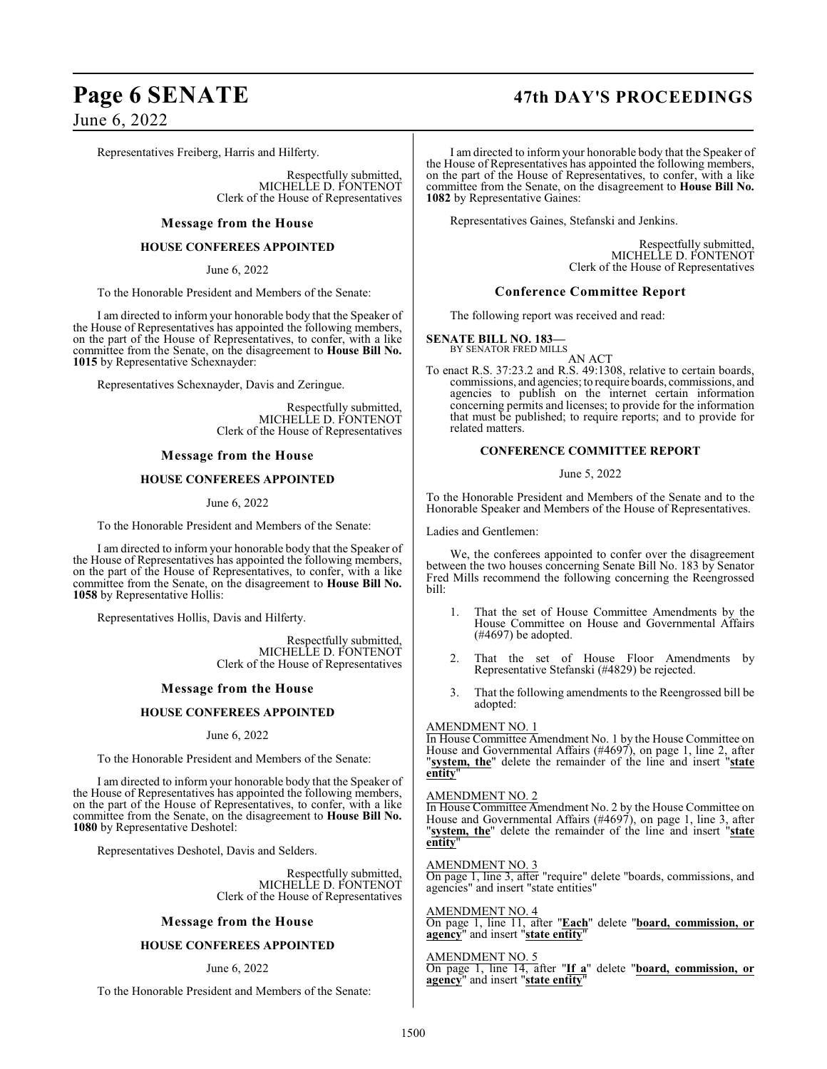# **Page 6 SENATE 47th DAY'S PROCEEDINGS**

June 6, 2022

Representatives Freiberg, Harris and Hilferty.

Respectfully submitted, MICHELLE D. FONTENOT Clerk of the House of Representatives

#### **Message from the House**

#### **HOUSE CONFEREES APPOINTED**

June 6, 2022

To the Honorable President and Members of the Senate:

I am directed to inform your honorable body that the Speaker of the House of Representatives has appointed the following members, on the part of the House of Representatives, to confer, with a like committee from the Senate, on the disagreement to **House Bill No. 1015** by Representative Schexnayder:

Representatives Schexnayder, Davis and Zeringue.

Respectfully submitted, MICHELLE D. FONTENOT Clerk of the House of Representatives

#### **Message from the House**

#### **HOUSE CONFEREES APPOINTED**

June 6, 2022

To the Honorable President and Members of the Senate:

I am directed to inform your honorable body that the Speaker of the House of Representatives has appointed the following members, on the part of the House of Representatives, to confer, with a like committee from the Senate, on the disagreement to **House Bill No. 1058** by Representative Hollis:

Representatives Hollis, Davis and Hilferty.

Respectfully submitted, MICHELLE D. FONTENOT Clerk of the House of Representatives

#### **Message from the House**

#### **HOUSE CONFEREES APPOINTED**

June 6, 2022

To the Honorable President and Members of the Senate:

I am directed to inform your honorable body that the Speaker of the House of Representatives has appointed the following members, on the part of the House of Representatives, to confer, with a like committee from the Senate, on the disagreement to **House Bill No. 1080** by Representative Deshotel:

Representatives Deshotel, Davis and Selders.

Respectfully submitted, MICHELLE D. FONTENOT Clerk of the House of Representatives

#### **Message from the House**

#### **HOUSE CONFEREES APPOINTED**

#### June 6, 2022

To the Honorable President and Members of the Senate:

I am directed to inform your honorable body that the Speaker of the House of Representatives has appointed the following members, on the part of the House of Representatives, to confer, with a like committee from the Senate, on the disagreement to **House Bill No. 1082** by Representative Gaines:

Representatives Gaines, Stefanski and Jenkins.

Respectfully submitted, MICHELLE D. FONTENOT Clerk of the House of Representatives

#### **Conference Committee Report**

The following report was received and read:

#### **SENATE BILL NO. 183—** BY SENATOR FRED MILLS

AN ACT

To enact R.S. 37:23.2 and R.S. 49:1308, relative to certain boards, commissions, and agencies; to require boards, commissions, and agencies to publish on the internet certain information concerning permits and licenses; to provide for the information that must be published; to require reports; and to provide for related matters.

#### **CONFERENCE COMMITTEE REPORT**

June 5, 2022

To the Honorable President and Members of the Senate and to the Honorable Speaker and Members of the House of Representatives.

Ladies and Gentlemen:

We, the conferees appointed to confer over the disagreement between the two houses concerning Senate Bill No. 183 by Senator Fred Mills recommend the following concerning the Reengrossed bill:

- 1. That the set of House Committee Amendments by the House Committee on House and Governmental Affairs (#4697) be adopted.
- 2. That the set of House Floor Amendments by Representative Stefanski (#4829) be rejected.
- 3. That the following amendments to the Reengrossed bill be adopted:

#### AMENDMENT NO. 1

In House Committee Amendment No. 1 by the House Committee on House and Governmental Affairs (#4697), on page 1, line 2, after "**system, the**" delete the remainder of the line and insert "**state entity**"

#### AMENDMENT NO. 2

In House Committee Amendment No. 2 by the House Committee on House and Governmental Affairs (#4697), on page 1, line 3, after "**system, the**" delete the remainder of the line and insert "**state entity**"

AMENDMENT NO. 3 On page 1, line 3, after "require" delete "boards, commissions, and agencies" and insert "state entities"

AMENDMENT NO. 4 On page 1, line 11, after "**Each**" delete "**board, commission, or agency**" and insert "**state entity**"

AMENDMENT NO. 5 On page 1, line 14, after "**If a**" delete "**board, commission, or agency**" and insert "**state entity**"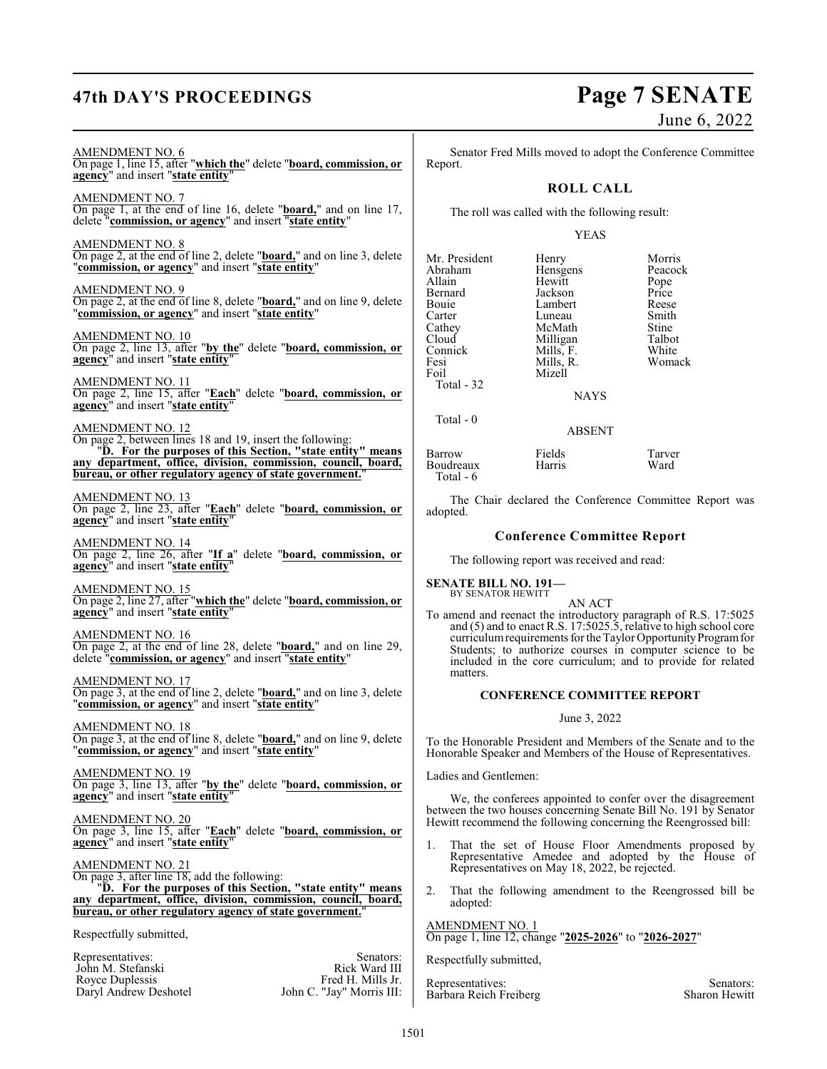# **47th DAY'S PROCEEDINGS Page 7 SENATE**

AMENDMENT NO. 6

Royce Duplessis<br>Daryl Andrew Deshotel

June 6, 2022

On page 1, line 15, after "**which the**" delete "**board, commission, or agency**" and insert "**state entity**" AMENDMENT NO. 7 On page 1, at the end of line 16, delete "**board,**" and on line 17, delete "**commission, or agency**" and insert "**state entity**" AMENDMENT NO. 8 On page 2, at the end of line 2, delete "**board,**" and on line 3, delete "**commission, or agency**" and insert "**state entity**" AMENDMENT NO. 9 On page 2, at the end of line 8, delete "**board,**" and on line 9, delete "**commission, or agency**" and insert "**state entity**" AMENDMENT NO. 10 On page 2, line 13, after "**by the**" delete "**board, commission, or agency**" and insert "**state entity**" AMENDMENT NO. 11 On page 2, line 15, after "**Each**" delete "**board, commission, or agency**" and insert "**state entity**" AMENDMENT NO. 12 On page 2, between lines 18 and 19, insert the following: "**D. For the purposes of this Section, "state entity" means any department, office, division, commission, council, board, bureau, or other regulatory agency of state government.** AMENDMENT NO. 13 On page 2, line 23, after "**Each**" delete "**board, commission, or agency**" and insert "**state entity**" AMENDMENT NO. 14 On page 2, line 26, after "**If a**" delete "**board, commission, or agency**" and insert "**state entity**" AMENDMENT NO. 15 On page 2, line 27, after "**which the**" delete "**board, commission, or agency**" and insert "**state entity**" AMENDMENT NO. 16 On page 2, at the end of line 28, delete "**board,**" and on line 29, delete "**commission, or agency**" and insert "**state entity**" AMENDMENT NO. 17 On page 3, at the end of line 2, delete "**board,**" and on line 3, delete "**commission, or agency**" and insert "**state entity**" AMENDMENT NO. 18 On page 3, at the end of line 8, delete "**board,**" and on line 9, delete "**commission, or agency**" and insert "**state entity**" AMENDMENT NO. 19 On page 3, line 13, after "**by the**" delete "**board, commission, or agency**" and insert "**state entity**" AMENDMENT NO. 20 On page 3, line 15, after "**Each**" delete "**board, commission, or agency**" and insert "**state entity**" AMENDMENT NO. 21 On page 3, after line 18, add the following: "**D. For the purposes of this Section, "state entity" means any department, office, division, commission, council, board, bureau, or other regulatory agency of state government.**" Respectfully submitted, Representatives: Senators: Senators: Senators: Senators: Senators: Senators: Senators: Senators: Senators: Senators: Senators: Senators: Senators: Senators: Senators: Senators: Senators: Senators: Senators: Senators: Senat John M. Stefanski Rick Ward III<br>Royce Duplessis Fred H. Mills Jr.

Senator Fred Mills moved to adopt the Conference Committee Report.

### **ROLL CALL**

The roll was called with the following result:

#### YEAS

| Mr. President | Henry         | Morris  |
|---------------|---------------|---------|
| Abraham       | Hensgens      | Peacock |
| Allain        | Hewitt        | Pope    |
| Bernard       | Jackson       | Price   |
| Bouie         | Lambert       | Reese   |
| Carter        | Luneau        | Smith   |
| Cathey        | McMath        | Stine   |
| Cloud         | Milligan      | Talbot  |
| Connick       | Mills, F.     | White   |
| Fesi          | Mills, R.     | Womack  |
| Foil          | Mizell        |         |
| Total - 32    |               |         |
|               | <b>NAYS</b>   |         |
| Total $-0$    |               |         |
|               | <b>ABSENT</b> |         |
|               |               |         |

Barrow Fields Tarver Boudreaux Harris Ward Total - 6

The Chair declared the Conference Committee Report was adopted.

#### **Conference Committee Report**

The following report was received and read:

**SENATE BILL NO. 191—**

BY SENATOR HEWITT AN ACT

To amend and reenact the introductory paragraph of R.S. 17:5025 and (5) and to enact R.S. 17:5025.5, relative to high school core curriculum requirements for the Taylor Opportunity Program for Students; to authorize courses in computer science to be included in the core curriculum; and to provide for related matters.

#### **CONFERENCE COMMITTEE REPORT**

#### June 3, 2022

To the Honorable President and Members of the Senate and to the Honorable Speaker and Members of the House of Representatives.

Ladies and Gentlemen:

We, the conferees appointed to confer over the disagreement between the two houses concerning Senate Bill No. 191 by Senator Hewitt recommend the following concerning the Reengrossed bill:

- 1. That the set of House Floor Amendments proposed by Representative Amedee and adopted by the House of Representatives on May 18, 2022, be rejected.
- 2. That the following amendment to the Reengrossed bill be adopted:

#### AMENDMENT NO. 1

On page 1, line 12, change "**2025-2026**" to "**2026-2027**"

Respectfully submitted,

Representatives: Senators:<br>
Barbara Reich Freiberg (Sharon Hewitt) Sharon Hewitt Barbara Reich Freiberg

John C. "Jay" Morris III: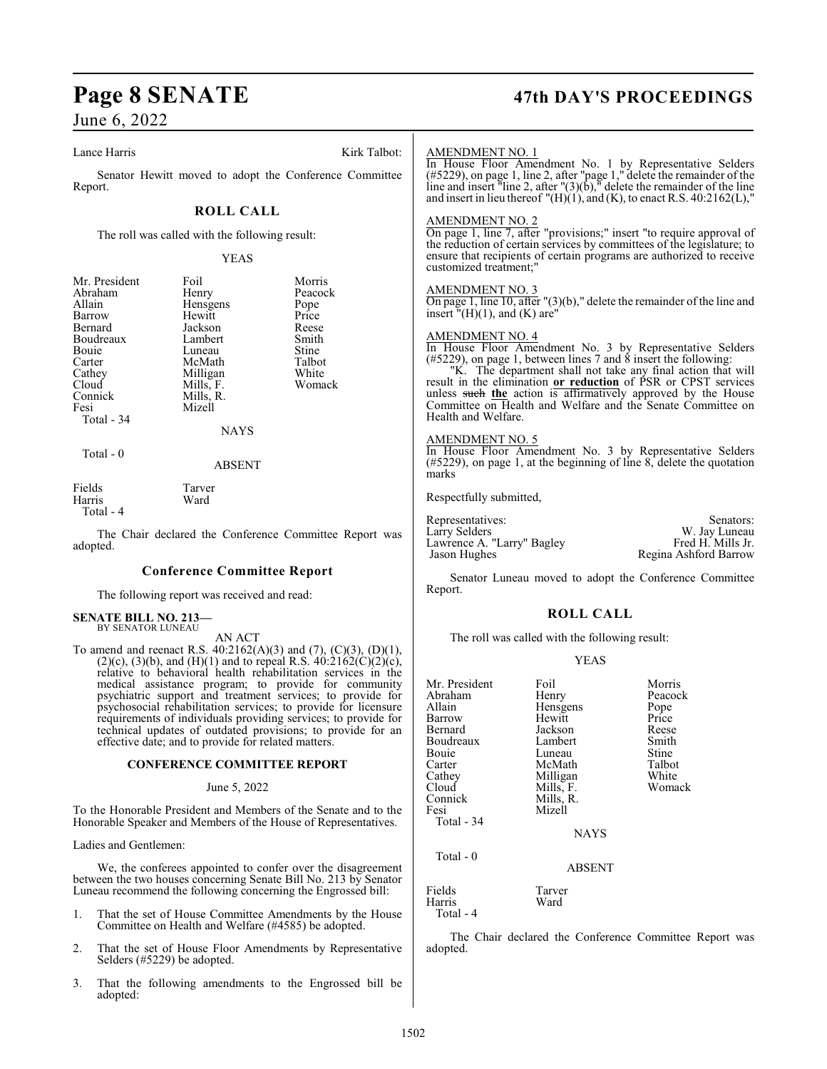#### Lance Harris Kirk Talbot:

Senator Hewitt moved to adopt the Conference Committee Report.

### **ROLL CALL**

The roll was called with the following result:

#### YEAS

| Mr. President | Foil        | Morris  |
|---------------|-------------|---------|
| Abraham       | Henry       | Peacock |
| Allain        | Hensgens    | Pope    |
| Barrow        | Hewitt      | Price   |
| Bernard       | Jackson     | Reese   |
| Boudreaux     | Lambert     | Smith   |
| Bouie         | Luneau      | Stine   |
| Carter        | McMath      | Talbot  |
| Cathey        | Milligan    | White   |
| Cloud         | Mills, F.   | Womack  |
| Connick       | Mills, R.   |         |
| Fesi          | Mizell      |         |
| Total - 34    |             |         |
|               | <b>NAYS</b> |         |
| Total $-0$    |             |         |
|               | ABSENT      |         |
|               |             |         |

| Fields    | Tarver |
|-----------|--------|
| Harris    | Ward   |
| Total - 4 |        |

The Chair declared the Conference Committee Report was adopted.

#### **Conference Committee Report**

The following report was received and read:

#### **SENATE BILL NO. 213—** BY SENATOR LUNEAU

AN ACT

To amend and reenact R.S.  $40:2162(A)(3)$  and  $(7)$ ,  $(C)(3)$ ,  $(D)(1)$ ,  $(2)(c)$ ,  $(3)(b)$ , and  $(H)(1)$  and to repeal R.S.  $40:2162(C)(2)(c)$ , relative to behavioral health rehabilitation services in the medical assistance program; to provide for community psychiatric support and treatment services; to provide for psychosocial rehabilitation services; to provide for licensure requirements of individuals providing services; to provide for technical updates of outdated provisions; to provide for an effective date; and to provide for related matters.

#### **CONFERENCE COMMITTEE REPORT**

#### June 5, 2022

To the Honorable President and Members of the Senate and to the Honorable Speaker and Members of the House of Representatives.

Ladies and Gentlemen:

We, the conferees appointed to confer over the disagreement between the two houses concerning Senate Bill No. 213 by Senator Luneau recommend the following concerning the Engrossed bill:

- 1. That the set of House Committee Amendments by the House Committee on Health and Welfare (#4585) be adopted.
- 2. That the set of House Floor Amendments by Representative Selders (#5229) be adopted.
- 3. That the following amendments to the Engrossed bill be adopted:

# **Page 8 SENATE 47th DAY'S PROCEEDINGS**

| <b>AMENDMENT NO. 1</b> |
|------------------------|
|------------------------|

In House Floor Amendment No. 1 by Representative Selders (#5229), on page 1, line 2, after "page 1," delete the remainder of the line and insert "line 2, after " $(3)(b)$ ," delete the remainder of the line and insert in lieu thereof  $"({\rm H})$ (1), and (K), to enact R.S. 40:2162(L),

#### AMENDMENT NO. 2

On page 1, line 7, after "provisions;" insert "to require approval of the reduction of certain services by committees of the legislature; to ensure that recipients of certain programs are authorized to receive customized treatment;"

#### AMENDMENT NO. 3

On page 1, line 10, after "(3)(b)," delete the remainder of the line and insert  $\sqrt[n]{H}(1)$ , and  $(K)$  are"

#### AMENDMENT NO. 4

In House Floor Amendment No. 3 by Representative Selders  $(\#5229)$ , on page 1, between lines 7 and 8 insert the following:

"K. The department shall not take any final action that will result in the elimination **or reduction** of PSR or CPST services unless such **the** action is affirmatively approved by the House Committee on Health and Welfare and the Senate Committee on Health and Welfare.

#### AMENDMENT NO. 5

In House Floor Amendment No. 3 by Representative Selders (#5229), on page 1, at the beginning of line 8, delete the quotation marks

Respectfully submitted,

| Representatives:           | Senators:             |
|----------------------------|-----------------------|
| Larry Selders              | W. Jay Luneau         |
| Lawrence A. "Larry" Bagley | Fred H. Mills Jr.     |
| Jason Hughes               | Regina Ashford Barrow |

Senator Luneau moved to adopt the Conference Committee Report.

#### **ROLL CALL**

The roll was called with the following result:

#### YEAS

| Mr. President<br>Abraham<br>Allain | Foil<br>Henry<br>Hensgens | Morris<br>Peacock<br>Pope |
|------------------------------------|---------------------------|---------------------------|
| Barrow                             | Hewitt                    | Price                     |
| Bernard                            | Jackson                   | Reese                     |
| Boudreaux                          | Lambert                   | Smith                     |
| Bouie                              | Luneau                    | Stine                     |
| Carter                             | McMath                    | Talbot                    |
| Cathey                             | Milligan                  | White                     |
| Cloud                              | Mills, F.                 | Womack                    |
| Connick                            | Mills, R.                 |                           |
| Fesi                               | Mizell                    |                           |
| Total - 34                         |                           |                           |
|                                    | <b>NAYS</b>               |                           |
| Total $-0$                         |                           |                           |
|                                    | <b>ABSENT</b>             |                           |
| Fields<br>Harris                   | Tarver<br>Ward            |                           |
|                                    |                           |                           |

Total - 4

The Chair declared the Conference Committee Report was adopted.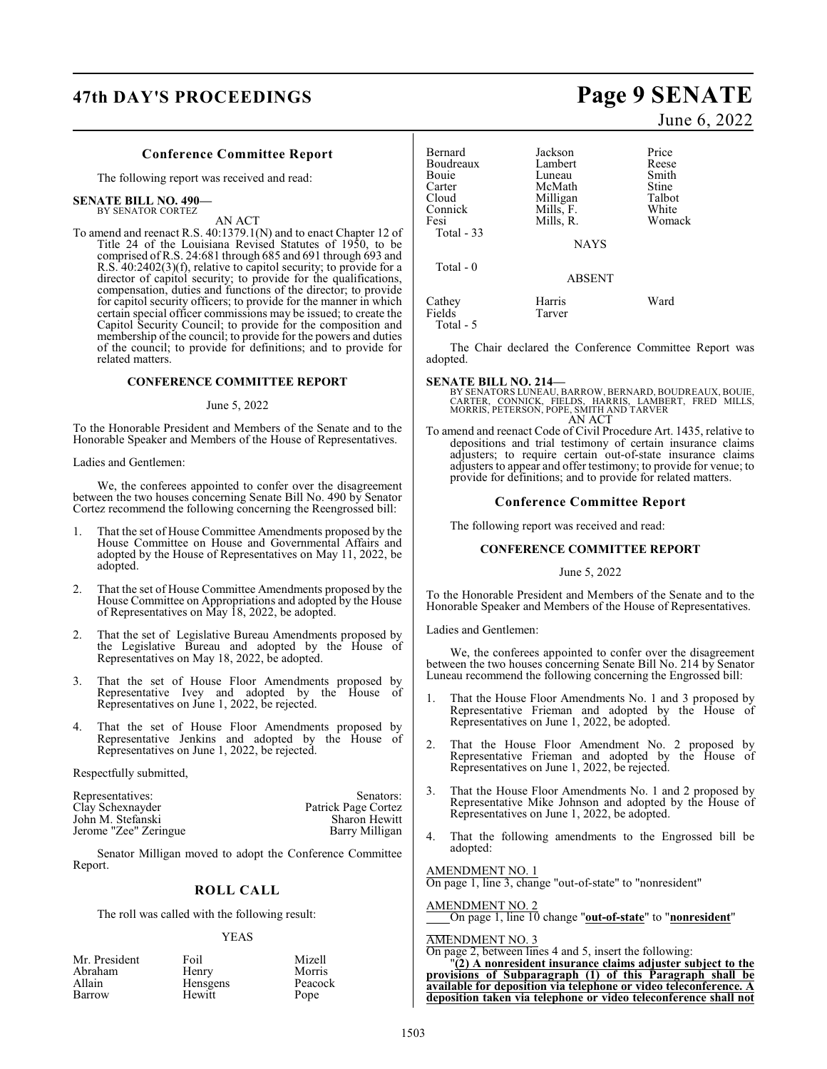# **47th DAY'S PROCEEDINGS Page 9 SENATE**

#### **Conference Committee Report**

The following report was received and read:

#### **SENATE BILL NO. 490—** BY SENATOR CORTEZ

AN ACT

To amend and reenact R.S. 40:1379.1(N) and to enact Chapter 12 of Title 24 of the Louisiana Revised Statutes of 1950, to be comprised of R.S. 24:681 through 685 and 691 through 693 and R.S. 40:2402(3)(f), relative to capitol security; to provide for a director of capitol security; to provide for the qualifications, compensation, duties and functions of the director; to provide for capitol security officers; to provide for the manner in which certain special officer commissions may be issued; to create the Capitol Security Council; to provide for the composition and membership of the council; to provide for the powers and duties of the council; to provide for definitions; and to provide for related matters.

#### **CONFERENCE COMMITTEE REPORT**

#### June 5, 2022

To the Honorable President and Members of the Senate and to the Honorable Speaker and Members of the House of Representatives.

#### Ladies and Gentlemen:

We, the conferees appointed to confer over the disagreement between the two houses concerning Senate Bill No. 490 by Senator Cortez recommend the following concerning the Reengrossed bill:

- 1. That the set of House Committee Amendments proposed by the House Committee on House and Governmental Affairs and adopted by the House of Representatives on May 11, 2022, be adopted.
- 2. That the set of House Committee Amendments proposed by the House Committee on Appropriations and adopted by the House of Representatives on May 18, 2022, be adopted.
- 2. That the set of Legislative Bureau Amendments proposed by the Legislative Bureau and adopted by the House of Representatives on May 18, 2022, be adopted.
- 3. That the set of House Floor Amendments proposed by Representative Ivey and adopted by the House of Representatives on June 1, 2022, be rejected.
- 4. That the set of House Floor Amendments proposed by Representative Jenkins and adopted by the House of Representatives on June 1, 2022, be rejected.

Respectfully submitted,

| Representatives:      | Senators:           |
|-----------------------|---------------------|
| Clay Schexnayder      | Patrick Page Cortez |
| John M. Stefanski     | Sharon Hewitt       |
| Jerome "Zee" Zeringue | Barry Milligan      |

Senator Milligan moved to adopt the Conference Committee Report.

#### **ROLL CALL**

The roll was called with the following result:

#### YEAS

| Mr. President | Foil     | Mizell  |
|---------------|----------|---------|
| Abraham       | Henry    | Morris  |
| Allain        | Hensgens | Peacock |
| Barrow        | Hewitt   | Pope    |

June 6, 2022

| Bernard      | Jackson       | Price  |
|--------------|---------------|--------|
| Boudreaux    | Lambert       | Reese  |
| <b>Bouje</b> | Luneau        | Smith  |
| Carter       | McMath        | Stine  |
| Cloud        | Milligan      | Talbot |
| Connick      | Mills, F.     | White  |
| Fesi         | Mills, R.     | Womack |
| Total $-33$  |               |        |
|              | <b>NAYS</b>   |        |
|              |               |        |
| Total - 0    | <b>ABSENT</b> |        |
| Cathey       | Harris        | Ward   |
| Fields       | Tarver        |        |
| Total - 5    |               |        |

The Chair declared the Conference Committee Report was adopted.

#### **SENATE BILL NO. 214—**

BY SENATORS LUNEAU, BARROW, BERNARD, BOUDREAUX, BOUIE,<br>CARTER, CONNICK, FIELDS, HARRIS, LAMBERT, FRED MILLS,<br>MORRIS, PETERSON, POPE, SMITH AND TARVER AN ACT

To amend and reenact Code of Civil Procedure Art. 1435, relative to depositions and trial testimony of certain insurance claims adjusters; to require certain out-of-state insurance claims adjusters to appear and offer testimony; to provide for venue; to provide for definitions; and to provide for related matters.

#### **Conference Committee Report**

The following report was received and read:

#### **CONFERENCE COMMITTEE REPORT**

#### June 5, 2022

To the Honorable President and Members of the Senate and to the Honorable Speaker and Members of the House of Representatives.

Ladies and Gentlemen:

We, the conferees appointed to confer over the disagreement between the two houses concerning Senate Bill No. 214 by Senator Luneau recommend the following concerning the Engrossed bill:

- 1. That the House Floor Amendments No. 1 and 3 proposed by Representative Frieman and adopted by the House of Representatives on June 1, 2022, be adopted.
- 2. That the House Floor Amendment No. 2 proposed by Representative Frieman and adopted by the House of Representatives on June 1, 2022, be rejected.
- 3. That the House Floor Amendments No. 1 and 2 proposed by Representative Mike Johnson and adopted by the House of Representatives on June 1, 2022, be adopted.
- 4. That the following amendments to the Engrossed bill be adopted:

AMENDMENT NO. 1

On page 1, line 3, change "out-of-state" to "nonresident"

AMENDMENT NO. 2

On page 1, line 10 change "**out-of-state**" to "**nonresident**"

#### AMENDMENT NO. 3

On page 2, between lines 4 and 5, insert the following:

"**(2) A nonresident insurance claims adjuster subject to the provisions of Subparagraph (1) of this Paragraph shall be available for deposition via telephone or video teleconference. A deposition taken via telephone or video teleconference shall not**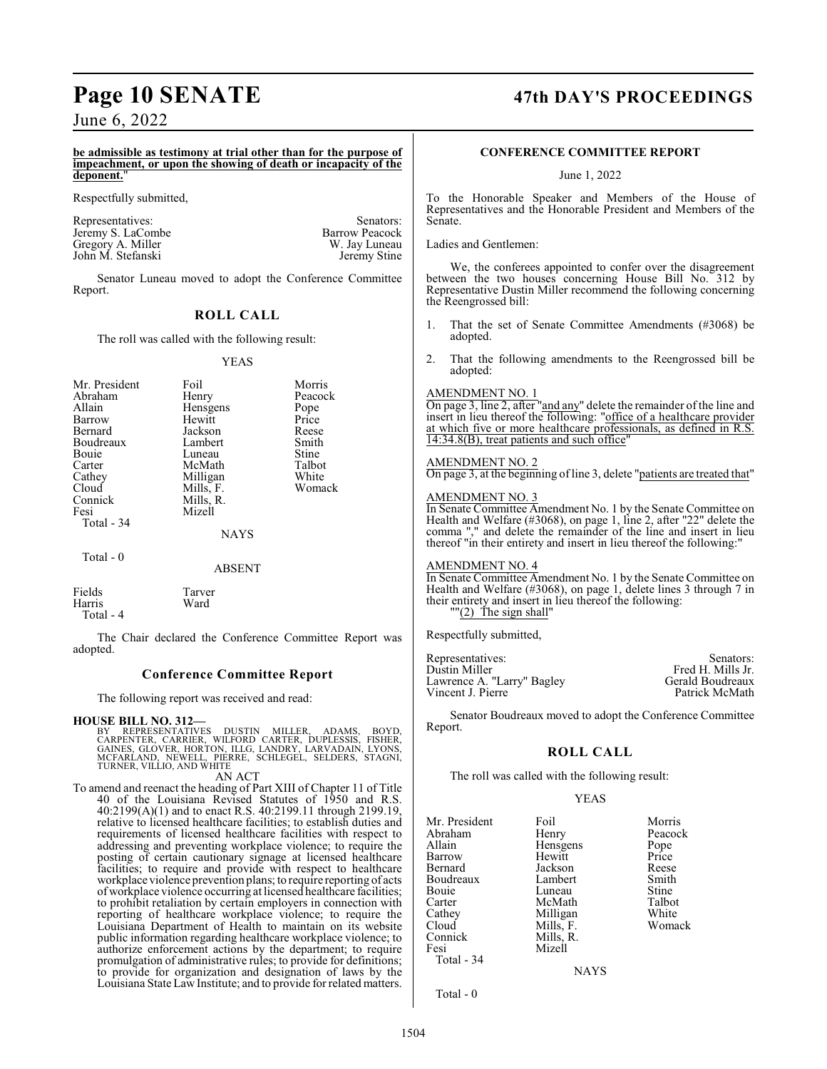**be admissible as testimony at trial other than for the purpose of impeachment, or upon the showing of death or incapacity of the deponent.**"

Respectfully submitted,

Representatives: Senators: Senators: Senators: Senators: Senators: Senators: Senators: Senators: Senators: Senators: Senators: Senators: Senators: Senators: Senators: Senators: Senators: Senators: Senators: Senators: Senat Jeremy S. LaCombe<br>Gregory A. Miller Barrow Peacock<br>W. Jay Luneau Gregory A. Miller W. Jay Luneau<br>
John M. Stefanski<br>
Veremy Stine John M. Stefanski

Senator Luneau moved to adopt the Conference Committee Report.

### **ROLL CALL**

The roll was called with the following result:

#### YEAS

| Mr. President<br>Abraham<br>Allain<br>Barrow<br>Bernard<br>Boudreaux<br>Bouie<br>Carter<br>Cathey<br>Cloud<br>Connick<br>Fesi | Foil<br>Henry<br>Hensgens<br>Hewitt<br>Jackson<br>Lambert<br>Luneau<br>McMath<br>Milligan<br>Mills, F.<br>Mills, R.<br>Mizell | Morris<br>Peacock<br>Pope<br>Price<br>Reese<br>Smith<br>Stine<br>Talbot<br>White<br>Womack |
|-------------------------------------------------------------------------------------------------------------------------------|-------------------------------------------------------------------------------------------------------------------------------|--------------------------------------------------------------------------------------------|
| Total - 34                                                                                                                    | <b>NAYS</b>                                                                                                                   |                                                                                            |
| Total $-0$                                                                                                                    | <b>ABSENT</b>                                                                                                                 |                                                                                            |

Fields Tarver **Harris** Total - 4

The Chair declared the Conference Committee Report was adopted.

#### **Conference Committee Report**

The following report was received and read:

#### **HOUSE BILL NO. 312—**

BY REPRESENTATIVES DUSTIN MILLER, ADAMS, BOYD,<br>CARPENTER, CARRIER, WILFORD CARTER, DUPLESSIS, FISHER,<br>GAINES, GLOVER, HORTON, ILLG, LANDRY, LARVADAIN, LYONS,<br>MCFARLAND, NEWELL, PIERRE, SCHLEGEL, SELDERS, STAGNI,<br>TURNER,VIL

AN ACT

To amend and reenact the heading of Part XIII of Chapter 11 of Title 40 of the Louisiana Revised Statutes of 1950 and R.S. 40:2199(A)(1) and to enact R.S. 40:2199.11 through 2199.19, relative to licensed healthcare facilities; to establish duties and requirements of licensed healthcare facilities with respect to addressing and preventing workplace violence; to require the posting of certain cautionary signage at licensed healthcare facilities; to require and provide with respect to healthcare workplace violence prevention plans; to require reporting of acts of workplace violence occurring at licensed healthcare facilities; to prohibit retaliation by certain employers in connection with reporting of healthcare workplace violence; to require the Louisiana Department of Health to maintain on its website public information regarding healthcare workplace violence; to authorize enforcement actions by the department; to require promulgation of administrative rules; to provide for definitions; to provide for organization and designation of laws by the Louisiana State Law Institute; and to provide for related matters.

# **Page 10 SENATE 47th DAY'S PROCEEDINGS**

#### **CONFERENCE COMMITTEE REPORT**

June 1, 2022

To the Honorable Speaker and Members of the House of Representatives and the Honorable President and Members of the Senate.

Ladies and Gentlemen:

We, the conferees appointed to confer over the disagreement between the two houses concerning House Bill No. 312 by Representative Dustin Miller recommend the following concerning the Reengrossed bill:

- 1. That the set of Senate Committee Amendments (#3068) be adopted.
- 2. That the following amendments to the Reengrossed bill be adopted:

#### AMENDMENT NO. 1

On page 3, line 2, after "and any" delete the remainder of the line and insert in lieu thereof the following: "office of a healthcare provider at which five or more healthcare professionals, as defined in R.S. 14:34.8(B), treat patients and such office"

#### AMENDMENT NO. 2

On page 3, at the beginning of line 3, delete "patients are treated that"

#### AMENDMENT NO. 3

In Senate Committee Amendment No. 1 by the Senate Committee on Health and Welfare (#3068), on page 1, line 2, after "22" delete the comma "," and delete the remainder of the line and insert in lieu thereof "in their entirety and insert in lieu thereof the following:"

#### AMENDMENT NO. 4

In Senate Committee Amendment No. 1 by the Senate Committee on Health and Welfare (#3068), on page 1, delete lines 3 through 7 in their entirety and insert in lieu thereof the following: "(2) The sign shall"

Respectfully submitted,

| Senators:         |
|-------------------|
| Fred H. Mills Jr. |
| Gerald Boudreaux  |
| Patrick McMath    |
|                   |

Senator Boudreaux moved to adopt the Conference Committee Report.

#### **ROLL CALL**

The roll was called with the following result:

#### YEAS

| Mr. President | Foil      | Morris  |
|---------------|-----------|---------|
| Abraham       | Henry     | Peacock |
| Allain        | Hensgens  | Pope    |
| Barrow        | Hewitt    | Price   |
| Bernard       | Jackson   | Reese   |
| Boudreaux     | Lambert   | Smith   |
| Bouie         | Luneau    | Stine   |
| Carter        | McMath    | Talbot  |
| Cathey        | Milligan  | White   |
| Cloud         | Mills, F. | Womack  |
| Connick       | Mills, R. |         |
| Fesi          | Mizell    |         |
| Total - 34    |           |         |
|               | NAVC      |         |

NAYS

Total - 0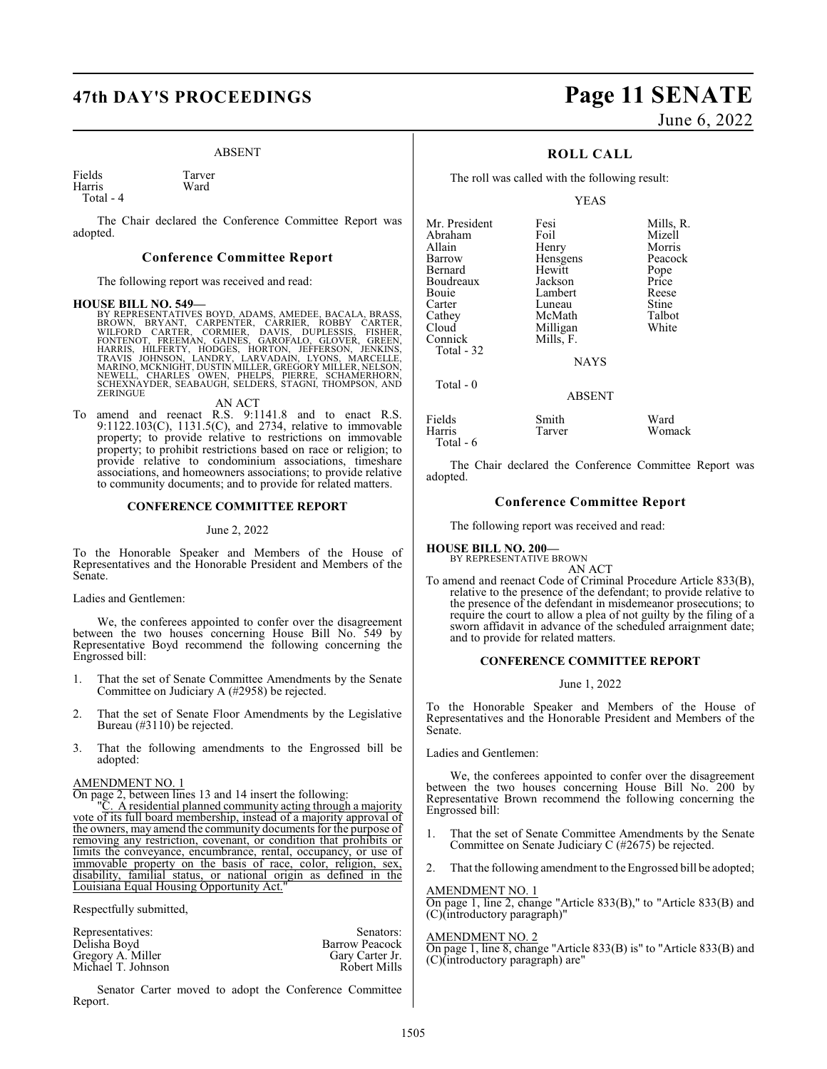#### ABSENT

Fields Tarver<br>
Harris Ward Harris

Total - 4

The Chair declared the Conference Committee Report was adopted.

#### **Conference Committee Report**

The following report was received and read:

#### **HOUSE BILL NO. 549—**

BY REPRESENTATIVES BOYD, ADAMS, AMEDEE, BACALA, BRASS, BROWN, BRYANT, CARPENTER, CARRER, BACHER, WILFORD CARTER, CORMIER, DAVIS, DUPLESSIS, FISHER, FONTENOT, FREEMAN, GAINES, GAROFALO, GLOVER, GREEN, HARRIS, HILFERTY, HODG

AN ACT

To amend and reenact R.S. 9:1141.8 and to enact R.S. 9:1122.103(C), 1131.5(C), and 2734, relative to immovable property; to provide relative to restrictions on immovable property; to prohibit restrictions based on race or religion; to provide relative to condominium associations, timeshare associations, and homeowners associations; to provide relative to community documents; and to provide for related matters.

#### **CONFERENCE COMMITTEE REPORT**

#### June 2, 2022

To the Honorable Speaker and Members of the House of Representatives and the Honorable President and Members of the Senate.

Ladies and Gentlemen:

We, the conferees appointed to confer over the disagreement between the two houses concerning House Bill No. 549 by Representative Boyd recommend the following concerning the Engrossed bill:

- 1. That the set of Senate Committee Amendments by the Senate Committee on Judiciary A (#2958) be rejected.
- 2. That the set of Senate Floor Amendments by the Legislative Bureau (#3110) be rejected.
- 3. That the following amendments to the Engrossed bill be adopted:

#### AMENDMENT NO. 1

On page 2, between lines 13 and 14 insert the following:

A residential planned community acting through a majority vote of its full board membership, instead of a majority approval of the owners, may amend the community documents for the purpose of removing any restriction, covenant, or condition that prohibits or limits the conveyance, encumbrance, rental, occupancy, or use of immovable property on the basis of race, color, religion, sex, disability, familial status, or national origin as defined in the Louisiana Equal Housing Opportunity Act."

Respectfully submitted,

| Senators:             |
|-----------------------|
| <b>Barrow Peacock</b> |
| Gary Carter Jr.       |
| <b>Robert Mills</b>   |
|                       |

Senator Carter moved to adopt the Conference Committee Report.

# **47th DAY'S PROCEEDINGS Page 11 SENATE** June 6, 2022

#### **ROLL CALL**

The roll was called with the following result:

YEAS

| Mr. President<br>Abraham<br>Allain<br>Barrow<br>Bernard<br>Boudreaux<br>Bouie<br>Carter | Fesi<br>Foil<br>Henry<br>Hensgens<br>Hewitt<br>Jackson<br>Lambert<br>Luneau | Mills, R.<br>Mizell<br>Morris<br>Peacock<br>Pope<br>Price<br>Reese<br>Stine |
|-----------------------------------------------------------------------------------------|-----------------------------------------------------------------------------|-----------------------------------------------------------------------------|
| Cathey                                                                                  | McMath                                                                      | Talbot                                                                      |
| Cloud<br>Connick<br>Total - 32                                                          | Milligan<br>Mills, F.                                                       | White                                                                       |
|                                                                                         | <b>NAYS</b>                                                                 |                                                                             |
| Total $-0$                                                                              | <b>ABSENT</b>                                                               |                                                                             |
| Fields<br>Harris                                                                        | Smith<br>Tarver                                                             | Ward<br>Womack                                                              |

Total - 6

The Chair declared the Conference Committee Report was adopted.

#### **Conference Committee Report**

The following report was received and read:

#### **HOUSE BILL NO. 200—**

BY REPRESENTATIVE BROWN AN ACT

To amend and reenact Code of Criminal Procedure Article 833(B), relative to the presence of the defendant; to provide relative to the presence of the defendant in misdemeanor prosecutions; to require the court to allow a plea of not guilty by the filing of a sworn affidavit in advance of the scheduled arraignment date; and to provide for related matters.

#### **CONFERENCE COMMITTEE REPORT**

#### June 1, 2022

To the Honorable Speaker and Members of the House of Representatives and the Honorable President and Members of the Senate.

Ladies and Gentlemen:

We, the conferees appointed to confer over the disagreement between the two houses concerning House Bill No. 200 by Representative Brown recommend the following concerning the Engrossed bill:

- That the set of Senate Committee Amendments by the Senate Committee on Senate Judiciary C (#2675) be rejected.
- That the following amendment to the Engrossed bill be adopted;

#### AMENDMENT NO. 1

On page 1, line 2, change "Article 833(B)," to "Article 833(B) and (C)(introductory paragraph)"

#### AMENDMENT NO. 2

On page 1, line 8, change "Article 833(B) is" to "Article 833(B) and (C)(introductory paragraph) are"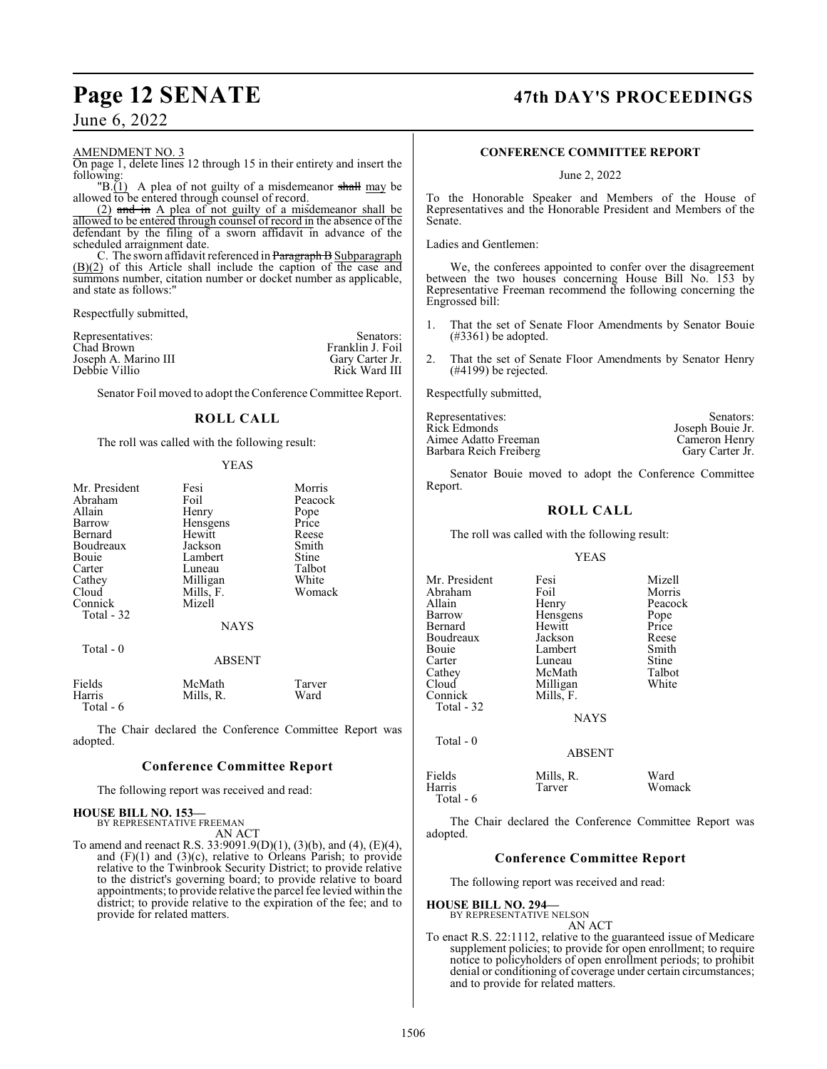#### AMENDMENT NO. 3

On page 1, delete lines 12 through 15 in their entirety and insert the following:

"B. $(1)$  A plea of not guilty of a misdemeanor shall may be allowed to be entered through counsel of record.

(2) and in A plea of not guilty of a misdemeanor shall be allowed to be entered through counsel of record in the absence of the defendant by the filing of a sworn affidavit in advance of the scheduled arraignment date.

C. The sworn affidavit referenced in Paragraph B Subparagraph (B)(2) of this Article shall include the caption of the case and summons number, citation number or docket number as applicable, and state as follows:"

Respectfully submitted,

| Representatives:     | Senators:        |
|----------------------|------------------|
| Chad Brown           | Franklin J. Foil |
| Joseph A. Marino III | Gary Carter Jr.  |
| Debbie Villio        | Rick Ward III    |

Senator Foil moved to adopt theConference Committee Report.

#### **ROLL CALL**

The roll was called with the following result:

#### YEAS

| Mr. President<br>Abraham<br>Allain<br>Barrow<br>Bernard<br>Boudreaux<br>Bouie<br>Carter<br>Cathey<br>Cloud<br>Connick | Fesi<br>Foil<br>Henry<br>Hensgens<br>Hewitt<br>Jackson<br>Lambert<br>Luneau<br>Milligan<br>Mills, F.<br>Mizell | Morris<br>Peacock<br>Pope<br>Price<br>Reese<br>Smith<br>Stine<br>Talbot<br>White<br>Womack |
|-----------------------------------------------------------------------------------------------------------------------|----------------------------------------------------------------------------------------------------------------|--------------------------------------------------------------------------------------------|
| Total - 32                                                                                                            | <b>NAYS</b>                                                                                                    |                                                                                            |
| Total - 0                                                                                                             | <b>ABSENT</b>                                                                                                  |                                                                                            |
| Fields<br><b>TT</b>                                                                                                   | McMath<br>ה וויז                                                                                               | Tarver<br><b>TT7</b> 1                                                                     |

Harris Mills, R. Ward Total - 6

The Chair declared the Conference Committee Report was adopted.

#### **Conference Committee Report**

The following report was received and read:

#### **HOUSE BILL NO. 153—**

BY REPRESENTATIVE FREEMAN AN ACT

To amend and reenact R.S. 33:9091.9(D)(1), (3)(b), and (4), (E)(4), and  $(F)(1)$  and  $(3)(c)$ , relative to Orleans Parish; to provide relative to the Twinbrook Security District; to provide relative to the district's governing board; to provide relative to board appointments; to provide relative the parcel fee levied within the district; to provide relative to the expiration of the fee; and to provide for related matters.

# **Page 12 SENATE 47th DAY'S PROCEEDINGS**

#### **CONFERENCE COMMITTEE REPORT**

#### June 2, 2022

To the Honorable Speaker and Members of the House of Representatives and the Honorable President and Members of the Senate.

Ladies and Gentlemen:

We, the conferees appointed to confer over the disagreement between the two houses concerning House Bill No. 153 by Representative Freeman recommend the following concerning the Engrossed bill:

- 1. That the set of Senate Floor Amendments by Senator Bouie (#3361) be adopted.
- 2. That the set of Senate Floor Amendments by Senator Henry (#4199) be rejected.

Respectfully submitted,

| Representatives:       | Senators:        |
|------------------------|------------------|
| Rick Edmonds           | Joseph Bouie Jr. |
| Aimee Adatto Freeman   | Cameron Henry    |
| Barbara Reich Freiberg | Gary Carter Jr.  |

Senator Bouie moved to adopt the Conference Committee Report.

#### **ROLL CALL**

The roll was called with the following result:

#### YEAS

| Mr. President | Fesi          | Mizell  |
|---------------|---------------|---------|
| Abraham       | Foil          | Morris  |
| Allain        | Henry         | Peacock |
| Barrow        | Hensgens      | Pope    |
| Bernard       | Hewitt        | Price   |
| Boudreaux     | Jackson       | Reese   |
| Bouie         | Lambert       | Smith   |
| Carter        | Luneau        | Stine   |
| Cathey        | McMath        | Talbot  |
| Cloud         | Milligan      | White   |
| Connick       | Mills, F.     |         |
| Total - 32    |               |         |
|               | <b>NAYS</b>   |         |
| Total $-0$    |               |         |
|               | <b>ABSENT</b> |         |
| Fields        | Mills, R.     | Ward    |
| Harris        | Tarver        | Womack  |
|               |               |         |

Total - 6

The Chair declared the Conference Committee Report was adopted.

#### **Conference Committee Report**

The following report was received and read:

#### **HOUSE BILL NO. 294—**

BY REPRESENTATIVE NELSON AN ACT

To enact R.S. 22:1112, relative to the guaranteed issue of Medicare supplement policies; to provide for open enrollment; to require notice to policyholders of open enrollment periods; to prohibit denial or conditioning of coverage under certain circumstances; and to provide for related matters.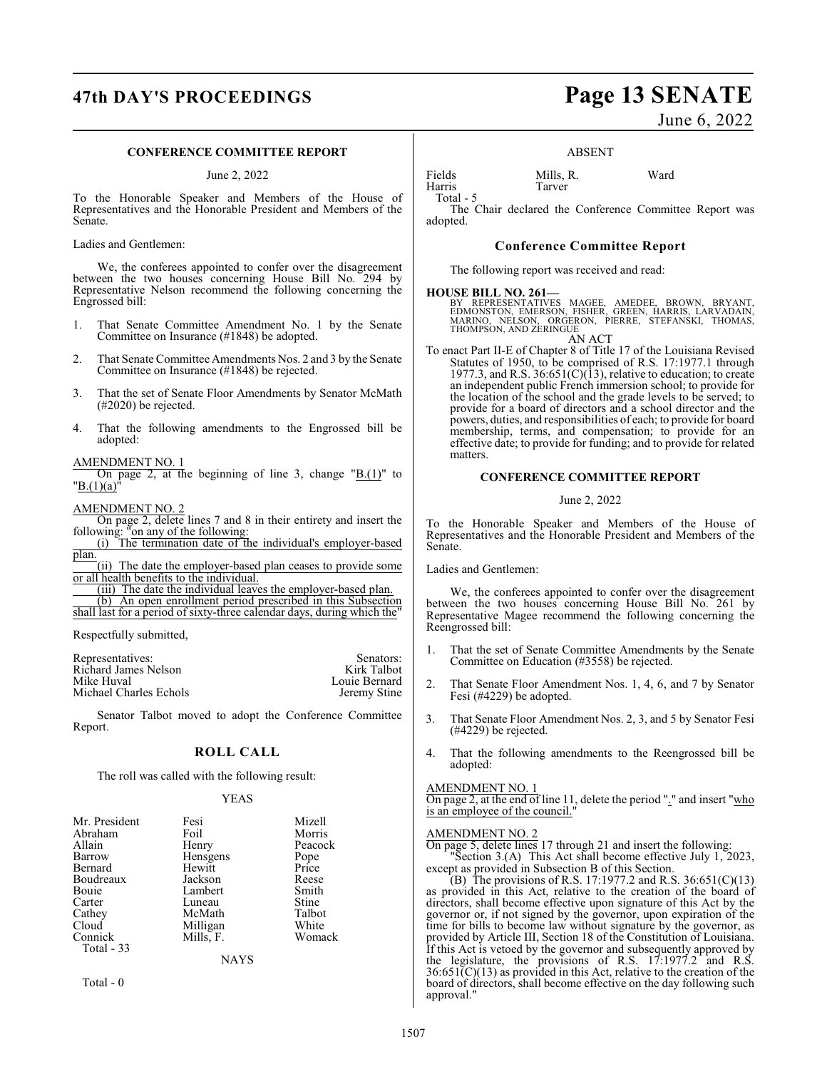# **47th DAY'S PROCEEDINGS Page 13 SENATE**

#### **CONFERENCE COMMITTEE REPORT**

June 2, 2022

To the Honorable Speaker and Members of the House of Representatives and the Honorable President and Members of the Senate.

Ladies and Gentlemen:

We, the conferees appointed to confer over the disagreement between the two houses concerning House Bill No. 294 by Representative Nelson recommend the following concerning the Engrossed bill:

- 1. That Senate Committee Amendment No. 1 by the Senate Committee on Insurance (#1848) be adopted.
- 2. That Senate Committee Amendments Nos. 2 and 3 by the Senate Committee on Insurance (#1848) be rejected.
- 3. That the set of Senate Floor Amendments by Senator McMath (#2020) be rejected.
- 4. That the following amendments to the Engrossed bill be adopted:

#### AMENDMENT NO. 1

On page 2, at the beginning of line 3, change  $"B.(1)"$  to  $"B.(1)(a)'$ 

#### AMENDMENT NO. 2

On page 2, delete lines 7 and 8 in their entirety and insert the following: "on any of the following:

(i) The termination date of the individual's employer-based plan.

(ii) The date the employer-based plan ceases to provide some or all health benefits to the individual.

(iii) The date the individual leaves the employer-based plan.

(b) An open enrollment period prescribed in this Subsection shall last for a period of sixty-three calendar days, during which the"

Respectfully submitted,

| Representatives:       | Senators:     |
|------------------------|---------------|
| Richard James Nelson   | Kirk Talbot   |
| Mike Huval             | Louie Bernard |
| Michael Charles Echols | Jeremy Stine  |

Senator Talbot moved to adopt the Conference Committee Report.

#### **ROLL CALL**

The roll was called with the following result:

#### YEAS

| Mr. President | Fesi      | Mizell  |
|---------------|-----------|---------|
| Abraham       | Foil      | Morris  |
| Allain        | Henry     | Peacock |
| Barrow        | Hensgens  | Pope    |
| Bernard       | Hewitt    | Price   |
| Boudreaux     | Jackson   | Reese   |
| Bouie         | Lambert   | Smith   |
| Carter        | Luneau    | Stine   |
| Cathey        | McMath    | Talbot  |
| Cloud         | Milligan  | White   |
| Connick       | Mills, F. | Womack  |
| Total - 33    |           |         |
|               | NAYS      |         |

Total - 0

June 6, 2022

#### ABSENT

Fields Mills, R. Ward Harris Tarver

Total - 5

The Chair declared the Conference Committee Report was adopted.

#### **Conference Committee Report**

The following report was received and read:

#### **HOUSE BILL NO. 261—**

BY REPRESENTATIVES MAGEE, AMEDEE, BROWN, BRYANT,<br>EDMONSTON, EMERSON, FISHER, GREEN, HARRIS, LARVADAIN,<br>MARINO, NELSON, ORGERON, PIERRE, STEFANSKI, THOMAS,<br>THOMPSON,AND ZERINGUE

- AN ACT
- To enact Part II-E of Chapter 8 of Title 17 of the Louisiana Revised Statutes of 1950, to be comprised of R.S. 17:1977.1 through 1977.3, and R.S.  $36:651(C)(13)$ , relative to education; to create an independent public French immersion school; to provide for the location of the school and the grade levels to be served; to provide for a board of directors and a school director and the powers, duties, and responsibilities of each; to provide for board membership, terms, and compensation; to provide for an effective date; to provide for funding; and to provide for related matters.

#### **CONFERENCE COMMITTEE REPORT**

#### June 2, 2022

To the Honorable Speaker and Members of the House of Representatives and the Honorable President and Members of the Senate.

Ladies and Gentlemen:

We, the conferees appointed to confer over the disagreement between the two houses concerning House Bill No. 261 by Representative Magee recommend the following concerning the Reengrossed bill:

- 1. That the set of Senate Committee Amendments by the Senate Committee on Education (#3558) be rejected.
- 2. That Senate Floor Amendment Nos. 1, 4, 6, and 7 by Senator Fesi (#4229) be adopted.
- 3. That Senate Floor Amendment Nos. 2, 3, and 5 by Senator Fesi (#4229) be rejected.
- 4. That the following amendments to the Reengrossed bill be adopted:

#### AMENDMENT NO. 1

On page 2, at the end of line 11, delete the period "." and insert "who is an employee of the council."

#### AMENDMENT NO. 2

On page 5, delete lines 17 through 21 and insert the following: "Section 3.(A) This Act shall become effective July 1, 2023,

except as provided in Subsection B of this Section. (B) The provisions of R.S. 17:1977.2 and R.S. 36:651(C)(13) as provided in this Act, relative to the creation of the board of directors, shall become effective upon signature of this Act by the governor or, if not signed by the governor, upon expiration of the time for bills to become law without signature by the governor, as provided by Article III, Section 18 of the Constitution of Louisiana. If this Act is vetoed by the governor and subsequently approved by the legislature, the provisions of R.S.  $17:1977.2$  and R.S.  $36:651\text{\textdegree}(C)(13)$  as provided in this Act, relative to the creation of the board of directors, shall become effective on the day following such approval."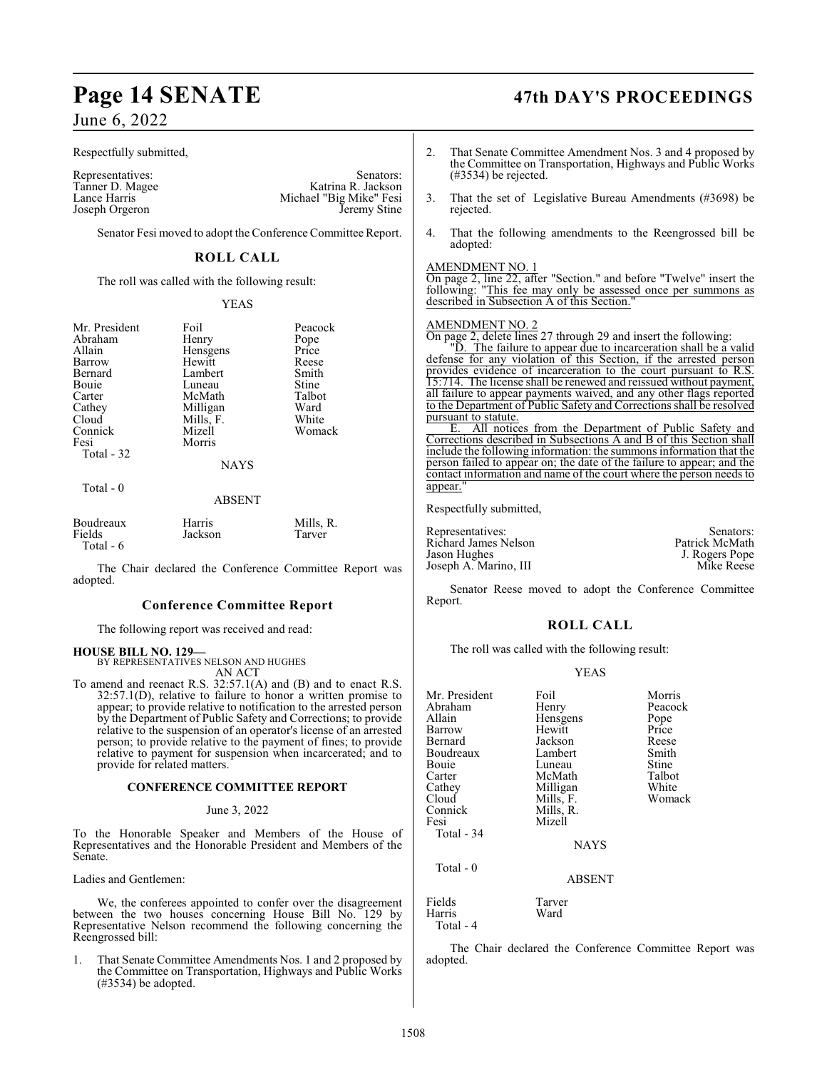Respectfully submitted,

Tanner D. Magee<br>Lance Harris Joseph Orgeron

Representatives: Senators: Senators: Senators: Senators: Senators: Senators: Senators: Senators: Senators: Senators: Senators: Senators: Senators: Senators: Senators: Senators: Senators: Senators: Senators: Senators: Senat Michael "Big Mike" Fesi<br>Jeremy Stine

Senator Fesi moved to adopt the Conference Committee Report.

#### **ROLL CALL**

The roll was called with the following result:

#### YEAS

| Mr. President<br>Abraham<br>Allain<br>Barrow<br>Bernard<br>Bouie<br>Carter<br>Cathey<br>Cloud<br>Connick<br>Fesi<br>Total - 32 | Foil<br>Henry<br>Hensgens<br>Hewitt<br>Lambert<br>Luneau<br>McMath<br>Milligan<br>Mills, F.<br>Mizell<br>Morris | Peacock<br>Pope<br>Price<br>Reese<br>Smith<br>Stine<br>Talbot<br>Ward<br>White<br>Womack |
|--------------------------------------------------------------------------------------------------------------------------------|-----------------------------------------------------------------------------------------------------------------|------------------------------------------------------------------------------------------|
|                                                                                                                                | <b>NAYS</b>                                                                                                     |                                                                                          |
| Total $-0$                                                                                                                     | ABSENT                                                                                                          |                                                                                          |

| Boudreaux  | <b>Harris</b> | Mills, R. |
|------------|---------------|-----------|
| Fields     | Jackson       | Tarver    |
| Total $-6$ |               |           |

The Chair declared the Conference Committee Report was adopted.

#### **Conference Committee Report**

The following report was received and read:

#### **HOUSE BILL NO. 129—**

BY REPRESENTATIVES NELSON AND HUGHES

AN ACT

To amend and reenact R.S. 32:57.1(A) and (B) and to enact R.S. 32:57.1(D), relative to failure to honor a written promise to appear; to provide relative to notification to the arrested person by the Department of Public Safety and Corrections; to provide relative to the suspension of an operator's license of an arrested person; to provide relative to the payment of fines; to provide relative to payment for suspension when incarcerated; and to provide for related matters.

#### **CONFERENCE COMMITTEE REPORT**

#### June 3, 2022

To the Honorable Speaker and Members of the House of Representatives and the Honorable President and Members of the Senate.

Ladies and Gentlemen:

We, the conferees appointed to confer over the disagreement between the two houses concerning House Bill No. 129 by Representative Nelson recommend the following concerning the Reengrossed bill:

1. That Senate Committee Amendments Nos. 1 and 2 proposed by the Committee on Transportation, Highways and Public Works (#3534) be adopted.

# **Page 14 SENATE 47th DAY'S PROCEEDINGS**

- 2. That Senate Committee Amendment Nos. 3 and 4 proposed by the Committee on Transportation, Highways and Public Works (#3534) be rejected.
- 3. That the set of Legislative Bureau Amendments (#3698) be rejected.
- 4. That the following amendments to the Reengrossed bill be adopted:

#### AMENDMENT NO. 1

On page 2, line 22, after "Section." and before "Twelve" insert the following: "This fee may only be assessed once per summons as described in Subsection A of this Section.

#### AMENDMENT NO. 2

On page 2, delete lines 27 through 29 and insert the following:

"D. The failure to appear due to incarceration shall be a valid defense for any violation of this Section, if the arrested person provides evidence of incarceration to the court pursuant to R.S. 15:714. The license shall be renewed and reissued without payment, all failure to appear payments waived, and any other flags reported to the Department of Public Safety and Corrections shall be resolved pursuant to statute.

E. All notices from the Department of Public Safety and Corrections described in Subsections A and B of this Section shall include the following information: the summons information that the person failed to appear on; the date of the failure to appear; and the contact information and name of the court where the person needs to appear.

Respectfully submitted,

| Representatives:      | Senators:      |
|-----------------------|----------------|
| Richard James Nelson  | Patrick McMath |
| Jason Hughes          | J. Rogers Pope |
| Joseph A. Marino, III | Mike Reese     |

Senator Reese moved to adopt the Conference Committee Report.

#### **ROLL CALL**

The roll was called with the following result:

#### YEAS

| Mr. President       | Foil          | Morris  |
|---------------------|---------------|---------|
| Abraham             | Henry         | Peacock |
| Allain              | Hensgens      | Pope    |
| Barrow              | Hewitt        | Price   |
| Bernard             | Jackson       | Reese   |
| Boudreaux           | Lambert       | Smith   |
| Bouie               | Luneau        | Stine   |
| Carter              | McMath        | Talbot  |
| Cathey              | Milligan      | White   |
| Cloud               | Mills, F.     | Womack  |
| Connick             | Mills, R.     |         |
| Fesi                | Mizell        |         |
| Total - 34          |               |         |
|                     | <b>NAYS</b>   |         |
| Total - 0           |               |         |
|                     | <b>ABSENT</b> |         |
| Fields              | Tarver        |         |
| Harris<br>Total - 4 | Ward          |         |

The Chair declared the Conference Committee Report was adopted.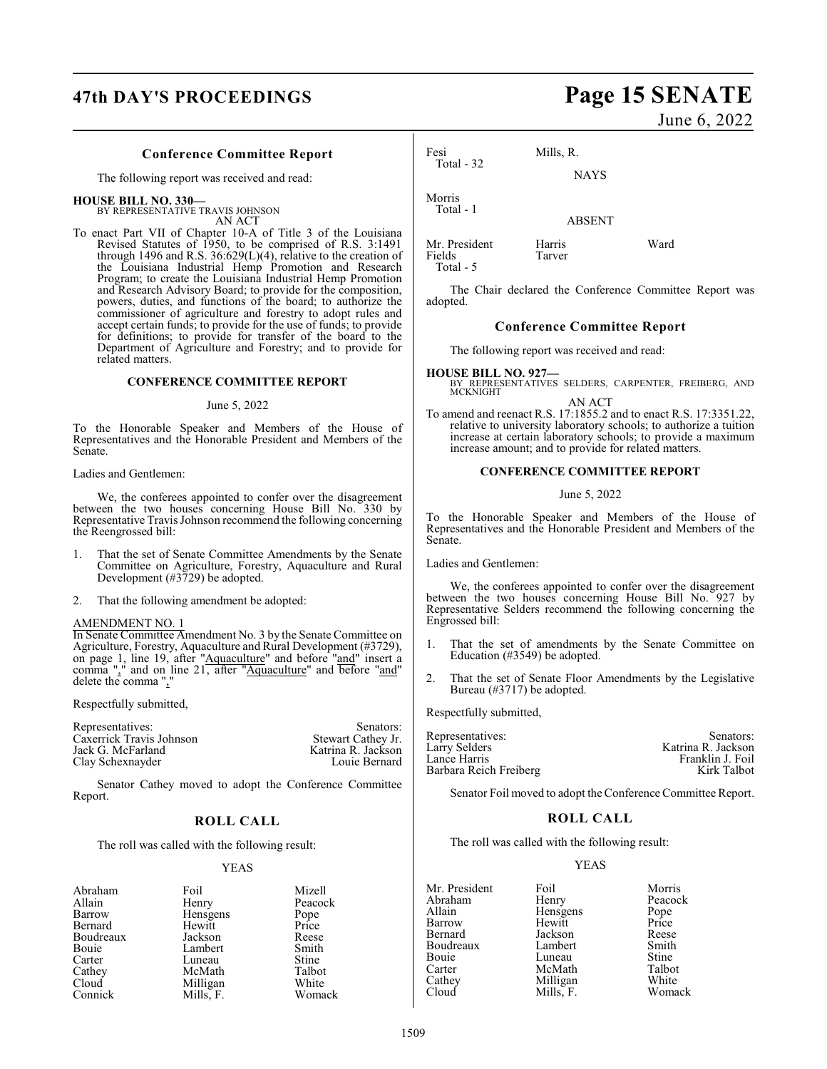# **47th DAY'S PROCEEDINGS Page 15 SENATE**

#### **Conference Committee Report**

The following report was received and read:

#### **HOUSE BILL NO. 330—**

BY REPRESENTATIVE TRAVIS JOHNSON AN ACT

To enact Part VII of Chapter 10-A of Title 3 of the Louisiana Revised Statutes of 1950, to be comprised of R.S. 3:1491 through 1496 and R.S. 36:629(L)(4), relative to the creation of the Louisiana Industrial Hemp Promotion and Research Program; to create the Louisiana Industrial Hemp Promotion and Research Advisory Board; to provide for the composition, powers, duties, and functions of the board; to authorize the commissioner of agriculture and forestry to adopt rules and accept certain funds; to provide for the use of funds; to provide for definitions; to provide for transfer of the board to the Department of Agriculture and Forestry; and to provide for related matters.

#### **CONFERENCE COMMITTEE REPORT**

#### June 5, 2022

To the Honorable Speaker and Members of the House of Representatives and the Honorable President and Members of the Senate.

Ladies and Gentlemen:

We, the conferees appointed to confer over the disagreement between the two houses concerning House Bill No. 330 by Representative Travis Johnson recommend the following concerning the Reengrossed bill:

- 1. That the set of Senate Committee Amendments by the Senate Committee on Agriculture, Forestry, Aquaculture and Rural Development (#3729) be adopted.
- 2. That the following amendment be adopted:

#### AMENDMENT NO. 1

In Senate Committee Amendment No. 3 by the Senate Committee on Agriculture, Forestry, Aquaculture and Rural Development (#3729), on page 1, line 19, after "Aquaculture" and before "and" insert a comma "," and on line 21, after "Aquaculture" and before "and" delete the comma ","

Respectfully submitted,

| Senators:          |
|--------------------|
| Stewart Cathey Jr. |
| Katrina R. Jackson |
| Louie Bernard      |
|                    |

Senator Cathey moved to adopt the Conference Committee Report.

#### **ROLL CALL**

The roll was called with the following result:

#### YEAS

Mizell Peacock<br>Pope

Talbot<br>White

Womack

| Abraham   | Foil     | Mizel         |
|-----------|----------|---------------|
| Allain    | Henry    | Peaco         |
| Barrow    | Hensgens |               |
| Bernard   | Hewitt   | Pope<br>Price |
| Boudreaux | Jackson  | Reese         |
| Bouie     | Lambert  | Smith         |
| Carter    | Luneau   | Stine         |
| Cathey    | McMath   | Talbot        |
| Cloud     | Milligan | White         |
| Connick   | Mille F  | $W_{\Omega}$  |

June 6, 2022

| Fesi<br>Total $-32$ | Mills, R.   |
|---------------------|-------------|
|                     | <b>NAYS</b> |
| Morris<br>Total - 1 |             |
|                     |             |

ABSENT

| Mr. President | Harris | Ward |
|---------------|--------|------|
| Fields        | Tarver |      |
| Total - 5     |        |      |

The Chair declared the Conference Committee Report was adopted.

#### **Conference Committee Report**

The following report was received and read:

**HOUSE BILL NO. 927—** BY REPRESENTATIVES SELDERS, CARPENTER, FREIBERG, AND MCKNIGHT AN ACT

To amend and reenact R.S. 17:1855.2 and to enact R.S. 17:3351.22, relative to university laboratory schools; to authorize a tuition increase at certain laboratory schools; to provide a maximum increase amount; and to provide for related matters.

#### **CONFERENCE COMMITTEE REPORT**

#### June 5, 2022

To the Honorable Speaker and Members of the House of Representatives and the Honorable President and Members of the Senate.

Ladies and Gentlemen:

We, the conferees appointed to confer over the disagreement between the two houses concerning House Bill No. 927 by Representative Selders recommend the following concerning the Engrossed bill:

- 1. That the set of amendments by the Senate Committee on Education (#3549) be adopted.
- 2. That the set of Senate Floor Amendments by the Legislative Bureau (#3717) be adopted.

Respectfully submitted,

| Representatives:       | Senators:          |
|------------------------|--------------------|
|                        |                    |
| Larry Selders          | Katrina R. Jackson |
| Lance Harris           | Franklin J. Foil   |
| Barbara Reich Freiberg | Kirk Talbot        |
|                        |                    |

Senator Foil moved to adopt the Conference Committee Report.

#### **ROLL CALL**

The roll was called with the following result:

#### YEAS

| Mr. President | Foil      | Morris       |
|---------------|-----------|--------------|
| Abraham       | Henry     | Peacock      |
| Allain        | Hensgens  | Pope         |
| Barrow        | Hewitt    | Price        |
| Bernard       | Jackson   | Reese        |
| Boudreaux     | Lambert   | Smith        |
| Bouie         | Luneau    | <b>Stine</b> |
| Carter        | McMath    | Talbot       |
| Cathey        | Milligan  | White        |
| Cloud         | Mills. F. | Womack       |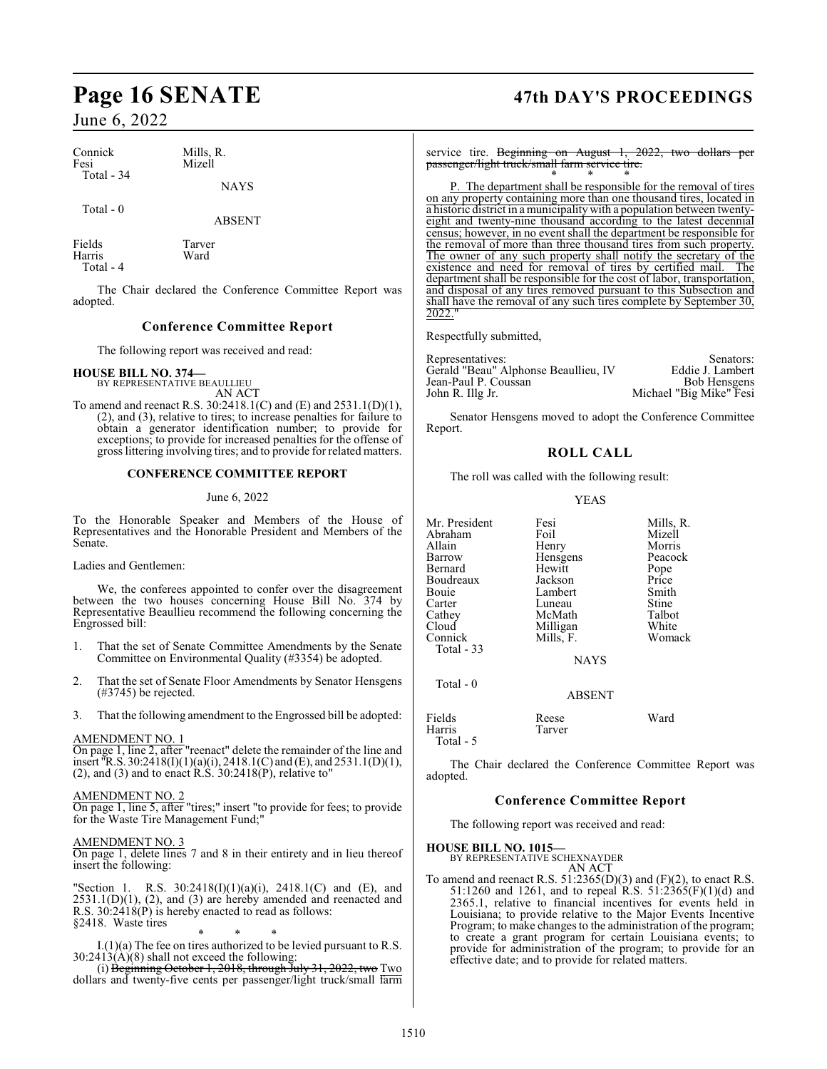| Connick    | Mills, R.   |
|------------|-------------|
| Fesi       | Mizell      |
| Total - 34 | <b>NAYS</b> |

Total - 0

ABSENT

Fields Tarver<br>
Harris Ward Harris Total - 4

The Chair declared the Conference Committee Report was adopted.

### **Conference Committee Report**

The following report was received and read:

**HOUSE BILL NO. 374—** BY REPRESENTATIVE BEAULLIEU

AN ACT To amend and reenact R.S. 30:2418.1(C) and (E) and 2531.1(D)(1), (2), and (3), relative to tires; to increase penalties for failure to obtain a generator identification number; to provide for exceptions; to provide for increased penalties for the offense of gross littering involving tires; and to provide for related matters.

#### **CONFERENCE COMMITTEE REPORT**

#### June 6, 2022

To the Honorable Speaker and Members of the House of Representatives and the Honorable President and Members of the Senate.

Ladies and Gentlemen:

We, the conferees appointed to confer over the disagreement between the two houses concerning House Bill No. 374 by Representative Beaullieu recommend the following concerning the Engrossed bill:

- 1. That the set of Senate Committee Amendments by the Senate Committee on Environmental Quality (#3354) be adopted.
- 2. That the set of Senate Floor Amendments by Senator Hensgens (#3745) be rejected.
- 3. That the following amendment to the Engrossed bill be adopted:

#### AMENDMENT NO. 1

On page 1, line 2, after "reenact" delete the remainder of the line and insert "R.S. 30:2418(I)(1)(a)(i), 2418.1(C) and (E), and 2531.1(D)(1), (2), and (3) and to enact  $R.S. 30:2418(P)$ , relative to"

#### AMENDMENT NO. 2

On page 1, line 5, after "tires;" insert "to provide for fees; to provide for the Waste Tire Management Fund;"

#### AMENDMENT NO. 3

On page 1, delete lines 7 and 8 in their entirety and in lieu thereof insert the following:

"Section 1. R.S. 30:2418(I)(1)(a)(i), 2418.1(C) and (E), and  $2531.1(D)(1)$ ,  $(2)$ , and  $(3)$  are hereby amended and reenacted and R.S.  $30:2418(P)$  is hereby enacted to read as follows: §2418. Waste tires

\* \* \*

I.(1)(a) The fee on tires authorized to be levied pursuant to R.S.  $30:2413(\text{\AA})(8)$  shall not exceed the following:

(i) Beginning October 1, 2018, through July 31, 2022, two Two dollars and twenty-five cents per passenger/light truck/small farm

# **Page 16 SENATE 47th DAY'S PROCEEDINGS**

service tire. Beginning on August 1, 2022, two dollars passenger/light truck/small farm service tire. \* \* \*

P. The department shall be responsible for the removal of tires on any property containing more than one thousand tires, located in a historic district in a municipality with a population between twentyeight and twenty-nine thousand according to the latest decennial census; however, in no event shall the department be responsible for the removal of more than three thousand tires from such property. The owner of any such property shall notify the secretary of the existence and need for removal of tires by certified mail. The existence and need for removal of tires by certified mail. department shall be responsible for the cost of labor, transportation, and disposal of any tires removed pursuant to this Subsection and shall have the removal of any such tires complete by September 30, 2022.'

Respectfully submitted,

| Representatives:                     | Senators:               |
|--------------------------------------|-------------------------|
| Gerald "Beau" Alphonse Beaullieu, IV | Eddie J. Lambert        |
| Jean-Paul P. Coussan                 | <b>Bob Hensgens</b>     |
| John R. Illg Jr.                     | Michael "Big Mike" Fesi |

Senator Hensgens moved to adopt the Conference Committee Report.

### **ROLL CALL**

The roll was called with the following result:

#### YEAS

| Mr. President | Fesi          | Mills, R. |
|---------------|---------------|-----------|
| Abraham       | Foil          | Mizell    |
| Allain        | Henry         | Morris    |
| <b>Barrow</b> | Hensgens      | Peacock   |
| Bernard       | Hewitt        | Pope      |
| Boudreaux     | Jackson       | Price     |
| Bouie         | Lambert       | Smith     |
| Carter        | Luneau        | Stine     |
| Cathey        | McMath        | Talbot    |
| Cloud         | Milligan      | White     |
| Connick       | Mills, F.     | Womack    |
| Total $-33$   |               |           |
|               | <b>NAYS</b>   |           |
| Total $-0$    |               |           |
|               | <b>ABSENT</b> |           |
| Fields        | Reese         | Ward      |
| Harris        | Tarver        |           |

Total - 5

The Chair declared the Conference Committee Report was adopted.

#### **Conference Committee Report**

The following report was received and read:

**HOUSE BILL NO. 1015—**

BY REPRESENTATIVE SCHEXNAYDER AN ACT

To amend and reenact R.S.  $51:2365(D)(3)$  and  $(F)(2)$ , to enact R.S. 51:1260 and 1261, and to repeal R.S. 51:2365(F)(1)(d) and 2365.1, relative to financial incentives for events held in Louisiana; to provide relative to the Major Events Incentive Program; to make changes to the administration of the program; to create a grant program for certain Louisiana events; to provide for administration of the program; to provide for an effective date; and to provide for related matters.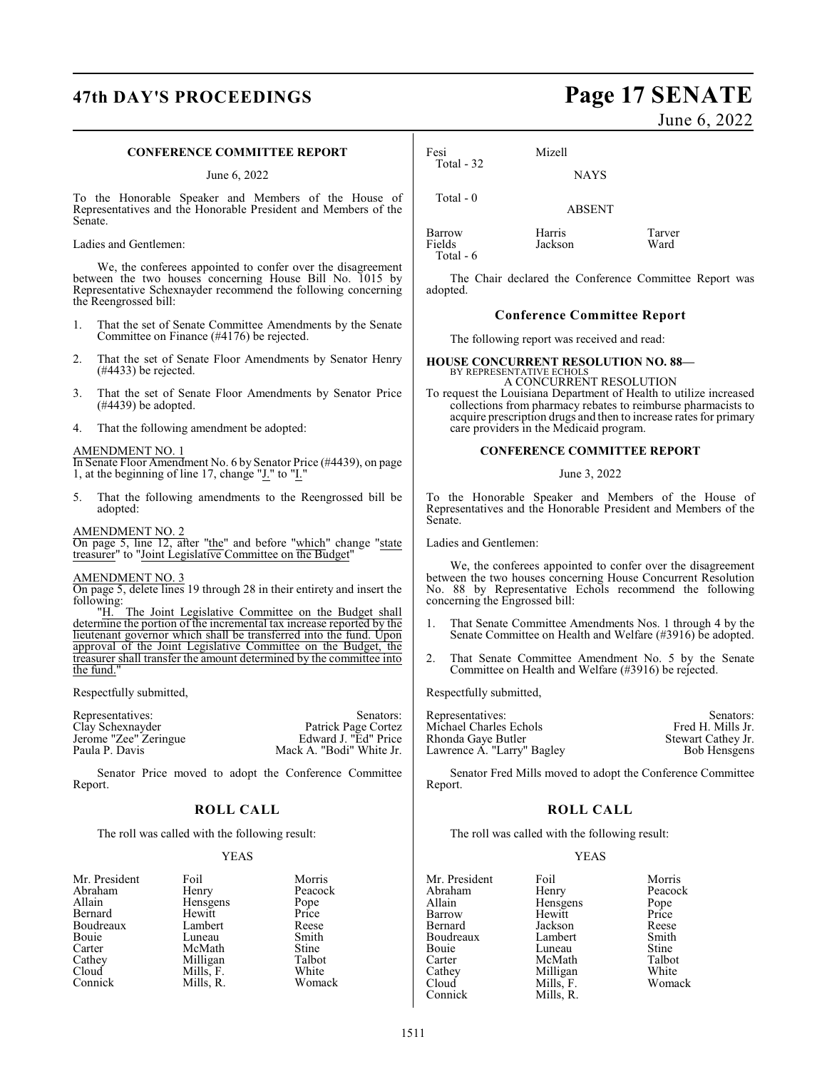# **47th DAY'S PROCEEDINGS Page 17 SENATE**

#### **CONFERENCE COMMITTEE REPORT**

June 6, 2022

To the Honorable Speaker and Members of the House of Representatives and the Honorable President and Members of the Senate.

Ladies and Gentlemen:

We, the conferees appointed to confer over the disagreement between the two houses concerning House Bill No. 1015 by Representative Schexnayder recommend the following concerning the Reengrossed bill:

- 1. That the set of Senate Committee Amendments by the Senate Committee on Finance (#4176) be rejected.
- 2. That the set of Senate Floor Amendments by Senator Henry (#4433) be rejected.
- 3. That the set of Senate Floor Amendments by Senator Price (#4439) be adopted.
- 4. That the following amendment be adopted:

#### AMENDMENT NO. 1

In Senate Floor Amendment No. 6 by Senator Price (#4439), on page 1, at the beginning of line 17, change "J." to "I."

5. That the following amendments to the Reengrossed bill be adopted:

#### AMENDMENT NO. 2

On page 5, line 12, after "the" and before "which" change "state treasurer" to "Joint Legislative Committee on the Budget"

#### AMENDMENT NO. 3

On page 5, delete lines 19 through 28 in their entirety and insert the following:<br>"H.

The Joint Legislative Committee on the Budget shall determine the portion of the incremental tax increase reported by the lieutenant governor which shall be transferred into the fund. Upon approval of the Joint Legislative Committee on the Budget, the treasurer shall transfer the amount determined by the committee into the fund."

Respectfully submitted,

Representatives: Senators: Senators: Senators: Clay Schexnayder Patrick Page Cortez Patrick Page Cortez<br>Edward J. "Ed" Price Jerome "Zee" Zeringue<br>Paula P. Davis Mack A. "Bodi" White Jr.

Senator Price moved to adopt the Conference Committee Report.

### **ROLL CALL**

The roll was called with the following result:

#### YEAS

| Mr. President | Foil      | Morris       |
|---------------|-----------|--------------|
| Abraham       | Henry     | Peacock      |
| Allain        | Hensgens  | Pope         |
| Bernard       | Hewitt    | Price        |
| Boudreaux     | Lambert   | Reese        |
| Bouie         | Luneau    | Smith        |
| Carter        | McMath    | <b>Stine</b> |
| Cathey        | Milligan  | Talbot       |
| Cloud         | Mills, F. | White        |
| Connick       | Mills. R. | Womack       |

June 6, 2022

| Fesi                          | Mizell            |                |
|-------------------------------|-------------------|----------------|
| Total $-32$                   | <b>NAYS</b>       |                |
| Total $-0$                    | <b>ABSENT</b>     |                |
| Barrow<br>Fields<br>Total - 6 | Harris<br>Jackson | Tarver<br>Ward |

The Chair declared the Conference Committee Report was adopted.

#### **Conference Committee Report**

The following report was received and read:

#### **HOUSE CONCURRENT RESOLUTION NO. 88—** BY REPRESENTATIVE ECHOLS A CONCURRENT RESOLUTION

To request the Louisiana Department of Health to utilize increased collections from pharmacy rebates to reimburse pharmacists to acquire prescription drugs and then to increase rates for primary care providers in the Medicaid program.

#### **CONFERENCE COMMITTEE REPORT**

June 3, 2022

To the Honorable Speaker and Members of the House of Representatives and the Honorable President and Members of the Senate.

Ladies and Gentlemen:

We, the conferees appointed to confer over the disagreement between the two houses concerning House Concurrent Resolution No. 88 by Representative Echols recommend the following concerning the Engrossed bill:

- 1. That Senate Committee Amendments Nos. 1 through 4 by the Senate Committee on Health and Welfare (#3916) be adopted.
- 2. That Senate Committee Amendment No. 5 by the Senate Committee on Health and Welfare (#3916) be rejected.

Respectfully submitted,

| Representatives:           | Senators:           |
|----------------------------|---------------------|
| Michael Charles Echols     | Fred H. Mills Jr.   |
| Rhonda Gaye Butler         | Stewart Cathey Jr.  |
| Lawrence A. "Larry" Bagley | <b>Bob Hensgens</b> |
|                            |                     |

Senator Fred Mills moved to adopt the Conference Committee Report.

### **ROLL CALL**

The roll was called with the following result:

#### YEAS

| Mr. President | Foil      | Morris       |
|---------------|-----------|--------------|
|               |           |              |
| Abraham       | Henry     | Peacock      |
| Allain        | Hensgens  | Pope         |
| Barrow        | Hewitt    | Price        |
| Bernard       | Jackson   | Reese        |
| Boudreaux     | Lambert   | Smith        |
| Bouie         | Luneau    | <b>Stine</b> |
| Carter        | McMath    | Talbot       |
| Cathey        | Milligan  | White        |
| Cloud         | Mills, F. | Womack       |
| Connick       | Mills. R  |              |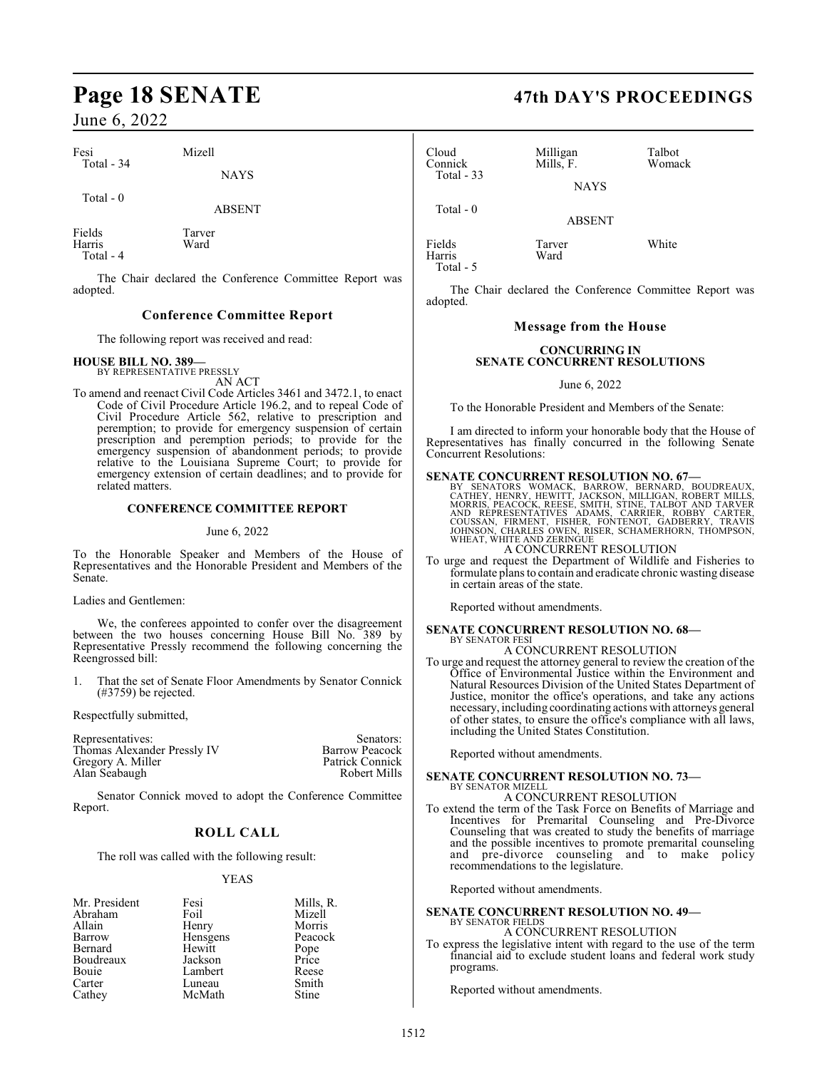Fesi Mizell Total - 34

Harris Total - 4 NAYS

ABSENT

Total - 0

Fields Tarver

The Chair declared the Conference Committee Report was adopted.

### **Conference Committee Report**

The following report was received and read:

# **HOUSE BILL NO. 389—** BY REPRESENTATIVE PRESSLY AN ACT

To amend and reenact Civil Code Articles 3461 and 3472.1, to enact Code of Civil Procedure Article 196.2, and to repeal Code of Civil Procedure Article 562, relative to prescription and peremption; to provide for emergency suspension of certain prescription and peremption periods; to provide for the emergency suspension of abandonment periods; to provide relative to the Louisiana Supreme Court; to provide for emergency extension of certain deadlines; and to provide for related matters.

#### **CONFERENCE COMMITTEE REPORT**

#### June 6, 2022

To the Honorable Speaker and Members of the House of Representatives and the Honorable President and Members of the Senate.

Ladies and Gentlemen:

We, the conferees appointed to confer over the disagreement between the two houses concerning House Bill No. 389 by Representative Pressly recommend the following concerning the Reengrossed bill:

That the set of Senate Floor Amendments by Senator Connick (#3759) be rejected.

Respectfully submitted,

| Representatives:            | Senators:             |
|-----------------------------|-----------------------|
| Thomas Alexander Pressly IV | <b>Barrow Peacock</b> |
| Gregory A. Miller           | Patrick Connick       |
| Alan Seabaugh               | Robert Mills          |
|                             |                       |

Senator Connick moved to adopt the Conference Committee Report.

### **ROLL CALL**

The roll was called with the following result:

#### YEAS

| Mr. President | Fesi     | Mills, R.     |
|---------------|----------|---------------|
| Abraham       | Foil     | Mizell        |
| Allain        | Henry    | Morris        |
| Barrow        | Hensgens | Peacock       |
| Bernard       | Hewitt   | Pope<br>Price |
| Boudreaux     | Jackson  |               |
| Bouie         | Lambert  | Reese         |
| Carter        | Luneau   | Smith         |
| Cathey        | McMath   | Stine         |

# **Page 18 SENATE 47th DAY'S PROCEEDINGS**

Cloud Milligan Talbot<br>Connick Mills, F. Womack Mills, F. Total - 33 **NAYS** Total - 0

ABSENT

Fields Tarver White Harris Ward Total - 5

The Chair declared the Conference Committee Report was adopted.

#### **Message from the House**

#### **CONCURRING IN SENATE CONCURRENT RESOLUTIONS**

June 6, 2022

To the Honorable President and Members of the Senate:

I am directed to inform your honorable body that the House of Representatives has finally concurred in the following Senate Concurrent Resolutions:

#### **SENATE CONCURRENT RESOLUTION NO. 67—**

BY SENATORS WOMACK, BARROW, BERNARD, BOUDREAUX,<br>CATHEY, HENRY, HEWITT, JACKSON, MILLIGAN, ROBERT MILLS,<br>MORRIS, PEACOCK, REESE, SMITH, STINE, TALBOT AND TARVER<br>AND RÉPRESENTATIVES ADAMS, CARRIER, ROBBY CARTER,<br>COUSSAN, FIR

A CONCURRENT RESOLUTION To urge and request the Department of Wildlife and Fisheries to formulate plans to contain and eradicate chronic wasting disease in certain areas of the state.

Reported without amendments.

#### **SENATE CONCURRENT RESOLUTION NO. 68—** BY SENATOR FESI A CONCURRENT RESOLUTION

To urge and request the attorney general to review the creation of the Office of Environmental Justice within the Environment and Natural Resources Division of the United States Department of Justice, monitor the office's operations, and take any actions necessary, including coordinating actions with attorneys general of other states, to ensure the office's compliance with all laws, including the United States Constitution.

Reported without amendments.

#### **SENATE CONCURRENT RESOLUTION NO. 73—** BY SENATOR MIZELL

A CONCURRENT RESOLUTION

To extend the term of the Task Force on Benefits of Marriage and Incentives for Premarital Counseling and Pre-Divorce Counseling that was created to study the benefits of marriage and the possible incentives to promote premarital counseling and pre-divorce counseling and to make policy recommendations to the legislature.

Reported without amendments.

**SENATE CONCURRENT RESOLUTION NO. 49—** BY SENATOR FIELDS A CONCURRENT RESOLUTION

To express the legislative intent with regard to the use of the term financial aid to exclude student loans and federal work study programs.

Reported without amendments.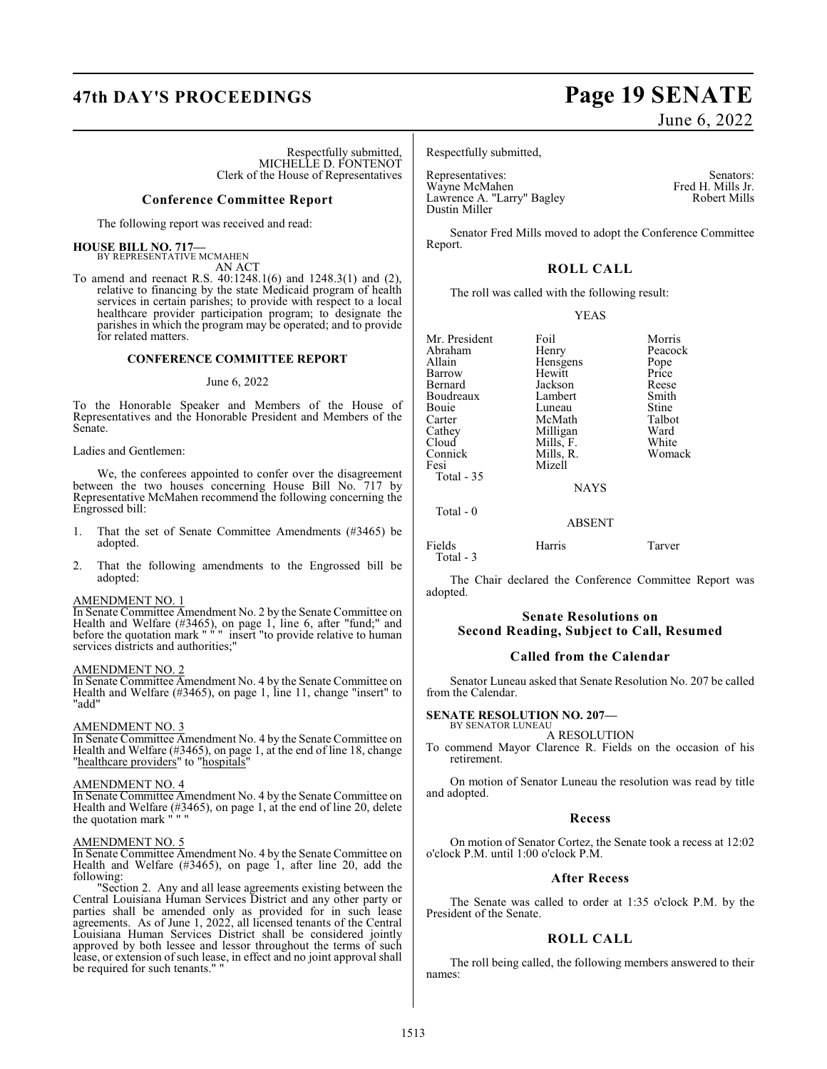# **47th DAY'S PROCEEDINGS Page 19 SENATE**

Respectfully submitted, MICHELLE D. FONTENOT Clerk of the House of Representatives

#### **Conference Committee Report**

The following report was received and read:

#### **HOUSE BILL NO. 717—**

BY REPRESENTATIVE MCMAHEN AN ACT

To amend and reenact R.S. 40:1248.1(6) and 1248.3(1) and (2), relative to financing by the state Medicaid program of health services in certain parishes; to provide with respect to a local healthcare provider participation program; to designate the parishes in which the program may be operated; and to provide for related matters.

#### **CONFERENCE COMMITTEE REPORT**

#### June 6, 2022

To the Honorable Speaker and Members of the House of Representatives and the Honorable President and Members of the Senate.

#### Ladies and Gentlemen:

We, the conferees appointed to confer over the disagreement between the two houses concerning House Bill No. 717 by Representative McMahen recommend the following concerning the Engrossed bill:

- 1. That the set of Senate Committee Amendments (#3465) be adopted.
- 2. That the following amendments to the Engrossed bill be adopted:

#### AMENDMENT NO. 1

In Senate Committee Amendment No. 2 by the Senate Committee on Health and Welfare (#3465), on page 1, line 6, after "fund;" and before the quotation mark " " " insert "to provide relative to human services districts and authorities;"

#### AMENDMENT NO. 2

In Senate Committee Amendment No. 4 by the Senate Committee on Health and Welfare (#3465), on page 1, line 11, change "insert" to "add"

#### AMENDMENT NO. 3

In Senate Committee Amendment No. 4 by the Senate Committee on Health and Welfare (#3465), on page 1, at the end of line 18, change "healthcare providers" to "hospitals"

#### AMENDMENT NO. 4

In Senate Committee Amendment No. 4 by the Senate Committee on Health and Welfare (#3465), on page 1, at the end of line 20, delete the quotation mark " $\cdot$ " the quotation mark

### AMENDMENT NO. 5

In Senate Committee Amendment No. 4 by the Senate Committee on Health and Welfare (#3465), on page 1, after line 20, add the following:

"Section 2. Any and all lease agreements existing between the Central Louisiana Human Services District and any other party or parties shall be amended only as provided for in such lease agreements. As of June 1, 2022, all licensed tenants of the Central Louisiana Human Services District shall be considered jointly approved by both lessee and lessor throughout the terms of such lease, or extension of such lease, in effect and no joint approval shall be required for such tenants." "

#### Respectfully submitted,

Representatives: Senators: Senators: Senators: Senators: Senators: Senators: Senators: Senators: Senators: Senators: Senators: Senators: Senators: Senators: Senators: Senators: Senators: Senators: Senators: Senators: Senat Wayne McMahen Fred H. Mills Jr.<br>Lawrence A. "Larry" Bagley Fred H. Mills Jr. Robert Mills Lawrence A. "Larry" Bagley Dustin Miller

Senator Fred Mills moved to adopt the Conference Committee Report.

### **ROLL CALL**

The roll was called with the following result:

#### YEAS

Mr. President Foil Foil Morris<br>Abraham Henry Peacock Abraham Henry Peacock<br>Allain Hensgens Pope Barrow Hewitt Price<br>Bernard Jackson Reese Boudreaux Lambert Smith Bouie Luneau Stine<br>Carter McMath Talbot Carter McMath Talbo<br>Cathey Milligan Ward Cathey Milligan Ward<br>Cloud Mills. F. White Cloud Mills, F. White Connick Mills, R. Womack Fesi Mizell

Total - 35

Total - 0

Hensgens Pope<br>
Hewitt Price

Jackson Reese<br>Lambert Smith

**NAYS** 

#### ABSENT

Fields Harris Tarver Total - 3

The Chair declared the Conference Committee Report was adopted.

#### **Senate Resolutions on Second Reading, Subject to Call, Resumed**

#### **Called from the Calendar**

Senator Luneau asked that Senate Resolution No. 207 be called from the Calendar.

#### **SENATE RESOLUTION NO. 207—**

BY SENATOR LUNEAU A RESOLUTION

To commend Mayor Clarence R. Fields on the occasion of his retirement.

On motion of Senator Luneau the resolution was read by title and adopted.

#### **Recess**

On motion of Senator Cortez, the Senate took a recess at 12:02 o'clock P.M. until 1:00 o'clock P.M.

#### **After Recess**

The Senate was called to order at 1:35 o'clock P.M. by the President of the Senate.

#### **ROLL CALL**

The roll being called, the following members answered to their names:

# June 6, 2022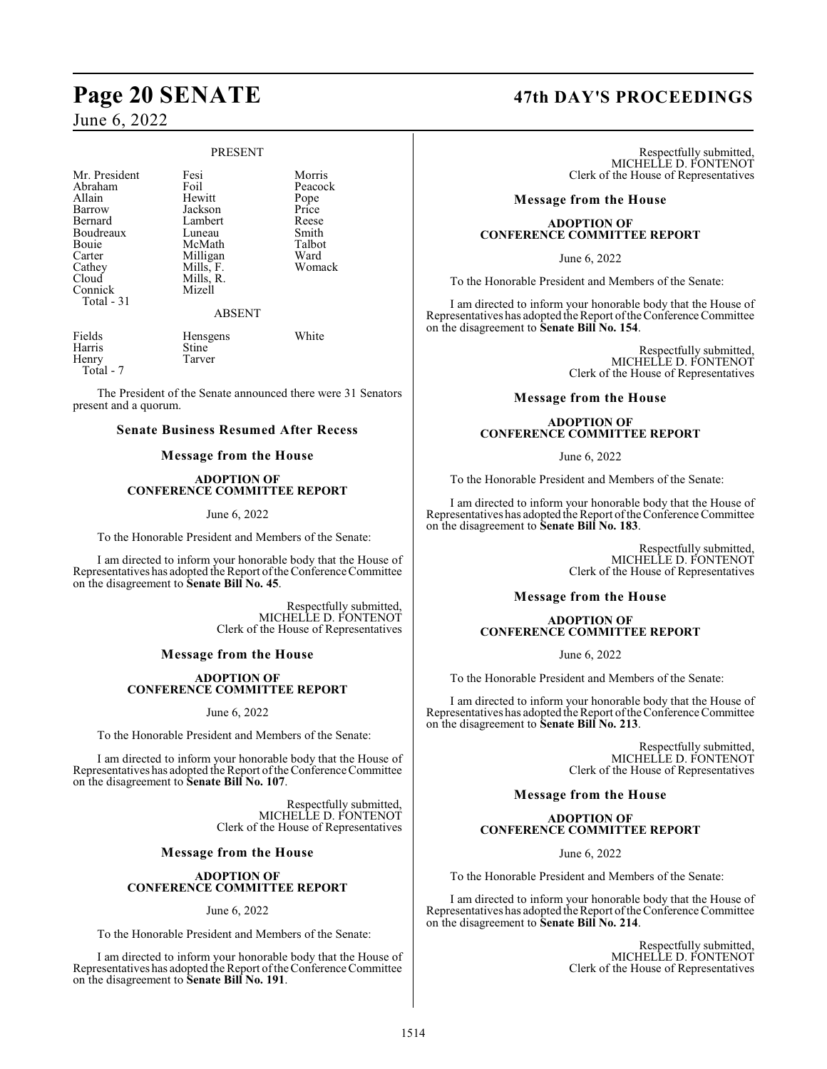# **Page 20 SENATE 47th DAY'S PROCEEDINGS**

## June 6, 2022

#### PRESENT

Mr. President Fesi Norris<br>Abraham Foil Peacock Abraham Foil Peacc<br>Allain Hewitt Pope Allain Hewitt Pope Barrow Jackson Price Boudreaux Luneau Smith<br>Bouie McMath Talbot Bouie McMath Talbot<br>Carter Milligan Ward Carter Milligan Ward<br>Cathey Mills, F. Womack Cathey Mills, F.<br>Cloud Mills, R. Connick Total - 31

Lambert Reese<br>
Luneau Smith Mills, R.<br>Mizell

ABSENT

Harris<br>Henry Total - 7

Fields Hensgens White<br>
Harris Stine

The President of the Senate announced there were 31 Senators present and a quorum.

Tarver

#### **Senate Business Resumed After Recess**

#### **Message from the House**

#### **ADOPTION OF CONFERENCE COMMITTEE REPORT**

#### June 6, 2022

To the Honorable President and Members of the Senate:

I am directed to inform your honorable body that the House of Representatives has adopted the Report of the Conference Committee on the disagreement to **Senate Bill No. 45**.

> Respectfully submitted, MICHELLE D. FONTENOT Clerk of the House of Representatives

#### **Message from the House**

#### **ADOPTION OF CONFERENCE COMMITTEE REPORT**

June 6, 2022

To the Honorable President and Members of the Senate:

I am directed to inform your honorable body that the House of Representatives has adopted the Report of the Conference Committee on the disagreement to **Senate Bill No. 107**.

> Respectfully submitted, MICHELLE D. FONTENOT Clerk of the House of Representatives

#### **Message from the House**

#### **ADOPTION OF CONFERENCE COMMITTEE REPORT**

June 6, 2022

To the Honorable President and Members of the Senate:

I am directed to inform your honorable body that the House of Representatives has adopted the Report of the Conference Committee on the disagreement to **Senate Bill No. 191**.

Respectfully submitted, MICHELLE D. FONTENOT Clerk of the House of Representatives

#### **Message from the House**

#### **ADOPTION OF CONFERENCE COMMITTEE REPORT**

June 6, 2022

To the Honorable President and Members of the Senate:

I am directed to inform your honorable body that the House of Representatives has adopted the Report of the Conference Committee on the disagreement to **Senate Bill No. 154**.

> Respectfully submitted, MICHELLE D. FONTENOT Clerk of the House of Representatives

#### **Message from the House**

#### **ADOPTION OF CONFERENCE COMMITTEE REPORT**

June 6, 2022

To the Honorable President and Members of the Senate:

I am directed to inform your honorable body that the House of Representatives has adopted the Report of the Conference Committee on the disagreement to **Senate Bill No. 183**.

> Respectfully submitted, MICHELLE D. FONTENOT Clerk of the House of Representatives

#### **Message from the House**

#### **ADOPTION OF CONFERENCE COMMITTEE REPORT**

June 6, 2022

To the Honorable President and Members of the Senate:

I am directed to inform your honorable body that the House of Representatives has adopted the Report of the Conference Committee on the disagreement to **Senate Bill No. 213**.

> Respectfully submitted, MICHELLE D. FONTENOT Clerk of the House of Representatives

#### **Message from the House**

#### **ADOPTION OF CONFERENCE COMMITTEE REPORT**

June 6, 2022

To the Honorable President and Members of the Senate:

I am directed to inform your honorable body that the House of Representatives has adopted the Report of the Conference Committee on the disagreement to **Senate Bill No. 214**.

> Respectfully submitted, MICHELLE D. FONTENOT Clerk of the House of Representatives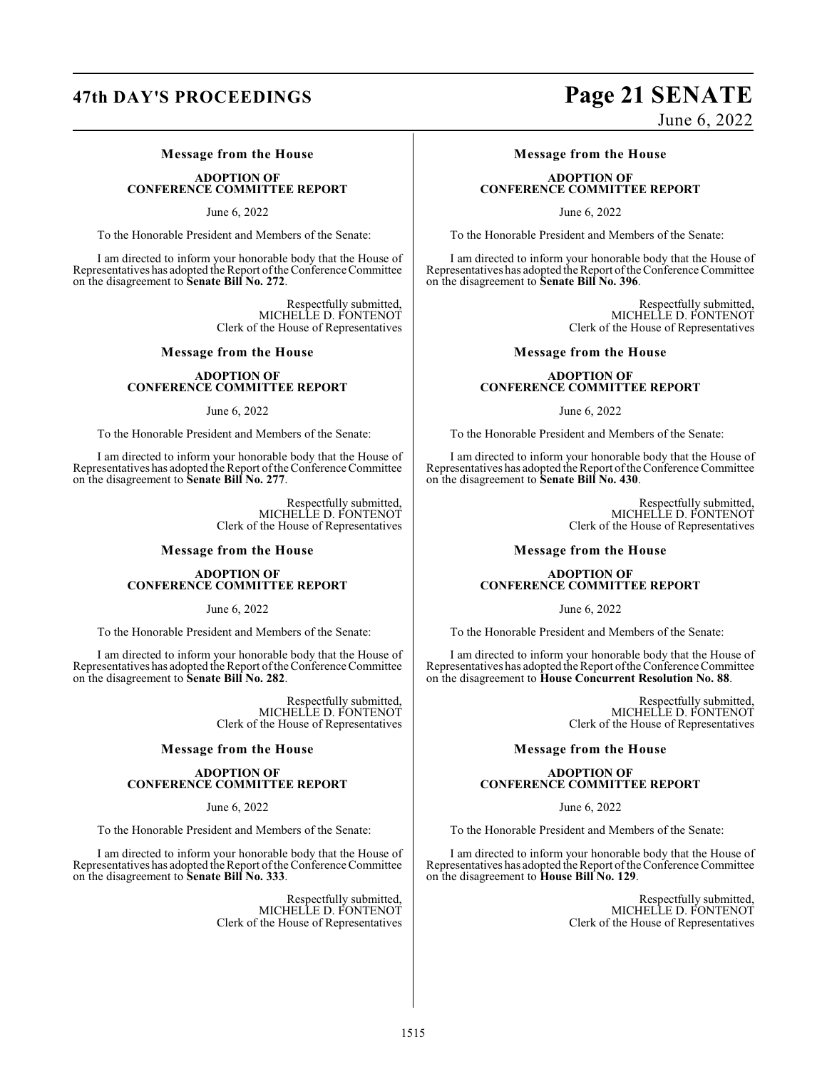#### **Message from the House**

#### **ADOPTION OF CONFERENCE COMMITTEE REPORT**

June 6, 2022

To the Honorable President and Members of the Senate:

I am directed to inform your honorable body that the House of Representatives has adopted the Report of the Conference Committee on the disagreement to **Senate Bill No. 272**.

> Respectfully submitted, MICHELLE D. FONTENOT Clerk of the House of Representatives

#### **Message from the House**

#### **ADOPTION OF CONFERENCE COMMITTEE REPORT**

June 6, 2022

To the Honorable President and Members of the Senate:

I am directed to inform your honorable body that the House of Representatives has adopted the Report of the Conference Committee on the disagreement to **Senate Bill No. 277**.

> Respectfully submitted, MICHELLE D. FONTENOT Clerk of the House of Representatives

#### **Message from the House**

#### **ADOPTION OF CONFERENCE COMMITTEE REPORT**

June 6, 2022

To the Honorable President and Members of the Senate:

I am directed to inform your honorable body that the House of Representatives has adopted the Report of the Conference Committee on the disagreement to **Senate Bill No. 282**.

> Respectfully submitted, MICHELLE D. FONTENOT Clerk of the House of Representatives

#### **Message from the House**

#### **ADOPTION OF CONFERENCE COMMITTEE REPORT**

June 6, 2022

To the Honorable President and Members of the Senate:

I am directed to inform your honorable body that the House of Representatives has adopted the Report of the Conference Committee on the disagreement to **Senate Bill No. 333**.

> Respectfully submitted, MICHELLE D. FONTENOT Clerk of the House of Representatives

# **47th DAY'S PROCEEDINGS Page 21 SENATE**

June 6, 2022

#### **Message from the House**

#### **ADOPTION OF CONFERENCE COMMITTEE REPORT**

June 6, 2022

To the Honorable President and Members of the Senate:

I am directed to inform your honorable body that the House of Representatives has adopted the Report of the Conference Committee on the disagreement to **Senate Bill No. 396**.

> Respectfully submitted, MICHELLE D. FONTENOT Clerk of the House of Representatives

#### **Message from the House**

#### **ADOPTION OF CONFERENCE COMMITTEE REPORT**

June 6, 2022

To the Honorable President and Members of the Senate:

I am directed to inform your honorable body that the House of Representatives has adopted the Report of the Conference Committee on the disagreement to **Senate Bill No. 430**.

> Respectfully submitted, MICHELLE D. FONTENOT Clerk of the House of Representatives

#### **Message from the House**

#### **ADOPTION OF CONFERENCE COMMITTEE REPORT**

June 6, 2022

To the Honorable President and Members of the Senate:

I am directed to inform your honorable body that the House of Representatives has adopted the Report of the Conference Committee on the disagreement to **House Concurrent Resolution No. 88**.

> Respectfully submitted, MICHELLE D. FONTENOT Clerk of the House of Representatives

#### **Message from the House**

#### **ADOPTION OF CONFERENCE COMMITTEE REPORT**

June 6, 2022

To the Honorable President and Members of the Senate:

I am directed to inform your honorable body that the House of Representatives has adopted the Report of the Conference Committee on the disagreement to **House Bill No. 129**.

> Respectfully submitted, MICHELLE D. FONTENOT Clerk of the House of Representatives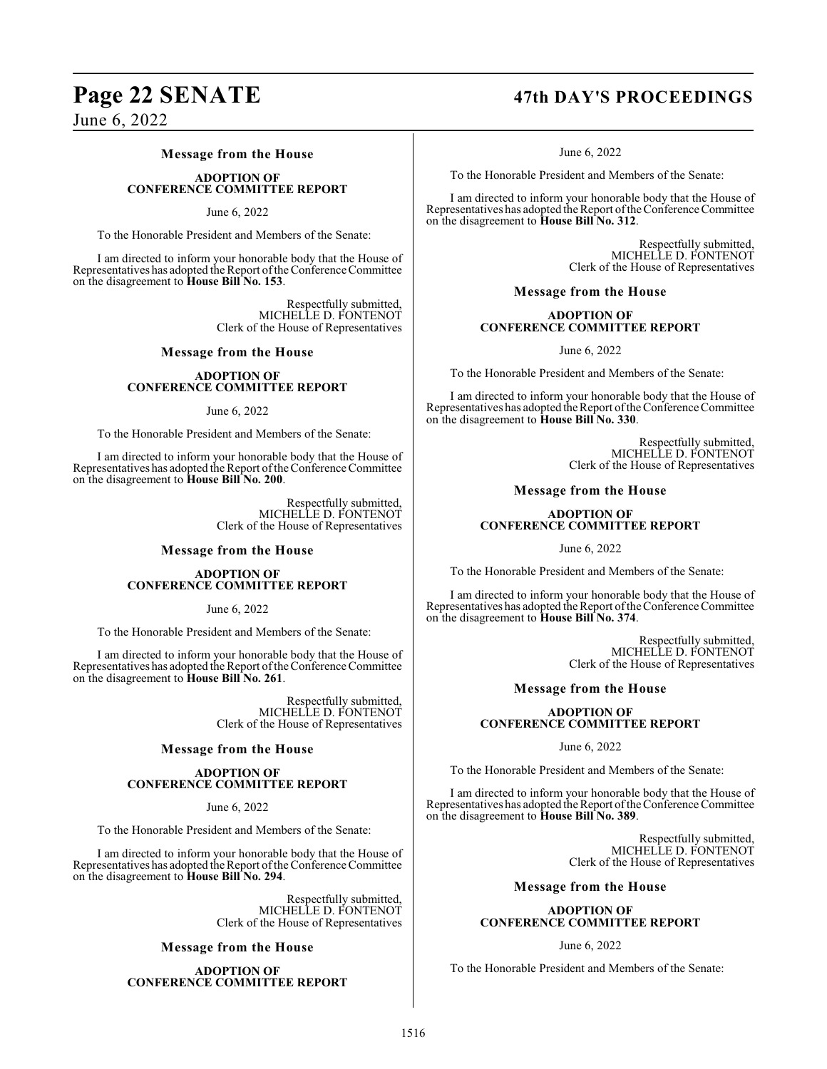#### **Message from the House**

#### **ADOPTION OF CONFERENCE COMMITTEE REPORT**

#### June 6, 2022

To the Honorable President and Members of the Senate:

I am directed to inform your honorable body that the House of Representatives has adopted the Report of the Conference Committee on the disagreement to **House Bill No. 153**.

> Respectfully submitted, MICHELLE D. FONTENOT Clerk of the House of Representatives

#### **Message from the House**

#### **ADOPTION OF CONFERENCE COMMITTEE REPORT**

#### June 6, 2022

To the Honorable President and Members of the Senate:

I am directed to inform your honorable body that the House of Representatives has adopted the Report of the Conference Committee on the disagreement to **House Bill No. 200**.

> Respectfully submitted, MICHELLE D. FONTENOT Clerk of the House of Representatives

#### **Message from the House**

#### **ADOPTION OF CONFERENCE COMMITTEE REPORT**

June 6, 2022

To the Honorable President and Members of the Senate:

I am directed to inform your honorable body that the House of Representatives has adopted the Report of the Conference Committee on the disagreement to **House Bill No. 261**.

> Respectfully submitted, MICHELLE D. FONTENOT Clerk of the House of Representatives

#### **Message from the House**

#### **ADOPTION OF CONFERENCE COMMITTEE REPORT**

June 6, 2022

To the Honorable President and Members of the Senate:

I am directed to inform your honorable body that the House of Representatives has adopted the Report of the Conference Committee on the disagreement to **House Bill No. 294**.

> Respectfully submitted, MICHELLE D. FONTENOT Clerk of the House of Representatives

#### **Message from the House**

**ADOPTION OF CONFERENCE COMMITTEE REPORT**

# **Page 22 SENATE 47th DAY'S PROCEEDINGS**

June 6, 2022

To the Honorable President and Members of the Senate:

I am directed to inform your honorable body that the House of Representatives has adopted the Report of the Conference Committee on the disagreement to **House Bill No. 312**.

> Respectfully submitted, MICHELLE D. FONTENOT Clerk of the House of Representatives

#### **Message from the House**

#### **ADOPTION OF CONFERENCE COMMITTEE REPORT**

June 6, 2022

To the Honorable President and Members of the Senate:

I am directed to inform your honorable body that the House of Representatives has adopted the Report of the Conference Committee on the disagreement to **House Bill No. 330**.

> Respectfully submitted, MICHELLE D. FONTENOT Clerk of the House of Representatives

#### **Message from the House**

#### **ADOPTION OF CONFERENCE COMMITTEE REPORT**

June 6, 2022

To the Honorable President and Members of the Senate:

I am directed to inform your honorable body that the House of Representatives has adopted the Report of the Conference Committee on the disagreement to **House Bill No. 374**.

> Respectfully submitted, MICHELLE D. FONTENOT Clerk of the House of Representatives

#### **Message from the House**

#### **ADOPTION OF CONFERENCE COMMITTEE REPORT**

June 6, 2022

To the Honorable President and Members of the Senate:

I am directed to inform your honorable body that the House of Representatives has adopted the Report of the Conference Committee on the disagreement to **House Bill No. 389**.

> Respectfully submitted, MICHELLE D. FONTENOT Clerk of the House of Representatives

#### **Message from the House**

#### **ADOPTION OF CONFERENCE COMMITTEE REPORT**

#### June 6, 2022

To the Honorable President and Members of the Senate: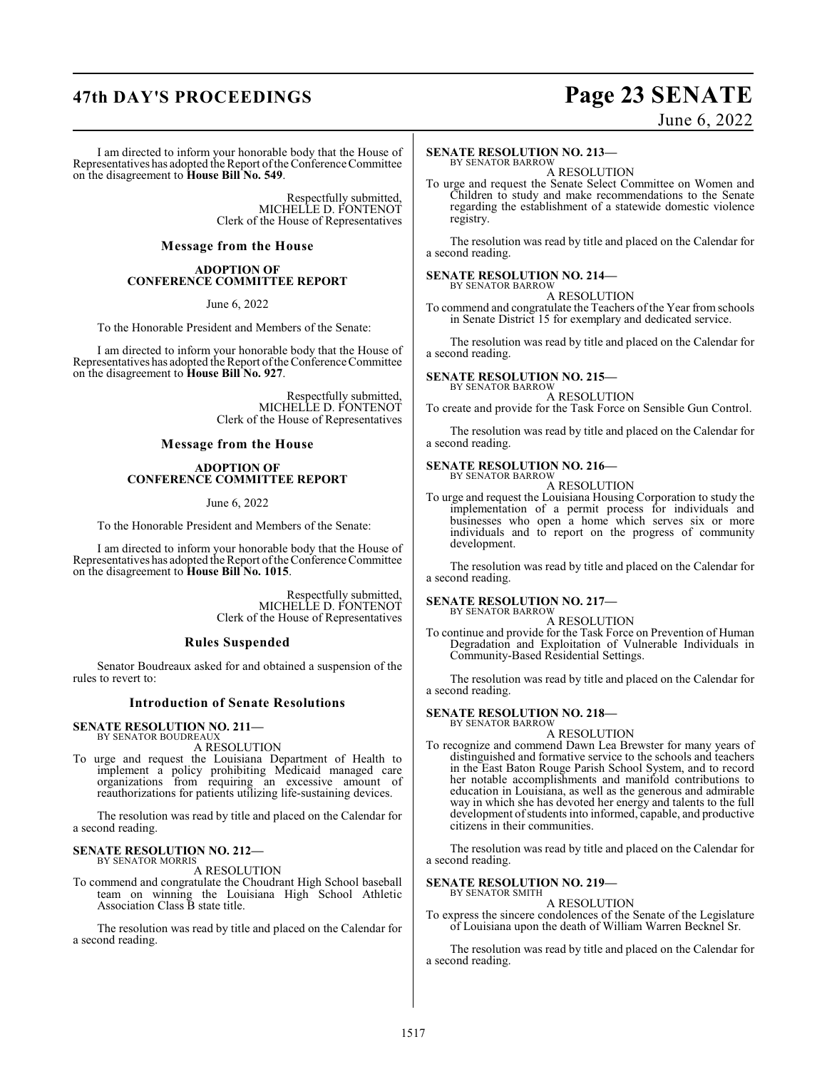# **47th DAY'S PROCEEDINGS Page 23 SENATE**

June 6, 2022

I am directed to inform your honorable body that the House of Representatives has adopted the Report of the Conference Committee on the disagreement to **House Bill No. 549**.

> Respectfully submitted, MICHELLE D. FONTENOT Clerk of the House of Representatives

#### **Message from the House**

#### **ADOPTION OF CONFERENCE COMMITTEE REPORT**

June 6, 2022

To the Honorable President and Members of the Senate:

I am directed to inform your honorable body that the House of Representatives has adopted the Report of the Conference Committee on the disagreement to **House Bill No. 927**.

> Respectfully submitted, MICHELLE D. FONTENOT Clerk of the House of Representatives

#### **Message from the House**

#### **ADOPTION OF CONFERENCE COMMITTEE REPORT**

June 6, 2022

To the Honorable President and Members of the Senate:

I am directed to inform your honorable body that the House of Representatives has adopted the Report of the Conference Committee on the disagreement to **House Bill No. 1015**.

> Respectfully submitted, MICHELLE D. FONTENOT Clerk of the House of Representatives

#### **Rules Suspended**

Senator Boudreaux asked for and obtained a suspension of the rules to revert to:

#### **Introduction of Senate Resolutions**

#### **SENATE RESOLUTION NO. 211—** BY SENATOR BOUDREAUX

A RESOLUTION

To urge and request the Louisiana Department of Health to implement a policy prohibiting Medicaid managed care organizations from requiring an excessive amount of reauthorizations for patients utilizing life-sustaining devices.

The resolution was read by title and placed on the Calendar for a second reading.

#### **SENATE RESOLUTION NO. 212—** BY SENATOR MORRIS

A RESOLUTION

To commend and congratulate the Choudrant High School baseball team on winning the Louisiana High School Athletic Association Class B state title.

The resolution was read by title and placed on the Calendar for a second reading.

#### **SENATE RESOLUTION NO. 213—**

BY SENATOR BARROW A RESOLUTION

To urge and request the Senate Select Committee on Women and Children to study and make recommendations to the Senate regarding the establishment of a statewide domestic violence registry.

The resolution was read by title and placed on the Calendar for a second reading.

#### **SENATE RESOLUTION NO. 214—**

BY SENATOR BARROW A RESOLUTION

To commend and congratulate the Teachers of the Year from schools in Senate District 15 for exemplary and dedicated service.

The resolution was read by title and placed on the Calendar for a second reading.

### **SENATE RESOLUTION NO. 215—**

BY SENATOR BARROW A RESOLUTION

To create and provide for the Task Force on Sensible Gun Control.

The resolution was read by title and placed on the Calendar for a second reading.

#### **SENATE RESOLUTION NO. 216—**

BY SENATOR BARROW A RESOLUTION

To urge and request the Louisiana Housing Corporation to study the implementation of a permit process for individuals and businesses who open a home which serves six or more individuals and to report on the progress of community development.

The resolution was read by title and placed on the Calendar for a second reading.

#### **SENATE RESOLUTION NO. 217—**

BY SENATOR BARROW A RESOLUTION

To continue and provide for the Task Force on Prevention of Human Degradation and Exploitation of Vulnerable Individuals in Community-Based Residential Settings.

The resolution was read by title and placed on the Calendar for a second reading.

#### **SENATE RESOLUTION NO. 218—** BY SENATOR BARROW

A RESOLUTION

To recognize and commend Dawn Lea Brewster for many years of distinguished and formative service to the schools and teachers in the East Baton Rouge Parish School System, and to record her notable accomplishments and manifold contributions to education in Louisiana, as well as the generous and admirable way in which she has devoted her energy and talents to the full development of students into informed, capable, and productive citizens in their communities.

The resolution was read by title and placed on the Calendar for a second reading.

#### **SENATE RESOLUTION NO. 219—** BY SENATOR SMITH

A RESOLUTION

To express the sincere condolences of the Senate of the Legislature of Louisiana upon the death of William Warren Becknel Sr.

The resolution was read by title and placed on the Calendar for a second reading.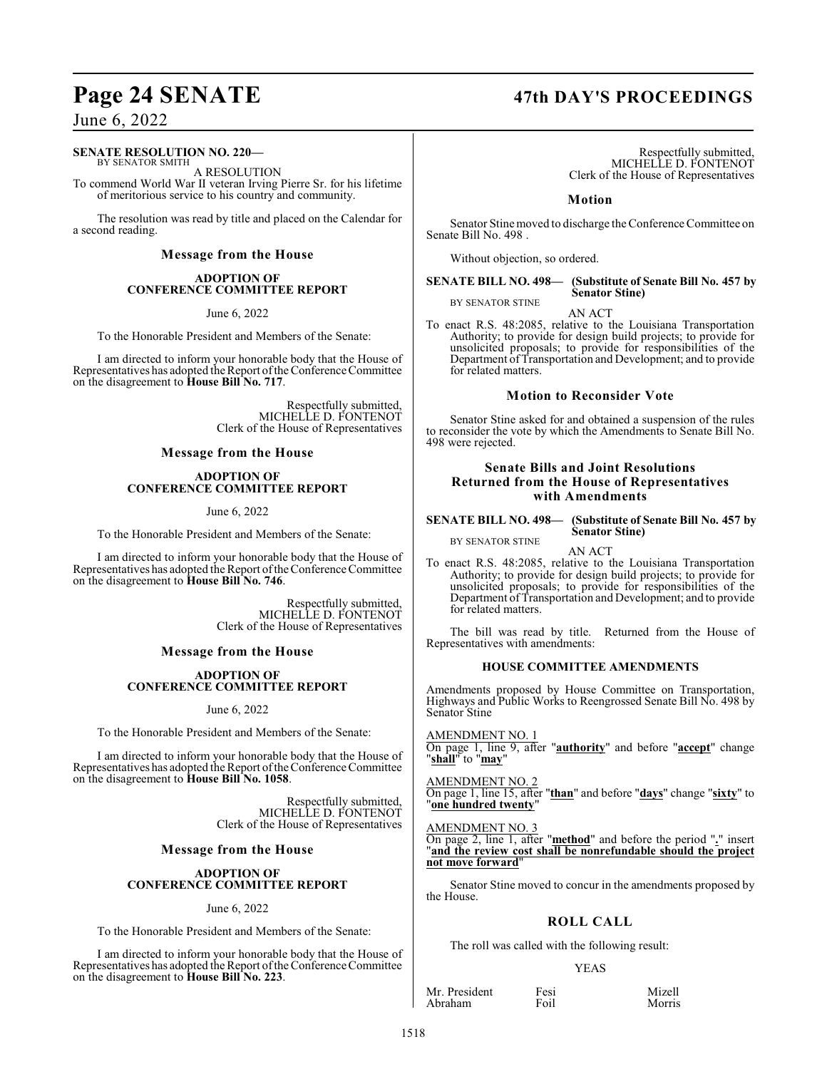# **Page 24 SENATE 47th DAY'S PROCEEDINGS**

### June 6, 2022

#### **SENATE RESOLUTION NO. 220—**

BY SENATOR SMITH A RESOLUTION

To commend World War II veteran Irving Pierre Sr. for his lifetime of meritorious service to his country and community.

The resolution was read by title and placed on the Calendar for a second reading.

#### **Message from the House**

#### **ADOPTION OF CONFERENCE COMMITTEE REPORT**

June 6, 2022

To the Honorable President and Members of the Senate:

I am directed to inform your honorable body that the House of Representatives has adopted the Report of the Conference Committee on the disagreement to **House Bill No. 717**.

> Respectfully submitted, MICHELLE D. FONTENOT Clerk of the House of Representatives

#### **Message from the House**

#### **ADOPTION OF CONFERENCE COMMITTEE REPORT**

June 6, 2022

To the Honorable President and Members of the Senate:

I am directed to inform your honorable body that the House of Representatives has adopted the Report of the Conference Committee on the disagreement to **House Bill No. 746**.

> Respectfully submitted, MICHELLE D. FONTENOT Clerk of the House of Representatives

#### **Message from the House**

#### **ADOPTION OF CONFERENCE COMMITTEE REPORT**

June 6, 2022

To the Honorable President and Members of the Senate:

I am directed to inform your honorable body that the House of Representatives has adopted the Report of the Conference Committee on the disagreement to **House Bill No. 1058**.

> Respectfully submitted, MICHELLE D. FONTENOT Clerk of the House of Representatives

#### **Message from the House**

#### **ADOPTION OF CONFERENCE COMMITTEE REPORT**

#### June 6, 2022

To the Honorable President and Members of the Senate:

I am directed to inform your honorable body that the House of Representatives has adopted the Report of the Conference Committee on the disagreement to **House Bill No. 223**.

Respectfully submitted, MICHELLE D. FONTENOT Clerk of the House of Representatives

#### **Motion**

Senator Stine moved to discharge the Conference Committee on Senate Bill No. 498 .

Without objection, so ordered.

#### **SENATE BILL NO. 498— (Substitute of Senate Bill No. 457 by Senator Stine)** BY SENATOR STINE

AN ACT

To enact R.S. 48:2085, relative to the Louisiana Transportation Authority; to provide for design build projects; to provide for unsolicited proposals; to provide for responsibilities of the Department of Transportation and Development; and to provide for related matters.

#### **Motion to Reconsider Vote**

Senator Stine asked for and obtained a suspension of the rules to reconsider the vote by which the Amendments to Senate Bill No. 498 were rejected.

#### **Senate Bills and Joint Resolutions Returned from the House of Representatives with Amendments**

#### **SENATE BILL NO. 498— (Substitute of Senate Bill No. 457 by Senator Stine)** BY SENATOR STINE

AN ACT

To enact R.S. 48:2085, relative to the Louisiana Transportation Authority; to provide for design build projects; to provide for unsolicited proposals; to provide for responsibilities of the Department of Transportation and Development; and to provide for related matters.

The bill was read by title. Returned from the House of Representatives with amendments:

#### **HOUSE COMMITTEE AMENDMENTS**

Amendments proposed by House Committee on Transportation, Highways and Public Works to Reengrossed Senate Bill No. 498 by Senator Stine

AMENDMENT NO. 1

On page 1, line 9, after "**authority**" and before "**accept**" change "**shall**" to "**may**"

#### AMENDMENT NO. 2

On page 1, line 15, after "**than**" and before "**days**" change "**sixty**" to "**one hundred twenty**"

#### AMENDMENT NO. 3

On page 2, line 1, after "**method**" and before the period "**.**" insert "**and the review cost shall be nonrefundable should the project not move forward**"

Senator Stine moved to concur in the amendments proposed by the House.

### **ROLL CALL**

The roll was called with the following result:

#### YEAS

Mr. President Fesi Mizell Abraham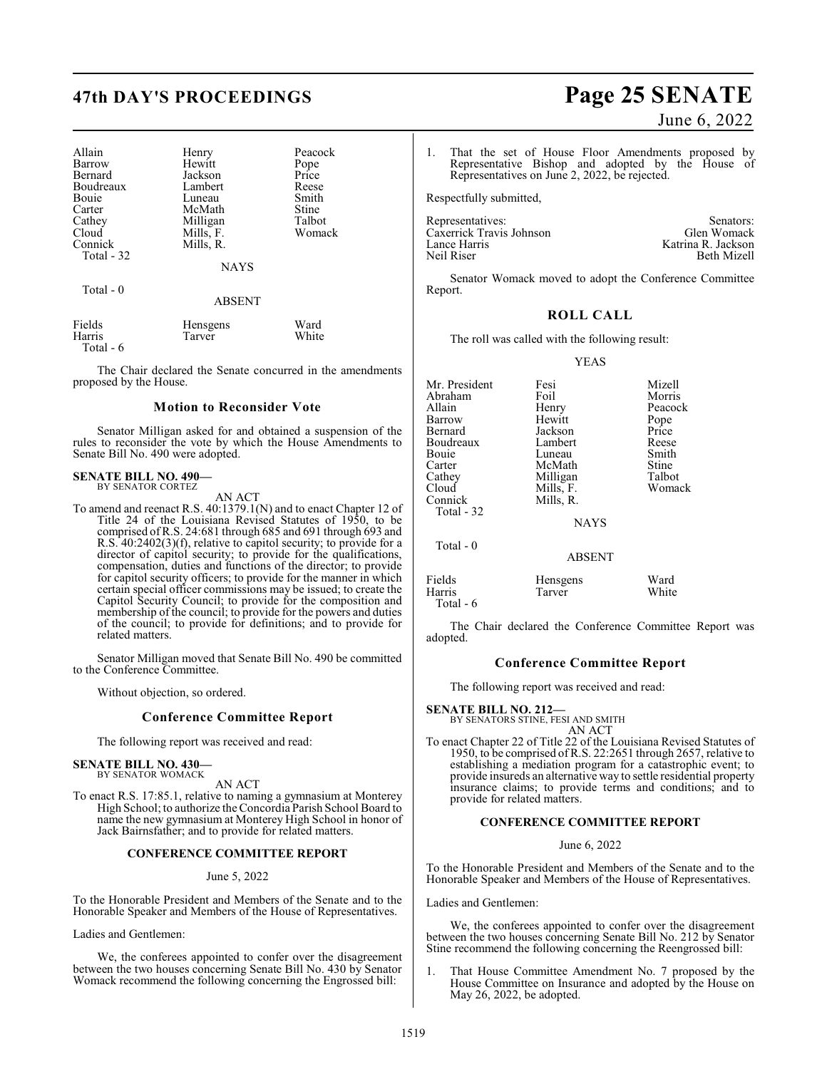# **47th DAY'S PROCEEDINGS Page 25 SENATE**

| Allain<br>Barrow<br>Bernard<br>Boudreaux<br>Bouie<br>Carter<br>Cathey<br>Cloud<br>Connick<br>Total - 32 | Henry<br>Hewitt<br>Jackson<br>Lambert<br>Luneau<br>McMath<br>Milligan<br>Mills, F.<br>Mills, R.<br><b>NAYS</b> | Peacock<br>Pope<br>Price<br>Reese<br>Smith<br>Stine<br>Talbot<br>Womack |
|---------------------------------------------------------------------------------------------------------|----------------------------------------------------------------------------------------------------------------|-------------------------------------------------------------------------|
| Total - 0                                                                                               | <b>ABSENT</b>                                                                                                  |                                                                         |
| Fields<br>Harris                                                                                        | Hensgens<br>Tarver                                                                                             | Ward<br>White                                                           |

Total - 6

The Chair declared the Senate concurred in the amendments proposed by the House.

#### **Motion to Reconsider Vote**

Senator Milligan asked for and obtained a suspension of the rules to reconsider the vote by which the House Amendments to Senate Bill No. 490 were adopted.

#### **SENATE BILL NO. 490—** BY SENATOR CORTEZ

AN ACT

To amend and reenact R.S. 40:1379.1(N) and to enact Chapter 12 of Title 24 of the Louisiana Revised Statutes of 1950, to be comprised of R.S. 24:681 through 685 and 691 through 693 and R.S. 40:2402(3)(f), relative to capitol security; to provide for a director of capitol security; to provide for the qualifications, compensation, duties and functions of the director; to provide for capitol security officers; to provide for the manner in which certain special officer commissions may be issued; to create the Capitol Security Council; to provide for the composition and membership of the council; to provide for the powers and duties of the council; to provide for definitions; and to provide for related matters.

Senator Milligan moved that Senate Bill No. 490 be committed to the Conference Committee.

Without objection, so ordered.

#### **Conference Committee Report**

The following report was received and read:

# **SENATE BILL NO. 430—** BY SENATOR WOMACK

AN ACT

To enact R.S. 17:85.1, relative to naming a gymnasium at Monterey High School; to authorize the Concordia Parish School Board to name the new gymnasium at Monterey High School in honor of Jack Bairnsfather; and to provide for related matters.

#### **CONFERENCE COMMITTEE REPORT**

#### June 5, 2022

To the Honorable President and Members of the Senate and to the Honorable Speaker and Members of the House of Representatives.

Ladies and Gentlemen:

We, the conferees appointed to confer over the disagreement between the two houses concerning Senate Bill No. 430 by Senator Womack recommend the following concerning the Engrossed bill:

# June 6, 2022

1. That the set of House Floor Amendments proposed by Representative Bishop and adopted by the House of Representatives on June 2, 2022, be rejected.

Respectfully submitted,

| Senators:          |
|--------------------|
| Glen Womack        |
| Katrina R. Jackson |
| <b>Beth Mizell</b> |
|                    |

Senator Womack moved to adopt the Conference Committee Report.

#### **ROLL CALL**

The roll was called with the following result:

YEAS

| Mr. President<br>Abraham<br>Allain<br>Barrow<br>Bernard<br>Boudreaux<br>Bouie<br>Carter<br>Cathey<br>Cloud<br>Connick<br>Total - 32 | Fesi<br>Foil<br>Henry<br>Hewitt<br>Jackson<br>Lambert<br>Luneau<br>McMath<br>Milligan<br>Mills, F.<br>Mills, R.<br><b>NAYS</b> | Mizell<br>Morris<br>Peacock<br>Pope<br>Price<br>Reese<br>Smith<br>Stine<br>Talbot<br>Womack |
|-------------------------------------------------------------------------------------------------------------------------------------|--------------------------------------------------------------------------------------------------------------------------------|---------------------------------------------------------------------------------------------|
| Total $-0$                                                                                                                          | <b>ABSENT</b>                                                                                                                  |                                                                                             |
| Fields                                                                                                                              | Hensgens                                                                                                                       | Ward                                                                                        |

Harris Tarver White Total - 6

The Chair declared the Conference Committee Report was adopted.

#### **Conference Committee Report**

The following report was received and read:

**SENATE BILL NO. 212—** BY SENATORS STINE, FESI AND SMITH

AN ACT

To enact Chapter 22 of Title 22 of the Louisiana Revised Statutes of 1950, to be comprised ofR.S. 22:2651 through 2657, relative to establishing a mediation program for a catastrophic event; to provide insureds an alternative way to settle residential property insurance claims; to provide terms and conditions; and to provide for related matters.

#### **CONFERENCE COMMITTEE REPORT**

#### June 6, 2022

To the Honorable President and Members of the Senate and to the Honorable Speaker and Members of the House of Representatives.

Ladies and Gentlemen:

We, the conferees appointed to confer over the disagreement between the two houses concerning Senate Bill No. 212 by Senator Stine recommend the following concerning the Reengrossed bill:

That House Committee Amendment No. 7 proposed by the House Committee on Insurance and adopted by the House on May 26, 2022, be adopted.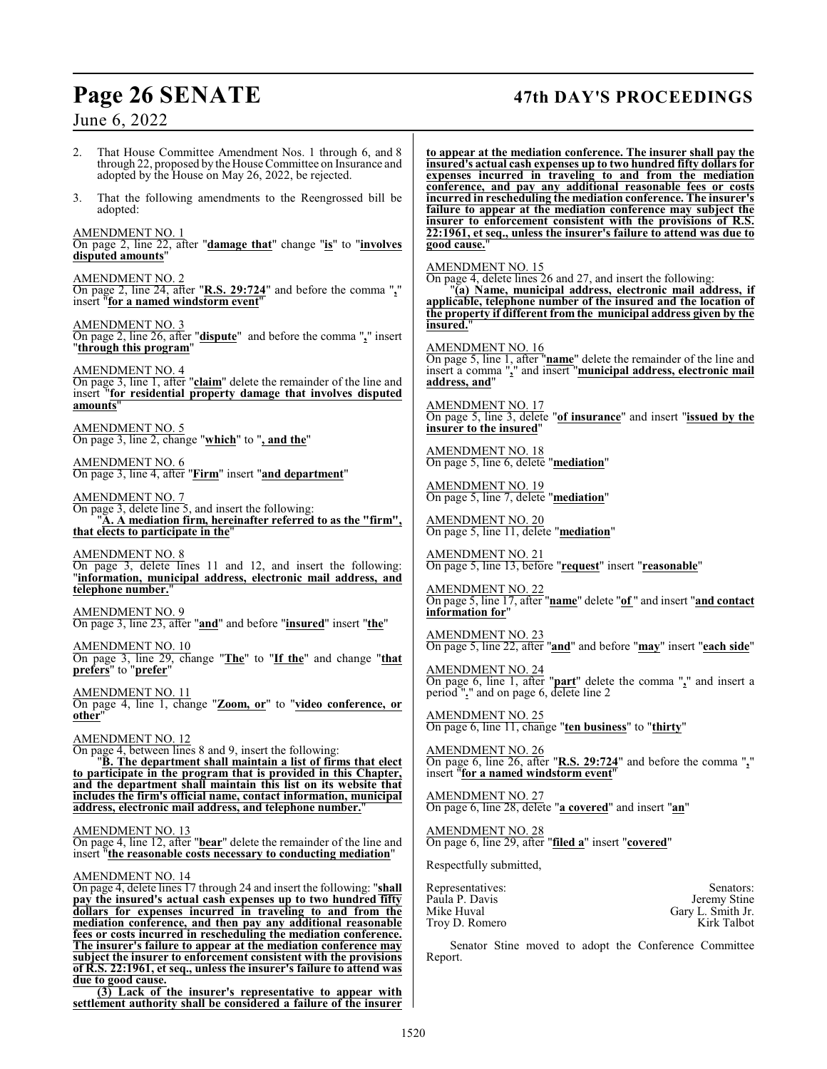# **Page 26 SENATE 47th DAY'S PROCEEDINGS**

| June 6, 2022                                                                                                                                                                                                                                                                               |                                                                                                                                                                                                                                                                                                                                                                                                        |
|--------------------------------------------------------------------------------------------------------------------------------------------------------------------------------------------------------------------------------------------------------------------------------------------|--------------------------------------------------------------------------------------------------------------------------------------------------------------------------------------------------------------------------------------------------------------------------------------------------------------------------------------------------------------------------------------------------------|
| 2.<br>That House Committee Amendment Nos. 1 through 6, and 8<br>through 22, proposed by the House Committee on Insurance and<br>adopted by the House on May 26, 2022, be rejected.<br>That the following amendments to the Reengrossed bill be<br>3.<br>adopted:                           | to appear at the mediation conference. The insurer shall pay the<br>insured's actual cash expenses up to two hundred fifty dollars for<br>expenses incurred in traveling to and from the mediation<br>conference, and pay any additional reasonable fees or costs<br>incurred in rescheduling the mediation conference. The insurer's<br>failure to appear at the mediation conference may subject the |
| <b>AMENDMENT NO. 1</b><br>On page 2, line 22, after "damage that" change "is" to "involves"<br>disputed amounts"                                                                                                                                                                           | insurer to enforcement consistent with the provisions of R.S.<br>22:1961, et seq., unless the insurer's failure to attend was due to<br>good cause."                                                                                                                                                                                                                                                   |
| <b>AMENDMENT NO. 2</b><br>On page 2, line 24, after "R.S. 29:724" and before the comma " $_2$ " insert "for a named windstorm event"                                                                                                                                                       | AMENDMENT NO. 15<br>On page 4, delete lines 26 and 27, and insert the following:<br>"(a) Name, municipal address, electronic mail address, if<br>applicable, telephone number of the insured and the location of<br>the property if different from the municipal address given by the                                                                                                                  |
| <b>AMENDMENT NO. 3</b><br>On page 2, line 26, after "dispute" and before the comma "," insert<br>"through this program"                                                                                                                                                                    | insured."<br>AMENDMENT NO. 16<br>On page 5, line 1, after " <b>name</b> " delete the remainder of the line and                                                                                                                                                                                                                                                                                         |
| $\frac{\text{AMENDMENT NO. 4}}{\text{On page 3, line 1, after "claim}$ delete the remainder of the line and<br>insert "for residential property damage that involves disputed<br>amounts"                                                                                                  | insert a comma "," and insert "municipal address, electronic mail<br>address, and"<br><b>AMENDMENT NO. 17</b>                                                                                                                                                                                                                                                                                          |
| <b>AMENDMENT NO. 5</b><br>On page 3, line 2, change "which" to ", and the"                                                                                                                                                                                                                 | On page 5, line 3, delete "of insurance" and insert "issued by the<br>insurer to the insured"                                                                                                                                                                                                                                                                                                          |
| <b>AMENDMENT NO. 6</b><br>On page 3, line 4, after "Firm" insert "and department"                                                                                                                                                                                                          | AMENDMENT NO. 18<br>On page 5, line 6, delete "mediation"                                                                                                                                                                                                                                                                                                                                              |
| <b>AMENDMENT NO. 7</b><br>On page 3, delete line 5, and insert the following:<br>"A. A mediation firm, hereinafter referred to as the "firm",<br>that elects to participate in the"                                                                                                        | AMENDMENT NO. 19<br>On page 5, line 7, delete "mediation"<br>AMENDMENT NO. 20<br>On page 5, line 11, delete "mediation"                                                                                                                                                                                                                                                                                |
| <b>AMENDMENT NO. 8</b><br>On page 3, delete lines 11 and 12, and insert the following:<br>"information, municipal address, electronic mail address, and<br>telephone number."                                                                                                              | AMENDMENT NO. 21<br>On page 5, line 13, before "request" insert "reasonable"<br><b>AMENDMENT NO. 22</b>                                                                                                                                                                                                                                                                                                |
| $\frac{\text{AMENDMENT NO. 9}}{\text{On page 3, line 23, after "and" and before "insured" insert "the"}$                                                                                                                                                                                   | On page 5, line 17, after "name" delete "of " and insert "and contact<br>information for"                                                                                                                                                                                                                                                                                                              |
| $\frac{\text{AMENDMENT NO. 10}}{\text{On page 3}}$ , line 29, change "The" to "If the" and change "that                                                                                                                                                                                    | $\frac{\text{AMENDMENT NO. 23}}{\text{On page 5, line 22, after "and" and before "may" insert "each side" }$                                                                                                                                                                                                                                                                                           |
| prefers" to "prefer"<br><b>AMENDMENT NO. 11</b><br>On page 4, line 1, change " <b>Zoom, or</b> " to "video conference, or<br>other"                                                                                                                                                        | <b>AMENDMENT NO. 24</b><br>On page 6, line 1, after "part" delete the comma " $_2$ " and insert a period " $_2$ " and on page 6, delete line 2<br><b>AMENDMENT NO. 25</b>                                                                                                                                                                                                                              |
| AMENDMENT NO. 12<br>On page 4, between lines 8 and 9, insert the following:<br>"B. The department shall maintain a list of firms that elect<br>to participate in the program that is provided in this Chapter,<br>and the department shall maintain this list on its website that          | On page 6, line 11, change "ten business" to "thirty"<br>AMENDMENT NO. 26<br>On page 6, line 26, after "R.S. 29:724" and before the comma ","<br>insert "for a named windstorm event"                                                                                                                                                                                                                  |
| includes the firm's official name, contact information, municipal<br>address, electronic mail address, and telephone number."                                                                                                                                                              | AMENDMENT NO. 27<br>On page 6, line 28, delete "a covered" and insert "an"                                                                                                                                                                                                                                                                                                                             |
| <b>AMENDMENT NO. 13</b><br>On page 4, line 12, after "bear" delete the remainder of the line and<br>insert "the reasonable costs necessary to conducting mediation"                                                                                                                        | AMENDMENT NO. 28<br>On page 6, line 29, after "filed a" insert "covered"<br>Respectfully submitted,                                                                                                                                                                                                                                                                                                    |
| AMENDMENT NO. 14<br>On page 4, delete lines 17 through 24 and insert the following: "shall<br>pay the insured's actual cash expenses up to two hundred fifty<br>dollars for expenses incurred in traveling to and from the<br>mediation conference, and then pay any additional reasonable | Representatives:<br>Senators:<br>Paula P. Davis<br>Jeremy Stine<br>Mike Huval<br>Gary L. Smith Jr.<br>Kirk Talbot<br>Troy D. Romero                                                                                                                                                                                                                                                                    |

Senator Stine moved to adopt the Conference Committee Report.

**fees or costs incurred in rescheduling the mediation conference. The insurer's failure to appear at the mediation conference may subject the insurer to enforcement consistent with the provisions of R.S. 22:1961, et seq., unless the insurer's failure to attend was**

**(3) Lack of the insurer's representative to appear with settlement authority shall be considered a failure of the insurer**

**due to good cause.**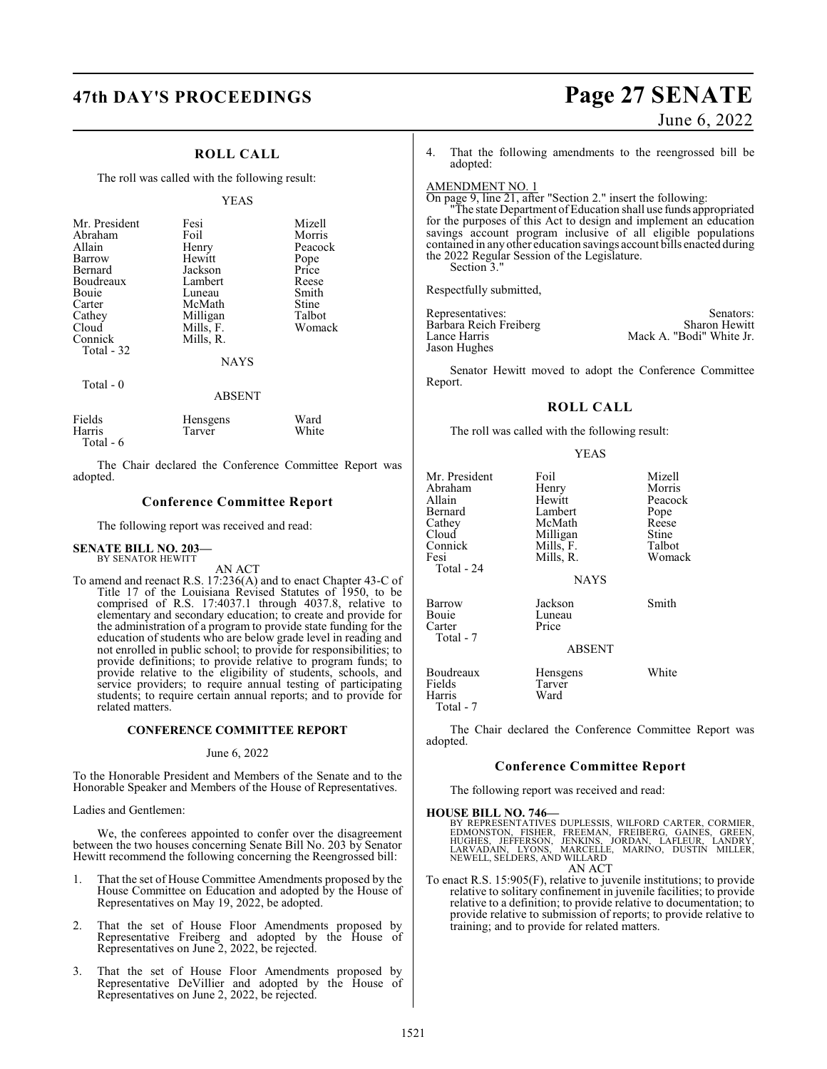# **47th DAY'S PROCEEDINGS Page 27 SENATE**

### **ROLL CALL**

The roll was called with the following result:

#### YEAS

| Mr. President<br>Abraham<br>Allain<br>Barrow<br>Bernard<br>Boudreaux<br><b>Bouje</b><br>Carter<br>Cathey<br>Cloud<br>Connick<br>Total $-32$ | Fesi<br>Foil<br>Henry<br>Hewitt<br>Jackson<br>Lambert<br>Luneau<br>McMath<br>Milligan<br>Mills, F.<br>Mills, R.<br><b>NAYS</b> | Mizell<br>Morris<br>Peacock<br>Pope<br>Price<br>Reese<br>Smith<br>Stine<br>Talbot<br>Womack |
|---------------------------------------------------------------------------------------------------------------------------------------------|--------------------------------------------------------------------------------------------------------------------------------|---------------------------------------------------------------------------------------------|
| Total $-0$                                                                                                                                  | ABSENT                                                                                                                         |                                                                                             |

| Fields    | Hensgens | Ward  |
|-----------|----------|-------|
| Harris    | Tarver   | White |
| Total - 6 |          |       |

The Chair declared the Conference Committee Report was adopted.

#### **Conference Committee Report**

The following report was received and read:

#### **SENATE BILL NO. 203—** BY SENATOR HEWITT

AN ACT

To amend and reenact R.S. 17:236(A) and to enact Chapter 43-C of Title 17 of the Louisiana Revised Statutes of 1950, to be comprised of R.S. 17:4037.1 through 4037.8, relative to elementary and secondary education; to create and provide for the administration of a program to provide state funding for the education of students who are below grade level in reading and not enrolled in public school; to provide for responsibilities; to provide definitions; to provide relative to program funds; to provide relative to the eligibility of students, schools, and service providers; to require annual testing of participating students; to require certain annual reports; and to provide for related matters.

#### **CONFERENCE COMMITTEE REPORT**

#### June 6, 2022

To the Honorable President and Members of the Senate and to the Honorable Speaker and Members of the House of Representatives.

#### Ladies and Gentlemen:

We, the conferees appointed to confer over the disagreement between the two houses concerning Senate Bill No. 203 by Senator Hewitt recommend the following concerning the Reengrossed bill:

- That the set of House Committee Amendments proposed by the House Committee on Education and adopted by the House of Representatives on May 19, 2022, be adopted.
- 2. That the set of House Floor Amendments proposed by Representative Freiberg and adopted by the House of Representatives on June 2, 2022, be rejected.
- 3. That the set of House Floor Amendments proposed by Representative DeVillier and adopted by the House of Representatives on June 2, 2022, be rejected.

# June 6, 2022

4. That the following amendments to the reengrossed bill be adopted:

### AMENDMENT NO. 1

On page 9, line 21, after "Section 2." insert the following: "The state Department of Education shall use funds appropriated for the purposes of this Act to design and implement an education savings account program inclusive of all eligible populations contained in any other education savings account bills enacted during the 2022 Regular Session of the Legislature. Section 3."

Respectfully submitted,

Barbara Reich Freiberg<br>Lance Harris Jason Hughes

Representatives: Senators:<br>
Barbara Reich Freiberg (Sharon Hewitt) Sharon Hewitt Mack A. "Bodi" White Jr.

Senator Hewitt moved to adopt the Conference Committee Report.

#### **ROLL CALL**

The roll was called with the following result:

|                                                                                                   | <b>YEAS</b>                                                                                       |                                                                           |
|---------------------------------------------------------------------------------------------------|---------------------------------------------------------------------------------------------------|---------------------------------------------------------------------------|
| Mr. President<br>Abraham<br>Allain<br>Bernard<br>Cathey<br>Cloud<br>Connick<br>Fesi<br>Total - 24 | Foil<br>Henry<br>Hewitt<br>Lambert<br>McMath<br>Milligan<br>Mills, F.<br>Mills, R.<br><b>NAYS</b> | Mizell<br>Morris<br>Peacock<br>Pope<br>Reese<br>Stine<br>Talbot<br>Womack |
| Barrow<br>Bouie<br>Carter<br>Total - 7                                                            | Jackson<br>Luneau<br>Price<br><b>ABSENT</b>                                                       | Smith                                                                     |

Boudreaux Hensgens White<br>Fields Tarver Tarver<br>Ward Harris Total - 7

The Chair declared the Conference Committee Report was adopted.

#### **Conference Committee Report**

The following report was received and read:

#### **HOUSE BILL NO. 746—**

BY REPRESENTATIVES DUPLESSIS, WILFORD CARTER, CORMIER,<br>EDMONSTON, FISHER, FREEMAN, FREIBERG, GAINES, GREEN,<br>HUGHES, JEFFERSON, JENKINS, JORDAN, LAFLEUR, LANDRY,<br>LARVADAIN, LYONS, MARCELLE, MARINO, DUSTIN MILLER, NEWELL, SELDERS, AND WILLARD AN ACT

To enact R.S. 15:905(F), relative to juvenile institutions; to provide relative to solitary confinement in juvenile facilities; to provide relative to a definition; to provide relative to documentation; to provide relative to submission of reports; to provide relative to training; and to provide for related matters.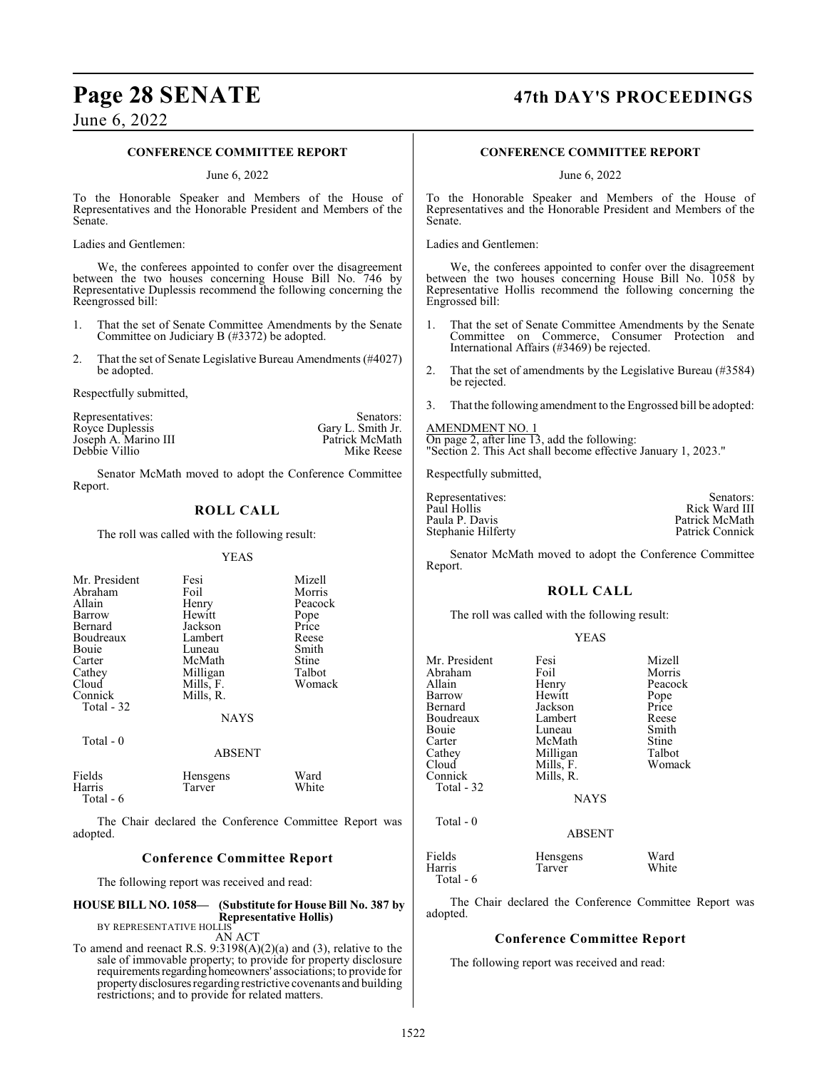# **Page 28 SENATE 47th DAY'S PROCEEDINGS**

## June 6, 2022

| June 6, 2022                                                                                            |                                                                       |                                                                                                                                                                                           |                                                                               |                                                                                   |                                                                                                                                                                                         |
|---------------------------------------------------------------------------------------------------------|-----------------------------------------------------------------------|-------------------------------------------------------------------------------------------------------------------------------------------------------------------------------------------|-------------------------------------------------------------------------------|-----------------------------------------------------------------------------------|-----------------------------------------------------------------------------------------------------------------------------------------------------------------------------------------|
|                                                                                                         | <b>CONFERENCE COMMITTEE REPORT</b>                                    |                                                                                                                                                                                           |                                                                               | <b>CONFERENCE COMMITTEE REPORT</b>                                                |                                                                                                                                                                                         |
|                                                                                                         | June 6, 2022                                                          |                                                                                                                                                                                           |                                                                               | June 6, 2022                                                                      |                                                                                                                                                                                         |
| Senate.                                                                                                 |                                                                       | To the Honorable Speaker and Members of the House of<br>Representatives and the Honorable President and Members of the                                                                    | Senate.                                                                       |                                                                                   | To the Honorable Speaker and Members of the House of<br>Representatives and the Honorable President and Members of the                                                                  |
| Ladies and Gentlemen:                                                                                   |                                                                       |                                                                                                                                                                                           | Ladies and Gentlemen:                                                         |                                                                                   |                                                                                                                                                                                         |
| Reengrossed bill:                                                                                       |                                                                       | We, the conferees appointed to confer over the disagreement<br>between the two houses concerning House Bill No. 746 by<br>Representative Duplessis recommend the following concerning the | Engrossed bill:                                                               |                                                                                   | We, the conferees appointed to confer over the disagreement<br>between the two houses concerning House Bill No. 1058 by<br>Representative Hollis recommend the following concerning the |
| 1.<br>2.<br>be adopted.                                                                                 | Committee on Judiciary B (#3372) be adopted.                          | That the set of Senate Committee Amendments by the Senate<br>That the set of Senate Legislative Bureau Amendments (#4027)                                                                 | 1.<br>2.                                                                      | International Affairs (#3469) be rejected.                                        | That the set of Senate Committee Amendments by the Senate<br>Committee on Commerce, Consumer Protection and<br>That the set of amendments by the Legislative Bureau (#3584)             |
| Respectfully submitted,<br>Representatives:<br>Royce Duplessis<br>Joseph A. Marino III<br>Debbie Villio |                                                                       | Senators:<br>Gary L. Smith Jr.<br>Patrick McMath<br>Mike Reese                                                                                                                            | be rejected.<br>3.<br><b>AMENDMENT NO. 1</b>                                  | On page 2, after line 13, add the following:                                      | That the following amendment to the Engrossed bill be adopted:<br>"Section 2. This Act shall become effective January 1, 2023."                                                         |
| Report.                                                                                                 |                                                                       | Senator McMath moved to adopt the Conference Committee                                                                                                                                    | Respectfully submitted,                                                       |                                                                                   |                                                                                                                                                                                         |
|                                                                                                         | <b>ROLL CALL</b><br>The roll was called with the following result:    |                                                                                                                                                                                           | Representatives:<br>Paul Hollis<br>Paula P. Davis<br>Stephanie Hilferty       |                                                                                   | Senators:<br>Rick Ward III<br>Patrick McMath<br>Patrick Connick                                                                                                                         |
|                                                                                                         | <b>YEAS</b>                                                           |                                                                                                                                                                                           | Report.                                                                       |                                                                                   | Senator McMath moved to adopt the Conference Committee                                                                                                                                  |
| Mr. President<br>Abraham<br>Allain<br>Barrow<br>Bernard<br>Boudreaux                                    | Fesi<br>Foil<br>Henry<br>Hewitt<br>Jackson<br>Lambert                 | Mizell<br>Morris<br>Peacock<br>Pope<br>Price<br>Reese                                                                                                                                     |                                                                               | <b>ROLL CALL</b><br>The roll was called with the following result:<br><b>YEAS</b> |                                                                                                                                                                                         |
| Bouie<br>Carter<br>Cathey<br>Cloud<br>Connick<br>Total - 32                                             | Luneau<br>McMath<br>Milligan<br>Mills, F.<br>Mills, R.<br><b>NAYS</b> | Smith<br>Stine<br>Talbot<br>Womack                                                                                                                                                        | Mr. President<br>Abraham<br>Allain<br>Barrow<br>Bernard<br>Boudreaux<br>Bouie | Fesi<br>Foil<br>Henry<br>Hewitt<br>Jackson<br>Lambert<br>Luneau                   | Mizell<br>Morris<br>Peacock<br>Pope<br>Price<br>Reese<br>Smith                                                                                                                          |
| Total - 0                                                                                               | <b>ABSENT</b>                                                         |                                                                                                                                                                                           | Carter<br>Cathey<br>Cloud                                                     | McMath<br>Milligan<br>Mills, F.                                                   | Stine<br>Talbot<br>Womack                                                                                                                                                               |
| Fields<br>Harris<br>Total - 6                                                                           | Hensgens<br>Tarver                                                    | Ward<br>White                                                                                                                                                                             | Connick<br>Total - 32                                                         | Mills, R.<br><b>NAYS</b>                                                          |                                                                                                                                                                                         |
|                                                                                                         |                                                                       | The Chair declared the Conference Committee Report was                                                                                                                                    | Total - 0                                                                     |                                                                                   |                                                                                                                                                                                         |

adopted.

### **Conference Committee Report**

The following report was received and read:

# **HOUSE BILL NO. 1058— (Substitute for House Bill No. 387 by Representative Hollis)**<br>BY REPRESENTATIVE HOLLIS<br>AN ACT

To amend and reenact R.S. 9:3198(A)(2)(a) and (3), relative to the sale of immovable property; to provide for property disclosure requirements regarding homeowners' associations; to provide for property disclosures regarding restrictive covenants and building restrictions; and to provide for related matters.

Total - 6

adopted.

ABSENT

The Chair declared the Conference Committee Report was

**Conference Committee Report**

Fields Hensgens Ward<br>Harris Tarver White Tarver

The following report was received and read: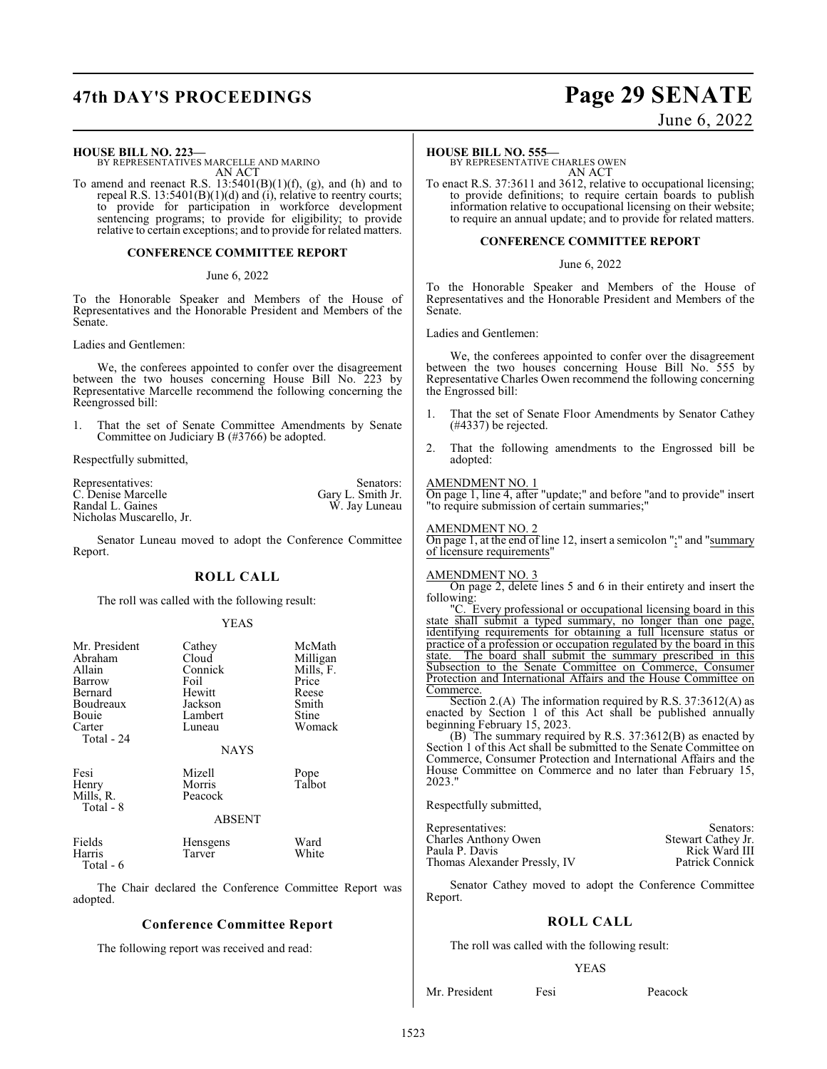# **47th DAY'S PROCEEDINGS Page 29 SENATE**

#### **HOUSE BILL NO. 223—**

BY REPRESENTATIVES MARCELLE AND MARINO AN ACT

To amend and reenact R.S.  $13:5401(B)(1)(f)$ , (g), and (h) and to repeal R.S. 13:5401(B)(1)(d) and (i), relative to reentry courts; to provide for participation in workforce development sentencing programs; to provide for eligibility; to provide relative to certain exceptions; and to provide for related matters.

#### **CONFERENCE COMMITTEE REPORT**

#### June 6, 2022

To the Honorable Speaker and Members of the House of Representatives and the Honorable President and Members of the Senate.

Ladies and Gentlemen:

We, the conferees appointed to confer over the disagreement between the two houses concerning House Bill No. 223 by Representative Marcelle recommend the following concerning the Reengrossed bill:

1. That the set of Senate Committee Amendments by Senate Committee on Judiciary B (#3766) be adopted.

Respectfully submitted,

| Representatives:         | Senators:         |
|--------------------------|-------------------|
| C. Denise Marcelle       | Gary L. Smith Jr. |
| Randal L. Gaines         | W. Jay Luneau     |
| Nicholas Muscarello, Jr. |                   |

Senator Luneau moved to adopt the Conference Committee Report.

#### **ROLL CALL**

The roll was called with the following result:

#### YEAS

| Mr. President<br>Abraham<br>Allain<br>Barrow<br>Bernard<br>Boudreaux<br>Bouie<br>Carter<br>Total - 24 | Cathey<br>Cloud<br>Connick<br>Foil<br>Hewitt<br>Jackson<br>Lambert<br>Luneau | McMath<br>Milligan<br>Mills, F.<br>Price<br>Reese<br>Smith<br>Stine<br>Womack |
|-------------------------------------------------------------------------------------------------------|------------------------------------------------------------------------------|-------------------------------------------------------------------------------|
|                                                                                                       | <b>NAYS</b>                                                                  |                                                                               |
| Fesi<br>Henry<br>Mills, R.<br>Total - 8                                                               | Mizell<br>Morris<br>Peacock<br><b>ABSENT</b>                                 | Pope<br>Talbot                                                                |
| Fields<br>Harris<br>Total - 6                                                                         | Hensgens<br>Tarver                                                           | Ward<br>White                                                                 |

The Chair declared the Conference Committee Report was adopted.

#### **Conference Committee Report**

The following report was received and read:

# June 6, 2022

#### **HOUSE BILL NO. 555—**

BY REPRESENTATIVE CHARLES OWEN AN ACT

To enact R.S. 37:3611 and 3612, relative to occupational licensing; to provide definitions; to require certain boards to publish information relative to occupational licensing on their website; to require an annual update; and to provide for related matters.

#### **CONFERENCE COMMITTEE REPORT**

#### June 6, 2022

To the Honorable Speaker and Members of the House of Representatives and the Honorable President and Members of the Senate.

#### Ladies and Gentlemen:

We, the conferees appointed to confer over the disagreement between the two houses concerning House Bill No. 555 by Representative Charles Owen recommend the following concerning the Engrossed bill:

- 1. That the set of Senate Floor Amendments by Senator Cathey (#4337) be rejected.
- 2. That the following amendments to the Engrossed bill be adopted:

#### AMENDMENT NO. 1

On page 1, line 4, after "update;" and before "and to provide" insert "to require submission of certain summaries;"

#### AMENDMENT NO. 2

On page 1, at the end of line 12, insert a semicolon " $\frac{1}{2}$ " and "summary" of licensure requirements"

#### AMENDMENT NO. 3

On page 2, delete lines 5 and 6 in their entirety and insert the following:

"C. Every professional or occupational licensing board in this state shall submit a typed summary, no longer than one page, identifying requirements for obtaining a full licensure status or practice of a profession or occupation regulated by the board in this state. The board shall submit the summary prescribed in this Subsection to the Senate Committee on Commerce, Consumer Protection and International Affairs and the House Committee on Commerce.

Section 2.(A) The information required by R.S. 37:3612(A) as enacted by Section 1 of this Act shall be published annually beginning February 15, 2023.

(B) The summary required by R.S. 37:3612(B) as enacted by Section 1 of this Act shall be submitted to the Senate Committee on Commerce, Consumer Protection and International Affairs and the House Committee on Commerce and no later than February 15, 2023."

Respectfully submitted,

Representatives: Senators: Senators: Senators: Senators: Senators: Senators: Senators: Senators: Senators: Senators: Senators: Senators: Senators: Senators: Senators: Senators: Senators: Senators: Senators: Senators: Senat Charles Anthony Owen Stewart Cathey Jr. Paula P. Davis<br>
Thomas Alexander Pressly, IV<br>
Patrick Connick Thomas Alexander Pressly, IV

Senator Cathey moved to adopt the Conference Committee Report.

#### **ROLL CALL**

The roll was called with the following result:

#### YEAS

Mr. President Fesi Peacock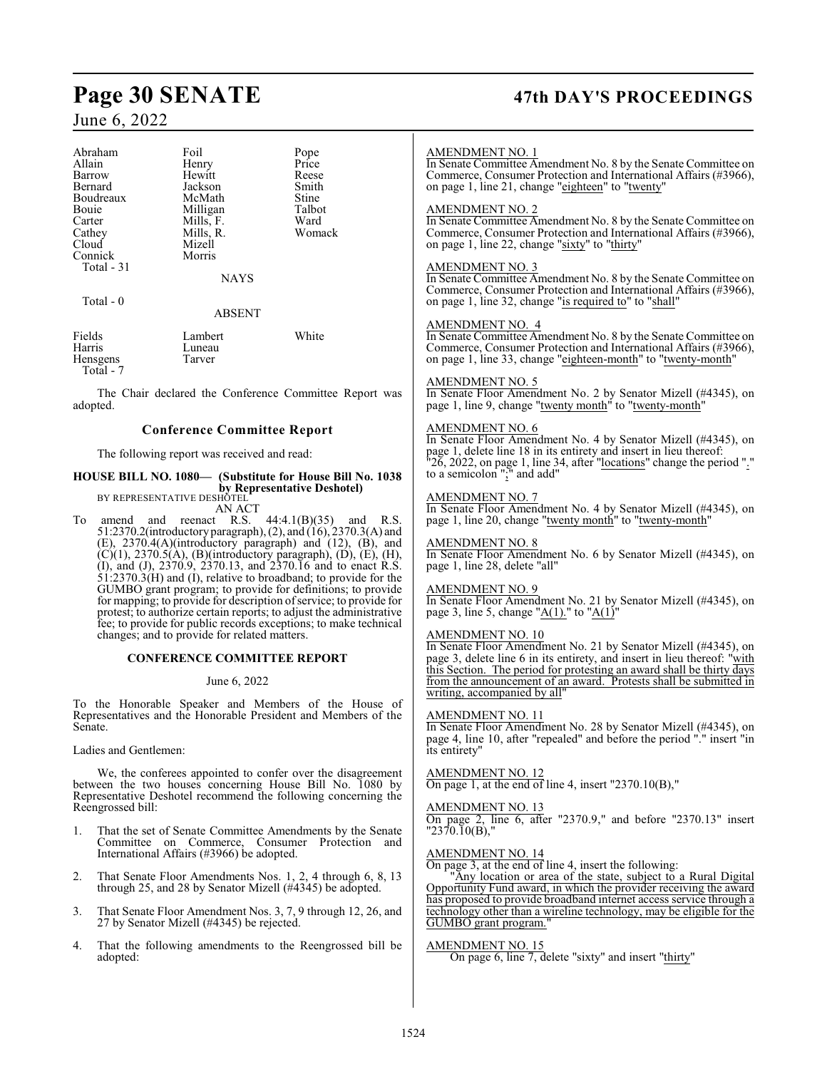# **Page 30 SENATE 47th DAY'S PROCEEDINGS**

## June 6, 2022

| Abraham    | Foil          | Pope   |
|------------|---------------|--------|
| Allain     | Henry         | Price  |
| Barrow     | Hewitt        | Reese  |
| Bernard    | Jackson       | Smith  |
| Boudreaux  | McMath        | Stine  |
| Bouie      | Milligan      | Talbot |
| Carter     | Mills, F.     | Ward   |
| Cathey     | Mills, R.     | Womack |
| Cloud      | Mizell        |        |
| Connick    | Morris        |        |
| Total - 31 |               |        |
|            | <b>NAYS</b>   |        |
| Total $-0$ |               |        |
|            | <b>ABSENT</b> |        |
| Fields     | Lambert       | White  |
| <b>TT</b>  |               |        |

Harris Luneau<br>Hensgens Tarver Hensgens Total - 7

The Chair declared the Conference Committee Report was adopted.

#### **Conference Committee Report**

The following report was received and read:

#### **HOUSE BILL NO. 1080— (Substitute for House Bill No. 1038 by Representative Deshotel)** BY REPRESENTATIVE DESHOTEL

AN ACT

To amend and reenact R.S.  $44:4.1(B)(35)$  and R.S. 51:2370.2(introductory paragraph), (2), and (16), 2370.3(A) and (E), 2370.4(A)(introductory paragraph) and (12), (B), and  $(C)(1)$ , 2370.5(A), (B)(introductory paragraph), (D), (E), (H), (I), and (J), 2370.9, 2370.13, and 2370.16 and to enact R.S.  $\hat{51:}2370.\hat{3(H)}$  and (I), relative to broadband; to provide for the GUMBO grant program; to provide for definitions; to provide for mapping; to provide for description of service; to provide for protest; to authorize certain reports; to adjust the administrative fee; to provide for public records exceptions; to make technical changes; and to provide for related matters.

#### **CONFERENCE COMMITTEE REPORT**

#### June 6, 2022

To the Honorable Speaker and Members of the House of Representatives and the Honorable President and Members of the Senate.

#### Ladies and Gentlemen:

We, the conferees appointed to confer over the disagreement between the two houses concerning House Bill No. 1080 by Representative Deshotel recommend the following concerning the Reengrossed bill:

- 1. That the set of Senate Committee Amendments by the Senate Committee on Commerce, Consumer Protection and International Affairs (#3966) be adopted.
- 2. That Senate Floor Amendments Nos. 1, 2, 4 through 6, 8, 13 through 25, and 28 by Senator Mizell (#4345) be adopted.
- 3. That Senate Floor Amendment Nos. 3, 7, 9 through 12, 26, and 27 by Senator Mizell (#4345) be rejected.
- 4. That the following amendments to the Reengrossed bill be adopted:

#### AMENDMENT NO. 1

In Senate Committee Amendment No. 8 by the Senate Committee on Commerce, Consumer Protection and International Affairs (#3966), on page 1, line 21, change "eighteen" to "twenty"

#### AMENDMENT NO. 2

In Senate Committee Amendment No. 8 by the Senate Committee on Commerce, Consumer Protection and International Affairs (#3966), on page 1, line 22, change "sixty" to "thirty"

#### AMENDMENT NO. 3

In Senate Committee Amendment No. 8 by the Senate Committee on Commerce, Consumer Protection and International Affairs (#3966), on page 1, line 32, change "is required to" to "shall"

#### AMENDMENT NO. 4

In Senate Committee Amendment No. 8 by the Senate Committee on Commerce, Consumer Protection and International Affairs (#3966), on page 1, line 33, change "eighteen-month" to "twenty-month"

#### AMENDMENT NO. 5

In Senate Floor Amendment No. 2 by Senator Mizell (#4345), on page 1, line 9, change "twenty month" to "twenty-month"

#### AMENDMENT NO. 6

In Senate Floor Amendment No. 4 by Senator Mizell (#4345), on page 1, delete line 18 in its entirety and insert in lieu thereof:  $"2\bar{6}$ , 2022, on page 1, line 34, after "locations" change the period "." to a semicolon ";" and add"

#### AMENDMENT NO. 7

In Senate Floor Amendment No. 4 by Senator Mizell (#4345), on page 1, line 20, change "twenty month" to "twenty-month"

#### AMENDMENT NO. 8

In Senate Floor Amendment No. 6 by Senator Mizell (#4345), on page 1, line 28, delete "all"

#### AMENDMENT NO. 9

In Senate Floor Amendment No. 21 by Senator Mizell (#4345), on page 3, line 5, change " $A(1)$ ." to " $A(1)$ "

#### AMENDMENT NO. 10

In Senate Floor Amendment No. 21 by Senator Mizell (#4345), on page 3, delete line 6 in its entirety, and insert in lieu thereof: "with this Section. The period for protesting an award shall be thirty days from the announcement of an award. Protests shall be submitted in writing, accompanied by all'

#### AMENDMENT NO. 11

In Senate Floor Amendment No. 28 by Senator Mizell (#4345), on page 4, line 10, after "repealed" and before the period "." insert "in its entirety"

#### AMENDMENT NO. 12

On page 1, at the end of line 4, insert "2370.10(B),"

#### AMENDMENT NO. 13

On page 2, line 6, after "2370.9," and before "2370.13" insert "2370.10(B),"

#### AMENDMENT NO. 14

On page 3, at the end of line 4, insert the following:

"Any location or area of the state, subject to a Rural Digital Opportunity Fund award, in which the provider receiving the award has proposed to provide broadband internet access service through a technology other than a wireline technology, may be eligible for the GUMBO grant program."

#### AMENDMENT NO. 15

On page 6, line 7, delete "sixty" and insert "thirty"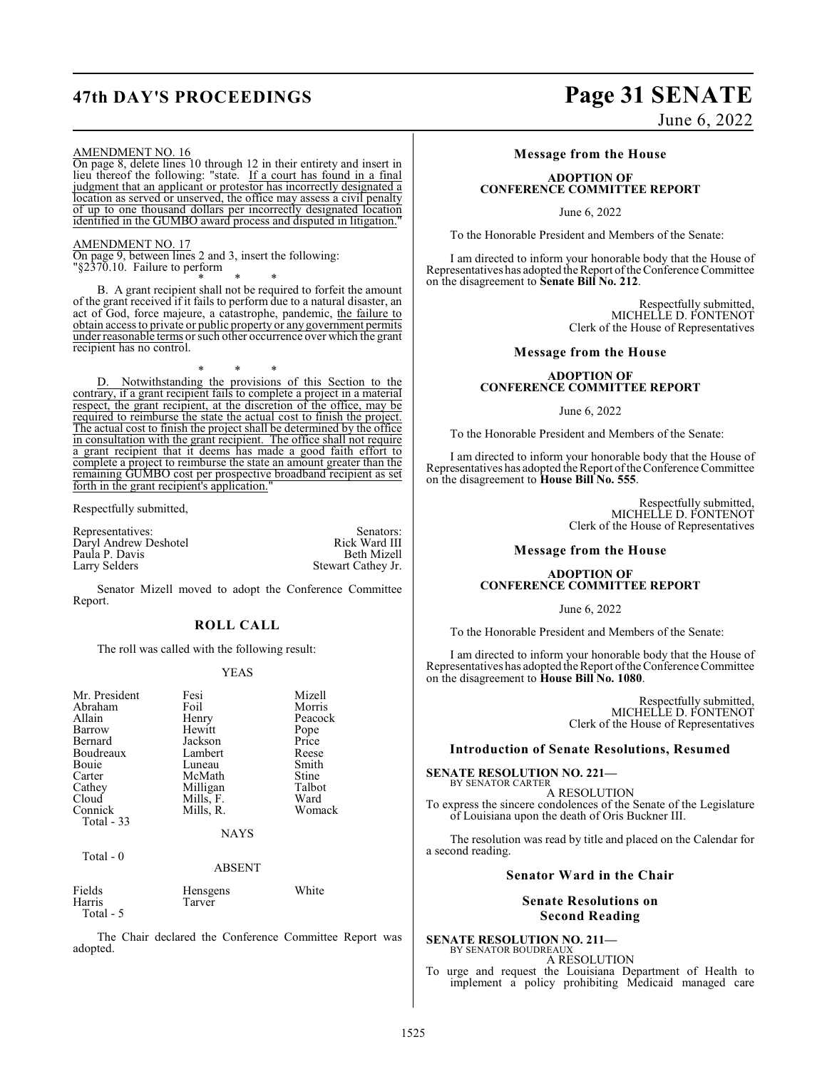AMENDMENT NO. 16

On page 8, delete lines 10 through 12 in their entirety and insert in lieu thereof the following: "state. If a court has found in a final judgment that an applicant or protestor has incorrectly designated a location as served or unserved, the office may assess a civil penalty of up to one thousand dollars per incorrectly designated location identified in the GUMBO award process and disputed in litigation."

AMENDMENT NO. 17 On page 9, between lines 2 and 3, insert the following: "§2370.10. Failure to perform

\* \* \* B. A grant recipient shall not be required to forfeit the amount of the grant received if it fails to perform due to a natural disaster, an act of God, force majeure, a catastrophe, pandemic, the failure to obtain access to private or public property or any government permits under reasonable terms or such other occurrence over which the grant recipient has no control.

\* \* \*

D. Notwithstanding the provisions of this Section to the contrary, if a grant recipient fails to complete a project in a material respect, the grant recipient, at the discretion of the office, may be required to reimburse the state the actual cost to finish the project. The actual cost to finish the project shall be determined by the office in consultation with the grant recipient. The office shall not require a grant recipient that it deems has made a good faith effort to complete a project to reimburse the state an amount greater than the remaining GUMBO cost per prospective broadband recipient as set forth in the grant recipient's application.

Respectfully submitted,

Representatives: Senators: Senators: Senators: Senators: Senators: Senators: Senators: Senators: Senators: Senators: Senators: Senators: Senators: Senators: Senators: Senators: Senators: Senators: Senators: Senators: Senat Daryl Andrew Deshotel Rick Ward III<br>Paula P. Davis Beth Mizell Paula P. Davis<br>Larry Selders Stewart Cathey Jr.

Senator Mizell moved to adopt the Conference Committee Report.

#### **ROLL CALL**

The roll was called with the following result:

#### YEAS

| Mr. President | Fesi        | Mizell  |
|---------------|-------------|---------|
| Abraham       | Foil        | Morris  |
|               |             |         |
| Allain        | Henry       | Peacock |
| Barrow        | Hewitt      | Pope    |
| Bernard       | Jackson     | Price   |
| Boudreaux     | Lambert     | Reese   |
| Bouie         | Luneau      | Smith   |
| Carter        | McMath      | Stine   |
| Cathey        | Milligan    | Talbot  |
| Cloud         | Mills, F.   | Ward    |
| Connick       | Mills, R.   | Womack  |
| Total $-33$   |             |         |
|               | <b>NAYS</b> |         |
| Total $-0$    |             |         |
|               | ABSENT      |         |

Tarver

Fields Hensgens White<br>
Harris Tarver Total - 5

The Chair declared the Conference Committee Report was adopted.

# **47th DAY'S PROCEEDINGS Page 31 SENATE**

June 6, 2022

#### **Message from the House**

#### **ADOPTION OF CONFERENCE COMMITTEE REPORT**

June 6, 2022

To the Honorable President and Members of the Senate:

I am directed to inform your honorable body that the House of Representatives has adopted the Report of the Conference Committee on the disagreement to **Senate Bill No. 212**.

> Respectfully submitted, MICHELLE D. FONTENOT Clerk of the House of Representatives

#### **Message from the House**

#### **ADOPTION OF CONFERENCE COMMITTEE REPORT**

June 6, 2022

To the Honorable President and Members of the Senate:

I am directed to inform your honorable body that the House of Representatives has adopted the Report of the Conference Committee on the disagreement to **House Bill No. 555**.

> Respectfully submitted, MICHELLE D. FONTENOT Clerk of the House of Representatives

#### **Message from the House**

#### **ADOPTION OF CONFERENCE COMMITTEE REPORT**

June 6, 2022

To the Honorable President and Members of the Senate:

I am directed to inform your honorable body that the House of Representatives has adopted the Report of the Conference Committee on the disagreement to **House Bill No. 1080**.

> Respectfully submitted, MICHELLE D. FONTENOT Clerk of the House of Representatives

#### **Introduction of Senate Resolutions, Resumed**

#### **SENATE RESOLUTION NO. 221—** BY SENATOR CARTER

A RESOLUTION To express the sincere condolences of the Senate of the Legislature of Louisiana upon the death of Oris Buckner III.

The resolution was read by title and placed on the Calendar for a second reading.

#### **Senator Ward in the Chair**

#### **Senate Resolutions on Second Reading**

**SENATE RESOLUTION NO. 211—** BY SENATOR BOUDREAUX

A RESOLUTION To urge and request the Louisiana Department of Health to implement a policy prohibiting Medicaid managed care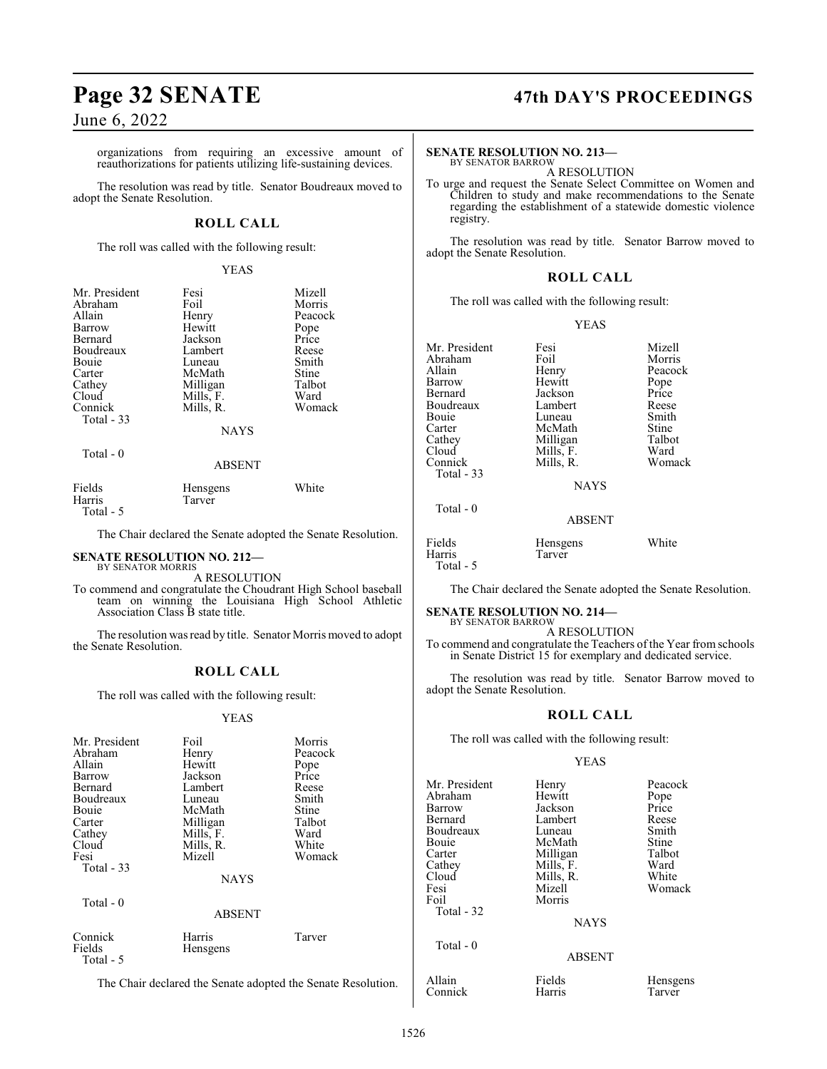# **Page 32 SENATE 47th DAY'S PROCEEDINGS**

### June 6, 2022

organizations from requiring an excessive amount of reauthorizations for patients utilizing life-sustaining devices.

The resolution was read by title. Senator Boudreaux moved to adopt the Senate Resolution.

### **ROLL CALL**

The roll was called with the following result:

#### YEAS

| Mr. President<br>Abraham<br>Allain<br>Barrow<br>Bernard<br>Boudreaux<br>Bouie<br>Carter<br>Cathey<br>Cloud<br>Connick<br>Total $-33$ | Fesi<br>Foil<br>Henry<br>Hewitt<br>Jackson<br>Lambert<br>Luneau<br>McMath<br>Milligan<br>Mills, F.<br>Mills, R. | Mizell<br>Morris<br>Peacock<br>Pope<br>Price<br>Reese<br>Smith<br>Stine<br>Talbot<br>Ward<br>Womack |
|--------------------------------------------------------------------------------------------------------------------------------------|-----------------------------------------------------------------------------------------------------------------|-----------------------------------------------------------------------------------------------------|
|                                                                                                                                      | <b>NAYS</b>                                                                                                     |                                                                                                     |
| Total - 0                                                                                                                            | <b>ABSENT</b>                                                                                                   |                                                                                                     |
| Fields                                                                                                                               | Hensgens                                                                                                        | White                                                                                               |

Harris Tarver Total - 5

The Chair declared the Senate adopted the Senate Resolution.

#### **SENATE RESOLUTION NO. 212—** BY SENATOR MORRIS

A RESOLUTION

To commend and congratulate the Choudrant High School baseball team on winning the Louisiana High School Athletic Association Class B state title.

The resolution was read by title. Senator Morris moved to adopt the Senate Resolution.

### **ROLL CALL**

The roll was called with the following result:

#### YEAS

| Mr. President<br>Abraham<br>Allain<br>Barrow<br>Bernard<br>Boudreaux<br>Bouie<br>Carter<br>Cathey<br>Cloud<br>Fesi<br>Total $-33$<br>$Total - 0$ | Foil<br>Henry<br>Hewitt<br>Jackson<br>Lambert<br>Luneau<br>McMath<br>Milligan<br>Mills, F.<br>Mills, R.<br>Mizell<br><b>NAYS</b><br><b>ABSENT</b> | Morris<br>Peacock<br>Pope<br>Price<br>Reese<br>Smith<br>Stine<br>Talbot<br>Ward<br>White<br>Womack |
|--------------------------------------------------------------------------------------------------------------------------------------------------|---------------------------------------------------------------------------------------------------------------------------------------------------|----------------------------------------------------------------------------------------------------|
| Connick<br>Fields<br>Total - 5                                                                                                                   | Harris<br>Hensgens                                                                                                                                | Tarver                                                                                             |

The Chair declared the Senate adopted the Senate Resolution.

#### **SENATE RESOLUTION NO. 213—** BY SENATOR BARROW

A RESOLUTION

To urge and request the Senate Select Committee on Women and Children to study and make recommendations to the Senate regarding the establishment of a statewide domestic violence registry.

The resolution was read by title. Senator Barrow moved to adopt the Senate Resolution.

#### **ROLL CALL**

The roll was called with the following result:

#### YEAS

| Mr. President | Fesi        | Mizell  |
|---------------|-------------|---------|
| Abraham       | Foil        | Morris  |
| Allain        | Henry       | Peacock |
| Barrow        | Hewitt      | Pope    |
| Bernard       | Jackson     | Price   |
| Boudreaux     | Lambert     | Reese   |
| <b>Bouje</b>  | Luneau      | Smith   |
| Carter        | McMath      | Stine   |
| Cathey        | Milligan    | Talbot  |
| Cloud         | Mills, F.   | Ward    |
| Connick       | Mills, R.   | Womack  |
| Total - 33    |             |         |
|               | <b>NAYS</b> |         |
| Total - 0     |             |         |

### ABSENT

| Fields    | Hensgens | White |
|-----------|----------|-------|
| Harris    | Tarver   |       |
| Total - 5 |          |       |

The Chair declared the Senate adopted the Senate Resolution.

#### **SENATE RESOLUTION NO. 214—** BY SENATOR BARROW

A RESOLUTION To commend and congratulate the Teachers of the Year from schools in Senate District 15 for exemplary and dedicated service.

The resolution was read by title. Senator Barrow moved to adopt the Senate Resolution.

#### **ROLL CALL**

The roll was called with the following result:

#### YEAS

Mr. President Henry Peacock<br>Abraham Hewitt Pope Abraham Hewitt Pope<br>Barrow Jackson Price Barrow Jackson Price Lambert Reese<br>
Luneau Smith Boudreaux Luneau Smith<br>Bouie McMath Stine Bouie McMath Stine<br>Carter Milligan Talbot Carter Milligan Talbo<br>Cathey Mills, F. Ward Cathey Mills, F. Ward<br>Cloud Mills, R. White Cloud Mills, R.<br>Fesi Mizell Fesi Mizell Womack<br>Foil Morris **Morris**  Total - 32 NAYS Total - 0 ABSENT Allain Fields Hensgens<br>
Connick Harris Tarver Connick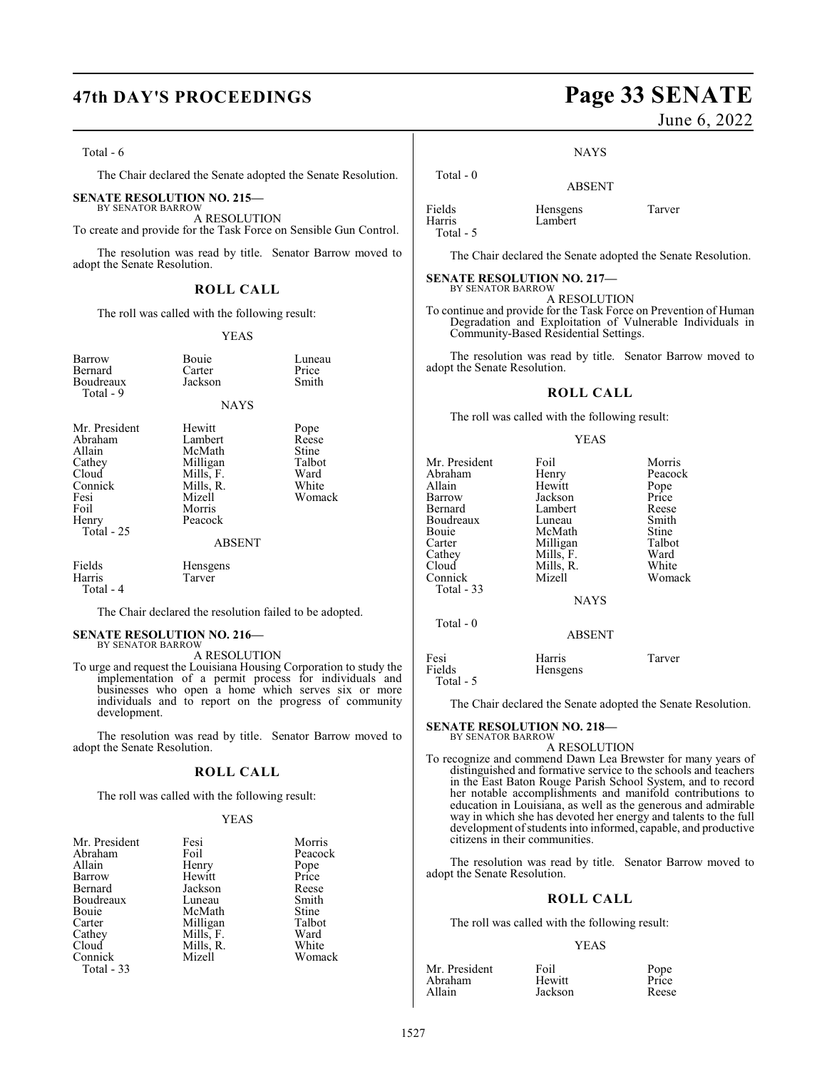#### Total - 6

The Chair declared the Senate adopted the Senate Resolution.

#### **SENATE RESOLUTION NO. 215—**

BY SENATOR BARROW A RESOLUTION To create and provide for the Task Force on Sensible Gun Control.

The resolution was read by title. Senator Barrow moved to adopt the Senate Resolution.

### **ROLL CALL**

The roll was called with the following result:

#### YEAS

| Barrow<br>Bernard<br>Boudreaux<br>Total - 9                                                             | Bouie<br>Carter<br>Jackson<br><b>NAYS</b>                                                                         | Luneau<br>Price<br>Smith                                    |
|---------------------------------------------------------------------------------------------------------|-------------------------------------------------------------------------------------------------------------------|-------------------------------------------------------------|
| Mr. President<br>Abraham<br>Allain<br>Cathey<br>Cloud<br>Connick<br>Fesi<br>Foil<br>Henry<br>Total - 25 | Hewitt<br>Lambert<br>McMath<br>Milligan<br>Mills, F.<br>Mills, R.<br>Mizell<br>Morris<br>Peacock<br><b>ABSENT</b> | Pope<br>Reese<br>Stine<br>Talbot<br>Ward<br>White<br>Womack |
| Fields<br>Harris<br>Total - 4                                                                           | <b>Hensgens</b><br>Tarver                                                                                         |                                                             |

The Chair declared the resolution failed to be adopted.

#### **SENATE RESOLUTION NO. 216—** BY SENATOR BARROW

A RESOLUTION

To urge and request the Louisiana Housing Corporation to study the implementation of a permit process for individuals and businesses who open a home which serves six or more individuals and to report on the progress of community development.

The resolution was read by title. Senator Barrow moved to adopt the Senate Resolution.

#### **ROLL CALL**

The roll was called with the following result:

#### YEAS

| Mr. President | Fesi      | Morris  |
|---------------|-----------|---------|
| Abraham       | Foil      | Peacock |
| Allain        | Henry     | Pope    |
| Barrow        | Hewitt    | Price   |
| Bernard       | Jackson   | Reese   |
| Boudreaux     | Luneau    | Smith   |
| Bouie         | McMath    | Stine   |
| Carter        | Milligan  | Talbot  |
| Cathev        | Mills, F. | Ward    |
| Cloud         | Mills, R. | White   |
| Connick       | Mizell    | Womack  |
| Total - 33    |           |         |

# **47th DAY'S PROCEEDINGS Page 33 SENATE**

June 6, 2022

#### NAYS

### ABSENT

| Fields    | Hensgens | Tarver |
|-----------|----------|--------|
| Harris    | Lambert  |        |
| Total - 5 |          |        |

Total - 0

The Chair declared the Senate adopted the Senate Resolution.

#### **SENATE RESOLUTION NO. 217—** BY SENATOR BARROW

A RESOLUTION

To continue and provide for the Task Force on Prevention of Human Degradation and Exploitation of Vulnerable Individuals in Community-Based Residential Settings.

The resolution was read by title. Senator Barrow moved to adopt the Senate Resolution.

#### **ROLL CALL**

The roll was called with the following result:

#### YEAS

| Mr. President<br>Abraham<br>Allain<br>Barrow<br>Bernard<br>Boudreaux<br>Bouie<br>Carter | Foil<br>Henry<br>Hewitt<br>Jackson<br>Lambert<br>Luneau<br>McMath<br>Milligan | Morris<br>Peacock<br>Pope<br>Price<br>Reese<br>Smith<br>Stine<br>Talbot |
|-----------------------------------------------------------------------------------------|-------------------------------------------------------------------------------|-------------------------------------------------------------------------|
| Cathey<br>Cloud<br>Connick<br>Total - 33                                                | Mills, F.<br>Mills, R.<br>Mizell<br><b>NAYS</b>                               | Ward<br>White<br>Womack                                                 |
| Total - 0                                                                               | <b>ABSENT</b>                                                                 |                                                                         |
| Fesi<br>Fields<br>Total - 5                                                             | Harris<br><b>Hensgens</b>                                                     | Tarver                                                                  |

The Chair declared the Senate adopted the Senate Resolution.

#### **SENATE RESOLUTION NO. 218—** BY SENATOR BARROW

A RESOLUTION

To recognize and commend Dawn Lea Brewster for many years of distinguished and formative service to the schools and teachers in the East Baton Rouge Parish School System, and to record her notable accomplishments and manifold contributions to education in Louisiana, as well as the generous and admirable way in which she has devoted her energy and talents to the full development of students into informed, capable, and productive citizens in their communities.

The resolution was read by title. Senator Barrow moved to adopt the Senate Resolution.

#### **ROLL CALL**

The roll was called with the following result:

#### YEAS

| Mr. President | Foil    | Pope  |
|---------------|---------|-------|
| Abraham       | Hewitt  | Price |
| Allain        | Jackson | Reese |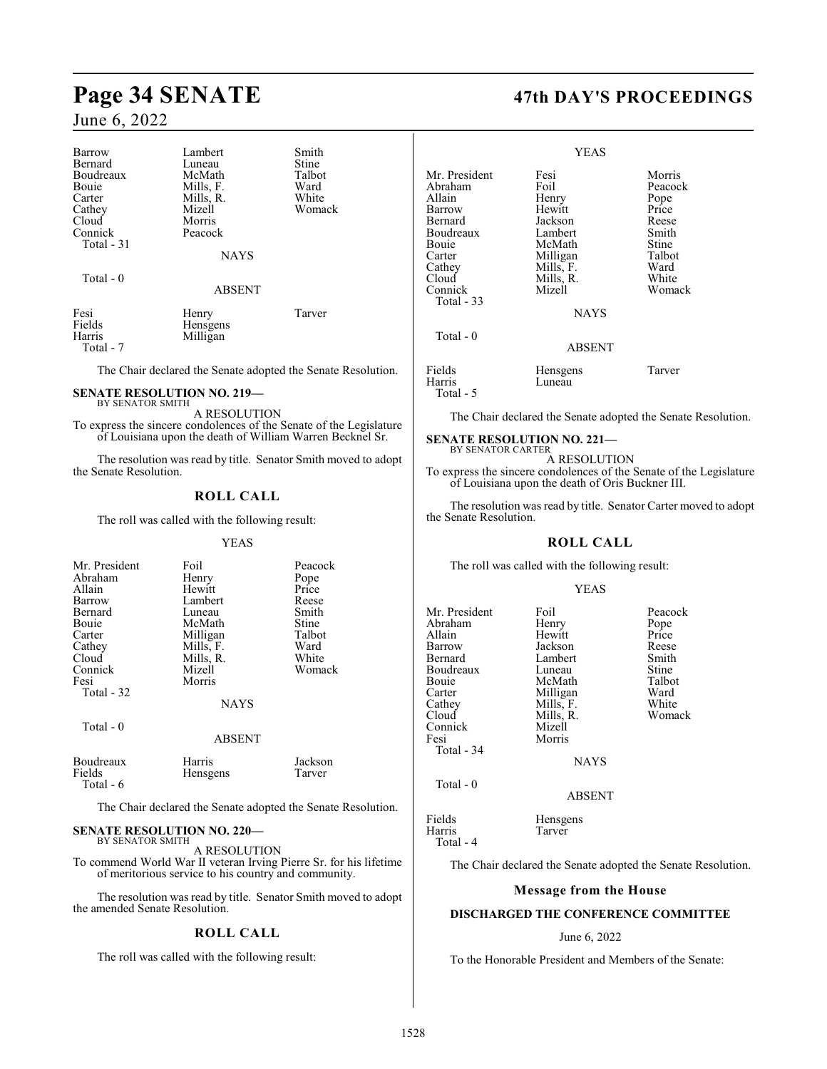# **Page 34 SENATE 47th DAY'S PROCEEDINGS**

### June 6, 2022

| Barrow      | Lambert       | Smith  |
|-------------|---------------|--------|
| Bernard     | Luneau        | Stine  |
| Boudreaux   | McMath        | Talbot |
| Bouie       | Mills, F.     | Ward   |
| Carter      | Mills, R.     | White  |
| Cathey      | Mizell        | Womack |
| Cloud       | Morris        |        |
| Connick     | Peacock       |        |
| Total $-31$ |               |        |
|             | <b>NAYS</b>   |        |
| Total $-0$  |               |        |
|             | <b>ABSENT</b> |        |
| Fesi        | Henry         | Tarver |
| Fields      | Hensgens      |        |
| Harris      | Milligan      |        |
| Total - 7   |               |        |

The Chair declared the Senate adopted the Senate Resolution.

#### **SENATE RESOLUTION NO. 219—** BY SENATOR SMITH

A RESOLUTION

To express the sincere condolences of the Senate of the Legislature of Louisiana upon the death of William Warren Becknel Sr.

The resolution was read by title. Senator Smith moved to adopt the Senate Resolution.

### **ROLL CALL**

The roll was called with the following result:

#### YEAS

| Mr. President<br>Abraham<br>Allain<br>Barrow<br>Bernard<br>Bouie<br>Carter<br>Cathey<br>Cloud<br>Connick<br>Fesi | Foil<br>Henry<br>Hewitt<br>Lambert<br>Luneau<br>McMath<br>Milligan<br>Mills, F.<br>Mills, R.<br>Mizell<br>Morris | Peacock<br>Pope<br>Price<br>Reese<br>Smith<br>Stine<br>Talbot<br>Ward<br>White<br>Womack |
|------------------------------------------------------------------------------------------------------------------|------------------------------------------------------------------------------------------------------------------|------------------------------------------------------------------------------------------|
| Total - 32                                                                                                       | <b>NAYS</b>                                                                                                      |                                                                                          |
| Total $-0$                                                                                                       | <b>ABSENT</b>                                                                                                    |                                                                                          |
| Boudreaux                                                                                                        | Harris                                                                                                           | Jackson                                                                                  |

Fields Hensgens Tarver Total - 6

The Chair declared the Senate adopted the Senate Resolution.

#### **SENATE RESOLUTION NO. 220—** BY SENATOR SMITH

A RESOLUTION

To commend World War II veteran Irving Pierre Sr. for his lifetime of meritorious service to his country and community.

The resolution was read by title. Senator Smith moved to adopt the amended Senate Resolution.

#### **ROLL CALL**

The roll was called with the following result:

|                                                                                                                                     | YEAS                                                                                                                           |                                                                                                    |
|-------------------------------------------------------------------------------------------------------------------------------------|--------------------------------------------------------------------------------------------------------------------------------|----------------------------------------------------------------------------------------------------|
| Mr. President<br>Abraham<br>Allain<br>Barrow<br>Bernard<br>Boudreaux<br>Bouie<br>Carter<br>Cathey<br>Cloud<br>Connick<br>Total - 33 | Fesi<br>Foil<br>Henry<br>Hewitt<br>Jackson<br>Lambert<br>McMath<br>Milligan<br>Mills, F.<br>Mills, R.<br>Mizell<br><b>NAYS</b> | Morris<br>Peacock<br>Pope<br>Price<br>Reese<br>Smith<br>Stine<br>Talbot<br>Ward<br>White<br>Womack |
| Total $-0$                                                                                                                          | <b>ABSENT</b>                                                                                                                  |                                                                                                    |
| Fields<br>Harris<br>Total - 5                                                                                                       | Hensgens<br>Luneau                                                                                                             | Tarver                                                                                             |

The Chair declared the Senate adopted the Senate Resolution.

# **SENATE RESOLUTION NO. 221—** BY SENATOR CARTER

A RESOLUTION

To express the sincere condolences of the Senate of the Legislature of Louisiana upon the death of Oris Buckner III.

The resolution was read by title. Senator Carter moved to adopt the Senate Resolution.

### **ROLL CALL**

The roll was called with the following result:

#### YEAS

| Mr. President | Foil          | Peacock |
|---------------|---------------|---------|
| Abraham       | Henry         | Pope    |
| Allain        | Hewitt        | Price   |
| Barrow        | Jackson       | Reese   |
| Bernard       | Lambert       | Smith   |
| Boudreaux     | Luneau        | Stine   |
| <b>Bouje</b>  | McMath        | Talbot  |
| Carter        | Milligan      | Ward    |
| Cathey        | Mills, F.     | White   |
| Cloud         | Mills, R.     | Womack  |
| Connick       | Mizell        |         |
| Fesi          | Morris        |         |
| Total - 34    |               |         |
|               | <b>NAYS</b>   |         |
| Total $-0$    |               |         |
|               | <b>ABSENT</b> |         |
| Fields        | Hensgens      |         |
| Harris        | Tarver        |         |

Total - 4

The Chair declared the Senate adopted the Senate Resolution.

#### **Message from the House**

#### **DISCHARGED THE CONFERENCE COMMITTEE**

#### June 6, 2022

To the Honorable President and Members of the Senate: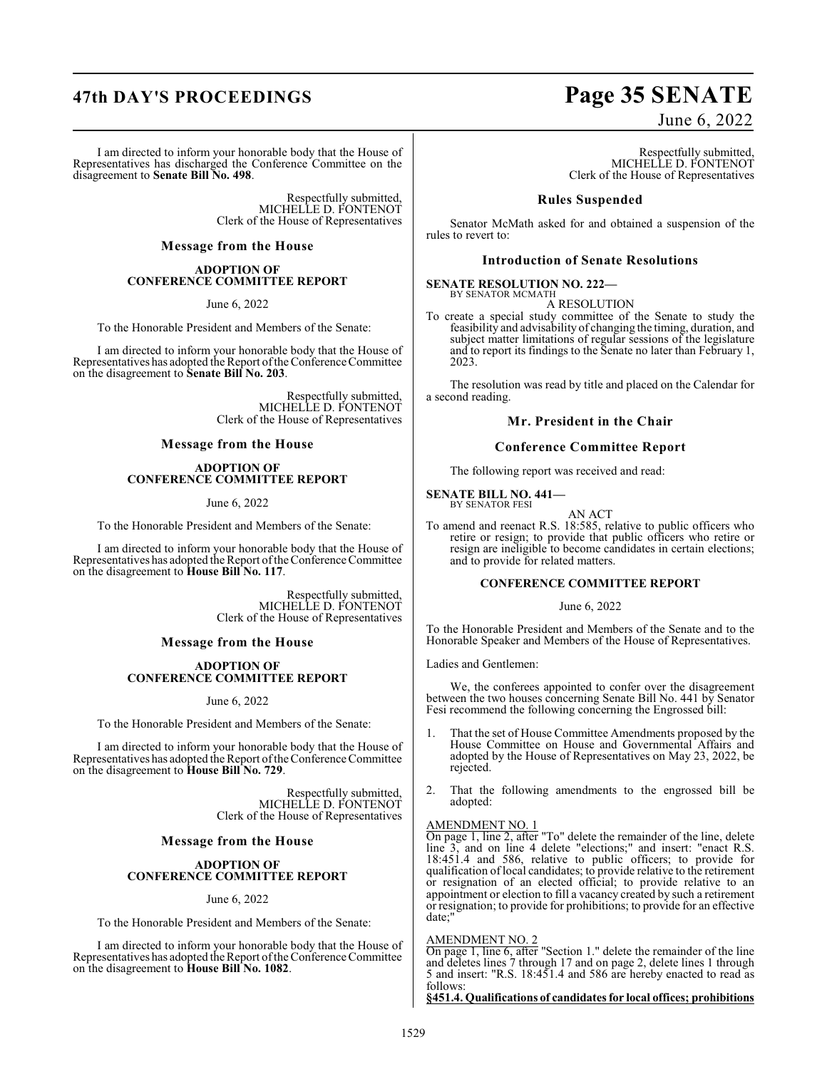I am directed to inform your honorable body that the House of Representatives has discharged the Conference Committee on the disagreement to **Senate Bill No. 498**.

> Respectfully submitted, MICHELLE D. FONTENOT Clerk of the House of Representatives

**Message from the House**

#### **ADOPTION OF CONFERENCE COMMITTEE REPORT**

June 6, 2022

To the Honorable President and Members of the Senate:

I am directed to inform your honorable body that the House of Representatives has adopted the Report of the Conference Committee on the disagreement to **Senate Bill No. 203**.

> Respectfully submitted, MICHELLE D. FONTENOT Clerk of the House of Representatives

#### **Message from the House**

#### **ADOPTION OF CONFERENCE COMMITTEE REPORT**

June 6, 2022

To the Honorable President and Members of the Senate:

I am directed to inform your honorable body that the House of Representatives has adopted the Report of the Conference Committee on the disagreement to **House Bill No. 117**.

> Respectfully submitted, MICHELLE D. FONTENOT Clerk of the House of Representatives

#### **Message from the House**

#### **ADOPTION OF CONFERENCE COMMITTEE REPORT**

June 6, 2022

To the Honorable President and Members of the Senate:

I am directed to inform your honorable body that the House of Representatives has adopted the Report of the Conference Committee on the disagreement to **House Bill No. 729**.

> Respectfully submitted, MICHELLE D. FONTENOT Clerk of the House of Representatives

#### **Message from the House**

#### **ADOPTION OF CONFERENCE COMMITTEE REPORT**

#### June 6, 2022

To the Honorable President and Members of the Senate:

I am directed to inform your honorable body that the House of Representatives has adopted the Report of the Conference Committee on the disagreement to **House Bill No. 1082**.

# **47th DAY'S PROCEEDINGS Page 35 SENATE**

June 6, 2022

Respectfully submitted, MICHELLE D. FONTENOT Clerk of the House of Representatives

#### **Rules Suspended**

Senator McMath asked for and obtained a suspension of the rules to revert to:

#### **Introduction of Senate Resolutions**

#### **SENATE RESOLUTION NO. 222—** BY SENATOR MCMATH

A RESOLUTION

To create a special study committee of the Senate to study the feasibility and advisability of changing the timing, duration, and subject matter limitations of regular sessions of the legislature and to report its findings to the Senate no later than February 1, 2023.

The resolution was read by title and placed on the Calendar for a second reading.

#### **Mr. President in the Chair**

#### **Conference Committee Report**

The following report was received and read:

**SENATE BILL NO. 441—** BY SENATOR FESI

AN ACT

To amend and reenact R.S. 18:585, relative to public officers who retire or resign; to provide that public officers who retire or resign are ineligible to become candidates in certain elections; and to provide for related matters.

#### **CONFERENCE COMMITTEE REPORT**

#### June 6, 2022

To the Honorable President and Members of the Senate and to the Honorable Speaker and Members of the House of Representatives.

Ladies and Gentlemen:

We, the conferees appointed to confer over the disagreement between the two houses concerning Senate Bill No. 441 by Senator Fesi recommend the following concerning the Engrossed bill:

- That the set of House Committee Amendments proposed by the House Committee on House and Governmental Affairs and adopted by the House of Representatives on May 23, 2022, be rejected.
- 2. That the following amendments to the engrossed bill be adopted:

#### AMENDMENT NO. 1

On page 1, line 2, after "To" delete the remainder of the line, delete line 3, and on line 4 delete "elections;" and insert: "enact R.S. 18:451.4 and 586, relative to public officers; to provide for qualification of local candidates; to provide relative to the retirement or resignation of an elected official; to provide relative to an appointment or election to fill a vacancy created by such a retirement or resignation; to provide for prohibitions; to provide for an effective date;"

#### AMENDMENT NO. 2

On page 1, line 6, after "Section 1." delete the remainder of the line and deletes lines 7 through 17 and on page 2, delete lines 1 through 5 and insert: "R.S. 18:451.4 and 586 are hereby enacted to read as follows:

**§451.4. Qualifications of candidates for local offices; prohibitions**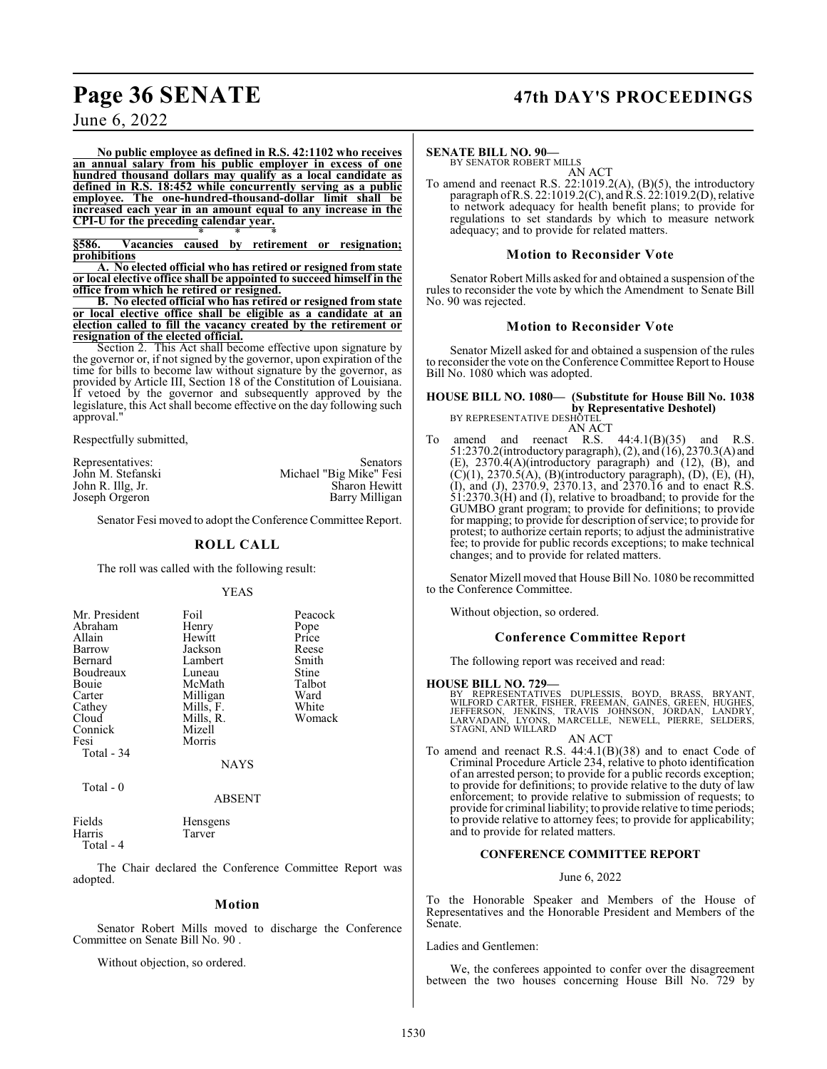# **Page 36 SENATE 47th DAY'S PROCEEDINGS**

June 6, 2022

**No public employee as defined in R.S. 42:1102 who receives an annual salary from his public employer in excess of one hundred thousand dollars may qualify as a local candidate as defined in R.S. 18:452 while concurrently serving as a public employee. The one-hundred-thousand-dollar limit shall be increased each year in an amount equal to any increase in the CPI-U for the preceding calendar year.** \* \* \*

**§586. Vacancies caused by retirement or resignation; prohibitions**

**A. No elected official who has retired or resigned from state or local elective office shall be appointed to succeed himself in the office from which he retired or resigned.**

**B. No elected official who has retired or resigned from state or local elective office shall be eligible as a candidate at an election called to fill the vacancy created by the retirement or resignation of the elected official.**

Section 2. This Act shall become effective upon signature by the governor or, if not signed by the governor, upon expiration of the time for bills to become law without signature by the governor, as provided by Article III, Section 18 of the Constitution of Louisiana. If vetoed by the governor and subsequently approved by the legislature, this Act shall become effective on the day following such approval."

Respectfully submitted,

| Representatives:  | Senators                |
|-------------------|-------------------------|
| John M. Stefanski | Michael "Big Mike" Fesi |
| John R. Illg, Jr. | <b>Sharon Hewitt</b>    |
| Joseph Orgeron    | Barry Milligan          |

Senator Fesi moved to adopt the Conference Committee Report.

#### **ROLL CALL**

The roll was called with the following result:

#### YEAS

| Mr. President<br>Abraham<br>Allain<br>Barrow<br>Bernard<br>Boudreaux<br>Bouie<br>Carter<br>Cathey<br>Cloud<br>Connick<br>Fesi | Foil<br>Henry<br>Hewitt<br>Jackson<br>Lambert<br>Luneau<br>McMath<br>Milligan<br>Mills, F.<br>Mills, R.<br>Mizell<br>Morris | Peacock<br>Pope<br>Price<br>Reese<br>Smith<br>Stine<br>Talbot<br>Ward<br>White<br>Womack |
|-------------------------------------------------------------------------------------------------------------------------------|-----------------------------------------------------------------------------------------------------------------------------|------------------------------------------------------------------------------------------|
|                                                                                                                               |                                                                                                                             |                                                                                          |
| Total - 34                                                                                                                    | NAYS                                                                                                                        |                                                                                          |
|                                                                                                                               |                                                                                                                             |                                                                                          |

Total - 0

ABSENT

| Fields    | Hensgens |
|-----------|----------|
| Harris    | Tarver   |
| Total - 4 |          |

The Chair declared the Conference Committee Report was adopted.

#### **Motion**

Senator Robert Mills moved to discharge the Conference Committee on Senate Bill No. 90 .

Without objection, so ordered.

#### **SENATE BILL NO. 90—**

BY SENATOR ROBERT MILLS AN ACT

To amend and reenact R.S. 22:1019.2(A), (B)(5), the introductory paragraph of R.S. 22:1019.2(C), and R.S. 22:1019.2(D), relative to network adequacy for health benefit plans; to provide for regulations to set standards by which to measure network adequacy; and to provide for related matters.

#### **Motion to Reconsider Vote**

Senator Robert Mills asked for and obtained a suspension of the rules to reconsider the vote by which the Amendment to Senate Bill No. 90 was rejected.

#### **Motion to Reconsider Vote**

Senator Mizell asked for and obtained a suspension of the rules to reconsider the vote on the Conference Committee Report to House Bill No. 1080 which was adopted.

**HOUSE BILL NO. 1080— (Substitute for House Bill No. 1038 by Representative Deshotel)**<br>BY REPRESENTATIVE DESHOTEL

AN ACT<br>amend and reenact R.S. To amend and reenact R.S.  $44:4.1(B)(35)$  and R.S. 51:2370.2(introductory paragraph), (2), and (16), 2370.3(A) and (E), 2370.4(A)(introductory paragraph) and (12), (B), and  $(C)(1)$ , 2370.5(A), (B)(introductory paragraph), (D), (E), (H), (I), and (J), 2370.9, 2370.13, and 2370.16 and to enact R.S. 51:2370.3(H) and (I), relative to broadband; to provide for the GUMBO grant program; to provide for definitions; to provide for mapping; to provide for description ofservice; to provide for protest; to authorize certain reports; to adjust the administrative fee; to provide for public records exceptions; to make technical changes; and to provide for related matters.

Senator Mizell moved that House Bill No. 1080 be recommitted to the Conference Committee.

Without objection, so ordered.

#### **Conference Committee Report**

The following report was received and read:

#### **HOUSE BILL NO. 729—**

BY REPRESENTATIVES DUPLESSIS, BOYD, BRASS, BRYANT,<br>WILFORD CARTER, FISHER, FREEMAN, GAINES, GREEN, HUGHES,<br>JEFFERSON, JENKINS, TRAVIS JOHNSON, JORDAN, LANDRY,<br>LARVADAIN, LYONS, MARCELLE, NEWELL, PIERRE, SELDERS,<br>STAGNI, AN

AN ACT

To amend and reenact R.S. 44:4.1(B)(38) and to enact Code of Criminal Procedure Article 234, relative to photo identification of an arrested person; to provide for a public records exception; to provide for definitions; to provide relative to the duty of law enforcement; to provide relative to submission of requests; to provide for criminal liability; to provide relative to time periods; to provide relative to attorney fees; to provide for applicability; and to provide for related matters.

#### **CONFERENCE COMMITTEE REPORT**

#### June 6, 2022

To the Honorable Speaker and Members of the House of Representatives and the Honorable President and Members of the Senate.

#### Ladies and Gentlemen:

We, the conferees appointed to confer over the disagreement between the two houses concerning House Bill No. 729 by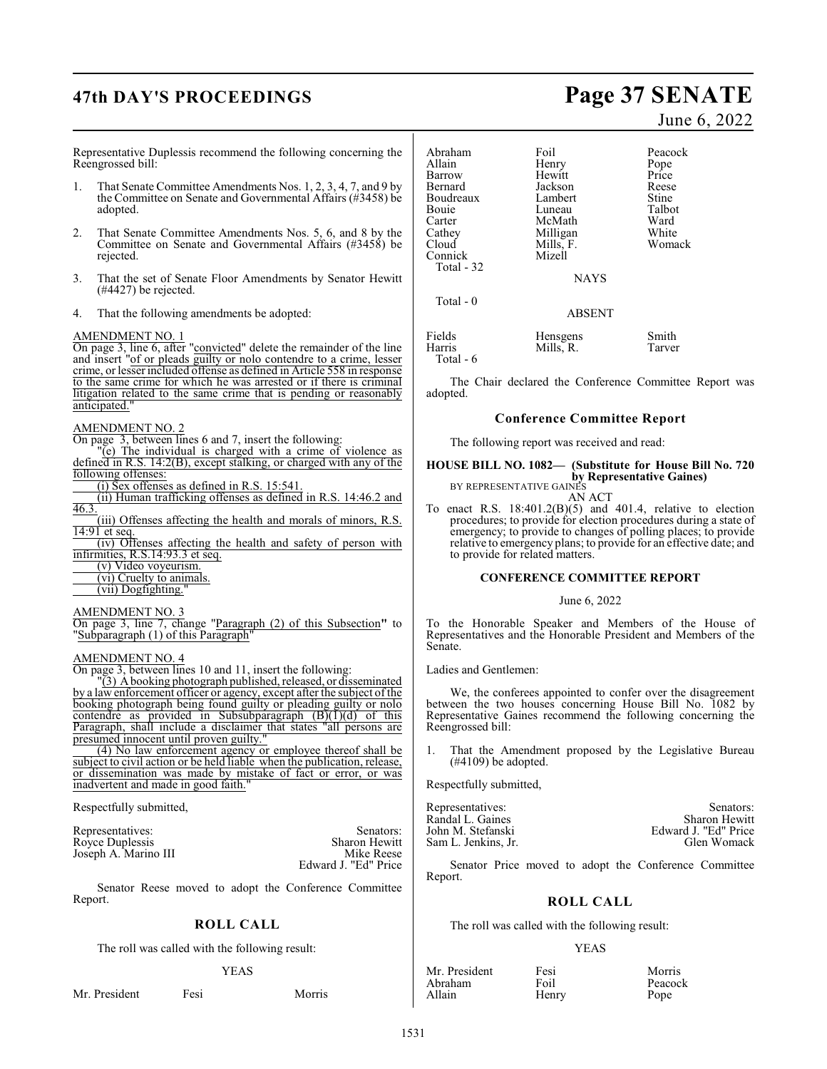# **47th DAY'S PROCEEDINGS Page 37 SENATE**

Representative Duplessis recommend the following concerning the Reengrossed bill:

- 1. That Senate Committee Amendments Nos. 1, 2, 3, 4, 7, and 9 by the Committee on Senate and Governmental Affairs (#3458) be adopted.
- 2. That Senate Committee Amendments Nos. 5, 6, and 8 by the Committee on Senate and Governmental Affairs (#3458) be rejected.
- 3. That the set of Senate Floor Amendments by Senator Hewitt (#4427) be rejected.
- 4. That the following amendments be adopted:

### AMENDMENT NO. 1

On page 3, line 6, after "convicted" delete the remainder of the line and insert "of or pleads guilty or nolo contendre to a crime, lesser crime, or lesser included offense as defined in Article 558 in response to the same crime for which he was arrested or if there is criminal litigation related to the same crime that is pending or reasonably anticipated."

### AMENDMENT NO. 2

On page 3, between lines 6 and 7, insert the following:

"(e) The individual is charged with a crime of violence as defined in R.S. 14:2(B), except stalking, or charged with any of the following offenses:

(i) Sex offenses as defined in R.S. 15:541.

(ii) Human trafficking offenses as defined in R.S. 14:46.2 and 46.3.

(iii) Offenses affecting the health and morals of minors, R.S. 14:91 et seq.

(iv) Offenses affecting the health and safety of person with infirmities, R.S.14:93.3 et seq.

(v) Video voyeurism.

- (vi) Cruelty to animals.
- (vii) Dogfighting.

### AMENDMENT NO. 3

On page 3, line 7, change "Paragraph (2) of this Subsection**"** to "Subparagraph (1) of this Paragraph"

### AMENDMENT NO. 4

On page 3, between lines 10 and 11, insert the following:

"(3) A booking photograph published, released, or disseminated by a law enforcement officer or agency, except after the subject of the booking photograph being found guilty or pleading guilty or nolo contendre as provided in Subsubparagraph  $(B)(1)(d)$  of this Paragraph, shall include a disclaimer that states "all persons are presumed innocent until proven guilty."

(4) No law enforcement agency or employee thereof shall be subject to civil action or be held liable when the publication, release, or dissemination was made by mistake of fact or error, or was inadvertent and made in good faith.

Respectfully submitted,

Joseph A. Marino III

Representatives: Senators: Senators: Senators: Senators: Senators: Senators: Senators: Sharon Hewitt Royce Duplessis<br>
Ioseph A Marino III Sharon Hewitt<br>
Mike Reese Edward J. "Ed" Price

Senator Reese moved to adopt the Conference Committee Report.

## **ROLL CALL**

The roll was called with the following result:

### YEAS

Mr. President Fesi Morris

### Abraham Foil Peacock<br>Allain Henry Pope Allain Henry Pope Barrow Hewitt Price Jackson Reese<br>Lambert Stine Boudreaux Lambert Stine<br>
Bouie Luneau Talbot Bouie Luneau Talbot Carter McMath Ward<br>Cathey Milligan White Cathey Milligan White<br>Cloud Mills. F. Womack Mills, F.<br>Mizell

**NAYS** 

ABSENT

| Fields    | Hensgens  | Smith  |
|-----------|-----------|--------|
| Harris    | Mills, R. | Tarver |
| Total - 6 |           |        |

The Chair declared the Conference Committee Report was adopted.

### **Conference Committee Report**

The following report was received and read:

### **HOUSE BILL NO. 1082— (Substitute for House Bill No. 720 by Representative Gaines)** BY REPRESENTATIVE GAINES

AN ACT

To enact R.S.  $18:401.2(B)(5)$  and  $401.4$ , relative to election procedures; to provide for election procedures during a state of emergency; to provide to changes of polling places; to provide relative to emergency plans; to provide for an effective date; and to provide for related matters.

### **CONFERENCE COMMITTEE REPORT**

### June 6, 2022

To the Honorable Speaker and Members of the House of Representatives and the Honorable President and Members of the Senate.

### Ladies and Gentlemen:

Connick Total - 32

Total - 0

We, the conferees appointed to confer over the disagreement between the two houses concerning House Bill No. 1082 by Representative Gaines recommend the following concerning the Reengrossed bill:

1. That the Amendment proposed by the Legislative Bureau  $(#4109)$  be adopted.

Respectfully submitted,

| Representatives:    | Senators:            |
|---------------------|----------------------|
| Randal L. Gaines    | <b>Sharon Hewitt</b> |
| John M. Stefanski   | Edward J. "Ed" Price |
| Sam L. Jenkins, Jr. | Glen Womack          |

Senator Price moved to adopt the Conference Committee Report.

### **ROLL CALL**

The roll was called with the following result:

### YEAS

| Mr. President | Fesi  | Morris  |
|---------------|-------|---------|
| Abraham       | Foil  | Peacock |
| Allain        | Henry | Pope    |

Pope

# June 6, 2022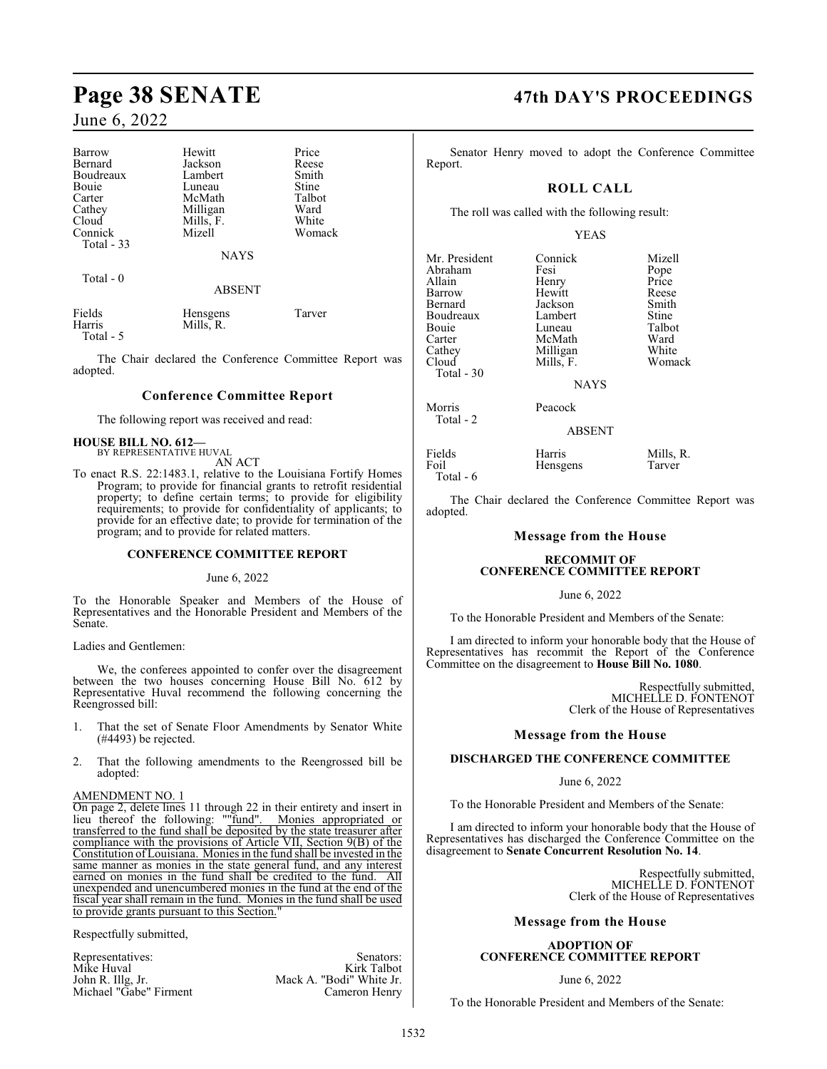| Barrow                        | Hewitt                | Price  |
|-------------------------------|-----------------------|--------|
| Bernard                       | Jackson               | Reese  |
| Boudreaux                     | Lambert               | Smith  |
| Bouie                         | Luneau                | Stine  |
| Carter                        | McMath                | Talbot |
| Cathey                        | Milligan              | Ward   |
| Cloud                         | Mills, F.             | White  |
| Connick                       | Mizell                | Womack |
| Total $-33$                   |                       |        |
|                               | <b>NAYS</b>           |        |
| Total $-0$                    |                       |        |
|                               | <b>ABSENT</b>         |        |
| Fields<br>Harris<br>Total - 5 | Hensgens<br>Mills, R. | Tarver |

The Chair declared the Conference Committee Report was adopted.

### **Conference Committee Report**

The following report was received and read:

### **HOUSE BILL NO. 612—** BY REPRESENTATIVE HUVAL

AN ACT

To enact R.S. 22:1483.1, relative to the Louisiana Fortify Homes Program; to provide for financial grants to retrofit residential property; to define certain terms; to provide for eligibility requirements; to provide for confidentiality of applicants; to provide for an effective date; to provide for termination of the program; and to provide for related matters.

### **CONFERENCE COMMITTEE REPORT**

June 6, 2022

To the Honorable Speaker and Members of the House of Representatives and the Honorable President and Members of the Senate.

Ladies and Gentlemen:

We, the conferees appointed to confer over the disagreement between the two houses concerning House Bill No. 612 by Representative Huval recommend the following concerning the Reengrossed bill:

- 1. That the set of Senate Floor Amendments by Senator White (#4493) be rejected.
- 2. That the following amendments to the Reengrossed bill be adopted:

### AMENDMENT NO. 1

On page 2, delete lines 11 through 22 in their entirety and insert in lieu thereof the following: ""fund". Monies appropriated or transferred to the fund shall be deposited by the state treasurer after compliance with the provisions of Article VII, Section 9(B) of the Constitution of Louisiana. Monies in the fund shall be invested in the same manner as monies in the state general fund, and any interest earned on monies in the fund shall be credited to the fund. unexpended and unencumbered monies in the fund at the end of the fiscal year shall remain in the fund. Monies in the fund shall be used to provide grants pursuant to this Section.

Respectfully submitted,

Representatives: Senators: Senators: Senators: Senators: Senators: Senators: Senators: Senators: Senators: Senators: Senators: Senators: Senators: Senators: Senators: Senators: Senators: Senators: Senators: Senators: Senat Mike Huval<br>John R. Illg, Jr. Mack A. "Bodi" White Jr.<br>Cameron Henry Michael "Gabe" Firment

## **Page 38 SENATE 47th DAY'S PROCEEDINGS**

Senator Henry moved to adopt the Conference Committee Report.

### **ROLL CALL**

The roll was called with the following result:

YEAS

| Mr. President<br>Abraham<br>Allain<br>Barrow<br>Bernard<br>Boudreaux<br><b>Bouje</b><br>Carter<br>Cathey<br>Cloud<br>Total $-30$ | Connick<br>Fesi<br>Henry<br>Hewitt<br>Jackson<br>Lambert<br>Luneau<br>McMath<br>Milligan<br>Mills, F.<br><b>NAYS</b> | Mizell<br>Pope<br>Price<br>Reese<br>Smith<br>Stine<br>Talbot<br>Ward<br>White<br>Womack |
|----------------------------------------------------------------------------------------------------------------------------------|----------------------------------------------------------------------------------------------------------------------|-----------------------------------------------------------------------------------------|
| Morris<br>Total - 2                                                                                                              | Peacock<br><b>ABSENT</b>                                                                                             |                                                                                         |
| Fields<br>Foil                                                                                                                   | Harris<br>Hensgens                                                                                                   | Mills, R.<br>Tarver                                                                     |

Total - 6

The Chair declared the Conference Committee Report was adopted.

### **Message from the House**

### **RECOMMIT OF CONFERENCE COMMITTEE REPORT**

### June 6, 2022

To the Honorable President and Members of the Senate:

I am directed to inform your honorable body that the House of Representatives has recommit the Report of the Conference Committee on the disagreement to **House Bill No. 1080**.

> Respectfully submitted, MICHELLE D. FONTENOT Clerk of the House of Representatives

### **Message from the House**

### **DISCHARGED THE CONFERENCE COMMITTEE**

### June 6, 2022

To the Honorable President and Members of the Senate:

I am directed to inform your honorable body that the House of Representatives has discharged the Conference Committee on the disagreement to **Senate Concurrent Resolution No. 14**.

> Respectfully submitted, MICHELLE D. FONTENOT Clerk of the House of Representatives

### **Message from the House**

### **ADOPTION OF CONFERENCE COMMITTEE REPORT**

June 6, 2022

To the Honorable President and Members of the Senate: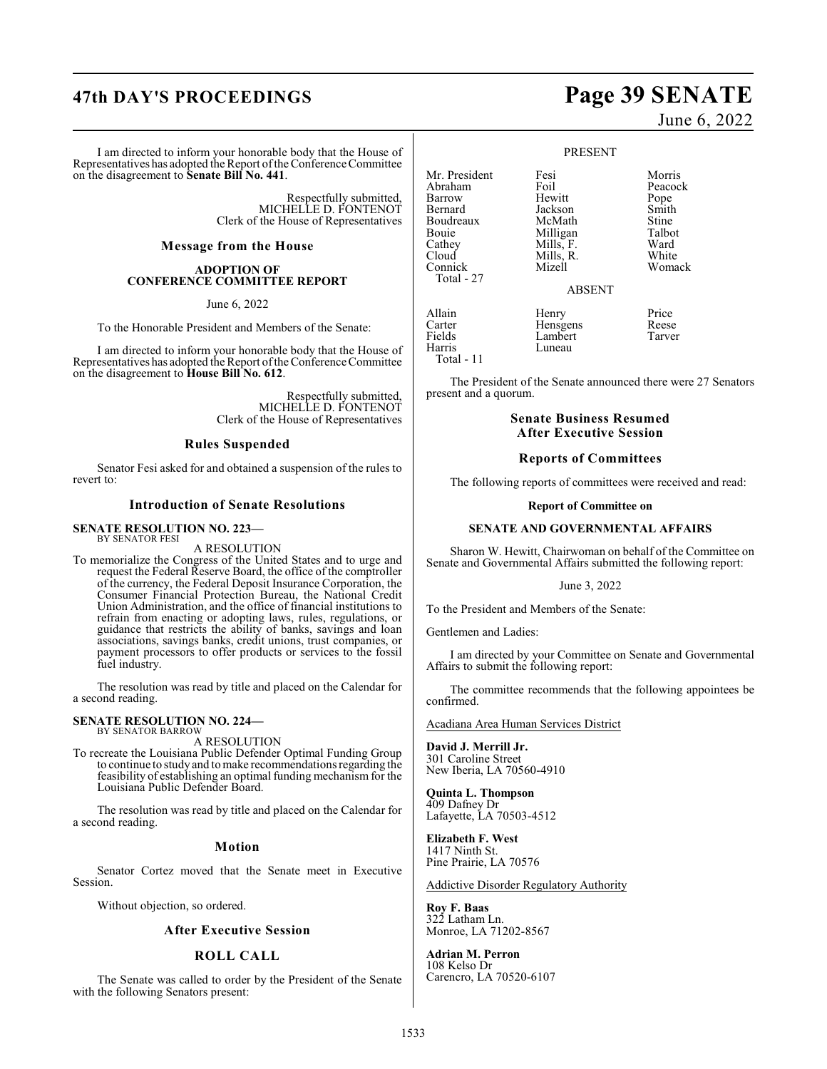# **47th DAY'S PROCEEDINGS Page 39 SENATE**

I am directed to inform your honorable body that the House of Representatives has adopted the Report of the Conference Committee on the disagreement to **Senate Bill No. 441**.

> Respectfully submitted, MICHELLE D. FONTENOT Clerk of the House of Representatives

### **Message from the House**

### **ADOPTION OF CONFERENCE COMMITTEE REPORT**

June 6, 2022

To the Honorable President and Members of the Senate:

I am directed to inform your honorable body that the House of Representatives has adopted the Report of the Conference Committee on the disagreement to **House Bill No. 612**.

> Respectfully submitted, MICHELLE D. FONTENOT Clerk of the House of Representatives

### **Rules Suspended**

Senator Fesi asked for and obtained a suspension of the rules to revert to:

### **Introduction of Senate Resolutions**

### **SENATE RESOLUTION NO. 223—** BY SENATOR FESI

A RESOLUTION

To memorialize the Congress of the United States and to urge and request the Federal Reserve Board, the office of the comptroller of the currency, the Federal Deposit Insurance Corporation, the Consumer Financial Protection Bureau, the National Credit Union Administration, and the office of financial institutions to refrain from enacting or adopting laws, rules, regulations, or guidance that restricts the ability of banks, savings and loan associations, savings banks, credit unions, trust companies, or payment processors to offer products or services to the fossil fuel industry.

The resolution was read by title and placed on the Calendar for a second reading.

### **SENATE RESOLUTION NO. 224—** BY SENATOR BARROW

A RESOLUTION

To recreate the Louisiana Public Defender Optimal Funding Group to continue to study and to make recommendations regarding the feasibility of establishing an optimal funding mechanism for the Louisiana Public Defender Board.

The resolution was read by title and placed on the Calendar for a second reading.

### **Motion**

Senator Cortez moved that the Senate meet in Executive Session.

Without objection, so ordered.

### **After Executive Session**

### **ROLL CALL**

The Senate was called to order by the President of the Senate with the following Senators present:

June 6, 2022

### PRESENT

Mr. President Fesi Norris<br>Abraham Foil Peacock Abraham Foil Peacock<br>Barrow Hewitt Pope Hewitt Pope<br>Jackson Smith Bernard Jackson Smith Boudreaux McMath Stine<br>Bouie Milligan Talbot Bouie 1988 Milligan Talbota<br>Cathey 1988 Mills, F. Ward Cathey Mills, F. Ward<br>Cloud Mills, R. White Cloud Mills, R.<br>Connick Mizell Total - 27 ABSENT Allain Henry Price<br>
Carter Hensgens Reese Carter Hensgens Reese Lambert<br>Luneau Harris Total - 11

Womack

The President of the Senate announced there were 27 Senators present and a quorum.

### **Senate Business Resumed After Executive Session**

### **Reports of Committees**

The following reports of committees were received and read:

### **Report of Committee on**

### **SENATE AND GOVERNMENTAL AFFAIRS**

Sharon W. Hewitt, Chairwoman on behalf of the Committee on Senate and Governmental Affairs submitted the following report:

June 3, 2022

To the President and Members of the Senate:

Gentlemen and Ladies:

I am directed by your Committee on Senate and Governmental Affairs to submit the following report:

The committee recommends that the following appointees be confirmed.

Acadiana Area Human Services District

**David J. Merrill Jr.** 301 Caroline Street New Iberia, LA 70560-4910

**Quinta L. Thompson** 409 Dafney Dr Lafayette, LA 70503-4512

**Elizabeth F. West** 1417 Ninth St. Pine Prairie, LA 70576

Addictive Disorder Regulatory Authority

**Roy F. Baas** 322 Latham Ln. Monroe, LA 71202-8567

**Adrian M. Perron** 108 Kelso Dr Carencro, LA 70520-6107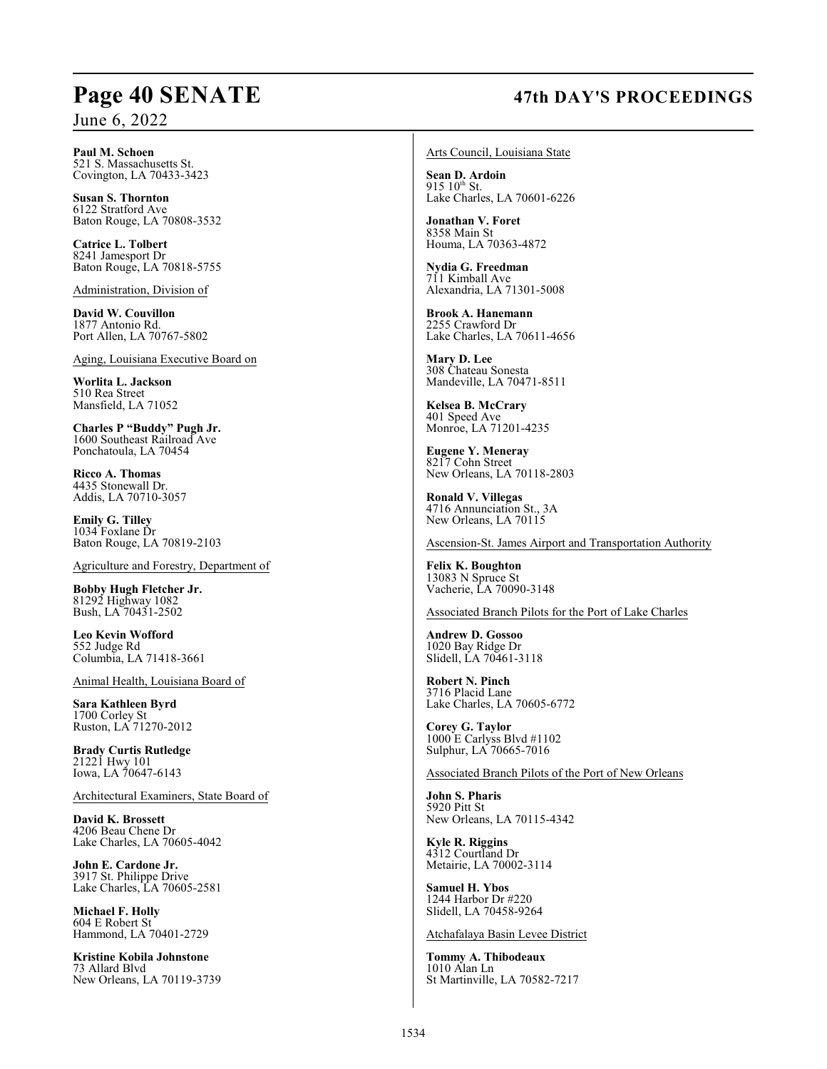# **Page 40 SENATE 47th DAY'S PROCEEDINGS**

**Paul M. Schoen** 521 S. Massachusetts St. Covington, LA 70433-3423

**Susan S. Thornton** 6122 Stratford Ave Baton Rouge, LA 70808-3532

**Catrice L. Tolbert** 8241 Jamesport Dr Baton Rouge, LA 70818-5755

Administration, Division of

**David W. Couvillon** 1877 Antonio Rd. Port Allen, LA 70767-5802

Aging, Louisiana Executive Board on

**Worlita L. Jackson** 510 Rea Street Mansfield, LA 71052

**Charles P "Buddy" Pugh Jr.** 1600 Southeast Railroad Ave Ponchatoula, LA 70454

**Ricco A. Thomas** 4435 Stonewall Dr. Addis, LA 70710-3057

**Emily G. Tilley** 1034 Foxlane Dr Baton Rouge, LA 70819-2103

Agriculture and Forestry, Department of

**Bobby Hugh Fletcher Jr.** 81292 Highway 1082 Bush, LA 70431-2502

**Leo Kevin Wofford** 552 Judge Rd Columbia, LA 71418-3661

Animal Health, Louisiana Board of

**Sara Kathleen Byrd** 1700 Corley St Ruston, LA 71270-2012

**Brady Curtis Rutledge** 21221 Hwy 101 Iowa, LA 70647-6143

Architectural Examiners, State Board of

**David K. Brossett** 4206 Beau Chene Dr Lake Charles, LA 70605-4042

**John E. Cardone Jr.** 3917 St. Philippe Drive Lake Charles, LA 70605-2581

**Michael F. Holly** 604 E Robert St Hammond, LA 70401-2729

**Kristine Kobila Johnstone** 73 Allard Blvd New Orleans, LA 70119-3739 Arts Council, Louisiana State

**Sean D. Ardoin**  $915 \frac{10^{th}}{35}$  St. Lake Charles, LA 70601-6226

**Jonathan V. Foret** 8358 Main St Houma, LA 70363-4872

**Nydia G. Freedman** 711 Kimball Ave Alexandria, LA 71301-5008

**Brook A. Hanemann** 2255 Crawford Dr Lake Charles, LA 70611-4656

**Mary D. Lee** 308 Chateau Sonesta Mandeville, LA 70471-8511

**Kelsea B. McCrary** 401 Speed Ave Monroe, LA 71201-4235

**Eugene Y. Meneray** 8217 Cohn Street New Orleans, LA 70118-2803

**Ronald V. Villegas** 4716 Annunciation St., 3A New Orleans, LA 70115

Ascension-St. James Airport and Transportation Authority

**Felix K. Boughton** 13083 N Spruce St Vacherie, LA 70090-3148

Associated Branch Pilots for the Port of Lake Charles

**Andrew D. Gossoo** 1020 Bay Ridge Dr Slidell, LA 70461-3118

**Robert N. Pinch** 3716 Placid Lane Lake Charles, LA 70605-6772

**Corey G. Taylor** 1000 E Carlyss Blvd #1102 Sulphur, LA 70665-7016

Associated Branch Pilots of the Port of New Orleans

**John S. Pharis** 5920 Pitt St New Orleans, LA 70115-4342

**Kyle R. Riggins** 4312 Courtland Dr Metairie, LA 70002-3114

**Samuel H. Ybos** 1244 Harbor Dr #220 Slidell, LA 70458-9264

Atchafalaya Basin Levee District

**Tommy A. Thibodeaux** 1010 Alan Ln St Martinville, LA 70582-7217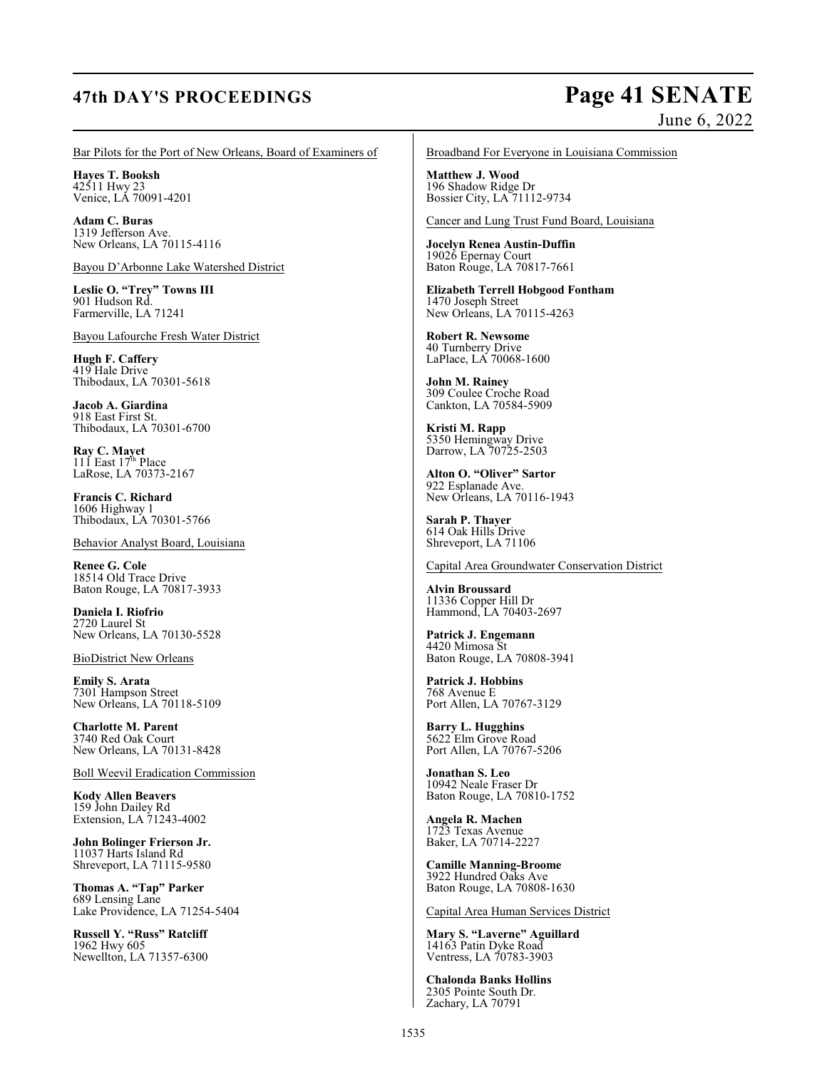# **47th DAY'S PROCEEDINGS Page 41 SENATE**

# June 6, 2022

Bar Pilots for the Port of New Orleans, Board of Examiners of

**Hayes T. Booksh** 42511 Hwy 23 Venice, LA 70091-4201

**Adam C. Buras** 1319 Jefferson Ave. New Orleans, LA 70115-4116

Bayou D'Arbonne Lake Watershed District

**Leslie O. "Trey" Towns III** 901 Hudson Rd. Farmerville, LA 71241

Bayou Lafourche Fresh Water District

**Hugh F. Caffery** 419 Hale Drive Thibodaux, LA 70301-5618

**Jacob A. Giardina** 918 East First St. Thibodaux, LA 70301-6700

**Ray C. Mayet**<br>111 East 17<sup>th</sup> Place LaRose, LA 70373-2167

**Francis C. Richard** 1606 Highway 1 Thibodaux, LA 70301-5766

Behavior Analyst Board, Louisiana

**Renee G. Cole** 18514 Old Trace Drive Baton Rouge, LA 70817-3933

**Daniela I. Riofrio** 2720 Laurel St New Orleans, LA 70130-5528

BioDistrict New Orleans

**Emily S. Arata** 7301 Hampson Street New Orleans, LA 70118-5109

**Charlotte M. Parent** 3740 Red Oak Court New Orleans, LA 70131-8428

Boll Weevil Eradication Commission

**Kody Allen Beavers** 159 John Dailey Rd Extension, LA 71243-4002

**John Bolinger Frierson Jr.** 11037 Harts Island Rd Shreveport, LA 71115-9580

**Thomas A. "Tap" Parker** 689 Lensing Lane Lake Providence, LA 71254-5404

**Russell Y. "Russ" Ratcliff** 1962 Hwy 605 Newellton, LA 71357-6300 Broadband For Everyone in Louisiana Commission

**Matthew J. Wood** 196 Shadow Ridge Dr Bossier City, LA 71112-9734

Cancer and Lung Trust Fund Board, Louisiana

**Jocelyn Renea Austin-Duffin** 19026 Epernay Court Baton Rouge, LA 70817-7661

**Elizabeth Terrell Hobgood Fontham** 1470 Joseph Street New Orleans, LA 70115-4263

**Robert R. Newsome** 40 Turnberry Drive LaPlace, LA 70068-1600

**John M. Rainey** 309 Coulee Croche Road Cankton, LA 70584-5909

**Kristi M. Rapp** 5350 Hemingway Drive Darrow, LA 70725-2503

**Alton O. "Oliver" Sartor** 922 Esplanade Ave. New Orleans, LA 70116-1943

**Sarah P. Thayer** 614 Oak Hills Drive Shreveport, LA 71106

Capital Area Groundwater Conservation District

**Alvin Broussard** 11336 Copper Hill Dr Hammond, LA 70403-2697

**Patrick J. Engemann** 4420 Mimosa St Baton Rouge, LA 70808-3941

**Patrick J. Hobbins** 768 Avenue E Port Allen, LA 70767-3129

**Barry L. Hugghins** 5622 Elm Grove Road Port Allen, LA 70767-5206

**Jonathan S. Leo** 10942 Neale Fraser Dr Baton Rouge, LA 70810-1752

**Angela R. Machen** 1723 Texas Avenue Baker, LA 70714-2227

**Camille Manning-Broome** 3922 Hundred Oaks Ave Baton Rouge, LA 70808-1630

Capital Area Human Services District

**Mary S. "Laverne" Aguillard** 14163 Patin Dyke Road Ventress, LA 70783-3903

**Chalonda Banks Hollins** 2305 Pointe South Dr. Zachary, LA 70791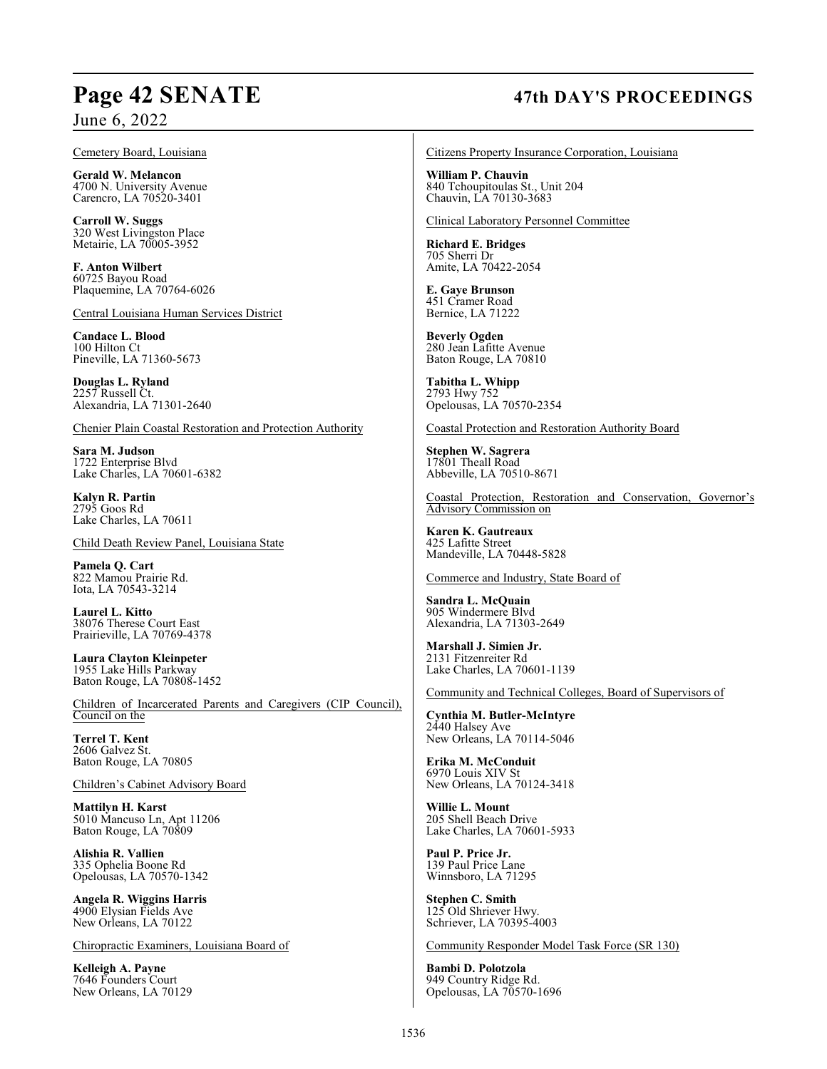### Cemetery Board, Louisiana

**Gerald W. Melancon** 4700 N. University Avenue Carencro, LA 70520-3401

**Carroll W. Suggs** 320 West Livingston Place Metairie, LA 70005-3952

**F. Anton Wilbert** 60725 Bayou Road Plaquemine, LA 70764-6026

Central Louisiana Human Services District

**Candace L. Blood** 100 Hilton Ct Pineville, LA 71360-5673

**Douglas L. Ryland** 2257 Russell Ct. Alexandria, LA 71301-2640

Chenier Plain Coastal Restoration and Protection Authority

**Sara M. Judson** 1722 Enterprise Blvd Lake Charles, LA 70601-6382

**Kalyn R. Partin** 2795 Goos Rd Lake Charles, LA 70611

Child Death Review Panel, Louisiana State

**Pamela Q. Cart** 822 Mamou Prairie Rd. Iota, LA 70543-3214

**Laurel L. Kitto** 38076 Therese Court East Prairieville, LA 70769-4378

**Laura Clayton Kleinpeter** 1955 Lake Hills Parkway Baton Rouge, LA 70808-1452

Children of Incarcerated Parents and Caregivers (CIP Council), Council on the

**Terrel T. Kent** 2606 Galvez St. Baton Rouge, LA 70805

Children's Cabinet Advisory Board

**Mattilyn H. Karst** 5010 Mancuso Ln, Apt 11206 Baton Rouge, LA 70809

**Alishia R. Vallien** 335 Ophelia Boone Rd Opelousas, LA 70570-1342

**Angela R. Wiggins Harris** 4900 Elysian Fields Ave New Orleans, LA 70122

Chiropractic Examiners, Louisiana Board of

**Kelleigh A. Payne** 7646 Founders Court New Orleans, LA 70129

# **Page 42 SENATE 47th DAY'S PROCEEDINGS**

Citizens Property Insurance Corporation, Louisiana

**William P. Chauvin** 840 Tchoupitoulas St., Unit 204 Chauvin, LA 70130-3683

Clinical Laboratory Personnel Committee

**Richard E. Bridges** 705 Sherri Dr Amite, LA 70422-2054

**E. Gaye Brunson** 451 Cramer Road Bernice, LA 71222

**Beverly Ogden** 280 Jean Lafitte Avenue Baton Rouge, LA 70810

**Tabitha L. Whipp** 2793 Hwy 752 Opelousas, LA 70570-2354

Coastal Protection and Restoration Authority Board

**Stephen W. Sagrera** 17801 Theall Road Abbeville, LA 70510-8671

Coastal Protection, Restoration and Conservation, Governor's Advisory Commission on

**Karen K. Gautreaux** 425 Lafitte Street Mandeville, LA 70448-5828

Commerce and Industry, State Board of

**Sandra L. McQuain** 905 Windermere Blvd Alexandria, LA 71303-2649

**Marshall J. Simien Jr.** 2131 Fitzenreiter Rd Lake Charles, LA 70601-1139

Community and Technical Colleges, Board of Supervisors of

**Cynthia M. Butler-McIntyre** 2440 Halsey Ave New Orleans, LA 70114-5046

**Erika M. McConduit** 6970 Louis XIV St New Orleans, LA 70124-3418

**Willie L. Mount** 205 Shell Beach Drive Lake Charles, LA 70601-5933

**Paul P. Price Jr.** 139 Paul Price Lane Winnsboro, LA 71295

**Stephen C. Smith** 125 Old Shriever Hwy. Schriever, LA 70395-4003

Community Responder Model Task Force (SR 130)

**Bambi D. Polotzola** 949 Country Ridge Rd. Opelousas, LA 70570-1696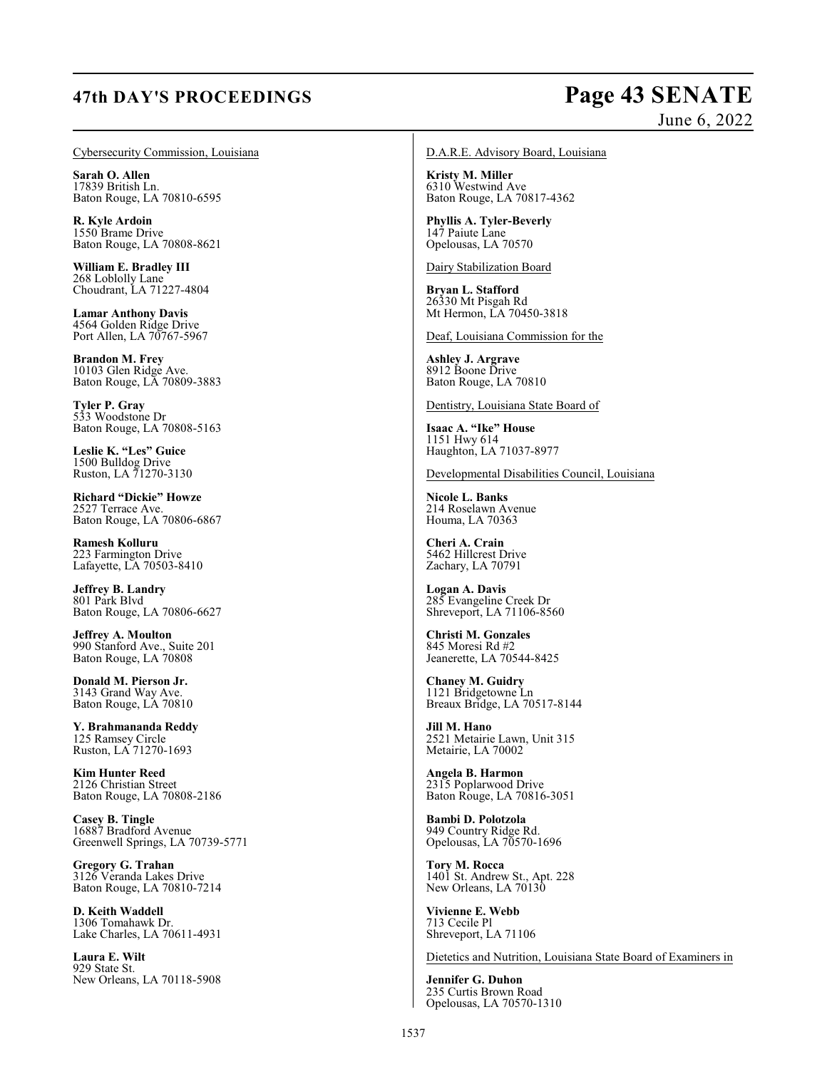# **47th DAY'S PROCEEDINGS Page 43 SENATE**

# June 6, 2022

Cybersecurity Commission, Louisiana

**Sarah O. Allen** 17839 British Ln. Baton Rouge, LA 70810-6595

**R. Kyle Ardoin** 1550 Brame Drive Baton Rouge, LA 70808-8621

**William E. Bradley III** 268 Loblolly Lane Choudrant, LA 71227-4804

**Lamar Anthony Davis** 4564 Golden Ridge Drive Port Allen, LA 70767-5967

**Brandon M. Frey** 10103 Glen Ridge Ave. Baton Rouge, LA 70809-3883

**Tyler P. Gray** 533 Woodstone Dr Baton Rouge, LA 70808-5163

**Leslie K. "Les" Guice** 1500 Bulldog Drive Ruston, LA 71270-3130

**Richard "Dickie" Howze** 2527 Terrace Ave. Baton Rouge, LA 70806-6867

**Ramesh Kolluru** 223 Farmington Drive Lafayette, LA 70503-8410

**Jeffrey B. Landry** 801 Park Blvd Baton Rouge, LA 70806-6627

**Jeffrey A. Moulton** 990 Stanford Ave., Suite 201 Baton Rouge, LA 70808

**Donald M. Pierson Jr.** 3143 Grand Way Ave. Baton Rouge, LA 70810

**Y. Brahmananda Reddy** 125 Ramsey Circle Ruston, LA 71270-1693

**Kim Hunter Reed** 2126 Christian Street Baton Rouge, LA 70808-2186

**Casey B. Tingle** 16887 Bradford Avenue Greenwell Springs, LA 70739-5771

**Gregory G. Trahan** 3126 Veranda Lakes Drive Baton Rouge, LA 70810-7214

**D. Keith Waddell** 1306 Tomahawk Dr. Lake Charles, LA 70611-4931

**Laura E. Wilt** 929 State St. New Orleans, LA 70118-5908

### D.A.R.E. Advisory Board, Louisiana

**Kristy M. Miller** 6310 Westwind Ave Baton Rouge, LA 70817-4362

**Phyllis A. Tyler-Beverly** 147 Paiute Lane Opelousas, LA 70570

Dairy Stabilization Board

**Bryan L. Stafford** 26330 Mt Pisgah Rd Mt Hermon, LA 70450-3818

Deaf, Louisiana Commission for the

**Ashley J. Argrave** 8912 Boone Drive Baton Rouge, LA 70810

Dentistry, Louisiana State Board of

**Isaac A. "Ike" House** 1151 Hwy 614 Haughton, LA 71037-8977

Developmental Disabilities Council, Louisiana

**Nicole L. Banks** 214 Roselawn Avenue Houma, LA 70363

**Cheri A. Crain** 5462 Hillcrest Drive Zachary, LA 70791

**Logan A. Davis** 285 Evangeline Creek Dr Shreveport, LA 71106-8560

**Christi M. Gonzales** 845 Moresi Rd #2 Jeanerette, LA 70544-8425

**Chaney M. Guidry** 1121 Bridgetowne Ln Breaux Bridge, LA 70517-8144

**Jill M. Hano** 2521 Metairie Lawn, Unit 315 Metairie, LA 70002

**Angela B. Harmon** 2315 Poplarwood Drive Baton Rouge, LA 70816-3051

**Bambi D. Polotzola** 949 Country Ridge Rd. Opelousas, LA 70570-1696

**Tory M. Rocca** 1401 St. Andrew St., Apt. 228 New Orleans, LA 70130

**Vivienne E. Webb** 713 Cecile Pl Shreveport, LA 71106

Dietetics and Nutrition, Louisiana State Board of Examiners in

**Jennifer G. Duhon** 235 Curtis Brown Road Opelousas, LA 70570-1310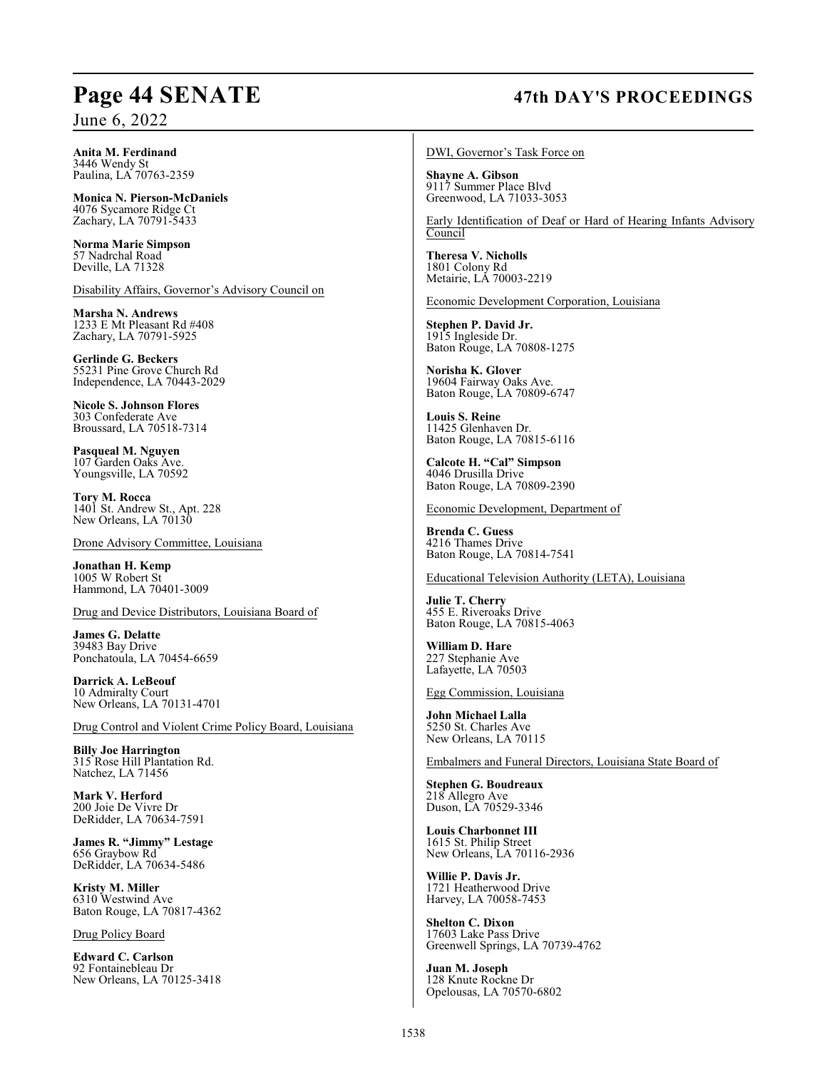# **Page 44 SENATE 47th DAY'S PROCEEDINGS**

**Anita M. Ferdinand** 3446 Wendy St Paulina, LA 70763-2359

**Monica N. Pierson-McDaniels** 4076 Sycamore Ridge Ct Zachary, LA 70791-5433

**Norma Marie Simpson** 57 Nadrchal Road Deville, LA 71328

Disability Affairs, Governor's Advisory Council on

**Marsha N. Andrews** 1233 E Mt Pleasant Rd #408 Zachary, LA 70791-5925

**Gerlinde G. Beckers** 55231 Pine Grove Church Rd Independence, LA 70443-2029

**Nicole S. Johnson Flores** 303 Confederate Ave Broussard, LA 70518-7314

**Pasqueal M. Nguyen** 107 Garden Oaks Ave. Youngsville, LA 70592

**Tory M. Rocca** 1401 St. Andrew St., Apt. 228 New Orleans, LA 70130

Drone Advisory Committee, Louisiana

**Jonathan H. Kemp** 1005 W Robert St Hammond, LA 70401-3009

Drug and Device Distributors, Louisiana Board of

**James G. Delatte** 39483 Bay Drive Ponchatoula, LA 70454-6659

**Darrick A. LeBeouf** 10 Admiralty Court New Orleans, LA 70131-4701

Drug Control and Violent Crime Policy Board, Louisiana

**Billy Joe Harrington** 315 Rose Hill Plantation Rd. Natchez, LA 71456

**Mark V. Herford** 200 Joie De Vivre Dr DeRidder, LA 70634-7591

**James R. "Jimmy" Lestage** 656 Graybow Rd DeRidder, LA 70634-5486

**Kristy M. Miller** 6310 Westwind Ave Baton Rouge, LA 70817-4362

Drug Policy Board

**Edward C. Carlson** 92 Fontainebleau Dr New Orleans, LA 70125-3418 DWI, Governor's Task Force on

**Shayne A. Gibson** 9117 Summer Place Blvd Greenwood, LA 71033-3053

Early Identification of Deaf or Hard of Hearing Infants Advisory Council

**Theresa V. Nicholls** 1801 Colony Rd Metairie, LA 70003-2219

Economic Development Corporation, Louisiana

**Stephen P. David Jr.** 1915 Ingleside Dr. Baton Rouge, LA 70808-1275

**Norisha K. Glover** 19604 Fairway Oaks Ave. Baton Rouge, LA 70809-6747

**Louis S. Reine** 11425 Glenhaven Dr. Baton Rouge, LA 70815-6116

**Calcote H. "Cal" Simpson** 4046 Drusilla Drive Baton Rouge, LA 70809-2390

Economic Development, Department of

**Brenda C. Guess** 4216 Thames Drive Baton Rouge, LA 70814-7541

Educational Television Authority (LETA), Louisiana

**Julie T. Cherry** 455 E. Riveroaks Drive Baton Rouge, LA 70815-4063

**William D. Hare** 227 Stephanie Ave Lafayette, LA 70503

Egg Commission, Louisiana

**John Michael Lalla** 5250 St. Charles Ave New Orleans, LA 70115

Embalmers and Funeral Directors, Louisiana State Board of

**Stephen G. Boudreaux** 218 Allegro Ave Duson, LA 70529-3346

**Louis Charbonnet III** 1615 St. Philip Street New Orleans, LA 70116-2936

**Willie P. Davis Jr.** 1721 Heatherwood Drive Harvey, LA 70058-7453

**Shelton C. Dixon** 17603 Lake Pass Drive Greenwell Springs, LA 70739-4762

**Juan M. Joseph** 128 Knute Rockne Dr Opelousas, LA 70570-6802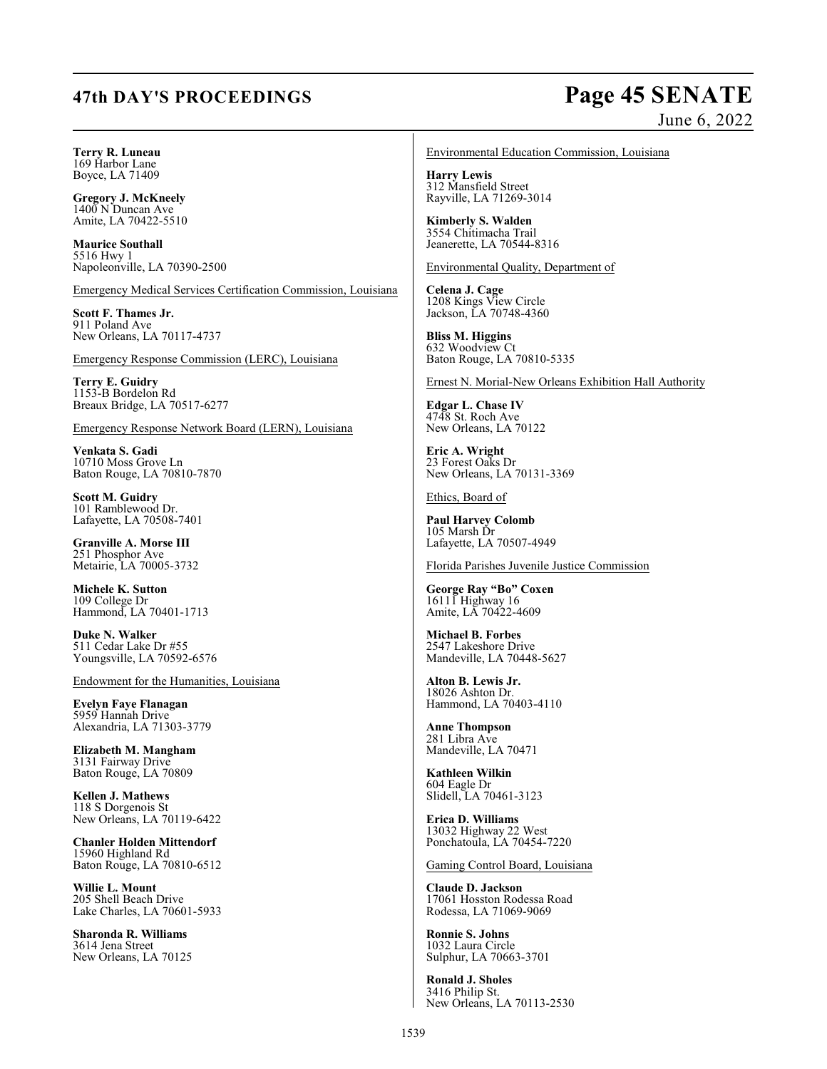# **47th DAY'S PROCEEDINGS Page 45 SENATE**

# June 6, 2022

## **Terry R. Luneau**

169 Harbor Lane Boyce, LA 71409

**Gregory J. McKneely**  $1400$  N Duncan Ave Amite, LA 70422-5510

**Maurice Southall** 5516 Hwy 1 Napoleonville, LA 70390-2500

Emergency Medical Services Certification Commission, Louisiana

**Scott F. Thames Jr.** 911 Poland Ave New Orleans, LA 70117-4737

Emergency Response Commission (LERC), Louisiana

**Terry E. Guidry** 1153-B Bordelon Rd Breaux Bridge, LA 70517-6277

Emergency Response Network Board (LERN), Louisiana

**Venkata S. Gadi** 10710 Moss Grove Ln Baton Rouge, LA 70810-7870

**Scott M. Guidry** 101 Ramblewood Dr. Lafayette, LA 70508-7401

**Granville A. Morse III** 251 Phosphor Ave Metairie, LA 70005-3732

**Michele K. Sutton** 109 College Dr Hammond, LA 70401-1713

**Duke N. Walker** 511 Cedar Lake Dr #55 Youngsville, LA 70592-6576

Endowment for the Humanities, Louisiana

**Evelyn Faye Flanagan** 5959 Hannah Drive Alexandria, LA 71303-3779

**Elizabeth M. Mangham** 3131 Fairway Drive Baton Rouge, LA 70809

**Kellen J. Mathews** 118 S Dorgenois St New Orleans, LA 70119-6422

**Chanler Holden Mittendorf** 15960 Highland Rd Baton Rouge, LA 70810-6512

**Willie L. Mount** 205 Shell Beach Drive Lake Charles, LA 70601-5933

**Sharonda R. Williams** 3614 Jena Street New Orleans, LA 70125

### Environmental Education Commission, Louisiana

**Harry Lewis** 312 Mansfield Street Rayville, LA 71269-3014

**Kimberly S. Walden** 3554 Chitimacha Trail Jeanerette, LA 70544-8316

Environmental Quality, Department of

**Celena J. Cage** 1208 Kings View Circle Jackson, LA 70748-4360

**Bliss M. Higgins** 632 Woodview Ct Baton Rouge, LA 70810-5335

Ernest N. Morial-New Orleans Exhibition Hall Authority

**Edgar L. Chase IV** 4748 St. Roch Ave New Orleans, LA 70122

**Eric A. Wright** 23 Forest Oaks Dr New Orleans, LA 70131-3369

Ethics, Board of

**Paul Harvey Colomb** 105 Marsh Dr Lafayette, LA 70507-4949

Florida Parishes Juvenile Justice Commission

**George Ray "Bo" Coxen** 16111 Highway 16 Amite, LA 70422-4609

**Michael B. Forbes** 2547 Lakeshore Drive Mandeville, LA 70448-5627

**Alton B. Lewis Jr.** 18026 Ashton Dr. Hammond, LA 70403-4110

**Anne Thompson** 281 Libra Ave Mandeville, LA 70471

**Kathleen Wilkin** 604 Eagle Dr Slidell, LA 70461-3123

**Erica D. Williams** 13032 Highway 22 West Ponchatoula, LA 70454-7220

Gaming Control Board, Louisiana

**Claude D. Jackson** 17061 Hosston Rodessa Road Rodessa, LA 71069-9069

**Ronnie S. Johns** 1032 Laura Circle Sulphur, LA 70663-3701

**Ronald J. Sholes** 3416 Philip St. New Orleans, LA 70113-2530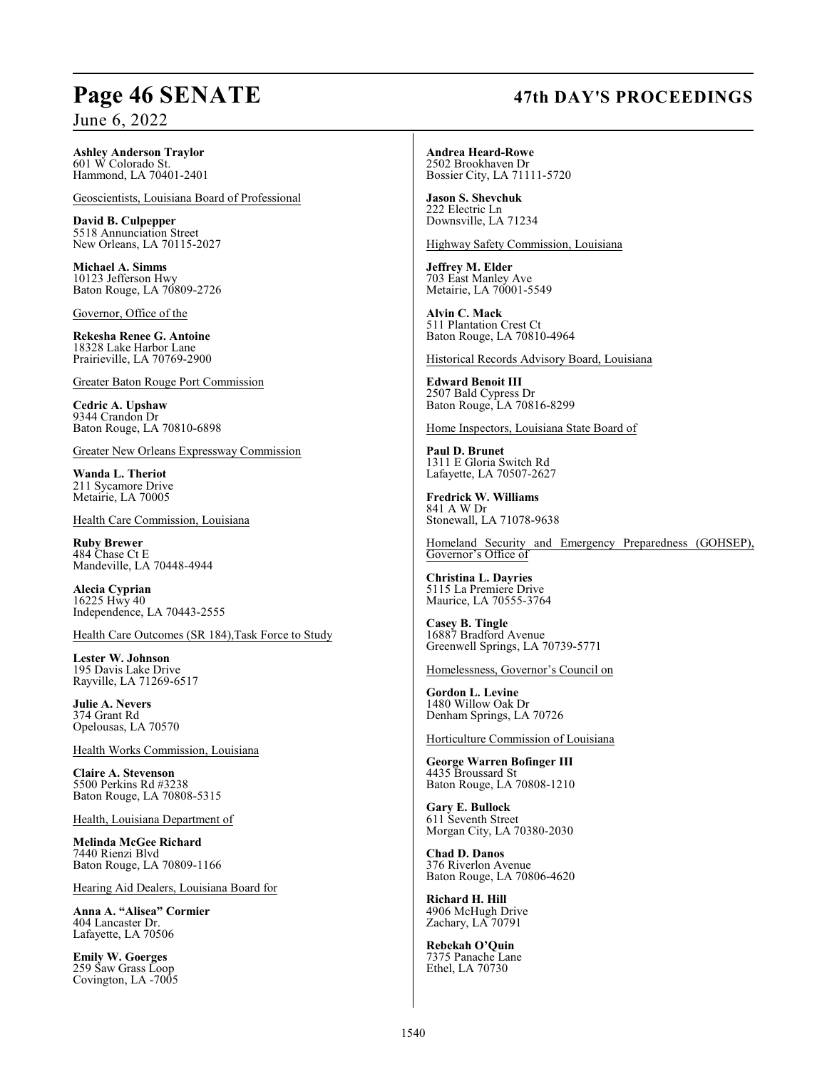### **Ashley Anderson Traylor** 601 W Colorado St. Hammond, LA 70401-2401

Geoscientists, Louisiana Board of Professional

**David B. Culpepper** 5518 Annunciation Street New Orleans, LA 70115-2027

**Michael A. Simms** 10123 Jefferson Hwy Baton Rouge, LA 70809-2726

Governor, Office of the

**Rekesha Renee G. Antoine** 18328 Lake Harbor Lane Prairieville, LA 70769-2900

Greater Baton Rouge Port Commission

**Cedric A. Upshaw** 9344 Crandon Dr Baton Rouge, LA 70810-6898

Greater New Orleans Expressway Commission

**Wanda L. Theriot** 211 Sycamore Drive Metairie, LA 70005

Health Care Commission, Louisiana

**Ruby Brewer** 484 Chase Ct E Mandeville, LA 70448-4944

**Alecia Cyprian** 16225 Hwy 40 Independence, LA 70443-2555

Health Care Outcomes (SR 184),Task Force to Study

**Lester W. Johnson** 195 Davis Lake Drive Rayville, LA 71269-6517

**Julie A. Nevers** 374 Grant Rd Opelousas, LA 70570

Health Works Commission, Louisiana

**Claire A. Stevenson** 5500 Perkins Rd #3238 Baton Rouge, LA 70808-5315

Health, Louisiana Department of

**Melinda McGee Richard** 7440 Rienzi Blvd Baton Rouge, LA 70809-1166

Hearing Aid Dealers, Louisiana Board for

**Anna A. "Alisea" Cormier** 404 Lancaster Dr. Lafayette, LA 70506

**Emily W. Goerges** 259 Saw Grass Loop Covington, LA -7005 **Andrea Heard-Rowe** 2502 Brookhaven Dr Bossier City, LA 71111-5720

**Jason S. Shevchuk** 222 Electric Ln Downsville, LA 71234

Highway Safety Commission, Louisiana

**Jeffrey M. Elder** 703 East Manley Ave Metairie, LA 70001-5549

**Alvin C. Mack** 511 Plantation Crest Ct Baton Rouge, LA 70810-4964

Historical Records Advisory Board, Louisiana

**Edward Benoit III** 2507 Bald Cypress Dr Baton Rouge, LA 70816-8299

Home Inspectors, Louisiana State Board of

**Paul D. Brunet** 1311 E Gloria Switch Rd Lafayette, LA 70507-2627

**Fredrick W. Williams** 841 A W Dr Stonewall, LA 71078-9638

Homeland Security and Emergency Preparedness (GOHSEP), Governor's Office of

**Christina L. Dayries** 5115 La Premiere Drive Maurice, LA 70555-3764

**Casey B. Tingle** 16887 Bradford Avenue Greenwell Springs, LA 70739-5771

Homelessness, Governor's Council on

**Gordon L. Levine** 1480 Willow Oak Dr Denham Springs, LA 70726

Horticulture Commission of Louisiana

**George Warren Bofinger III** 4435 Broussard St Baton Rouge, LA 70808-1210

**Gary E. Bullock** 611 Seventh Street Morgan City, LA 70380-2030

**Chad D. Danos** 376 Riverlon Avenue Baton Rouge, LA 70806-4620

**Richard H. Hill** 4906 McHugh Drive Zachary, LA 70791

**Rebekah O'Quin** 7375 Panache Lane Ethel, LA 70730

### 1540

# **Page 46 SENATE 47th DAY'S PROCEEDINGS**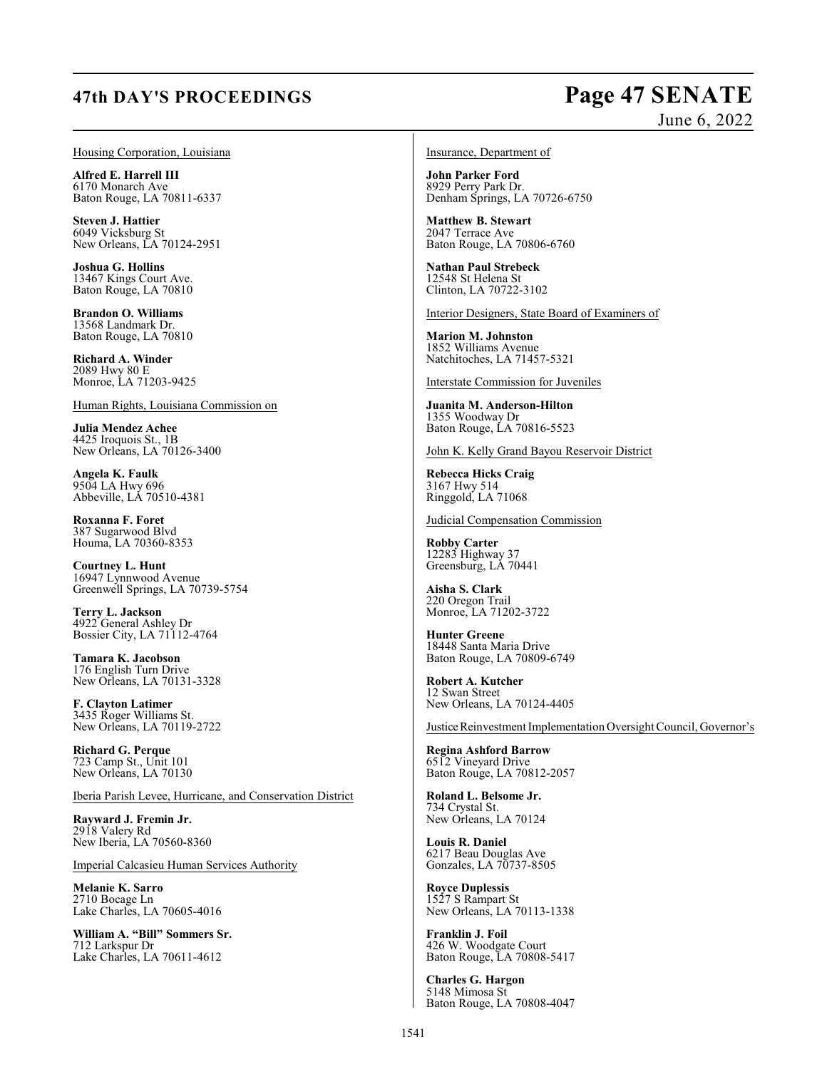# **47th DAY'S PROCEEDINGS Page 47 SENATE**

# June 6, 2022

### Housing Corporation, Louisiana

**Alfred E. Harrell III** 6170 Monarch Ave Baton Rouge, LA 70811-6337

**Steven J. Hattier** 6049 Vicksburg St New Orleans, LA 70124-2951

**Joshua G. Hollins** 13467 Kings Court Ave. Baton Rouge, LA 70810

**Brandon O. Williams** 13568 Landmark Dr. Baton Rouge, LA 70810

**Richard A. Winder** 2089 Hwy 80 E Monroe, LA 71203-9425

Human Rights, Louisiana Commission on

**Julia Mendez Achee** 4425 Iroquois St., 1B New Orleans, LA 70126-3400

**Angela K. Faulk** 9504 LA Hwy 696 Abbeville, LA 70510-4381

**Roxanna F. Foret** 387 Sugarwood Blvd Houma, LA 70360-8353

**Courtney L. Hunt** 16947 Lynnwood Avenue Greenwell Springs, LA 70739-5754

**Terry L. Jackson** 4922 General Ashley Dr Bossier City, LA 71112-4764

**Tamara K. Jacobson** 176 English Turn Drive New Orleans, LA 70131-3328

**F. Clayton Latimer** 3435 Roger Williams St. New Orleans, LA 70119-2722

**Richard G. Perque** 723 Camp St., Unit 101 New Orleans, LA 70130

Iberia Parish Levee, Hurricane, and Conservation District

**Rayward J. Fremin Jr.** 2918 Valery Rd New Iberia, LA 70560-8360

Imperial Calcasieu Human Services Authority

**Melanie K. Sarro** 2710 Bocage Ln Lake Charles, LA 70605-4016

**William A. "Bill" Sommers Sr.** 712 Larkspur Dr Lake Charles, LA 70611-4612

Insurance, Department of

**John Parker Ford** 8929 Perry Park Dr. Denham Springs, LA 70726-6750

**Matthew B. Stewart** 2047 Terrace Ave Baton Rouge, LA 70806-6760

**Nathan Paul Strebeck** 12548 St Helena St Clinton, LA 70722-3102

Interior Designers, State Board of Examiners of

**Marion M. Johnston** 1852 Williams Avenue Natchitoches, LA 71457-5321

Interstate Commission for Juveniles

**Juanita M. Anderson-Hilton** 1355 Woodway Dr Baton Rouge, LA 70816-5523

John K. Kelly Grand Bayou Reservoir District

**Rebecca Hicks Craig** 3167 Hwy 514 Ringgold, LA 71068

Judicial Compensation Commission

**Robby Carter** 12283 Highway 37 Greensburg, LA 70441

**Aisha S. Clark** 220 Oregon Trail Monroe, LA 71202-3722

**Hunter Greene** 18448 Santa Maria Drive Baton Rouge, LA 70809-6749

**Robert A. Kutcher** 12 Swan Street New Orleans, LA 70124-4405

Justice Reinvestment Implementation Oversight Council, Governor's

**Regina Ashford Barrow** 6512 Vineyard Drive Baton Rouge, LA 70812-2057

**Roland L. Belsome Jr.** 734 Crystal St. New Orleans, LA 70124

**Louis R. Daniel** 6217 Beau Douglas Ave Gonzales, LA 70737-8505

**Royce Duplessis** 1527 S Rampart St New Orleans, LA 70113-1338

**Franklin J. Foil** 426 W. Woodgate Court Baton Rouge, LA 70808-5417

**Charles G. Hargon** 5148 Mimosa St Baton Rouge, LA 70808-4047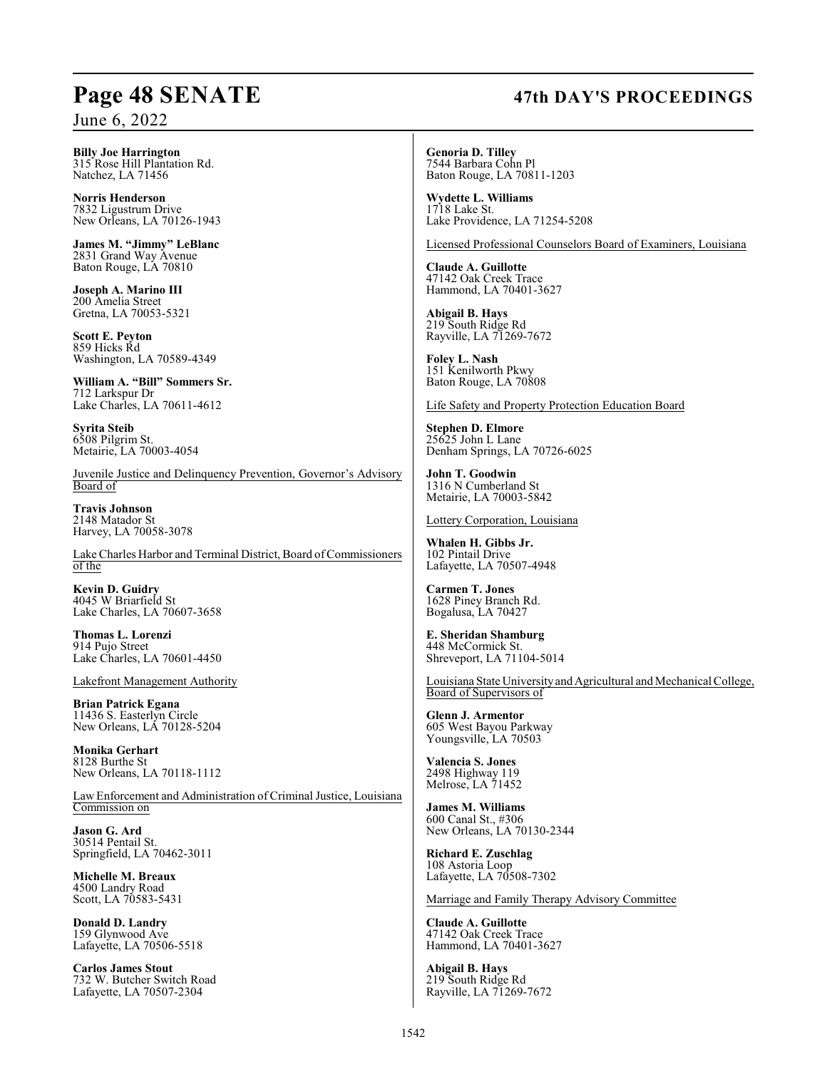### **Billy Joe Harrington** 315 Rose Hill Plantation Rd. Natchez, LA 71456

**Norris Henderson** 7832 Ligustrum Drive New Orleans, LA 70126-1943

**James M. "Jimmy" LeBlanc** 2831 Grand Way Avenue Baton Rouge, LA 70810

**Joseph A. Marino III** 200 Amelia Street Gretna, LA 70053-5321

**Scott E. Peyton** 859 Hicks Rd Washington, LA 70589-4349

**William A. "Bill" Sommers Sr.** 712 Larkspur Dr Lake Charles, LA 70611-4612

**Syrita Steib** 6508 Pilgrim St. Metairie, LA 70003-4054

Juvenile Justice and Delinquency Prevention, Governor's Advisory Board of

**Travis Johnson** 2148 Matador St Harvey, LA 70058-3078

Lake Charles Harbor and Terminal District, Board of Commissioners of the

**Kevin D. Guidry** 4045 W Briarfield St Lake Charles, LA 70607-3658

**Thomas L. Lorenzi** 914 Pujo Street Lake Charles, LA 70601-4450

Lakefront Management Authority

**Brian Patrick Egana** 11436 S. Easterlyn Circle New Orleans, LA 70128-5204

**Monika Gerhart** 8128 Burthe St New Orleans, LA 70118-1112

Law Enforcement and Administration of Criminal Justice, Louisiana Commission on

**Jason G. Ard** 30514 Pentail St. Springfield, LA 70462-3011

**Michelle M. Breaux** 4500 Landry Road Scott, LA 70583-5431

**Donald D. Landry** 159 Glynwood Ave Lafayette, LA 70506-5518

**Carlos James Stout** 732 W. Butcher Switch Road Lafayette, LA 70507-2304

# **Page 48 SENATE 47th DAY'S PROCEEDINGS**

**Genoria D. Tilley** 7544 Barbara Cohn Pl Baton Rouge, LA 70811-1203

**Wydette L. Williams** 1718 Lake St. Lake Providence, LA 71254-5208

Licensed Professional Counselors Board of Examiners, Louisiana

**Claude A. Guillotte** 47142 Oak Creek Trace Hammond, LA 70401-3627

**Abigail B. Hays** 219 South Ridge Rd Rayville, LA 71269-7672

**Foley L. Nash** 151 Kenilworth Pkwy Baton Rouge, LA 70808

Life Safety and Property Protection Education Board

**Stephen D. Elmore** 25625 John L Lane Denham Springs, LA 70726-6025

**John T. Goodwin** 1316 N Cumberland St Metairie, LA 70003-5842

Lottery Corporation, Louisiana

**Whalen H. Gibbs Jr.** 102 Pintail Drive Lafayette, LA 70507-4948

**Carmen T. Jones** 1628 Piney Branch Rd. Bogalusa, LA 70427

**E. Sheridan Shamburg** 448 McCormick St. Shreveport, LA 71104-5014

Louisiana State University and Agricultural and Mechanical College, Board of Supervisors of

**Glenn J. Armentor** 605 West Bayou Parkway Youngsville, LA 70503

**Valencia S. Jones** 2498 Highway 119 Melrose, LA 71452

**James M. Williams** 600 Canal St., #306 New Orleans, LA 70130-2344

**Richard E. Zuschlag** 108 Astoria Loop Lafayette, LA 70508-7302

Marriage and Family Therapy Advisory Committee

**Claude A. Guillotte** 47142 Oak Creek Trace Hammond, LA 70401-3627

**Abigail B. Hays** 219 South Ridge Rd Rayville, LA 71269-7672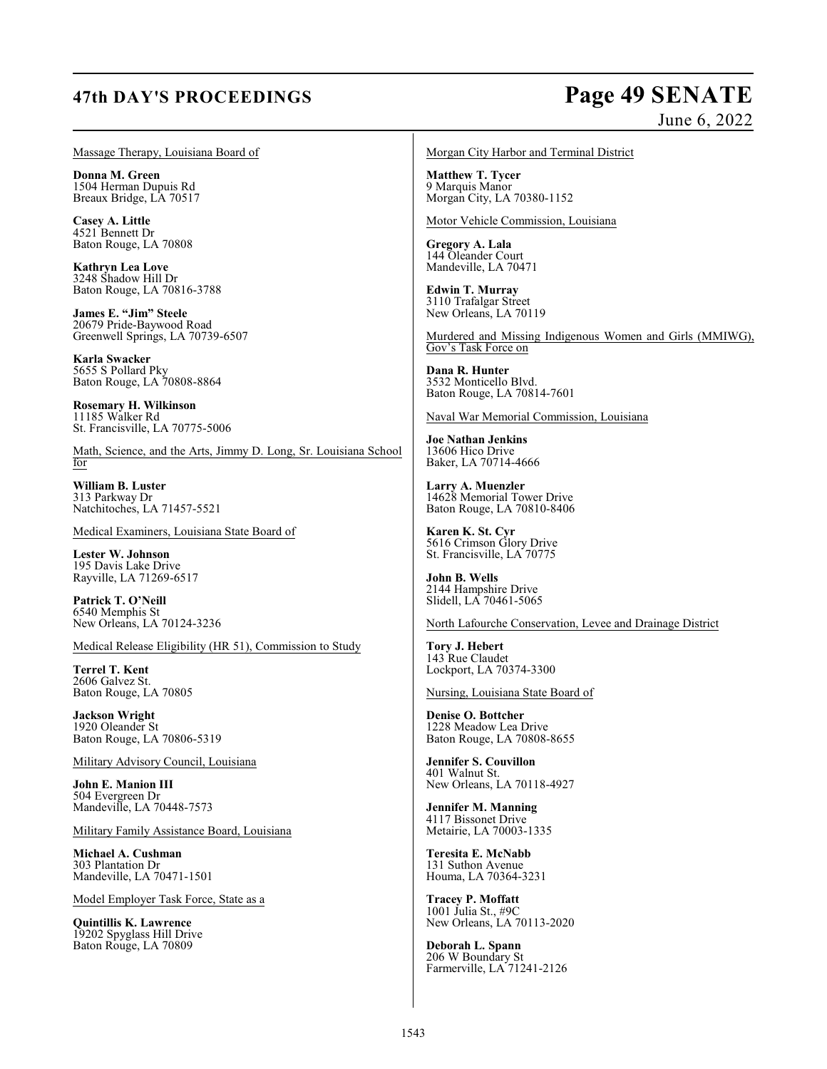# **47th DAY'S PROCEEDINGS Page 49 SENATE**

# June 6, 2022

Massage Therapy, Louisiana Board of

**Donna M. Green** 1504 Herman Dupuis Rd Breaux Bridge, LA 70517

**Casey A. Little** 4521 Bennett Dr Baton Rouge, LA 70808

**Kathryn Lea Love** 3248 Shadow Hill Dr Baton Rouge, LA 70816-3788

**James E. "Jim" Steele** 20679 Pride-Baywood Road Greenwell Springs, LA 70739-6507

**Karla Swacker** 5655 S Pollard Pky Baton Rouge, LA 70808-8864

**Rosemary H. Wilkinson** 11185 Walker Rd St. Francisville, LA 70775-5006

Math, Science, and the Arts, Jimmy D. Long, Sr. Louisiana School for

**William B. Luster** 313 Parkway Dr Natchitoches, LA 71457-5521

Medical Examiners, Louisiana State Board of

**Lester W. Johnson** 195 Davis Lake Drive Rayville, LA 71269-6517

**Patrick T. O'Neill** 6540 Memphis St New Orleans, LA 70124-3236

Medical Release Eligibility (HR 51), Commission to Study

**Terrel T. Kent** 2606 Galvez St. Baton Rouge, LA 70805

**Jackson Wright** 1920 Oleander St Baton Rouge, LA 70806-5319

Military Advisory Council, Louisiana

**John E. Manion III** 504 Evergreen Dr Mandeville, LA 70448-7573

Military Family Assistance Board, Louisiana

**Michael A. Cushman** 303 Plantation Dr Mandeville, LA 70471-1501

Model Employer Task Force, State as a

**Quintillis K. Lawrence** 19202 Spyglass Hill Drive Baton Rouge, LA 70809

Morgan City Harbor and Terminal District

**Matthew T. Tycer** 9 Marquis Manor Morgan City, LA 70380-1152

Motor Vehicle Commission, Louisiana

**Gregory A. Lala** 144 Oleander Court Mandeville, LA 70471

**Edwin T. Murray** 3110 Trafalgar Street New Orleans, LA 70119

Murdered and Missing Indigenous Women and Girls (MMIWG), Gov's Task Force on

**Dana R. Hunter** 3532 Monticello Blvd. Baton Rouge, LA 70814-7601

Naval War Memorial Commission, Louisiana

**Joe Nathan Jenkins** 13606 Hico Drive Baker, LA 70714-4666

**Larry A. Muenzler** 14628 Memorial Tower Drive Baton Rouge, LA 70810-8406

**Karen K. St. Cyr** 5616 Crimson Glory Drive St. Francisville, LA 70775

**John B. Wells** 2144 Hampshire Drive Slidell, LA 70461-5065

North Lafourche Conservation, Levee and Drainage District

**Tory J. Hebert** 143 Rue Claudet Lockport, LA 70374-3300

Nursing, Louisiana State Board of

**Denise O. Bottcher** 1228 Meadow Lea Drive Baton Rouge, LA 70808-8655

**Jennifer S. Couvillon** 401 Walnut St. New Orleans, LA 70118-4927

**Jennifer M. Manning** 4117 Bissonet Drive Metairie, LA 70003-1335

**Teresita E. McNabb** 131 Suthon Avenue Houma, LA 70364-3231

**Tracey P. Moffatt** 1001 Julia St., #9C New Orleans, LA 70113-2020

**Deborah L. Spann** 206 W Boundary St Farmerville, LA 71241-2126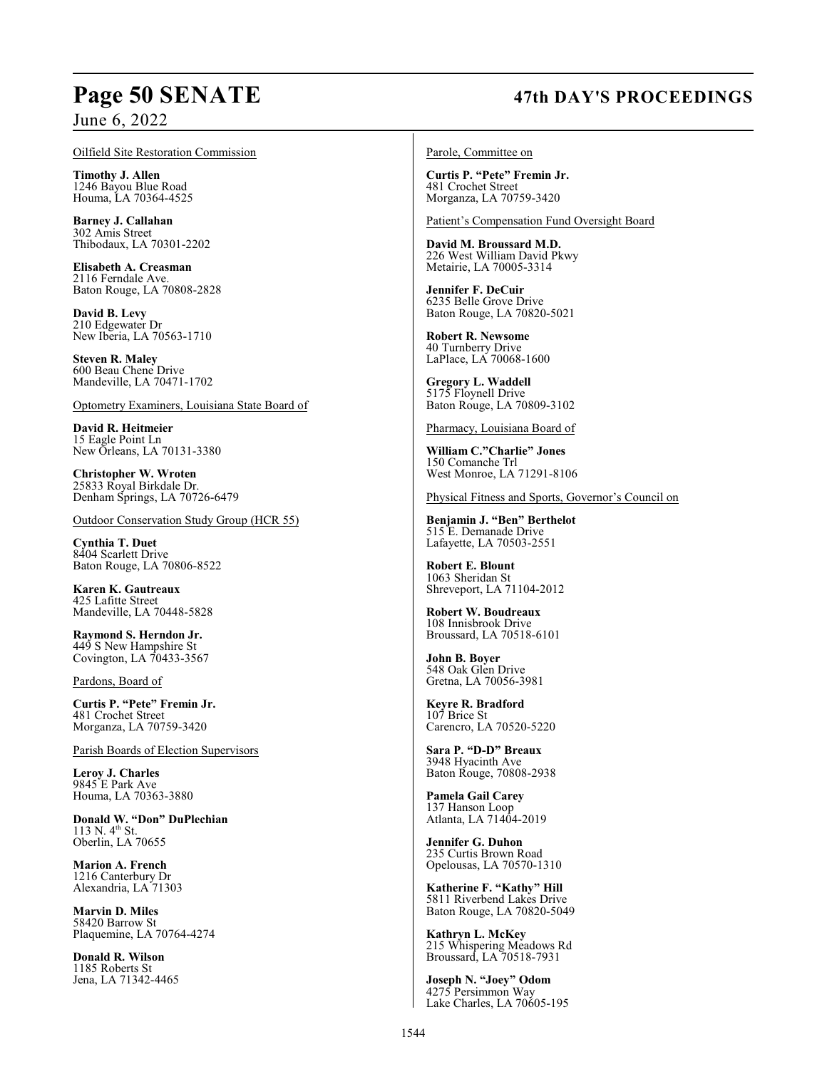### Oilfield Site Restoration Commission

**Timothy J. Allen** 1246 Bayou Blue Road Houma, LA 70364-4525

**Barney J. Callahan** 302 Amis Street Thibodaux, LA 70301-2202

**Elisabeth A. Creasman** 2116 Ferndale Ave. Baton Rouge, LA 70808-2828

**David B. Levy** 210 Edgewater Dr New Iberia, LA 70563-1710

**Steven R. Maley** 600 Beau Chene Drive Mandeville, LA 70471-1702

Optometry Examiners, Louisiana State Board of

**David R. Heitmeier** 15 Eagle Point Ln New Orleans, LA 70131-3380

**Christopher W. Wroten** 25833 Royal Birkdale Dr. Denham Springs, LA 70726-6479

Outdoor Conservation Study Group (HCR 55)

**Cynthia T. Duet** 8404 Scarlett Drive Baton Rouge, LA 70806-8522

**Karen K. Gautreaux** 425 Lafitte Street Mandeville, LA 70448-5828

**Raymond S. Herndon Jr.** 449 S New Hampshire St Covington, LA 70433-3567

Pardons, Board of

**Curtis P. "Pete" Fremin Jr.** 481 Crochet Street Morganza, LA 70759-3420

Parish Boards of Election Supervisors

**Leroy J. Charles** 9845 E Park Ave Houma, LA 70363-3880

**Donald W. "Don" DuPlechian** 113 N.  $4^{th}$  St. Oberlin, LA 70655

**Marion A. French** 1216 Canterbury Dr Alexandria, LA 71303

**Marvin D. Miles** 58420 Barrow St Plaquemine, LA 70764-4274

**Donald R. Wilson** 1185 Roberts St Jena, LA 71342-4465

# **Page 50 SENATE 47th DAY'S PROCEEDINGS**

Parole, Committee on

**Curtis P. "Pete" Fremin Jr.** 481 Crochet Street Morganza, LA 70759-3420

Patient's Compensation Fund Oversight Board

**David M. Broussard M.D.** 226 West William David Pkwy Metairie, LA 70005-3314

**Jennifer F. DeCuir** 6235 Belle Grove Drive Baton Rouge, LA 70820-5021

**Robert R. Newsome** 40 Turnberry Drive LaPlace, LA 70068-1600

**Gregory L. Waddell** 5175 Floynell Drive Baton Rouge, LA 70809-3102

Pharmacy, Louisiana Board of

**William C."Charlie" Jones** 150 Comanche Trl West Monroe, LA 71291-8106

Physical Fitness and Sports, Governor's Council on

**Benjamin J. "Ben" Berthelot** 515 E. Demanade Drive Lafayette, LA 70503-2551

**Robert E. Blount** 1063 Sheridan St Shreveport, LA 71104-2012

**Robert W. Boudreaux** 108 Innisbrook Drive Broussard, LA 70518-6101

**John B. Boyer** 548 Oak Glen Drive Gretna, LA 70056-3981

**Keyre R. Bradford** 107 Brice St Carencro, LA 70520-5220

**Sara P. "D-D" Breaux** 3948 Hyacinth Ave Baton Rouge, 70808-2938

**Pamela Gail Carey** 137 Hanson Loop Atlanta, LA 71404-2019

**Jennifer G. Duhon** 235 Curtis Brown Road Opelousas, LA 70570-1310

**Katherine F. "Kathy" Hill** 5811 Riverbend Lakes Drive Baton Rouge, LA 70820-5049

**Kathryn L. McKey** 215 Whispering Meadows Rd Broussard, LA 70518-7931

**Joseph N. "Joey" Odom** 4275 Persimmon Way Lake Charles, LA 70605-195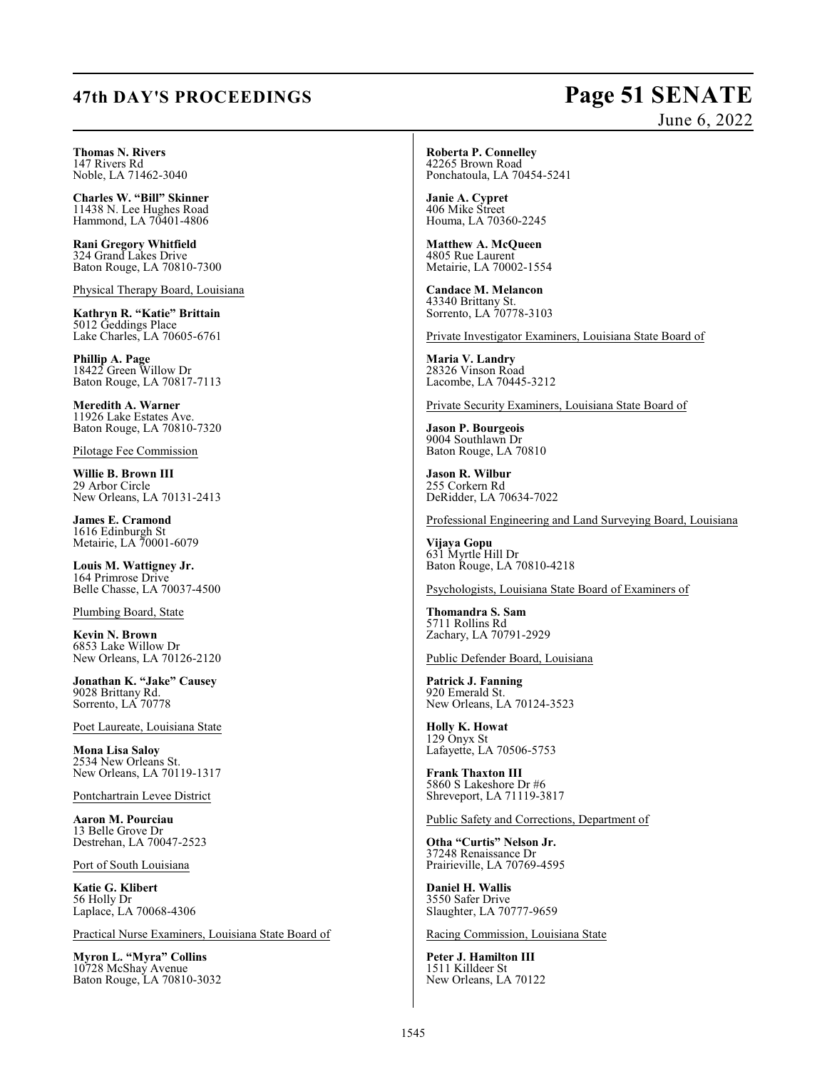# **47th DAY'S PROCEEDINGS Page 51 SENATE**

# June 6, 2022

**Thomas N. Rivers** 147 Rivers Rd Noble, LA 71462-3040

**Charles W. "Bill" Skinner** 11438 N. Lee Hughes Road Hammond, LA 70401-4806

**Rani Gregory Whitfield** 324 Grand Lakes Drive Baton Rouge, LA 70810-7300

Physical Therapy Board, Louisiana

**Kathryn R. "Katie" Brittain** 5012 Geddings Place Lake Charles, LA 70605-6761

**Phillip A. Page** 18422 Green Willow Dr Baton Rouge, LA 70817-7113

**Meredith A. Warner** 11926 Lake Estates Ave. Baton Rouge, LA 70810-7320

Pilotage Fee Commission

**Willie B. Brown III** 29 Arbor Circle New Orleans, LA 70131-2413

**James E. Cramond** 1616 Edinburgh St Metairie, LA 70001-6079

**Louis M. Wattigney Jr.** 164 Primrose Drive Belle Chasse, LA 70037-4500

Plumbing Board, State

**Kevin N. Brown** 6853 Lake Willow Dr New Orleans, LA 70126-2120

**Jonathan K. "Jake" Causey** 9028 Brittany Rd. Sorrento, LA 70778

Poet Laureate, Louisiana State

**Mona Lisa Saloy** 2534 New Orleans St. New Orleans, LA 70119-1317

Pontchartrain Levee District

**Aaron M. Pourciau** 13 Belle Grove Dr Destrehan, LA 70047-2523

Port of South Louisiana

**Katie G. Klibert** 56 Holly Dr Laplace, LA 70068-4306

Practical Nurse Examiners, Louisiana State Board of

**Myron L. "Myra" Collins** 10728 McShay Avenue Baton Rouge, LA 70810-3032 **Roberta P. Connelley** 42265 Brown Road Ponchatoula, LA 70454-5241

**Janie A. Cypret** 406 Mike Street Houma, LA 70360-2245

**Matthew A. McQueen** 4805 Rue Laurent Metairie, LA 70002-1554

**Candace M. Melancon** 43340 Brittany St. Sorrento, LA 70778-3103

Private Investigator Examiners, Louisiana State Board of

**Maria V. Landry** 28326 Vinson Road Lacombe, LA 70445-3212

Private Security Examiners, Louisiana State Board of

**Jason P. Bourgeois** 9004 Southlawn Dr Baton Rouge, LA 70810

**Jason R. Wilbur** 255 Corkern Rd DeRidder, LA 70634-7022

Professional Engineering and Land Surveying Board, Louisiana

**Vijaya Gopu** 631 Myrtle Hill Dr Baton Rouge, LA 70810-4218

Psychologists, Louisiana State Board of Examiners of

**Thomandra S. Sam** 5711 Rollins Rd Zachary, LA 70791-2929

Public Defender Board, Louisiana

**Patrick J. Fanning** 920 Emerald St. New Orleans, LA 70124-3523

**Holly K. Howat** 129 Onyx St Lafayette, LA 70506-5753

**Frank Thaxton III** 5860 S Lakeshore Dr #6 Shreveport, LA 71119-3817

Public Safety and Corrections, Department of

**Otha "Curtis" Nelson Jr.** 37248 Renaissance Dr Prairieville, LA 70769-4595

**Daniel H. Wallis** 3550 Safer Drive Slaughter, LA 70777-9659

Racing Commission, Louisiana State

**Peter J. Hamilton III** 1511 Killdeer St New Orleans, LA 70122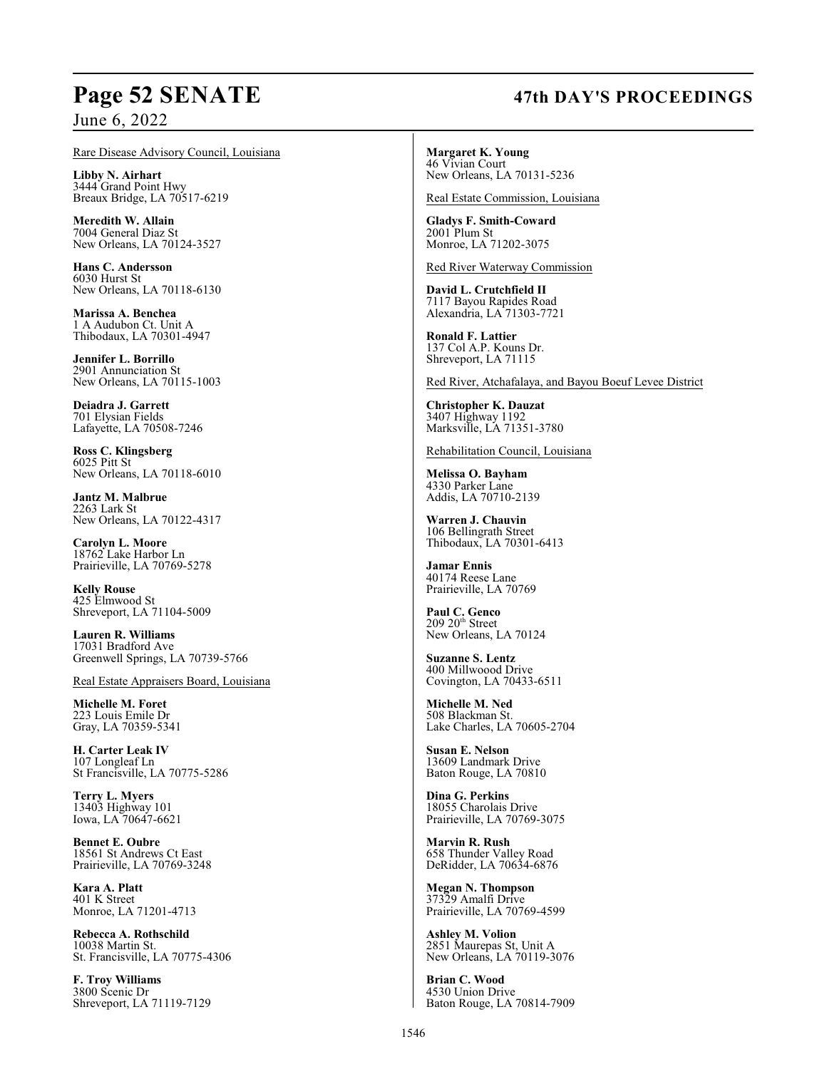# **Page 52 SENATE 47th DAY'S PROCEEDINGS**

June 6, 2022

### Rare Disease Advisory Council, Louisiana

**Libby N. Airhart** 3444 Grand Point Hwy Breaux Bridge, LA 70517-6219

**Meredith W. Allain** 7004 General Diaz St New Orleans, LA 70124-3527

**Hans C. Andersson** 6030 Hurst St New Orleans, LA 70118-6130

**Marissa A. Benchea** 1 A Audubon Ct. Unit A Thibodaux, LA 70301-4947

**Jennifer L. Borrillo** 2901 Annunciation St New Orleans, LA 70115-1003

**Deiadra J. Garrett** 701 Elysian Fields Lafayette, LA 70508-7246

**Ross C. Klingsberg** 6025 Pitt St New Orleans, LA 70118-6010

**Jantz M. Malbrue** 2263 Lark St New Orleans, LA 70122-4317

**Carolyn L. Moore** 18762 Lake Harbor Ln Prairieville, LA 70769-5278

**Kelly Rouse** 425 Elmwood St Shreveport, LA 71104-5009

**Lauren R. Williams** 17031 Bradford Ave Greenwell Springs, LA 70739-5766

### Real Estate Appraisers Board, Louisiana

**Michelle M. Foret** 223 Louis Emile Dr Gray, LA 70359-5341

**H. Carter Leak IV** 107 Longleaf Ln St Francisville, LA 70775-5286

**Terry L. Myers** 13403 Highway 101 Iowa, LA 70647-6621

**Bennet E. Oubre** 18561 St Andrews Ct East Prairieville, LA 70769-3248

**Kara A. Platt** 401 K Street Monroe, LA 71201-4713

**Rebecca A. Rothschild** 10038 Martin St. St. Francisville, LA 70775-4306

**F. Troy Williams** 3800 Scenic Dr Shreveport, LA 71119-7129

**Margaret K. Young** 46 Vivian Court New Orleans, LA 70131-5236

Real Estate Commission, Louisiana

**Gladys F. Smith-Coward** 2001 Plum St Monroe, LA 71202-3075

Red River Waterway Commission

**David L. Crutchfield II** 7117 Bayou Rapides Road Alexandria, LA 71303-7721

**Ronald F. Lattier** 137 Col A.P. Kouns Dr. Shreveport, LA 71115

Red River, Atchafalaya, and Bayou Boeuf Levee District

**Christopher K. Dauzat** 3407 Highway 1192 Marksville, LA 71351-3780

Rehabilitation Council, Louisiana

**Melissa O. Bayham** 4330 Parker Lane Addis, LA 70710-2139

**Warren J. Chauvin** 106 Bellingrath Street Thibodaux, LA 70301-6413

**Jamar Ennis** 40174 Reese Lane Prairieville, LA 70769

**Paul C. Genco**<br>209 20<sup>th</sup> Street New Orleans, LA 70124

**Suzanne S. Lentz** 400 Millwoood Drive Covington, LA 70433-6511

**Michelle M. Ned** 508 Blackman St. Lake Charles, LA 70605-2704

**Susan E. Nelson** 13609 Landmark Drive Baton Rouge, LA 70810

**Dina G. Perkins** 18055 Charolais Drive Prairieville, LA 70769-3075

**Marvin R. Rush** 658 Thunder Valley Road DeRidder, LA 70634-6876

**Megan N. Thompson** 37329 Amalfi Drive Prairieville, LA 70769-4599

**Ashley M. Volion** 2851 Maurepas St, Unit A New Orleans, LA 70119-3076

**Brian C. Wood** 4530 Union Drive Baton Rouge, LA 70814-7909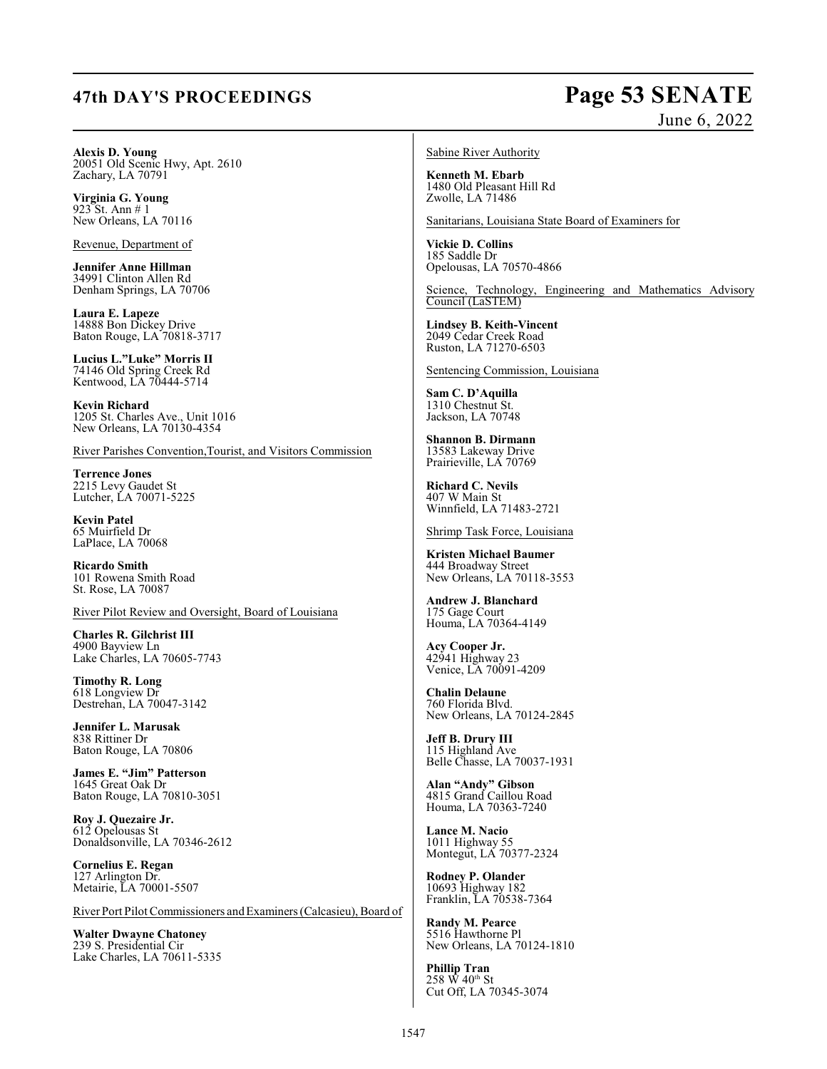# **47th DAY'S PROCEEDINGS Page 53 SENATE**

# June 6, 2022

**Alexis D. Young** 20051 Old Scenic Hwy, Apt. 2610 Zachary, LA 70791

**Virginia G. Young** 923 St. Ann # 1 New Orleans, LA 70116

Revenue, Department of

**Jennifer Anne Hillman** 34991 Clinton Allen Rd Denham Springs, LA 70706

**Laura E. Lapeze** 14888 Bon Dickey Drive Baton Rouge, LA 70818-3717

**Lucius L."Luke" Morris II** 74146 Old Spring Creek Rd Kentwood, LA 70444-5714

**Kevin Richard** 1205 St. Charles Ave., Unit 1016 New Orleans, LA 70130-4354

River Parishes Convention,Tourist, and Visitors Commission

**Terrence Jones** 2215 Levy Gaudet St Lutcher, LA 70071-5225

**Kevin Patel** 65 Muirfield Dr LaPlace, LA 70068

**Ricardo Smith** 101 Rowena Smith Road St. Rose, LA 70087

River Pilot Review and Oversight, Board of Louisiana

**Charles R. Gilchrist III** 4900 Bayview Ln Lake Charles, LA 70605-7743

**Timothy R. Long** 618 Longview Dr Destrehan, LA 70047-3142

**Jennifer L. Marusak** 838 Rittiner Dr Baton Rouge, LA 70806

**James E. "Jim" Patterson** 1645 Great Oak Dr Baton Rouge, LA 70810-3051

**Roy J. Quezaire Jr.** 612 Opelousas St Donaldsonville, LA 70346-2612

**Cornelius E. Regan** 127 Arlington Dr. Metairie, LA 70001-5507

River Port Pilot Commissioners and Examiners (Calcasieu), Board of

**Walter Dwayne Chatoney** 239 S. Presidential Cir Lake Charles, LA 70611-5335

### Sabine River Authority

**Kenneth M. Ebarb** 1480 Old Pleasant Hill Rd Zwolle, LA 71486

Sanitarians, Louisiana State Board of Examiners for

**Vickie D. Collins** 185 Saddle Dr Opelousas, LA 70570-4866

Science, Technology, Engineering and Mathematics Advisory Council (LaSTEM)

**Lindsey B. Keith-Vincent** 2049 Cedar Creek Road Ruston, LA 71270-6503

Sentencing Commission, Louisiana

**Sam C. D'Aquilla** 1310 Chestnut St. Jackson, LA 70748

**Shannon B. Dirmann** 13583 Lakeway Drive Prairieville, LA 70769

**Richard C. Nevils** 407 W Main St Winnfield, LA 71483-2721

Shrimp Task Force, Louisiana

**Kristen Michael Baumer** 444 Broadway Street New Orleans, LA 70118-3553

**Andrew J. Blanchard** 175 Gage Court Houma, LA 70364-4149

**Acy Cooper Jr.** 42941 Highway 23 Venice, LA 70091-4209

**Chalin Delaune** 760 Florida Blvd. New Orleans, LA 70124-2845

**Jeff B. Drury III** 115 Highland Ave Belle Chasse, LA 70037-1931

**Alan "Andy" Gibson** 4815 Grand Caillou Road Houma, LA 70363-7240

**Lance M. Nacio** 1011 Highway 55 Montegut, LA 70377-2324

**Rodney P. Olander** 10693 Highway 182 Franklin, LA 70538-7364

**Randy M. Pearce** 5516 Hawthorne Pl New Orleans, LA 70124-1810

**Phillip Tran**  $258 \text{ W } 40^{\text{th}} \text{ St }$ Cut Off, LA 70345-3074

1547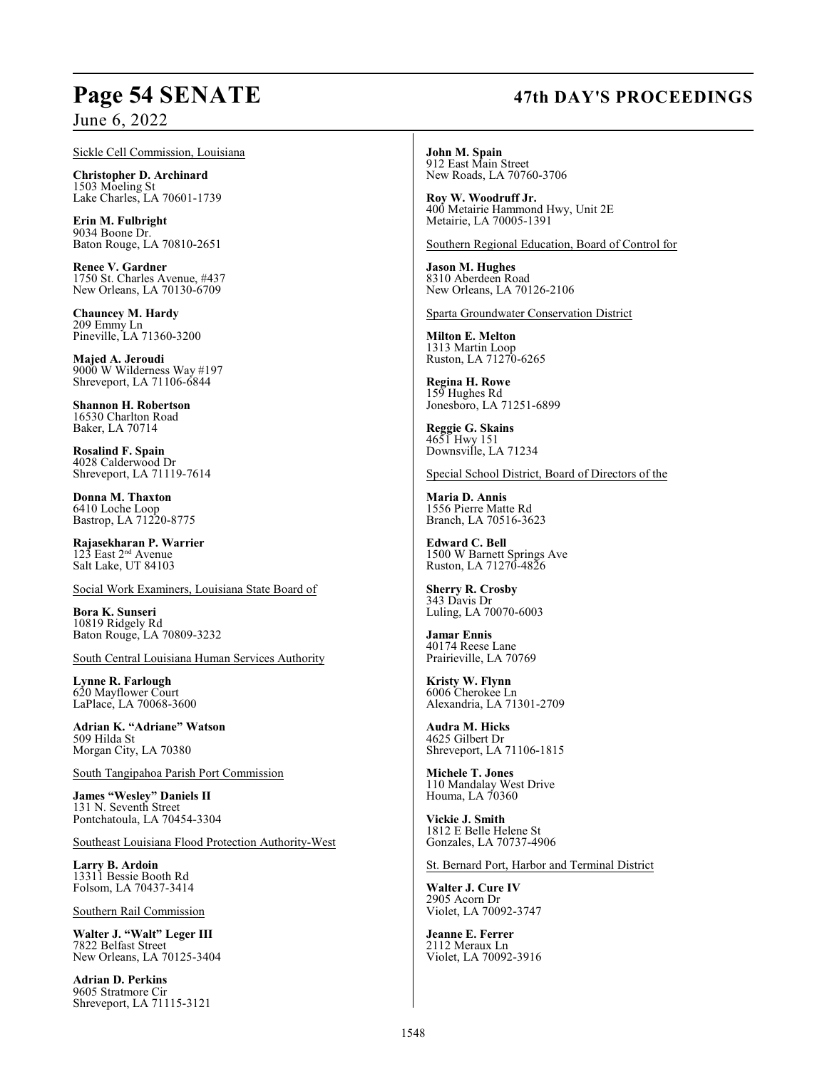# **Page 54 SENATE 47th DAY'S PROCEEDINGS**

## June 6, 2022

Sickle Cell Commission, Louisiana

**Christopher D. Archinard** 1503 Moeling St Lake Charles, LA 70601-1739

**Erin M. Fulbright** 9034 Boone Dr. Baton Rouge, LA 70810-2651

**Renee V. Gardner** 1750 St. Charles Avenue, #437 New Orleans, LA 70130-6709

**Chauncey M. Hardy** 209 Emmy Ln Pineville, LA 71360-3200

**Majed A. Jeroudi** 9000 W Wilderness Way #197 Shreveport, LA 71106-6844

**Shannon H. Robertson** 16530 Charlton Road Baker, LA 70714

**Rosalind F. Spain** 4028 Calderwood Dr Shreveport, LA 71119-7614

**Donna M. Thaxton** 6410 Loche Loop Bastrop, LA 71220-8775

**Rajasekharan P. Warrier**  $123$  East  $2<sup>nd</sup>$  Avenue Salt Lake, UT 84103

Social Work Examiners, Louisiana State Board of

**Bora K. Sunseri** 10819 Ridgely Rd Baton Rouge, LA 70809-3232

South Central Louisiana Human Services Authority

**Lynne R. Farlough** 620 Mayflower Court LaPlace, LA 70068-3600

**Adrian K. "Adriane" Watson** 509 Hilda St Morgan City, LA 70380

South Tangipahoa Parish Port Commission

**James "Wesley" Daniels II** 131 N. Seventh Street Pontchatoula, LA 70454-3304

Southeast Louisiana Flood Protection Authority-West

**Larry B. Ardoin** 13311 Bessie Booth Rd Folsom, LA 70437-3414

Southern Rail Commission

**Walter J. "Walt" Leger III** 7822 Belfast Street New Orleans, LA 70125-3404

**Adrian D. Perkins** 9605 Stratmore Cir Shreveport, LA 71115-3121

**John M. Spain** 912 East Main Street New Roads, LA 70760-3706

**Roy W. Woodruff Jr.** 400 Metairie Hammond Hwy, Unit 2E Metairie, LA 70005-1391

Southern Regional Education, Board of Control for

**Jason M. Hughes** 8310 Aberdeen Road New Orleans, LA 70126-2106

Sparta Groundwater Conservation District

**Milton E. Melton** 1313 Martin Loop Ruston, LA 71270-6265

**Regina H. Rowe** 159 Hughes Rd Jonesboro, LA 71251-6899

**Reggie G. Skains** 4651 Hwy 151 Downsville, LA 71234

Special School District, Board of Directors of the

**Maria D. Annis** 1556 Pierre Matte Rd Branch, LA 70516-3623

**Edward C. Bell** 1500 W Barnett Springs Ave Ruston, LA 71270-4826

**Sherry R. Crosby** 343 Davis Dr Luling, LA 70070-6003

**Jamar Ennis** 40174 Reese Lane Prairieville, LA 70769

**Kristy W. Flynn** 6006 Cherokee Ln Alexandria, LA 71301-2709

**Audra M. Hicks** 4625 Gilbert Dr Shreveport, LA 71106-1815

**Michele T. Jones** 110 Mandalay West Drive Houma, LA 70360

**Vickie J. Smith** 1812 E Belle Helene St Gonzales, LA 70737-4906

St. Bernard Port, Harbor and Terminal District

**Walter J. Cure IV** 2905 Acorn Dr Violet, LA 70092-3747

**Jeanne E. Ferrer** 2112 Meraux Ln Violet, LA 70092-3916

### 1548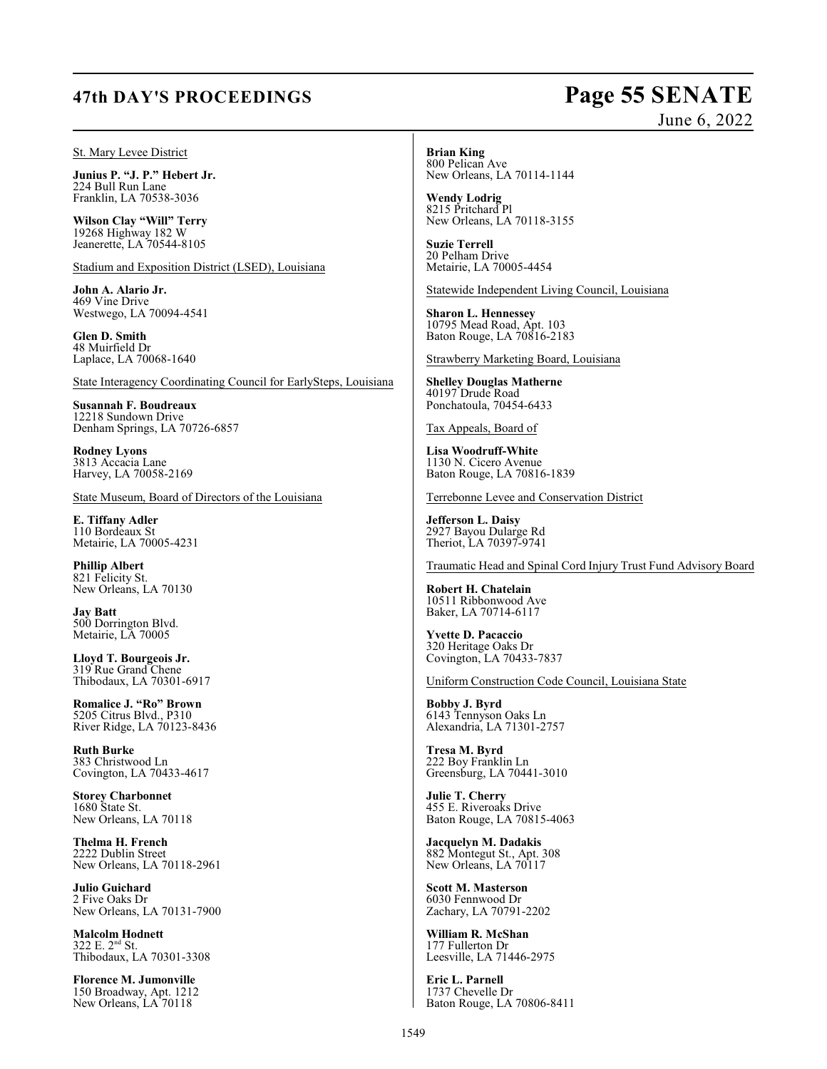# **47th DAY'S PROCEEDINGS Page 55 SENATE**

# June 6, 2022

### St. Mary Levee District

**Junius P. "J. P." Hebert Jr.** 224 Bull Run Lane Franklin, LA 70538-3036

**Wilson Clay "Will" Terry** 19268 Highway 182 W Jeanerette, LA 70544-8105

Stadium and Exposition District (LSED), Louisiana

**John A. Alario Jr.** 469 Vine Drive Westwego, LA 70094-4541

**Glen D. Smith** 48 Muirfield Dr Laplace, LA 70068-1640

State Interagency Coordinating Council for EarlySteps, Louisiana

**Susannah F. Boudreaux** 12218 Sundown Drive Denham Springs, LA 70726-6857

**Rodney Lyons** 3813 Accacia Lane Harvey, LA 70058-2169

State Museum, Board of Directors of the Louisiana

**E. Tiffany Adler** 110 Bordeaux St Metairie, LA 70005-4231

**Phillip Albert** 821 Felicity St. New Orleans, LA 70130

**Jay Batt** 500 Dorrington Blvd. Metairie, LA 70005

**Lloyd T. Bourgeois Jr.** 319 Rue Grand Chene Thibodaux, LA 70301-6917

**Romalice J. "Ro" Brown** 5205 Citrus Blvd., P310 River Ridge, LA 70123-8436

**Ruth Burke** 383 Christwood Ln Covington, LA 70433-4617

**Storey Charbonnet** 1680 State St. New Orleans, LA 70118

**Thelma H. French** 2222 Dublin Street New Orleans, LA 70118-2961

**Julio Guichard** 2 Five Oaks Dr New Orleans, LA 70131-7900

**Malcolm Hodnett**  $322$  E.  $2<sup>nd</sup>$  St. Thibodaux, LA 70301-3308

**Florence M. Jumonville** 150 Broadway, Apt. 1212 New Orleans, LA 70118

**Brian King**

800 Pelican Ave New Orleans, LA 70114-1144

**Wendy Lodrig** 8215 Pritchard Pl New Orleans, LA 70118-3155

**Suzie Terrell** 20 Pelham Drive Metairie, LA 70005-4454

Statewide Independent Living Council, Louisiana

**Sharon L. Hennessey** 10795 Mead Road, Apt. 103 Baton Rouge, LA 70816-2183

Strawberry Marketing Board, Louisiana

**Shelley Douglas Matherne** 40197 Drude Road Ponchatoula, 70454-6433

Tax Appeals, Board of

**Lisa Woodruff-White** 1130 N. Cicero Avenue Baton Rouge, LA 70816-1839

Terrebonne Levee and Conservation District

**Jefferson L. Daisy** 2927 Bayou Dularge Rd Theriot, LA 70397-9741

Traumatic Head and Spinal Cord Injury Trust Fund Advisory Board

**Robert H. Chatelain** 10511 Ribbonwood Ave Baker, LA 70714-6117

**Yvette D. Pacaccio** 320 Heritage Oaks Dr Covington, LA 70433-7837

Uniform Construction Code Council, Louisiana State

**Bobby J. Byrd** 6143 Tennyson Oaks Ln Alexandria, LA 71301-2757

**Tresa M. Byrd** 222 Boy Franklin Ln Greensburg, LA 70441-3010

**Julie T. Cherry** 455 E. Riveroaks Drive Baton Rouge, LA 70815-4063

**Jacquelyn M. Dadakis** 882 Montegut St., Apt. 308 New Orleans, LA 70117

**Scott M. Masterson** 6030 Fennwood Dr Zachary, LA 70791-2202

**William R. McShan** 177 Fullerton Dr Leesville, LA 71446-2975

**Eric L. Parnell** 1737 Chevelle Dr Baton Rouge, LA 70806-8411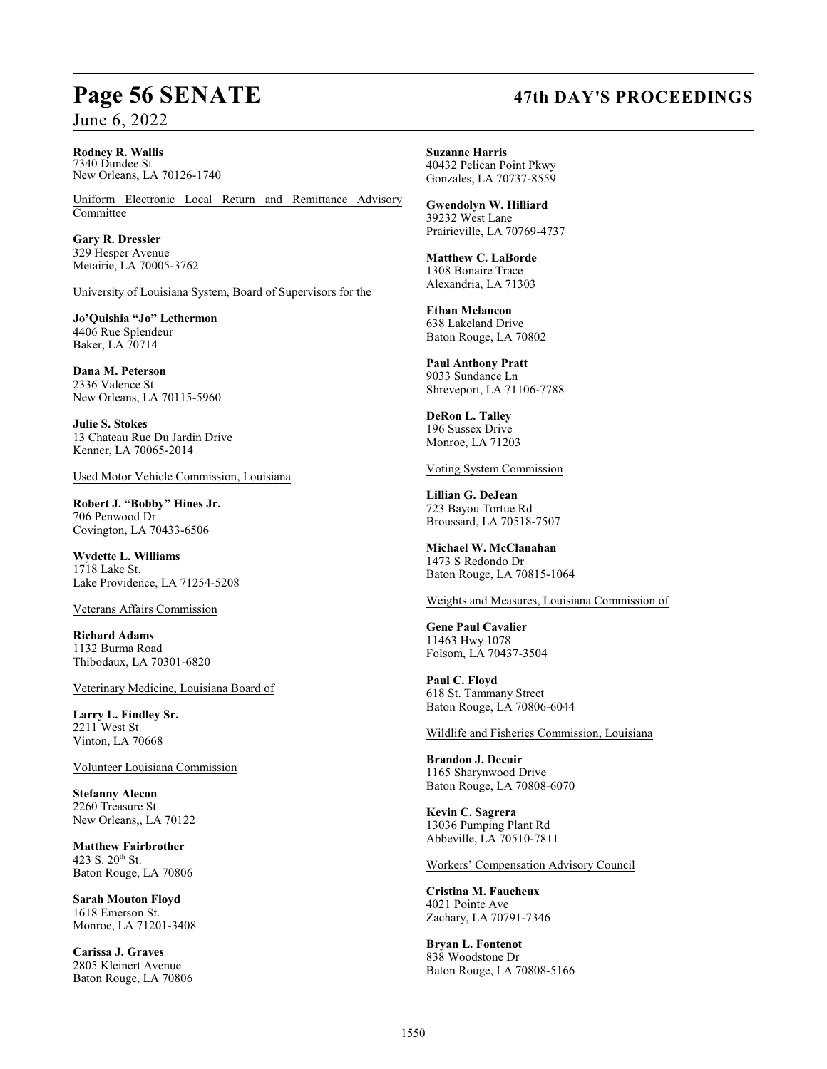# **Page 56 SENATE 47th DAY'S PROCEEDINGS**

June 6, 2022

### **Rodney R. Wallis** 7340 Dundee St New Orleans, LA 70126-1740

Uniform Electronic Local Return and Remittance Advisory Committee

**Gary R. Dressler** 329 Hesper Avenue Metairie, LA 70005-3762

University of Louisiana System, Board of Supervisors for the

**Jo'Quishia "Jo" Lethermon** 4406 Rue Splendeur Baker, LA 70714

**Dana M. Peterson** 2336 Valence St New Orleans, LA 70115-5960

**Julie S. Stokes** 13 Chateau Rue Du Jardin Drive Kenner, LA 70065-2014

Used Motor Vehicle Commission, Louisiana

**Robert J. "Bobby" Hines Jr.** 706 Penwood Dr Covington, LA 70433-6506

**Wydette L. Williams** 1718 Lake St. Lake Providence, LA 71254-5208

Veterans Affairs Commission

**Richard Adams** 1132 Burma Road Thibodaux, LA 70301-6820

Veterinary Medicine, Louisiana Board of

**Larry L. Findley Sr.** 2211 West St Vinton, LA 70668

Volunteer Louisiana Commission

**Stefanny Alecon** 2260 Treasure St. New Orleans,, LA 70122

**Matthew Fairbrother** 423 S.  $20^{th}$  St. Baton Rouge, LA 70806

**Sarah Mouton Floyd** 1618 Emerson St. Monroe, LA 71201-3408

**Carissa J. Graves** 2805 Kleinert Avenue Baton Rouge, LA 70806 **Suzanne Harris** 40432 Pelican Point Pkwy Gonzales, LA 70737-8559

**Gwendolyn W. Hilliard** 39232 West Lane Prairieville, LA 70769-4737

**Matthew C. LaBorde** 1308 Bonaire Trace Alexandria, LA 71303

**Ethan Melancon** 638 Lakeland Drive Baton Rouge, LA 70802

**Paul Anthony Pratt** 9033 Sundance Ln Shreveport, LA 71106-7788

**DeRon L. Talley** 196 Sussex Drive Monroe, LA 71203

Voting System Commission

**Lillian G. DeJean** 723 Bayou Tortue Rd Broussard, LA 70518-7507

**Michael W. McClanahan** 1473 S Redondo Dr Baton Rouge, LA 70815-1064

Weights and Measures, Louisiana Commission of

**Gene Paul Cavalier** 11463 Hwy 1078 Folsom, LA 70437-3504

**Paul C. Floyd** 618 St. Tammany Street Baton Rouge, LA 70806-6044

Wildlife and Fisheries Commission, Louisiana

**Brandon J. Decuir** 1165 Sharynwood Drive Baton Rouge, LA 70808-6070

**Kevin C. Sagrera** 13036 Pumping Plant Rd Abbeville, LA 70510-7811

Workers' Compensation Advisory Council

**Cristina M. Faucheux** 4021 Pointe Ave Zachary, LA 70791-7346

**Bryan L. Fontenot** 838 Woodstone Dr Baton Rouge, LA 70808-5166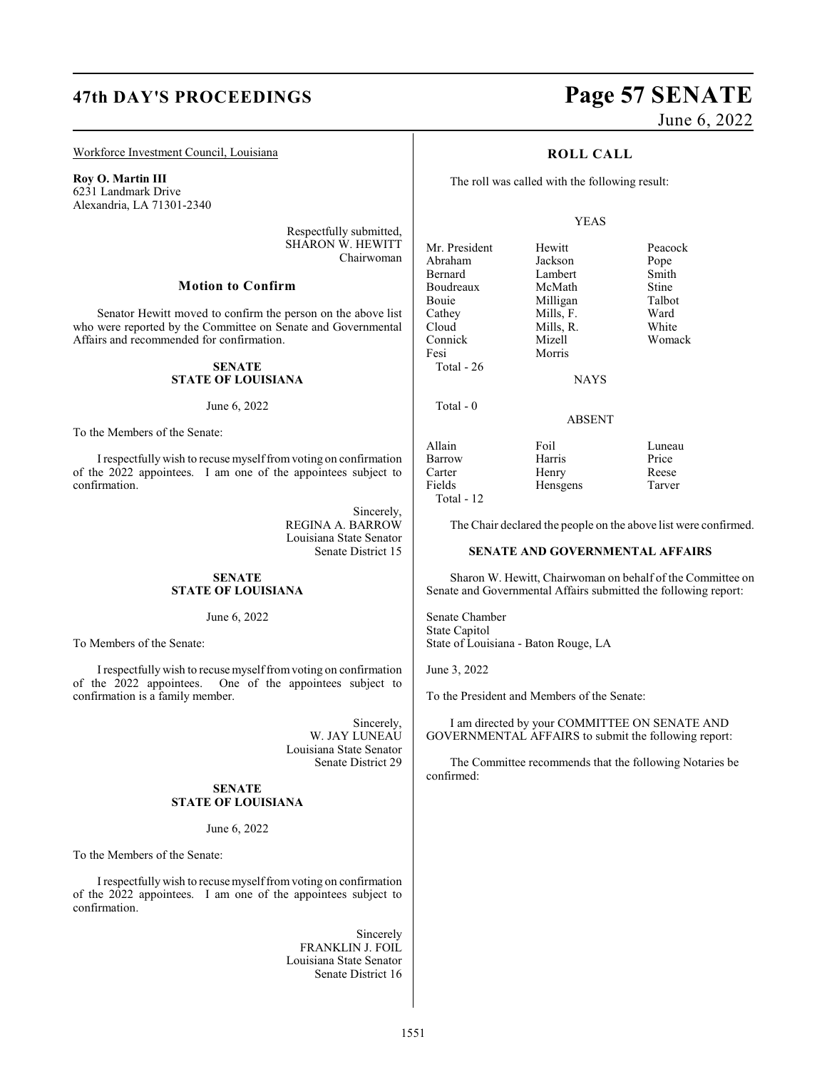### Workforce Investment Council, Louisiana

**Roy O. Martin III** 6231 Landmark Drive Alexandria, LA 71301-2340

> Respectfully submitted, SHARON W. HEWITT Chairwoman

### **Motion to Confirm**

Senator Hewitt moved to confirm the person on the above list who were reported by the Committee on Senate and Governmental Affairs and recommended for confirmation.

### **SENATE STATE OF LOUISIANA**

### June 6, 2022

To the Members of the Senate:

I respectfully wish to recuse myselffromvoting on confirmation of the 2022 appointees. I am one of the appointees subject to confirmation.

> Sincerely, REGINA A. BARROW Louisiana State Senator Senate District 15

## **SENATE STATE OF LOUISIANA**

### June 6, 2022

To Members of the Senate:

I respectfully wish to recuse myselffromvoting on confirmation of the 2022 appointees. One of the appointees subject to confirmation is a family member.

> Sincerely, W. JAY LUNEAU Louisiana State Senator Senate District 29

### **SENATE STATE OF LOUISIANA**

### June 6, 2022

To the Members of the Senate:

I respectfully wish to recuse myselffrom voting on confirmation of the 2022 appointees. I am one of the appointees subject to confirmation.

> Sincerely FRANKLIN J. FOIL Louisiana State Senator Senate District 16

# **47th DAY'S PROCEEDINGS Page 57 SENATE** June 6, 2022

### **ROLL CALL**

The roll was called with the following result:

### YEAS

**NAYS** 

ABSENT

Hensgens

Mr. President Hewitt Peacock<br>Abraham Jackson Pope Abraham Jackson Pope Lambert<br>McMath Boudreaux McMath Stine<br>
Bouje Milligan Talbot Bouie Milligan Talbo<br>Cathey Mills, F. Ward Mills, F. Cloud Mills, R. White<br>
Connick Mizell Woma Connick Mizell Womack Fesi Morris Total - 26 Total - 0

Total - 12

Allain Foil Luneau Barrow Harris Price<br>
Price Henry Reese Carter Henry Reese

The Chair declared the people on the above list were confirmed.

### **SENATE AND GOVERNMENTAL AFFAIRS**

Sharon W. Hewitt, Chairwoman on behalf of the Committee on Senate and Governmental Affairs submitted the following report:

Senate Chamber State Capitol State of Louisiana - Baton Rouge, LA

June 3, 2022

To the President and Members of the Senate:

I am directed by your COMMITTEE ON SENATE AND GOVERNMENTAL AFFAIRS to submit the following report:

The Committee recommends that the following Notaries be confirmed: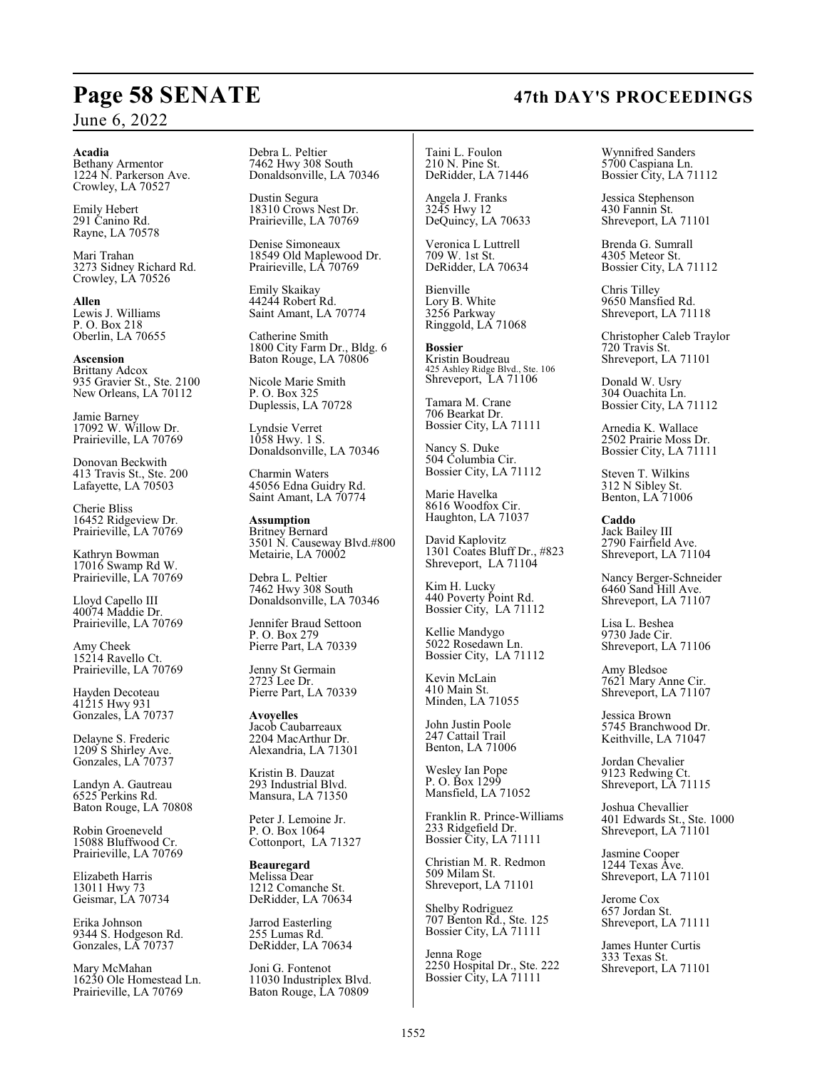### **Acadia**

Bethany Armentor 1224 N. Parkerson Ave. Crowley, LA 70527

Emily Hebert 291 Canino Rd. Rayne, LA 70578

Mari Trahan 3273 Sidney Richard Rd. Crowley, LA 70526

**Allen** Lewis J. Williams P. O. Box 218 Oberlin, LA 70655

**Ascension** Brittany Adcox 935 Gravier St., Ste. 2100 New Orleans, LA 70112

Jamie Barney 17092 W. Willow Dr. Prairieville, LA 70769

Donovan Beckwith 413 Travis St., Ste. 200 Lafayette, LA 70503

Cherie Bliss 16452 Ridgeview Dr. Prairieville, LA 70769

Kathryn Bowman 17016 Swamp Rd W. Prairieville, LA 70769

Lloyd Capello III 40074 Maddie Dr. Prairieville, LA 70769

Amy Cheek 15214 Ravello Ct. Prairieville, LA 70769

Hayden Decoteau 41215 Hwy 931 Gonzales, LA 70737

Delayne S. Frederic 1209 S Shirley Ave. Gonzales, LA 70737

Landyn A. Gautreau 6525 Perkins Rd. Baton Rouge, LA 70808

Robin Groeneveld 15088 Bluffwood Cr. Prairieville, LA 70769

Elizabeth Harris 13011 Hwy 73 Geismar, LA 70734

Erika Johnson 9344 S. Hodgeson Rd. Gonzales, LA 70737

Mary McMahan 16230 Ole Homestead Ln. Prairieville, LA 70769

Debra L. Peltier 7462 Hwy 308 South Donaldsonville, LA 70346

Dustin Segura 18310 Crows Nest Dr. Prairieville, LA 70769

Denise Simoneaux 18549 Old Maplewood Dr. Prairieville, LA 70769

Emily Skaikay 44244 Robert Rd. Saint Amant, LA 70774

Catherine Smith 1800 City Farm Dr., Bldg. 6 Baton Rouge, LA 70806

Nicole Marie Smith P. O. Box 325 Duplessis, LA 70728

Lyndsie Verret 1058 Hwy. 1 S. Donaldsonville, LA 70346

Charmin Waters 45056 Edna Guidry Rd. Saint Amant, LA 70774

**Assumption** Britney Bernard 3501 N. Causeway Blvd.#800 Metairie, LA 70002

Debra L. Peltier 7462 Hwy 308 South Donaldsonville, LA 70346

Jennifer Braud Settoon P. O. Box 279 Pierre Part, LA 70339

Jenny St Germain 2723 Lee Dr. Pierre Part, LA 70339

**Avoyelles** Jacob Caubarreaux 2204 MacArthur Dr. Alexandria, LA 71301

Kristin B. Dauzat 293 Industrial Blvd. Mansura, LA 71350

Peter J. Lemoine Jr. P. O. Box 1064 Cottonport, LA 71327

**Beauregard** Melissa Dear 1212 Comanche St. DeRidder, LA 70634

Jarrod Easterling 255 Lumas Rd. DeRidder, LA 70634

Joni G. Fontenot 11030 Industriplex Blvd. Baton Rouge, LA 70809

Taini L. Foulon 210 N. Pine St. DeRidder, LA 71446

Angela J. Franks 3245 Hwy 12 DeQuincy, LA 70633

Veronica L Luttrell 709 W. 1st St. DeRidder, LA 70634

Bienville Lory B. White 3256 Parkway Ringgold, LA 71068

**Bossier** Kristin Boudreau 425 Ashley Ridge Blvd., Ste. 106 Shreveport, LA 71106

Tamara M. Crane 706 Bearkat Dr. Bossier City, LA 71111

Nancy S. Duke 504 Columbia Cir. Bossier City, LA 71112

Marie Havelka 8616 Woodfox Cir. Haughton, LA 71037

David Kaplovitz 1301 Coates Bluff Dr., #823 Shreveport, LA 71104

Kim H. Lucky 440 Poverty Point Rd. Bossier City, LA 71112

Kellie Mandygo 5022 Rosedawn Ln. Bossier City, LA 71112

Kevin McLain 410 Main St. Minden, LA 71055

John Justin Poole 247 Cattail Trail Benton, LA 71006

Wesley Ian Pope P. O. Box 1299 Mansfield, LA 71052

Franklin R. Prince-Williams 233 Ridgefield Dr. Bossier City, LA 71111

Christian M. R. Redmon 509 Milam St. Shreveport, LA 71101

Shelby Rodriguez 707 Benton Rd., Ste. 125 Bossier City, LA 71111

Jenna Roge 2250 Hospital Dr., Ste. 222 Bossier City, LA 71111

Wynnifred Sanders 5700 Caspiana Ln. Bossier City, LA 71112

Jessica Stephenson 430 Fannin St. Shreveport, LA 71101

Brenda G. Sumrall 4305 Meteor St. Bossier City, LA 71112

Chris Tilley 9650 Mansfied Rd. Shreveport, LA 71118

Christopher Caleb Traylor 720 Travis St. Shreveport, LA 71101

Donald W. Usry 304 Ouachita Ln. Bossier City, LA 71112

Arnedia K. Wallace 2502 Prairie Moss Dr. Bossier City, LA 71111

Steven T. Wilkins 312 N Sibley St. Benton, LA 71006

**Caddo** Jack Bailey III 2790 Fairfield Ave. Shreveport, LA 71104

Nancy Berger-Schneider 6460 Sand Hill Ave. Shreveport, LA 71107

Lisa L. Beshea 9730 Jade Cir. Shreveport, LA 71106

Amy Bledsoe 7621 Mary Anne Cir. Shreveport, LA 71107

Jessica Brown 5745 Branchwood Dr. Keithville, LA 71047

Jordan Chevalier 9123 Redwing Ct. Shreveport, LA 71115

Joshua Chevallier 401 Edwards St., Ste. 1000 Shreveport, LA 71101

Jasmine Cooper 1244 Texas Ave. Shreveport, LA 71101

Jerome Cox 657 Jordan St. Shreveport, LA 71111

James Hunter Curtis 333 Texas St. Shreveport, LA 71101

# **Page 58 SENATE 47th DAY'S PROCEEDINGS**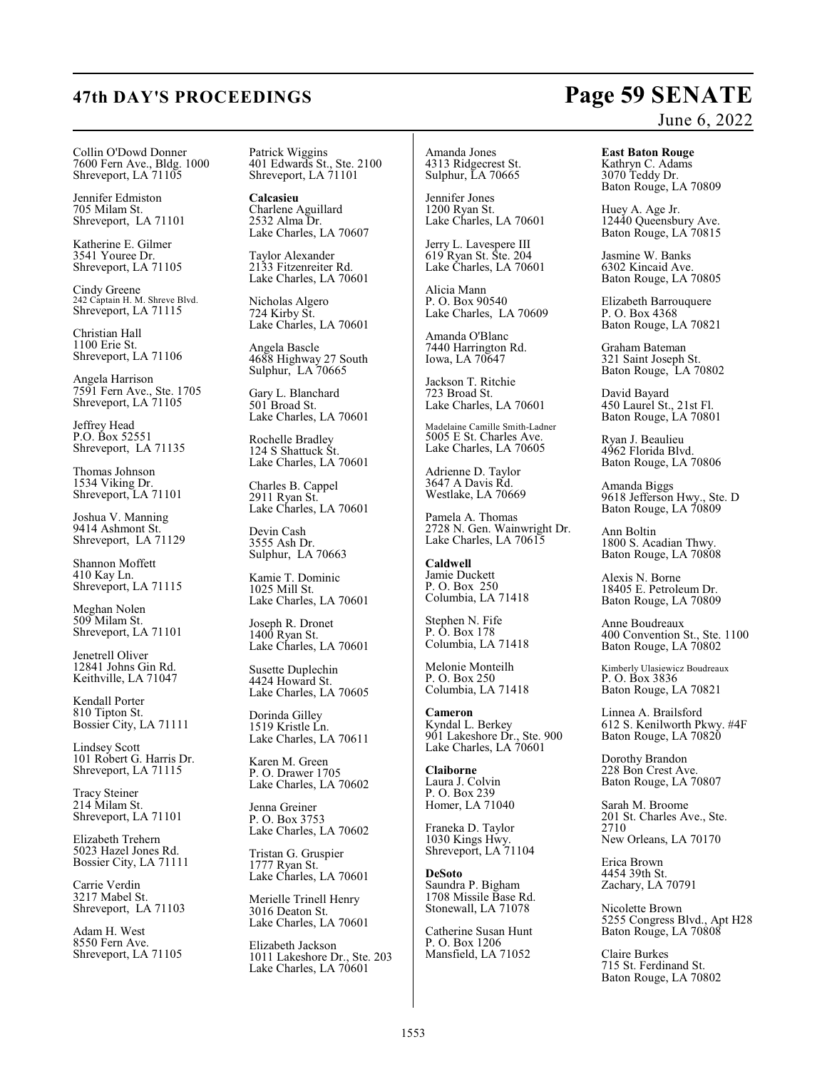### Collin O'Dowd Donner 7600 Fern Ave., Bldg. 1000 Shreveport, LA 71105

Jennifer Edmiston 705 Milam St. Shreveport, LA 71101

Katherine E. Gilmer 3541 Youree Dr. Shreveport, LA 71105

Cindy Greene 242 Captain H. M. Shreve Blvd. Shreveport, LA 71115

Christian Hall 1100 Erie St. Shreveport, LA 71106

Angela Harrison 7591 Fern Ave., Ste. 1705 Shreveport, LA 71105

Jeffrey Head P.O. Box 52551 Shreveport, LA 71135

Thomas Johnson 1534 Viking Dr. Shreveport, LA 71101

Joshua V. Manning 9414 Ashmont St. Shreveport, LA 71129

Shannon Moffett 410 Kay Ln. Shreveport, LA 71115

Meghan Nolen 509 Milam St. Shreveport, LA 71101

Jenetrell Oliver 12841 Johns Gin Rd. Keithville, LA 71047

Kendall Porter 810 Tipton St. Bossier City, LA 71111

Lindsey Scott 101 Robert G. Harris Dr. Shreveport, LA 71115

Tracy Steiner 214 Milam St. Shreveport, LA 71101

Elizabeth Trehern 5023 Hazel Jones Rd. Bossier City, LA 71111

Carrie Verdin 3217 Mabel St. Shreveport, LA 71103

Adam H. West 8550 Fern Ave. Shreveport, LA 71105 Patrick Wiggins 401 Edwards St., Ste. 2100 Shreveport, LA 71101

**Calcasieu** Charlene Aguillard 2532 Alma Dr. Lake Charles, LA 70607

Taylor Alexander 2133 Fitzenreiter Rd. Lake Charles, LA 70601

Nicholas Algero 724 Kirby St. Lake Charles, LA 70601

Angela Bascle 4688 Highway 27 South Sulphur, LA 70665

Gary L. Blanchard 501 Broad St. Lake Charles, LA 70601

Rochelle Bradley 124 S Shattuck St. Lake Charles, LA 70601

Charles B. Cappel 2911 Ryan St. Lake Charles, LA 70601

Devin Cash 3555 Ash Dr. Sulphur, LA 70663

Kamie T. Dominic 1025 Mill St. Lake Charles, LA 70601

Joseph R. Dronet 1400 Ryan St. Lake Charles, LA 70601

Susette Duplechin 4424 Howard St. Lake Charles, LA 70605

Dorinda Gilley 1519 Kristle Ln. Lake Charles, LA 70611

Karen M. Green P. O. Drawer 1705 Lake Charles, LA 70602

Jenna Greiner P. O. Box 3753 Lake Charles, LA 70602

Tristan G. Gruspier 1777 Ryan St. Lake Charles, LA 70601

Merielle Trinell Henry 3016 Deaton St. Lake Charles, LA 70601

Elizabeth Jackson 1011 Lakeshore Dr., Ste. 203 Lake Charles, LA 70601

### Amanda Jones 4313 Ridgecrest St. Sulphur, LA 70665

Jennifer Jones 1200 Ryan St. Lake Charles, LA 70601

Jerry L. Lavespere III 619 Ryan St. Ste. 204 Lake Charles, LA 70601

Alicia Mann P. O. Box 90540 Lake Charles, LA 70609

Amanda O'Blanc 7440 Harrington Rd. Iowa, LA 70647

Jackson T. Ritchie 723 Broad St. Lake Charles, LA 70601

Madelaine Camille Smith-Ladner 5005 E St. Charles Ave. Lake Charles, LA 70605

Adrienne D. Taylor 3647 A Davis Rd. Westlake, LA 70669

Pamela A. Thomas 2728 N. Gen. Wainwright Dr. Lake Charles, LA 70615

**Caldwell** Jamie Duckett P. O. Box 250 Columbia, LA 71418

Stephen N. Fife P. O. Box 178 Columbia, LA 71418

Melonie Monteilh P. O. Box 250 Columbia, LA 71418

**Cameron** Kyndal L. Berkey 901 Lakeshore Dr., Ste. 900 Lake Charles, LA 70601

**Claiborne** Laura J. Colvin P. O. Box 239 Homer, LA 71040

Franeka D. Taylor 1030 Kings Hwy. Shreveport, LA 71104

**DeSoto** Saundra P. Bigham 1708 Missile Base Rd. Stonewall, LA 71078

Catherine Susan Hunt P. O. Box 1206 Mansfield, LA 71052

# June 6, 2022

**East Baton Rouge** Kathryn C. Adams

3070 Teddy Dr. Baton Rouge, LA 70809

Huey A. Age Jr. 12440 Queensbury Ave. Baton Rouge, LA 70815

Jasmine W. Banks 6302 Kincaid Ave. Baton Rouge, LA 70805

Elizabeth Barrouquere P. O. Box 4368 Baton Rouge, LA 70821

Graham Bateman 321 Saint Joseph St. Baton Rouge, LA 70802

David Bayard 450 Laurel St., 21st Fl. Baton Rouge, LA 70801

Ryan J. Beaulieu 4962 Florida Blvd. Baton Rouge, LA 70806

Amanda Biggs 9618 Jefferson Hwy., Ste. D Baton Rouge, LA 70809

Ann Boltin 1800 S. Acadian Thwy. Baton Rouge, LA 70808

Alexis N. Borne 18405 E. Petroleum Dr. Baton Rouge, LA 70809

Anne Boudreaux 400 Convention St., Ste. 1100 Baton Rouge, LA 70802

Kimberly Ulasiewicz Boudreaux P. O. Box 3836 Baton Rouge, LA 70821

Linnea A. Brailsford 612 S. Kenilworth Pkwy. #4F Baton Rouge, LA 70820

Dorothy Brandon 228 Bon Crest Ave. Baton Rouge, LA 70807

Sarah M. Broome 201 St. Charles Ave., Ste. 2710 New Orleans, LA 70170

Erica Brown 4454 39th St. Zachary, LA 70791

Nicolette Brown 5255 Congress Blvd., Apt H28 Baton Rouge, LA 70808

Claire Burkes 715 St. Ferdinand St. Baton Rouge, LA 70802

# **47th DAY'S PROCEEDINGS Page 59 SENATE**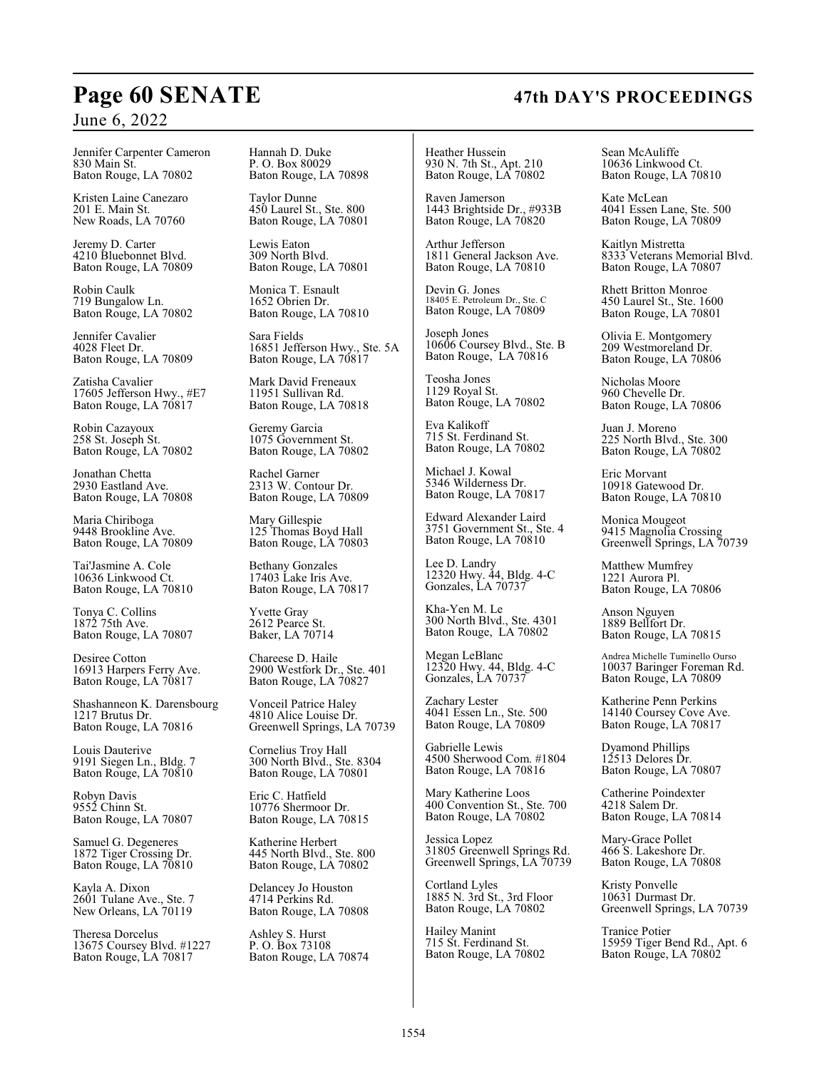# **Page 60 SENATE 47th DAY'S PROCEEDINGS**

## June 6, 2022

Jennifer Carpenter Cameron 830 Main St. Baton Rouge, LA 70802

Kristen Laine Canezaro 201 E. Main St. New Roads, LA 70760

Jeremy D. Carter 4210 Bluebonnet Blvd. Baton Rouge, LA 70809

Robin Caulk 719 Bungalow Ln. Baton Rouge, LA 70802

Jennifer Cavalier 4028 Fleet Dr. Baton Rouge, LA 70809

Zatisha Cavalier 17605 Jefferson Hwy., #E7 Baton Rouge, LA 70817

Robin Cazayoux 258 St. Joseph St. Baton Rouge, LA 70802

Jonathan Chetta 2930 Eastland Ave. Baton Rouge, LA 70808

Maria Chiriboga 9448 Brookline Ave. Baton Rouge, LA 70809

Tai'Jasmine A. Cole 10636 Linkwood Ct. Baton Rouge, LA 70810

Tonya C. Collins 1872 75th Ave. Baton Rouge, LA 70807

Desiree Cotton 16913 Harpers Ferry Ave. Baton Rouge, LA 70817

Shashanneon K. Darensbourg 1217 Brutus Dr. Baton Rouge, LA 70816

Louis Dauterive 9191 Siegen Ln., Bldg. 7 Baton Rouge, LA 70810

Robyn Davis 9552 Chinn St. Baton Rouge, LA 70807

Samuel G. Degeneres 1872 Tiger Crossing Dr. Baton Rouge, LA 70810

Kayla A. Dixon 2601 Tulane Ave., Ste. 7 New Orleans, LA 70119

Theresa Dorcelus 13675 Coursey Blvd. #1227 Baton Rouge, LA 70817

Hannah D. Duke P. O. Box 80029 Baton Rouge, LA 70898

Taylor Dunne 450 Laurel St., Ste. 800 Baton Rouge, LA 70801

Lewis Eaton 309 North Blvd. Baton Rouge, LA 70801

Monica T. Esnault 1652 Obrien Dr. Baton Rouge, LA 70810

Sara Fields 16851 Jefferson Hwy., Ste. 5A Baton Rouge, LA 70817

Mark David Freneaux 11951 Sullivan Rd. Baton Rouge, LA 70818

Geremy Garcia 1075 Government St. Baton Rouge, LA 70802

Rachel Garner 2313 W. Contour Dr. Baton Rouge, LA 70809

Mary Gillespie 125 Thomas Boyd Hall Baton Rouge, LA 70803

Bethany Gonzales 17403 Lake Iris Ave. Baton Rouge, LA 70817

Yvette Gray 2612 Pearce St. Baker, LA 70714

Chareese D. Haile 2900 Westfork Dr., Ste. 401 Baton Rouge, LA 70827

Vonceil Patrice Haley 4810 Alice Louise Dr. Greenwell Springs, LA 70739

Cornelius Troy Hall 300 North Blvd., Ste. 8304 Baton Rouge, LA 70801

Eric C. Hatfield 10776 Shermoor Dr. Baton Rouge, LA 70815

Katherine Herbert 445 North Blvd., Ste. 800 Baton Rouge, LA 70802

Delancey Jo Houston 4714 Perkins Rd. Baton Rouge, LA 70808

Ashley S. Hurst P. O. Box 73108 Baton Rouge, LA 70874 Heather Hussein 930 N. 7th St., Apt. 210 Baton Rouge, LA 70802

Raven Jamerson 1443 Brightside Dr., #933B Baton Rouge, LA 70820

Arthur Jefferson 1811 General Jackson Ave. Baton Rouge, LA 70810

Devin G. Jones 18405 E. Petroleum Dr., Ste. C Baton Rouge, LA 70809

Joseph Jones 10606 Coursey Blvd., Ste. B Baton Rouge, LA 70816

Teosha Jones 1129 Royal St. Baton Rouge, LA 70802

Eva Kalikoff 715 St. Ferdinand St. Baton Rouge, LA 70802

Michael J. Kowal 5346 Wilderness Dr. Baton Rouge, LA 70817

Edward Alexander Laird 3751 Government St., Ste. 4 Baton Rouge, LA 70810

Lee D. Landry 12320 Hwy. 44, Bldg. 4-C Gonzales, LA 70737

Kha-Yen M. Le 300 North Blvd., Ste. 4301 Baton Rouge, LA 70802

Megan LeBlanc 12320 Hwy. 44, Bldg. 4-C Gonzales, LA 70737

Zachary Lester 4041 Essen Ln., Ste. 500 Baton Rouge, LA 70809

Gabrielle Lewis 4500 Sherwood Com. #1804 Baton Rouge, LA 70816

Mary Katherine Loos 400 Convention St., Ste. 700 Baton Rouge, LA 70802

Jessica Lopez 31805 Greenwell Springs Rd. Greenwell Springs, LA 70739

Cortland Lyles 1885 N. 3rd St., 3rd Floor Baton Rouge, LA 70802

Hailey Manint 715 St. Ferdinand St. Baton Rouge, LA 70802 Sean McAuliffe 10636 Linkwood Ct. Baton Rouge, LA 70810

Kate McLean 4041 Essen Lane, Ste. 500 Baton Rouge, LA 70809

Kaitlyn Mistretta 8333 Veterans Memorial Blvd. Baton Rouge, LA 70807

Rhett Britton Monroe 450 Laurel St., Ste. 1600 Baton Rouge, LA 70801

Olivia E. Montgomery 209 Westmoreland Dr. Baton Rouge, LA 70806

Nicholas Moore 960 Chevelle Dr. Baton Rouge, LA 70806

Juan J. Moreno 225 North Blvd., Ste. 300 Baton Rouge, LA 70802

Eric Morvant 10918 Gatewood Dr. Baton Rouge, LA 70810

Monica Mougeot 9415 Magnolia Crossing Greenwell Springs, LA 70739

Matthew Mumfrey 1221 Aurora Pl. Baton Rouge, LA 70806

Anson Nguyen 1889 Bellfort Dr. Baton Rouge, LA 70815

Andrea Michelle Tuminello Ourso 10037 Baringer Foreman Rd. Baton Rouge, LA 70809

Katherine Penn Perkins 14140 Coursey Cove Ave. Baton Rouge, LA 70817

Dyamond Phillips 12513 Delores Dr. Baton Rouge, LA 70807

Catherine Poindexter 4218 Salem Dr. Baton Rouge, LA 70814

Mary-Grace Pollet 466 S. Lakeshore Dr. Baton Rouge, LA 70808

Kristy Ponvelle 10631 Durmast Dr. Greenwell Springs, LA 70739

Tranice Potier 15959 Tiger Bend Rd., Apt. 6 Baton Rouge, LA 70802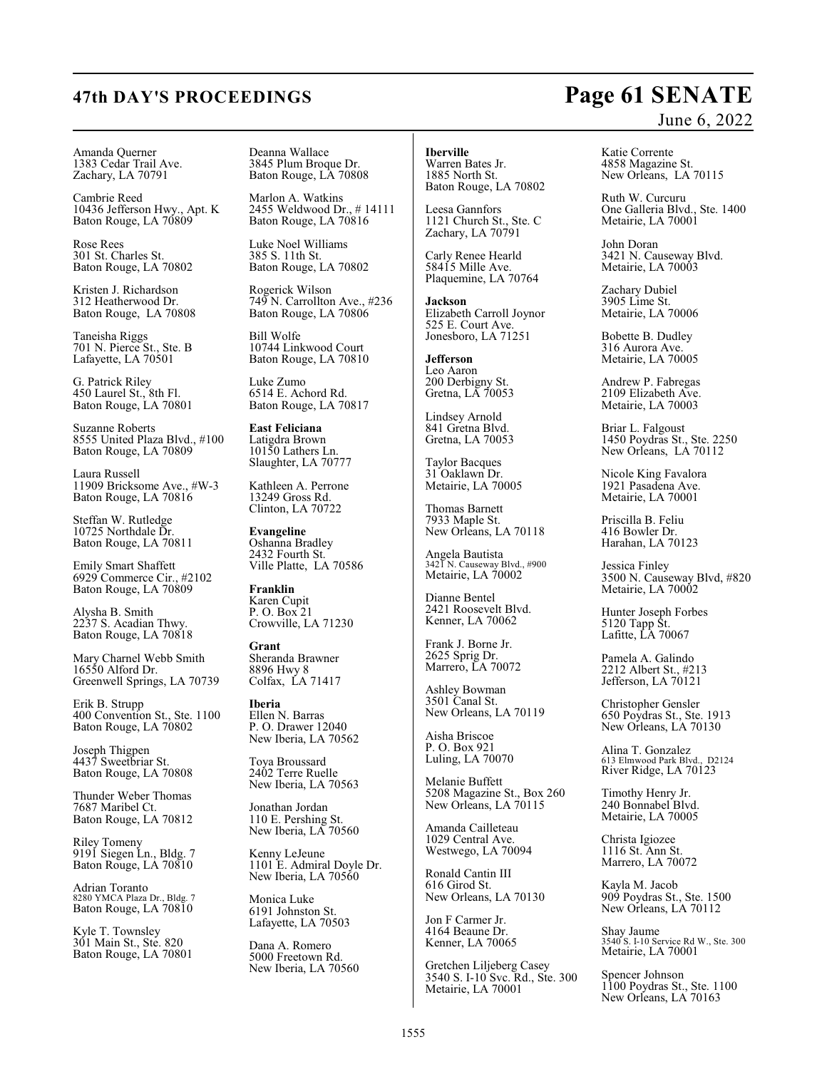### Amanda Querner 1383 Cedar Trail Ave. Zachary, LA 70791

Cambrie Reed 10436 Jefferson Hwy., Apt. K Baton Rouge, LA 70809

Rose Rees 301 St. Charles St. Baton Rouge, LA 70802

Kristen J. Richardson 312 Heatherwood Dr. Baton Rouge, LA 70808

Taneisha Riggs 701 N. Pierce St., Ste. B Lafayette, LA 70501

G. Patrick Riley 450 Laurel St., 8th Fl. Baton Rouge, LA 70801

Suzanne Roberts 8555 United Plaza Blvd., #100 Baton Rouge, LA 70809

Laura Russell 11909 Bricksome Ave., #W-3 Baton Rouge, LA 70816

Steffan W. Rutledge 10725 Northdale Dr. Baton Rouge, LA 70811

Emily Smart Shaffett 6929 Commerce Cir., #2102 Baton Rouge, LA 70809

Alysha B. Smith 2237 S. Acadian Thwy. Baton Rouge, LA 70818

Mary Charnel Webb Smith 16550 Alford Dr. Greenwell Springs, LA 70739

Erik B. Strupp 400 Convention St., Ste. 1100 Baton Rouge, LA 70802

Joseph Thigpen 4437 Sweetbriar St. Baton Rouge, LA 70808

Thunder Weber Thomas 7687 Maribel Ct. Baton Rouge, LA 70812

Riley Tomeny 9191 Siegen Ln., Bldg. 7 Baton Rouge, LA 70810

Adrian Toranto 8280 YMCA Plaza Dr., Bldg. 7 Baton Rouge, LA 70810

Kyle T. Townsley 301 Main St., Ste. 820 Baton Rouge, LA 70801 Deanna Wallace 3845 Plum Broque Dr. Baton Rouge, LA 70808

Marlon A. Watkins 2455 Weldwood Dr., # 14111 Baton Rouge, LA 70816

Luke Noel Williams 385 S. 11th St. Baton Rouge, LA 70802

Rogerick Wilson 749 N. Carrollton Ave., #236 Baton Rouge, LA 70806

Bill Wolfe 10744 Linkwood Court Baton Rouge, LA 70810

Luke Zumo 6514 E. Achord Rd. Baton Rouge, LA 70817

**East Feliciana** Latigdra Brown 10150 Lathers Ln. Slaughter, LA 70777

Kathleen A. Perrone 13249 Gross Rd. Clinton, LA 70722

**Evangeline** Oshanna Bradley 2432 Fourth St. Ville Platte, LA 70586

**Franklin** Karen Cupit P. O. Box 21 Crowville, LA 71230

**Grant** Sheranda Brawner 8896 Hwy 8 Colfax, LA 71417

**Iberia** Ellen N. Barras P. O. Drawer 12040 New Iberia, LA 70562

Toya Broussard 2402 Terre Ruelle New Iberia, LA 70563

Jonathan Jordan 110 E. Pershing St. New Iberia, LA 70560

Kenny LeJeune 1101 E. Admiral Doyle Dr. New Iberia, LA 70560

Monica Luke 6191 Johnston St. Lafayette, LA 70503

Dana A. Romero 5000 Freetown Rd. New Iberia, LA 70560

## **Iberville**

Warren Bates Jr. 1885 North St. Baton Rouge, LA 70802

Leesa Gannfors 1121 Church St., Ste. C Zachary, LA 70791

Carly Renee Hearld 58415 Mille Ave. Plaquemine, LA 70764

**Jackson** Elizabeth Carroll Joynor 525 E. Court Ave. Jonesboro, LA 71251

**Jefferson** Leo Aaron 200 Derbigny St. Gretna, LA 70053

Lindsey Arnold 841 Gretna Blvd. Gretna, LA 70053

Taylor Bacques 31 Oaklawn Dr. Metairie, LA 70005

Thomas Barnett 7933 Maple St. New Orleans, LA 70118

Angela Bautista 3421 N. Causeway Blvd., #900 Metairie, LA 70002

Dianne Bentel 2421 Roosevelt Blvd. Kenner, LA 70062

Frank J. Borne Jr. 2625 Sprig Dr. Marrero, LA 70072

Ashley Bowman 3501 Canal St. New Orleans, LA 70119

Aisha Briscoe P. O. Box 921 Luling, LA 70070

Melanie Buffett 5208 Magazine St., Box 260 New Orleans, LA 70115

Amanda Cailleteau 1029 Central Ave. Westwego, LA 70094

Ronald Cantin III 616 Girod St. New Orleans, LA 70130

Jon F Carmer Jr. 4164 Beaune Dr. Kenner, LA 70065

Gretchen Liljeberg Casey 3540 S. I-10 Svc. Rd., Ste. 300 Metairie, LA 70001

Katie Corrente 4858 Magazine St. New Orleans, LA 70115

Ruth W. Curcuru One Galleria Blvd., Ste. 1400 Metairie, LA 70001

John Doran 3421 N. Causeway Blvd. Metairie, LA 70003

Zachary Dubiel 3905 Lime St. Metairie, LA 70006

Bobette B. Dudley 316 Aurora Ave. Metairie, LA 70005

Andrew P. Fabregas 2109 Elizabeth Ave. Metairie, LA 70003

Briar L. Falgoust 1450 Poydras St., Ste. 2250 New Orleans, LA 70112

Nicole King Favalora 1921 Pasadena Ave. Metairie, LA 70001

Priscilla B. Feliu 416 Bowler Dr. Harahan, LA 70123

Jessica Finley 3500 N. Causeway Blvd, #820 Metairie, LA 70002

Hunter Joseph Forbes 5120 Tapp St. Lafitte, LA 70067

Pamela A. Galindo 2212 Albert St., #213 Jefferson, LA 70121

Christopher Gensler 650 Poydras St., Ste. 1913 New Orleans, LA 70130

Alina T. Gonzalez 613 Elmwood Park Blvd., D2124 River Ridge, LA 70123

Timothy Henry Jr. 240 Bonnabel Blvd. Metairie, LA 70005

Christa Igiozee 1116 St. Ann St. Marrero, LA 70072

Kayla M. Jacob 909 Poydras St., Ste. 1500 New Orleans, LA 70112

Shay Jaume 3540 S. I-10 Service Rd W., Ste. 300 Metairie, LA 70001

Spencer Johnson 1100 Poydras St., Ste. 1100 New Orleans, LA 70163

## **47th DAY'S PROCEEDINGS Page 61 SENATE** June 6, 2022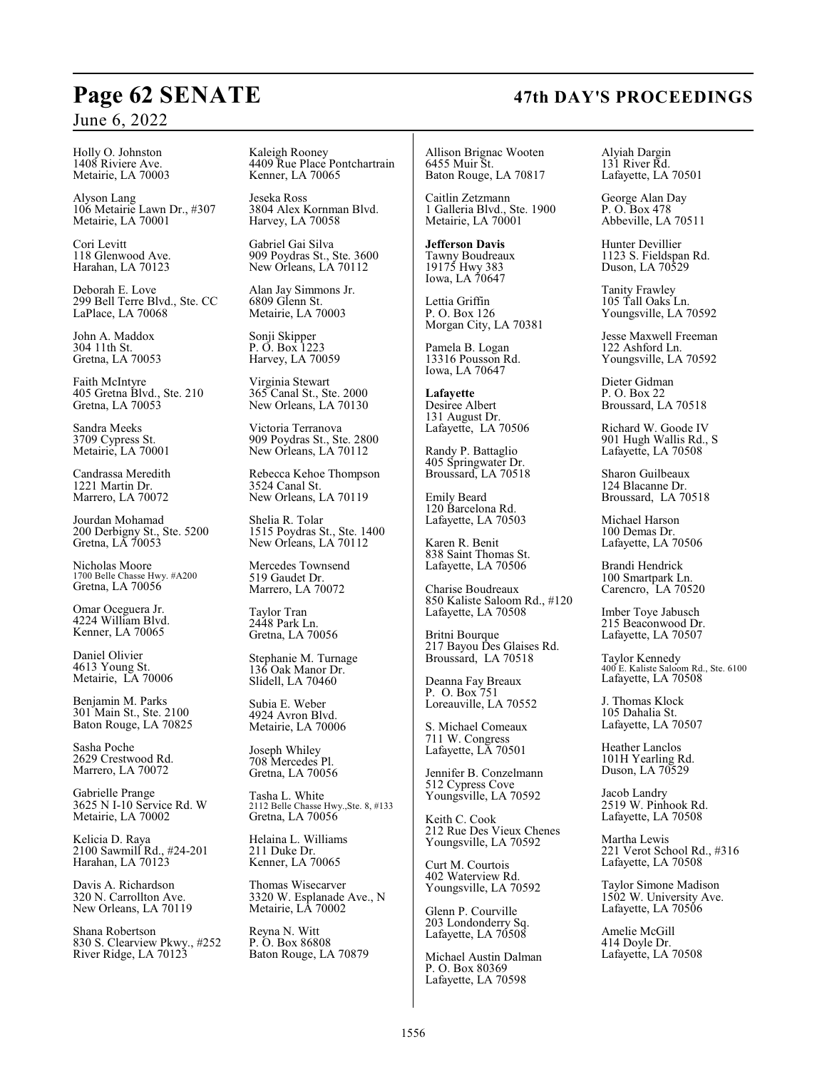Holly O. Johnston 1408 Riviere Ave. Metairie, LA 70003

Alyson Lang 106 Metairie Lawn Dr., #307 Metairie, LA 70001

Cori Levitt 118 Glenwood Ave. Harahan, LA 70123

Deborah E. Love 299 Bell Terre Blvd., Ste. CC LaPlace, LA 70068

John A. Maddox 304 11th St. Gretna, LA 70053

Faith McIntyre 405 Gretna Blvd., Ste. 210 Gretna, LA 70053

Sandra Meeks 3709 Cypress St. Metairie, LA 70001

Candrassa Meredith 1221 Martin Dr. Marrero, LA 70072

Jourdan Mohamad 200 Derbigny St., Ste. 5200 Gretna, LA 70053

Nicholas Moore 1700 Belle Chasse Hwy. #A200 Gretna, LA 70056

Omar Oceguera Jr. 4224 William Blvd. Kenner, LA 70065

Daniel Olivier 4613 Young St. Metairie, LA 70006

Benjamin M. Parks 301 Main St., Ste. 2100 Baton Rouge, LA 70825

Sasha Poche 2629 Crestwood Rd. Marrero, LA 70072

Gabrielle Prange 3625 N I-10 Service Rd. W Metairie, LA 70002

Kelicia D. Raya 2100 Sawmill Rd., #24-201 Harahan, LA 70123

Davis A. Richardson 320 N. Carrollton Ave. New Orleans, LA 70119

Shana Robertson 830 S. Clearview Pkwy., #252 River Ridge, LA 70123

Kaleigh Rooney 4409 Rue Place Pontchartrain Kenner, LA 70065

Jeseka Ross 3804 Alex Kornman Blvd. Harvey, LA 70058

Gabriel Gai Silva 909 Poydras St., Ste. 3600 New Orleans, LA 70112

Alan Jay Simmons Jr. 6809 Glenn St. Metairie, LA 70003

Sonji Skipper P. O. Box 1223 Harvey, LA 70059

Virginia Stewart 365 Canal St., Ste. 2000 New Orleans, LA 70130

Victoria Terranova 909 Poydras St., Ste. 2800 New Orleans, LA 70112

Rebecca Kehoe Thompson 3524 Canal St. New Orleans, LA 70119

Shelia R. Tolar 1515 Poydras St., Ste. 1400 New Orleans, LA 70112

Mercedes Townsend 519 Gaudet Dr. Marrero, LA 70072

Taylor Tran 2448 Park Ln. Gretna, LA 70056

Stephanie M. Turnage 136 Oak Manor Dr. Slidell, LA 70460

Subia E. Weber 4924 Avron Blvd. Metairie, LA 70006

Joseph Whiley 708 Mercedes Pl. Gretna, LA 70056

Tasha L. White 2112 Belle Chasse Hwy.,Ste. 8, #133 Gretna, LA 70056

Helaina L. Williams 211 Duke Dr. Kenner, LA 70065

Thomas Wisecarver 3320 W. Esplanade Ave., N Metairie, LA 70002

Reyna N. Witt P. O. Box 86808 Baton Rouge, LA 70879

Allison Brignac Wooten 6455 Muir St. Baton Rouge, LA 70817

Caitlin Zetzmann 1 Galleria Blvd., Ste. 1900 Metairie, LA 70001

**Jefferson Davis** Tawny Boudreaux 19175 Hwy 383 Iowa, LA 70647

Lettia Griffin P. O. Box 126 Morgan City, LA 70381

Pamela B. Logan 13316 Pousson Rd. Iowa, LA 70647

**Lafayette** Desiree Albert 131 August Dr. Lafayette, LA 70506

Randy P. Battaglio 405 Springwater Dr. Broussard, LA 70518

Emily Beard 120 Barcelona Rd. Lafayette, LA 70503

Karen R. Benit 838 Saint Thomas St. Lafayette, LA 70506

Charise Boudreaux 850 Kaliste Saloom Rd., #120 Lafayette, LA 70508

Britni Bourque 217 Bayou Des Glaises Rd. Broussard, LA 70518

Deanna Fay Breaux P. O. Box 751 Loreauville, LA 70552

S. Michael Comeaux 711 W. Congress Lafayette, LA 70501

Jennifer B. Conzelmann 512 Cypress Cove Youngsville, LA 70592

Keith C. Cook 212 Rue Des Vieux Chenes Youngsville, LA 70592

Curt M. Courtois 402 Waterview Rd. Youngsville, LA 70592

Glenn P. Courville 203 Londonderry Sq. Lafayette, LA 70508

Michael Austin Dalman P. O. Box 80369 Lafayette, LA 70598

Alyiah Dargin 131 River Rd. Lafayette, LA 70501

George Alan Day P. O. Box 478 Abbeville, LA 70511

Hunter Devillier 1123 S. Fieldspan Rd. Duson, LA 70529

Tanity Frawley 105 Tall Oaks Ln. Youngsville, LA 70592

Jesse Maxwell Freeman 122 Ashford Ln. Youngsville, LA 70592

Dieter Gidman P. O. Box 22 Broussard, LA 70518

Richard W. Goode IV 901 Hugh Wallis Rd., S Lafayette, LA 70508

Sharon Guilbeaux 124 Blacanne Dr. Broussard, LA 70518

Michael Harson 100 Demas Dr. Lafayette, LA 70506

Brandi Hendrick 100 Smartpark Ln. Carencro, LA 70520

Imber Toye Jabusch 215 Beaconwood Dr. Lafayette, LA 70507

Taylor Kennedy 400 E. Kaliste Saloom Rd., Ste. 6100 Lafayette, LA 70508

J. Thomas Klock 105 Dahalia St. Lafayette, LA 70507

Heather Lanclos 101H Yearling Rd. Duson, LA 70529

Jacob Landry 2519 W. Pinhook Rd. Lafayette, LA 70508

Martha Lewis 221 Verot School Rd., #316 Lafayette, LA 70508

Taylor Simone Madison 1502 W. University Ave. Lafayette, LA 70506

Amelie McGill 414 Doyle Dr. Lafayette, LA 70508

## **Page 62 SENATE 47th DAY'S PROCEEDINGS**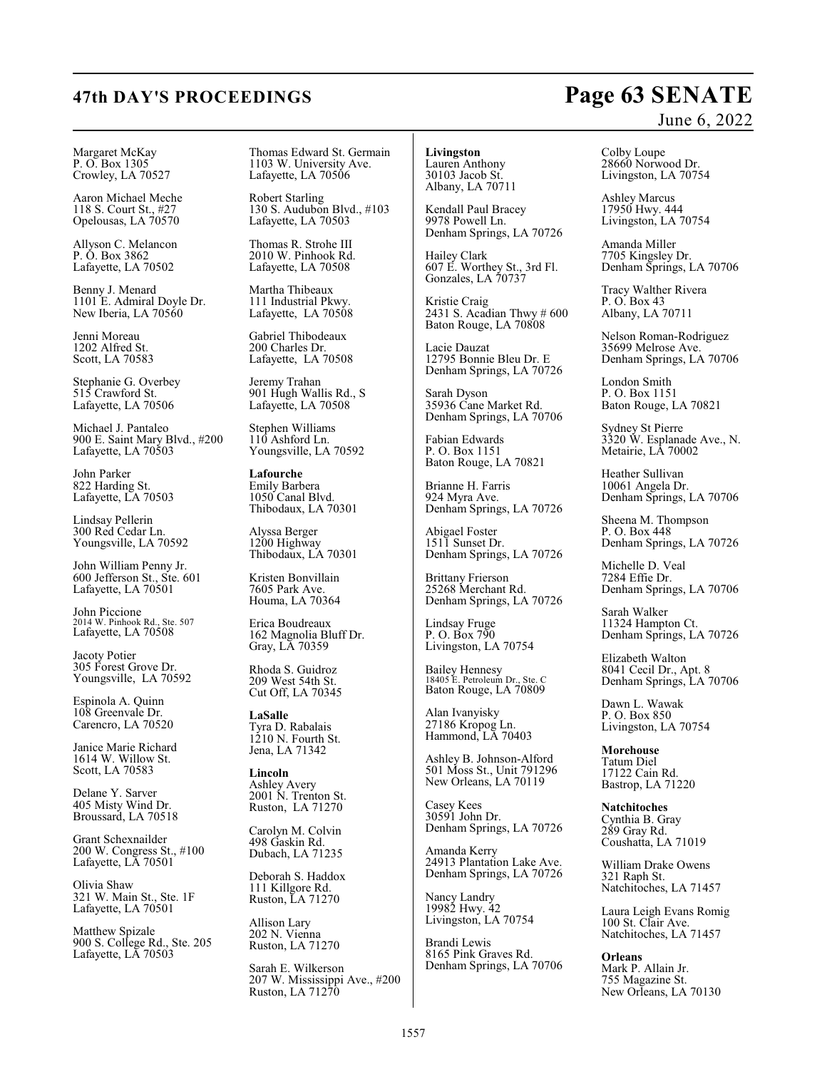## **47th DAY'S PROCEEDINGS Page 63 SENATE** June 6, 2022

Margaret McKay P. O. Box 1305 Crowley, LA 70527

Aaron Michael Meche 118 S. Court St., #27 Opelousas, LA 70570

Allyson C. Melancon P. O. Box 3862 Lafayette, LA 70502

Benny J. Menard 1101 E. Admiral Doyle Dr. New Iberia, LA 70560

Jenni Moreau 1202 Alfred St. Scott, LA 70583

Stephanie G. Overbey 515 Crawford St. Lafayette, LA 70506

Michael J. Pantaleo 900 E. Saint Mary Blvd., #200 Lafayette, LA 70503

John Parker 822 Harding St. Lafayette, LA 70503

Lindsay Pellerin 300 Red Cedar Ln. Youngsville, LA 70592

John William Penny Jr. 600 Jefferson St., Ste. 601 Lafayette, LA 70501

John Piccione 2014 W. Pinhook Rd., Ste. 507 Lafayette, LA 70508

Jacoty Potier 305 Forest Grove Dr. Youngsville, LA 70592

Espinola A. Quinn 108 Greenvale Dr. Carencro, LA 70520

Janice Marie Richard 1614 W. Willow St. Scott, LA 70583

Delane Y. Sarver 405 Misty Wind Dr. Broussard, LA 70518

Grant Schexnailder 200 W. Congress St., #100 Lafayette, LA 70501

Olivia Shaw 321 W. Main St., Ste. 1F Lafayette, LA 70501

Matthew Spizale 900 S. College Rd., Ste. 205 Lafayette, LA 70503

Thomas Edward St. Germain 1103 W. University Ave. Lafayette, LA 70506

Robert Starling 130 S. Audubon Blvd., #103 Lafayette, LA 70503

Thomas R. Strohe III 2010 W. Pinhook Rd. Lafayette, LA 70508

Martha Thibeaux 111 Industrial Pkwy. Lafayette, LA 70508

Gabriel Thibodeaux 200 Charles Dr. Lafayette, LA 70508

Jeremy Trahan 901 Hugh Wallis Rd., S Lafayette, LA 70508

Stephen Williams 110 Ashford Ln. Youngsville, LA 70592

**Lafourche** Emily Barbera 1050 Canal Blvd. Thibodaux, LA 70301

Alyssa Berger 1200 Highway Thibodaux, LA 70301

Kristen Bonvillain 7605 Park Ave. Houma, LA 70364

Erica Boudreaux 162 Magnolia Bluff Dr. Gray, LA 70359

Rhoda S. Guidroz 209 West 54th St. Cut Off, LA 70345

**LaSalle** Tyra D. Rabalais 1210 N. Fourth St. Jena, LA 71342

**Lincoln** Ashley Avery 2001 N. Trenton St. Ruston, LA 71270

Carolyn M. Colvin 498 Gaskin Rd. Dubach, LA 71235

Deborah S. Haddox 111 Killgore Rd. Ruston, LA 71270

Allison Lary 202 N. Vienna Ruston, LA 71270

Sarah E. Wilkerson 207 W. Mississippi Ave., #200 Ruston, LA 71270

**Livingston** Lauren Anthony 30103 Jacob St.

Albany, LA 70711

Kendall Paul Bracey 9978 Powell Ln. Denham Springs, LA 70726

Hailey Clark 607 E. Worthey St., 3rd Fl. Gonzales, LA 70737

Kristie Craig 2431 S. Acadian Thwy # 600 Baton Rouge, LA 70808

Lacie Dauzat 12795 Bonnie Bleu Dr. E Denham Springs, LA 70726

Sarah Dyson 35936 Cane Market Rd. Denham Springs, LA 70706

Fabian Edwards P. O. Box 1151 Baton Rouge, LA 70821

Brianne H. Farris 924 Myra Ave. Denham Springs, LA 70726

Abigael Foster 1511 Sunset Dr. Denham Springs, LA 70726

Brittany Frierson 25268 Merchant Rd. Denham Springs, LA 70726

Lindsay Fruge P. O. Box 790 Livingston, LA 70754

Bailey Hennesy 18405 E. Petroleum Dr., Ste. C Baton Rouge, LA 70809

Alan Ivanyisky 27186 Kropog Ln. Hammond, LA 70403

Ashley B. Johnson-Alford 501 Moss St., Unit 791296 New Orleans, LA 70119

Casey Kees 30591 John Dr. Denham Springs, LA 70726

Amanda Kerry 24913 Plantation Lake Ave. Denham Springs, LA 70726

Nancy Landry 19982 Hwy. 42 Livingston, LA 70754

Brandi Lewis 8165 Pink Graves Rd. Denham Springs, LA 70706 Colby Loupe 28660 Norwood Dr. Livingston, LA 70754

Ashley Marcus 17950 Hwy. 444 Livingston, LA 70754

Amanda Miller 7705 Kingsley Dr. Denham Springs, LA 70706

Tracy Walther Rivera P. O. Box 43 Albany, LA 70711

Nelson Roman-Rodriguez 35699 Melrose Ave. Denham Springs, LA 70706

London Smith P. O. Box 1151 Baton Rouge, LA 70821

Sydney St Pierre 3320 W. Esplanade Ave., N. Metairie, LA 70002

Heather Sullivan 10061 Angela Dr. Denham Springs, LA 70706

Sheena M. Thompson P. O. Box 448 Denham Springs, LA 70726

Michelle D. Veal 7284 Effie Dr. Denham Springs, LA 70706

Sarah Walker 11324 Hampton Ct. Denham Springs, LA 70726

Elizabeth Walton 8041 Cecil Dr., Apt. 8 Denham Springs, LA 70706

Dawn L. Wawak P. O. Box 850 Livingston, LA 70754

**Morehouse** Tatum Diel 17122 Cain Rd. Bastrop, LA 71220

**Natchitoches** Cynthia B. Gray 289 Gray Rd. Coushatta, LA 71019

William Drake Owens 321 Raph St. Natchitoches, LA 71457

Laura Leigh Evans Romig 100 St. Clair Ave. Natchitoches, LA 71457

**Orleans** Mark P. Allain Jr. 755 Magazine St. New Orleans, LA 70130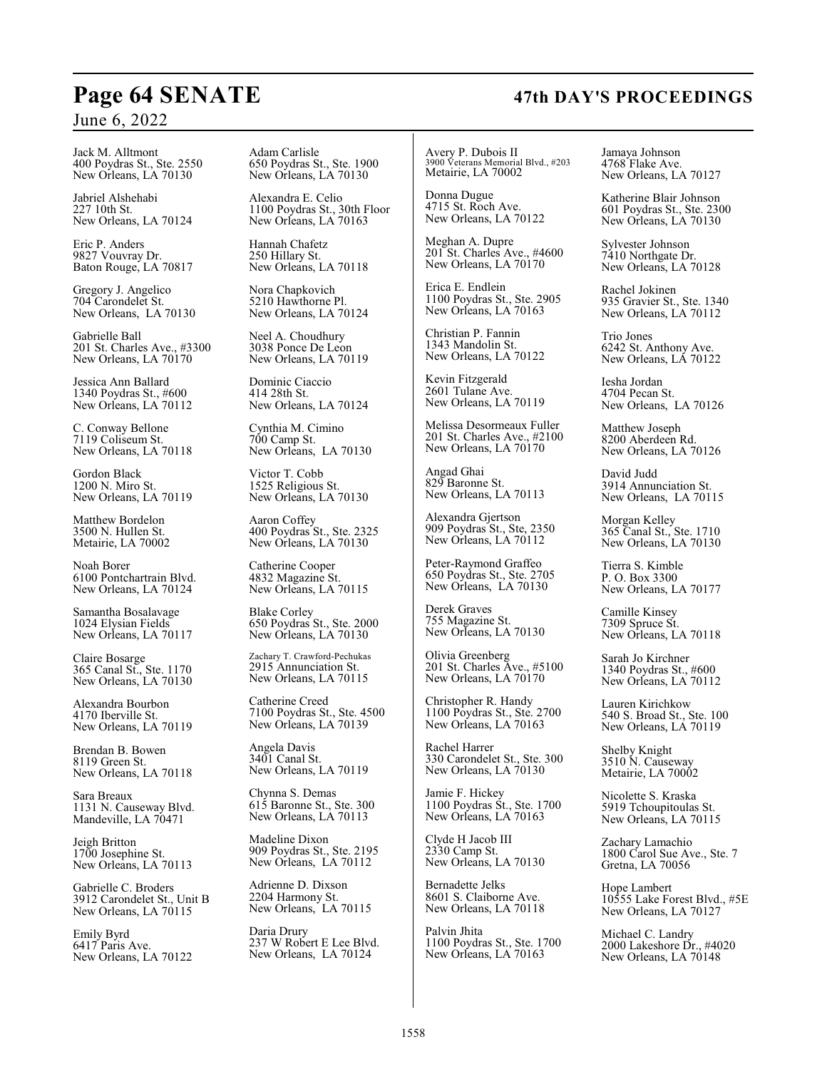# **Page 64 SENATE 47th DAY'S PROCEEDINGS**

## June 6, 2022

Jack M. Alltmont 400 Poydras St., Ste. 2550 New Orleans, LA 70130

Jabriel Alshehabi 227 10th St. New Orleans, LA 70124

Eric P. Anders 9827 Vouvray Dr. Baton Rouge, LA 70817

Gregory J. Angelico 704 Carondelet St. New Orleans, LA 70130

Gabrielle Ball 201 St. Charles Ave., #3300 New Orleans, LA 70170

Jessica Ann Ballard 1340 Poydras St., #600 New Orleans, LA 70112

C. Conway Bellone 7119 Coliseum St. New Orleans, LA 70118

Gordon Black 1200 N. Miro St. New Orleans, LA 70119

Matthew Bordelon 3500 N. Hullen St. Metairie, LA 70002

Noah Borer 6100 Pontchartrain Blvd. New Orleans, LA 70124

Samantha Bosalavage 1024 Elysian Fields New Orleans, LA 70117

Claire Bosarge 365 Canal St., Ste. 1170 New Orleans, LA 70130

Alexandra Bourbon 4170 Iberville St. New Orleans, LA 70119

Brendan B. Bowen 8119 Green St. New Orleans, LA 70118

Sara Breaux 1131 N. Causeway Blvd. Mandeville, LA 70471

Jeigh Britton 1700 Josephine St. New Orleans, LA 70113

Gabrielle C. Broders 3912 Carondelet St., Unit B New Orleans, LA 70115

Emily Byrd 6417 Paris Ave. New Orleans, LA 70122 Adam Carlisle 650 Poydras St., Ste. 1900 New Orleans, LA 70130

Alexandra E. Celio 1100 Poydras St., 30th Floor New Orleans, LA 70163

Hannah Chafetz 250 Hillary St. New Orleans, LA 70118

Nora Chapkovich 5210 Hawthorne Pl. New Orleans, LA 70124

Neel A. Choudhury 3038 Ponce De Leon New Orleans, LA 70119

Dominic Ciaccio 414 28th St. New Orleans, LA 70124

Cynthia M. Cimino 700 Camp St. New Orleans, LA 70130

Victor T. Cobb 1525 Religious St. New Orleans, LA 70130

Aaron Coffey 400 Poydras St., Ste. 2325 New Orleans, LA 70130

Catherine Cooper 4832 Magazine St. New Orleans, LA 70115

Blake Corley 650 Poydras St., Ste. 2000 New Orleans, LA 70130

Zachary T. Crawford-Pechukas 2915 Annunciation St. New Orleans, LA 70115

Catherine Creed 7100 Poydras St., Ste. 4500 New Orleans, LA 70139

Angela Davis 3401 Canal St. New Orleans, LA 70119

Chynna S. Demas 615 Baronne St., Ste. 300 New Orleans, LA 70113

Madeline Dixon 909 Poydras St., Ste. 2195 New Orleans, LA 70112

Adrienne D. Dixson 2204 Harmony St. New Orleans, LA 70115

Daria Drury 237 W Robert E Lee Blvd. New Orleans, LA 70124

Avery P. Dubois II 3900 Veterans Memorial Blvd., #203 Metairie, LA 70002

Donna Dugue 4715 St. Roch Ave. New Orleans, LA 70122

Meghan A. Dupre 201 St. Charles Ave., #4600 New Orleans, LA 70170

Erica E. Endlein 1100 Poydras St., Ste. 2905 New Orleans, LA 70163

Christian P. Fannin 1343 Mandolin St. New Orleans, LA 70122

Kevin Fitzgerald 2601 Tulane Ave. New Orleans, LA 70119

Melissa Desormeaux Fuller 201 St. Charles Ave., #2100 New Orleans, LA 70170

Angad Ghai 829 Baronne St. New Orleans, LA 70113

Alexandra Gjertson 909 Poydras St., Ste, 2350 New Orleans, LA 70112

Peter-Raymond Graffeo 650 Poydras St., Ste. 2705 New Orleans, LA 70130

Derek Graves 755 Magazine St. New Orleans, LA 70130

Olivia Greenberg 201 St. Charles Ave., #5100 New Orleans, LA 70170

Christopher R. Handy 1100 Poydras St., Ste. 2700 New Orleans, LA 70163

Rachel Harrer 330 Carondelet St., Ste. 300 New Orleans, LA 70130

Jamie F. Hickey 1100 Poydras St., Ste. 1700 New Orleans, LA 70163

Clyde H Jacob III 2330 Camp St. New Orleans, LA 70130

Bernadette Jelks 8601 S. Claiborne Ave. New Orleans, LA 70118

Palvin Jhita 1100 Poydras St., Ste. 1700 New Orleans, LA 70163

Jamaya Johnson 4768 Flake Ave. New Orleans, LA 70127

Katherine Blair Johnson 601 Poydras St., Ste. 2300 New Orleans, LA 70130

Sylvester Johnson 7410 Northgate Dr. New Orleans, LA 70128

Rachel Jokinen 935 Gravier St., Ste. 1340 New Orleans, LA 70112

Trio Jones 6242 St. Anthony Ave. New Orleans, LA 70122

Iesha Jordan 4704 Pecan St. New Orleans, LA 70126

Matthew Joseph 8200 Aberdeen Rd. New Orleans, LA 70126

David Judd 3914 Annunciation St. New Orleans, LA 70115

Morgan Kelley 365 Canal St., Ste. 1710 New Orleans, LA 70130

Tierra S. Kimble P. O. Box 3300 New Orleans, LA 70177

Camille Kinsey 7309 Spruce St. New Orleans, LA 70118

Sarah Jo Kirchner 1340 Poydras St., #600 New Orleans, LA 70112

Lauren Kirichkow 540 S. Broad St., Ste. 100 New Orleans, LA 70119

Shelby Knight 3510 N. Causeway Metairie, LA 70002

Nicolette S. Kraska 5919 Tchoupitoulas St. New Orleans, LA 70115

Zachary Lamachio 1800 Carol Sue Ave., Ste. 7 Gretna, LA 70056

Hope Lambert 10555 Lake Forest Blvd., #5E New Orleans, LA 70127

Michael C. Landry 2000 Lakeshore Dr., #4020 New Orleans, LA 70148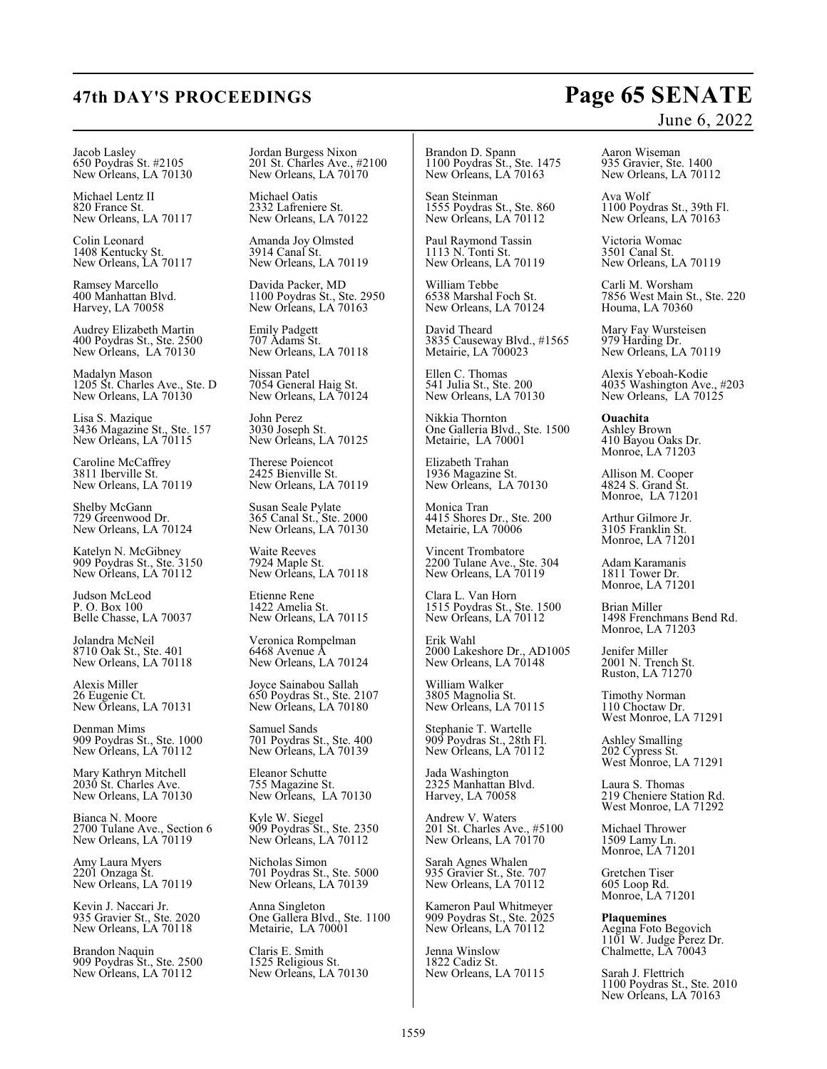## **47th DAY'S PROCEEDINGS Page 65 SENATE** June 6, 2022

Jacob Lasley 650 Poydras St. #2105 New Orleans, LA 70130

Michael Lentz II 820 France St. New Orleans, LA 70117

Colin Leonard 1408 Kentucky St. New Orleans, LA 70117

Ramsey Marcello 400 Manhattan Blvd. Harvey, LA 70058

Audrey Elizabeth Martin 400 Poydras St., Ste. 2500 New Orleans, LA 70130

Madalyn Mason 1205 St. Charles Ave., Ste. D New Orleans, LA 70130

Lisa S. Mazique 3436 Magazine St., Ste. 157 New Orleans, LA 70115

Caroline McCaffrey 3811 Iberville St. New Orleans, LA 70119

Shelby McGann 729 Greenwood Dr. New Orleans, LA 70124

Katelyn N. McGibney 909 Poydras St., Ste. 3150 New Orleans, LA 70112

Judson McLeod P. O. Box 100 Belle Chasse, LA 70037

Jolandra McNeil 8710 Oak St., Ste. 401 New Orleans, LA 70118

Alexis Miller 26 Eugenie Ct. New Orleans, LA 70131

Denman Mims 909 Poydras St., Ste. 1000 New Orleans, LA 70112

Mary Kathryn Mitchell 2030 St. Charles Ave. New Orleans, LA 70130

Bianca N. Moore 2700 Tulane Ave., Section 6 New Orleans, LA 70119

Amy Laura Myers 2201 Onzaga St. New Orleans, LA 70119

Kevin J. Naccari Jr. 935 Gravier St., Ste. 2020 New Orleans, LA 70118

Brandon Naquin 909 Poydras St., Ste. 2500 New Orleans, LA 70112

Jordan Burgess Nixon 201 St. Charles Ave., #2100 New Orleans, LA 70170

Michael Oatis 2332 Lafreniere St. New Orleans, LA 70122

Amanda Joy Olmsted 3914 Canal St. New Orleans, LA 70119

Davida Packer, MD 1100 Poydras St., Ste. 2950 New Orleans, LA 70163

Emily Padgett 707 Adams St. New Orleans, LA 70118

Nissan Patel 7054 General Haig St. New Orleans, LA 70124

John Perez 3030 Joseph St. New Orleans, LA 70125

Therese Poiencot 2425 Bienville St. New Orleans, LA 70119

Susan Seale Pylate 365 Canal St., Ste. 2000 New Orleans, LA 70130

Waite Reeves 7924 Maple St. New Orleans, LA 70118

Etienne Rene 1422 Amelia St. New Orleans, LA 70115

Veronica Rompelman 6468 Avenue A New Orleans, LA 70124

Joyce Sainabou Sallah 650 Poydras St., Ste. 2107 New Orleans, LA 70180

Samuel Sands 701 Poydras St., Ste. 400 New Orleans, LA 70139

Eleanor Schutte 755 Magazine St. New Orleans, LA 70130

Kyle W. Siegel 909 Poydras St., Ste. 2350 New Orleans, LA 70112

Nicholas Simon 701 Poydras St., Ste. 5000 New Orleans, LA 70139

Anna Singleton One Gallera Blvd., Ste. 1100 Metairie, LA 70001

Claris E. Smith 1525 Religious St. New Orleans, LA 70130 Brandon D. Spann 1100 Poydras St., Ste. 1475 New Orleans, LA 70163

Sean Steinman 1555 Poydras St., Ste. 860 New Orleans, LA 70112

Paul Raymond Tassin 1113 N. Tonti St. New Orleans, LA 70119

William Tebbe 6538 Marshal Foch St. New Orleans, LA 70124

David Theard 3835 Causeway Blvd., #1565 Metairie, LA 700023

Ellen C. Thomas 541 Julia St., Ste. 200 New Orleans, LA 70130

Nikkia Thornton One Galleria Blvd., Ste. 1500 Metairie, LA 70001

Elizabeth Trahan 1936 Magazine St. New Orleans, LA 70130

Monica Tran 4415 Shores Dr., Ste. 200 Metairie, LA 70006

Vincent Trombatore 2200 Tulane Ave., Ste. 304 New Orleans, LA 70119

Clara L. Van Horn 1515 Poydras St., Ste. 1500 New Orleans, LA 70112

Erik Wahl 2000 Lakeshore Dr., AD1005 New Orleans, LA 70148

William Walker 3805 Magnolia St. New Orleans, LA 70115

Stephanie T. Wartelle 909 Poydras St., 28th Fl. New Orleans, LA 70112

Jada Washington 2325 Manhattan Blvd. Harvey, LA 70058

Andrew V. Waters 201 St. Charles Ave., #5100 New Orleans, LA 70170

Sarah Agnes Whalen 935 Gravier St., Ste. 707 New Orleans, LA 70112

Kameron Paul Whitmeyer 909 Poydras St., Ste. 2025 New Orleans, LA 70112

Jenna Winslow 1822 Cadiz St. New Orleans, LA 70115

Aaron Wiseman 935 Gravier, Ste. 1400 New Orleans, LA 70112

Ava Wolf 1100 Poydras St., 39th Fl. New Orleans, LA 70163

Victoria Womac 3501 Canal St. New Orleans, LA 70119

Carli M. Worsham 7856 West Main St., Ste. 220 Houma, LA 70360

Mary Fay Wursteisen 979 Harding Dr. New Orleans, LA 70119

Alexis Yeboah-Kodie 4035 Washington Ave., #203 New Orleans, LA 70125

**Ouachita** Ashley Brown 410 Bayou Oaks Dr. Monroe, LA 71203

Allison M. Cooper 4824 S. Grand St. Monroe, LA 71201

Arthur Gilmore Jr. 3105 Franklin St. Monroe, LA 71201

Adam Karamanis 1811 Tower Dr. Monroe, LA 71201

Brian Miller 1498 Frenchmans Bend Rd. Monroe, LA 71203

Jenifer Miller 2001 N. Trench St. Ruston, LA 71270

Timothy Norman 110 Choctaw Dr. West Monroe, LA 71291

Ashley Smalling 202 Cypress St. West Monroe, LA 71291

Laura S. Thomas 219 Cheniere Station Rd. West Monroe, LA 71292

Michael Thrower 1509 Lamy Ln. Monroe, LA 71201

Gretchen Tiser 605 Loop Rd. Monroe, LA 71201

**Plaquemines**

Aegina Foto Begovich 1101 W. Judge Perez Dr. Chalmette, LA 70043

Sarah J. Flettrich 1100 Poydras St., Ste. 2010 New Orleans, LA 70163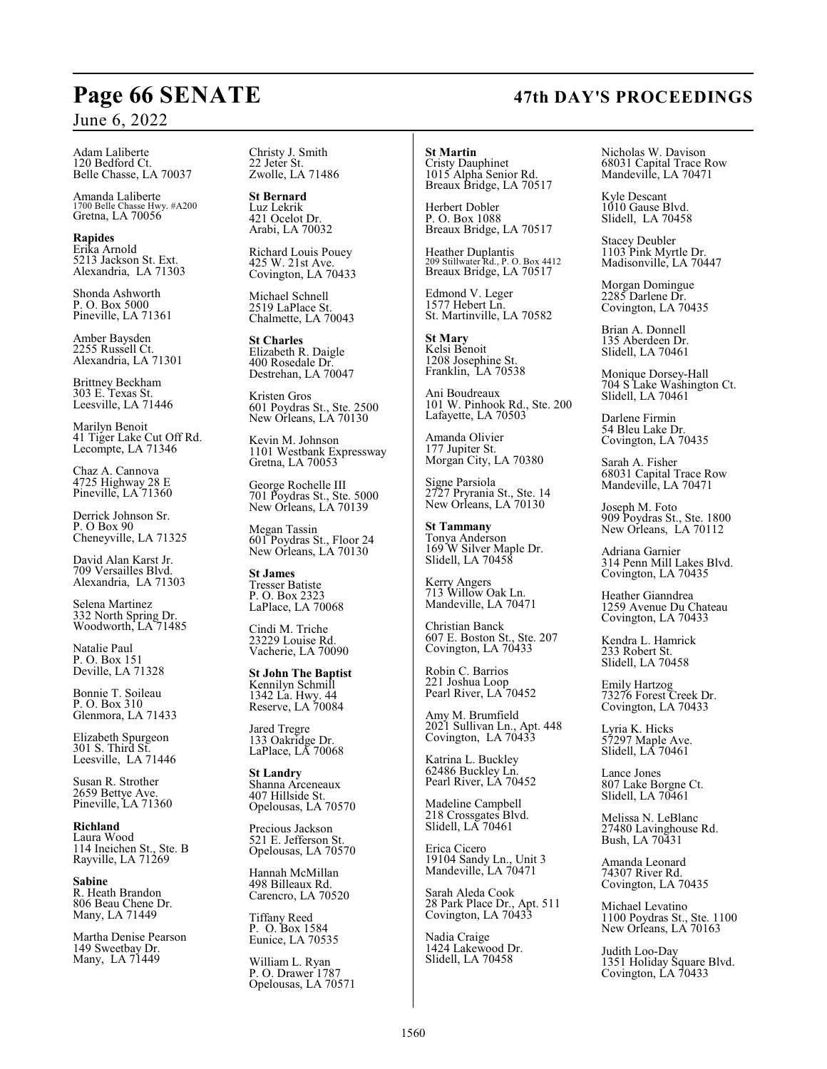Adam Laliberte 120 Bedford Ct. Belle Chasse, LA 70037

Amanda Laliberte 1700 Belle Chasse Hwy. #A200 Gretna, LA 70056

**Rapides** Erika Arnold 5213 Jackson St. Ext. Alexandria, LA 71303

Shonda Ashworth P. O. Box 5000 Pineville, LA 71361

Amber Baysden 2255 Russell Ct. Alexandria, LA 71301

Brittney Beckham 303 E. Texas St. Leesville, LA 71446

Marilyn Benoit 41 Tiger Lake Cut Off Rd. Lecompte, LA 71346

Chaz A. Cannova 4725 Highway 28 E Pineville, LA 71360

Derrick Johnson Sr. P. O Box 90 Cheneyville, LA 71325

David Alan Karst Jr. 709 Versailles Blvd. Alexandria, LA 71303

Selena Martinez 332 North Spring Dr. Woodworth, LA 71485

Natalie Paul P. O. Box 151 Deville, LA 71328

Bonnie T. Soileau P. O. Box 310 Glenmora, LA 71433

Elizabeth Spurgeon 301 S. Third St. Leesville, LA 71446

Susan R. Strother 2659 Bettye Ave. Pineville, LA 71360

**Richland** Laura Wood 114 Ineichen St., Ste. B Rayville, LA 71269

**Sabine** R. Heath Brandon 806 Beau Chene Dr. Many, LA 71449

Martha Denise Pearson 149 Sweetbay Dr. Many, LA 71449

Christy J. Smith 22 Jeter St. Zwolle, LA 71486

**St Bernard** Luz Lekrik 421 Ocelot Dr. Arabi, LA 70032

Richard Louis Pouey 425 W. 21st Ave. Covington, LA 70433

Michael Schnell 2519 LaPlace St. Chalmette, LA 70043

**St Charles** Elizabeth R. Daigle 400 Rosedale Dr. Destrehan, LA 70047

Kristen Gros 601 Poydras St., Ste. 2500 New Orleans, LA 70130

Kevin M. Johnson 1101 Westbank Expressway Gretna, LA 70053

George Rochelle III 701 Poydras St., Ste. 5000 New Orleans, LA 70139

Megan Tassin 601 Poydras St., Floor 24 New Orleans, LA 70130

**St James** Tresser Batiste P. O. Box 2323 LaPlace, LA 70068

Cindi M. Triche 23229 Louise Rd. Vacherie, LA 70090

**St John The Baptist** Kennilyn Schmill 1342 La. Hwy. 44 Reserve, LA 70084

Jared Tregre 133 Oakridge Dr. LaPlace, LA 70068

**St Landry** Shanna Arceneaux 407 Hillside St. Opelousas, LA 70570

Precious Jackson 521 E. Jefferson St. Opelousas, LA 70570

Hannah McMillan 498 Billeaux Rd. Carencro, LA 70520

Tiffany Reed P. O. Box 1584 Eunice, LA 70535

William L. Ryan P. O. Drawer 1787 Opelousas, LA 70571 **St Martin** Cristy Dauphinet 1015 Alpha Senior Rd. Breaux Bridge, LA 70517

Herbert Dobler P. O. Box 1088 Breaux Bridge, LA 70517

Heather Duplantis 209 Stillwater Rd., P. O. Box 4412 Breaux Bridge, LA 70517

Edmond V. Leger 1577 Hebert Ln. St. Martinville, LA 70582

**St Mary** Kelsi Benoit 1208 Josephine St. Franklin, LA 70538

Ani Boudreaux 101 W. Pinhook Rd., Ste. 200 Lafayette, LA 70503

Amanda Olivier 177 Jupiter St. Morgan City, LA 70380

Signe Parsiola 2727 Pryrania St., Ste. 14 New Orleans, LA 70130

**St Tammany** Tonya Anderson 169 W Silver Maple Dr. Slidell, LA 70458

Kerry Angers 713 Willow Oak Ln. Mandeville, LA 70471

Christian Banck 607 E. Boston St., Ste. 207 Covington, LA 70433

Robin C. Barrios 221 Joshua Loop Pearl River, LA 70452

Amy M. Brumfield 2021 Sullivan Ln., Apt. 448 Covington, LA 70433

Katrina L. Buckley 62486 Buckley Ln. Pearl River, LA 70452

Madeline Campbell 218 Crossgates Blvd. Slidell, LA 70461

Erica Cicero 19104 Sandy Ln., Unit 3 Mandeville, LA 70471

Sarah Aleda Cook 28 Park Place Dr., Apt. 511 Covington, LA 70433

Nadia Craige 1424 Lakewood Dr. Slidell, LA 70458

Nicholas W. Davison 68031 Capital Trace Row Mandeville, LA 70471

Kyle Descant 1010 Gause Blvd. Slidell, LA 70458

Stacey Deubler 1103 Pink Myrtle Dr. Madisonville, LA 70447

Morgan Domingue 2285 Darlene Dr. Covington, LA 70435

Brian A. Donnell 135 Aberdeen Dr. Slidell, LA 70461

Monique Dorsey-Hall 704 S Lake Washington Ct. Slidell, LA 70461

Darlene Firmin 54 Bleu Lake Dr. Covington, LA 70435

Sarah A. Fisher 68031 Capital Trace Row Mandeville, LA 70471

Joseph M. Foto 909 Poydras St., Ste. 1800 New Orleans, LA 70112

Adriana Garnier 314 Penn Mill Lakes Blvd. Covington, LA 70435

Heather Gianndrea 1259 Avenue Du Chateau Covington, LA 70433

Kendra L. Hamrick 233 Robert St. Slidell, LA 70458

Emily Hartzog 73276 Forest Creek Dr. Covington, LA 70433

Lyria K. Hicks 57297 Maple Ave. Slidell, LA 70461

Lance Jones 807 Lake Borgne Ct. Slidell, LA 70461

Melissa N. LeBlanc 27480 Lavinghouse Rd. Bush, LA 70431

Amanda Leonard 74307 River Rd. Covington, LA 70435

Michael Levatino 1100 Poydras St., Ste. 1100 New Orleans, LA 70163

Judith Loo-Day 1351 Holiday Square Blvd. Covington, LA 70433

# **Page 66 SENATE 47th DAY'S PROCEEDINGS**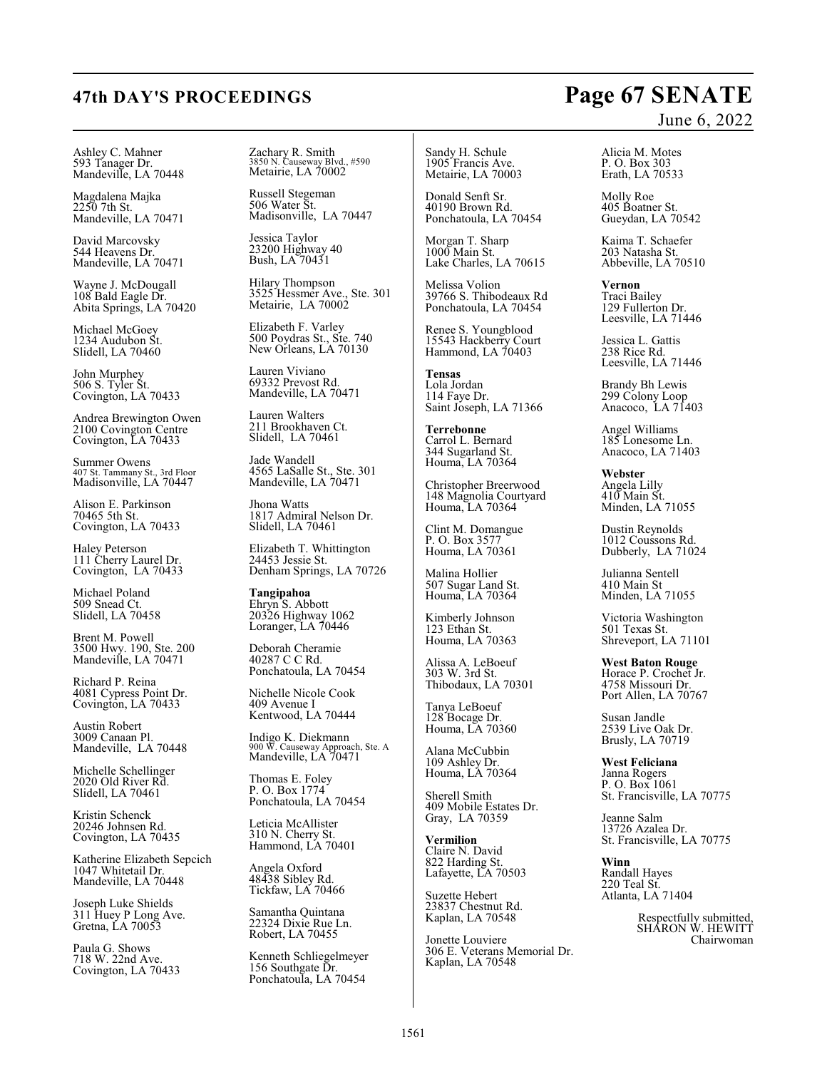Ashley C. Mahner 593 Tanager Dr. Mandeville, LA 70448

Magdalena Majka 2250 7th St. Mandeville, LA 70471

David Marcovsky 544 Heavens Dr. Mandeville, LA 70471

Wayne J. McDougall 108 Bald Eagle Dr. Abita Springs, LA 70420

Michael McGoey 1234 Audubon St. Slidell, LA 70460

John Murphey 506 S. Tyler St. Covington, LA 70433

Andrea Brewington Owen 2100 Covington Centre Covington, LA 70433

Summer Owens 407 St. Tammany St., 3rd Floor Madisonville, LA 70447

Alison E. Parkinson 70465 5th St. Covington, LA 70433

Haley Peterson 111 Cherry Laurel Dr. Covington, LA 70433

Michael Poland 509 Snead Ct. Slidell, LA 70458

Brent M. Powell 3500 Hwy. 190, Ste. 200 Mandeville, LA 70471

Richard P. Reina 4081 Cypress Point Dr. Covington, LA 70433

Austin Robert 3009 Canaan Pl. Mandeville, LA 70448

Michelle Schellinger 2020 Old River Rd. Slidell, LA 70461

Kristin Schenck 20246 Johnsen Rd. Covington, LA 70435

Katherine Elizabeth Sepcich 1047 Whitetail Dr. Mandeville, LA 70448

Joseph Luke Shields 311 Huey P Long Ave. Gretna, LA 70053

Paula G. Shows 718 W. 22nd Ave. Covington, LA 70433 Zachary R. Smith 3850 N. Causeway Blvd., #590 Metairie, LA 70002

Russell Stegeman 506 Water St. Madisonville, LA 70447

Jessica Taylor 23200 Highway 40 Bush, LA 70431

Hilary Thompson 3525 Hessmer Ave., Ste. 301 Metairie, LA 70002

Elizabeth F. Varley 500 Poydras St., Ste. 740 New Orleans, LA 70130

Lauren Viviano 69332 Prevost Rd. Mandeville, LA 70471

Lauren Walters 211 Brookhaven Ct. Slidell, LA 70461

Jade Wandell 4565 LaSalle St., Ste. 301 Mandeville, LA 70471

Jhona Watts 1817 Admiral Nelson Dr. Slidell, LA 70461

Elizabeth T. Whittington 24453 Jessie St. Denham Springs, LA 70726

**Tangipahoa** Ehryn S. Abbott 20326 Highway 1062 Loranger, LA 70446

Deborah Cheramie 40287 C C Rd. Ponchatoula, LA 70454

Nichelle Nicole Cook 409 Avenue I Kentwood, LA 70444

Indigo K. Diekmann 900 W. Causeway Approach, Ste. A Mandeville, LA 70471

Thomas E. Foley P. O. Box 1774 Ponchatoula, LA 70454

Leticia McAllister 310 N. Cherry St. Hammond, LA 70401

Angela Oxford 48438 Sibley Rd. Tickfaw, LA 70466

Samantha Quintana 22324 Dixie Rue Ln. Robert, LA 70455

Kenneth Schliegelmeyer 156 Southgate Dr. Ponchatoula, LA 70454

Sandy H. Schule 1905 Francis Ave. Metairie, LA 70003

Donald Senft Sr. 40190 Brown Rd. Ponchatoula, LA 70454

Morgan T. Sharp 1000 Main St. Lake Charles, LA 70615

Melissa Volion 39766 S. Thibodeaux Rd Ponchatoula, LA 70454

Renee S. Youngblood 15543 Hackberry Court Hammond, LA 70403

**Tensas** Lola Jordan 114 Faye Dr. Saint Joseph, LA 71366

**Terrebonne** Carrol L. Bernard 344 Sugarland St. Houma, LA 70364

Christopher Breerwood 148 Magnolia Courtyard Houma, LA 70364

Clint M. Domangue P. O. Box 3577 Houma, LA 70361

Malina Hollier 507 Sugar Land St. Houma, LA 70364

Kimberly Johnson 123 Ethan St. Houma, LA 70363

Alissa A. LeBoeuf 303 W. 3rd St. Thibodaux, LA 70301

Tanya LeBoeuf 128 Bocage Dr. Houma, LA 70360

Alana McCubbin 109 Ashley Dr. Houma, LA 70364

Sherell Smith 409 Mobile Estates Dr. Gray, LA 70359

**Vermilion** Claire N. David 822 Harding St. Lafayette, LA 70503

Suzette Hebert 23837 Chestnut Rd. Kaplan, LA 70548

Jonette Louviere 306 E. Veterans Memorial Dr. Kaplan, LA 70548

# June 6, 2022

Alicia M. Motes P. O. Box 303 Erath, LA 70533

Molly Roe 405 Boatner St. Gueydan, LA 70542

Kaima T. Schaefer 203 Natasha St. Abbeville, LA 70510

**Vernon** Traci Bailey 129 Fullerton Dr. Leesville, LA 71446

Jessica L. Gattis 238 Rice Rd. Leesville, LA 71446

Brandy Bh Lewis 299 Colony Loop Anacoco, LA 71403

Angel Williams 185 Lonesome Ln. Anacoco, LA 71403

**Webster** Angela Lilly 410 Main St. Minden, LA 71055

Dustin Reynolds 1012 Coussons Rd. Dubberly, LA 71024

Julianna Sentell 410 Main St Minden, LA 71055

Victoria Washington 501 Texas St. Shreveport, LA 71101

**West Baton Rouge** Horace P. Crochet Jr. 4758 Missouri Dr. Port Allen, LA 70767

Susan Jandle 2539 Live Oak Dr. Brusly, LA 70719

**West Feliciana** Janna Rogers P. O. Box 1061 St. Francisville, LA 70775

Jeanne Salm 13726 Azalea Dr. St. Francisville, LA 70775

**Winn** Randall Hayes 220 Teal St. Atlanta, LA 71404

> Respectfully submitted, SHARON W. HEWITT Chairwoman

# **47th DAY'S PROCEEDINGS Page 67 SENATE**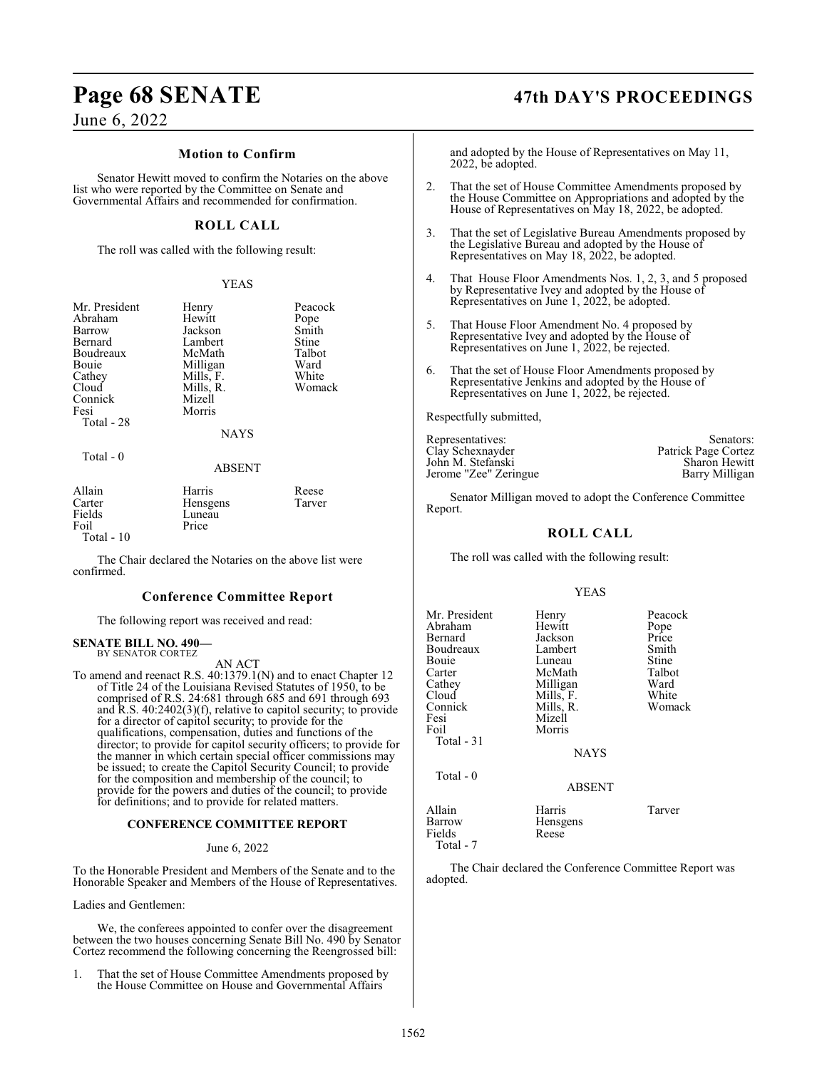## **Page 68 SENATE 47th DAY'S PROCEEDINGS**

June 6, 2022

### **Motion to Confirm**

Senator Hewitt moved to confirm the Notaries on the above list who were reported by the Committee on Senate and Governmental Affairs and recommended for confirmation.

### **ROLL CALL**

The roll was called with the following result:

### YEAS

| Mr. President<br>Abraham<br>Barrow<br>Bernard<br>Boudreaux | Henry<br>Hewitt<br>Jackson<br>Lambert<br>McMath | Peacock<br>Pope<br>Smith<br>Stine<br>Talbot |
|------------------------------------------------------------|-------------------------------------------------|---------------------------------------------|
| Bouie<br>Cathey                                            | Milligan<br>Mills, F.                           | Ward<br>White                               |
| Cloud<br>Connick<br>Fesi<br>Total - 28                     | Mills, R.<br>Mizell<br>Morris<br><b>NAYS</b>    | Womack                                      |
| Total - 0                                                  | <b>ABSENT</b>                                   |                                             |
| Allain<br>Carter<br>Fields                                 | Harris<br>Hensgens<br>Luneau                    | Reese<br>Tarver                             |

| Carter      | Hensgens | Tarver |
|-------------|----------|--------|
| Fields      | Luneau   |        |
| Foil        | Price    |        |
| Total $-10$ |          |        |

The Chair declared the Notaries on the above list were confirmed.

### **Conference Committee Report**

The following report was received and read:

### **SENATE BILL NO. 490—** BY SENATOR CORTEZ

AN ACT

To amend and reenact R.S. 40:1379.1(N) and to enact Chapter 12 of Title 24 of the Louisiana Revised Statutes of 1950, to be comprised of R.S. 24:681 through 685 and 691 through 693 and R.S. 40:2402(3)(f), relative to capitol security; to provide for a director of capitol security; to provide for the qualifications, compensation, duties and functions of the director; to provide for capitol security officers; to provide for the manner in which certain special officer commissions may be issued; to create the Capitol Security Council; to provide for the composition and membership of the council; to provide for the powers and duties of the council; to provide for definitions; and to provide for related matters.

### **CONFERENCE COMMITTEE REPORT**

### June 6, 2022

To the Honorable President and Members of the Senate and to the Honorable Speaker and Members of the House of Representatives.

Ladies and Gentlemen:

We, the conferees appointed to confer over the disagreement between the two houses concerning Senate Bill No. 490 by Senator Cortez recommend the following concerning the Reengrossed bill:

1. That the set of House Committee Amendments proposed by the House Committee on House and Governmental Affairs

and adopted by the House of Representatives on May 11, 2022, be adopted.

- 2. That the set of House Committee Amendments proposed by the House Committee on Appropriations and adopted by the House of Representatives on May 18, 2022, be adopted.
- 3. That the set of Legislative Bureau Amendments proposed by the Legislative Bureau and adopted by the House of Representatives on May 18, 2022, be adopted.
- 4. That House Floor Amendments Nos. 1, 2, 3, and 5 proposed by Representative Ivey and adopted by the House of Representatives on June 1, 2022, be adopted.
- 5. That House Floor Amendment No. 4 proposed by Representative Ivey and adopted by the House of Representatives on June 1, 2022, be rejected.
- 6. That the set of House Floor Amendments proposed by Representative Jenkins and adopted by the House of Representatives on June 1, 2022, be rejected.

Respectfully submitted,

| Representatives:      | Senators:            |
|-----------------------|----------------------|
| Clay Schexnayder      | Patrick Page Cortez  |
| John M. Stefanski     | <b>Sharon Hewitt</b> |
| Jerome "Zee" Zeringue | Barry Milligan       |

Senator Milligan moved to adopt the Conference Committee Report.

### **ROLL CALL**

The roll was called with the following result:

### YEAS

| Mr. President<br>Abraham<br>Bernard<br>Boudreaux<br>Bouie<br>Carter<br>Cathey<br>Cloud<br>Connick<br>Fesi<br>Foil<br>Total - 31 | Henry<br>Hewitt<br>Jackson<br>Lambert<br>Luneau<br>McMath<br>Milligan<br>Mills, F.<br>Mills, R.<br>Mizell<br>Morris<br><b>NAYS</b> | Peacock<br>Pope<br>Price<br>Smith<br>Stine<br>Talbot<br>Ward<br>White<br>Womack |
|---------------------------------------------------------------------------------------------------------------------------------|------------------------------------------------------------------------------------------------------------------------------------|---------------------------------------------------------------------------------|
| Total - 0                                                                                                                       | <b>ABSENT</b>                                                                                                                      |                                                                                 |
| Allain<br>Barrow<br>Fields<br>Total - 7                                                                                         | Harris<br>Hensgens<br>Reese                                                                                                        | Tarver                                                                          |

The Chair declared the Conference Committee Report was adopted.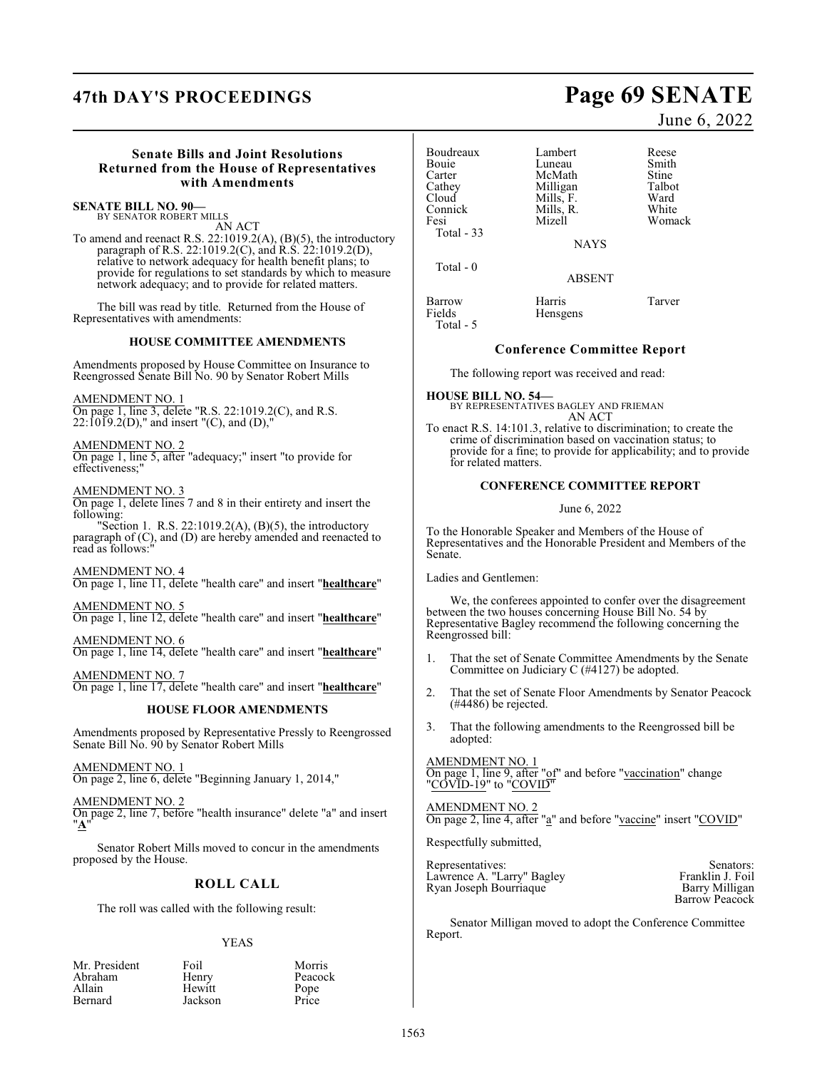# **47th DAY'S PROCEEDINGS Page 69 SENATE**

### **Senate Bills and Joint Resolutions Returned from the House of Representatives with Amendments**

### **SENATE BILL NO. 90—** BY SENATOR ROBERT MILLS

AN ACT

To amend and reenact R.S. 22:1019.2(A), (B)(5), the introductory paragraph of R.S. 22:1019.2(C), and R.S. 22:1019.2(D), relative to network adequacy for health benefit plans; to provide for regulations to set standards by which to measure network adequacy; and to provide for related matters.

The bill was read by title. Returned from the House of Representatives with amendments:

### **HOUSE COMMITTEE AMENDMENTS**

Amendments proposed by House Committee on Insurance to Reengrossed Senate Bill No. 90 by Senator Robert Mills

### AMENDMENT NO. 1

On page 1, line 3, delete "R.S. 22:1019.2(C), and R.S.  $22:1019.2(D)$ ," and insert "(C), and (D),"

### AMENDMENT NO. 2

On page 1, line 5, after "adequacy;" insert "to provide for effectiveness;"

AMENDMENT NO. 3

On page 1, delete lines 7 and 8 in their entirety and insert the following:

"Section 1. R.S. 22:1019.2(A),  $(B)(5)$ , the introductory paragraph of (C), and (D) are hereby amended and reenacted to read as follows:

### AMENDMENT NO. 4

On page 1, line 11, delete "health care" and insert "**healthcare**"

### AMENDMENT NO. 5

On page 1, line 12, delete "health care" and insert "**healthcare**"

AMENDMENT NO. 6 On page 1, line 14, delete "health care" and insert "**healthcare**"

AMENDMENT NO. 7 On page 1, line 17, delete "health care" and insert "**healthcare**"

### **HOUSE FLOOR AMENDMENTS**

Amendments proposed by Representative Pressly to Reengrossed Senate Bill No. 90 by Senator Robert Mills

### AMENDMENT NO. 1

On page 2, line 6, delete "Beginning January 1, 2014,"

AMENDMENT NO. 2 On page 2, line 7, before "health insurance" delete "a" and insert "**A**"

Senator Robert Mills moved to concur in the amendments proposed by the House.

## **ROLL CALL**

The roll was called with the following result:

### YEAS

Peacock<br>Pope

| Mr. Presider |
|--------------|
| Abraham      |
| Allain       |
| Bernard      |

nt Foil Morris<br>Henry Peacoc Hewitt Pope<br>Jackson Price Jackson

| Boudreaux        | Lambert            | Reese  |
|------------------|--------------------|--------|
| <b>Bouje</b>     | Luneau             | Smith  |
| Carter           | McMath             | Stine  |
| Cathey           | Milligan           | Talbot |
| Cloud            | Mills, F.          | Ward   |
| Connick          | Mills, R.          | White  |
| Fesi             | Mizell             | Womack |
| Total - 33       | <b>NAYS</b>        |        |
| Total - 0        | <b>ABSENT</b>      |        |
| Barrow<br>Fields | Harris<br>Hensgens | Tarver |

### **Conference Committee Report**

The following report was received and read:

**HOUSE BILL NO. 54—** BY REPRESENTATIVES BAGLEY AND FRIEMAN AN ACT

To enact R.S. 14:101.3, relative to discrimination; to create the crime of discrimination based on vaccination status; to provide for a fine; to provide for applicability; and to provide for related matters.

## **CONFERENCE COMMITTEE REPORT**

### June 6, 2022

To the Honorable Speaker and Members of the House of Representatives and the Honorable President and Members of the Senate.

Ladies and Gentlemen:

Total - 5

We, the conferees appointed to confer over the disagreement between the two houses concerning House Bill No. 54 by Representative Bagley recommend the following concerning the Reengrossed bill:

- 1. That the set of Senate Committee Amendments by the Senate Committee on Judiciary C (#4127) be adopted.
- 2. That the set of Senate Floor Amendments by Senator Peacock (#4486) be rejected.
- 3. That the following amendments to the Reengrossed bill be adopted:

### AMENDMENT NO. 1 On page 1, line 9, after "of" and before "vaccination" change "COVID-19" to "COVID"

AMENDMENT NO. 2 On page 2, line 4, after "a" and before "vaccine" insert "COVID"

Respectfully submitted,

Representatives: Senators: Senators: Senators: Senators: Senators: Senators: Senators: Senators: Senators: Senators: Senators: Senators: Senators: Senators: Senators: Senators: Senators: Senators: Senators: Senators: Senat Lawrence A. "Larry" Bagley Franklin J. Foil Ryan Joseph Bourriaque Barry Milligan

Barrow Peacock

Senator Milligan moved to adopt the Conference Committee Report.

June 6, 2022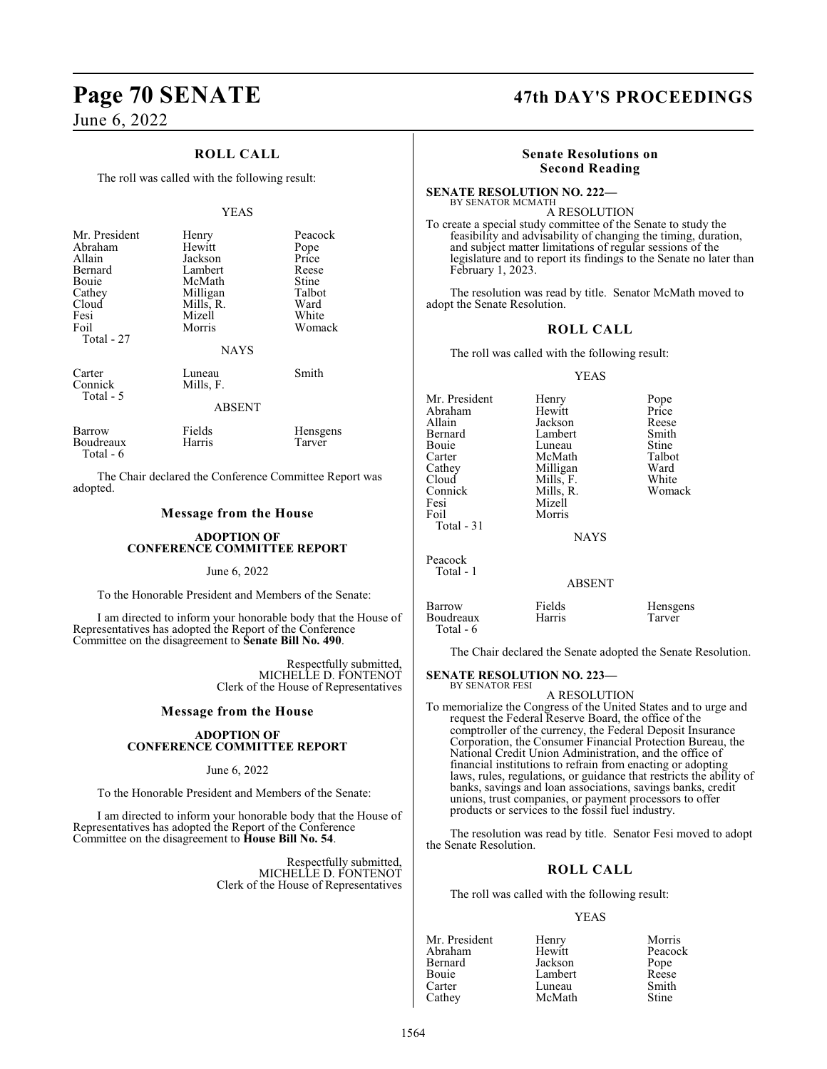# **Page 70 SENATE 47th DAY'S PROCEEDINGS**

June 6, 2022

Total - 6

## **ROLL CALL**

The roll was called with the following result:

### YEAS

| Mr. President<br>Abraham<br>Allain<br>Bernard<br>Bouie<br>Cathey<br>Cloud<br>Fesi<br>Foil<br>Total - 27 | Henry<br>Hewitt<br>Jackson<br>Lambert<br>McMath<br>Milligan<br>Mills, R.<br>Mizell<br>Morris<br><b>NAYS</b> | Peacock<br>Pope<br>Price<br>Reese<br>Stine<br>Talbot<br>Ward<br>White<br>Womack |
|---------------------------------------------------------------------------------------------------------|-------------------------------------------------------------------------------------------------------------|---------------------------------------------------------------------------------|
| Carter<br>Connick<br>Total - 5                                                                          | Luneau<br>Mills, F.<br><b>ABSENT</b>                                                                        | Smith                                                                           |
|                                                                                                         |                                                                                                             |                                                                                 |
| Barrow                                                                                                  | Fields                                                                                                      | <b>Hensgens</b>                                                                 |

The Chair declared the Conference Committee Report was adopted.

Boudreaux Harris Tarver

### **Message from the House**

### **ADOPTION OF CONFERENCE COMMITTEE REPORT**

### June 6, 2022

To the Honorable President and Members of the Senate:

I am directed to inform your honorable body that the House of Representatives has adopted the Report of the Conference Committee on the disagreement to **Senate Bill No. 490**.

> Respectfully submitted, MICHELLE D. FONTENOT Clerk of the House of Representatives

### **Message from the House**

### **ADOPTION OF CONFERENCE COMMITTEE REPORT**

### June 6, 2022

To the Honorable President and Members of the Senate:

I am directed to inform your honorable body that the House of Representatives has adopted the Report of the Conference Committee on the disagreement to **House Bill No. 54**.

> Respectfully submitted, MICHELLE D. FONTENOT Clerk of the House of Representatives

### **Senate Resolutions on Second Reading**

### **SENATE RESOLUTION NO. 222—** BY SENATOR MCMATH

A RESOLUTION To create a special study committee of the Senate to study the feasibility and advisability of changing the timing, duration, and subject matter limitations of regular sessions of the legislature and to report its findings to the Senate no later than February 1, 2023.

The resolution was read by title. Senator McMath moved to adopt the Senate Resolution.

### **ROLL CALL**

The roll was called with the following result:

### YEAS

| Mr. President<br>Abraham<br>Allain<br>Bernard<br>Bouie<br>Carter<br>Cathey<br>Cloud<br>Connick<br>Fesi<br>Foil<br>Total - 31 | Henry<br>Hewitt<br>Jackson<br>Lambert<br>Luneau<br>McMath<br>Milligan<br>Mills, F.<br>Mills, R.<br>Mizell<br>Morris<br><b>NAYS</b> | Pope<br>Price<br>Reese<br>Smith<br>Stine<br>Talbot<br>Ward<br>White<br>Womack |
|------------------------------------------------------------------------------------------------------------------------------|------------------------------------------------------------------------------------------------------------------------------------|-------------------------------------------------------------------------------|
| Peacock<br>Total - 1                                                                                                         | <b>ABSENT</b>                                                                                                                      |                                                                               |
| Barrow<br>Boudreaux                                                                                                          | Fields<br>Harris                                                                                                                   | Hensgens<br>Tarver                                                            |

The Chair declared the Senate adopted the Senate Resolution.

### **SENATE RESOLUTION NO. 223—**

Total - 6

BY SENATOR FESI A RESOLUTION

To memorialize the Congress of the United States and to urge and request the Federal Reserve Board, the office of the comptroller of the currency, the Federal Deposit Insurance Corporation, the Consumer Financial Protection Bureau, the National Credit Union Administration, and the office of financial institutions to refrain from enacting or adopting laws, rules, regulations, or guidance that restricts the ability of banks, savings and loan associations, savings banks, credit unions, trust companies, or payment processors to offer products or services to the fossil fuel industry.

The resolution was read by title. Senator Fesi moved to adopt the Senate Resolution.

### **ROLL CALL**

The roll was called with the following result:

### YEAS

| Mr. President | Henry   | Morris  |
|---------------|---------|---------|
| Abraham       | Hewitt  | Peacock |
| Bernard       | Jackson | Pope    |
| Bouie         | Lambert | Reese   |
| Carter        | Luneau  | Smith   |
| Cathey        | McMath  | Stine   |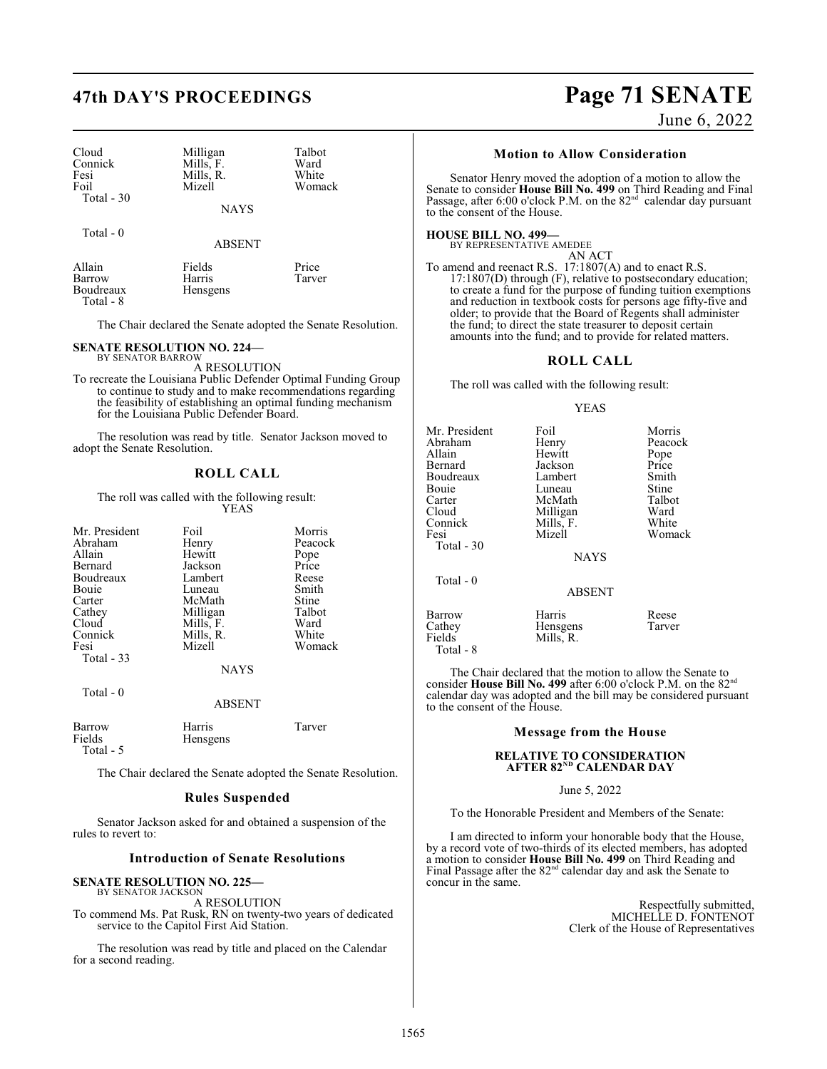# **47th DAY'S PROCEEDINGS Page 71 SENATE**

| Cloud<br>Connick | Milligan<br>Mills, F. | Talbot<br>Ward |
|------------------|-----------------------|----------------|
|                  |                       |                |
| Fesi             | Mills, R.             | White          |
| Foil             | Mizell                | Womack         |
| Total $-30$      |                       |                |
|                  | <b>NAYS</b>           |                |

Total - 0

ABSENT

| Allain                 | Fields   | Price  |
|------------------------|----------|--------|
| Barrow                 | Harris   | Tarver |
| Boudreaux<br>Total - 8 | Hensgens |        |
|                        |          |        |

The Chair declared the Senate adopted the Senate Resolution.

### **SENATE RESOLUTION NO. 224—**

BY SENATOR BARROW A RESOLUTION

To recreate the Louisiana Public Defender Optimal Funding Group to continue to study and to make recommendations regarding the feasibility of establishing an optimal funding mechanism for the Louisiana Public Defender Board.

The resolution was read by title. Senator Jackson moved to adopt the Senate Resolution.

### **ROLL CALL**

### The roll was called with the following result: YEAS

| Mr. President | Foil        | Morris  |
|---------------|-------------|---------|
| Abraham       | Henry       | Peacock |
| Allain        | Hewitt      | Pope    |
| Bernard       | Jackson     | Price   |
| Boudreaux     | Lambert     | Reese   |
| Bouie         | Luneau      | Smith   |
| Carter        | McMath      | Stine   |
| Cathey        | Milligan    | Talbot  |
| Cloud         | Mills, F.   | Ward    |
| Connick       | Mills, R.   | White   |
| Fesi          | Mizell      | Womack  |
| Total - 33    | <b>NAYS</b> |         |

Total - 0

ABSENT

| Barrow    | Harris           | Tarver |
|-----------|------------------|--------|
| Fields    | <b>H</b> ensgens |        |
| Total - 5 |                  |        |

The Chair declared the Senate adopted the Senate Resolution.

### **Rules Suspended**

Senator Jackson asked for and obtained a suspension of the rules to revert to:

### **Introduction of Senate Resolutions**

### **SENATE RESOLUTION NO. 225—** BY SENATOR JACKSON

A RESOLUTION To commend Ms. Pat Rusk, RN on twenty-two years of dedicated service to the Capitol First Aid Station.

The resolution was read by title and placed on the Calendar for a second reading.

## June 6, 2022

### **Motion to Allow Consideration**

Senator Henry moved the adoption of a motion to allow the Senate to consider **House Bill No. 499** on Third Reading and Final Passage, after 6:00 o'clock P.M. on the  $82<sup>nd</sup>$  calendar day pursuant to the consent of the House.

### **HOUSE BILL NO. 499—**

BY REPRESENTATIVE AMEDEE AN ACT

To amend and reenact R.S. 17:1807(A) and to enact R.S. 17:1807(D) through (F), relative to postsecondary education; to create a fund for the purpose of funding tuition exemptions and reduction in textbook costs for persons age fifty-five and older; to provide that the Board of Regents shall administer the fund; to direct the state treasurer to deposit certain amounts into the fund; and to provide for related matters.

### **ROLL CALL**

The roll was called with the following result:

### YEAS

| Mr. President<br>Abraham<br>Allain<br>Bernard<br>Boudreaux<br>Bouie<br>Carter<br>Cloud<br>Connick<br>Fesi<br>Total - 30<br>Total $-0$ | Foil<br>Henry<br>Hewitt<br>Jackson<br>Lambert<br>Luneau<br>McMath<br>Milligan<br>Mills, F.<br>Mizell<br><b>NAYS</b> | Morris<br>Peacock<br>Pope<br>Price<br>Smith<br>Stine<br>Talbot<br>Ward<br>White<br>Womack |
|---------------------------------------------------------------------------------------------------------------------------------------|---------------------------------------------------------------------------------------------------------------------|-------------------------------------------------------------------------------------------|
|                                                                                                                                       | <b>ABSENT</b>                                                                                                       |                                                                                           |
| Barrow<br>Cathey                                                                                                                      | Harris<br>Hensgens                                                                                                  | Reese<br>Tarver                                                                           |

Fields Mills, R.

Total - 8

The Chair declared that the motion to allow the Senate to consider **House Bill No. 499** after 6:00 o'clock P.M. on the 82nd calendar day was adopted and the bill may be considered pursuant to the consent of the House.

### **Message from the House**

### **RELATIVE TO CONSIDERATION** AFT<mark>ER 82<sup>nd</sup> CALENDAR DAY</mark>

### June 5, 2022

To the Honorable President and Members of the Senate:

I am directed to inform your honorable body that the House, by a record vote of two-thirds of its elected members, has adopted a motion to consider **House Bill No. 499** on Third Reading and Final Passage after the  $82<sup>nd</sup>$  calendar day and ask the Senate to concur in the same.

> Respectfully submitted, MICHELLE D. FONTENOT Clerk of the House of Representatives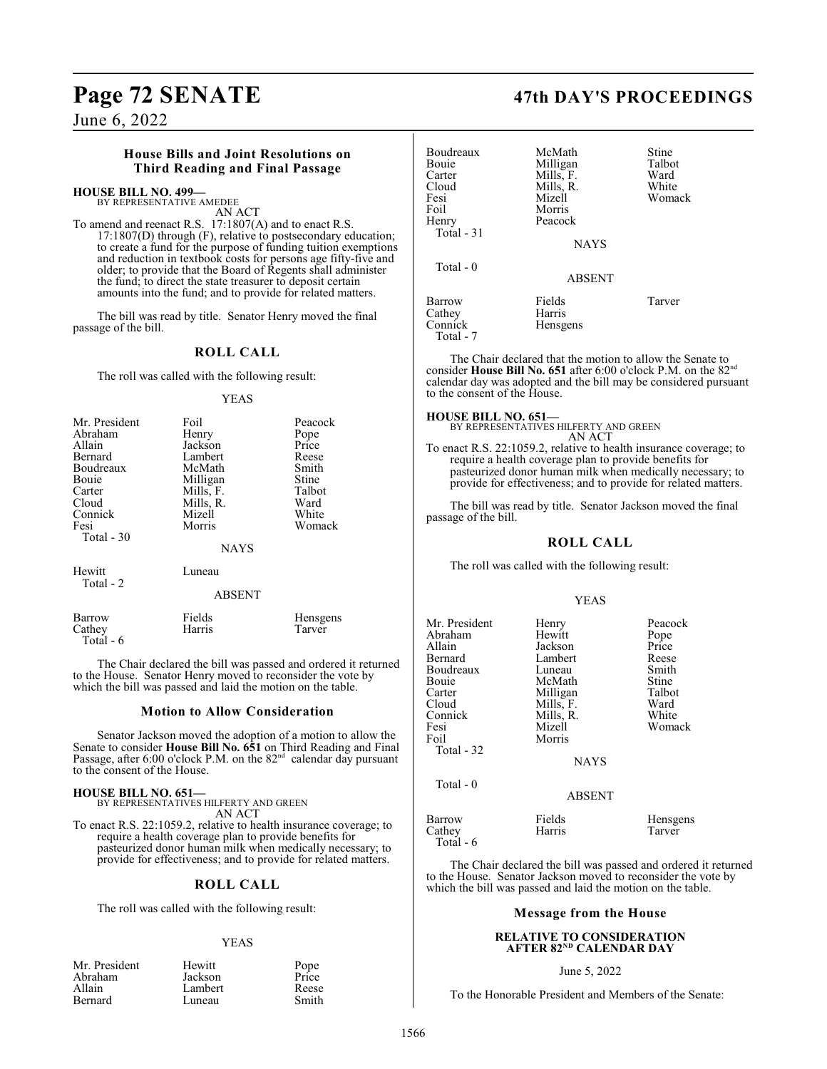## **House Bills and Joint Resolutions on Third Reading and Final Passage**

## **HOUSE BILL NO. 499—**

BY REPRESENTATIVE AMEDEE AN ACT

To amend and reenact R.S. 17:1807(A) and to enact R.S. 17:1807(D) through (F), relative to postsecondary education; to create a fund for the purpose of funding tuition exemptions and reduction in textbook costs for persons age fifty-five and older; to provide that the Board of Regents shall administer the fund; to direct the state treasurer to deposit certain amounts into the fund; and to provide for related matters.

The bill was read by title. Senator Henry moved the final passage of the bill.

### **ROLL CALL**

The roll was called with the following result:

YEAS

| Mr. President<br>Abraham<br>Allain<br>Bernard<br>Boudreaux<br>Bouie<br>Carter<br>Cloud<br>Connick<br>Fesi<br>Total $-30$ | Foil<br>Henry<br>Jackson<br>Lambert<br>McMath<br>Milligan<br>Mills, F.<br>Mills, R.<br>Mizell<br>Morris<br><b>NAYS</b> | Peacock<br>Pope<br>Price<br>Reese<br>Smith<br>Stine<br>Talbot<br>Ward<br>White<br>Womack |
|--------------------------------------------------------------------------------------------------------------------------|------------------------------------------------------------------------------------------------------------------------|------------------------------------------------------------------------------------------|
| Hewitt                                                                                                                   | Luneau                                                                                                                 |                                                                                          |

ABSENT

| Barrow     | Fields | Hensgens |
|------------|--------|----------|
| Cathey     | Harris | Tarver   |
| Total $-6$ |        |          |

The Chair declared the bill was passed and ordered it returned to the House. Senator Henry moved to reconsider the vote by which the bill was passed and laid the motion on the table.

### **Motion to Allow Consideration**

Senator Jackson moved the adoption of a motion to allow the Senate to consider **House Bill No. 651** on Third Reading and Final Passage, after 6:00 o'clock P.M. on the  $82<sup>nd</sup>$  calendar day pursuant to the consent of the House.

### **HOUSE BILL NO. 651—**

Total - 2

BY REPRESENTATIVES HILFERTY AND GREEN AN ACT To enact R.S. 22:1059.2, relative to health insurance coverage; to require a health coverage plan to provide benefits for pasteurized donor human milk when medically necessary; to provide for effectiveness; and to provide for related matters.

## **ROLL CALL**

The roll was called with the following result:

### YEAS

| Mr. President | Hewitt  | Pope  |
|---------------|---------|-------|
| Abraham       | Jackson | Price |
| Allain        | Lambert | Reese |
| Bernard       | Luneau  | Smith |

## **Page 72 SENATE 47th DAY'S PROCEEDINGS**

| <b>Boudreaux</b><br>Bouie<br>Carter<br>Cloud<br>Fesi<br>Foil<br>Henry<br>Total $-31$ | McMath<br>Milligan<br>Mills, F.<br>Mills, R.<br>Mizell<br>Morris<br>Peacock<br><b>NAYS</b> | Stine<br>Talbot<br>Ward<br>White<br>Womack |
|--------------------------------------------------------------------------------------|--------------------------------------------------------------------------------------------|--------------------------------------------|
| Total $-0$                                                                           | <b>ABSENT</b>                                                                              |                                            |
| Barrow<br>Cathey<br>Connick<br>Total - 7                                             | Fields<br>Harris<br>Hensgens                                                               | Tarver                                     |

The Chair declared that the motion to allow the Senate to consider **House Bill No. 651** after 6:00 o'clock P.M. on the 82nd calendar day was adopted and the bill may be considered pursuant to the consent of the House.

### **HOUSE BILL NO. 651—**

BY REPRESENTATIVES HILFERTY AND GREEN AN ACT

To enact R.S. 22:1059.2, relative to health insurance coverage; to require a health coverage plan to provide benefits for pasteurized donor human milk when medically necessary; to provide for effectiveness; and to provide for related matters.

The bill was read by title. Senator Jackson moved the final passage of the bill.

## **ROLL CALL**

The roll was called with the following result:

### YEAS

| Mr. President<br>Abraham<br>Allain<br>Bernard<br>Boudreaux<br>Bouie<br>Carter<br>Cloud<br>Connick<br>Fesi<br>Foil<br>Total - 32 | Henry<br>Hewitt<br>Jackson<br>Lambert<br>Luneau<br>McMath<br>Milligan<br>Mills, F.<br>Mills, R.<br>Mizell<br>Morris<br><b>NAYS</b> | Peacock<br>Pope<br>Price<br>Reese<br>Smith<br>Stine<br>Talbot<br>Ward<br>White<br>Womack |
|---------------------------------------------------------------------------------------------------------------------------------|------------------------------------------------------------------------------------------------------------------------------------|------------------------------------------------------------------------------------------|
| Total $-0$                                                                                                                      | <b>ABSENT</b>                                                                                                                      |                                                                                          |
| Barrow<br>Cathey<br>Total - 6                                                                                                   | Fields<br>Harris                                                                                                                   | Hensgens<br>Tarver                                                                       |

The Chair declared the bill was passed and ordered it returned to the House. Senator Jackson moved to reconsider the vote by which the bill was passed and laid the motion on the table.

### **Message from the House**

### **RELATIVE TO CONSIDERATION** AFT<mark>ER 82<sup>nd</sup> CALENDAR DAY</mark>

### June 5, 2022

To the Honorable President and Members of the Senate: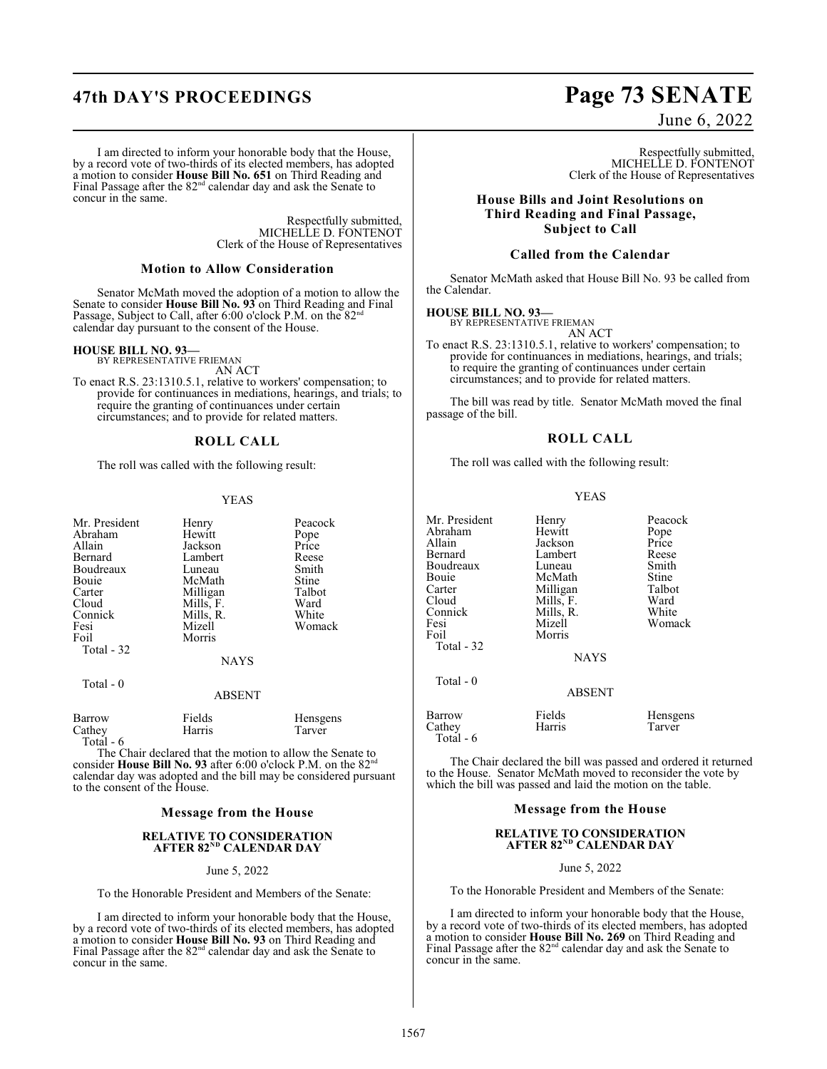## **47th DAY'S PROCEEDINGS Page 73 SENATE**

### I am directed to inform your honorable body that the House, by a record vote of two-thirds of its elected members, has adopted a motion to consider **House Bill No. 651** on Third Reading and Final Passage after the  $82<sup>nd</sup>$  calendar day and ask the Senate to concur in the same.

Respectfully submitted, MICHELLE D. FONTENOT Clerk of the House of Representatives

## **Motion to Allow Consideration**

Senator McMath moved the adoption of a motion to allow the Senate to consider **House Bill No. 93** on Third Reading and Final Passage, Subject to Call, after 6:00 o'clock P.M. on the  $82<sup>nd</sup>$ calendar day pursuant to the consent of the House.

## **HOUSE BILL NO. 93—** BY REPRESENTATIVE FRIEMAN

AN ACT

To enact R.S. 23:1310.5.1, relative to workers' compensation; to provide for continuances in mediations, hearings, and trials; to require the granting of continuances under certain circumstances; and to provide for related matters.

## **ROLL CALL**

The roll was called with the following result:

## YEAS

| Mr. President<br>Abraham<br>Allain<br>Bernard<br>Boudreaux<br>Bouie<br>Carter<br>Cloud<br>Connick<br>Fesi<br>Foil | Henry<br>Hewitt<br>Jackson<br>Lambert<br>Luneau<br>McMath<br>Milligan<br>Mills, F.<br>Mills, R.<br>Mizell<br>Morris | Peacock<br>Pope<br>Price<br>Reese<br>Smith<br>Stine<br>Talbot<br>Ward<br>White<br>Womack |
|-------------------------------------------------------------------------------------------------------------------|---------------------------------------------------------------------------------------------------------------------|------------------------------------------------------------------------------------------|
| Total - 32                                                                                                        | <b>NAYS</b>                                                                                                         |                                                                                          |
| Total - 0                                                                                                         | <b>ABSENT</b>                                                                                                       |                                                                                          |

| Barrow    | Fields | Hensgens |
|-----------|--------|----------|
| Cathey    | Harris | Tarver   |
| Total - 6 |        |          |

The Chair declared that the motion to allow the Senate to consider **House Bill No. 93** after 6:00 o'clock P.M. on the 82<sup>nd</sup> calendar day was adopted and the bill may be considered pursuant to the consent of the House.

## **Message from the House**

## **RELATIVE TO CONSIDERATION** AFTER 82<sup>nd</sup> CALENDAR DAY

June 5, 2022

To the Honorable President and Members of the Senate:

I am directed to inform your honorable body that the House, by a record vote of two-thirds of its elected members, has adopted a motion to consider **House Bill No. 93** on Third Reading and Final Passage after the  $82<sup>nd</sup>$  calendar day and ask the Senate to concur in the same.

June 6, 2022

Respectfully submitted, MICHELLE D. FONTENOT Clerk of the House of Representatives

**House Bills and Joint Resolutions on Third Reading and Final Passage, Subject to Call**

## **Called from the Calendar**

Senator McMath asked that House Bill No. 93 be called from the Calendar.

## **HOUSE BILL NO. 93—**

BY REPRESENTATIVE FRIEMAN AN ACT

To enact R.S. 23:1310.5.1, relative to workers' compensation; to provide for continuances in mediations, hearings, and trials; to require the granting of continuances under certain circumstances; and to provide for related matters.

The bill was read by title. Senator McMath moved the final passage of the bill.

## **ROLL CALL**

The roll was called with the following result:

## YEAS

| Henry         | Peacock               |
|---------------|-----------------------|
| Hewitt        | Pope                  |
| Jackson       | Price                 |
| Lambert       | Reese                 |
| Luneau        | Smith                 |
| McMath        | Stine                 |
|               | Talbot                |
|               | Ward                  |
| Mills, R.     | White                 |
| Mizell        | Womack                |
| Morris        |                       |
|               |                       |
| <b>NAYS</b>   |                       |
|               |                       |
| <b>ABSENT</b> |                       |
| Fields        | Hensgens              |
| Harris        | Tarver                |
|               |                       |
|               | Milligan<br>Mills, F. |

The Chair declared the bill was passed and ordered it returned to the House. Senator McMath moved to reconsider the vote by which the bill was passed and laid the motion on the table.

## **Message from the House**

## **RELATIVE TO CONSIDERATION** AFT<mark>ER 82<sup>nd</sup> CALENDAR DAY</mark>

June 5, 2022

To the Honorable President and Members of the Senate:

I am directed to inform your honorable body that the House, by a record vote of two-thirds of its elected members, has adopted a motion to consider **House Bill No. 269** on Third Reading and Final Passage after the 82<sup>nd</sup> calendar day and ask the Senate to concur in the same.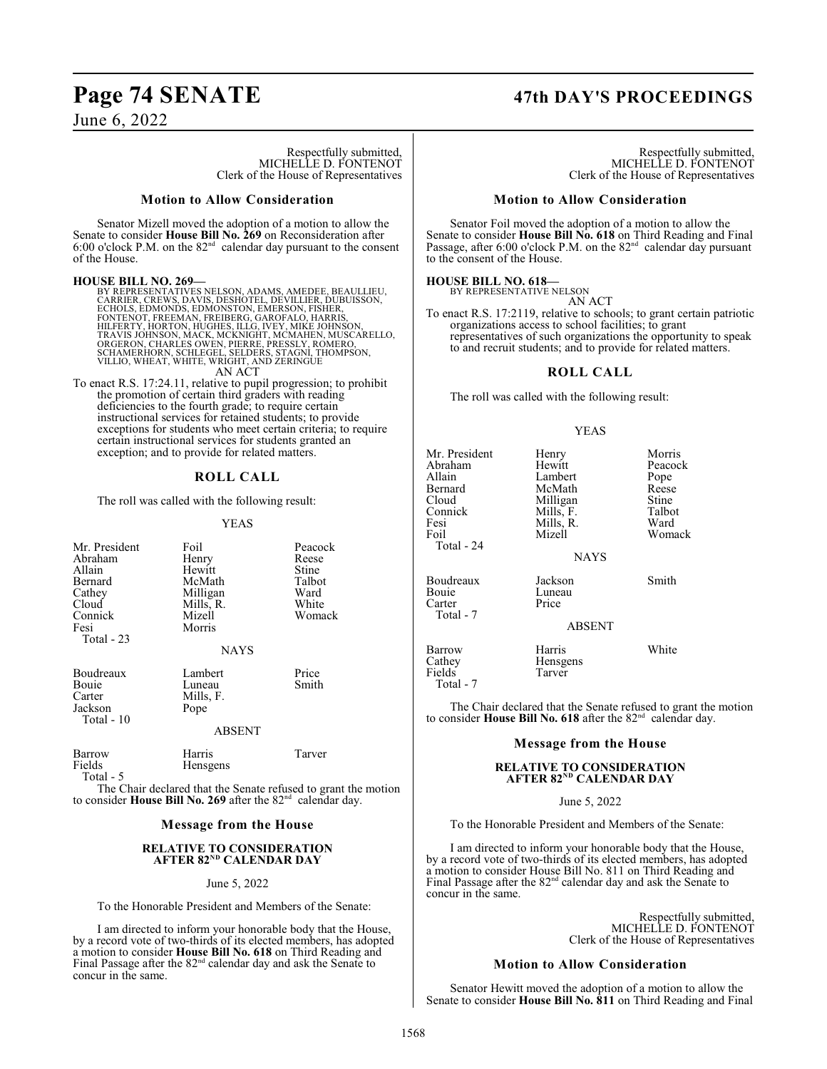## **Page 74 SENATE 47th DAY'S PROCEEDINGS**

June 6, 2022

Respectfully submitted, MICHELLE D. FONTENOT Clerk of the House of Representatives

## **Motion to Allow Consideration**

Senator Mizell moved the adoption of a motion to allow the Senate to consider **House Bill No. 269** on Reconsideration after 6:00 o'clock P.M. on the  $82<sup>nd</sup>$  calendar day pursuant to the consent of the House.

## **HOUSE BILL NO. 269—**

BY REPRESENTATIVES NELSON, ADAMS, AMEDEE, BEAULLIEU,<br>CARRIER, CREWS, DAVIS, DESHOTEL, DEVILLIER, DUBUISSON,<br>ECHOLS, EDMONDS, EDMONSTON, EMERSON, FISHER, UDBUISSON,<br>FONTENOT, FREEMAN, FREIBERG, GAROFALO, HARRIS,<br>HILFERTY, H AN ACT

To enact R.S. 17:24.11, relative to pupil progression; to prohibit the promotion of certain third graders with reading deficiencies to the fourth grade; to require certain instructional services for retained students; to provide exceptions for students who meet certain criteria; to require certain instructional services for students granted an exception; and to provide for related matters.

## **ROLL CALL**

The roll was called with the following result:

## YEAS

| Mr. President<br>Abraham<br>Allain<br>Bernard<br>Cathey<br>Cloud<br>Connick<br>Fesi<br>Total $-23$ | Foil<br>Henry<br>Hewitt<br>McMath<br>Milligan<br>Mills, R.<br>Mizell<br>Morris<br><b>NAYS</b> | Peacock<br>Reese<br>Stine<br>Talbot<br>Ward<br>White<br>Womack |
|----------------------------------------------------------------------------------------------------|-----------------------------------------------------------------------------------------------|----------------------------------------------------------------|
| Boudreaux<br>Bouie<br>Carter<br>Jackson<br>Total - 10                                              | Lambert<br>Luneau<br>Mills, F.<br>Pope<br><b>ABSENT</b>                                       | Price<br>Smith                                                 |

Barrow Harris Tarver<br>Fields Hensgens Tarver Hensgens Total - 5

The Chair declared that the Senate refused to grant the motion to consider House Bill No. 269 after the 82<sup>nd</sup> calendar day.

## **Message from the House**

## **RELATIVE TO CONSIDERATION** AFTER 82<sup>nd</sup> CALENDAR DAY

## June 5, 2022

To the Honorable President and Members of the Senate:

I am directed to inform your honorable body that the House, by a record vote of two-thirds of its elected members, has adopted a motion to consider **House Bill No. 618** on Third Reading and Final Passage after the  $82<sup>nd</sup>$  calendar day and ask the Senate to concur in the same.

Respectfully submitted, MICHELLE D. FONTENOT Clerk of the House of Representatives

## **Motion to Allow Consideration**

Senator Foil moved the adoption of a motion to allow the Senate to consider **House Bill No. 618** on Third Reading and Final<br>Passage, after 6:00 o'clock P.M. on the 82<sup>nd</sup> calendar day pursuant to the consent of the House.

### **HOUSE BILL NO. 618—**

BY REPRESENTATIVE NELSON AN ACT

To enact R.S. 17:2119, relative to schools; to grant certain patriotic organizations access to school facilities; to grant representatives of such organizations the opportunity to speak to and recruit students; and to provide for related matters.

## **ROLL CALL**

The roll was called with the following result:

## YEAS

| Mr. President<br>Abraham<br>Allain<br>Bernard<br>Cloud<br>Connick<br>Fesi<br>Foil<br>Total - 24 | Henry<br>Hewitt<br>Lambert<br>McMath<br>Milligan<br>Mills, F.<br>Mills, R.<br>Mizell<br><b>NAYS</b> | Morris<br>Peacock<br>Pope<br>Reese<br>Stine<br>Talbot<br>Ward<br>Womack |
|-------------------------------------------------------------------------------------------------|-----------------------------------------------------------------------------------------------------|-------------------------------------------------------------------------|
| Boudreaux<br>Bouie<br>Carter<br>Total - 7                                                       | Jackson<br>Luneau<br>Price<br><b>ABSENT</b>                                                         | Smith                                                                   |
| <b>Barrow</b><br>Cathey<br>Fields                                                               | Harris<br>Hensgens<br>Tarver                                                                        | White                                                                   |

Total - 7

The Chair declared that the Senate refused to grant the motion to consider **House Bill No. 618** after the 82<sup>nd</sup> calendar day.

## **Message from the House**

## **RELATIVE TO CONSIDERATION** AFT<mark>ER 82<sup>nd</sup> CALENDAR DAY</mark>

June 5, 2022

To the Honorable President and Members of the Senate:

I am directed to inform your honorable body that the House, by a record vote of two-thirds of its elected members, has adopted a motion to consider House Bill No. 811 on Third Reading and Final Passage after the 82<sup>nd</sup> calendar day and ask the Senate to concur in the same.

> Respectfully submitted, MICHELLE D. FONTENOT Clerk of the House of Representatives

## **Motion to Allow Consideration**

Senator Hewitt moved the adoption of a motion to allow the Senate to consider **House Bill No. 811** on Third Reading and Final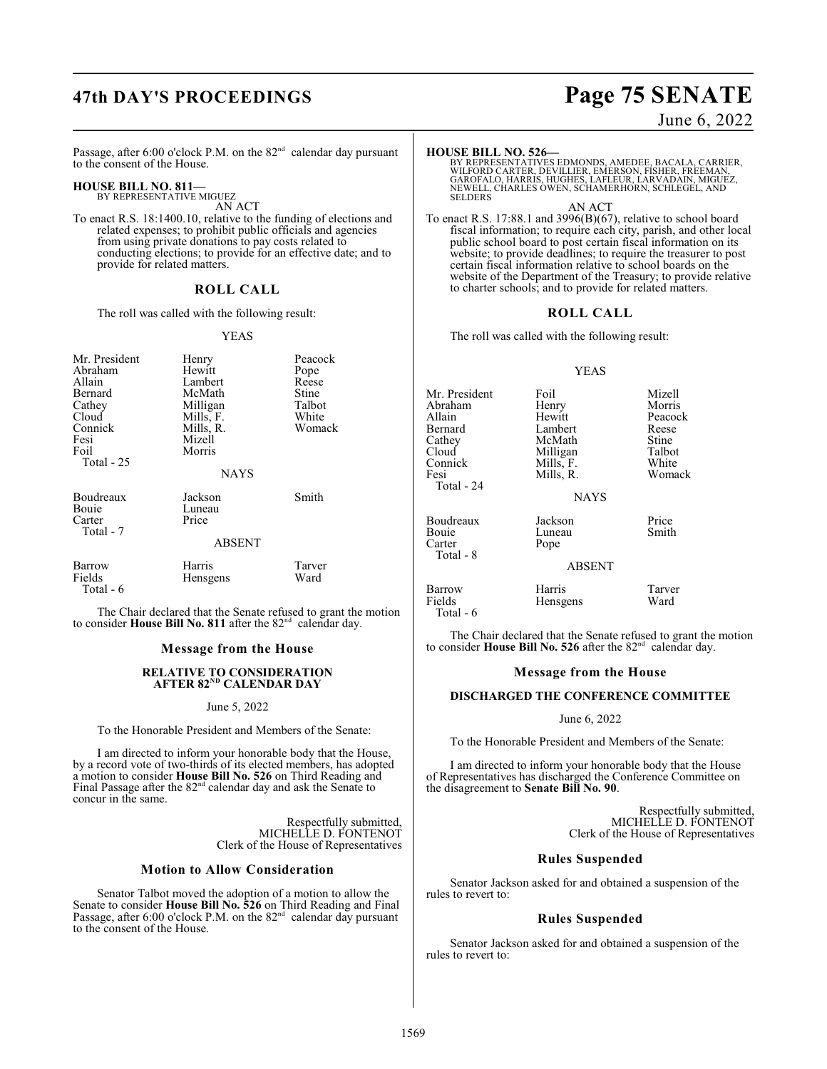## **47th DAY'S PROCEEDINGS Page 75 SENATE**

June 6, 2022

Passage, after 6:00 o'clock P.M. on the  $82<sup>nd</sup>$  calendar day pursuant to the consent of the House.

## **HOUSE BILL NO. 811—**

BY REPRESENTATIVE MIGUEZ AN ACT

To enact R.S. 18:1400.10, relative to the funding of elections and related expenses; to prohibit public officials and agencies from using private donations to pay costs related to conducting elections; to provide for an effective date; and to provide for related matters.

## **ROLL CALL**

The roll was called with the following result:

## YEAS

| Mr. President<br>Abraham<br>Allain<br>Bernard<br>Cathey<br>Cloud<br>Connick<br>Fesi<br>Foil<br>Total $-25$ | Henry<br>Hewitt<br>Lambert<br>McMath<br>Milligan<br>Mills, F.<br>Mills, R.<br>Mizell<br>Morris | Peacock<br>Pope<br>Reese<br>Stine<br>Talbot<br>White<br>Womack |
|------------------------------------------------------------------------------------------------------------|------------------------------------------------------------------------------------------------|----------------------------------------------------------------|
|                                                                                                            | <b>NAYS</b>                                                                                    |                                                                |
| Boudreaux<br>Bouie<br>Carter<br>Total - 7                                                                  | Jackson<br>Luneau<br>Price<br>ABSENT                                                           | Smith                                                          |
| Barrow<br>Fields<br>Total - 6                                                                              | Harris<br>Hensgens                                                                             | Tarver<br>Ward                                                 |

The Chair declared that the Senate refused to grant the motion to consider House Bill No. 811 after the 82<sup>nd</sup> calendar day.

## **Message from the House**

## **RELATIVE TO CONSIDERATION** AFTER 82<sup>nd</sup> CALENDAR DAY

## June 5, 2022

To the Honorable President and Members of the Senate:

I am directed to inform your honorable body that the House, by a record vote of two-thirds of its elected members, has adopted a motion to consider **House Bill No. 526** on Third Reading and Final Passage after the 82<sup>nd</sup> calendar day and ask the Senate to concur in the same.

> Respectfully submitted, MICHELLE D. FONTENOT Clerk of the House of Representatives

## **Motion to Allow Consideration**

Senator Talbot moved the adoption of a motion to allow the Senate to consider **House Bill No. 526** on Third Reading and Final<br>Passage, after 6:00 o'clock P.M. on the 82<sup>nd</sup> calendar day pursuant to the consent of the House.

## **HOUSE BILL NO. 526—**

BY REPRESENTATIVES EDMONDS, AMEDEE, BACALA, CARRIER,<br>WILFORD CARTER, DEVILLIER, EMERSON, FISHER, FREEMAN,<br>GAROFALO, HARRIS, HUGHES, LAFLEUR, LARVADAIN, MIGUEZ,<br>NEWELL, CHARLES OWEN, SCHAMERHORN, SCHLEGEL, AND **SELDERS** 

AN ACT

To enact R.S. 17:88.1 and 3996(B)(67), relative to school board fiscal information; to require each city, parish, and other local public school board to post certain fiscal information on its website; to provide deadlines; to require the treasurer to post certain fiscal information relative to school boards on the website of the Department of the Treasury; to provide relative to charter schools; and to provide for related matters.

## **ROLL CALL**

The roll was called with the following result:

## YEAS

| Mr. President<br>Abraham<br>Allain<br>Bernard<br>Cathey<br>Cloud<br>Connick<br>Fesi<br>Total - 24 | Foil<br>Henry<br>Hewitt<br>Lambert<br>McMath<br>Milligan<br>Mills, F.<br>Mills, R.<br><b>NAYS</b> | Mizell<br>Morris<br>Peacock<br>Reese<br>Stine<br>Talbot<br>White<br>Womack |
|---------------------------------------------------------------------------------------------------|---------------------------------------------------------------------------------------------------|----------------------------------------------------------------------------|
| Boudreaux<br>Bouie<br>Carter<br>Total - 8                                                         | Jackson<br>Luneau<br>Pope<br><b>ABSENT</b>                                                        | Price<br>Smith                                                             |
| <b>Barrow</b><br>Fields<br>Total - 6                                                              | Harris<br>Hensgens                                                                                | Tarver<br>Ward                                                             |

The Chair declared that the Senate refused to grant the motion to consider **House Bill No. 526** after the  $82<sup>nd</sup>$  calendar day.

## **Message from the House**

## **DISCHARGED THE CONFERENCE COMMITTEE**

## June 6, 2022

To the Honorable President and Members of the Senate:

I am directed to inform your honorable body that the House of Representatives has discharged the Conference Committee on the disagreement to **Senate Bill No. 90**.

> Respectfully submitted, MICHELLE D. FONTENOT Clerk of the House of Representatives

## **Rules Suspended**

Senator Jackson asked for and obtained a suspension of the rules to revert to:

## **Rules Suspended**

Senator Jackson asked for and obtained a suspension of the rules to revert to: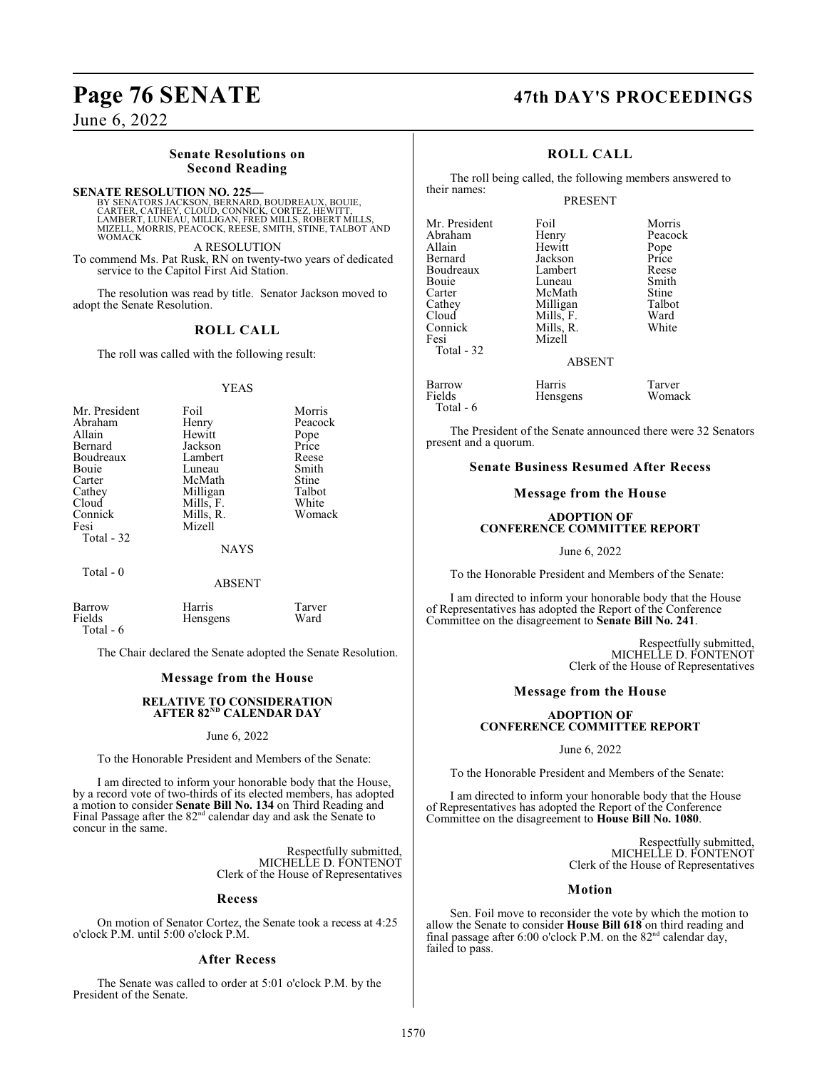June 6, 2022

## **Senate Resolutions on Second Reading**

**SENATE RESOLUTION NO. 225—**<br>BY SENATORS JACKSON, BERNARD, BOUDREAUX, BOUIE,<br>CARTER, CATHEY, CLOUD, CONNICK, CORTEZ, HEWITT,<br>LAMBERT, LUNEAU, MILLIGAN, FRED MILLS, ROBERT MILLS, MIZELL, MORRIS, PEACOCK, REESE, SMITH, STINE, TALBOT AND WOMACK

A RESOLUTION To commend Ms. Pat Rusk, RN on twenty-two years of dedicated service to the Capitol First Aid Station.

The resolution was read by title. Senator Jackson moved to adopt the Senate Resolution.

## **ROLL CALL**

The roll was called with the following result:

## YEAS

| Mr. President<br>Abraham<br>Allain<br>Bernard<br>Boudreaux<br>Bouie<br>Carter<br>Cathey<br>Cloud<br>Connick<br>Fesi<br>Total - 32 | Foil<br>Henry<br>Hewitt<br>Jackson<br>Lambert<br>Luneau<br>McMath<br>Milligan<br>Mills, F.<br>Mills, R.<br>Mizell | Morris<br>Peacock<br>Pope<br>Price<br>Reese<br>Smith<br>Stine<br>Talbot<br>White<br>Womack |
|-----------------------------------------------------------------------------------------------------------------------------------|-------------------------------------------------------------------------------------------------------------------|--------------------------------------------------------------------------------------------|
|                                                                                                                                   | <b>NAYS</b>                                                                                                       |                                                                                            |
| Total - 0                                                                                                                         |                                                                                                                   |                                                                                            |

## ABSENT

| Barrow    | Harris   | Tarver |
|-----------|----------|--------|
| Fields    | Hensgens | Ward   |
| Total - 6 |          |        |

The Chair declared the Senate adopted the Senate Resolution.

## **Message from the House**

## **RELATIVE TO CONSIDERATION** AFTER 82<sup>nd</sup> CALENDAR DAY

### June 6, 2022

To the Honorable President and Members of the Senate:

I am directed to inform your honorable body that the House, by a record vote of two-thirds of its elected members, has adopted a motion to consider **Senate Bill No. 134** on Third Reading and Final Passage after the  $82<sup>nd</sup>$  calendar day and ask the Senate to concur in the same.

> Respectfully submitted, MICHELLE D. FONTENOT Clerk of the House of Representatives

## **Recess**

On motion of Senator Cortez, the Senate took a recess at 4:25 o'clock P.M. until 5:00 o'clock P.M.

## **After Recess**

The Senate was called to order at 5:01 o'clock P.M. by the President of the Senate.

## **Page 76 SENATE 47th DAY'S PROCEEDINGS**

## **ROLL CALL**

The roll being called, the following members answered to their names:

## PRESENT

| Mr. President | Foil      | Morris        |
|---------------|-----------|---------------|
| Abraham       | Henry     | Peacock       |
| Allain        | Hewitt    |               |
| Bernard       | Jackson   | Pope<br>Price |
| Boudreaux     | Lambert   | Reese         |
| Bouie         | Luneau    | Smith         |
| Carter        | McMath    | Stine         |
| Cathey        | Milligan  | Talbot        |
| Cloud         | Mills, F. | Ward          |
| Connick       | Mills, R. | White         |
| Fesi          | Mizell    |               |
| Total - 32    |           |               |
|               | ABSENT    |               |

## ABSENT

Hensgens

Barrow Harris Tarver<br>
Fields Hensgens Womack Total - 6

The President of the Senate announced there were 32 Senators present and a quorum.

## **Senate Business Resumed After Recess**

## **Message from the House**

## **ADOPTION OF CONFERENCE COMMITTEE REPORT**

June 6, 2022

To the Honorable President and Members of the Senate:

I am directed to inform your honorable body that the House of Representatives has adopted the Report of the Conference Committee on the disagreement to **Senate Bill No. 241**.

> Respectfully submitted, MICHELLE D. FONTENOT Clerk of the House of Representatives

## **Message from the House**

## **ADOPTION OF CONFERENCE COMMITTEE REPORT**

## June 6, 2022

To the Honorable President and Members of the Senate:

I am directed to inform your honorable body that the House of Representatives has adopted the Report of the Conference Committee on the disagreement to **House Bill No. 1080**.

> Respectfully submitted, MICHELLE D. FONTENOT Clerk of the House of Representatives

## **Motion**

Sen. Foil move to reconsider the vote by which the motion to allow the Senate to consider **House Bill 618** on third reading and final passage after 6:00 o'clock P.M. on the  $82<sup>nd</sup>$  calendar day, failed to pass.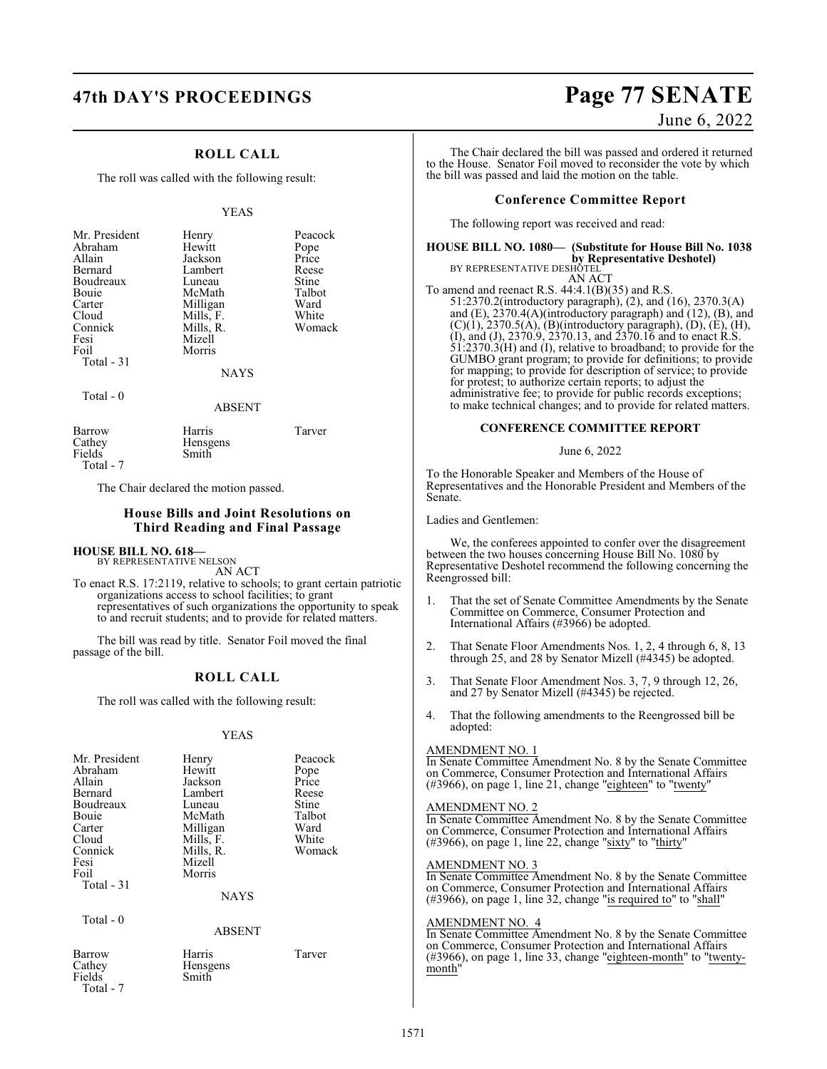## **ROLL CALL**

The roll was called with the following result:

### YEAS

| Mr. President<br>Abraham<br>Allain<br>Bernard<br>Boudreaux<br>Bouie<br>Carter<br>Cloud<br>Connick<br>Fesi<br>Foil<br>Total - 31 | Henry<br>Hewitt<br>Jackson<br>Lambert<br>Luneau<br>McMath<br>Milligan<br>Mills, F.<br>Mills, R.<br>Mizell<br>Morris | Peacock<br>Pope<br>Price<br>Reese<br>Stine<br>Talbot<br>Ward<br>White<br>Womack |
|---------------------------------------------------------------------------------------------------------------------------------|---------------------------------------------------------------------------------------------------------------------|---------------------------------------------------------------------------------|
|                                                                                                                                 | <b>NAYS</b>                                                                                                         |                                                                                 |

Total - 0

## ABSENT

| Barrow<br>Cathey | Harris<br>Hensgens | Tarver |
|------------------|--------------------|--------|
| Fields           | Smith              |        |
| Total - 7        |                    |        |

The Chair declared the motion passed.

## **House Bills and Joint Resolutions on Third Reading and Final Passage**

## **HOUSE BILL NO. 618—**

BY REPRESENTATIVE NELSON AN ACT

To enact R.S. 17:2119, relative to schools; to grant certain patriotic organizations access to school facilities; to grant representatives of such organizations the opportunity to speak to and recruit students; and to provide for related matters.

The bill was read by title. Senator Foil moved the final passage of the bill.

## **ROLL CALL**

The roll was called with the following result:

### YEAS

| Mr. President<br>Abraham<br>Allain<br>Bernard<br>Boudreaux<br>Bouie<br>Carter<br>Cloud<br>Connick<br>Fesi<br>Foil<br>Total - 31 | Henry<br>Hewitt<br>Jackson<br>Lambert<br>Luneau<br>McMath<br>Milligan<br>Mills, F.<br>Mills, R.<br>Mizell<br>Morris | Peacock<br>Pope<br>Price<br>Reese<br>Stine<br>Talbot<br>Ward<br>White<br>Womack |
|---------------------------------------------------------------------------------------------------------------------------------|---------------------------------------------------------------------------------------------------------------------|---------------------------------------------------------------------------------|
|                                                                                                                                 | <b>NAYS</b>                                                                                                         |                                                                                 |
| Total - 0                                                                                                                       | <b>ABSENT</b>                                                                                                       |                                                                                 |
| Barrow<br>Cathey<br>Fields                                                                                                      | Harris<br>Hensgens<br>Smith                                                                                         | Tarver                                                                          |

## Total - 7

# **47th DAY'S PROCEEDINGS Page 77 SENATE**

June 6, 2022

The Chair declared the bill was passed and ordered it returned to the House. Senator Foil moved to reconsider the vote by which the bill was passed and laid the motion on the table.

## **Conference Committee Report**

The following report was received and read:

## **HOUSE BILL NO. 1080— (Substitute for House Bill No. 1038 by Representative Deshotel)**<br>BY REPRESENTATIVE DESHOTEL

AN ACT To amend and reenact R.S. 44:4.1(B)(35) and R.S. 51:2370.2(introductory paragraph), (2), and (16), 2370.3(A) and (E), 2370.4(A)(introductory paragraph) and (12), (B), and  $(C)(1)$ , 2370.5(Å), (B)(introductory paragraph), (D), (E), (H), (I), and (J), 2370.9, 2370.13, and 2370.16 and to enact R.S. 51:2370.3(H) and (I), relative to broadband; to provide for the GUMBO grant program; to provide for definitions; to provide for mapping; to provide for description of service; to provide for protest; to authorize certain reports; to adjust the administrative fee; to provide for public records exceptions; to make technical changes; and to provide for related matters.

## **CONFERENCE COMMITTEE REPORT**

June 6, 2022

To the Honorable Speaker and Members of the House of Representatives and the Honorable President and Members of the Senate.

Ladies and Gentlemen:

We, the conferees appointed to confer over the disagreement between the two houses concerning House Bill No. 1080 by Representative Deshotel recommend the following concerning the Reengrossed bill:

- 1. That the set of Senate Committee Amendments by the Senate Committee on Commerce, Consumer Protection and International Affairs (#3966) be adopted.
- 2. That Senate Floor Amendments Nos. 1, 2, 4 through 6, 8, 13 through 25, and 28 by Senator Mizell (#4345) be adopted.
- 3. That Senate Floor Amendment Nos. 3, 7, 9 through 12, 26, and 27 by Senator Mizell (#4345) be rejected.
- 4. That the following amendments to the Reengrossed bill be adopted:

## AMENDMENT NO. 1

In Senate Committee Amendment No. 8 by the Senate Committee on Commerce, Consumer Protection and International Affairs (#3966), on page 1, line 21, change "eighteen" to "twenty"

## AMENDMENT NO. 2

In Senate Committee Amendment No. 8 by the Senate Committee on Commerce, Consumer Protection and International Affairs  $(\text{\#3966})$ , on page 1, line 22, change "sixty" to "thirty"

### AMENDMENT NO. 3

In Senate Committee Amendment No. 8 by the Senate Committee on Commerce, Consumer Protection and International Affairs  $(\text{\#3966})$ , on page 1, line 32, change "is required to" to "shall"

## AMENDMENT NO. 4

In Senate Committee Amendment No. 8 by the Senate Committee on Commerce, Consumer Protection and International Affairs (#3966), on page 1, line 33, change "eighteen-month" to "twentymonth"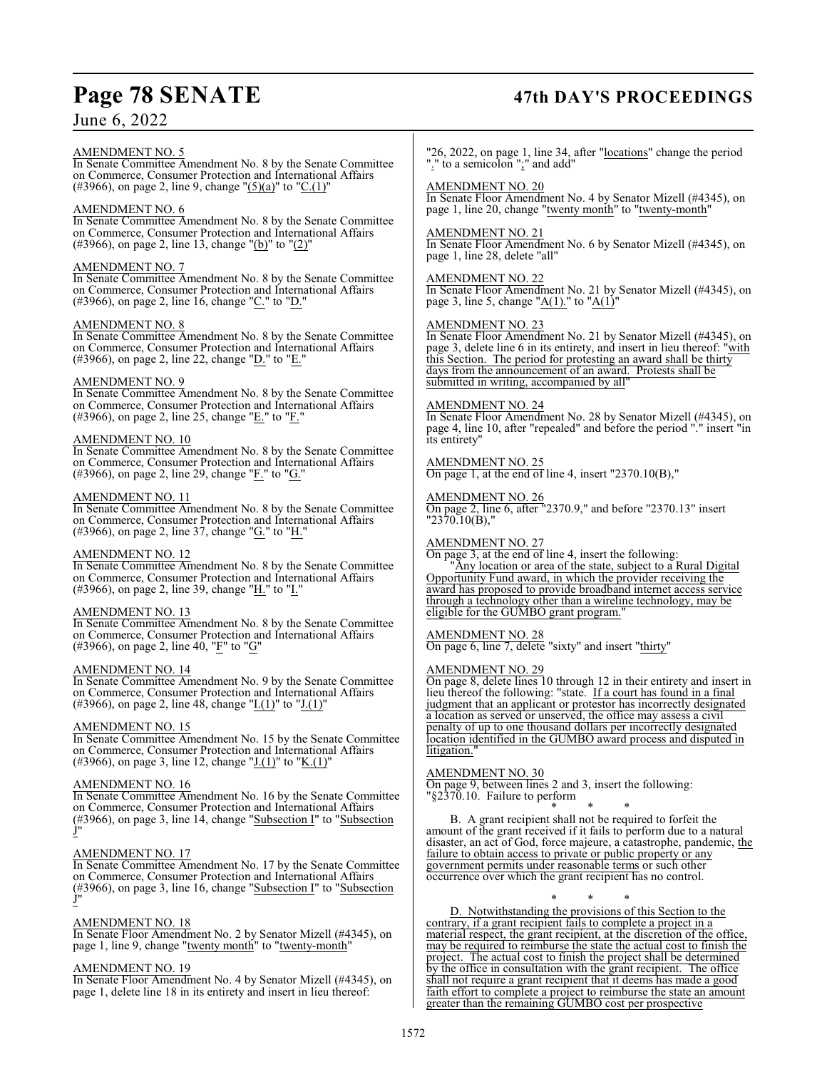## **Page 78 SENATE 47th DAY'S PROCEEDINGS**

## June 6, 2022

AMENDMENT NO. 5

In Senate Committee Amendment No. 8 by the Senate Committee on Commerce, Consumer Protection and International Affairs (#3966), on page 2, line 9, change " $(5)(a)$ " to "C.(1)"

## AMENDMENT NO. 6

In Senate Committee Amendment No. 8 by the Senate Committee on Commerce, Consumer Protection and International Affairs (#3966), on page 2, line 13, change "(b)" to "(2)"

## AMENDMENT NO. 7

In Senate Committee Amendment No. 8 by the Senate Committee on Commerce, Consumer Protection and International Affairs (#3966), on page 2, line 16, change "C." to "D."

## AMENDMENT NO. 8

In Senate Committee Amendment No. 8 by the Senate Committee on Commerce, Consumer Protection and International Affairs (#3966), on page 2, line 22, change " $D$ ." to " $E$ ."

## AMENDMENT NO. 9

In Senate Committee Amendment No. 8 by the Senate Committee on Commerce, Consumer Protection and International Affairs (#3966), on page 2, line 25, change " $E$ ." to " $F$ ."

## AMENDMENT NO. 10

In Senate Committee Amendment No. 8 by the Senate Committee on Commerce, Consumer Protection and International Affairs (#3966), on page 2, line 29, change "F." to "G."

## AMENDMENT NO. 11

In Senate Committee Amendment No. 8 by the Senate Committee on Commerce, Consumer Protection and International Affairs (#3966), on page 2, line 37, change " $G$ ." to "H.'

## AMENDMENT NO. 12

In Senate Committee Amendment No. 8 by the Senate Committee on Commerce, Consumer Protection and International Affairs (#3966), on page 2, line 39, change "H." to "I."

## AMENDMENT NO. 13

In Senate Committee Amendment No. 8 by the Senate Committee on Commerce, Consumer Protection and International Affairs (#3966), on page 2, line 40, " $\underline{F}$ " to " $\underline{G}$ "

## AMENDMENT NO. 14

In Senate Committee Amendment No. 9 by the Senate Committee on Commerce, Consumer Protection and International Affairs (#3966), on page 2, line 48, change " $I(1)$ " to " $J(1)$ "

## AMENDMENT NO. 15

In Senate Committee Amendment No. 15 by the Senate Committee on Commerce, Consumer Protection and International Affairs (#3966), on page 3, line 12, change " $J(1)$ " to "K.(1)"

## AMENDMENT NO. 16

In Senate Committee Amendment No. 16 by the Senate Committee on Commerce, Consumer Protection and International Affairs (#3966), on page 3, line 14, change "Subsection I" to "Subsection J"

## AMENDMENT NO. 17

In Senate Committee Amendment No. 17 by the Senate Committee on Commerce, Consumer Protection and International Affairs (#3966), on page 3, line 16, change "Subsection I" to "Subsection J"

## AMENDMENT NO. 18

In Senate Floor Amendment No. 2 by Senator Mizell (#4345), on page 1, line 9, change "twenty month" to "twenty-month"

## AMENDMENT NO. 19

In Senate Floor Amendment No. 4 by Senator Mizell (#4345), on page 1, delete line 18 in its entirety and insert in lieu thereof:

"26, 2022, on page 1, line 34, after "locations" change the period "." to a semicolon ";" and add"

## AMENDMENT NO. 20

In Senate Floor Amendment No. 4 by Senator Mizell (#4345), on page 1, line 20, change "twenty month" to "twenty-month"

## AMENDMENT NO. 21

In Senate Floor Amendment No. 6 by Senator Mizell (#4345), on page 1, line 28, delete "all"

## AMENDMENT NO. 22

In Senate Floor Amendment No. 21 by Senator Mizell (#4345), on page 3, line 5, change " $A(1)$ ." to " $A(1)$ "

## AMENDMENT NO. 23

In Senate Floor Amendment No. 21 by Senator Mizell (#4345), on page 3, delete line 6 in its entirety, and insert in lieu thereof: "with this Section. The period for protesting an award shall be thirty days from the announcement of an award. Protests shall be submitted in writing, accompanied by all"

## AMENDMENT NO. 24

In Senate Floor Amendment No. 28 by Senator Mizell (#4345), on page 4, line 10, after "repealed" and before the period "." insert "in its entirety"

## AMENDMENT NO. 25

On page 1, at the end of line 4, insert " $2370.10(B)$ ,"

## AMENDMENT NO. 26

On page 2, line 6, after "2370.9," and before "2370.13" insert  $"2370.10(B),"$ 

## AMENDMENT NO. 27

On page 3, at the end of line 4, insert the following:

"Any location or area of the state, subject to a Rural Digital Opportunity Fund award, in which the provider receiving the award has proposed to provide broadband internet access service through a technology other than a wireline technology, may be eligible for the GUMBO grant program.

## AMENDMENT NO. 28

On page 6, line 7, delete "sixty" and insert "thirty"

## AMENDMENT NO. 29

On page 8, delete lines 10 through 12 in their entirety and insert in lieu thereof the following: "state. If a court has found in a final judgment that an applicant or protestor has incorrectly designated a location as served or unserved, the office may assess a civil penalty of up to one thousand dollars per incorrectly designated location identified in the GUMBO award process and disputed in litigation.

## AMENDMENT NO. 30

On page 9, between lines 2 and 3, insert the following: "§2370.10. Failure to perform

\* \* \* B. A grant recipient shall not be required to forfeit the amount of the grant received if it fails to perform due to a natural disaster, an act of God, force majeure, a catastrophe, pandemic, the failure to obtain access to private or public property or any government permits under reasonable terms or such other occurrence over which the grant recipient has no control.

\* \* \* D. Notwithstanding the provisions of this Section to the contrary, if a grant recipient fails to complete a project in a material respect, the grant recipient, at the discretion of the office, may be required to reimburse the state the actual cost to finish the project. The actual cost to finish the project shall be determined by the office in consultation with the grant recipient. The office shall not require a grant recipient that it deems has made a good faith effort to complete a project to reimburse the state an amount greater than the remaining GUMBO cost per prospective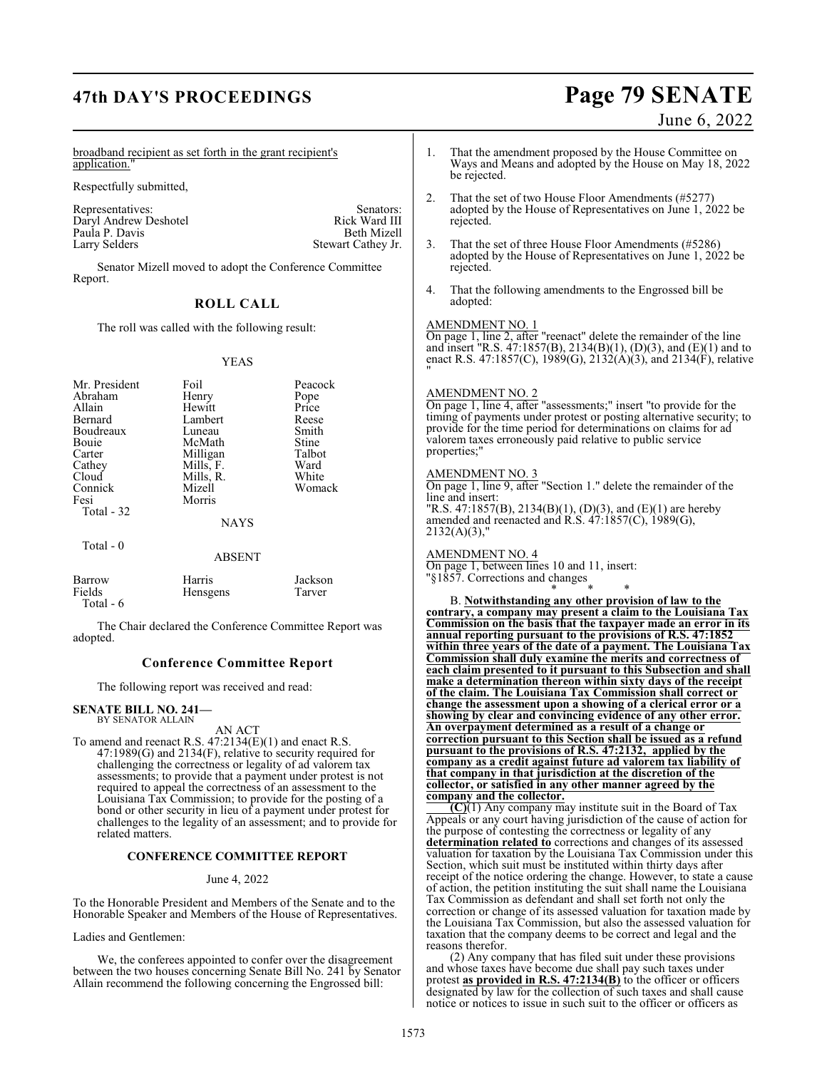## **47th DAY'S PROCEEDINGS Page 79 SENATE**

### broadband recipient as set forth in the grant recipient's application.' Representatives: Senators: Senators: Senators: Senators: Senators: Senators: Senators: Senators: Senators: Senators: Senators: Senators: Senators: Senators: Senators: Senators: Senators: Senators: Senators: Senators: Senat Daryl Andrew Deshotel Rick Ward III<br>Paula P. Davis Beth Mizell Stewart Cathey Jr. Senator Mizell moved to adopt the Conference Committee **ROLL CALL** The roll was called with the following result: YEAS 1. That the amendment proposed by the House Committee on Ways and Means and adopted by the House on May 18, 2022 be rejected. 2. That the set of two House Floor Amendments (#5277) adopted by the House of Representatives on June 1, 2022 be rejected. 3. That the set of three House Floor Amendments (#5286) adopted by the House of Representatives on June 1, 2022 be rejected. 4. That the following amendments to the Engrossed bill be adopted: AMENDMENT NO. 1 On page 1, line 2, after "reenact" delete the remainder of the line and insert "R.S. 47:1857(B), 2134(B)(1), (D)(3), and (E)(1) and to enact R.S. 47:1857(C), 1989(G), 2132(A)(3), and 2134(F), relative "

AMENDMENT NO. 2 On page 1, line 4, after "assessments;" insert "to provide for the timing of payments under protest or posting alternative security; to provide for the time period for determinations on claims for ad valorem taxes erroneously paid relative to public service properties;"

## AMENDMENT NO. 3

On page 1, line 9, after "Section 1." delete the remainder of the line and insert: "R.S. 47:1857(B), 2134(B)(1), (D)(3), and (E)(1) are hereby amended and reenacted and  $\overrightarrow{R}$ .  $\overrightarrow{S}$ .  $\overrightarrow{47}$ :  $\overrightarrow{1857}$ (C),  $\overrightarrow{1989}$ (G),  $2132(A)(3)$ ,"

AMENDMENT NO. 4

On page 1, between lines 10 and 11, insert: "§1857. Corrections and changes \* \* \*

B. **Notwithstanding any other provision of law to the contrary, a company may present a claim to the Louisiana Tax Commission on the basis that the taxpayer made an error in its annual reporting pursuant to the provisions of R.S. 47:1852 within three years of the date of a payment. The Louisiana Tax Commission shall duly examine the merits and correctness of each claim presented to it pursuant to this Subsection and shall make a determination thereon within sixty days of the receipt of the claim. The Louisiana Tax Commission shall correct or change the assessment upon a showing of a clerical error or a showing by clear and convincing evidence of any other error. An overpayment determined as a result of a change or correction pursuant to this Section shall be issued as a refund pursuant to the provisions of R.S. 47:2132, applied by the company as a credit against future ad valorem tax liability of that company in that jurisdiction at the discretion of the collector, or satisfied in any other manner agreed by the company and the collector.**

**(C)**(1) Any company may institute suit in the Board of Tax Appeals or any court having jurisdiction of the cause of action for the purpose of contesting the correctness or legality of any **determination related to** corrections and changes of its assessed valuation for taxation by the Louisiana Tax Commission under this Section, which suit must be instituted within thirty days after receipt of the notice ordering the change. However, to state a cause of action, the petition instituting the suit shall name the Louisiana Tax Commission as defendant and shall set forth not only the correction or change of its assessed valuation for taxation made by the Louisiana Tax Commission, but also the assessed valuation for taxation that the company deems to be correct and legal and the reasons therefor.

(2) Any company that has filed suit under these provisions and whose taxes have become due shall pay such taxes under protest **as provided in R.S. 47:2134(B)** to the officer or officers designated by law for the collection of such taxes and shall cause notice or notices to issue in such suit to the officer or officers as

Respectfully submitted,

Paula P. Davis<br>Larry Selders

Report.

| Mr. President<br>Abraham<br>Allain<br>Bernard<br>Boudreaux<br>Bouie<br>Carter<br>Cathey<br>Cloud<br>Connick<br>Fesi<br>Total - 32 | Foil<br>Henry<br>Hewitt<br>Lambert<br>Luneau<br>McMath<br>Milligan<br>Mills, F.<br>Mills, R.<br>Mizell<br>Morris<br><b>NAYS</b> | Peacock<br>Pope<br>Price<br>Reese<br>Smith<br>Stine<br>Talbot<br>Ward<br>White<br>Womack |
|-----------------------------------------------------------------------------------------------------------------------------------|---------------------------------------------------------------------------------------------------------------------------------|------------------------------------------------------------------------------------------|
| Total $-0$                                                                                                                        | <b>ABSENT</b>                                                                                                                   |                                                                                          |
| Barrow                                                                                                                            | Harris                                                                                                                          | Jackson                                                                                  |

Fields Hensgens Tarver Total - 6

The Chair declared the Conference Committee Report was adopted.

## **Conference Committee Report**

The following report was received and read:

## **SENATE BILL NO. 241—**

BY SENATOR ALLAIN

AN ACT To amend and reenact R.S. 47:2134(E)(1) and enact R.S. 47:1989(G) and 2134(F), relative to security required for challenging the correctness or legality of ad valorem tax assessments; to provide that a payment under protest is not required to appeal the correctness of an assessment to the Louisiana Tax Commission; to provide for the posting of a bond or other security in lieu of a payment under protest for challenges to the legality of an assessment; and to provide for related matters.

## **CONFERENCE COMMITTEE REPORT**

## June 4, 2022

To the Honorable President and Members of the Senate and to the Honorable Speaker and Members of the House of Representatives.

Ladies and Gentlemen:

We, the conferees appointed to confer over the disagreement between the two houses concerning Senate Bill No. 241 by Senator Allain recommend the following concerning the Engrossed bill:

June 6, 2022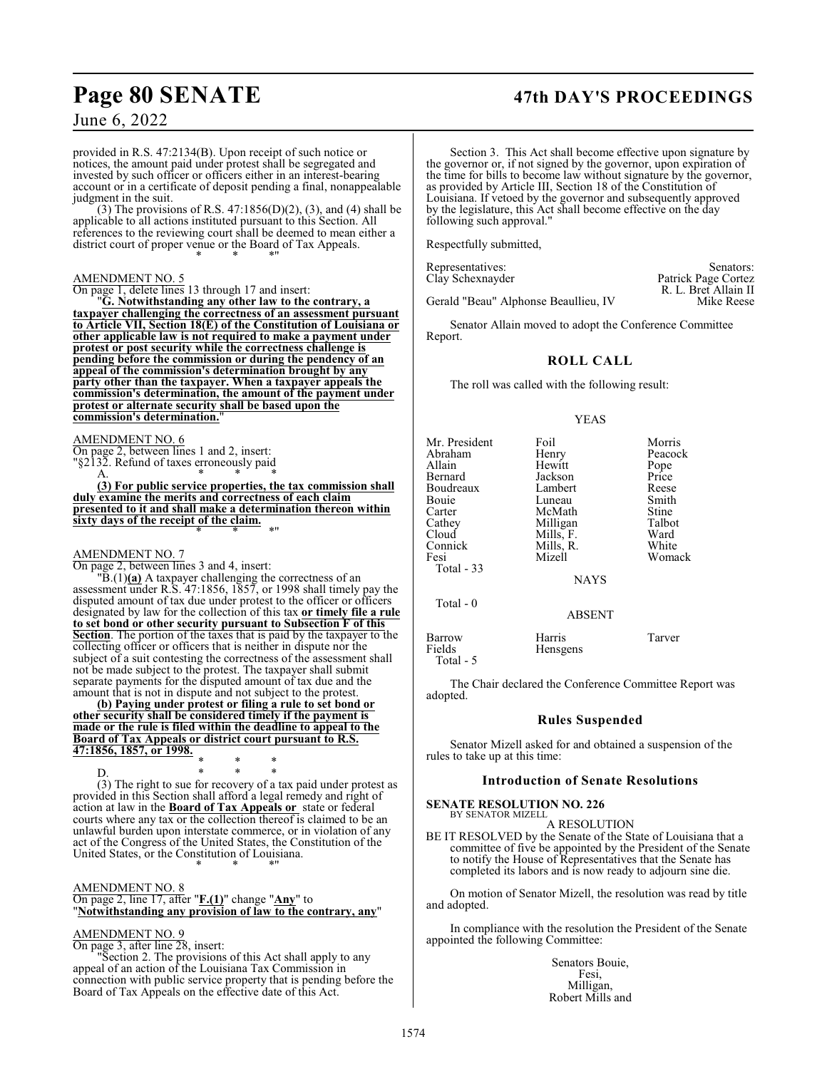## **Page 80 SENATE 47th DAY'S PROCEEDINGS**

R. L. Bret Allain II

June 6, 2022

provided in R.S. 47:2134(B). Upon receipt of such notice or notices, the amount paid under protest shall be segregated and invested by such officer or officers either in an interest-bearing account or in a certificate of deposit pending a final, nonappealable judgment in the suit.

(3) The provisions of R.S. 47:1856(D)(2), (3), and (4) shall be applicable to all actions instituted pursuant to this Section. All references to the reviewing court shall be deemed to mean either a district court of proper venue or the Board of Tax Appeals. \* \* \*"

## AMENDMENT NO. 5

On page 1, delete lines 13 through 17 and insert:

"**G. Notwithstanding any other law to the contrary, a taxpayer challenging the correctness of an assessment pursuant to Article VII, Section 18(E) of the Constitution of Louisiana or other applicable law is not required to make a payment under protest or post security while the correctness challenge is pending before the commission or during the pendency of an appeal of the commission's determination brought by any party other than the taxpayer. When a taxpayer appeals the commission's determination, the amount of the payment under protest or alternate security shall be based upon the commission's determination.**"

## AMENDMENT NO. 6

On page 2, between lines 1 and 2, insert:

"§2132. Refund of taxes erroneously paid A. \* \* \*

**(3) For public service properties, the tax commission shall duly examine the merits and correctness of each claim presented to it and shall make a determination thereon within sixty days of the receipt of the claim.** \* \* \*"

## AMENDMENT NO. 7

On page 2, between lines 3 and 4, insert:

"B.(1)**(a)** A taxpayer challenging the correctness of an assessment under R.S. 47:1856, 1857, or 1998 shall timely pay the disputed amount of tax due under protest to the officer or officers designated by law for the collection of this tax **or timely file a rule to set bond or other security pursuant to Subsection F of this Section**. The portion of the taxes that is paid by the taxpayer to the collecting officer or officers that is neither in dispute nor the subject of a suit contesting the correctness of the assessment shall not be made subject to the protest. The taxpayer shall submit separate payments for the disputed amount of tax due and the amount that is not in dispute and not subject to the protest.

**(b) Paying under protest or filing a rule to set bond or other security shall be considered timely if the payment is made or the rule is filed within the deadline to appeal to the Board of Tax Appeals or district court pursuant to R.S. 47:1856, 1857, or 1998.** \* \* \*

D. \* \* \* (3) The right to sue for recovery of a tax paid under protest as provided in this Section shall afford a legal remedy and right of action at law in the **Board of Tax Appeals or** state or federal courts where any tax or the collection thereof is claimed to be an unlawful burden upon interstate commerce, or in violation of any act of the Congress of the United States, the Constitution of the United States, or the Constitution of Louisiana. \* \* \*"

## AMENDMENT NO. 8

On page 2, line 17, after "**F.(1)**" change "**Any**" to "**Notwithstanding any provision of law to the contrary, any**"

## AMENDMENT NO. 9

On page 3, after line 28, insert: "Section 2. The provisions of this Act shall apply to any appeal of an action of the Louisiana Tax Commission in connection with public service property that is pending before the Board of Tax Appeals on the effective date of this Act.

Section 3. This Act shall become effective upon signature by the governor or, if not signed by the governor, upon expiration of the time for bills to become law without signature by the governor, as provided by Article III, Section 18 of the Constitution of Louisiana. If vetoed by the governor and subsequently approved by the legislature, this Act shall become effective on the day following such approval."

Respectfully submitted,

Representatives: Senators: Senators: Senators: Senators: Senators: Senators: Senators: Senators: Senators: Senators: Senators: Senators: Senators: Senators: Senators: Senators: Senators: Senators: Senators: Senators: Senat Clay Schexnayder

Gerald "Beau" Alphonse Beaullieu, IV

Senator Allain moved to adopt the Conference Committee Report.

## **ROLL CALL**

The roll was called with the following result:

## YEAS

| Mr. President<br>Abraham<br>Allain<br>Bernard<br>Boudreaux<br>Bouie<br>Carter<br>Cathey<br>Cloud<br>Connick<br>Fesi<br>Total $-33$ | Foil<br>Henry<br>Hewitt<br>Jackson<br>Lambert<br>Luneau<br>McMath<br>Milligan<br>Mills, F.<br>Mills, R.<br>Mizell<br><b>NAYS</b> | Morris<br>Peacock<br>Pope<br>Price<br>Reese<br>Smith<br>Stine<br>Talbot<br>Ward<br>White<br>Womack |
|------------------------------------------------------------------------------------------------------------------------------------|----------------------------------------------------------------------------------------------------------------------------------|----------------------------------------------------------------------------------------------------|
| Total $-0$                                                                                                                         | <b>ABSENT</b>                                                                                                                    |                                                                                                    |
| Barrow<br>Fields                                                                                                                   | Harris<br>Hensgens                                                                                                               | Tarver                                                                                             |

The Chair declared the Conference Committee Report was adopted.

## **Rules Suspended**

Senator Mizell asked for and obtained a suspension of the rules to take up at this time:

## **Introduction of Senate Resolutions**

## **SENATE RESOLUTION NO. 226** BY SENATOR MIZELL

Total - 5

A RESOLUTION

BE IT RESOLVED by the Senate of the State of Louisiana that a committee of five be appointed by the President of the Senate to notify the House of Representatives that the Senate has completed its labors and is now ready to adjourn sine die.

On motion of Senator Mizell, the resolution was read by title and adopted.

In compliance with the resolution the President of the Senate appointed the following Committee:

> Senators Bouie, Fesi, Milligan, Robert Mills and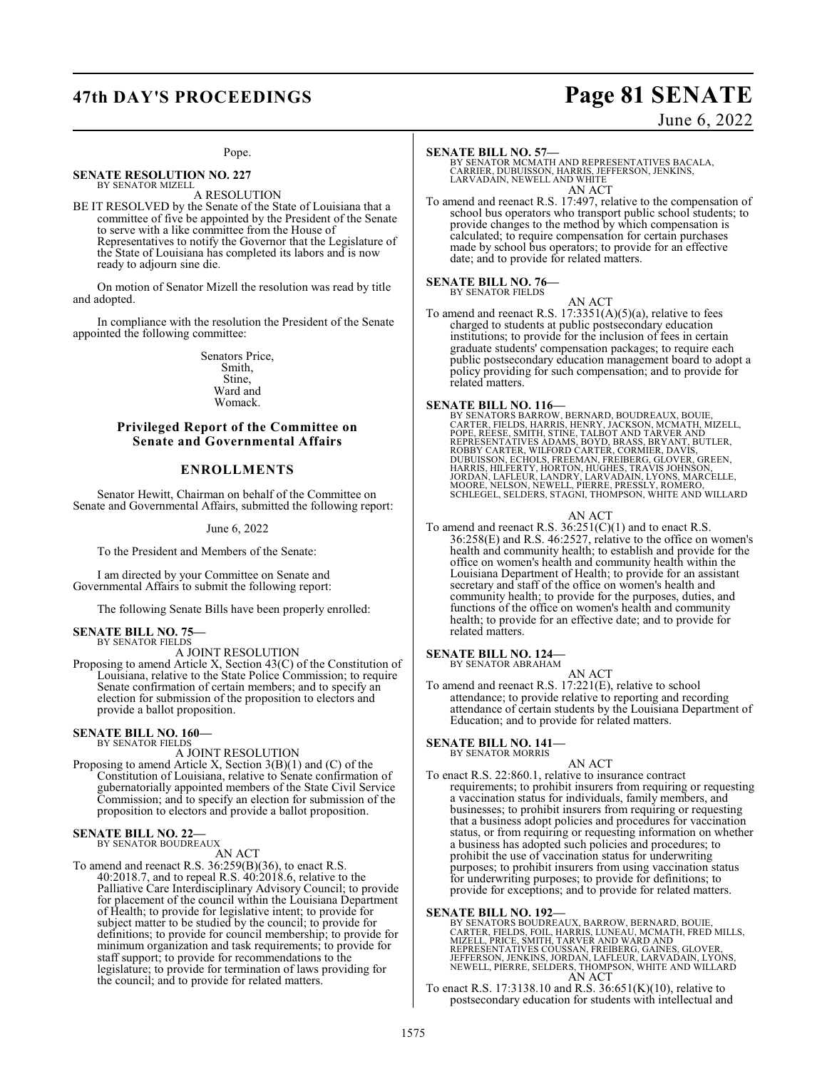## **47th DAY'S PROCEEDINGS Page 81 SENATE**

## June 6, 2022

## Pope.

**SENATE RESOLUTION NO. 227** BY SENATOR MIZELL

A RESOLUTION BE IT RESOLVED by the Senate of the State of Louisiana that a committee of five be appointed by the President of the Senate to serve with a like committee from the House of Representatives to notify the Governor that the Legislature of the State of Louisiana has completed its labors and is now ready to adjourn sine die.

On motion of Senator Mizell the resolution was read by title and adopted.

In compliance with the resolution the President of the Senate appointed the following committee:

> Senators Price, Smith, Stine, Ward and Womack.

## **Privileged Report of the Committee on Senate and Governmental Affairs**

## **ENROLLMENTS**

Senator Hewitt, Chairman on behalf of the Committee on Senate and Governmental Affairs, submitted the following report:

## June 6, 2022

To the President and Members of the Senate:

I am directed by your Committee on Senate and Governmental Affairs to submit the following report:

The following Senate Bills have been properly enrolled:

### **SENATE BILL NO. 75—** BY SENATOR FIELDS

A JOINT RESOLUTION

Proposing to amend Article X, Section 43(C) of the Constitution of Louisiana, relative to the State Police Commission; to require Senate confirmation of certain members; and to specify an election for submission of the proposition to electors and provide a ballot proposition.

## **SENATE BILL NO. 160—** BY SENATOR FIELDS

A JOINT RESOLUTION

Proposing to amend Article X, Section 3(B)(1) and (C) of the Constitution of Louisiana, relative to Senate confirmation of gubernatorially appointed members of the State Civil Service Commission; and to specify an election for submission of the proposition to electors and provide a ballot proposition.

## **SENATE BILL NO. 22—** BY SENATOR BOUDREAUX

AN ACT

To amend and reenact R.S. 36:259(B)(36), to enact R.S. 40:2018.7, and to repeal R.S. 40:2018.6, relative to the Palliative Care Interdisciplinary Advisory Council; to provide for placement of the council within the Louisiana Department of Health; to provide for legislative intent; to provide for subject matter to be studied by the council; to provide for definitions; to provide for council membership; to provide for minimum organization and task requirements; to provide for staff support; to provide for recommendations to the legislature; to provide for termination of laws providing for the council; and to provide for related matters.

**SENATE BILL NO. 57—** BY SENATOR MCMATH AND REPRESENTATIVES BACALA, CARRIER, DUBUISSON, HARRIS, JEFFERSON, JENKINS, LARVADAIN, NEWELL AND WHITE AN ACT

To amend and reenact R.S. 17:497, relative to the compensation of school bus operators who transport public school students; to provide changes to the method by which compensation is calculated; to require compensation for certain purchases made by school bus operators; to provide for an effective date; and to provide for related matters.

## **SENATE BILL NO. 76—**

BY SENATOR FIELDS

AN ACT To amend and reenact R.S.  $17:3351(A)(5)(a)$ , relative to fees charged to students at public postsecondary education institutions; to provide for the inclusion of fees in certain graduate students' compensation packages; to require each public postsecondary education management board to adopt a policy providing for such compensation; and to provide for related matters.

**SENATE BILL NO. 116—**<br>BY SENATORS BARROW, BERNARD, BOUDREAUX, BOUIE,<br>CARTER, FELDS, HARRIS, HENRY, JACKSON, MCMATH, MIZELL,<br>POPE, RÉESE, SMITH, STINE, TALBOT AND TARVER AND<br>REPRESENTATIVES ADAMS, BOYD, BRASS, BRYANT, BUTL

## AN ACT

To amend and reenact R.S.  $36:251(C)(1)$  and to enact R.S. 36:258(E) and R.S. 46:2527, relative to the office on women's health and community health; to establish and provide for the office on women's health and community health within the Louisiana Department of Health; to provide for an assistant secretary and staff of the office on women's health and community health; to provide for the purposes, duties, and functions of the office on women's health and community health; to provide for an effective date; and to provide for related matters.

**SENATE BILL NO. 124—** BY SENATOR ABRAHAM

AN ACT

To amend and reenact R.S. 17:221(E), relative to school attendance; to provide relative to reporting and recording attendance of certain students by the Louisiana Department of Education; and to provide for related matters.

**SENATE BILL NO. 141—** BY SENATOR MORRIS

## AN ACT

To enact R.S. 22:860.1, relative to insurance contract requirements; to prohibit insurers from requiring or requesting a vaccination status for individuals, family members, and businesses; to prohibit insurers from requiring or requesting that a business adopt policies and procedures for vaccination status, or from requiring or requesting information on whether a business has adopted such policies and procedures; to prohibit the use of vaccination status for underwriting purposes; to prohibit insurers from using vaccination status for underwriting purposes; to provide for definitions; to provide for exceptions; and to provide for related matters.

**SENATE BILL NO. 192—**<br>BY SENATORS BOUDREAUX, BARROW, BERNARD, BOUIE,<br>CARTER, FIELDS, FOIL, HARRIS, LUNEAU, MCMATH, FRED MILLS,<br>MIZELL, PRICE, SMITH, TARVER AND WARD AND<br>REPRESENTATIVES COUSSAN, FREIBERG, GAINES, GLOVER,<br>J AN ACT

To enact R.S. 17:3138.10 and R.S. 36:651(K)(10), relative to postsecondary education for students with intellectual and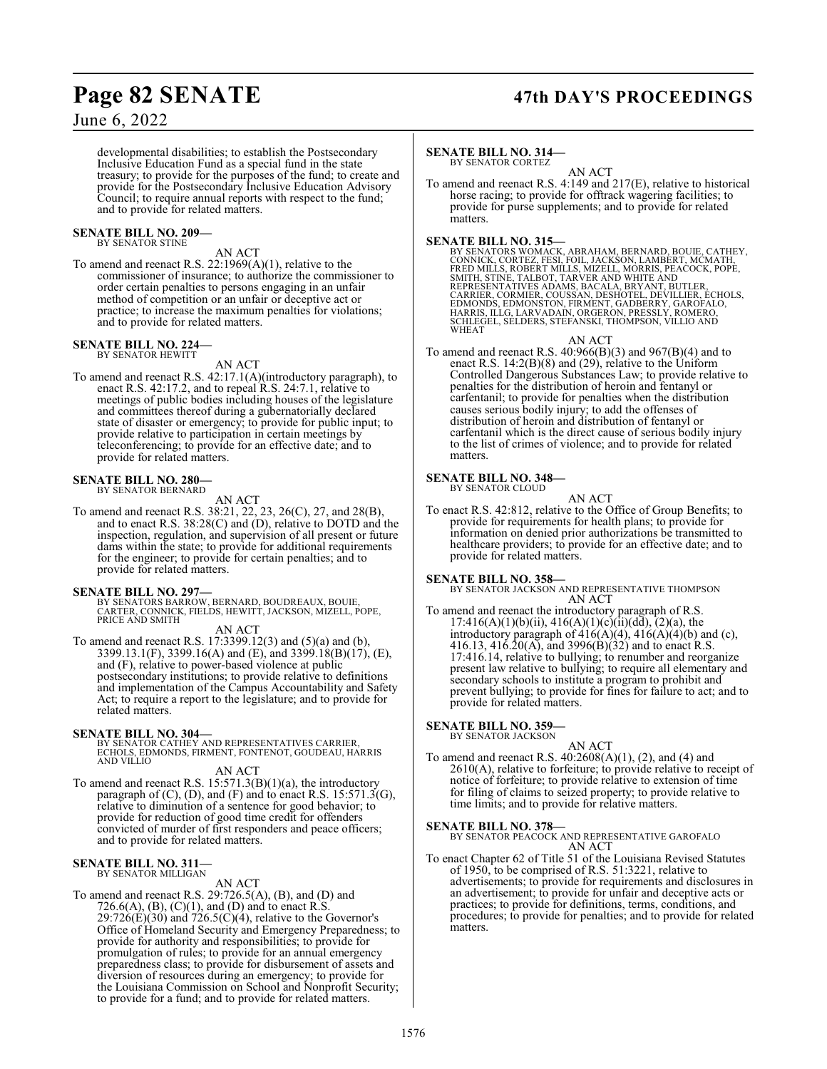## **Page 82 SENATE 47th DAY'S PROCEEDINGS**

## June 6, 2022

developmental disabilities; to establish the Postsecondary Inclusive Education Fund as a special fund in the state treasury; to provide for the purposes of the fund; to create and provide for the Postsecondary Inclusive Education Advisory Council; to require annual reports with respect to the fund; and to provide for related matters.

### **SENATE BILL NO. 209—** BY SENATOR STINE

AN ACT

To amend and reenact R.S. 22:1969(A)(1), relative to the commissioner of insurance; to authorize the commissioner to order certain penalties to persons engaging in an unfair method of competition or an unfair or deceptive act or practice; to increase the maximum penalties for violations; and to provide for related matters.

### **SENATE BILL NO. 224—** BY SENATOR HEWITT

AN ACT

To amend and reenact R.S. 42:17.1(A)(introductory paragraph), to enact R.S. 42:17.2, and to repeal R.S. 24:7.1, relative to meetings of public bodies including houses of the legislature and committees thereof during a gubernatorially declared state of disaster or emergency; to provide for public input; to provide relative to participation in certain meetings by teleconferencing; to provide for an effective date; and to provide for related matters.

### **SENATE BILL NO. 280—** BY SENATOR BERNARD

AN ACT

To amend and reenact R.S. 38:21, 22, 23, 26(C), 27, and 28(B), and to enact R.S. 38:28(C) and (D), relative to DOTD and the inspection, regulation, and supervision of all present or future dams within the state; to provide for additional requirements for the engineer; to provide for certain penalties; and to provide for related matters.

- **SENATE BILL NO. 297—** BY SENATORS BARROW, BERNARD, BOUDREAUX, BOUIE, CARTER, CONNICK, FIELDS, HEWITT, JACKSON, MIZELL, POPE, PRICE AND SMITH
	- AN ACT
- To amend and reenact R.S. 17:3399.12(3) and (5)(a) and (b), 3399.13.1(F), 3399.16(A) and (E), and 3399.18(B)(17), (E), and (F), relative to power-based violence at public postsecondary institutions; to provide relative to definitions and implementation of the Campus Accountability and Safety Act; to require a report to the legislature; and to provide for related matters.

## **SENATE BILL NO. 304—**

BY SENATOR CATHEY AND REPRESENTATIVES CARRIER, ECHOLS, EDMONDS, FIRMENT, FONTENOT, GOUDEAU, HARRIS AND VILLIO

AN ACT

To amend and reenact R.S. 15:571.3(B)(1)(a), the introductory paragraph of (C), (D), and (F) and to enact R.S. 15:571.3(G), relative to diminution of a sentence for good behavior; to provide for reduction of good time credit for offenders convicted of murder of first responders and peace officers; and to provide for related matters.

## **SENATE BILL NO. 311—** BY SENATOR MILLIGAN

## AN ACT

To amend and reenact R.S. 29:726.5(A), (B), and (D) and 726.6(A), (B), (C)(1), and (D) and to enact R.S.  $29:726(E)(30)$  and  $726.5(C)(4)$ , relative to the Governor's Office of Homeland Security and Emergency Preparedness; to provide for authority and responsibilities; to provide for promulgation of rules; to provide for an annual emergency preparedness class; to provide for disbursement of assets and diversion of resources during an emergency; to provide for the Louisiana Commission on School and Nonprofit Security; to provide for a fund; and to provide for related matters.

### **SENATE BILL NO. 314—** BY SENATOR CORTEZ

AN ACT

To amend and reenact R.S. 4:149 and 217(E), relative to historical horse racing; to provide for offtrack wagering facilities; to provide for purse supplements; and to provide for related matters.

## **SENATE BILL NO. 315—**

BY SENATORS WOMACK, ABRAHAM, BERNARD, BOUIE, CATHEY,<br>CONNICK, CORTEZ, FESI, FOIL, JACKSON, LAMBERT, MCMATH,<br>FRED MILLS, ROBERT MILLS, MIZELL, MORRIS, PEACOCK, POPE,<br>SMITH, STINE, TALBOT, TARVER AND WHITE AND<br>REPRESENTATIVE

## AN ACT

To amend and reenact R.S.  $40:966(B)(3)$  and  $967(B)(4)$  and to enact R.S. 14:2(B)(8) and (29), relative to the Uniform Controlled Dangerous Substances Law; to provide relative to penalties for the distribution of heroin and fentanyl or carfentanil; to provide for penalties when the distribution causes serious bodily injury; to add the offenses of distribution of heroin and distribution of fentanyl or carfentanil which is the direct cause of serious bodily injury to the list of crimes of violence; and to provide for related matters.

## **SENATE BILL NO. 348—**

BY SENATOR CLOUD

- AN ACT
- To enact R.S. 42:812, relative to the Office of Group Benefits; to provide for requirements for health plans; to provide for information on denied prior authorizations be transmitted to healthcare providers; to provide for an effective date; and to provide for related matters.

**SENATE BILL NO. 358—** BY SENATOR JACKSON AND REPRESENTATIVE THOMPSON AN ACT

To amend and reenact the introductory paragraph of R.S.  $17:416(A)(1)(b)(ii)$ ,  $416(A)(1)(c)(ii)(dd)$ ,  $(2)(a)$ , the introductory paragraph of  $416(A)(4)$ ,  $416(A)(4)(b)$  and (c), 416.13, 416.20(A), and 3996(B)(32) and to enact R.S. 17:416.14, relative to bullying; to renumber and reorganize present law relative to bullying; to require all elementary and secondary schools to institute a program to prohibit and prevent bullying; to provide for fines for failure to act; and to provide for related matters.

### **SENATE BILL NO. 359—** BY SENATOR JACKSON

AN ACT To amend and reenact R.S. 40:2608(A)(1), (2), and (4) and 2610(A), relative to forfeiture; to provide relative to receipt of notice of forfeiture; to provide relative to extension of time for filing of claims to seized property; to provide relative to time limits; and to provide for relative matters.

## **SENATE BILL NO. 378—**

BY SENATOR PEACOCK AND REPRESENTATIVE GAROFALO AN ACT

To enact Chapter 62 of Title 51 of the Louisiana Revised Statutes of 1950, to be comprised of R.S. 51:3221, relative to advertisements; to provide for requirements and disclosures in an advertisement; to provide for unfair and deceptive acts or practices; to provide for definitions, terms, conditions, and procedures; to provide for penalties; and to provide for related matters.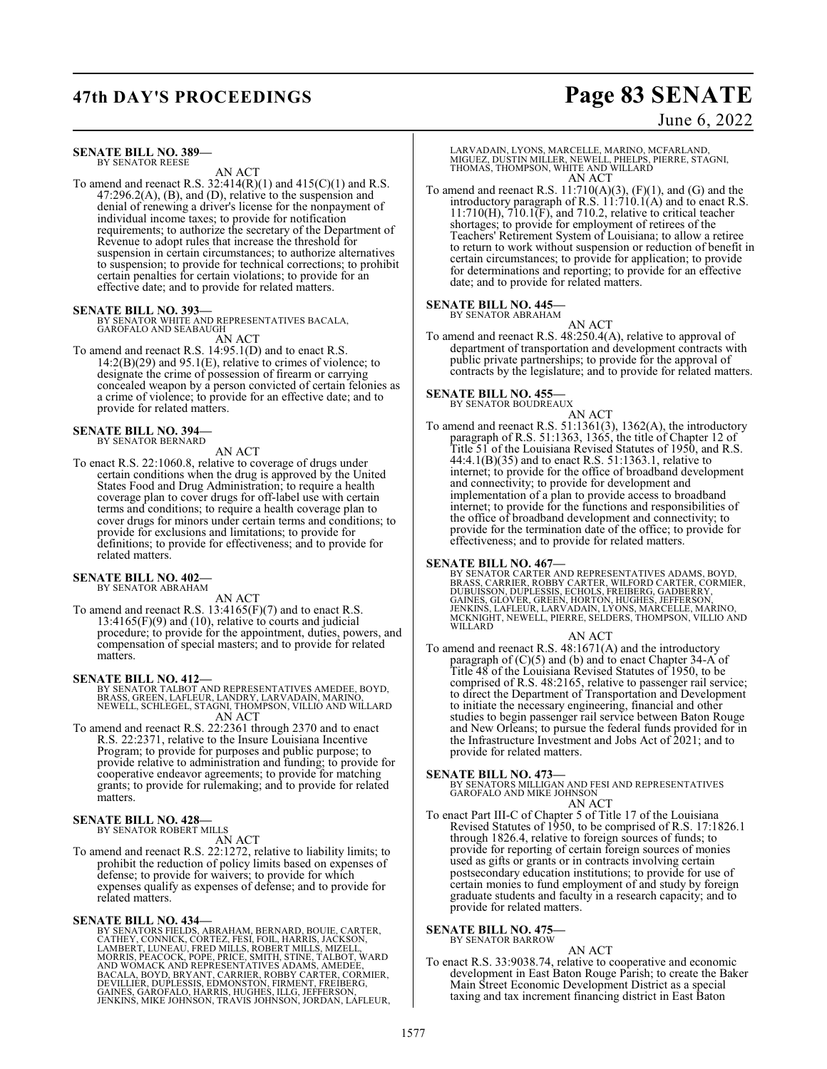## **47th DAY'S PROCEEDINGS Page 83 SENATE**

## June 6, 2022

**SENATE BILL NO. 389—** BY SENATOR REESE

AN ACT

To amend and reenact R.S. 32:414(R)(1) and 415(C)(1) and R.S. 47:296.2(A), (B), and (D), relative to the suspension and denial of renewing a driver's license for the nonpayment of individual income taxes; to provide for notification requirements; to authorize the secretary of the Department of Revenue to adopt rules that increase the threshold for suspension in certain circumstances; to authorize alternatives to suspension; to provide for technical corrections; to prohibit certain penalties for certain violations; to provide for an effective date; and to provide for related matters.

## **SENATE BILL NO. 393—**

BY SENATOR WHITE AND REPRESENTATIVES BACALA, GAROFALO AND SEABAUGH AN ACT

To amend and reenact R.S. 14:95.1(D) and to enact R.S.  $14:2(B)(29)$  and  $95.1(E)$ , relative to crimes of violence; to designate the crime of possession of firearm or carrying concealed weapon by a person convicted of certain felonies as a crime of violence; to provide for an effective date; and to provide for related matters.

**SENATE BILL NO. 394—** BY SENATOR BERNARD

## AN ACT

To enact R.S. 22:1060.8, relative to coverage of drugs under certain conditions when the drug is approved by the United States Food and Drug Administration; to require a health coverage plan to cover drugs for off-label use with certain terms and conditions; to require a health coverage plan to cover drugs for minors under certain terms and conditions; to provide for exclusions and limitations; to provide for definitions; to provide for effectiveness; and to provide for related matters.

## **SENATE BILL NO. 402—** BY SENATOR ABRAHAM

AN ACT

To amend and reenact R.S. 13:4165(F)(7) and to enact R.S.  $13:4165(F)(9)$  and  $(10)$ , relative to courts and judicial procedure; to provide for the appointment, duties, powers, and compensation of special masters; and to provide for related matters.

## **SENATE BILL NO. 412—**

BY SENATOR TALBOT AND REPRESENTATIVES AMEDEE, BOYD, BRASS, GREEN, LAFLEUR, LANDRY, LARVADAIN, MARINO, NEWELL, SCHLEGEL, STAGNI, THOMPSON, VILLIO AND WILLARD AN ACT

To amend and reenact R.S. 22:2361 through 2370 and to enact R.S. 22:2371, relative to the Insure Louisiana Incentive Program; to provide for purposes and public purpose; to provide relative to administration and funding; to provide for cooperative endeavor agreements; to provide for matching grants; to provide for rulemaking; and to provide for related matters.

### **SENATE BILL NO. 428—** BY SENATOR ROBERT MILLS

AN ACT

To amend and reenact R.S. 22:1272, relative to liability limits; to prohibit the reduction of policy limits based on expenses of defense; to provide for waivers; to provide for which expenses qualify as expenses of defense; and to provide for related matters.

**SENATE BILL NO. 434—**<br>BY SENATORS FIELDS, ABRAHAM, BERNARD, BOUIE, CARTER,<br>CATHEY, CONNICK, CORTEZ, FESI, FOIL, HARRIS, JACKSON,<br>LAMBERT, LUNEAU, FRED MILLS, ROBERT MILLS, MIZELL,<br>MORRIS, PEACOCK, POPE, PRICE, SMITH, STIN

LARVADAIN, LYONS, MARCELLE, MARINO, MCFARLAND, MIGUEZ, DUSTIN MILLER, NEWELL, PHELPS, PIERRE, STAGNI, THOMAS, THOMPSON, WHITE AND WILLARD AN ACT

To amend and reenact R.S.  $11:710(A)(3)$ ,  $(F)(1)$ , and  $(G)$  and the introductory paragraph of R.S. 11:710.1(A) and to enact R.S.  $11:710(H)$ ,  $710.1(F)$ , and  $710.2$ , relative to critical teacher shortages; to provide for employment of retirees of the Teachers' Retirement System of Louisiana; to allow a retiree to return to work without suspension or reduction of benefit in certain circumstances; to provide for application; to provide for determinations and reporting; to provide for an effective date; and to provide for related matters.

## **SENATE BILL NO. 445—**

BY SENATOR ABRAHAM

AN ACT To amend and reenact R.S. 48:250.4(A), relative to approval of department of transportation and development contracts with public private partnerships; to provide for the approval of contracts by the legislature; and to provide for related matters.

### **SENATE BILL NO. 455—** BY SENATOR BOUDREAUX

AN ACT

To amend and reenact R.S. 51:1361(3), 1362(A), the introductory paragraph of R.S. 51:1363, 1365, the title of Chapter 12 of Title 51 of the Louisiana Revised Statutes of 1950, and R.S. 44:4.1(B)(35) and to enact R.S. 51:1363.1, relative to internet; to provide for the office of broadband development and connectivity; to provide for development and implementation of a plan to provide access to broadband internet; to provide for the functions and responsibilities of the office of broadband development and connectivity; to provide for the termination date of the office; to provide for effectiveness; and to provide for related matters.

**SENATE BILL NO. 467—** BY SENATOR CARTER AND REPRESENTATIVES ADAMS, BOYD, BRASS, CARRIER, ROBBY CARTER, WILFORD CARTER, CORMIER,<br>DUBUISSON, DUPLESSIS, ECHOLS, FREIBERG, GADBERRY,<br>GAINES, GLÓVER, GREEN, HORTON, HUGHES, JEFFERSON,<br>JENKINS, LAFLEUR, LARVADAIN, LYONS, MARCELLE, MARINO,<br>MCKNIGHT, NEW WILLARD

AN ACT To amend and reenact R.S. 48:1671(A) and the introductory paragraph of (C)(5) and (b) and to enact Chapter 34-A of Title 48 of the Louisiana Revised Statutes of 1950, to be comprised of R.S. 48:2165, relative to passenger rail service; to direct the Department of Transportation and Development to initiate the necessary engineering, financial and other studies to begin passenger rail service between Baton Rouge and New Orleans; to pursue the federal funds provided for in the Infrastructure Investment and Jobs Act of 2021; and to provide for related matters.

**SENATE BILL NO. 473—**<br>BY SENATORS MILLIGAN AND FESI AND REPRESENTATIVES<br>GAROFALO AND MIKE JOHNSON

- AN ACT
- To enact Part III-C of Chapter 5 of Title 17 of the Louisiana Revised Statutes of 1950, to be comprised of R.S. 17:1826.1 through 1826.4, relative to foreign sources of funds; to provide for reporting of certain foreign sources of monies used as gifts or grants or in contracts involving certain postsecondary education institutions; to provide for use of certain monies to fund employment of and study by foreign graduate students and faculty in a research capacity; and to provide for related matters.

### **SENATE BILL NO. 475—** BY SENATOR BARROW

AN ACT

To enact R.S. 33:9038.74, relative to cooperative and economic development in East Baton Rouge Parish; to create the Baker Main Street Economic Development District as a special taxing and tax increment financing district in East Baton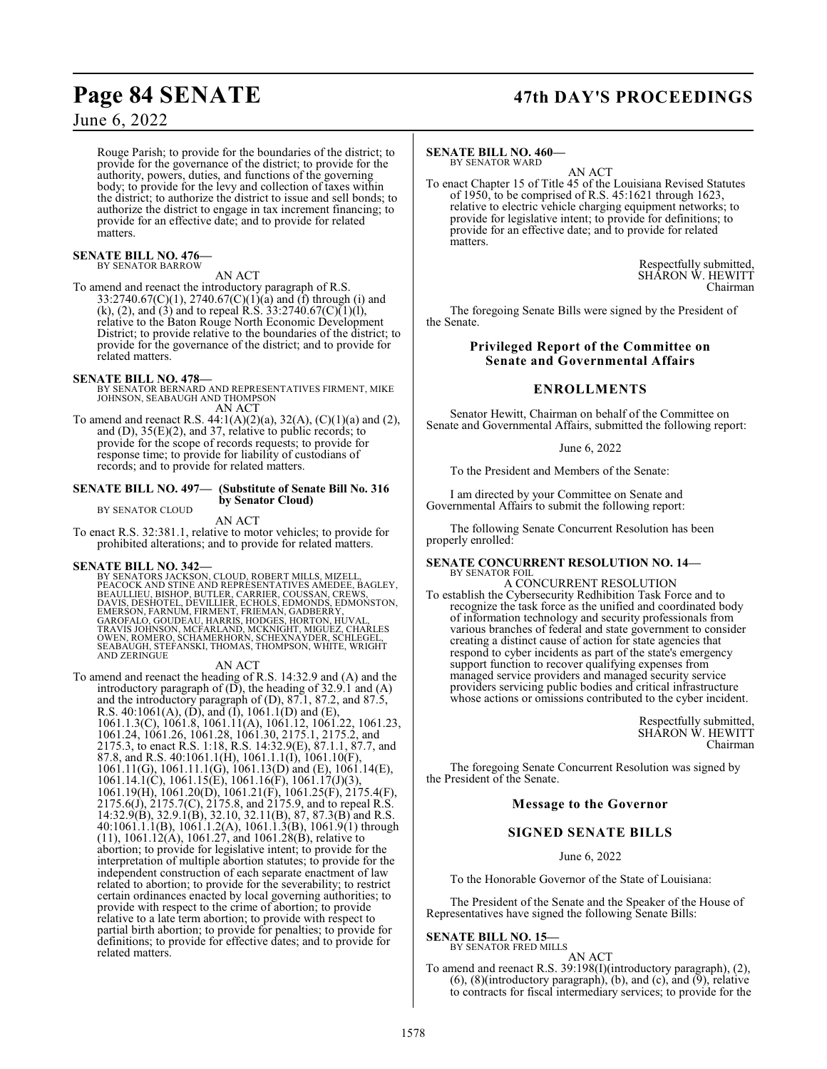## **Page 84 SENATE 47th DAY'S PROCEEDINGS**

June 6, 2022

Rouge Parish; to provide for the boundaries of the district; to provide for the governance of the district; to provide for the authority, powers, duties, and functions of the governing body; to provide for the levy and collection of taxes within the district; to authorize the district to issue and sell bonds; to authorize the district to engage in tax increment financing; to provide for an effective date; and to provide for related matters.

## **SENATE BILL NO. 476—**

BY SENATOR BARROW AN ACT

To amend and reenact the introductory paragraph of R.S. 33:2740.67(C)(1), 2740.67(C)(1)(a) and (f) through (i) and (k), (2), and (3) and to repeal R.S. 33:2740.67(C)(1)(l), relative to the Baton Rouge North Economic Development District; to provide relative to the boundaries of the district; to provide for the governance of the district; and to provide for related matters.

## **SENATE BILL NO. 478—**

BY SENATOR BERNARD AND REPRESENTATIVES FIRMENT, MIKE JOHNSON, SEABAUGH AND THOMPSON AN ACT

To amend and reenact R.S.  $44:1(A)(2)(a)$ ,  $32(A)$ ,  $(C)(1)(a)$  and  $(2)$ , and (D), 35(E)(2), and 37, relative to public records; to provide for the scope of records requests; to provide for response time; to provide for liability of custodians of records; and to provide for related matters.

## **SENATE BILL NO. 497— (Substitute of Senate Bill No. 316 by Senator Cloud)**

BY SENATOR CLOUD

AN ACT To enact R.S. 32:381.1, relative to motor vehicles; to provide for prohibited alterations; and to provide for related matters.

## **SENATE BILL NO. 342—**

BY SENATORS JACKSON, CLOUD, ROBERT MILLS, MIZELL,<br>PEACOCK AND STINE AND REPRESENTATIVES AMEDEE, BAGLEY,<br>BEAULLIEU, BISHOP, BUTLER, CARRIER, COUSSAN, CREWS,<br>DAVIS, DESHOTEL, DEVILLIER, ECHOLS, EDMONDS, EDMONSTON,<br>EMERSON, F SEABAUGH, STEFANSKI, THOMAS, THOMPSON, WHITE, WRIGHT AND ZERINGUE

## AN ACT

To amend and reenact the heading of R.S. 14:32.9 and (A) and the introductory paragraph of  $(D)$ , the heading of 32.9.1 and  $(A)$ and the introductory paragraph of (D), 87.1, 87.2, and 87.5, R.S.  $40:1061(A), (D)$ , and  $(I)$ ,  $1061.1(D)$  and  $(E)$ , 1061.1.3(C), 1061.8, 1061.11(A), 1061.12, 1061.22, 1061.23, 1061.24, 1061.26, 1061.28, 1061.30, 2175.1, 2175.2, and 2175.3, to enact R.S. 1:18, R.S. 14:32.9(E), 87.1.1, 87.7, and 87.8, and R.S. 40:1061.1(H), 1061.1.1(I), 1061.10(F), 1061.11(G), 1061.11.1(G), 1061.13(D) and (E), 1061.14(E), 1061.14.1(C), 1061.15(E), 1061.16(F), 1061.17(J)(3), 1061.19(H), 1061.20(D), 1061.21(F), 1061.25(F), 2175.4(F), 2175.6(J), 2175.7(C), 2175.8, and 2175.9, and to repeal R.S. 14:32.9(B), 32.9.1(B), 32.10, 32.11(B), 87, 87.3(B) and R.S. 40:1061.1.1(B), 1061.1.2(A), 1061.1.3(B), 1061.9(1) through (11), 1061.12(A), 1061.27, and 1061.28(B), relative to abortion; to provide for legislative intent; to provide for the interpretation of multiple abortion statutes; to provide for the independent construction of each separate enactment of law related to abortion; to provide for the severability; to restrict certain ordinances enacted by local governing authorities; to provide with respect to the crime of abortion; to provide relative to a late term abortion; to provide with respect to partial birth abortion; to provide for penalties; to provide for definitions; to provide for effective dates; and to provide for related matters.

### **SENATE BILL NO. 460—** BY SENATOR WARD

AN ACT

To enact Chapter 15 of Title 45 of the Louisiana Revised Statutes of 1950, to be comprised of R.S. 45:1621 through 1623, relative to electric vehicle charging equipment networks; to provide for legislative intent; to provide for definitions; to provide for an effective date; and to provide for related matters.

> Respectfully submitted, SHARON W. HEWITT Chairman

The foregoing Senate Bills were signed by the President of the Senate.

## **Privileged Report of the Committee on Senate and Governmental Affairs**

## **ENROLLMENTS**

Senator Hewitt, Chairman on behalf of the Committee on Senate and Governmental Affairs, submitted the following report:

## June 6, 2022

To the President and Members of the Senate:

I am directed by your Committee on Senate and Governmental Affairs to submit the following report:

The following Senate Concurrent Resolution has been properly enrolled:

### **SENATE CONCURRENT RESOLUTION NO. 14—** BY SENATOR FOIL

A CONCURRENT RESOLUTION To establish the Cybersecurity Redhibition Task Force and to recognize the task force as the unified and coordinated body of information technology and security professionals from various branches of federal and state government to consider creating a distinct cause of action for state agencies that respond to cyber incidents as part of the state's emergency support function to recover qualifying expenses from managed service providers and managed security service providers servicing public bodies and critical infrastructure whose actions or omissions contributed to the cyber incident.

> Respectfully submitted, SHARON W. HEWITT Chairman

The foregoing Senate Concurrent Resolution was signed by the President of the Senate.

## **Message to the Governor**

## **SIGNED SENATE BILLS**

June 6, 2022

To the Honorable Governor of the State of Louisiana:

The President of the Senate and the Speaker of the House of Representatives have signed the following Senate Bills:

## **SENATE BILL NO. 15—**

BY SENATOR FRED MILLS AN ACT

To amend and reenact R.S. 39:198(I)(introductory paragraph), (2), (6), (8)(introductory paragraph), (b), and (c), and  $(9)$ , relative to contracts for fiscal intermediary services; to provide for the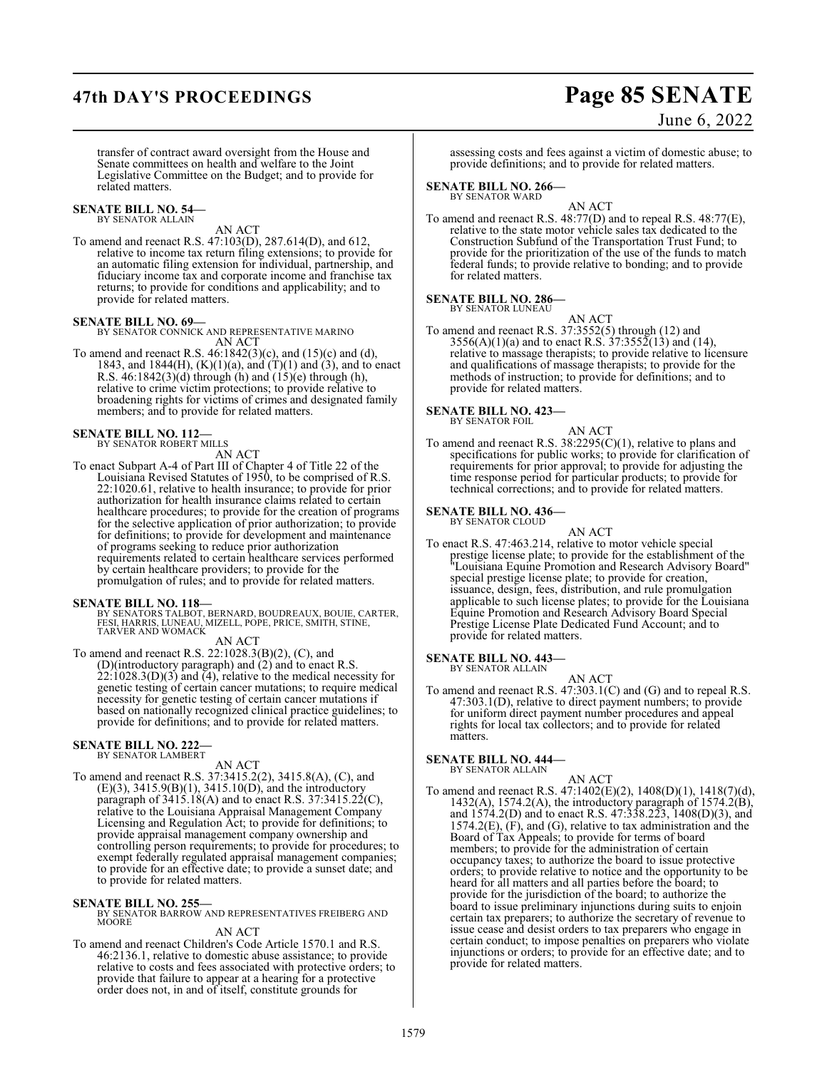## **47th DAY'S PROCEEDINGS Page 85 SENATE**

June 6, 2022

transfer of contract award oversight from the House and Senate committees on health and welfare to the Joint Legislative Committee on the Budget; and to provide for related matters.

### **SENATE BILL NO. 54—** BY SENATOR ALLAIN

AN ACT

To amend and reenact R.S. 47:103(D), 287.614(D), and 612, relative to income tax return filing extensions; to provide for an automatic filing extension for individual, partnership, and fiduciary income tax and corporate income and franchise tax returns; to provide for conditions and applicability; and to provide for related matters.

**SENATE BILL NO. 69—** BY SENATOR CONNICK AND REPRESENTATIVE MARINO AN ACT

To amend and reenact R.S. 46:1842(3)(c), and (15)(c) and (d), 1843, and 1844(H),  $(K)(1)(a)$ , and  $(T)(1)$  and  $(3)$ , and to enact R.S.  $46:1842(3)(d)$  through (h) and  $(15)(e)$  through (h), relative to crime victim protections; to provide relative to broadening rights for victims of crimes and designated family members; and to provide for related matters.

## **SENATE BILL NO. 112—** BY SENATOR ROBERT MILLS

AN ACT

To enact Subpart A-4 of Part III of Chapter 4 of Title 22 of the Louisiana Revised Statutes of 1950, to be comprised of R.S. 22:1020.61, relative to health insurance; to provide for prior authorization for health insurance claims related to certain healthcare procedures; to provide for the creation of programs for the selective application of prior authorization; to provide for definitions; to provide for development and maintenance of programs seeking to reduce prior authorization requirements related to certain healthcare services performed by certain healthcare providers; to provide for the promulgation of rules; and to provide for related matters.

**SENATE BILL NO. 118—**<br>BY SENATORS TALBOT, BERNARD, BOUDREAUX, BOUIE, CARTER,<br>FESI, HARRIS, LUNEAU, MIZELL, POPE, PRICE, SMITH, STINE,<br>TARVER AND WOMACK

AN ACT

To amend and reenact R.S. 22:1028.3(B)(2), (C), and (D)(introductory paragraph) and (2) and to enact R.S.  $22:1028.3(D)(3)$  and  $\overline{4}$ ), relative to the medical necessity for genetic testing of certain cancer mutations; to require medical necessity for genetic testing of certain cancer mutations if based on nationally recognized clinical practice guidelines; to provide for definitions; and to provide for related matters.

### **SENATE BILL NO. 222—** BY SENATOR LAMBERT

AN ACT

To amend and reenact R.S. 37:3415.2(2), 3415.8(A), (C), and (E)(3), 3415.9(B)(1), 3415.10(D), and the introductory paragraph of  $3415.18(A)$  and to enact R.S. 37:3415.22(C), relative to the Louisiana Appraisal Management Company Licensing and Regulation Act; to provide for definitions; to provide appraisal management company ownership and controlling person requirements; to provide for procedures; to exempt federally regulated appraisal management companies; to provide for an effective date; to provide a sunset date; and to provide for related matters.

**SENATE BILL NO. 255—** BY SENATOR BARROW AND REPRESENTATIVES FREIBERG AND **MOORE** 

## AN ACT

To amend and reenact Children's Code Article 1570.1 and R.S. 46:2136.1, relative to domestic abuse assistance; to provide relative to costs and fees associated with protective orders; to provide that failure to appear at a hearing for a protective order does not, in and of itself, constitute grounds for

assessing costs and fees against a victim of domestic abuse; to provide definitions; and to provide for related matters.

**SENATE BILL NO. 266—** BY SENATOR WARD

AN ACT

To amend and reenact R.S. 48:77(D) and to repeal R.S. 48:77(E), relative to the state motor vehicle sales tax dedicated to the Construction Subfund of the Transportation Trust Fund; to provide for the prioritization of the use of the funds to match federal funds; to provide relative to bonding; and to provide for related matters.

### **SENATE BILL NO. 286—** BY SENATOR LUNEAU

AN ACT

To amend and reenact R.S. 37:3552(5) through (12) and  $3556(A)(1)(a)$  and to enact R.S.  $37:3552(13)$  and (14), relative to massage therapists; to provide relative to licensure and qualifications of massage therapists; to provide for the methods of instruction; to provide for definitions; and to provide for related matters.

**SENATE BILL NO. 423—**<br>BY SENATOR FOIL

AN ACT To amend and reenact R.S. 38:2295(C)(1), relative to plans and specifications for public works; to provide for clarification of requirements for prior approval; to provide for adjusting the time response period for particular products; to provide for technical corrections; and to provide for related matters.

## **SENATE BILL NO. 436—**

BY SENATOR CLOUD

AN ACT To enact R.S. 47:463.214, relative to motor vehicle special prestige license plate; to provide for the establishment of the "Louisiana Equine Promotion and Research Advisory Board" special prestige license plate; to provide for creation, issuance, design, fees, distribution, and rule promulgation applicable to such license plates; to provide for the Louisiana Equine Promotion and Research Advisory Board Special Prestige License Plate Dedicated Fund Account; and to provide for related matters.

### **SENATE BILL NO. 443—** BY SENATOR ALLAIN

AN ACT

To amend and reenact R.S. 47:303.1(C) and (G) and to repeal R.S. 47:303.1(D), relative to direct payment numbers; to provide for uniform direct payment number procedures and appeal rights for local tax collectors; and to provide for related matters.

### **SENATE BILL NO. 444—** BY SENATOR ALLAIN

AN ACT

To amend and reenact R.S. 47:1402(E)(2), 1408(D)(1), 1418(7)(d), 1432(A), 1574.2(A), the introductory paragraph of 1574.2(B), and 1574.2(D) and to enact R.S. 47:338.223, 1408(D)(3), and  $1574.2(E)$ ,  $(F)$ , and  $(G)$ , relative to tax administration and the Board of Tax Appeals; to provide for terms of board members; to provide for the administration of certain occupancy taxes; to authorize the board to issue protective orders; to provide relative to notice and the opportunity to be heard for all matters and all parties before the board; to provide for the jurisdiction of the board; to authorize the board to issue preliminary injunctions during suits to enjoin certain tax preparers; to authorize the secretary of revenue to issue cease and desist orders to tax preparers who engage in certain conduct; to impose penalties on preparers who violate injunctions or orders; to provide for an effective date; and to provide for related matters.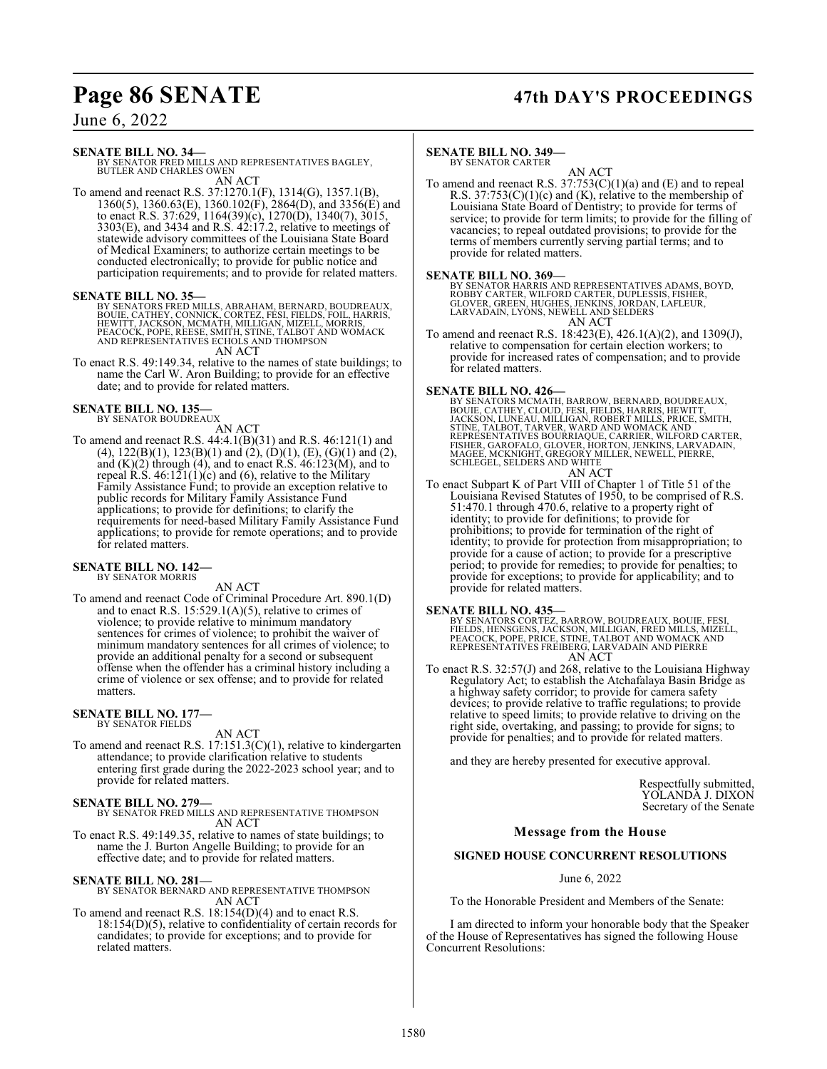## **Page 86 SENATE 47th DAY'S PROCEEDINGS**

## June 6, 2022

## **SENATE BILL NO. 34—**

BY SENATOR FRED MILLS AND REPRESENTATIVES BAGLEY, BUTLER AND CHARLES OWEN

AN ACT To amend and reenact R.S. 37:1270.1(F), 1314(G), 1357.1(B), 1360(5), 1360.63(E), 1360.102(F), 2864(D), and 3356(E) and to enact R.S. 37:629, 1164(39)(c), 1270(D), 1340(7), 3015, 3303(E), and 3434 and R.S. 42:17.2, relative to meetings of statewide advisory committees of the Louisiana State Board of Medical Examiners; to authorize certain meetings to be conducted electronically; to provide for public notice and participation requirements; and to provide for related matters.

## **SENATE BILL NO. 35—**

BY SENATORS FRED MILLS, ABRAHAM, BERNARD, BOUDREAUX,<br>BOUIE, CATHEY, CONNICK, CORTEZ, FESI, FIELDS, FOIL, HARRIS,<br>HEWITT, JACKSON, MCMATH, MILLIGAN, MIZELL, MORRIS,<br>PEACOCK, POPE, REESE, SMITH, STINE, TALBOT AND WOMACK<br>AND AN ACT

To enact R.S. 49:149.34, relative to the names of state buildings; to name the Carl W. Aron Building; to provide for an effective date; and to provide for related matters.

### **SENATE BILL NO. 135—** BY SENATOR BOUDREAUX

AN ACT

To amend and reenact R.S. 44:4.1(B)(31) and R.S. 46:121(1) and (4),  $122(B)(1)$ ,  $123(B)(1)$  and  $(2)$ ,  $(D)(1)$ ,  $(E)$ ,  $(G)(1)$  and  $(2)$ , and (K)(2) through (4), and to enact R.S. 46:123(M), and to repeal R.S.  $46:121(1)(c)$  and (6), relative to the Military Family Assistance Fund; to provide an exception relative to public records for Military Family Assistance Fund applications; to provide for definitions; to clarify the requirements for need-based Military Family Assistance Fund applications; to provide for remote operations; and to provide for related matters.

### **SENATE BILL NO. 142—** BY SENATOR MORRIS

## AN ACT

To amend and reenact Code of Criminal Procedure Art. 890.1(D) and to enact R.S. 15:529.1(A)(5), relative to crimes of violence; to provide relative to minimum mandatory sentences for crimes of violence; to prohibit the waiver of minimum mandatory sentences for all crimes of violence; to provide an additional penalty for a second or subsequent offense when the offender has a criminal history including a crime of violence or sex offense; and to provide for related matters.

## **SENATE BILL NO. 177—** BY SENATOR FIELDS

AN ACT

To amend and reenact R.S. 17:151.3(C)(1), relative to kindergarten attendance; to provide clarification relative to students entering first grade during the 2022-2023 school year; and to provide for related matters.

**SENATE BILL NO. 279—** BY SENATOR FRED MILLS AND REPRESENTATIVE THOMPSON AN ACT

To enact R.S. 49:149.35, relative to names of state buildings; to name the J. Burton Angelle Building; to provide for an effective date; and to provide for related matters.

## **SENATE BILL NO. 281—**

BY SENATOR BERNARD AND REPRESENTATIVE THOMPSON AN ACT

To amend and reenact R.S. 18:154(D)(4) and to enact R.S. 18:154(D)(5), relative to confidentiality of certain records for candidates; to provide for exceptions; and to provide for related matters.

## **SENATE BILL NO. 349—**

BY SENATOR CARTER

AN ACT To amend and reenact R.S.  $37:753(C)(1)(a)$  and  $(E)$  and to repeal R.S.  $37:753(C)(1)(c)$  and (K), relative to the membership of Louisiana State Board of Dentistry; to provide for terms of service; to provide for term limits; to provide for the filling of vacancies; to repeal outdated provisions; to provide for the terms of members currently serving partial terms; and to provide for related matters.

## **SENATE BILL NO. 369—**

BY SENATOR HARRIS AND REPRESENTATIVES ADAMS, BOYD,<br>ROBBY CARTER, WILFORD CARTER, DUPLESSIS, FISHER,<br>GLOVER, GREEN, HUGHES, JENKINS, JORDAN, LAFLEUR,<br>LARVADAIN, LYONS, NEWELL AND SELDERS AN ACT

To amend and reenact R.S. 18:423(E), 426.1(A)(2), and 1309(J), relative to compensation for certain election workers; to provide for increased rates of compensation; and to provide for related matters.

**SENATE BILL NO. 426—**<br>BY SENATORS MCMATH, BARROW, BERNARD, BOUDREAUX,<br>BOUIE, CATHEY, CLOUD, FESI, FIELDS, HARRIS, HEWITT,<br>JACKSON, LUNEAU, MILLIGAN, ROBERT MILLS, PRICE, SMITH,<br>STINE, TALBOT, TARVER, WARD AND WOMACK AND<br>R AN ACT

To enact Subpart K of Part VIII of Chapter 1 of Title 51 of the Louisiana Revised Statutes of 1950, to be comprised of R.S. 51:470.1 through 470.6, relative to a property right of identity; to provide for definitions; to provide for prohibitions; to provide for termination of the right of identity; to provide for protection from misappropriation; to provide for a cause of action; to provide for a prescriptive period; to provide for remedies; to provide for penalties; to provide for exceptions; to provide for applicability; and to provide for related matters.

**SENATE BILL NO. 435—** BY SENATORS CORTEZ, BARROW, BOUDREAUX, BOUIE, FESI, FIELDS, HENSGENS, JACKSON, MILLIGAN, FRED MILLS, MIZELL,<br>PEACOCK, POPE, PRICE, STINE, TALBOT AND WOMACK AND<br>REPRESENTATIVES FREIBERG, LARVADAIN AND PIERRE AN ACT

To enact R.S. 32:57(J) and 268, relative to the Louisiana Highway Regulatory Act; to establish the Atchafalaya Basin Bridge as a highway safety corridor; to provide for camera safety devices; to provide relative to traffic regulations; to provide relative to speed limits; to provide relative to driving on the right side, overtaking, and passing; to provide for signs; to provide for penalties; and to provide for related matters.

and they are hereby presented for executive approval.

Respectfully submitted, YOLANDA J. DIXON Secretary of the Senate

## **Message from the House**

## **SIGNED HOUSE CONCURRENT RESOLUTIONS**

June 6, 2022

To the Honorable President and Members of the Senate:

I am directed to inform your honorable body that the Speaker of the House of Representatives has signed the following House Concurrent Resolutions: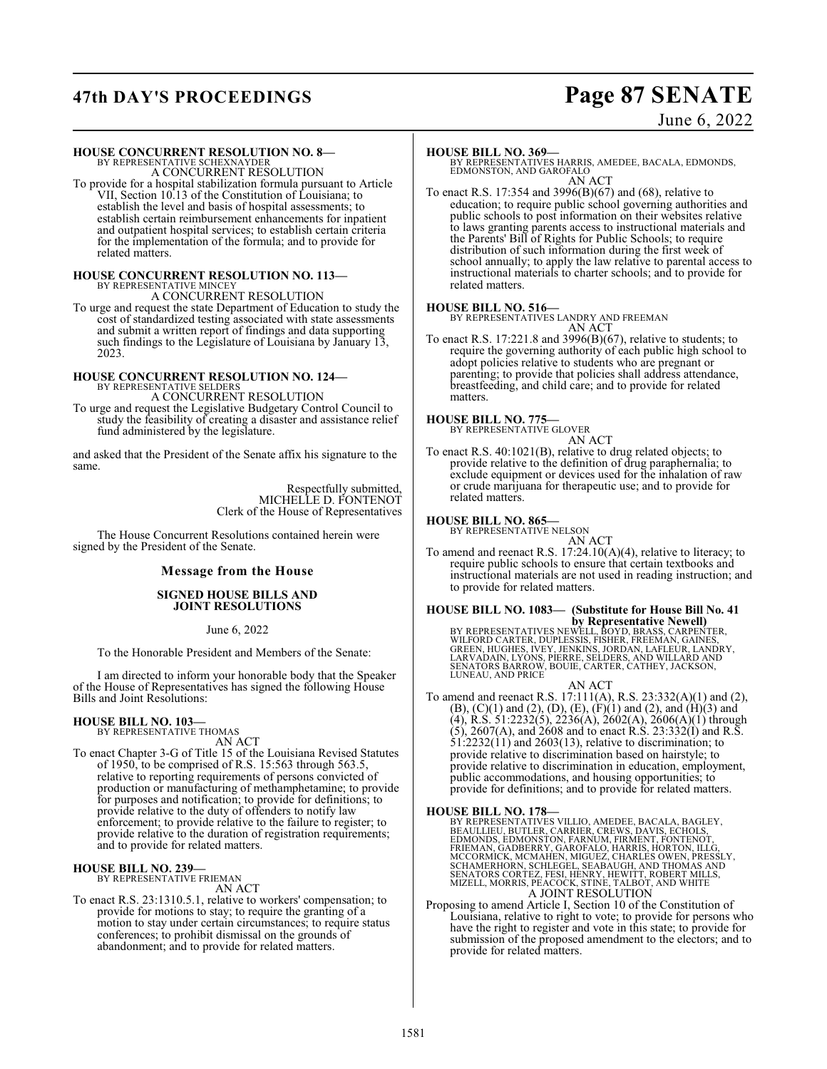## **47th DAY'S PROCEEDINGS Page 87 SENATE**

## June 6, 2022

## **HOUSE CONCURRENT RESOLUTION NO. 8—** BY REPRESENTATIVE SCHEXNAYDER

A CONCURRENT RESOLUTION

To provide for a hospital stabilization formula pursuant to Article VII, Section 10.13 of the Constitution of Louisiana; to establish the level and basis of hospital assessments; to establish certain reimbursement enhancements for inpatient and outpatient hospital services; to establish certain criteria for the implementation of the formula; and to provide for related matters.

# **HOUSE CONCURRENT RESOLUTION NO. 113—**<br>BY REPRESENTATIVE MINCEY<br>A CONCURRENT RESOLUTION

To urge and request the state Department of Education to study the cost of standardized testing associated with state assessments and submit a written report of findings and data supporting such findings to the Legislature of Louisiana by January 13, 2023.

## **HOUSE CONCURRENT RESOLUTION NO. 124—** BY REPRESENTATIVE SELDERS

A CONCURRENT RESOLUTION To urge and request the Legislative Budgetary Control Council to study the feasibility of creating a disaster and assistance relief fund administered by the legislature.

and asked that the President of the Senate affix his signature to the same.

> Respectfully submitted, MICHELLE D. FONTENOT Clerk of the House of Representatives

The House Concurrent Resolutions contained herein were signed by the President of the Senate.

## **Message from the House**

## **SIGNED HOUSE BILLS AND JOINT RESOLUTIONS**

June 6, 2022

To the Honorable President and Members of the Senate:

I am directed to inform your honorable body that the Speaker of the House of Representatives has signed the following House Bills and Joint Resolutions:

## **HOUSE BILL NO. 103—** BY REPRESENTATIVE THOMAS

AN ACT

To enact Chapter 3-G of Title 15 of the Louisiana Revised Statutes of 1950, to be comprised of R.S. 15:563 through 563.5, relative to reporting requirements of persons convicted of production or manufacturing of methamphetamine; to provide for purposes and notification; to provide for definitions; to provide relative to the duty of offenders to notify law enforcement; to provide relative to the failure to register; to provide relative to the duration of registration requirements; and to provide for related matters.

## **HOUSE BILL NO. 239—**

BY REPRESENTATIVE FRIEMAN AN ACT

To enact R.S. 23:1310.5.1, relative to workers' compensation; to provide for motions to stay; to require the granting of a motion to stay under certain circumstances; to require status conferences; to prohibit dismissal on the grounds of abandonment; and to provide for related matters.

## **HOUSE BILL NO. 369—**

BY REPRESENTATIVES HARRIS, AMEDEE, BACALA, EDMONDS, EDMONSTON, AND GAROFALO AN ACT

To enact R.S. 17:354 and 3996(B)(67) and (68), relative to education; to require public school governing authorities and public schools to post information on their websites relative to laws granting parents access to instructional materials and the Parents' Bill of Rights for Public Schools; to require distribution of such information during the first week of school annually; to apply the law relative to parental access to instructional materials to charter schools; and to provide for related matters.

**HOUSE BILL NO. 516—** BY REPRESENTATIVES LANDRY AND FREEMAN AN ACT

To enact R.S. 17:221.8 and 3996(B)(67), relative to students; to require the governing authority of each public high school to adopt policies relative to students who are pregnant or parenting; to provide that policies shall address attendance, breastfeeding, and child care; and to provide for related matters.

## **HOUSE BILL NO. 775—** BY REPRESENTATIVE GLOVER

AN ACT

To enact R.S. 40:1021(B), relative to drug related objects; to provide relative to the definition of drug paraphernalia; to exclude equipment or devices used for the inhalation of raw or crude marijuana for therapeutic use; and to provide for related matters.

## **HOUSE BILL NO. 865—**

BY REPRESENTATIVE NELSON

AN ACT To amend and reenact R.S. 17:24.10(A)(4), relative to literacy; to require public schools to ensure that certain textbooks and instructional materials are not used in reading instruction; and to provide for related matters.

## **HOUSE BILL NO. 1083— (Substitute for House Bill No. 41**

**by Representative Newell)<br>BY REPRESENTATIVES NEWELL, BOYD, BRASS, CARPENTER,<br>WILFORD CARTER, DUPLESSIS, FISHER, FREEMAN, GAINES,<br>CREEN, HUGHES, IVEY, JENKINS, JORDAN, LAFLEUR, LANDRY,<br>LARVADAN, LYÓNS, PIERRE, SELDERS, AND** LUNEAU, AND PRICE

AN ACT To amend and reenact R.S. 17:111(A), R.S. 23:332(A)(1) and (2), (B), (C)(1) and (2), (D), (E), (F)(1) and (2), and (H)(3) and  $(4)$ , R.S. 51:2232(5), 2236(A), 2602(A), 2606(A)(1) through (5), 2607(A), and 2608 and to enact R.S. 23:332(I) and R.S.  $51:2232(11)$  and  $2603(13)$ , relative to discrimination; to provide relative to discrimination based on hairstyle; to provide relative to discrimination in education, employment, public accommodations, and housing opportunities; to provide for definitions; and to provide for related matters.

## **HOUSE BILL NO. 178—**

BY REPRESENTATIVES VILLIO, AMEDEE, BACALA, BAGLEY, BEAULLIEU, BUTLER, CARRIER, CREWS, DAVIS, ECHOLS, EDMONDS, EDMONSTON, FARNUM, FIRMENT, FONTENOT, HLG, FRIEMAN, GADBERRY, GAROFALO, HARRIS, HORTON, IILG, MCCORMICK, MCMAHEN

Proposing to amend Article I, Section 10 of the Constitution of Louisiana, relative to right to vote; to provide for persons who have the right to register and vote in this state; to provide for submission of the proposed amendment to the electors; and to provide for related matters.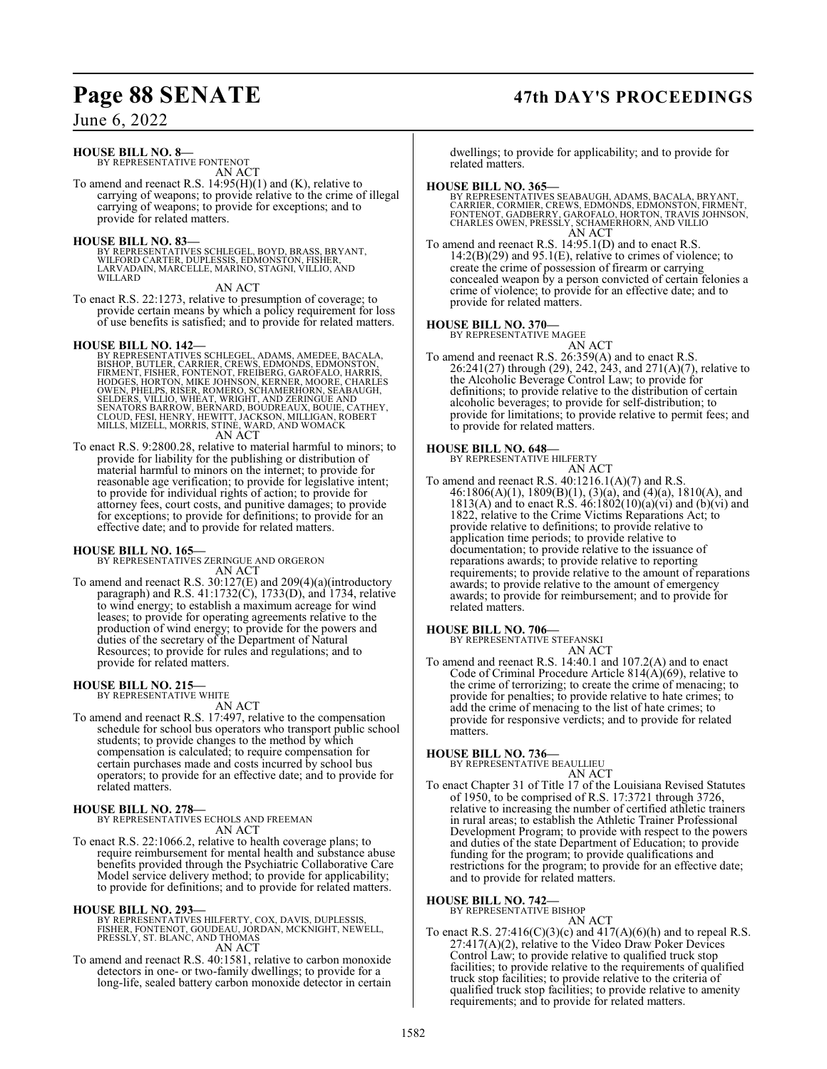## June 6, 2022

## **HOUSE BILL NO. 8—**

BY REPRESENTATIVE FONTENOT AN ACT

To amend and reenact R.S. 14:95(H)(1) and (K), relative to carrying of weapons; to provide relative to the crime of illegal carrying of weapons; to provide for exceptions; and to provide for related matters.

## **HOUSE BILL NO. 83—**

BY REPRESENTATIVES SCHLEGEL, BOYD, BRASS, BRYANT,<br>WILFORD CARTER, DUPLESSIS, EDMONSTON, FISHER,<br>LARVADAIN, MARCELLE, MARINO, STAGNI, VILLIO, AND WILLARD<sup>1</sup>

AN ACT

To enact R.S. 22:1273, relative to presumption of coverage; to provide certain means by which a policy requirement for loss of use benefits is satisfied; and to provide for related matters.

HOUSE BILL NO. 142—<br>BY REPRESENTATIVES SCHLEGEL, ADAMS, AMEDEE, BACALA,<br>BISHOP, BUTLER, CARRIER, CREWS, EDMONDS, EDMONSTON,<br>FIRMENT, FISHER, FONTENOT, FREIBERG, GARÓFALO, HARRIS,<br>HODGES, HORTON, MIKE JOHNSON, KERNER, MORE, AN ACT

To enact R.S. 9:2800.28, relative to material harmful to minors; to provide for liability for the publishing or distribution of material harmful to minors on the internet; to provide for reasonable age verification; to provide for legislative intent; to provide for individual rights of action; to provide for attorney fees, court costs, and punitive damages; to provide for exceptions; to provide for definitions; to provide for an effective date; and to provide for related matters.

**HOUSE BILL NO. 165—** BY REPRESENTATIVES ZERINGUE AND ORGERON AN ACT

To amend and reenact R.S. 30:127(E) and 209(4)(a)(introductory paragraph) and R.S. 41:1732(C), 1733(D), and 1734, relative to wind energy; to establish a maximum acreage for wind leases; to provide for operating agreements relative to the production of wind energy; to provide for the powers and duties of the secretary of the Department of Natural Resources; to provide for rules and regulations; and to provide for related matters.

## **HOUSE BILL NO. 215—**

BY REPRESENTATIVE WHITE AN ACT

To amend and reenact R.S. 17:497, relative to the compensation schedule for school bus operators who transport public school students; to provide changes to the method by which compensation is calculated; to require compensation for certain purchases made and costs incurred by school bus operators; to provide for an effective date; and to provide for related matters.

## **HOUSE BILL NO. 278—**

BY REPRESENTATIVES ECHOLS AND FREEMAN AN ACT

To enact R.S. 22:1066.2, relative to health coverage plans; to require reimbursement for mental health and substance abuse benefits provided through the Psychiatric Collaborative Care Model service delivery method; to provide for applicability; to provide for definitions; and to provide for related matters.

## **HOUSE BILL NO. 293—**

BY REPRESENTATIVES HILFERTY, COX, DAVIS, DUPLESSIS,<br>FISHER, FONTENOT, GOUDEAU, JÓRDAN, MCKNIGHT, NEWELL,<br>FRESSLY, ST. BLANC, AND THOMAS AN ACT

To amend and reenact R.S. 40:1581, relative to carbon monoxide detectors in one- or two-family dwellings; to provide for a long-life, sealed battery carbon monoxide detector in certain

dwellings; to provide for applicability; and to provide for related matters.

## **HOUSE BILL NO. 365—**

BY REPRESENTATIVES SEABAUGH, ADAMS, BACALA, BRYANT,<br>CARRIER, CORMIER, CREWS, EDMONDS, EDMONSTON, FIRMENT,<br>FONTENOT, GADBERRY, GAROFALO, HORTON, TRAVIS JOHNSON,<br>CHARLES OWEN, PRESSLY, SCHAMERHORN, AND VILLIO<br>AN ACT

To amend and reenact R.S. 14:95.1(D) and to enact R.S.  $14:2(B)(29)$  and  $95.1(E)$ , relative to crimes of violence; to create the crime of possession of firearm or carrying concealed weapon by a person convicted of certain felonies a crime of violence; to provide for an effective date; and to provide for related matters.

### **HOUSE BILL NO. 370—** BY REPRESENTATIVE MAGEE

AN ACT To amend and reenact R.S. 26:359(A) and to enact R.S. 26:241(27) through (29), 242, 243, and 271(A)(7), relative to the Alcoholic Beverage Control Law; to provide for definitions; to provide relative to the distribution of certain alcoholic beverages; to provide for self-distribution; to provide for limitations; to provide relative to permit fees; and to provide for related matters.

## **HOUSE BILL NO. 648—** BY REPRESENTATIVE HILFERTY

AN ACT To amend and reenact R.S.  $40:1216.1(A)(7)$  and R.S. 46:1806(A)(1), 1809(B)(1), (3)(a), and (4)(a), 1810(A), and 1813(A) and to enact R.S.  $46:1802(10)(a)(vi)$  and  $(b)(vi)$  and 1822, relative to the Crime Victims Reparations Act; to provide relative to definitions; to provide relative to application time periods; to provide relative to documentation; to provide relative to the issuance of reparations awards; to provide relative to reporting requirements; to provide relative to the amount of reparations awards; to provide relative to the amount of emergency awards; to provide for reimbursement; and to provide for related matters.

## **HOUSE BILL NO. 706—**

BY REPRESENTATIVE STEFANSKI AN ACT

To amend and reenact R.S. 14:40.1 and 107.2(A) and to enact Code of Criminal Procedure Article 814(A)(69), relative to the crime of terrorizing; to create the crime of menacing; to provide for penalties; to provide relative to hate crimes; to add the crime of menacing to the list of hate crimes; to provide for responsive verdicts; and to provide for related matters.

## **HOUSE BILL NO. 736—** BY REPRESENTATIVE BEAULLIEU

AN ACT

To enact Chapter 31 of Title 17 of the Louisiana Revised Statutes of 1950, to be comprised of R.S. 17:3721 through 3726, relative to increasing the number of certified athletic trainers in rural areas; to establish the Athletic Trainer Professional Development Program; to provide with respect to the powers and duties of the state Department of Education; to provide funding for the program; to provide qualifications and restrictions for the program; to provide for an effective date; and to provide for related matters.

## **HOUSE BILL NO. 742—**

BY REPRESENTATIVE BISHOP AN ACT

To enact R.S.  $27:416(C)(3)(c)$  and  $417(A)(6)(h)$  and to repeal R.S. 27:417(A)(2), relative to the Video Draw Poker Devices Control Law; to provide relative to qualified truck stop facilities; to provide relative to the requirements of qualified truck stop facilities; to provide relative to the criteria of qualified truck stop facilities; to provide relative to amenity requirements; and to provide for related matters.

## **Page 88 SENATE 47th DAY'S PROCEEDINGS**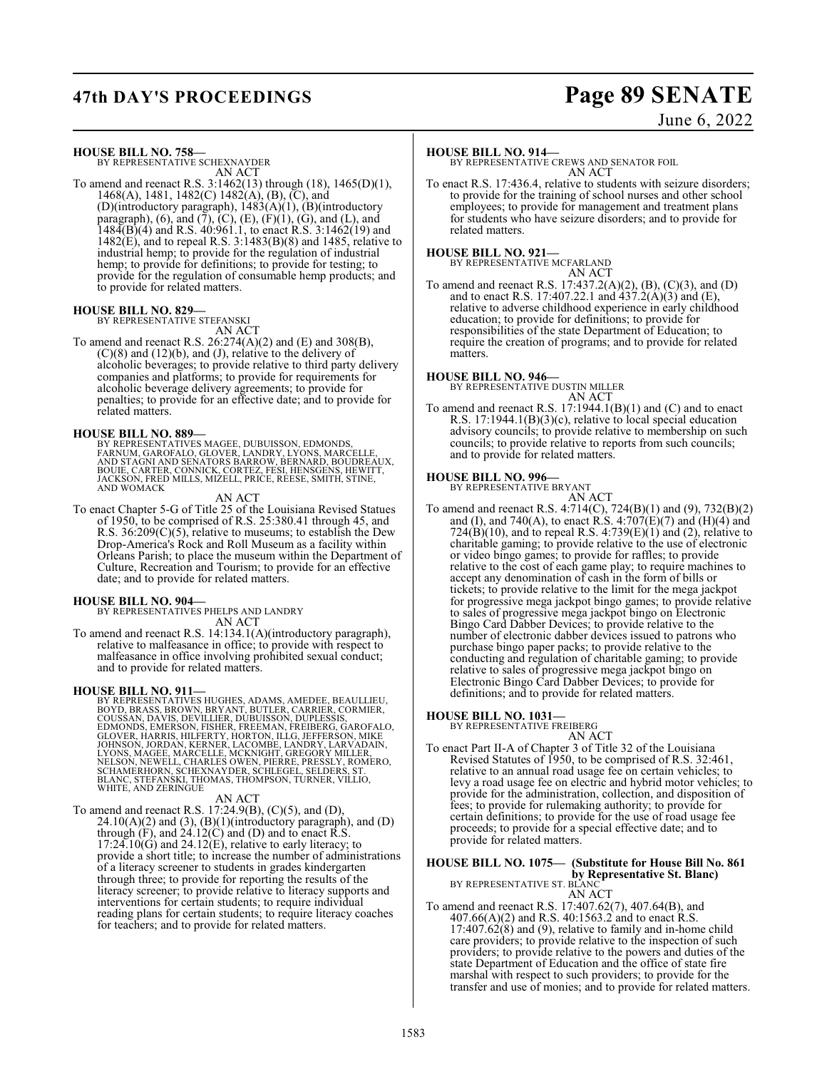## **47th DAY'S PROCEEDINGS Page 89 SENATE**

June 6, 2022

**HOUSE BILL NO. 758—** BY REPRESENTATIVE SCHEXNAYDER

AN ACT

To amend and reenact R.S. 3:1462(13) through (18), 1465(D)(1), 1468(A), 1481, 1482(C) 1482(A), (B), (C), and (D)(introductory paragraph), 1483(A)(1), (B)(introductory paragraph), (6), and (7), (C), (E), (F)(1), (G), and (L), and  $148\overline{4}$ (B)(4) and R.S. 40:961.1, to enact R.S. 3:1462(19) and  $1482(E)$ , and to repeal R.S. 3:1483 $(B)(8)$  and 1485, relative to industrial hemp; to provide for the regulation of industrial hemp; to provide for definitions; to provide for testing; to provide for the regulation of consumable hemp products; and to provide for related matters.

## **HOUSE BILL NO. 829—**

BY REPRESENTATIVE STEFANSKI

AN ACT To amend and reenact R.S. 26:274(A)(2) and (E) and 308(B), (C)(8) and (12)(b), and (J), relative to the delivery of alcoholic beverages; to provide relative to third party delivery companies and platforms; to provide for requirements for

alcoholic beverage delivery agreements; to provide for penalties; to provide for an effective date; and to provide for related matters.

## **HOUSE BILL NO. 889—**

BY REPRESENTATIVES MAGEE, DUBUISSON, EDMONDS,<br>FARNUM, GAROFALO, GLOVER, LANDRY, LYONS, MARCELLE,<br>AND STAGNI AND SENATORS BARROW, BERNARD, BOUDREAUX,<br>BOUIE, CARTER, CONNICK, CORTEZ, FESI, HENSGENS, HEWITT,<br>JACKSON, FRED MIL AND WOMACK

AN ACT

To enact Chapter 5-G of Title 25 of the Louisiana Revised Statues of 1950, to be comprised of R.S. 25:380.41 through 45, and R.S. 36:209(C)(5), relative to museums; to establish the Dew Drop-America's Rock and Roll Museum as a facility within Orleans Parish; to place the museum within the Department of Culture, Recreation and Tourism; to provide for an effective date; and to provide for related matters.

## **HOUSE BILL NO. 904—**

BY REPRESENTATIVES PHELPS AND LANDRY AN ACT

To amend and reenact R.S. 14:134.1(A)(introductory paragraph), relative to malfeasance in office; to provide with respect to malfeasance in office involving prohibited sexual conduct; and to provide for related matters.

## **HOUSE BILL NO. 911—**

BY REPRESENTATIVES HUGHES, ADAMS, AMEDEE, BEAULLIEU,<br>BOYD, BRASS, BROWN, BRYANT, BUITLER, CARRIER, CORMIER,<br>COUSSAN, DAVIS, DEVILLIER, DUBUISSON, DUPLESSIS,<br>EDMONDS, EMERSON, FISHER, FREEMAN, FREIBERG, GAROFALO,<br>GLOVER, HA

## AN ACT

To amend and reenact R.S. 17:24.9(B), (C)(5), and (D),  $24.10(A)(2)$  and  $(3)$ ,  $(B)(1)$ (introductory paragraph), and  $(D)$ through  $(F)$ , and  $24.12(C)$  and  $(D)$  and to enact R.S.  $17:24.10(G)$  and  $24.12(E)$ , relative to early literacy; to provide a short title; to increase the number of administrations of a literacy screener to students in grades kindergarten through three; to provide for reporting the results of the literacy screener; to provide relative to literacy supports and interventions for certain students; to require individual reading plans for certain students; to require literacy coaches for teachers; and to provide for related matters.

## **HOUSE BILL NO. 914—**

BY REPRESENTATIVE CREWS AND SENATOR FOIL AN ACT

To enact R.S. 17:436.4, relative to students with seizure disorders; to provide for the training of school nurses and other school employees; to provide for management and treatment plans for students who have seizure disorders; and to provide for related matters.

## **HOUSE BILL NO. 921—**

BY REPRESENTATIVE MCFARLAND AN ACT

To amend and reenact R.S. 17:437.2(A)(2), (B), (C)(3), and (D) and to enact R.S. 17:407.22.1 and  $\overline{437.2(A)(3)}$  and  $\overline{(E)}$ , relative to adverse childhood experience in early childhood education; to provide for definitions; to provide for responsibilities of the state Department of Education; to require the creation of programs; and to provide for related matters.

**HOUSE BILL NO. 946—** BY REPRESENTATIVE DUSTIN MILLER AN ACT

To amend and reenact R.S. 17:1944.1(B)(1) and (C) and to enact R.S. 17:1944.1(B)(3)(c), relative to local special education advisory councils; to provide relative to membership on such councils; to provide relative to reports from such councils; and to provide for related matters.

## **HOUSE BILL NO. 996—** BY REPRESENTATIVE BRYANT

AN ACT

To amend and reenact R.S. 4:714(C), 724(B)(1) and (9), 732(B)(2) and (I), and 740(A), to enact R.S.  $4:707(E)(7)$  and (H)(4) and  $724(B)(10)$ , and to repeal R.S.  $4:739(E)(1)$  and (2), relative to charitable gaming; to provide relative to the use of electronic or video bingo games; to provide for raffles; to provide relative to the cost of each game play; to require machines to accept any denomination of cash in the form of bills or tickets; to provide relative to the limit for the mega jackpot for progressive mega jackpot bingo games; to provide relative to sales of progressive mega jackpot bingo on Electronic Bingo Card Dabber Devices; to provide relative to the number of electronic dabber devices issued to patrons who purchase bingo paper packs; to provide relative to the conducting and regulation of charitable gaming; to provide relative to sales of progressive mega jackpot bingo on Electronic Bingo Card Dabber Devices; to provide for definitions; and to provide for related matters.

## **HOUSE BILL NO. 1031—**

BY REPRESENTATIVE FREIBERG

## AN ACT

To enact Part II-A of Chapter 3 of Title 32 of the Louisiana Revised Statutes of 1950, to be comprised of R.S. 32:461, relative to an annual road usage fee on certain vehicles; to levy a road usage fee on electric and hybrid motor vehicles; to provide for the administration, collection, and disposition of fees; to provide for rulemaking authority; to provide for certain definitions; to provide for the use of road usage fee proceeds; to provide for a special effective date; and to provide for related matters.

## **HOUSE BILL NO. 1075— (Substitute for House Bill No. 861**

**by Representative St. Blanc)** BY REPRESENTATIVE ST. BLANC

AN ACT

To amend and reenact R.S. 17:407.62(7), 407.64(B), and 407.66(A)(2) and R.S. 40:1563.2 and to enact R.S.  $17:407.62(8)$  and (9), relative to family and in-home child care providers; to provide relative to the inspection of such providers; to provide relative to the powers and duties of the state Department of Education and the office of state fire marshal with respect to such providers; to provide for the transfer and use of monies; and to provide for related matters.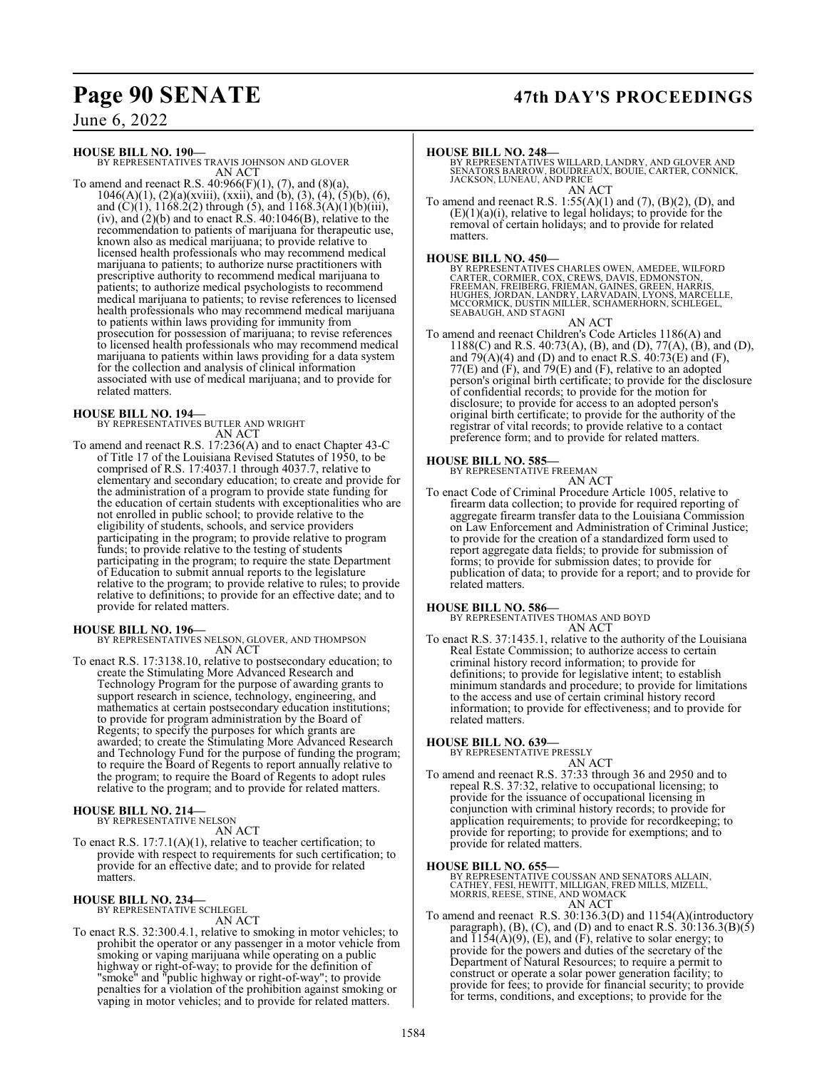## **Page 90 SENATE 47th DAY'S PROCEEDINGS**

June 6, 2022

**HOUSE BILL NO. 190—**

BY REPRESENTATIVES TRAVIS JOHNSON AND GLOVER AN ACT

To amend and reenact R.S.  $40:966(F)(1)$ ,  $(7)$ , and  $(8)(a)$ ,  $1046(A)(1)$ ,  $(2)(a)(xviii)$ ,  $(xxii)$ , and  $(b)$ ,  $(3)$ ,  $(4)$ ,  $(5)(b)$ ,  $(6)$ , and  $(C)(1)$ ,  $1168.2(2)$  through (5), and  $1168.3(A)(1)(b)(iii)$ , (iv), and  $(2)(b)$  and to enact R.S. 40:1046(B), relative to the recommendation to patients of marijuana for therapeutic use, known also as medical marijuana; to provide relative to licensed health professionals who may recommend medical marijuana to patients; to authorize nurse practitioners with prescriptive authority to recommend medical marijuana to patients; to authorize medical psychologists to recommend medical marijuana to patients; to revise references to licensed health professionals who may recommend medical marijuana to patients within laws providing for immunity from prosecution for possession of marijuana; to revise references to licensed health professionals who may recommend medical marijuana to patients within laws providing for a data system for the collection and analysis of clinical information associated with use of medical marijuana; and to provide for related matters.

## **HOUSE BILL NO. 194—**

BY REPRESENTATIVES BUTLER AND WRIGHT AN ACT

To amend and reenact R.S. 17:236(A) and to enact Chapter 43-C of Title 17 of the Louisiana Revised Statutes of 1950, to be comprised of R.S. 17:4037.1 through 4037.7, relative to elementary and secondary education; to create and provide for the administration of a program to provide state funding for the education of certain students with exceptionalities who are not enrolled in public school; to provide relative to the eligibility of students, schools, and service providers participating in the program; to provide relative to program funds; to provide relative to the testing of students participating in the program; to require the state Department of Education to submit annual reports to the legislature relative to the program; to provide relative to rules; to provide relative to definitions; to provide for an effective date; and to provide for related matters.

## **HOUSE BILL NO. 196—**

BY REPRESENTATIVES NELSON, GLOVER, AND THOMPSON AN ACT

To enact R.S. 17:3138.10, relative to postsecondary education; to create the Stimulating More Advanced Research and Technology Program for the purpose of awarding grants to support research in science, technology, engineering, and mathematics at certain postsecondary education institutions; to provide for program administration by the Board of Regents; to specify the purposes for which grants are awarded; to create the Stimulating More Advanced Research and Technology Fund for the purpose of funding the program; to require the Board of Regents to report annually relative to the program; to require the Board of Regents to adopt rules relative to the program; and to provide for related matters.

## **HOUSE BILL NO. 214—** BY REPRESENTATIVE NELSON

AN ACT

To enact R.S. 17:7.1(A)(1), relative to teacher certification; to provide with respect to requirements for such certification; to provide for an effective date; and to provide for related matters.

## **HOUSE BILL NO. 234—** BY REPRESENTATIVE SCHLEGEL

AN ACT

To enact R.S. 32:300.4.1, relative to smoking in motor vehicles; to prohibit the operator or any passenger in a motor vehicle from smoking or vaping marijuana while operating on a public highway or right-of-way; to provide for the definition of "smoke" and "public highway or right-of-way"; to provide penalties for a violation of the prohibition against smoking or vaping in motor vehicles; and to provide for related matters.

**HOUSE BILL NO. 248—** BY REPRESENTATIVES WILLARD, LANDRY, AND GLOVER AND SENATORS BARROW, BOUDREAUX, BOUIE, CARTER, CONNICK, JACKSON, LUNEAU, AND PRICE AN ACT

To amend and reenact R.S.  $1:55(A)(1)$  and  $(7)$ ,  $(B)(2)$ ,  $(D)$ , and  $(E)(1)(a)(i)$ , relative to legal holidays; to provide for the removal of certain holidays; and to provide for related matters.

**HOUSE BILL NO. 450—**<br>BY REPRESENTATIVES CHARLES OWEN, AMEDEE, WILFORD<br>CARTER, CORMER, COX, CREWS, DAVIS, EDMONSTON,<br>FREEMAN, FREIBERG, FRIEMAN, GAINES, GREEN, HARRIS,<br>HUGHES, JORDAN, LANDRY, LARVADAIN, LYONS, MARCELLE,<br>MC SEABAUGH, AND STAGNI

AN ACT

To amend and reenact Children's Code Articles 1186(A) and 1188(C) and R.S. 40:73(A), (B), and (D), 77(A), (B), and (D), and  $79(A)(4)$  and (D) and to enact R.S.  $40:73(E)$  and (F),  $77(E)$  and  $(F)$ , and  $79(E)$  and  $(F)$ , relative to an adopted person's original birth certificate; to provide for the disclosure of confidential records; to provide for the motion for disclosure; to provide for access to an adopted person's original birth certificate; to provide for the authority of the registrar of vital records; to provide relative to a contact preference form; and to provide for related matters.

## **HOUSE BILL NO. 585—**

BY REPRESENTATIVE FREEMAN AN ACT

To enact Code of Criminal Procedure Article 1005, relative to firearm data collection; to provide for required reporting of aggregate firearm transfer data to the Louisiana Commission on Law Enforcement and Administration of Criminal Justice; to provide for the creation of a standardized form used to report aggregate data fields; to provide for submission of forms; to provide for submission dates; to provide for publication of data; to provide for a report; and to provide for related matters.

**HOUSE BILL NO. 586—** BY REPRESENTATIVES THOMAS AND BOYD AN ACT

To enact R.S. 37:1435.1, relative to the authority of the Louisiana Real Estate Commission; to authorize access to certain criminal history record information; to provide for definitions; to provide for legislative intent; to establish minimum standards and procedure; to provide for limitations to the access and use of certain criminal history record information; to provide for effectiveness; and to provide for related matters.

## **HOUSE BILL NO. 639—** BY REPRESENTATIVE PRESSLY

AN ACT To amend and reenact R.S. 37:33 through 36 and 2950 and to repeal R.S. 37:32, relative to occupational licensing; to provide for the issuance of occupational licensing in conjunction with criminal history records; to provide for application requirements; to provide for recordkeeping; to provide for reporting; to provide for exemptions; and to provide for related matters.

## **HOUSE BILL NO. 655—**

BY REPRESENTATIVE COUSSAN AND SENATORS ALLAIN,<br>CATHEY, FESI, HEWITT, MILLIGAN, FRED MILLS, MIZELL,<br>MORRIS, REESE, STINE, AND WOMACK AN ACT

To amend and reenact R.S.  $30:136.3(D)$  and  $1154(A)(intoductor)$ paragraph),  $(B)$ ,  $(C)$ , and  $(D)$  and to enact R.S.  $30:136.3(B)(5)$ and  $\overline{1154(A)(9)}$ , (E), and (F), relative to solar energy; to provide for the powers and duties of the secretary of the Department of Natural Resources; to require a permit to construct or operate a solar power generation facility; to provide for fees; to provide for financial security; to provide for terms, conditions, and exceptions; to provide for the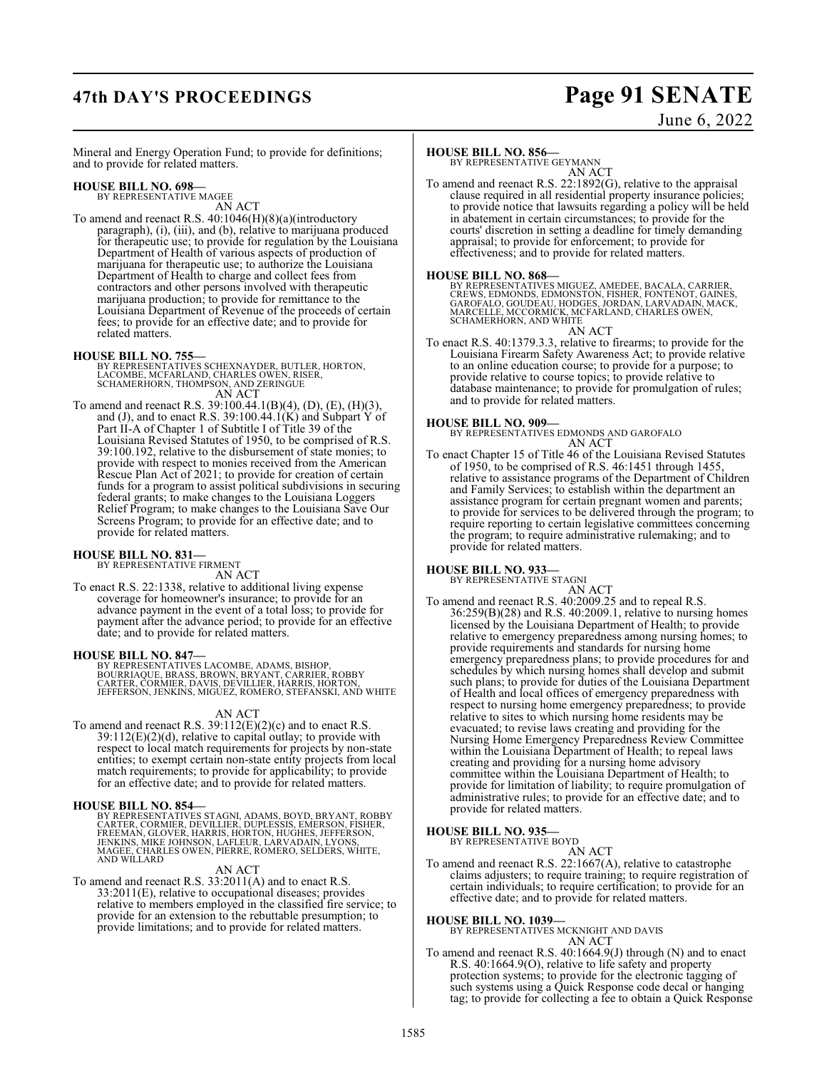## **47th DAY'S PROCEEDINGS Page 91 SENATE**

# June 6, 2022

Mineral and Energy Operation Fund; to provide for definitions; and to provide for related matters.

## **HOUSE BILL NO. 698—** BY REPRESENTATIVE MAGEE

AN ACT

To amend and reenact R.S. 40:1046(H)(8)(a)(introductory paragraph), (i), (iii), and (b), relative to marijuana produced for therapeutic use; to provide for regulation by the Louisiana Department of Health of various aspects of production of marijuana for therapeutic use; to authorize the Louisiana Department of Health to charge and collect fees from contractors and other persons involved with therapeutic marijuana production; to provide for remittance to the Louisiana Department of Revenue of the proceeds of certain fees; to provide for an effective date; and to provide for related matters.

## **HOUSE BILL NO. 755—**

- BY REPRESENTATIVES SCHEXNAYDER, BUTLER, HORTON,<br>LACOMBE, MCFARLAND, CHARLES OWEN, RISER,<br>SCHAMERHORN, THOMPSON, AND ZERINGUE AN ACT
- To amend and reenact R.S. 39:100.44.1(B)(4), (D), (E), (H)(3), and (J), and to enact R.S. 39:100.44.1(K) and Subpart Y of Part II-A of Chapter 1 of Subtitle I of Title 39 of the Louisiana Revised Statutes of 1950, to be comprised of R.S. 39:100.192, relative to the disbursement of state monies; to provide with respect to monies received from the American Rescue Plan Act of 2021; to provide for creation of certain funds for a program to assist political subdivisions in securing federal grants; to make changes to the Louisiana Loggers Relief Program; to make changes to the Louisiana Save Our Screens Program; to provide for an effective date; and to provide for related matters.

## **HOUSE BILL NO. 831—** BY REPRESENTATIVE FIRMENT

AN ACT

To enact R.S. 22:1338, relative to additional living expense coverage for homeowner's insurance; to provide for an advance payment in the event of a total loss; to provide for payment after the advance period; to provide for an effective date; and to provide for related matters.

## **HOUSE BILL NO. 847—**

BY REPRESENTATIVES LACOMBE, ADAMS, BISHOP,<br>BOURRIAQUE, BRASS, BROWN, BRYANT, CARRIER, ROBBY<br>CARTER, CORMIER, DAVIS, DEVILLIER, HARRIS, HORTON,<br>JEFFERSON, JENKINS, MIGUEZ, ROMERO, STEFANSKI, AND WHITE

## AN ACT

To amend and reenact R.S. 39:112(E)(2)(c) and to enact R.S.  $39:112(E)(2)(d)$ , relative to capital outlay; to provide with respect to local match requirements for projects by non-state entities; to exempt certain non-state entity projects from local match requirements; to provide for applicability; to provide for an effective date; and to provide for related matters.

## **HOUSE BILL NO. 854—**

BY REPRESENTATIVES STAGNI, ADAMS, BOYD, BRYANT, ROBBY<br>CARTER, CORMIER, DEVILLIER, DUPLESSIS, EMERSON, FİSHER,<br>FREEMAN, GLOVER, HARRIS, HORTON, HUGHES, JEFFERSON,<br>JENKINS, MIKE JOHNSON, LAFLEUR, LARVADAIN, LYONS,<br>MAGEE, CHA

AN ACT

To amend and reenact R.S. 33:2011(A) and to enact R.S. 33:2011(E), relative to occupational diseases; provides relative to members employed in the classified fire service; to provide for an extension to the rebuttable presumption; to provide limitations; and to provide for related matters.

## **HOUSE BILL NO. 856—**

BY REPRESENTATIVE GEYMANN AN ACT

To amend and reenact R.S. 22:1892(G), relative to the appraisal clause required in all residential property insurance policies; to provide notice that lawsuits regarding a policy will be held in abatement in certain circumstances; to provide for the courts' discretion in setting a deadline for timely demanding appraisal; to provide for enforcement; to provide for effectiveness; and to provide for related matters.

## **HOUSE BILL NO. 868—**

BY REPRESENTATIVES MIGUEZ, AMEDEE, BACALA, CARRIER,<br>CREWS, EDMONDS, EDMONSTON, FISHER, FONTENOT, GAINES,<br>GAROFALO, GOUDÉAU, HODGES, JORDAN, LARVADAIN, MACK,<br>MARCELLE, MCCORMICK, MCFARLAND, CHARLES OWEN,<br>SCHAMERHORN, AND WH

AN ACT

To enact R.S. 40:1379.3.3, relative to firearms; to provide for the Louisiana Firearm Safety Awareness Act; to provide relative to an online education course; to provide for a purpose; to provide relative to course topics; to provide relative to database maintenance; to provide for promulgation of rules; and to provide for related matters.

## **HOUSE BILL NO. 909—**

BY REPRESENTATIVES EDMONDS AND GAROFALO AN ACT

To enact Chapter 15 of Title 46 of the Louisiana Revised Statutes of 1950, to be comprised of R.S. 46:1451 through 1455, relative to assistance programs of the Department of Children and Family Services; to establish within the department an assistance program for certain pregnant women and parents; to provide for services to be delivered through the program; to require reporting to certain legislative committees concerning the program; to require administrative rulemaking; and to provide for related matters.

### **HOUSE BILL NO. 933—** BY REPRESENTATIVE STAGNI

AN ACT To amend and reenact R.S. 40:2009.25 and to repeal R.S. 36:259(B)(28) and R.S. 40:2009.1, relative to nursing homes licensed by the Louisiana Department of Health; to provide relative to emergency preparedness among nursing homes; to provide requirements and standards for nursing home emergency preparedness plans; to provide procedures for and schedules by which nursing homes shall develop and submit such plans; to provide for duties of the Louisiana Department of Health and local offices of emergency preparedness with respect to nursing home emergency preparedness; to provide relative to sites to which nursing home residents may be evacuated; to revise laws creating and providing for the Nursing Home Emergency Preparedness Review Committee within the Louisiana Department of Health; to repeal laws creating and providing for a nursing home advisory committee within the Louisiana Department of Health; to provide for limitation of liability; to require promulgation of administrative rules; to provide for an effective date; and to provide for related matters.

## **HOUSE BILL NO. 935—**

BY REPRESENTATIVE BOYD

## AN ACT

To amend and reenact R.S. 22:1667(A), relative to catastrophe claims adjusters; to require training; to require registration of certain individuals; to require certification; to provide for an effective date; and to provide for related matters.

**HOUSE BILL NO. 1039—** BY REPRESENTATIVES MCKNIGHT AND DAVIS AN ACT

To amend and reenact R.S. 40:1664.9(J) through (N) and to enact R.S. 40:1664.9(O), relative to life safety and property protection systems; to provide for the electronic tagging of such systems using a Quick Response code decal or hanging tag; to provide for collecting a fee to obtain a Quick Response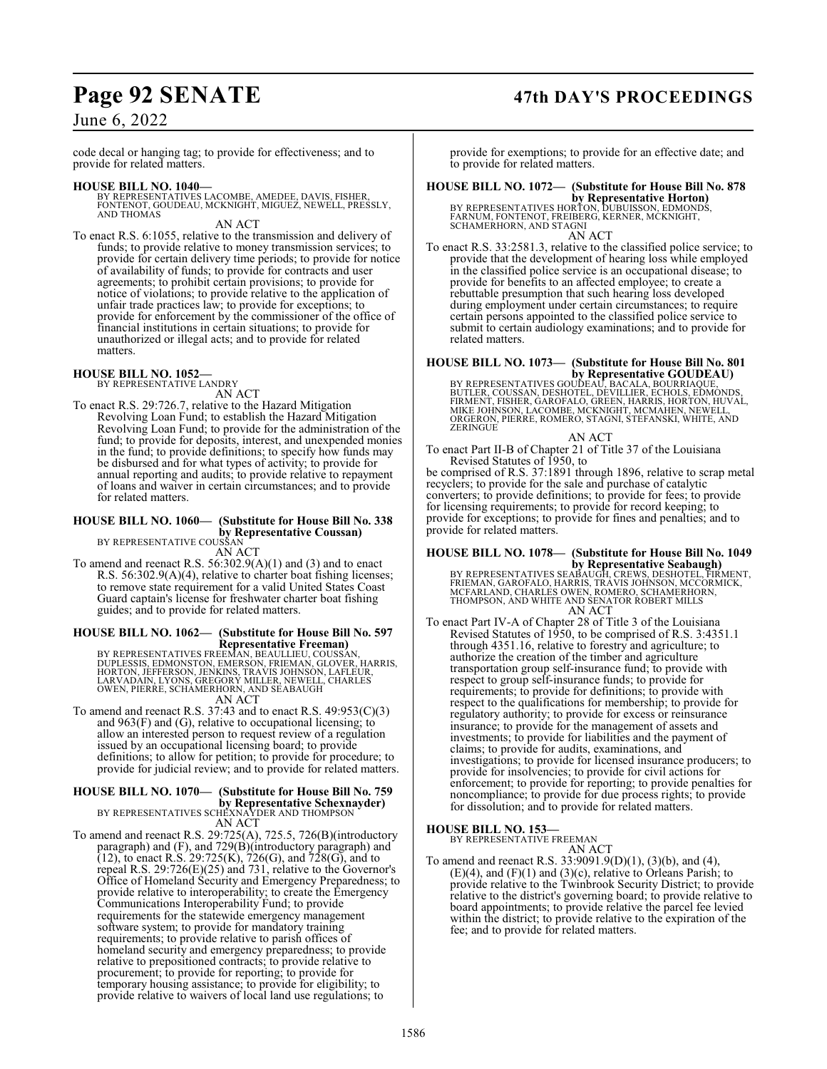## **Page 92 SENATE 47th DAY'S PROCEEDINGS**

## June 6, 2022

code decal or hanging tag; to provide for effectiveness; and to provide for related matters.

**HOUSE BILL NO. 1040—** BY REPRESENTATIVES LACOMBE, AMEDEE, DAVIS, FISHER, FONTENOT, GOUDEAU, MCKNIGHT, MIGUEZ, NEWELL, PRESSLY, AND THOMAS

AN ACT

To enact R.S. 6:1055, relative to the transmission and delivery of funds; to provide relative to money transmission services; to provide for certain delivery time periods; to provide for notice of availability of funds; to provide for contracts and user agreements; to prohibit certain provisions; to provide for notice of violations; to provide relative to the application of unfair trade practices law; to provide for exceptions; to provide for enforcement by the commissioner of the office of financial institutions in certain situations; to provide for unauthorized or illegal acts; and to provide for related matters.

## **HOUSE BILL NO. 1052—**

BY REPRESENTATIVE LANDRY AN ACT

To enact R.S. 29:726.7, relative to the Hazard Mitigation Revolving Loan Fund; to establish the Hazard Mitigation Revolving Loan Fund; to provide for the administration of the fund; to provide for deposits, interest, and unexpended monies in the fund; to provide definitions; to specify how funds may be disbursed and for what types of activity; to provide for annual reporting and audits; to provide relative to repayment of loans and waiver in certain circumstances; and to provide for related matters.

## **HOUSE BILL NO. 1060— (Substitute for House Bill No. 338 by Representative Coussan)** BY REPRESENTATIVE COUSSAN

AN ACT

To amend and reenact R.S. 56:302.9(A)(1) and (3) and to enact R.S. 56:302.9(A)(4), relative to charter boat fishing licenses; to remove state requirement for a valid United States Coast Guard captain's license for freshwater charter boat fishing guides; and to provide for related matters.

## **HOUSE BILL NO. 1062— (Substitute for House Bill No. 597 Representative Freeman)**

BY REPRESENTATIVES FREEMAN, BEAULLIEU, COUSSAN,<br>DUPLESSIS, EDMONSTON, EMERSON, FRIEMAN, GLOVER, HARRIS,<br>HORTON, JEFFERSON, JENKINS, TRAVIS JOHNSON, LAFLEUR,<br>LARVADAIN, LYONS, GREGORY MILLER, NEWELL, CHARLES<br>OWEN, PIERRE, S

To amend and reenact R.S. 37:43 and to enact R.S.  $49:953(C)(3)$ and 963(F) and (G), relative to occupational licensing; to allow an interested person to request review of a regulation issued by an occupational licensing board; to provide definitions; to allow for petition; to provide for procedure; to provide for judicial review; and to provide for related matters.

## **HOUSE BILL NO. 1070— (Substitute for House Bill No. 759 by Representative Schexnayder)**<br>BY REPRESENTATIVES SCHEXNAYDER AND THOMPSON

AN ACT

To amend and reenact R.S. 29:725(A), 725.5, 726(B)(introductory paragraph) and (F), and 729(B)(introductory paragraph) and  $(12)$ , to enact R.S. 29:725(K), 726(G), and 728(G), and to repeal R.S. 29:726(E)(25) and 731, relative to the Governor's Office of Homeland Security and Emergency Preparedness; to provide relative to interoperability; to create the Emergency Communications Interoperability Fund; to provide requirements for the statewide emergency management software system; to provide for mandatory training requirements; to provide relative to parish offices of homeland security and emergency preparedness; to provide relative to prepositioned contracts; to provide relative to procurement; to provide for reporting; to provide for temporary housing assistance; to provide for eligibility; to provide relative to waivers of local land use regulations; to

provide for exemptions; to provide for an effective date; and to provide for related matters.

**HOUSE BILL NO. 1072— (Substitute for House Bill No. 878**

**by Representative Horton)<br>BY REPRESENTATIVES HORTON, DUBUISSON, EDMONDS,<br>FARNUM, FONTENOT, FREIBERG, KERNER, MCKNIGHT,<br>SCHAMERHORN, AND STAGNI** AN ACT

To enact R.S. 33:2581.3, relative to the classified police service; to provide that the development of hearing loss while employed in the classified police service is an occupational disease; to provide for benefits to an affected employee; to create a rebuttable presumption that such hearing loss developed during employment under certain circumstances; to require certain persons appointed to the classified police service to submit to certain audiology examinations; and to provide for related matters.

## **HOUSE BILL NO. 1073— (Substitute for House Bill No. 801**

**by Representative GOUDEAU)**<br>BY REPRESENTATIVES GOUDEAU, BACALA, BOURRIAQUE,<br>BUTLER, COUSSAN, DESHOTEL, DÉVILLIER, ECHOLS, EDMÓNDS,<br>FIRMENT, FISHER, GAROFALO, GREEN, HARRIS, HORTON, HUVAL,<br>MIKE JOHNSON, LACOMBE, MCKNIGHT, ORGERON, PIERRE, ROMERO, STAGNI, STEFANSKI, WHITE, AND ZERINGUE

AN ACT

To enact Part II-B of Chapter 21 of Title 37 of the Louisiana Revised Statutes of 1950, to

be comprised of R.S. 37:1891 through 1896, relative to scrap metal recyclers; to provide for the sale and purchase of catalytic converters; to provide definitions; to provide for fees; to provide for licensing requirements; to provide for record keeping; to provide for exceptions; to provide for fines and penalties; and to provide for related matters.

## **HOUSE BILL NO. 1078— (Substitute for House Bill No. 1049**

**by Representative Seabaugh)**<br>BY REPRESENTATIVES SEABAUGH, CREWS, DESHOTEL, FIRMENT,<br>FRIEMAN, GAROFALO, HARRIS, TRÀVIS JOHNSON, MCCORMICK,<br>MCFARLAND, CHARLES OWEN, ROMERO, SCHAMERHORN,<br>THOMPSON, AND WHITE AND SENATOR ROBER AN ACT

To enact Part IV-A of Chapter 28 of Title 3 of the Louisiana Revised Statutes of 1950, to be comprised of R.S. 3:4351.1 through 4351.16, relative to forestry and agriculture; to authorize the creation of the timber and agriculture transportation group self-insurance fund; to provide with respect to group self-insurance funds; to provide for requirements; to provide for definitions; to provide with respect to the qualifications for membership; to provide for regulatory authority; to provide for excess or reinsurance insurance; to provide for the management of assets and investments; to provide for liabilities and the payment of claims; to provide for audits, examinations, and investigations; to provide for licensed insurance producers; to provide for insolvencies; to provide for civil actions for enforcement; to provide for reporting; to provide penalties for noncompliance; to provide for due process rights; to provide for dissolution; and to provide for related matters.

**HOUSE BILL NO. 153—** BY REPRESENTATIVE FREEMAN

AN ACT

To amend and reenact R.S. 33:9091.9(D)(1), (3)(b), and (4),  $(E)(4)$ , and  $(F)(1)$  and  $(3)(c)$ , relative to Orleans Parish; to provide relative to the Twinbrook Security District; to provide relative to the district's governing board; to provide relative to board appointments; to provide relative the parcel fee levied within the district; to provide relative to the expiration of the fee; and to provide for related matters.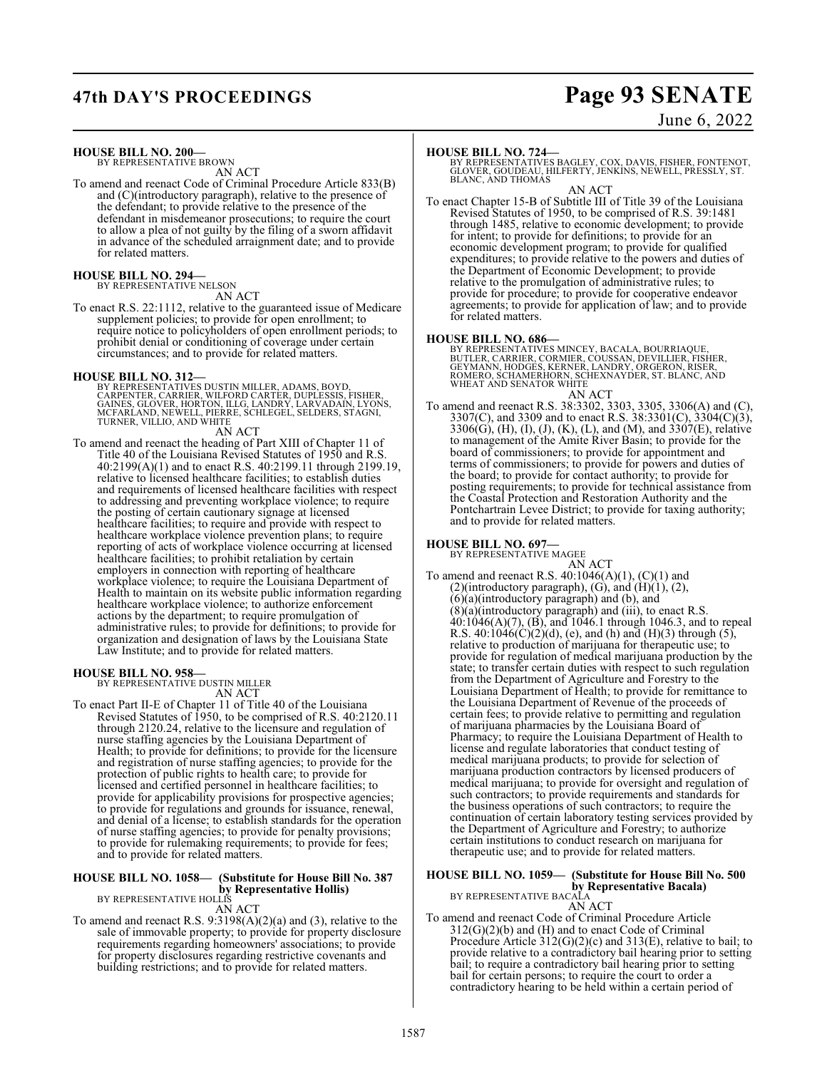# **47th DAY'S PROCEEDINGS Page 93 SENATE**

June 6, 2022

**HOUSE BILL NO. 200—** BY REPRESENTATIVE BROWN

AN ACT

To amend and reenact Code of Criminal Procedure Article 833(B) and (C)(introductory paragraph), relative to the presence of the defendant; to provide relative to the presence of the defendant in misdemeanor prosecutions; to require the court to allow a plea of not guilty by the filing of a sworn affidavit in advance of the scheduled arraignment date; and to provide for related matters.

## **HOUSE BILL NO. 294—**

BY REPRESENTATIVE NELSON AN ACT

To enact R.S. 22:1112, relative to the guaranteed issue of Medicare supplement policies; to provide for open enrollment; to require notice to policyholders of open enrollment periods; to prohibit denial or conditioning of coverage under certain circumstances; and to provide for related matters.

- **HOUSE BILL NO. 312—**<br>BY REPRESENTATIVES DUSTIN MILLER, ADAMS, BOYD,<br>CARPENTER, CARRIER, WILFORD CARTER, DUPLESSIS, FISHER,<br>GAINES, GLOVER, HORTON, ILLG, LANDRY, LARVADAIN, LYONS,<br>MCFARLAND, NEWELL, PIERRE, SCHLEGEL, SELDE AN ACT
- To amend and reenact the heading of Part XIII of Chapter 11 of Title 40 of the Louisiana Revised Statutes of 1950 and R.S. 40:2199(A)(1) and to enact R.S. 40:2199.11 through 2199.19, relative to licensed healthcare facilities; to establish duties and requirements of licensed healthcare facilities with respect to addressing and preventing workplace violence; to require the posting of certain cautionary signage at licensed healthcare facilities; to require and provide with respect to healthcare workplace violence prevention plans; to require reporting of acts of workplace violence occurring at licensed healthcare facilities; to prohibit retaliation by certain employers in connection with reporting of healthcare workplace violence; to require the Louisiana Department of Health to maintain on its website public information regarding healthcare workplace violence; to authorize enforcement actions by the department; to require promulgation of administrative rules; to provide for definitions; to provide for organization and designation of laws by the Louisiana State Law Institute; and to provide for related matters.

## **HOUSE BILL NO. 958—**

BY REPRESENTATIVE DUSTIN MILLER AN ACT

To enact Part II-E of Chapter 11 of Title 40 of the Louisiana Revised Statutes of 1950, to be comprised of R.S. 40:2120.11 through 2120.24, relative to the licensure and regulation of nurse staffing agencies by the Louisiana Department of Health; to provide for definitions; to provide for the licensure and registration of nurse staffing agencies; to provide for the protection of public rights to health care; to provide for licensed and certified personnel in healthcare facilities; to provide for applicability provisions for prospective agencies; to provide for regulations and grounds for issuance, renewal, and denial of a license; to establish standards for the operation of nurse staffing agencies; to provide for penalty provisions; to provide for rulemaking requirements; to provide for fees; and to provide for related matters.

## **HOUSE BILL NO. 1058— (Substitute for House Bill No. 387**

**by Representative Hollis)** BY REPRESENTATIVE HOLLIS AN ACT

To amend and reenact R.S. 9:3198(A)(2)(a) and (3), relative to the sale of immovable property; to provide for property disclosure requirements regarding homeowners' associations; to provide for property disclosures regarding restrictive covenants and building restrictions; and to provide for related matters.

**HOUSE BILL NO. 724—** BY REPRESENTATIVES BAGLEY, COX, DAVIS, FISHER, FONTENOT, GLOVER, GOUDEAU, HILFERTY, JENKINS, NEWELL, PRESSLY, ST. BLANC, AND THOMAS

AN ACT To enact Chapter 15-B of Subtitle III of Title 39 of the Louisiana Revised Statutes of 1950, to be comprised of R.S. 39:1481 through 1485, relative to economic development; to provide for intent; to provide for definitions; to provide for an economic development program; to provide for qualified expenditures; to provide relative to the powers and duties of the Department of Economic Development; to provide relative to the promulgation of administrative rules; to provide for procedure; to provide for cooperative endeavor agreements; to provide for application of law; and to provide for related matters.

## **HOUSE BILL NO. 686—**

BY REPRESENTATIVES MINCEY, BACALA, BOURRIAQUE,<br>BUTLER, CARRIER, CORMIER, COUSSAN, DEVILLIER, FISHER,<br>GEYMANN, HODGES, KERNER, LANDRY, ORGERON, RISER,<br>ROMERO, SCHAMERHORN, SCHEXNAYDER, ST. BLANC, AND WHEAT AND SENATOR WHITE AN ACT

To amend and reenact R.S. 38:3302, 3303, 3305, 3306(A) and (C), 3307(C), and 3309 and to enact R.S. 38:3301(C), 3304(C)(3), 3306(G), (H), (I), (J), (K), (L), and (M), and 3307(E), relative to management of the Amite River Basin; to provide for the board of commissioners; to provide for appointment and terms of commissioners; to provide for powers and duties of the board; to provide for contact authority; to provide for posting requirements; to provide for technical assistance from the Coastal Protection and Restoration Authority and the Pontchartrain Levee District; to provide for taxing authority; and to provide for related matters.

## **HOUSE BILL NO. 697—**

BY REPRESENTATIVE MAGEE AN ACT

To amend and reenact R.S.  $40:1046(A)(1)$ ,  $(C)(1)$  and (2)(introductory paragraph), (G), and  $(H)(1)$ , (2),  $(6)(a)$ (introductory paragraph) and  $(b)$ , and  $(8)(a)$ (introductory paragraph) and (iii), to enact R.S. 40:1046(A)(7), (B), and 1046.1 through 1046.3, and to repeal R.S.  $40:1046(C)(2)(d)$ , (e), and (h) and (H)(3) through (5), relative to production of marijuana for therapeutic use; to provide for regulation of medical marijuana production by the state; to transfer certain duties with respect to such regulation from the Department of Agriculture and Forestry to the Louisiana Department of Health; to provide for remittance to the Louisiana Department of Revenue of the proceeds of certain fees; to provide relative to permitting and regulation of marijuana pharmacies by the Louisiana Board of Pharmacy; to require the Louisiana Department of Health to license and regulate laboratories that conduct testing of medical marijuana products; to provide for selection of marijuana production contractors by licensed producers of medical marijuana; to provide for oversight and regulation of such contractors; to provide requirements and standards for the business operations of such contractors; to require the continuation of certain laboratory testing services provided by the Department of Agriculture and Forestry; to authorize certain institutions to conduct research on marijuana for therapeutic use; and to provide for related matters.

## **HOUSE BILL NO. 1059— (Substitute for House Bill No. 500**

**by Representative Bacala)** BY REPRESENTATIVE BACALA AN ACT

To amend and reenact Code of Criminal Procedure Article  $312(G)(2)(b)$  and (H) and to enact Code of Criminal Procedure Article 312(G)(2)(c) and 313(E), relative to bail; to provide relative to a contradictory bail hearing prior to setting bail; to require a contradictory bail hearing prior to setting bail for certain persons; to require the court to order a contradictory hearing to be held within a certain period of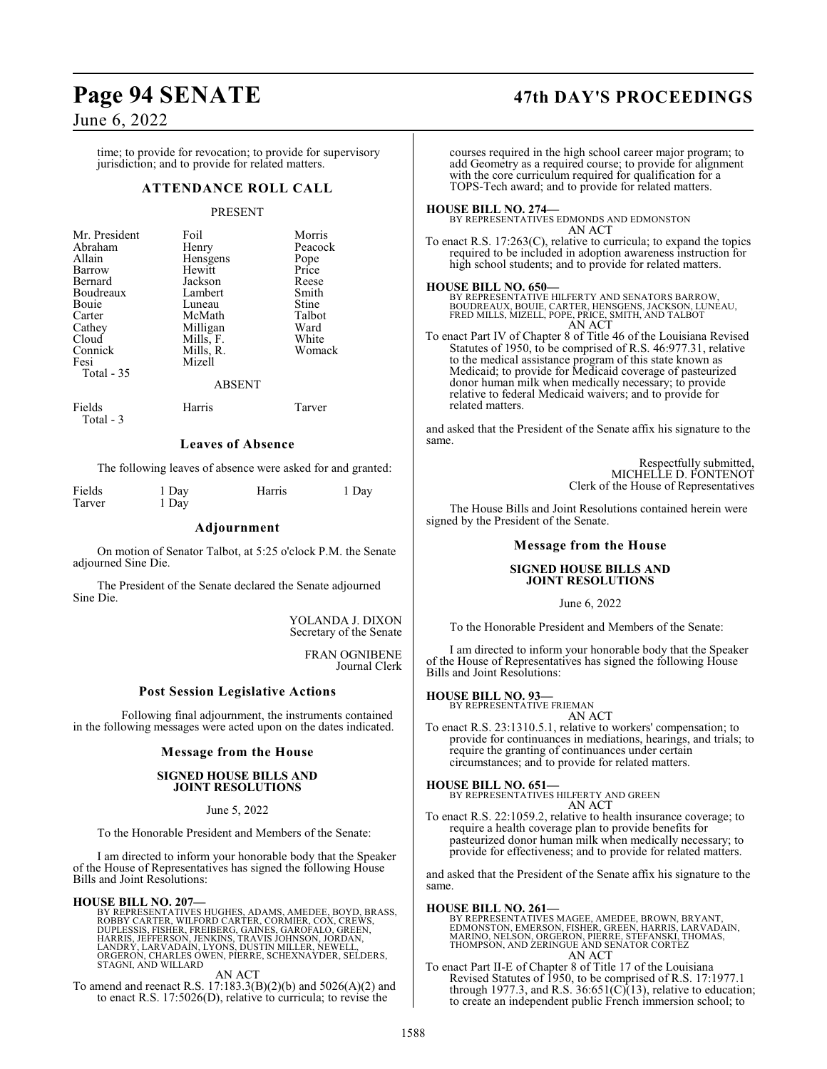## **Page 94 SENATE 47th DAY'S PROCEEDINGS**

## June 6, 2022

Total - 3

time; to provide for revocation; to provide for supervisory jurisdiction; and to provide for related matters.

## **ATTENDANCE ROLL CALL**

## PRESENT

| Mr. President<br>Abraham<br>Allain<br>Barrow<br>Bernard<br>Boudreaux<br>Bouie<br>Carter<br>Cathey<br>Cloud<br>Connick<br>Fesi<br>Total - 35 | Foil<br>Henry<br>Hensgens<br>Hewitt<br>Jackson<br>Lambert<br>Luneau<br>McMath<br>Milligan<br>Mills, F.<br>Mills, R.<br>Mizell | Morris<br>Peacock<br>Pope<br>Price<br>Reese<br>Smith<br>Stine<br>Talbot<br>Ward<br>White<br>Womack |
|---------------------------------------------------------------------------------------------------------------------------------------------|-------------------------------------------------------------------------------------------------------------------------------|----------------------------------------------------------------------------------------------------|
|                                                                                                                                             | <b>ABSENT</b>                                                                                                                 |                                                                                                    |
| Fields                                                                                                                                      | Harris                                                                                                                        | Tarver                                                                                             |

## **Leaves of Absence**

The following leaves of absence were asked for and granted:

| Fields | 1 Day | Harris | 1 Day |
|--------|-------|--------|-------|
| Tarver | 1 Day |        |       |

## **Adjournment**

On motion of Senator Talbot, at 5:25 o'clock P.M. the Senate adjourned Sine Die.

The President of the Senate declared the Senate adjourned Sine Die.

> YOLANDA J. DIXON Secretary of the Senate

> > FRAN OGNIBENE Journal Clerk

## **Post Session Legislative Actions**

Following final adjournment, the instruments contained in the following messages were acted upon on the dates indicated.

## **Message from the House**

## **SIGNED HOUSE BILLS AND JOINT RESOLUTIONS**

## June 5, 2022

To the Honorable President and Members of the Senate:

I am directed to inform your honorable body that the Speaker of the House of Representatives has signed the following House Bills and Joint Resolutions:

### **HOUSE BILL NO. 207—**

BY REPRESENTATIVES HUGHES, ADAMS, AMEDEE, BOYD, BRASS,<br>ROBBY CARTER, WILFORD CARTER, CORMIER, COX, CREWS,<br>DUPLESSIS, FISHER, FREIBERG, GAINES, GAROFALO, GREEN,<br>HARRIS, JEFFERSON, JENKINS, TRAVIS JOHNSON, JORDAN,<br>LANDRY, LA

AN ACT

To amend and reenact R.S. 17:183.3(B)(2)(b) and 5026(A)(2) and to enact R.S. 17:5026(D), relative to curricula; to revise the

courses required in the high school career major program; to add Geometry as a required course; to provide for alignment with the core curriculum required for qualification for a TOPS-Tech award; and to provide for related matters.

## **HOUSE BILL NO. 274—**

BY REPRESENTATIVES EDMONDS AND EDMONSTON AN ACT

To enact R.S. 17:263(C), relative to curricula; to expand the topics required to be included in adoption awareness instruction for high school students; and to provide for related matters.

### **HOUSE BILL NO. 650—**

BY REPRESENTATIVE HILFERTY AND SENATORS BARROW, BOUDREAUX, BOUIE, CARTER, HENSGENS, JACKSON, LUNEAU, FRED MILLS, MIZELL, POPE, PRICE, SMITH, AND TALBOT AN ACT

To enact Part IV of Chapter 8 of Title 46 of the Louisiana Revised Statutes of 1950, to be comprised of R.S. 46:977.31, relative to the medical assistance program of this state known as Medicaid; to provide for Medicaid coverage of pasteurized donor human milk when medically necessary; to provide relative to federal Medicaid waivers; and to provide for related matters.

and asked that the President of the Senate affix his signature to the same.

> Respectfully submitted, MICHELLE D. FONTENOT Clerk of the House of Representatives

The House Bills and Joint Resolutions contained herein were signed by the President of the Senate.

## **Message from the House**

## **SIGNED HOUSE BILLS AND JOINT RESOLUTIONS**

June 6, 2022

To the Honorable President and Members of the Senate:

I am directed to inform your honorable body that the Speaker of the House of Representatives has signed the following House Bills and Joint Resolutions:

## **HOUSE BILL NO. 93—**

BY REPRESENTATIVE FRIEMAN AN ACT

To enact R.S. 23:1310.5.1, relative to workers' compensation; to provide for continuances in mediations, hearings, and trials; to require the granting of continuances under certain circumstances; and to provide for related matters.

**HOUSE BILL NO. 651—** BY REPRESENTATIVES HILFERTY AND GREEN

AN ACT

To enact R.S. 22:1059.2, relative to health insurance coverage; to require a health coverage plan to provide benefits for pasteurized donor human milk when medically necessary; to provide for effectiveness; and to provide for related matters.

and asked that the President of the Senate affix his signature to the same.

**HOUSE BILL NO. 261—** BY REPRESENTATIVES MAGEE, AMEDEE, BROWN, BRYANT,<br>EDMONSTON, EMERSON, FISHER, GREEN, HARRIS, LARVADAIN,<br>MARINO, NELSON, ORGERON, PIERRE, STEFANSKI, THOMAS,<br>THOMPSON, AND ZERINGUE AND SENATOR CORTEZ AN ACT

To enact Part II-E of Chapter 8 of Title 17 of the Louisiana Revised Statutes of 1950, to be comprised of R.S. 17:1977.1 through 1977.3, and R.S.  $36:651(C)(13)$ , relative to education; to create an independent public French immersion school; to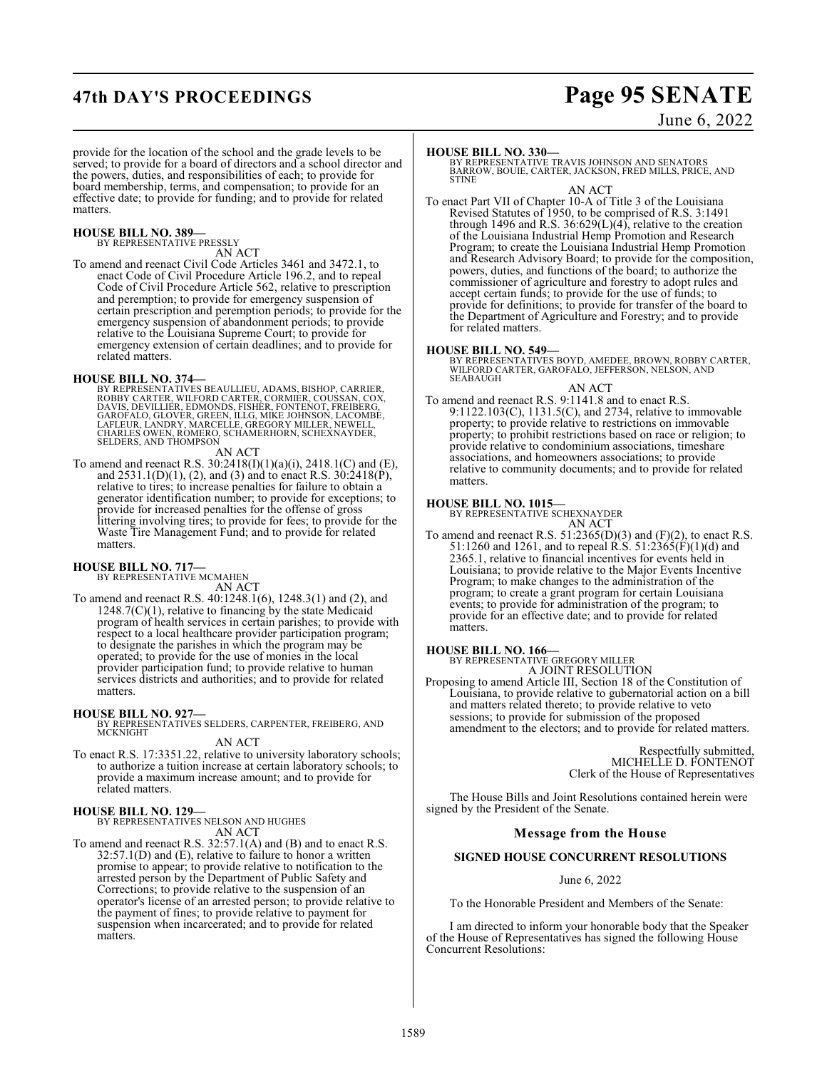## **47th DAY'S PROCEEDINGS Page 95 SENATE**

June 6, 2022

provide for the location of the school and the grade levels to be served; to provide for a board of directors and a school director and the powers, duties, and responsibilities of each; to provide for board membership, terms, and compensation; to provide for an effective date; to provide for funding; and to provide for related matters.

## **HOUSE BILL NO. 389—** BY REPRESENTATIVE PRESSLY

AN ACT

To amend and reenact Civil Code Articles 3461 and 3472.1, to enact Code of Civil Procedure Article 196.2, and to repeal Code of Civil Procedure Article 562, relative to prescription and peremption; to provide for emergency suspension of certain prescription and peremption periods; to provide for the emergency suspension of abandonment periods; to provide relative to the Louisiana Supreme Court; to provide for emergency extension of certain deadlines; and to provide for related matters.

**HOUSE BILL NO. 374—**<br>BY REPRESENTATIVES BEAULLIEU, ADAMS, BISHOP, CARRIER,<br>ROBBY CARTER, WILFORD CARTER, CORMIER, COUSSAN, COX,<br>DAVIS, DEVILLIER, EDMONDS, FISHER, FONTENOT, FREIBERG,<br>GAROFALO, GLOVER, GREEN, ILLG, MIKE JO

## AN ACT

To amend and reenact R.S. 30:2418(I)(1)(a)(i), 2418.1(C) and (E), and 2531.1(D)(1), (2), and (3) and to enact R.S. 30:2418(P), relative to tires; to increase penalties for failure to obtain a generator identification number; to provide for exceptions; to provide for increased penalties for the offense of gross littering involving tires; to provide for fees; to provide for the Waste Tire Management Fund; and to provide for related matters.

**HOUSE BILL NO. 717—** BY REPRESENTATIVE MCMAHEN

AN ACT

To amend and reenact R.S. 40:1248.1(6), 1248.3(1) and (2), and  $1248.7(C)(1)$ , relative to financing by the state Medicaid program of health services in certain parishes; to provide with respect to a local healthcare provider participation program; to designate the parishes in which the program may be operated; to provide for the use of monies in the local provider participation fund; to provide relative to human services districts and authorities; and to provide for related matters.

**HOUSE BILL NO. 927—** BY REPRESENTATIVES SELDERS, CARPENTER, FREIBERG, AND **MCKNIGHT** AN ACT

To enact R.S. 17:3351.22, relative to university laboratory schools; to authorize a tuition increase at certain laboratory schools; to provide a maximum increase amount; and to provide for related matters.

## **HOUSE BILL NO. 129—**

BY REPRESENTATIVES NELSON AND HUGHES AN ACT

To amend and reenact R.S. 32:57.1(A) and (B) and to enact R.S. 32:57.1(D) and (E), relative to failure to honor a written promise to appear; to provide relative to notification to the arrested person by the Department of Public Safety and Corrections; to provide relative to the suspension of an operator's license of an arrested person; to provide relative to the payment of fines; to provide relative to payment for suspension when incarcerated; and to provide for related matters.

**HOUSE BILL NO. 330—** BY REPRESENTATIVE TRAVIS JOHNSON AND SENATORS BARROW, BOUIE, CARTER, JACKSON, FRED MILLS, PRICE, AND **STINE** 

AN ACT

To enact Part VII of Chapter 10-A of Title 3 of the Louisiana Revised Statutes of 1950, to be comprised of R.S. 3:1491 through 1496 and R.S. 36:629(L)(4), relative to the creation of the Louisiana Industrial Hemp Promotion and Research Program; to create the Louisiana Industrial Hemp Promotion and Research Advisory Board; to provide for the composition, powers, duties, and functions of the board; to authorize the commissioner of agriculture and forestry to adopt rules and accept certain funds; to provide for the use of funds; to provide for definitions; to provide for transfer of the board to the Department of Agriculture and Forestry; and to provide for related matters.

## **HOUSE BILL NO. 549—**

BY REPRESENTATIVES BOYD, AMEDEE, BROWN, ROBBY CARTER, WILFORD CARTER, GAROFALO, JEFFERSON, NELSON, AND SEABAUGH

AN ACT

To amend and reenact R.S. 9:1141.8 and to enact R.S. 9:1122.103(C), 1131.5(C), and 2734, relative to immovable property; to provide relative to restrictions on immovable property; to prohibit restrictions based on race or religion; to provide relative to condominium associations, timeshare associations, and homeowners associations; to provide relative to community documents; and to provide for related matters.

## **HOUSE BILL NO. 1015—**

BY REPRESENTATIVE SCHEXNAYDER AN ACT

To amend and reenact R.S.  $51:2365(D)(3)$  and  $(F)(2)$ , to enact R.S. 51:1260 and 1261, and to repeal R.S. 51:2365(F)(1)(d) and 2365.1, relative to financial incentives for events held in Louisiana; to provide relative to the Major Events Incentive Program; to make changes to the administration of the program; to create a grant program for certain Louisiana events; to provide for administration of the program; to provide for an effective date; and to provide for related matters.

**HOUSE BILL NO. 166—** BY REPRESENTATIVE GREGORY MILLER A JOINT RESOLUTION

Proposing to amend Article III, Section 18 of the Constitution of Louisiana, to provide relative to gubernatorial action on a bill and matters related thereto; to provide relative to veto sessions; to provide for submission of the proposed amendment to the electors; and to provide for related matters.

> Respectfully submitted, MICHELLE D. FONTENOT Clerk of the House of Representatives

The House Bills and Joint Resolutions contained herein were signed by the President of the Senate.

## **Message from the House**

## **SIGNED HOUSE CONCURRENT RESOLUTIONS**

## June 6, 2022

To the Honorable President and Members of the Senate:

I am directed to inform your honorable body that the Speaker of the House of Representatives has signed the following House Concurrent Resolutions: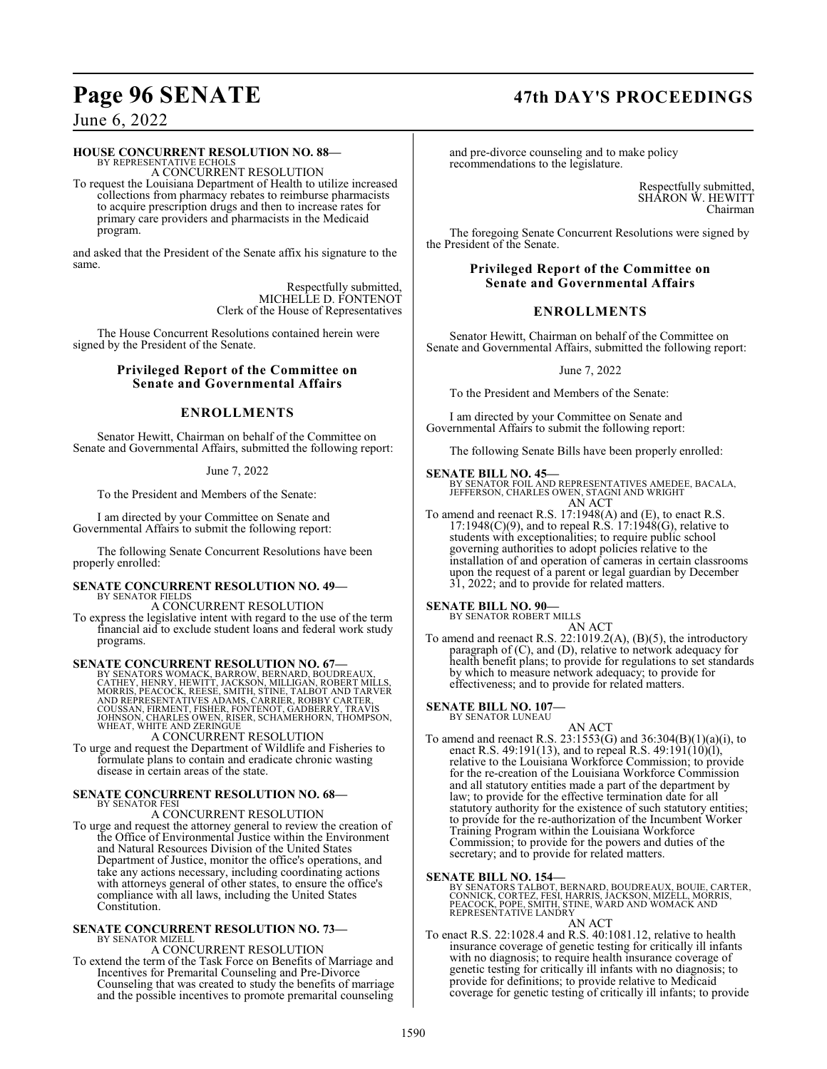## **Page 96 SENATE 47th DAY'S PROCEEDINGS**

## June 6, 2022

## **HOUSE CONCURRENT RESOLUTION NO. 88—**

BY REPRESENTATIVE ECHOLS A CONCURRENT RESOLUTION To request the Louisiana Department of Health to utilize increased

collections from pharmacy rebates to reimburse pharmacists to acquire prescription drugs and then to increase rates for primary care providers and pharmacists in the Medicaid program.

and asked that the President of the Senate affix his signature to the same.

> Respectfully submitted, MICHELLE D. FONTENOT Clerk of the House of Representatives

The House Concurrent Resolutions contained herein were signed by the President of the Senate.

## **Privileged Report of the Committee on Senate and Governmental Affairs**

## **ENROLLMENTS**

Senator Hewitt, Chairman on behalf of the Committee on Senate and Governmental Affairs, submitted the following report:

## June 7, 2022

To the President and Members of the Senate:

I am directed by your Committee on Senate and Governmental Affairs to submit the following report:

The following Senate Concurrent Resolutions have been properly enrolled:

## **SENATE CONCURRENT RESOLUTION NO. 49—** BY SENATOR FIELDS

A CONCURRENT RESOLUTION To express the legislative intent with regard to the use of the term financial aid to exclude student loans and federal work study programs.

**SENATE CONCURRENT RESOLUTION NO. 67—**<br>BY SENATORS WOMACK, BARROW, BERNARD, BOUDREAUX,<br>CATHEY, HENRY, HEWITT, JACKSON, MILLIGAN, ROBERT MILLS,<br>MORRIS, PEACOCK, REESE, SMITH, STINE, TALBOT AND TARVER<br>AND REPRESENTATIVES ADA

A CONCURRENT RESOLUTION

To urge and request the Department of Wildlife and Fisheries to formulate plans to contain and eradicate chronic wasting disease in certain areas of the state.

## **SENATE CONCURRENT RESOLUTION NO. 68—** BY SENATOR FESI

A CONCURRENT RESOLUTION

To urge and request the attorney general to review the creation of the Office of Environmental Justice within the Environment and Natural Resources Division of the United States Department of Justice, monitor the office's operations, and take any actions necessary, including coordinating actions with attorneys general of other states, to ensure the office's compliance with all laws, including the United States Constitution.

## **SENATE CONCURRENT RESOLUTION NO. 73—** BY SENATOR MIZELL

A CONCURRENT RESOLUTION

To extend the term of the Task Force on Benefits of Marriage and Incentives for Premarital Counseling and Pre-Divorce Counseling that was created to study the benefits of marriage and the possible incentives to promote premarital counseling

and pre-divorce counseling and to make policy recommendations to the legislature.

> Respectfully submitted, SHARON W. HEWITT Chairman

The foregoing Senate Concurrent Resolutions were signed by the President of the Senate.

## **Privileged Report of the Committee on Senate and Governmental Affairs**

## **ENROLLMENTS**

Senator Hewitt, Chairman on behalf of the Committee on Senate and Governmental Affairs, submitted the following report:

## June 7, 2022

To the President and Members of the Senate:

I am directed by your Committee on Senate and Governmental Affairs to submit the following report:

The following Senate Bills have been properly enrolled:

## **SENATE BILL NO. 45—**

BY SENATOR FOIL AND REPRESENTATIVES AMEDEE, BACALA, JEFFERSON, CHARLES OWEN, STAGNI AND WRIGHT AN ACT

To amend and reenact R.S. 17:1948(A) and (E), to enact R.S.  $17:1948(C)(9)$ , and to repeal R.S.  $17:1948(G)$ , relative to students with exceptionalities; to require public school governing authorities to adopt policies relative to the installation of and operation of cameras in certain classrooms upon the request of a parent or legal guardian by December 31, 2022; and to provide for related matters.

## **SENATE BILL NO. 90—** BY SENATOR ROBERT MILLS

AN ACT To amend and reenact R.S.  $22:1019.2(A)$ , (B)(5), the introductory paragraph of (C), and (D), relative to network adequacy for health benefit plans; to provide for regulations to set standards by which to measure network adequacy; to provide for effectiveness; and to provide for related matters.

### **SENATE BILL NO. 107—** BY SENATOR LUNEAU

AN ACT To amend and reenact R.S. 23:1553(G) and 36:304(B)(1)(a)(i), to enact R.S. 49:191(13), and to repeal R.S. 49:191(10)(l), relative to the Louisiana Workforce Commission; to provide for the re-creation of the Louisiana Workforce Commission and all statutory entities made a part of the department by law; to provide for the effective termination date for all statutory authority for the existence of such statutory entities; to provide for the re-authorization of the Incumbent Worker Training Program within the Louisiana Workforce Commission; to provide for the powers and duties of the secretary; and to provide for related matters.

## **SENATE BILL NO. 154—**

BY SENATORS TALBOT, BERNARD, BOUDREAUX, BOUIE, CARTER,<br>CONNICK, CORTEZ, FESI, HARRIS, JACKSON, MIZELL, MORRIS,<br>PEACOCK, POPE, SMITH, STINE, WARD AND WOMACK AND<br>REPRESENTATIVE LANDRY

## AN ACT

To enact R.S. 22:1028.4 and R.S. 40:1081.12, relative to health insurance coverage of genetic testing for critically ill infants with no diagnosis; to require health insurance coverage of genetic testing for critically ill infants with no diagnosis; to provide for definitions; to provide relative to Medicaid coverage for genetic testing of critically ill infants; to provide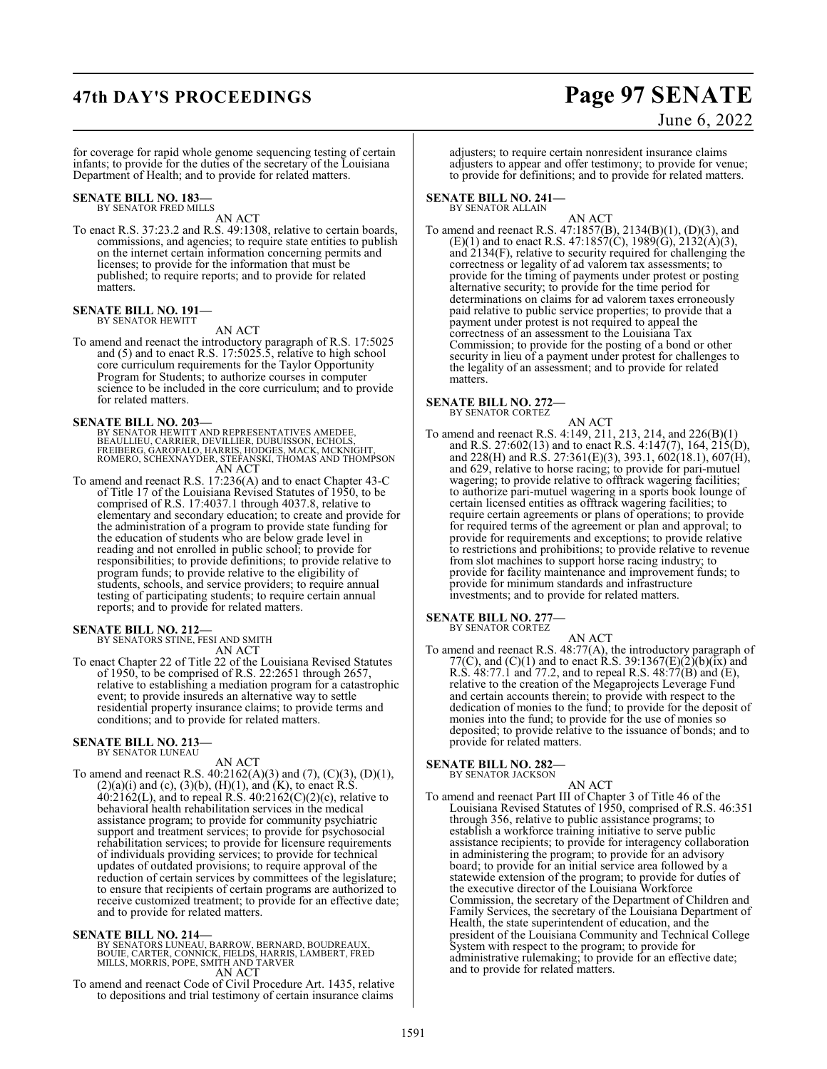## **47th DAY'S PROCEEDINGS Page 97 SENATE**

# June 6, 2022

for coverage for rapid whole genome sequencing testing of certain infants; to provide for the duties of the secretary of the Louisiana Department of Health; and to provide for related matters.

### **SENATE BILL NO. 183—** BY SENATOR FRED MILLS

AN ACT

To enact R.S. 37:23.2 and R.S. 49:1308, relative to certain boards, commissions, and agencies; to require state entities to publish on the internet certain information concerning permits and licenses; to provide for the information that must be published; to require reports; and to provide for related matters.

## **SENATE BILL NO. 191—** BY SENATOR HEWITT

AN ACT

To amend and reenact the introductory paragraph of R.S. 17:5025 and (5) and to enact R.S. 17:5025.5, relative to high school core curriculum requirements for the Taylor Opportunity Program for Students; to authorize courses in computer science to be included in the core curriculum; and to provide for related matters.

## **SENATE BILL NO. 203—**

BY SENATOR HEWITT AND REPRESENTATIVES AMEDEE,<br>BEAULLIEU, CARRIER, DEVILLIER, DUBUISSON, ECHOLS,<br>FREIBERG, GAROFALO, HARRIS, HODGES, MACK, MCKNIGHT,<br>ROMERO, SCHEXNAYDER, STEFANSKI, THOMAS AND THOMPSON AN ACT

To amend and reenact R.S. 17:236(A) and to enact Chapter 43-C of Title 17 of the Louisiana Revised Statutes of 1950, to be comprised of R.S. 17:4037.1 through 4037.8, relative to elementary and secondary education; to create and provide for the administration of a program to provide state funding for the education of students who are below grade level in reading and not enrolled in public school; to provide for responsibilities; to provide definitions; to provide relative to program funds; to provide relative to the eligibility of students, schools, and service providers; to require annual testing of participating students; to require certain annual reports; and to provide for related matters.

## **SENATE BILL NO. 212—**

BY SENATORS STINE, FESI AND SMITH AN ACT

To enact Chapter 22 of Title 22 of the Louisiana Revised Statutes of 1950, to be comprised of R.S. 22:2651 through 2657, relative to establishing a mediation program for a catastrophic event; to provide insureds an alternative way to settle residential property insurance claims; to provide terms and conditions; and to provide for related matters.

## **SENATE BILL NO. 213—** BY SENATOR LUNEAU

## AN ACT

To amend and reenact R.S. 40:2162(A)(3) and (7), (C)(3), (D)(1),  $(2)(a)(i)$  and  $(c)$ ,  $(3)(b)$ ,  $(H)(1)$ , and  $(K)$ , to enact R.S.  $40:2162(L)$ , and to repeal R.S.  $40:2162(C)(2)(c)$ , relative to behavioral health rehabilitation services in the medical assistance program; to provide for community psychiatric support and treatment services; to provide for psychosocial rehabilitation services; to provide for licensure requirements of individuals providing services; to provide for technical updates of outdated provisions; to require approval of the reduction of certain services by committees of the legislature; to ensure that recipients of certain programs are authorized to receive customized treatment; to provide for an effective date; and to provide for related matters.

**SENATE BILL NO. 214—**<br>BY SENATORS LUNEAU, BARROW, BERNARD, BOUDREAUX,<br>BOUIE, CARTER, CONNICK, FIELDS, HARRIS, LAMBERT, FRED<br>MILLS, MORRIS, POPE, SMITH AND TARVER AN ACT

To amend and reenact Code of Civil Procedure Art. 1435, relative to depositions and trial testimony of certain insurance claims

adjusters; to require certain nonresident insurance claims adjusters to appear and offer testimony; to provide for venue; to provide for definitions; and to provide for related matters.

### **SENATE BILL NO. 241—** BY SENATOR ALLAIN

AN ACT To amend and reenact R.S. 47:1857(B), 2134(B)(1), (D)(3), and  $(E)(1)$  and to enact R.S. 47:1857(C), 1989(G), 2132(A)(3), and 2134(F), relative to security required for challenging the correctness or legality of ad valorem tax assessments; to provide for the timing of payments under protest or posting alternative security; to provide for the time period for determinations on claims for ad valorem taxes erroneously paid relative to public service properties; to provide that a payment under protest is not required to appeal the correctness of an assessment to the Louisiana Tax Commission; to provide for the posting of a bond or other security in lieu of a payment under protest for challenges to the legality of an assessment; and to provide for related matters.

## **SENATE BILL NO. 272—**

BY SENATOR CORTEZ AN ACT

To amend and reenact R.S. 4:149, 211, 213, 214, and 226(B)(1) and R.S. 27:602(13) and to enact R.S. 4:147(7), 164, 215(D), and 228(H) and R.S. 27:361(E)(3), 393.1, 602(18.1), 607(H), and 629, relative to horse racing; to provide for pari-mutuel wagering; to provide relative to offtrack wagering facilities; to authorize pari-mutuel wagering in a sports book lounge of certain licensed entities as offtrack wagering facilities; to require certain agreements or plans of operations; to provide for required terms of the agreement or plan and approval; to provide for requirements and exceptions; to provide relative to restrictions and prohibitions; to provide relative to revenue from slot machines to support horse racing industry; to provide for facility maintenance and improvement funds; to provide for minimum standards and infrastructure investments; and to provide for related matters.

### **SENATE BILL NO. 277—** BY SENATOR CORTEZ

AN ACT To amend and reenact R.S. 48:77(A), the introductory paragraph of 77(C), and (C)(1) and to enact R.S. 39:1367(E)(2)(b)(ix) and R.S.  $48:77.1$  and 77.2, and to repeal R.S.  $48:77(B)$  and  $(E)$ , relative to the creation of the Megaprojects Leverage Fund and certain accounts therein; to provide with respect to the dedication of monies to the fund; to provide for the deposit of monies into the fund; to provide for the use of monies so deposited; to provide relative to the issuance of bonds; and to provide for related matters.

### **SENATE BILL NO. 282—** BY SENATOR JACKSON

AN ACT To amend and reenact Part III of Chapter 3 of Title 46 of the Louisiana Revised Statutes of 1950, comprised of R.S. 46:351 through 356, relative to public assistance programs; to establish a workforce training initiative to serve public assistance recipients; to provide for interagency collaboration in administering the program; to provide for an advisory board; to provide for an initial service area followed by a statewide extension of the program; to provide for duties of the executive director of the Louisiana Workforce Commission, the secretary of the Department of Children and Family Services, the secretary of the Louisiana Department of Health, the state superintendent of education, and the president of the Louisiana Community and Technical College System with respect to the program; to provide for administrative rulemaking; to provide for an effective date; and to provide for related matters.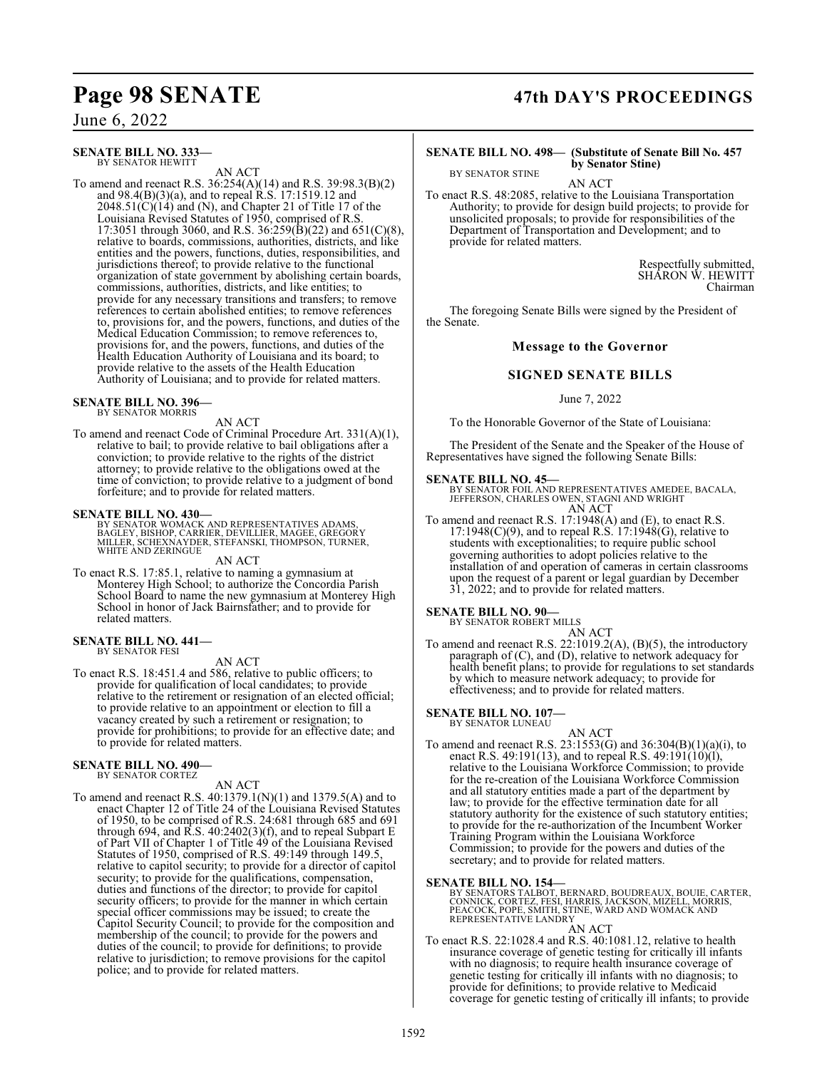June 6, 2022

### **SENATE BILL NO. 333—** BY SENATOR HEWITT

AN ACT

To amend and reenact R.S. 36:254(A)(14) and R.S. 39:98.3(B)(2) and  $98.4(B)(3)(a)$ , and to repeal  $R.S.$  17:1519.12 and  $2048.51(\text{C})(14)$  and (N), and Chapter 21 of Title 17 of the Louisiana Revised Statutes of 1950, comprised of R.S. 17:3051 through 3060, and R.S. 36:259(B)(22) and 651(C)(8), relative to boards, commissions, authorities, districts, and like entities and the powers, functions, duties, responsibilities, and jurisdictions thereof; to provide relative to the functional organization of state government by abolishing certain boards, commissions, authorities, districts, and like entities; to provide for any necessary transitions and transfers; to remove references to certain abolished entities; to remove references to, provisions for, and the powers, functions, and duties of the Medical Education Commission; to remove references to, provisions for, and the powers, functions, and duties of the Health Education Authority of Louisiana and its board; to provide relative to the assets of the Health Education Authority of Louisiana; and to provide for related matters.

**SENATE BILL NO. 396—** BY SENATOR MORRIS

AN ACT

To amend and reenact Code of Criminal Procedure Art. 331(A)(1), relative to bail; to provide relative to bail obligations after a conviction; to provide relative to the rights of the district attorney; to provide relative to the obligations owed at the time of conviction; to provide relative to a judgment of bond forfeiture; and to provide for related matters.

## **SENATE BILL NO. 430—**

BY SENATOR WOMACK AND REPRESENTATIVES ADAMS,<br>BAGLEY, BISHOP, CARRIER, DEVILLIER, MAGEE, GREGORY<br>MILLER, SCHEXNAYDER, STEFANSKI, THOMPSON, TURNER,<br>WHITE AND ZERINGUE

AN ACT

To enact R.S. 17:85.1, relative to naming a gymnasium at Monterey High School; to authorize the Concordia Parish School Board to name the new gymnasium at Monterey High School in honor of Jack Bairnsfather; and to provide for related matters.

### **SENATE BILL NO. 441—** BY SENATOR FESI

AN ACT

To enact R.S. 18:451.4 and 586, relative to public officers; to provide for qualification of local candidates; to provide relative to the retirement or resignation of an elected official; to provide relative to an appointment or election to fill a vacancy created by such a retirement or resignation; to provide for prohibitions; to provide for an effective date; and to provide for related matters.

### **SENATE BILL NO. 490—** BY SENATOR CORTEZ

AN ACT

To amend and reenact R.S. 40:1379.1(N)(1) and 1379.5(A) and to enact Chapter 12 of Title 24 of the Louisiana Revised Statutes of 1950, to be comprised of R.S. 24:681 through 685 and 691 through 694, and R.S. 40:2402(3)(f), and to repeal Subpart E of Part VII of Chapter 1 of Title 49 of the Louisiana Revised Statutes of 1950, comprised of R.S. 49:149 through 149.5, relative to capitol security; to provide for a director of capitol security; to provide for the qualifications, compensation, duties and functions of the director; to provide for capitol security officers; to provide for the manner in which certain special officer commissions may be issued; to create the Capitol Security Council; to provide for the composition and membership of the council; to provide for the powers and duties of the council; to provide for definitions; to provide relative to jurisdiction; to remove provisions for the capitol police; and to provide for related matters.

## **Page 98 SENATE 47th DAY'S PROCEEDINGS**

## **SENATE BILL NO. 498— (Substitute of Senate Bill No. 457 by Senator Stine)**

AN ACT To enact R.S. 48:2085, relative to the Louisiana Transportation Authority; to provide for design build projects; to provide for unsolicited proposals; to provide for responsibilities of the Department of Transportation and Development; and to provide for related matters.

> Respectfully submitted, SHARON W. HEWITT Chairman

The foregoing Senate Bills were signed by the President of the Senate.

## **Message to the Governor**

## **SIGNED SENATE BILLS**

## June 7, 2022

To the Honorable Governor of the State of Louisiana:

The President of the Senate and the Speaker of the House of Representatives have signed the following Senate Bills:

## **SENATE BILL NO. 45—**

BY SENATOR STINE

BY SENATOR FOIL AND REPRESENTATIVES AMEDEE, BACALA, JEFFERSON, CHARLES OWEN, STAGNI AND WRIGHT AN ACT

To amend and reenact R.S. 17:1948(A) and (E), to enact R.S.  $17:1948(C)(9)$ , and to repeal R.S.  $17:1948(G)$ , relative to students with exceptionalities; to require public school governing authorities to adopt policies relative to the installation of and operation of cameras in certain classrooms upon the request of a parent or legal guardian by December 31, 2022; and to provide for related matters.

## **SENATE BILL NO. 90—**

BY SENATOR ROBERT MILLS AN ACT

To amend and reenact R.S. 22:1019.2(A), (B)(5), the introductory paragraph of (C), and (D), relative to network adequacy for health benefit plans; to provide for regulations to set standards by which to measure network adequacy; to provide for effectiveness; and to provide for related matters.

## **SENATE BILL NO. 107—**

BY SENATOR LUNEAU

## AN ACT

To amend and reenact R.S. 23:1553(G) and 36:304(B)(1)(a)(i), to enact R.S. 49:191(13), and to repeal R.S. 49:191(10)(l), relative to the Louisiana Workforce Commission; to provide for the re-creation of the Louisiana Workforce Commission and all statutory entities made a part of the department by law; to provide for the effective termination date for all statutory authority for the existence of such statutory entities; to provide for the re-authorization of the Incumbent Worker Training Program within the Louisiana Workforce Commission; to provide for the powers and duties of the secretary; and to provide for related matters.

## **SENATE BILL NO. 154—**

BY SENATORS TALBOT, BERNARD, BOUDREAUX, BOUIE, CARTER,<br>CONNICK, CORTEZ, FESI, HARRIS, JACKSON, MIZELL, MORRIS,<br>PEACOCK, POPE, SMITH, STINE, WARD AND WOMACK AND REPRESENTATIVE LANDRY

AN ACT To enact R.S. 22:1028.4 and R.S. 40:1081.12, relative to health insurance coverage of genetic testing for critically ill infants with no diagnosis; to require health insurance coverage of genetic testing for critically ill infants with no diagnosis; to provide for definitions; to provide relative to Medicaid coverage for genetic testing of critically ill infants; to provide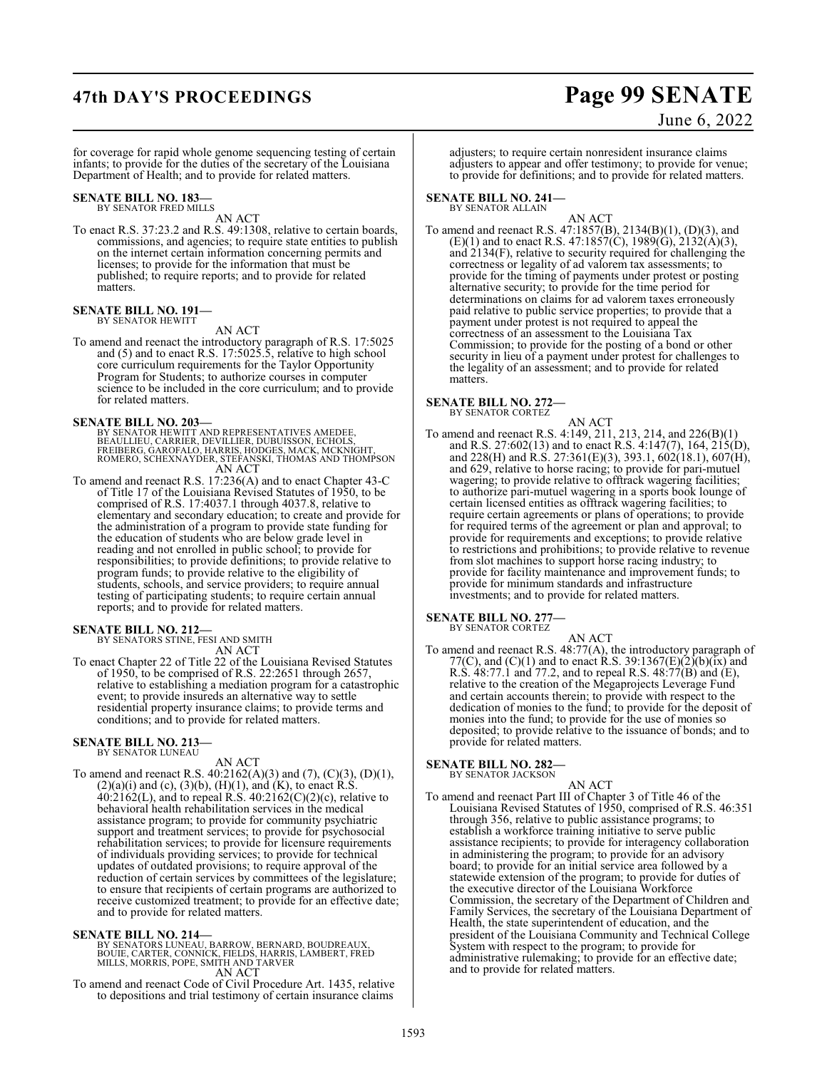## **47th DAY'S PROCEEDINGS Page 99 SENATE**

# June 6, 2022

for coverage for rapid whole genome sequencing testing of certain infants; to provide for the duties of the secretary of the Louisiana Department of Health; and to provide for related matters.

### **SENATE BILL NO. 183—** BY SENATOR FRED MILLS

AN ACT

To enact R.S. 37:23.2 and R.S. 49:1308, relative to certain boards, commissions, and agencies; to require state entities to publish on the internet certain information concerning permits and licenses; to provide for the information that must be published; to require reports; and to provide for related matters.

## **SENATE BILL NO. 191—** BY SENATOR HEWITT

AN ACT

To amend and reenact the introductory paragraph of R.S. 17:5025 and (5) and to enact R.S. 17:5025.5, relative to high school core curriculum requirements for the Taylor Opportunity Program for Students; to authorize courses in computer science to be included in the core curriculum; and to provide for related matters.

## **SENATE BILL NO. 203—**

BY SENATOR HEWITT AND REPRESENTATIVES AMEDEE,<br>BEAULLIEU, CARRIER, DEVILLIER, DUBUISSON, ECHOLS,<br>FREIBERG, GAROFALO, HARRIS, HODGES, MACK, MCKNIGHT,<br>ROMERO, SCHEXNAYDER, STEFANSKI, THOMAS AND THOMPSON AN ACT

To amend and reenact R.S. 17:236(A) and to enact Chapter 43-C of Title 17 of the Louisiana Revised Statutes of 1950, to be comprised of R.S. 17:4037.1 through 4037.8, relative to elementary and secondary education; to create and provide for the administration of a program to provide state funding for the education of students who are below grade level in reading and not enrolled in public school; to provide for responsibilities; to provide definitions; to provide relative to program funds; to provide relative to the eligibility of students, schools, and service providers; to require annual testing of participating students; to require certain annual reports; and to provide for related matters.

## **SENATE BILL NO. 212—**

BY SENATORS STINE, FESI AND SMITH AN ACT

To enact Chapter 22 of Title 22 of the Louisiana Revised Statutes of 1950, to be comprised of R.S. 22:2651 through 2657, relative to establishing a mediation program for a catastrophic event; to provide insureds an alternative way to settle residential property insurance claims; to provide terms and conditions; and to provide for related matters.

## **SENATE BILL NO. 213—** BY SENATOR LUNEAU

## AN ACT

To amend and reenact R.S. 40:2162(A)(3) and (7), (C)(3), (D)(1),  $(2)(a)(i)$  and  $(c)$ ,  $(3)(b)$ ,  $(H)(1)$ , and  $(K)$ , to enact R.S.  $40:2162(L)$ , and to repeal R.S.  $40:2162(C)(2)(c)$ , relative to behavioral health rehabilitation services in the medical assistance program; to provide for community psychiatric support and treatment services; to provide for psychosocial rehabilitation services; to provide for licensure requirements of individuals providing services; to provide for technical updates of outdated provisions; to require approval of the reduction of certain services by committees of the legislature; to ensure that recipients of certain programs are authorized to receive customized treatment; to provide for an effective date; and to provide for related matters.

**SENATE BILL NO. 214—**<br>BY SENATORS LUNEAU, BARROW, BERNARD, BOUDREAUX,<br>BOUIE, CARTER, CONNICK, FIELDS, HARRIS, LAMBERT, FRED<br>MILLS, MORRIS, POPE, SMITH AND TARVER AN ACT

To amend and reenact Code of Civil Procedure Art. 1435, relative to depositions and trial testimony of certain insurance claims

adjusters; to require certain nonresident insurance claims adjusters to appear and offer testimony; to provide for venue; to provide for definitions; and to provide for related matters.

### **SENATE BILL NO. 241—** BY SENATOR ALLAIN

AN ACT To amend and reenact R.S. 47:1857(B), 2134(B)(1), (D)(3), and  $(E)(1)$  and to enact R.S. 47:1857(C), 1989(G), 2132(A)(3), and 2134(F), relative to security required for challenging the correctness or legality of ad valorem tax assessments; to provide for the timing of payments under protest or posting alternative security; to provide for the time period for determinations on claims for ad valorem taxes erroneously paid relative to public service properties; to provide that a payment under protest is not required to appeal the correctness of an assessment to the Louisiana Tax Commission; to provide for the posting of a bond or other security in lieu of a payment under protest for challenges to the legality of an assessment; and to provide for related matters.

## **SENATE BILL NO. 272—**

BY SENATOR CORTEZ AN ACT

To amend and reenact R.S. 4:149, 211, 213, 214, and 226(B)(1) and R.S. 27:602(13) and to enact R.S. 4:147(7), 164, 215(D), and 228(H) and R.S. 27:361(E)(3), 393.1, 602(18.1), 607(H), and 629, relative to horse racing; to provide for pari-mutuel wagering; to provide relative to offtrack wagering facilities; to authorize pari-mutuel wagering in a sports book lounge of certain licensed entities as offtrack wagering facilities; to require certain agreements or plans of operations; to provide for required terms of the agreement or plan and approval; to provide for requirements and exceptions; to provide relative to restrictions and prohibitions; to provide relative to revenue from slot machines to support horse racing industry; to provide for facility maintenance and improvement funds; to provide for minimum standards and infrastructure investments; and to provide for related matters.

### **SENATE BILL NO. 277—** BY SENATOR CORTEZ

AN ACT To amend and reenact R.S. 48:77(A), the introductory paragraph of 77(C), and (C)(1) and to enact R.S. 39:1367(E)(2)(b)(ix) and R.S.  $48:77.1$  and 77.2, and to repeal R.S.  $48:77(B)$  and  $(E)$ , relative to the creation of the Megaprojects Leverage Fund and certain accounts therein; to provide with respect to the dedication of monies to the fund; to provide for the deposit of monies into the fund; to provide for the use of monies so deposited; to provide relative to the issuance of bonds; and to provide for related matters.

## **SENATE BILL NO. 282—**

BY SENATOR JACKSON

AN ACT To amend and reenact Part III of Chapter 3 of Title 46 of the Louisiana Revised Statutes of 1950, comprised of R.S. 46:351 through 356, relative to public assistance programs; to establish a workforce training initiative to serve public assistance recipients; to provide for interagency collaboration in administering the program; to provide for an advisory board; to provide for an initial service area followed by a statewide extension of the program; to provide for duties of the executive director of the Louisiana Workforce Commission, the secretary of the Department of Children and Family Services, the secretary of the Louisiana Department of Health, the state superintendent of education, and the president of the Louisiana Community and Technical College System with respect to the program; to provide for administrative rulemaking; to provide for an effective date; and to provide for related matters.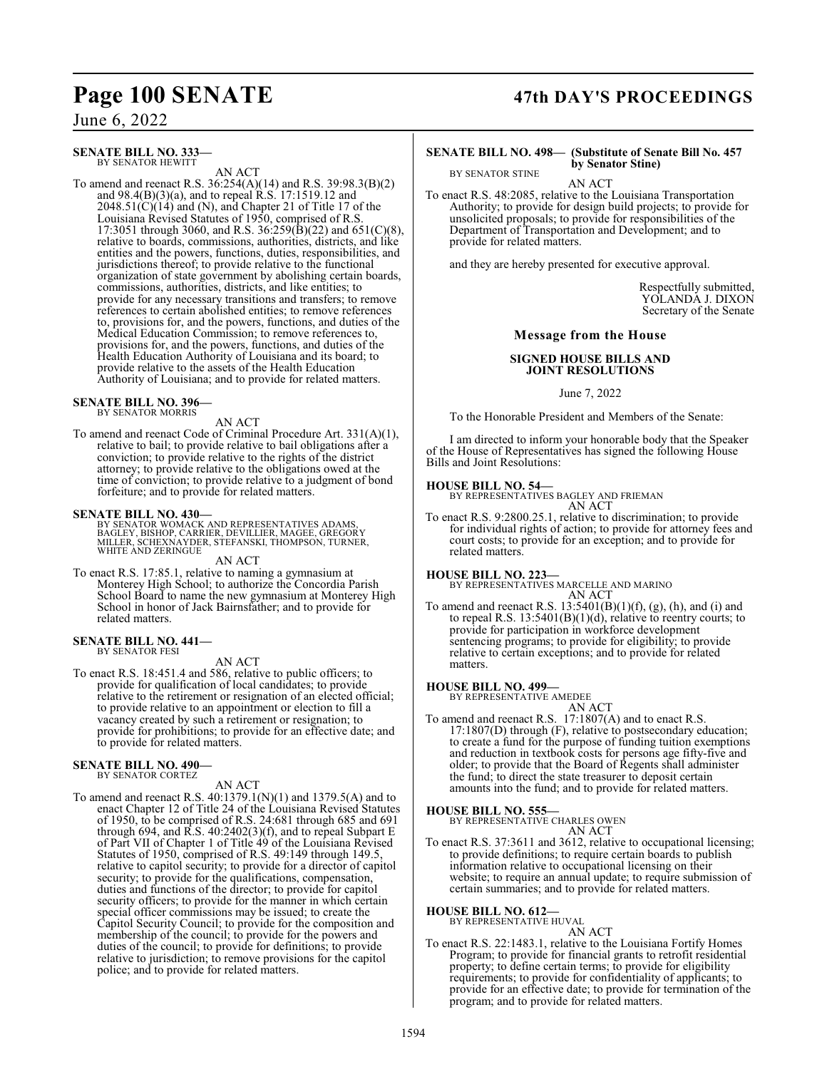June 6, 2022

**SENATE BILL NO. 333—** BY SENATOR HEWITT

AN ACT

To amend and reenact R.S. 36:254(A)(14) and R.S. 39:98.3(B)(2) and  $98.4(B)(3)(a)$ , and to repeal  $R.S.$  17:1519.12 and  $2048.51(\text{C})(14)$  and (N), and Chapter 21 of Title 17 of the Louisiana Revised Statutes of 1950, comprised of R.S. 17:3051 through 3060, and R.S. 36:259(B)(22) and 651(C)(8), relative to boards, commissions, authorities, districts, and like entities and the powers, functions, duties, responsibilities, and jurisdictions thereof; to provide relative to the functional organization of state government by abolishing certain boards, commissions, authorities, districts, and like entities; to provide for any necessary transitions and transfers; to remove references to certain abolished entities; to remove references to, provisions for, and the powers, functions, and duties of the Medical Education Commission; to remove references to, provisions for, and the powers, functions, and duties of the Health Education Authority of Louisiana and its board; to provide relative to the assets of the Health Education Authority of Louisiana; and to provide for related matters.

**SENATE BILL NO. 396—**

BY SENATOR MORRIS

AN ACT

To amend and reenact Code of Criminal Procedure Art. 331(A)(1), relative to bail; to provide relative to bail obligations after a conviction; to provide relative to the rights of the district attorney; to provide relative to the obligations owed at the time of conviction; to provide relative to a judgment of bond forfeiture; and to provide for related matters.

## **SENATE BILL NO. 430—**

BY SENATOR WOMACK AND REPRESENTATIVES ADAMS,<br>BAGLEY, BISHOP, CARRIER, DEVILLIER, MAGEE, GREGORY<br>MILLER, SCHEXNAYDER, STEFANSKI, THOMPSON, TURNER,<br>WHITE AND ZERINGUE

AN ACT

To enact R.S. 17:85.1, relative to naming a gymnasium at Monterey High School; to authorize the Concordia Parish School Board to name the new gymnasium at Monterey High School in honor of Jack Bairnsfather; and to provide for related matters.

### **SENATE BILL NO. 441—** BY SENATOR FESI

AN ACT

To enact R.S. 18:451.4 and 586, relative to public officers; to provide for qualification of local candidates; to provide relative to the retirement or resignation of an elected official; to provide relative to an appointment or election to fill a vacancy created by such a retirement or resignation; to provide for prohibitions; to provide for an effective date; and to provide for related matters.

### **SENATE BILL NO. 490—** BY SENATOR CORTEZ

AN ACT

To amend and reenact R.S. 40:1379.1(N)(1) and 1379.5(A) and to enact Chapter 12 of Title 24 of the Louisiana Revised Statutes of 1950, to be comprised of R.S. 24:681 through 685 and 691 through 694, and R.S. 40:2402(3)(f), and to repeal Subpart E of Part VII of Chapter 1 of Title 49 of the Louisiana Revised Statutes of 1950, comprised of R.S. 49:149 through 149.5, relative to capitol security; to provide for a director of capitol security; to provide for the qualifications, compensation, duties and functions of the director; to provide for capitol security officers; to provide for the manner in which certain special officer commissions may be issued; to create the Capitol Security Council; to provide for the composition and membership of the council; to provide for the powers and duties of the council; to provide for definitions; to provide relative to jurisdiction; to remove provisions for the capitol police; and to provide for related matters.

## **Page 100 SENATE 47th DAY'S PROCEEDINGS**

### **SENATE BILL NO. 498— (Substitute of Senate Bill No. 457 by Senator Stine)**

AN ACT

To enact R.S. 48:2085, relative to the Louisiana Transportation Authority; to provide for design build projects; to provide for unsolicited proposals; to provide for responsibilities of the Department of Transportation and Development; and to provide for related matters.

and they are hereby presented for executive approval.

Respectfully submitted, YOLANDA J. DIXON Secretary of the Senate

## **Message from the House**

## **SIGNED HOUSE BILLS AND JOINT RESOLUTIONS**

June 7, 2022

To the Honorable President and Members of the Senate:

I am directed to inform your honorable body that the Speaker of the House of Representatives has signed the following House Bills and Joint Resolutions:

BY SENATOR STINE

**HOUSE BILL NO. 54—** BY REPRESENTATIVES BAGLEY AND FRIEMAN AN ACT

To enact R.S. 9:2800.25.1, relative to discrimination; to provide for individual rights of action; to provide for attorney fees and court costs; to provide for an exception; and to provide for related matters.

**HOUSE BILL NO. 223—** BY REPRESENTATIVES MARCELLE AND MARINO AN ACT

To amend and reenact R.S.  $13:5401(B)(1)(f)$ , (g), (h), and (i) and to repeal R.S. 13:5401(B)(1)(d), relative to reentry courts; to provide for participation in workforce development sentencing programs; to provide for eligibility; to provide relative to certain exceptions; and to provide for related matters.

## **HOUSE BILL NO. 499—**

BY REPRESENTATIVE AMEDEE AN ACT

To amend and reenact R.S. 17:1807(A) and to enact R.S.  $17:1807(D)$  through  $(F)$ , relative to postsecondary education; to create a fund for the purpose of funding tuition exemptions and reduction in textbook costs for persons age fifty-five and older; to provide that the Board of Regents shall administer the fund; to direct the state treasurer to deposit certain amounts into the fund; and to provide for related matters.

## **HOUSE BILL NO. 555—** BY REPRESENTATIVE CHARLES OWEN

AN ACT

To enact R.S. 37:3611 and 3612, relative to occupational licensing; to provide definitions; to require certain boards to publish information relative to occupational licensing on their website; to require an annual update; to require submission of certain summaries; and to provide for related matters.

**HOUSE BILL NO. 612—** BY REPRESENTATIVE HUVAL AN ACT

To enact R.S. 22:1483.1, relative to the Louisiana Fortify Homes Program; to provide for financial grants to retrofit residential property; to define certain terms; to provide for eligibility requirements; to provide for confidentiality of applicants; to provide for an effective date; to provide for termination of the program; and to provide for related matters.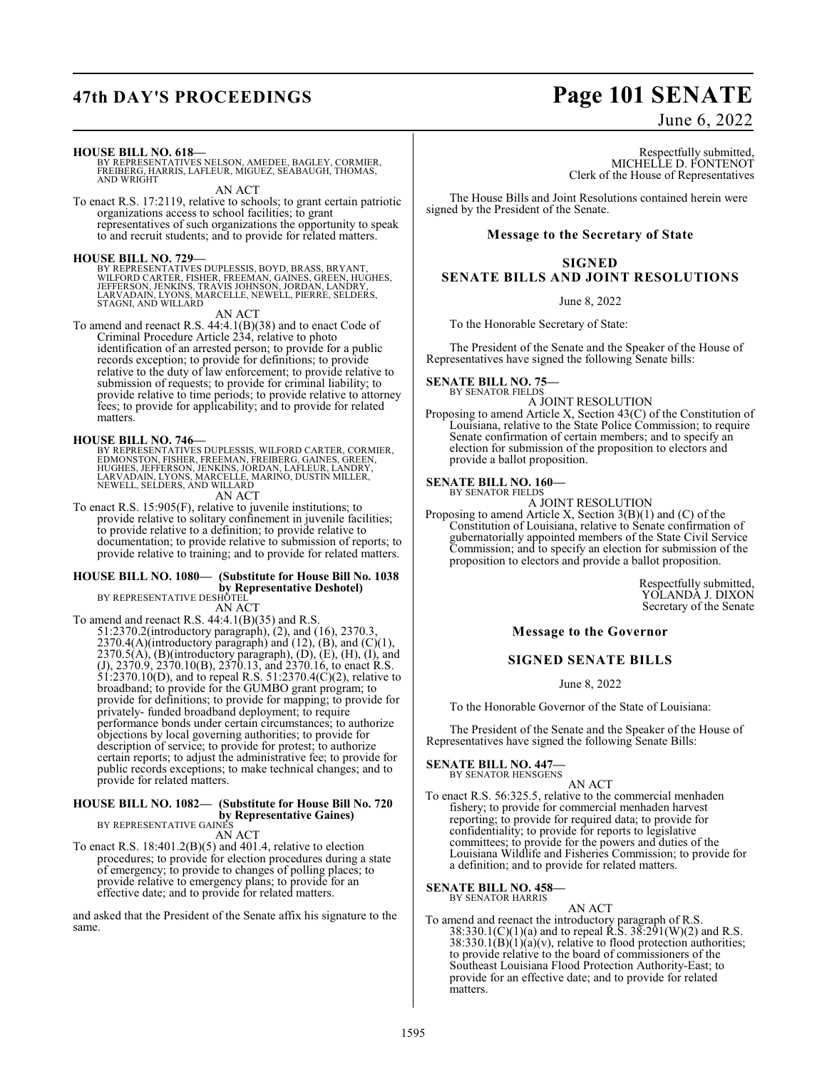# **47th DAY'S PROCEEDINGS Page 101 SENATE**

## June 6, 2022

**HOUSE BILL NO. 618—**

BY REPRESENTATIVES NELSON, AMEDEE, BAGLEY, CORMIER, FREIBERG, HARRIS, LAFLEUR, MIGUEZ, SEABAUGH, THOMAS, AND WRIGHT

AN ACT

To enact R.S. 17:2119, relative to schools; to grant certain patriotic organizations access to school facilities; to grant representatives of such organizations the opportunity to speak to and recruit students; and to provide for related matters.

## **HOUSE BILL NO. 729—**

BY REPRESENTATIVES DUPLESSIS, BOYD, BRASS, BRYANT,<br>WILFORD CARTER, FISHER, FREEMAN, GAINES, GREEN, HUGHES,<br>JEFFERSON, JENKINS, TRAVIS JOHNSON, JORDAN, LANDRY,<br>LARVADAIN, LYONS, MARCELLE, NEWELL, PIERRE, SELDERS,<br>STAGNI, AN

AN ACT

To amend and reenact R.S. 44:4.1(B)(38) and to enact Code of Criminal Procedure Article 234, relative to photo identification of an arrested person; to provide for a public records exception; to provide for definitions; to provide relative to the duty of law enforcement; to provide relative to submission of requests; to provide for criminal liability; to provide relative to time periods; to provide relative to attorney fees; to provide for applicability; and to provide for related matters.

**HOUSE BILL NO. 746—**<br>BY REPRESENTATIVES DUPLESSIS, WILFORD CARTER, CORMIER,<br>EDMONSTON, FISHER, FREEMAN, FREIBERG, GAINES, GREEN,<br>HUGHES, JEFFERSON, JENKINS, JORDAN, LAFLEUR, LANDRY,<br>LARVADAIN, LYONS, MARCELLE, MARINO, DUS AN ACT

To enact R.S. 15:905(F), relative to juvenile institutions; to provide relative to solitary confinement in juvenile facilities; to provide relative to a definition; to provide relative to documentation; to provide relative to submission of reports; to provide relative to training; and to provide for related matters.

## **HOUSE BILL NO. 1080— (Substitute for House Bill No. 1038**

**by Representative Deshotel)**<br>BY REPRESENTATIVE DESHOTEL

AN ACT To amend and reenact R.S. 44:4.1(B)(35) and R.S. 51:2370.2(introductory paragraph), (2), and (16), 2370.3, 2370.4(A)(introductory paragraph) and  $(12)$ ,  $(B)$ , and  $(C)(1)$ ,  $2370.5(A)$ ,  $(B)$ (introductory paragraph),  $(D)$ ,  $(E)$ ,  $(H)$ ,  $(I)$ , and (J), 2370.9, 2370.10(B), 2370.13, and 2370.16, to enact R.S. 51:2370.10(D), and to repeal R.S. 51:2370.4(C)(2), relative to broadband; to provide for the GUMBO grant program; to provide for definitions; to provide for mapping; to provide for privately- funded broadband deployment; to require performance bonds under certain circumstances; to authorize objections by local governing authorities; to provide for description of service; to provide for protest; to authorize certain reports; to adjust the administrative fee; to provide for public records exceptions; to make technical changes; and to provide for related matters.

## **HOUSE BILL NO. 1082— (Substitute for House Bill No. 720 by Representative Gaines)** BY REPRESENTATIVE GAINES

AN ACT

To enact R.S. 18:401.2(B)(5) and 401.4, relative to election procedures; to provide for election procedures during a state of emergency; to provide to changes of polling places; to provide relative to emergency plans; to provide for an effective date; and to provide for related matters.

and asked that the President of the Senate affix his signature to the same.

Respectfully submitted, MICHELLE D. FONTENOT Clerk of the House of Representatives

The House Bills and Joint Resolutions contained herein were signed by the President of the Senate.

## **Message to the Secretary of State**

## **SIGNED**

## **SENATE BILLS AND JOINT RESOLUTIONS**

June 8, 2022

To the Honorable Secretary of State:

The President of the Senate and the Speaker of the House of Representatives have signed the following Senate bills:

### **SENATE BILL NO. 75—** BY SENATOR FIELDS

A JOINT RESOLUTION

Proposing to amend Article X, Section 43(C) of the Constitution of Louisiana, relative to the State Police Commission; to require Senate confirmation of certain members; and to specify an election for submission of the proposition to electors and provide a ballot proposition.

## **SENATE BILL NO. 160—** BY SENATOR FIELDS

A JOINT RESOLUTION Proposing to amend Article X, Section 3(B)(1) and (C) of the Constitution of Louisiana, relative to Senate confirmation of gubernatorially appointed members of the State Civil Service Commission; and to specify an election for submission of the proposition to electors and provide a ballot proposition.

> Respectfully submitted, YOLANDA J. DIXON Secretary of the Senate

**Message to the Governor**

## **SIGNED SENATE BILLS**

June 8, 2022

To the Honorable Governor of the State of Louisiana:

The President of the Senate and the Speaker of the House of Representatives have signed the following Senate Bills:

**SENATE BILL NO. 447—** BY SENATOR HENSGENS

AN ACT

To enact R.S. 56:325.5, relative to the commercial menhaden fishery; to provide for commercial menhaden harvest reporting; to provide for required data; to provide for confidentiality; to provide for reports to legislative committees; to provide for the powers and duties of the Louisiana Wildlife and Fisheries Commission; to provide for a definition; and to provide for related matters.

### **SENATE BILL NO. 458—** BY SENATOR HARRIS

AN ACT

To amend and reenact the introductory paragraph of R.S. 38:330.1(C)(1)(a) and to repeal R.S. 38:291(W)(2) and R.S.  $38:330.1(B)(1)(a)(v)$ , relative to flood protection authorities; to provide relative to the board of commissioners of the Southeast Louisiana Flood Protection Authority-East; to provide for an effective date; and to provide for related matters.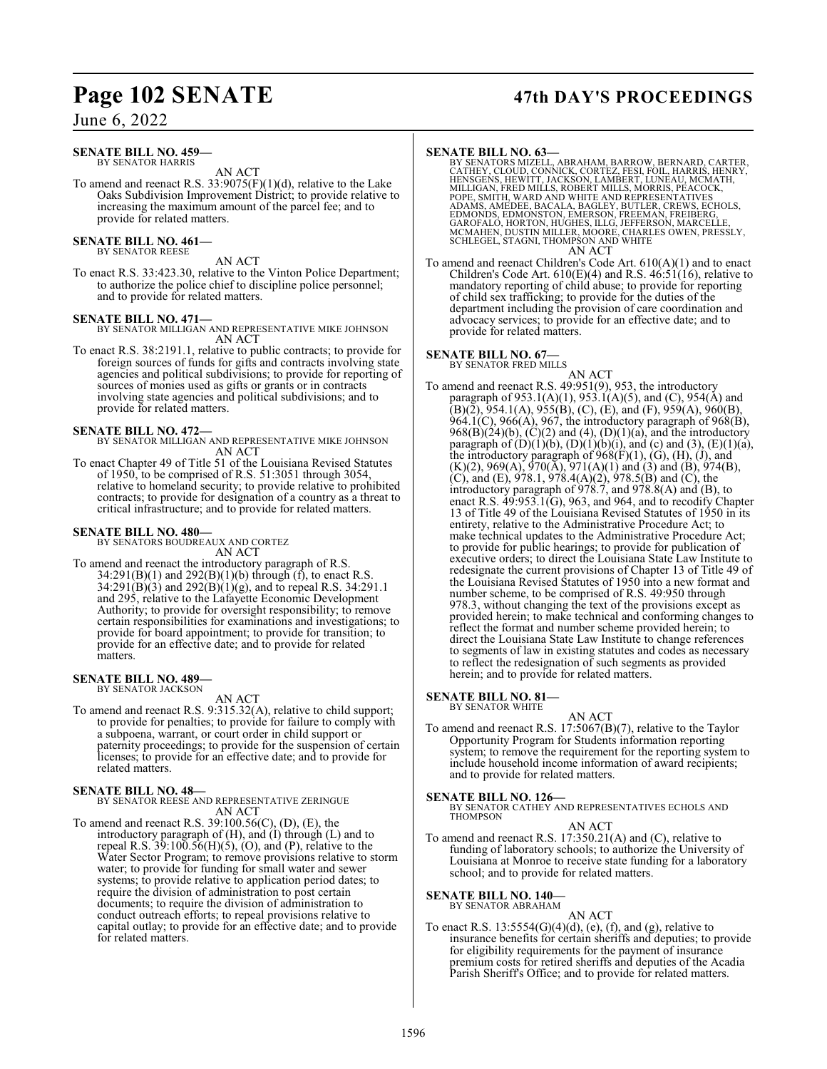## June 6, 2022

### **SENATE BILL NO. 459—** BY SENATOR HARRIS

AN ACT

To amend and reenact R.S.  $33:9075(F)(1)(d)$ , relative to the Lake Oaks Subdivision Improvement District; to provide relative to increasing the maximum amount of the parcel fee; and to provide for related matters.

### **SENATE BILL NO. 461** BY SENATOR REESE

AN ACT

To enact R.S. 33:423.30, relative to the Vinton Police Department; to authorize the police chief to discipline police personnel; and to provide for related matters.

**SENATE BILL NO. 471—** BY SENATOR MILLIGAN AND REPRESENTATIVE MIKE JOHNSON AN ACT

To enact R.S. 38:2191.1, relative to public contracts; to provide for foreign sources of funds for gifts and contracts involving state agencies and political subdivisions; to provide for reporting of sources of monies used as gifts or grants or in contracts involving state agencies and political subdivisions; and to provide for related matters.

## **SENATE BILL NO. 472—**

BY SENATOR MILLIGAN AND REPRESENTATIVE MIKE JOHNSON AN ACT

To enact Chapter 49 of Title 51 of the Louisiana Revised Statutes of 1950, to be comprised of R.S. 51:3051 through 3054, relative to homeland security; to provide relative to prohibited contracts; to provide for designation of a country as a threat to critical infrastructure; and to provide for related matters.

**SENATE BILL NO. 480—** BY SENATORS BOUDREAUX AND CORTEZ AN ACT

To amend and reenact the introductory paragraph of R.S.  $34:291(B)(1)$  and  $292(B)(1)(b)$  through (f), to enact R.S.  $34:291(B)(3)$  and  $292(B)(1)(g)$ , and to repeal R.S. 34:291.1 and 295, relative to the Lafayette Economic Development Authority; to provide for oversight responsibility; to remove certain responsibilities for examinations and investigations; to provide for board appointment; to provide for transition; to provide for an effective date; and to provide for related matters.

### **SENATE BILL NO. 489—** BY SENATOR JACKSON

AN ACT

To amend and reenact R.S. 9:315.32(A), relative to child support; to provide for penalties; to provide for failure to comply with a subpoena, warrant, or court order in child support or paternity proceedings; to provide for the suspension of certain licenses; to provide for an effective date; and to provide for related matters.

## **SENATE BILL NO. 48—**

BY SENATOR REESE AND REPRESENTATIVE ZERINGUE AN ACT

To amend and reenact R.S. 39:100.56(C), (D), (E), the introductory paragraph of  $(H)$ , and  $(I)$  through  $(L)$  and to repeal R.S.  $39:100.56(H)(5)$ , (O), and (P), relative to the Water Sector Program; to remove provisions relative to storm water; to provide for funding for small water and sewer systems; to provide relative to application period dates; to require the division of administration to post certain documents; to require the division of administration to conduct outreach efforts; to repeal provisions relative to capital outlay; to provide for an effective date; and to provide for related matters.

## **Page 102 SENATE 47th DAY'S PROCEEDINGS**

**SENATE BILL NO. 63**<br>BY SENATORS MIZELL, ABRAHAM, BARROW, BERNARD, CARTER,<br>CATHEY, CLOUD, CONNICK, CORTEZ, FESI, FOIL, HARRIS, HENRY,<br>HENSGENS, HEWITT, JACKSON, LAMBERT, LUNEAU, MCMATH,<br>MILLIGAN, FRED MILLS, ROBERT MILLS, AN ACT

To amend and reenact Children's Code Art. 610(A)(1) and to enact Children's Code Art.  $610(E)(4)$  and R.S.  $46:51(16)$ , relative to mandatory reporting of child abuse; to provide for reporting of child sex trafficking; to provide for the duties of the department including the provision of care coordination and advocacy services; to provide for an effective date; and to provide for related matters.

## **SENATE BILL NO. 67—**<br>BY SENATOR FRED MILLS

AN ACT To amend and reenact R.S. 49:951(9), 953, the introductory paragraph of 953.1(A)(1), 953.1(A)(5), and (C), 954(A) and  $(B)(\tilde{2}), \overline{954.1(A)}, \overline{955(B)}, \overline{(C)}, \overline{(E)}, \overline{(F)}, \overline{959(A)}, \overline{960(B)},$ 964.1(C), 966(A), 967, the introductory paragraph of 968(B),  $968(B)(24)(b)$ ,  $(C)(2)$  and  $(4)$ ,  $(D)(1)(a)$ , and the introductory paragraph of  $(D)(1)(b)$ ,  $(D)(1)(b)(i)$ , and (c) and (3),  $(E)(1)(a)$ , the introductory paragraph of  $968(F)(1)$ ,  $(G)$ ,  $(H)$ ,  $(J)$ , and  $(K)(2)$ , 969 $(A)$ , 970 $(\overline{A})$ , 971 $(A)(1)$  and  $(3)$  and  $(B)$ , 974 $(B)$ , (C), and (E), 978.1, 978.4(A)(2), 978.5(B) and (C), the introductory paragraph of 978.7, and 978.8(A) and (B), to enact R.S. 49:953.1(G), 963, and 964, and to recodify Chapter 13 of Title 49 of the Louisiana Revised Statutes of 1950 in its entirety, relative to the Administrative Procedure Act; to make technical updates to the Administrative Procedure Act; to provide for public hearings; to provide for publication of executive orders; to direct the Louisiana State Law Institute to redesignate the current provisions of Chapter 13 of Title 49 of the Louisiana Revised Statutes of 1950 into a new format and number scheme, to be comprised of R.S. 49:950 through 978.3, without changing the text of the provisions except as provided herein; to make technical and conforming changes to reflect the format and number scheme provided herein; to direct the Louisiana State Law Institute to change references to segments of law in existing statutes and codes as necessary to reflect the redesignation of such segments as provided herein; and to provide for related matters.

## **SENATE BILL NO. 81—**<br>BY SENATOR WHITE

## AN ACT

To amend and reenact R.S. 17:5067(B)(7), relative to the Taylor Opportunity Program for Students information reporting system; to remove the requirement for the reporting system to include household income information of award recipients; and to provide for related matters.

## **SENATE BILL NO. 126—**

BY SENATOR CATHEY AND REPRESENTATIVES ECHOLS AND THOMPSON

## AN ACT

To amend and reenact R.S. 17:350.21(A) and (C), relative to funding of laboratory schools; to authorize the University of Louisiana at Monroe to receive state funding for a laboratory school; and to provide for related matters.

## **SENATE BILL NO. 140—** BY SENATOR ABRAHAM

AN ACT

To enact R.S.  $13:5554(G)(4)(d)$ , (e), (f), and (g), relative to insurance benefits for certain sheriffs and deputies; to provide for eligibility requirements for the payment of insurance premium costs for retired sheriffs and deputies of the Acadia Parish Sheriff's Office; and to provide for related matters.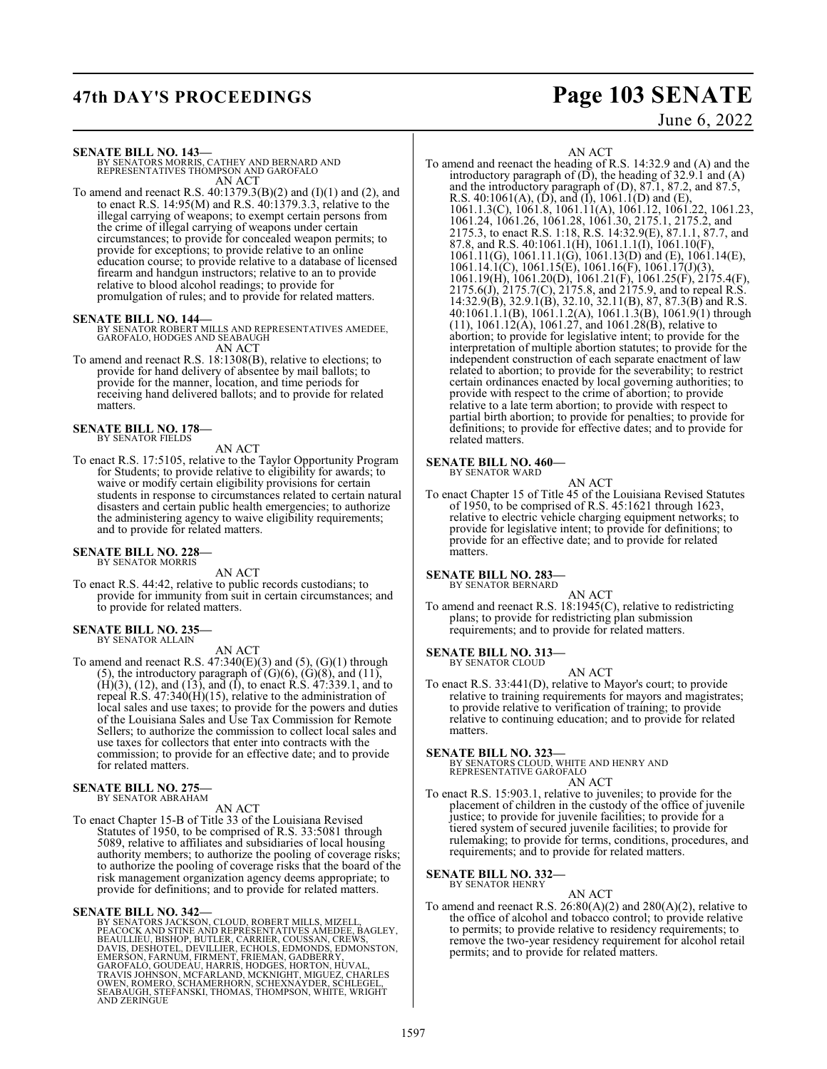## **47th DAY'S PROCEEDINGS Page 103 SENATE**

## June 6, 2022

**SENATE BILL NO. 143—**

BY SENATORS MORRIS, CATHEY AND BERNARD AND REPRESENTATIVES THOMPSON AND GAROFALO AN ACT

To amend and reenact R.S. 40:1379.3(B)(2) and (I)(1) and (2), and to enact R.S. 14:95(M) and R.S. 40:1379.3.3, relative to the illegal carrying of weapons; to exempt certain persons from the crime of illegal carrying of weapons under certain circumstances; to provide for concealed weapon permits; to provide for exceptions; to provide relative to an online education course; to provide relative to a database of licensed firearm and handgun instructors; relative to an to provide relative to blood alcohol readings; to provide for promulgation of rules; and to provide for related matters.

**SENATE BILL NO. 144—** BY SENATOR ROBERT MILLS AND REPRESENTATIVES AMEDEE, GAROFALO, HODGES AND SEABAUGH AN ACT

To amend and reenact R.S. 18:1308(B), relative to elections; to provide for hand delivery of absentee by mail ballots; to provide for the manner, location, and time periods for receiving hand delivered ballots; and to provide for related matters.

**SENATE BILL NO. 178—** BY SENATOR FIELDS

## AN ACT

To enact R.S. 17:5105, relative to the Taylor Opportunity Program for Students; to provide relative to eligibility for awards; to waive or modify certain eligibility provisions for certain students in response to circumstances related to certain natural disasters and certain public health emergencies; to authorize the administering agency to waive eligibility requirements; and to provide for related matters.

### **SENATE BILL NO. 228—** BY SENATOR MORRIS

AN ACT

To enact R.S. 44:42, relative to public records custodians; to provide for immunity from suit in certain circumstances; and to provide for related matters.

## **SENATE BILL NO. 235—**

BY SENATOR ALLAIN

AN ACT

To amend and reenact R.S.  $47:340(E)(3)$  and  $(5)$ ,  $(G)(1)$  through (5), the introductory paragraph of  $(G)(6)$ ,  $(G)(8)$ , and  $(11)$ , (H)(3), (12), and (13), and (I), to enact R.S. 47:339.1, and to repeal R.S. 47:340(H)(15), relative to the administration of local sales and use taxes; to provide for the powers and duties of the Louisiana Sales and Use Tax Commission for Remote Sellers; to authorize the commission to collect local sales and use taxes for collectors that enter into contracts with the commission; to provide for an effective date; and to provide for related matters.

### **SENATE BILL NO. 275—** BY SENATOR ABRAHAM

AN ACT

To enact Chapter 15-B of Title 33 of the Louisiana Revised Statutes of 1950, to be comprised of R.S. 33:5081 through 5089, relative to affiliates and subsidiaries of local housing authority members; to authorize the pooling of coverage risks; to authorize the pooling of coverage risks that the board of the risk management organization agency deems appropriate; to provide for definitions; and to provide for related matters.

## **SENATE BILL NO. 342—**

BY SENATORS JACKSON, CLOUD, ROBERT MILLS, MIZELL,<br>PEACOCK AND STINE AND REPRESENTATIVES AMEDEE, BAGLEY,<br>BEAULLIEU, BISHOP, BUTLER, CARRIER, COUSSAN, CREWS,<br>DAVIS, DESHOTEL, DEVILLIER, ECHOLS, EDMONDS, EDMONSTON,<br>EMERSON, F AND ZERINGUE

AN ACT

To amend and reenact the heading of R.S. 14:32.9 and (A) and the introductory paragraph of  $(\overrightarrow{D})$ , the heading of 32.9.1 and  $(A)$ and the introductory paragraph of (D), 87.1, 87.2, and 87.5, R.S. 40:1061(A), (D), and (I), 1061.1(D) and (E), 1061.1.3(C), 1061.8, 1061.11(A), 1061.12, 1061.22, 1061.23, 1061.24, 1061.26, 1061.28, 1061.30, 2175.1, 2175.2, and 2175.3, to enact R.S. 1:18, R.S. 14:32.9(E), 87.1.1, 87.7, and 87.8, and R.S. 40:1061.1(H), 1061.1.1(I), 1061.10(F), 1061.11(G), 1061.11.1(G), 1061.13(D) and (E), 1061.14(E), 1061.14.1(C), 1061.15(E), 1061.16(F), 1061.17(J)(3), 1061.19(H), 1061.20(D), 1061.21(F), 1061.25(F), 2175.4(F), 2175.6(J), 2175.7(C), 2175.8, and 2175.9, and to repeal R.S. 14:32.9(B), 32.9.1(B), 32.10, 32.11(B), 87, 87.3(B) and R.S. 40:1061.1.1(B), 1061.1.2(A), 1061.1.3(B), 1061.9(1) through  $(11)$ , 1061.12 $(A)$ , 1061.27, and 1061.28 $(B)$ , relative to abortion; to provide for legislative intent; to provide for the interpretation of multiple abortion statutes; to provide for the independent construction of each separate enactment of law related to abortion; to provide for the severability; to restrict certain ordinances enacted by local governing authorities; to provide with respect to the crime of abortion; to provide relative to a late term abortion; to provide with respect to partial birth abortion; to provide for penalties; to provide for definitions; to provide for effective dates; and to provide for related matters.

### **SENATE BILL NO. 460—** BY SENATOR WARD

AN ACT To enact Chapter 15 of Title 45 of the Louisiana Revised Statutes of 1950, to be comprised of R.S. 45:1621 through 1623, relative to electric vehicle charging equipment networks; to provide for legislative intent; to provide for definitions; to provide for an effective date; and to provide for related matters.

## **SENATE BILL NO. 283—**

BY SENATOR BERNARD

AN ACT To amend and reenact R.S. 18:1945(C), relative to redistricting plans; to provide for redistricting plan submission requirements; and to provide for related matters.

### **SENATE BILL NO. 313—** BY SENATOR CLOUD

AN ACT

To enact R.S. 33:441(D), relative to Mayor's court; to provide relative to training requirements for mayors and magistrates; to provide relative to verification of training; to provide relative to continuing education; and to provide for related matters.

**SENATE BILL NO. 323—**<br>BY SENATORS CLOUD, WHITE AND HENRY AND<br>REPRESENTATIVE GAROFALO

## AN ACT

To enact R.S. 15:903.1, relative to juveniles; to provide for the placement of children in the custody of the office of juvenile justice; to provide for juvenile facilities; to provide for a tiered system of secured juvenile facilities; to provide for rulemaking; to provide for terms, conditions, procedures, and requirements; and to provide for related matters.

### **SENATE BILL NO. 332—** BY SENATOR HENRY

AN ACT

To amend and reenact R.S. 26:80(A)(2) and 280(A)(2), relative to the office of alcohol and tobacco control; to provide relative to permits; to provide relative to residency requirements; to remove the two-year residency requirement for alcohol retail permits; and to provide for related matters.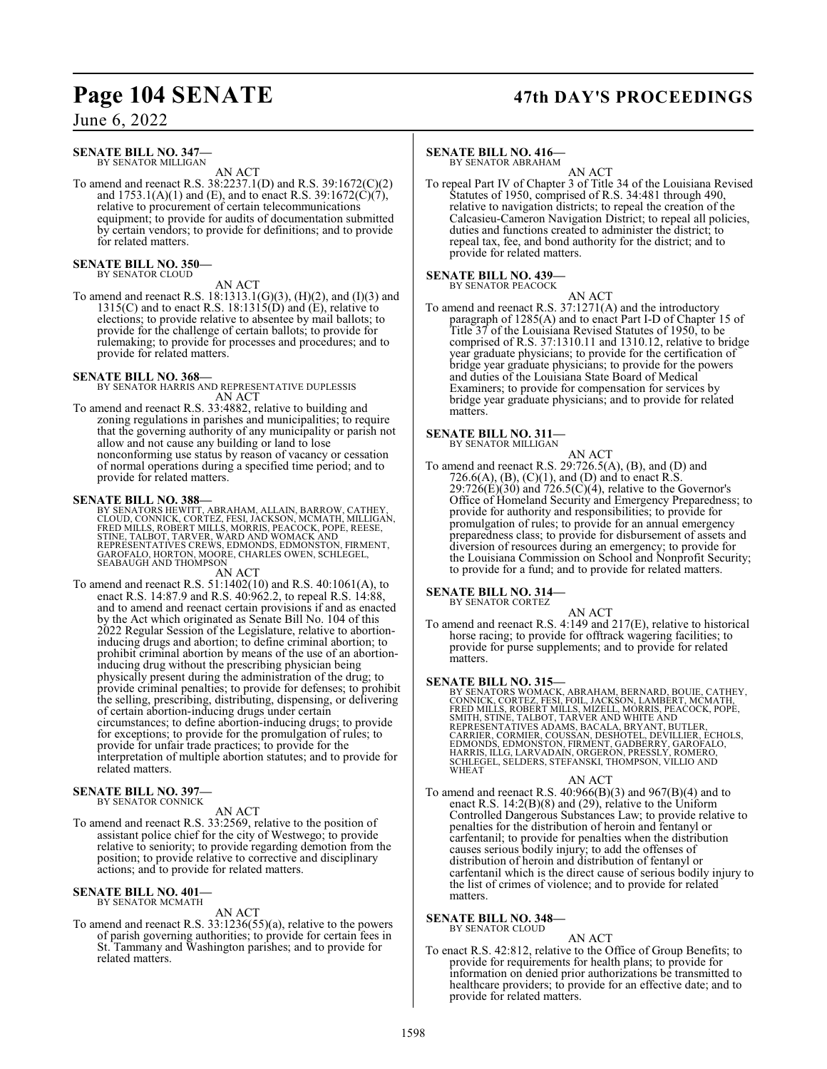## **Page 104 SENATE 47th DAY'S PROCEEDINGS**

June 6, 2022

### **SENATE BILL NO. 347—** BY SENATOR MILLIGAN

AN ACT

To amend and reenact R.S. 38:2237.1(D) and R.S. 39:1672(C)(2) and  $1753.1(A)(1)$  and (E), and to enact R.S. 39:1672(C)(7), relative to procurement of certain telecommunications equipment; to provide for audits of documentation submitted by certain vendors; to provide for definitions; and to provide for related matters.

## **SENATE BILL NO. 350—** BY SENATOR CLOUD

AN ACT To amend and reenact R.S. 18:1313.1(G)(3), (H)(2), and (I)(3) and 1315(C) and to enact R.S. 18:1315(D) and  $(E)$ , relative to elections; to provide relative to absentee by mail ballots; to provide for the challenge of certain ballots; to provide for rulemaking; to provide for processes and procedures; and to provide for related matters.

**SENATE BILL NO. 368—** BY SENATOR HARRIS AND REPRESENTATIVE DUPLESSIS AN ACT

To amend and reenact R.S. 33:4882, relative to building and zoning regulations in parishes and municipalities; to require that the governing authority of any municipality or parish not allow and not cause any building or land to lose nonconforming use status by reason of vacancy or cessation of normal operations during a specified time period; and to provide for related matters.

**SENATE BILL NO. 388—** BY SENATORS HEWITT, ABRAHAM, ALLAIN, BARROW, CATHEY, CLOUD, CONNICK, CORTEZ, FESI, JACKSON, MCMATH, MILLIGAN,<br>FRED MILLS, ROBERT MILLS, MORRIS, PEACOCK, POPÉ, REESE,<br>STINE, TALBOT, TARVER, WARD AND WOMACK AND<br>REPRESENTATIVES CREWS, EDMONDS, EDMONSTON, FIRMENT,<br>GAROFALO, HORT

AN ACT

To amend and reenact R.S. 51:1402(10) and R.S. 40:1061(A), to enact R.S. 14:87.9 and R.S. 40:962.2, to repeal R.S. 14:88, and to amend and reenact certain provisions if and as enacted by the Act which originated as Senate Bill No. 104 of this 2022 Regular Session of the Legislature, relative to abortioninducing drugs and abortion; to define criminal abortion; to prohibit criminal abortion by means of the use of an abortioninducing drug without the prescribing physician being physically present during the administration of the drug; to provide criminal penalties; to provide for defenses; to prohibit the selling, prescribing, distributing, dispensing, or delivering of certain abortion-inducing drugs under certain circumstances; to define abortion-inducing drugs; to provide for exceptions; to provide for the promulgation of rules; to provide for unfair trade practices; to provide for the interpretation of multiple abortion statutes; and to provide for related matters.

## **SENATE BILL NO. 397—** BY SENATOR CONNICK

## AN ACT

To amend and reenact R.S. 33:2569, relative to the position of assistant police chief for the city of Westwego; to provide relative to seniority; to provide regarding demotion from the position; to provide relative to corrective and disciplinary actions; and to provide for related matters.

### **SENATE BILL NO. 401—** BY SENATOR MCMATH

AN ACT

To amend and reenact R.S. 33:1236(55)(a), relative to the powers of parish governing authorities; to provide for certain fees in St. Tammany and Washington parishes; and to provide for related matters.

## **SENATE BILL NO. 416—**

BY SENATOR ABRAHAM

AN ACT To repeal Part IV of Chapter 3 of Title 34 of the Louisiana Revised Statutes of 1950, comprised of R.S. 34:481 through 490, relative to navigation districts; to repeal the creation of the Calcasieu-Cameron Navigation District; to repeal all policies, duties and functions created to administer the district; to repeal tax, fee, and bond authority for the district; and to provide for related matters.

## **SENATE BILL NO. 439—**

BY SENATOR PEACOCK

AN ACT To amend and reenact R.S. 37:1271(A) and the introductory paragraph of 1285(A) and to enact Part I-D of Chapter 15 of Title 37 of the Louisiana Revised Statutes of 1950, to be comprised of R.S. 37:1310.11 and 1310.12, relative to bridge year graduate physicians; to provide for the certification of bridge year graduate physicians; to provide for the powers and duties of the Louisiana State Board of Medical Examiners; to provide for compensation for services by bridge year graduate physicians; and to provide for related matters.

## **SENATE BILL NO. 311—**

BY SENATOR MILLIGAN AN ACT

To amend and reenact R.S. 29:726.5(A), (B), and (D) and 726.6(A), (B), (C)(1), and (D) and to enact R.S.  $29:726(E)(30)$  and  $726.5(C)(4)$ , relative to the Governor's Office of Homeland Security and Emergency Preparedness; to provide for authority and responsibilities; to provide for promulgation of rules; to provide for an annual emergency preparedness class; to provide for disbursement of assets and diversion of resources during an emergency; to provide for the Louisiana Commission on School and Nonprofit Security; to provide for a fund; and to provide for related matters.

## **SENATE BILL NO. 314—** BY SENATOR CORTEZ

AN ACT To amend and reenact R.S. 4:149 and 217(E), relative to historical horse racing; to provide for offtrack wagering facilities; to provide for purse supplements; and to provide for related matters.

**SENATE BILL NO. 315—**<br>BY SENATORS WOMACK, ABRAHAM, BERNARD, BOUIE, CATHEY,<br>CONNICK, CORTEZ, FESI, FOIL, JACKSON, LAMBERT, MCMATH,<br>FRED MILLS, ROBERT MILLS, MIZELL, MORRIS, PEACOCK, POPE,<br>SMITH, STINE, TALBOT, TARVER AND W SCHLEGEL, SELDERS, STEFANSKI, THOMPSON, VILLIO AND WHEAT

### AN ACT

To amend and reenact R.S. 40:966(B)(3) and 967(B)(4) and to enact R.S. 14:2(B)(8) and (29), relative to the Uniform Controlled Dangerous Substances Law; to provide relative to penalties for the distribution of heroin and fentanyl or carfentanil; to provide for penalties when the distribution causes serious bodily injury; to add the offenses of distribution of heroin and distribution of fentanyl or carfentanil which is the direct cause of serious bodily injury to the list of crimes of violence; and to provide for related matters.

### **SENATE BILL NO. 348—** BY SENATOR CLOUD

AN ACT

To enact R.S. 42:812, relative to the Office of Group Benefits; to provide for requirements for health plans; to provide for information on denied prior authorizations be transmitted to healthcare providers; to provide for an effective date; and to provide for related matters.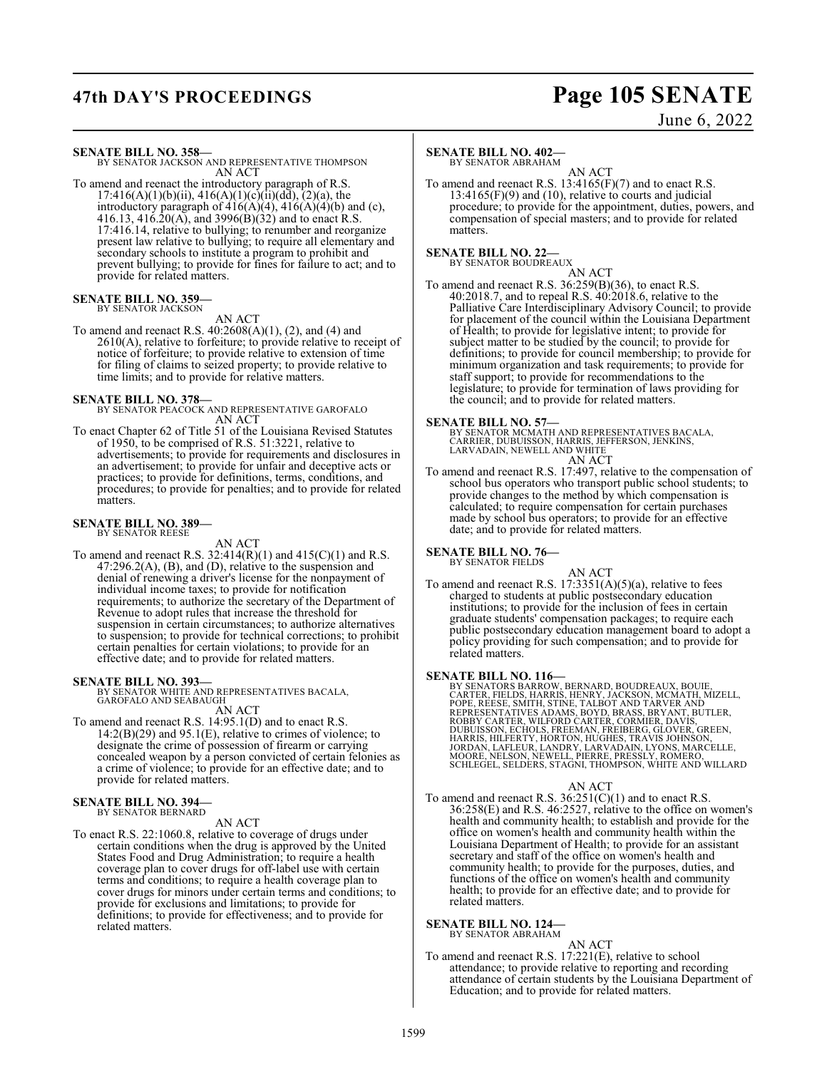# **47th DAY'S PROCEEDINGS Page 105 SENATE**

June 6, 2022

**SENATE BILL NO. 358—** BY SENATOR JACKSON AND REPRESENTATIVE THOMPSON AN ACT

To amend and reenact the introductory paragraph of R.S.  $17:416(A)(1)(b)(ii)$ ,  $416(A)(1)(c)(ii)(d\bar{d})$ ,  $(2)(a)$ , the introductory paragraph of  $416(A)(4)$ ,  $416(A)(4)(b)$  and (c), 416.13, 416.20(A), and 3996(B)(32) and to enact R.S. 17:416.14, relative to bullying; to renumber and reorganize present law relative to bullying; to require all elementary and secondary schools to institute a program to prohibit and prevent bullying; to provide for fines for failure to act; and to provide for related matters.

### **SENATE BILL NO. 359** BY SENATOR JACKSON

AN ACT

To amend and reenact R.S. 40:2608(A)(1), (2), and (4) and 2610(A), relative to forfeiture; to provide relative to receipt of notice of forfeiture; to provide relative to extension of time for filing of claims to seized property; to provide relative to time limits; and to provide for relative matters.

**SENATE BILL NO. 378—** BY SENATOR PEACOCK AND REPRESENTATIVE GAROFALO AN ACT

To enact Chapter 62 of Title 51 of the Louisiana Revised Statutes of 1950, to be comprised of R.S. 51:3221, relative to advertisements; to provide for requirements and disclosures in an advertisement; to provide for unfair and deceptive acts or practices; to provide for definitions, terms, conditions, and procedures; to provide for penalties; and to provide for related matters.

### **SENATE BILL NO. 389—** BY SENATOR REESE

AN ACT

To amend and reenact R.S.  $32:414(R)(1)$  and  $415(C)(1)$  and R.S.  $47:296.2(A)$ , (B), and (D), relative to the suspension and denial of renewing a driver's license for the nonpayment of individual income taxes; to provide for notification requirements; to authorize the secretary of the Department of Revenue to adopt rules that increase the threshold for suspension in certain circumstances; to authorize alternatives to suspension; to provide for technical corrections; to prohibit certain penalties for certain violations; to provide for an effective date; and to provide for related matters.

## **SENATE BILL NO. 393—**

BY SENATOR WHITE AND REPRESENTATIVES BACALA, GAROFALO AND SEABAUGH

## AN ACT

To amend and reenact R.S. 14:95.1(D) and to enact R.S.  $14:2(B)(29)$  and  $95.1(E)$ , relative to crimes of violence; to designate the crime of possession of firearm or carrying concealed weapon by a person convicted of certain felonies as a crime of violence; to provide for an effective date; and to provide for related matters.

### **SENATE BILL NO. 394—** BY SENATOR BERNARD

AN ACT

To enact R.S. 22:1060.8, relative to coverage of drugs under certain conditions when the drug is approved by the United States Food and Drug Administration; to require a health coverage plan to cover drugs for off-label use with certain terms and conditions; to require a health coverage plan to cover drugs for minors under certain terms and conditions; to provide for exclusions and limitations; to provide for definitions; to provide for effectiveness; and to provide for related matters.

## **SENATE BILL NO. 402—**

BY SENATOR ABRAHAM

AN ACT To amend and reenact R.S. 13:4165(F)(7) and to enact R.S.  $13:4165(F)(9)$  and  $(10)$ , relative to courts and judicial procedure; to provide for the appointment, duties, powers, and compensation of special masters; and to provide for related matters.

### **SENATE BILL NO. 22—** BY SENATOR BOUDREAUX

AN ACT

To amend and reenact R.S. 36:259(B)(36), to enact R.S. 40:2018.7, and to repeal R.S. 40:2018.6, relative to the Palliative Care Interdisciplinary Advisory Council; to provide for placement of the council within the Louisiana Department of Health; to provide for legislative intent; to provide for subject matter to be studied by the council; to provide for definitions; to provide for council membership; to provide for minimum organization and task requirements; to provide for staff support; to provide for recommendations to the legislature; to provide for termination of laws providing for the council; and to provide for related matters.

## **SENATE BILL NO. 57—**

BY SENATOR MCMATH AND REPRESENTATIVES BACALA,<br>CARRIER, DUBUISSON, HARRIS, JEFFERSON, JENKINS,<br>LARVADAIN, NEWELL AND WHITE AN ACT

To amend and reenact R.S. 17:497, relative to the compensation of school bus operators who transport public school students; to provide changes to the method by which compensation is calculated; to require compensation for certain purchases made by school bus operators; to provide for an effective date; and to provide for related matters.

## **SENATE BILL NO. 76—**

BY SENATOR FIELDS

AN ACT To amend and reenact R.S.  $17:3351(A)(5)(a)$ , relative to fees charged to students at public postsecondary education institutions; to provide for the inclusion of fees in certain graduate students' compensation packages; to require each public postsecondary education management board to adopt a policy providing for such compensation; and to provide for related matters.

**SENATE BILL NO. 116**<br>BY SENATORS BARROW, BERNARD, BOUDREAUX, BOUIE,<br>CARTER, FELDS, HARRIS, HENRY, JACKSON, MCMATH, MIZELL,<br>POPE, RÉESE, SMITH, STINE, TALBOT AND TARVER AND<br>REPRESENTATIVES ADAMS, BOYD, BRASS, BRYANT, BUTLE

## AN ACT

To amend and reenact R.S.  $36:251(C)(1)$  and to enact R.S. 36:258(E) and R.S. 46:2527, relative to the office on women's health and community health; to establish and provide for the office on women's health and community health within the Louisiana Department of Health; to provide for an assistant secretary and staff of the office on women's health and community health; to provide for the purposes, duties, and functions of the office on women's health and community health; to provide for an effective date; and to provide for related matters.

## **SENATE BILL NO. 124—** BY SENATOR ABRAHAM

AN ACT

To amend and reenact R.S. 17:221(E), relative to school attendance; to provide relative to reporting and recording attendance of certain students by the Louisiana Department of Education; and to provide for related matters.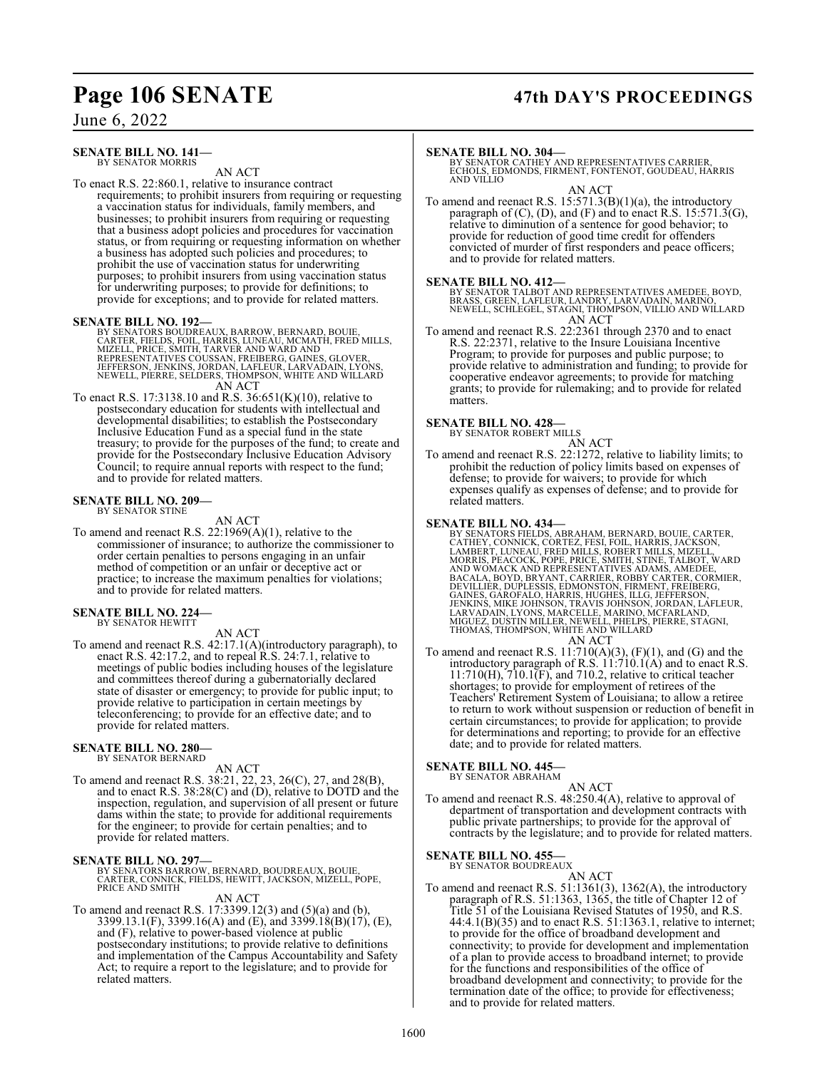## **Page 106 SENATE 47th DAY'S PROCEEDINGS**

June 6, 2022

### **SENATE BILL NO. 141—** BY SENATOR MORRIS

AN ACT

To enact R.S. 22:860.1, relative to insurance contract requirements; to prohibit insurers from requiring or requesting a vaccination status for individuals, family members, and businesses; to prohibit insurers from requiring or requesting that a business adopt policies and procedures for vaccination status, or from requiring or requesting information on whether a business has adopted such policies and procedures; to prohibit the use of vaccination status for underwriting purposes; to prohibit insurers from using vaccination status for underwriting purposes; to provide for definitions; to provide for exceptions; and to provide for related matters.

**SENATE BILL NO. 192—**<br>BY SENATORS BOUDREAUX, BARROW, BERNARD, BOUIE,<br>CARTER, FIELDS, FOIL, HARRIS, LUNEAU, MCMATH, FRED MILLS,<br>MIZELL, PRICE, SMITH, TARVER AND WARD AND<br>REPRESENTATIVES COUSSAN, FREIBERG, GAINES, GLOVER,<br>J AN ACT

To enact R.S. 17:3138.10 and R.S. 36:651(K)(10), relative to postsecondary education for students with intellectual and developmental disabilities; to establish the Postsecondary Inclusive Education Fund as a special fund in the state treasury; to provide for the purposes of the fund; to create and provide for the Postsecondary Inclusive Education Advisory Council; to require annual reports with respect to the fund; and to provide for related matters.

### **SENATE BILL NO. 209—** BY SENATOR STINE

AN ACT

To amend and reenact R.S. 22:1969(A)(1), relative to the commissioner of insurance; to authorize the commissioner to order certain penalties to persons engaging in an unfair method of competition or an unfair or deceptive act or practice; to increase the maximum penalties for violations; and to provide for related matters.

## **SENATE BILL NO. 224—** BY SENATOR HEWITT

AN ACT

To amend and reenact R.S. 42:17.1(A)(introductory paragraph), to enact R.S. 42:17.2, and to repeal R.S. 24:7.1, relative to meetings of public bodies including houses of the legislature and committees thereof during a gubernatorially declared state of disaster or emergency; to provide for public input; to provide relative to participation in certain meetings by teleconferencing; to provide for an effective date; and to provide for related matters.

## **SENATE BILL NO. 280—**

BY SENATOR BERNARD

AN ACT

To amend and reenact R.S. 38:21, 22, 23, 26(C), 27, and 28(B), and to enact R.S. 38:28(C) and (D), relative to DOTD and the inspection, regulation, and supervision of all present or future dams within the state; to provide for additional requirements for the engineer; to provide for certain penalties; and to provide for related matters.

**SENATE BILL NO. 297—**<br>BY SENATORS BARROW, BERNARD, BOUDREAUX, BOUIE,<br>CARTER, CONNICK, FIELDS, HEWITT, JACKSON, MIZELL, POPE,<br>PRICE AND SMITH

## AN ACT

To amend and reenact R.S. 17:3399.12(3) and (5)(a) and (b), 3399.13.1(F), 3399.16(A) and (E), and 3399.18(B)(17), (E), and (F), relative to power-based violence at public postsecondary institutions; to provide relative to definitions and implementation of the Campus Accountability and Safety Act; to require a report to the legislature; and to provide for related matters.

## **SENATE BILL NO. 304—**

BY SENATOR CATHEY AND REPRESENTATIVES CARRIER, ECHOLS, EDMONDS, FIRMENT, FONTENOT, GOUDEAU, HARRIS AND VILLIO

AN ACT

To amend and reenact R.S.  $15:571.3(B)(1)(a)$ , the introductory paragraph of  $(C)$ ,  $(D)$ , and  $(F)$  and to enact R.S. 15:571.3(G), relative to diminution of a sentence for good behavior; to provide for reduction of good time credit for offenders convicted of murder of first responders and peace officers; and to provide for related matters.

## **SENATE BILL NO. 412—**

BY SENATOR TALBOT AND REPRESENTATIVES AMEDEE, BOYD,<br>BRASS, GREEN, LAFLEUR, LANDRY, LARVADAIN, MARINO,<br>NEWELL, SCHLEGEL, STAGNI, THOMPSON, VILLIO AND WILLARD AN ACT

To amend and reenact R.S. 22:2361 through 2370 and to enact R.S. 22:2371, relative to the Insure Louisiana Incentive Program; to provide for purposes and public purpose; to provide relative to administration and funding; to provide for cooperative endeavor agreements; to provide for matching grants; to provide for rulemaking; and to provide for related matters.

## **SENATE BILL NO. 428—**

BY SENATOR ROBERT MILLS

AN ACT To amend and reenact R.S. 22:1272, relative to liability limits; to prohibit the reduction of policy limits based on expenses of defense; to provide for waivers; to provide for which expenses qualify as expenses of defense; and to provide for related matters.

- **SENATE BILL NO. 434—**<br>BY SENATORS FIELDS, ABRAHAM, BERNARD, BOUIE, CARTER,<br>CATHEY, CONNICK, CORTEZ, FESI, FOIL, HARRIS, JACKSON,<br>LAMBERT, LUNEAU, FRED MILLS, ROBERT MILLS, MIZELL,<br>MORRIS, PEACOCK, POPE, PRICE, SMITH, STIN
- To amend and reenact R.S.  $11:710(A)(3)$ ,  $(F)(1)$ , and  $(G)$  and the introductory paragraph of R.S. 11:710.1(A) and to enact R.S.  $11:710(H)$ ,  $710.1(F)$ , and  $710.2$ , relative to critical teacher shortages; to provide for employment of retirees of the Teachers' Retirement System of Louisiana; to allow a retiree to return to work without suspension or reduction of benefit in certain circumstances; to provide for application; to provide for determinations and reporting; to provide for an effective date; and to provide for related matters.

## **SENATE BILL NO. 445—**

BY SENATOR ABRAHAM AN ACT

To amend and reenact R.S. 48:250.4(A), relative to approval of department of transportation and development contracts with public private partnerships; to provide for the approval of contracts by the legislature; and to provide for related matters.

## **SENATE BILL NO. 455—**<br>BY SENATOR BOUDREAUX

AN ACT To amend and reenact R.S. 51:1361(3), 1362(A), the introductory paragraph of R.S. 51:1363, 1365, the title of Chapter 12 of Title 51 of the Louisiana Revised Statutes of 1950, and R.S. 44:4.1(B)(35) and to enact R.S. 51:1363.1, relative to internet; to provide for the office of broadband development and connectivity; to provide for development and implementation of a plan to provide access to broadband internet; to provide for the functions and responsibilities of the office of broadband development and connectivity; to provide for the termination date of the office; to provide for effectiveness; and to provide for related matters.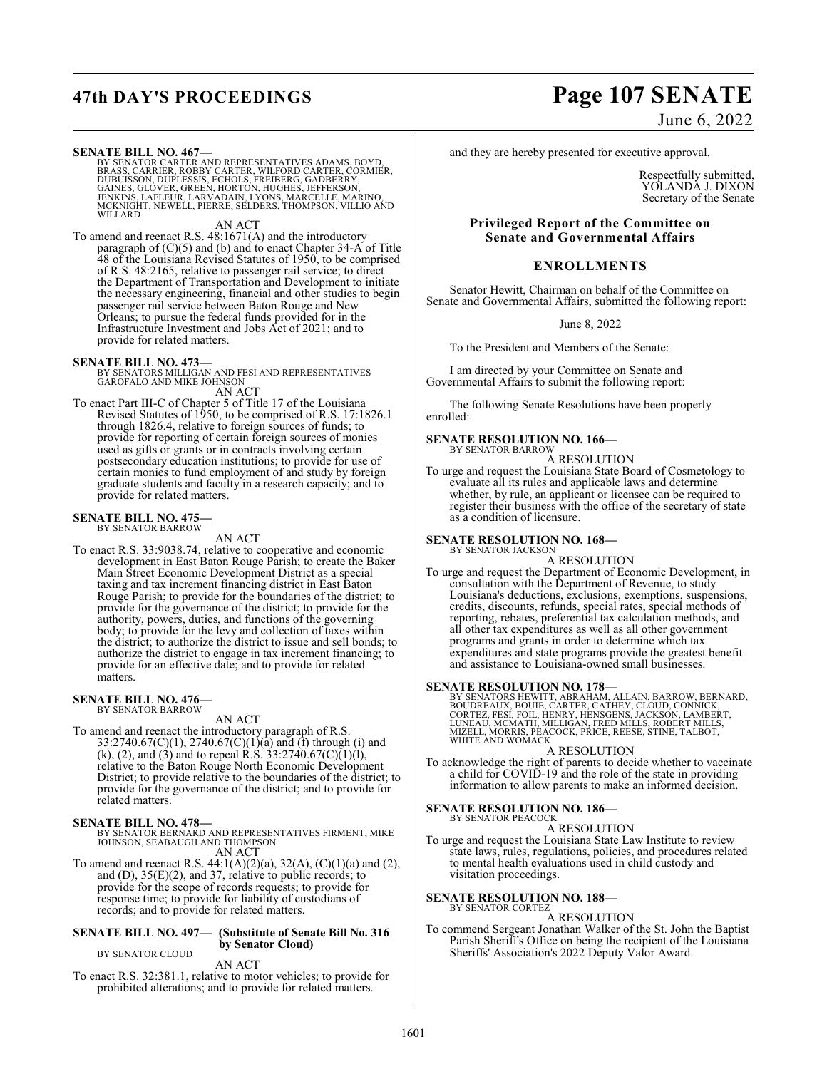**SENATE BILL NO. 467—**<br>BY SENATOR CARTER AND REPRESENTATIVES ADAMS, BOYD,<br>BRASS, CARRIER, ROBBY CARTER, WILFORD CARTER, CORMIER,<br>DUBUISSON, DUPLESSIS, ECHOLS, FREIBERG, GADBERRY,<br>GAINES, GLOVER, GREEN, HORTON, HUGHES, JEFF

AN ACT

To amend and reenact R.S. 48:1671(A) and the introductory paragraph of (C)(5) and (b) and to enact Chapter 34-A of Title 48 of the Louisiana Revised Statutes of 1950, to be comprised of R.S. 48:2165, relative to passenger rail service; to direct the Department of Transportation and Development to initiate the necessary engineering, financial and other studies to begin passenger rail service between Baton Rouge and New Orleans; to pursue the federal funds provided for in the Infrastructure Investment and Jobs Act of 2021; and to provide for related matters.

## **SENATE BILL NO. 473—**

BY SENATORS MILLIGAN AND FESI AND REPRESENTATIVES GAROFALO AND MIKE JOHNSON AN ACT

To enact Part III-C of Chapter 5 of Title 17 of the Louisiana Revised Statutes of 1950, to be comprised of R.S. 17:1826.1 through 1826.4, relative to foreign sources of funds; to provide for reporting of certain foreign sources of monies used as gifts or grants or in contracts involving certain postsecondary education institutions; to provide for use of certain monies to fund employment of and study by foreign graduate students and faculty in a research capacity; and to provide for related matters.

## **SENATE BILL NO. 475—** BY SENATOR BARROW

AN ACT

To enact R.S. 33:9038.74, relative to cooperative and economic development in East Baton Rouge Parish; to create the Baker Main Street Economic Development District as a special taxing and tax increment financing district in East Baton Rouge Parish; to provide for the boundaries of the district; to provide for the governance of the district; to provide for the authority, powers, duties, and functions of the governing body; to provide for the levy and collection of taxes within the district; to authorize the district to issue and sell bonds; to authorize the district to engage in tax increment financing; to provide for an effective date; and to provide for related matters.

## **SENATE BILL NO. 476—** BY SENATOR BARROW

AN ACT

To amend and reenact the introductory paragraph of R.S. 33:2740.67(C)(1), 2740.67(C)(1)(a) and (f) through (i) and (k), (2), and (3) and to repeal R.S. 33:2740.67(C)(1)(l), relative to the Baton Rouge North Economic Development District; to provide relative to the boundaries of the district; to provide for the governance of the district; and to provide for related matters.

## **SENATE BILL NO. 478—**

BY SENATOR BERNARD AND REPRESENTATIVES FIRMENT, MIKE JOHNSON, SEABAUGH AND THOMPSON AN ACT

To amend and reenact R.S.  $44:1(A)(2)(a)$ ,  $32(A)$ ,  $(C)(1)(a)$  and  $(2)$ , and  $(D)$ ,  $35(E)(2)$ , and  $37$ , relative to public records; to provide for the scope of records requests; to provide for response time; to provide for liability of custodians of records; and to provide for related matters.

## **SENATE BILL NO. 497— (Substitute of Senate Bill No. 316 by Senator Cloud)**

BY SENATOR CLOUD

AN ACT

To enact R.S. 32:381.1, relative to motor vehicles; to provide for prohibited alterations; and to provide for related matters.

# **47th DAY'S PROCEEDINGS Page 107 SENATE**

June 6, 2022

and they are hereby presented for executive approval.

Respectfully submitted, YOLANDA J. DIXON Secretary of the Senate

## **Privileged Report of the Committee on Senate and Governmental Affairs**

## **ENROLLMENTS**

Senator Hewitt, Chairman on behalf of the Committee on Senate and Governmental Affairs, submitted the following report:

June 8, 2022

To the President and Members of the Senate:

I am directed by your Committee on Senate and Governmental Affairs to submit the following report:

The following Senate Resolutions have been properly enrolled:

## **SENATE RESOLUTION NO. 166—** BY SENATOR BARROW

A RESOLUTION

To urge and request the Louisiana State Board of Cosmetology to evaluate all its rules and applicable laws and determine whether, by rule, an applicant or licensee can be required to register their business with the office of the secretary of state as a condition of licensure.

### **SENATE RESOLUTION NO. 168—** BY SENATOR JACKSON

A RESOLUTION

To urge and request the Department of Economic Development, in consultation with the Department of Revenue, to study Louisiana's deductions, exclusions, exemptions, suspensions, credits, discounts, refunds, special rates, special methods of reporting, rebates, preferential tax calculation methods, and all other tax expenditures as well as all other government programs and grants in order to determine which tax expenditures and state programs provide the greatest benefit and assistance to Louisiana-owned small businesses.

## **SENATE RESOLUTION NO. 178—**

BY SENATORS HEWITT, ABRAHAM, ALLAIN, BARROW, BERNARD,<br>BOUDREAUX, BOUIE, CARTER, CATHEY, CLOUD, CONNICK,<br>CORTEZ, FESÍ, FOIL, HENRY, HENSGENS, JACKSON, LAMBERT,<br>LUNEAU, MCMATH, MILLIGAN, FRED MILLS, ROBERT MILLS,<br>MIZELL, MOR WHITE AND WOMACK

A RESOLUTION

To acknowledge the right of parents to decide whether to vaccinate a child for COVID-19 and the role of the state in providing information to allow parents to make an informed decision.

**SENATE RESOLUTION NO. 186—**

BY SENATOR PEACOCK

A RESOLUTION To urge and request the Louisiana State Law Institute to review state laws, rules, regulations, policies, and procedures related to mental health evaluations used in child custody and visitation proceedings.

### **SENATE RESOLUTION NO. 188—** BY SENATOR CORTEZ

A RESOLUTION

To commend Sergeant Jonathan Walker of the St. John the Baptist Parish Sheriff's Office on being the recipient of the Louisiana Sheriffs' Association's 2022 Deputy Valor Award.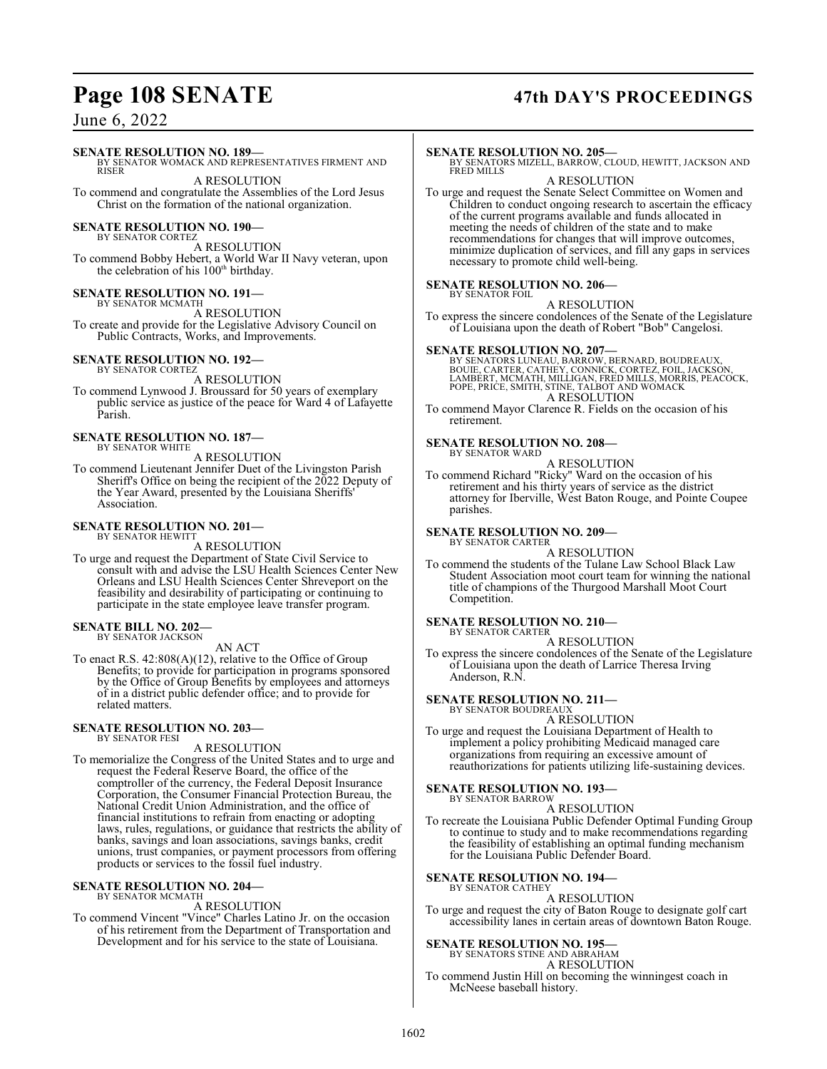## **Page 108 SENATE 47th DAY'S PROCEEDINGS**

## June 6, 2022

## **SENATE RESOLUTION NO. 189—**

BY SENATOR WOMACK AND REPRESENTATIVES FIRMENT AND RISER

A RESOLUTION To commend and congratulate the Assemblies of the Lord Jesus Christ on the formation of the national organization.

## **SENATE RESOLUTION NO. 190-**

BY SENATOR CORTEZ A RESOLUTION To commend Bobby Hebert, a World War II Navy veteran, upon the celebration of his 100<sup>th</sup> birthday.

## **SENATE RESOLUTION NO. 191—**

BY SENATOR MCMATH A RESOLUTION To create and provide for the Legislative Advisory Council on Public Contracts, Works, and Improvements.

### **SENATE RESOLUTION NO. 192—** BY SENATOR CORTEZ

A RESOLUTION

To commend Lynwood J. Broussard for 50 years of exemplary public service as justice of the peace for Ward 4 of Lafayette Parish.

### **SENATE RESOLUTION NO. 187—** BY SENATOR WHITE

A RESOLUTION

To commend Lieutenant Jennifer Duet of the Livingston Parish Sheriff's Office on being the recipient of the 2022 Deputy of the Year Award, presented by the Louisiana Sheriffs' Association.

### **SENATE RESOLUTION NO. 201—** BY SENATOR HEWITT

A RESOLUTION

To urge and request the Department of State Civil Service to consult with and advise the LSU Health Sciences Center New Orleans and LSU Health Sciences Center Shreveport on the feasibility and desirability of participating or continuing to participate in the state employee leave transfer program.

### **SENATE BILL NO. 202—** BY SENATOR JACKSON

AN ACT

To enact R.S. 42:808(A)(12), relative to the Office of Group Benefits; to provide for participation in programs sponsored by the Office of Group Benefits by employees and attorneys of in a district public defender office; and to provide for related matters.

### **SENATE RESOLUTION NO. 203—** BY SENATOR FESI

## A RESOLUTION

To memorialize the Congress of the United States and to urge and request the Federal Reserve Board, the office of the comptroller of the currency, the Federal Deposit Insurance Corporation, the Consumer Financial Protection Bureau, the National Credit Union Administration, and the office of financial institutions to refrain from enacting or adopting laws, rules, regulations, or guidance that restricts the ability of banks, savings and loan associations, savings banks, credit unions, trust companies, or payment processors from offering products or services to the fossil fuel industry.

### **SENATE RESOLUTION NO. 204—** BY SENATOR MCMATH

A RESOLUTION

To commend Vincent "Vince" Charles Latino Jr. on the occasion of his retirement from the Department of Transportation and Development and for his service to the state of Louisiana.

## **SENATE RESOLUTION NO. 205—**

BY SENATORS MIZELL, BARROW, CLOUD, HEWITT, JACKSON AND FRED MILLS

A RESOLUTION

To urge and request the Senate Select Committee on Women and Children to conduct ongoing research to ascertain the efficacy of the current programs available and funds allocated in meeting the needs of children of the state and to make recommendations for changes that will improve outcomes, minimize duplication of services, and fill any gaps in services necessary to promote child well-being.

### **SENATE RESOLUTION NO. 206—** BY SENATOR FOIL

A RESOLUTION

To express the sincere condolences of the Senate of the Legislature of Louisiana upon the death of Robert "Bob" Cangelosi.

**SENATE RESOLUTION NO. 207—**<br>BY SENATORS LUNEAU, BARROW, BERNARD, BOUDREAUX,<br>BOUIE, CARTER, CATHEY, CONNICK, CORTEZ, FOIL, JACKSON,<br>LAMBERT, MCMATH, MILLIGAN, FRED MILLS, MORRIS, PEACOCK, POPE, PRICE, SMITH, STINE, TALBOT AND WOMACK A RESOLUTION

To commend Mayor Clarence R. Fields on the occasion of his retirement.

## **SENATE RESOLUTION NO. 208—**

BY SENATOR WARD A RESOLUTION

To commend Richard "Ricky" Ward on the occasion of his retirement and his thirty years of service as the district attorney for Iberville, West Baton Rouge, and Pointe Coupee parishes.

### **SENATE RESOLUTION NO. 209—** BY SENATOR CARTER

A RESOLUTION

To commend the students of the Tulane Law School Black Law Student Association moot court team for winning the national title of champions of the Thurgood Marshall Moot Court Competition.

### **SENATE RESOLUTION NO. 210—** BY SENATOR CARTER

A RESOLUTION

To express the sincere condolences of the Senate of the Legislature of Louisiana upon the death of Larrice Theresa Irving Anderson, R.N.

## **SENATE RESOLUTION NO. 211—** BY SENATOR BOUDREAUX

A RESOLUTION

To urge and request the Louisiana Department of Health to implement a policy prohibiting Medicaid managed care organizations from requiring an excessive amount of reauthorizations for patients utilizing life-sustaining devices.

## **SENATE RESOLUTION NO. 193—** BY SENATOR BARROW

A RESOLUTION

To recreate the Louisiana Public Defender Optimal Funding Group to continue to study and to make recommendations regarding the feasibility of establishing an optimal funding mechanism for the Louisiana Public Defender Board.

### **SENATE RESOLUTION NO. 194—** BY SENATOR CATHEY

A RESOLUTION

To urge and request the city of Baton Rouge to designate golf cart accessibility lanes in certain areas of downtown Baton Rouge.

## **SENATE RESOLUTION NO. 195—**

BY SENATORS STINE AND ABRAHAM

A RESOLUTION To commend Justin Hill on becoming the winningest coach in McNeese baseball history.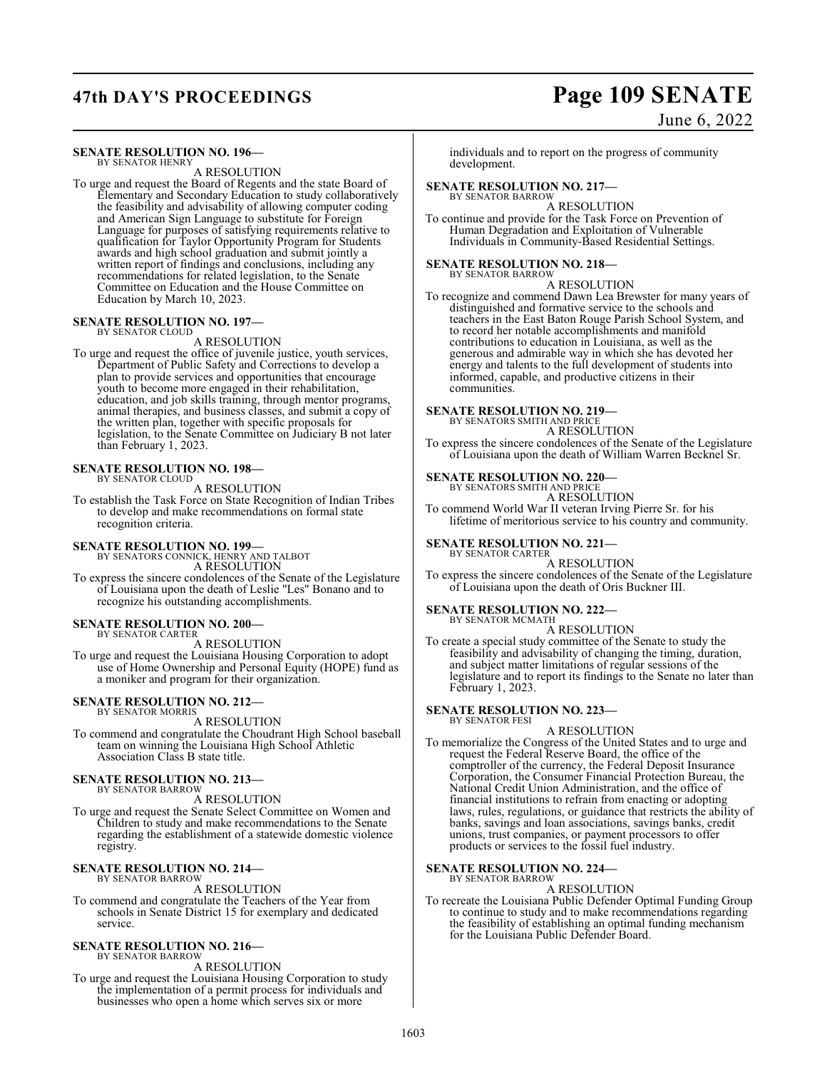# **47th DAY'S PROCEEDINGS Page 109 SENATE**

### June 6, 2022

#### **SENATE RESOLUTION NO. 196—** BY SENATOR HENRY

A RESOLUTION

To urge and request the Board of Regents and the state Board of Elementary and Secondary Education to study collaboratively the feasibility and advisability of allowing computer coding and American Sign Language to substitute for Foreign Language for purposes of satisfying requirements relative to qualification for Taylor Opportunity Program for Students awards and high school graduation and submit jointly a written report of findings and conclusions, including any recommendations for related legislation, to the Senate Committee on Education and the House Committee on Education by March 10, 2023.

# **SENATE RESOLUTION NO. 197—** BY SENATOR CLOUD

A RESOLUTION

To urge and request the office of juvenile justice, youth services, Department of Public Safety and Corrections to develop a plan to provide services and opportunities that encourage youth to become more engaged in their rehabilitation, education, and job skills training, through mentor programs, animal therapies, and business classes, and submit a copy of the written plan, together with specific proposals for legislation, to the Senate Committee on Judiciary B not later than February 1, 2023.

#### **SENATE RESOLUTION NO. 198—** BY SENATOR CLOUD

A RESOLUTION

To establish the Task Force on State Recognition of Indian Tribes to develop and make recommendations on formal state recognition criteria.

## **SENATE RESOLUTION NO. 199—** BY SENATORS CONNICK, HENRY AND TALBOT

A RESOLUTION

To express the sincere condolences of the Senate of the Legislature of Louisiana upon the death of Leslie "Les" Bonano and to recognize his outstanding accomplishments.

### **SENATE RESOLUTION NO. 200—**

BY SENATOR CARTER A RESOLUTION

To urge and request the Louisiana Housing Corporation to adopt use of Home Ownership and Personal Equity (HOPE) fund as a moniker and program for their organization.

#### **SENATE RESOLUTION NO. 212—** BY SENATOR MORRIS

A RESOLUTION

To commend and congratulate the Choudrant High School baseball team on winning the Louisiana High School Athletic Association Class B state title.

#### **SENATE RESOLUTION NO. 213—** BY SENATOR BARROW

A RESOLUTION

To urge and request the Senate Select Committee on Women and Children to study and make recommendations to the Senate regarding the establishment of a statewide domestic violence registry.

#### **SENATE RESOLUTION NO. 214—** BY SENATOR BARROW

A RESOLUTION

To commend and congratulate the Teachers of the Year from schools in Senate District 15 for exemplary and dedicated service.

#### **SENATE RESOLUTION NO. 216—** BY SENATOR BARROW

A RESOLUTION

To urge and request the Louisiana Housing Corporation to study the implementation of a permit process for individuals and businesses who open a home which serves six or more

individuals and to report on the progress of community development.

### **SENATE RESOLUTION NO. 217—** BY SENATOR BARROW

A RESOLUTION

To continue and provide for the Task Force on Prevention of Human Degradation and Exploitation of Vulnerable Individuals in Community-Based Residential Settings.

#### **SENATE RESOLUTION NO. 218—**

BY SENATOR BARROW A RESOLUTION

To recognize and commend Dawn Lea Brewster for many years of distinguished and formative service to the schools and teachers in the East Baton Rouge Parish School System, and to record her notable accomplishments and manifold contributions to education in Louisiana, as well as the generous and admirable way in which she has devoted her energy and talents to the full development of students into informed, capable, and productive citizens in their communities.

# **SENATE RESOLUTION NO. 219—** BY SENATORS SMITH AND PRICE

A RESOLUTION

To express the sincere condolences of the Senate of the Legislature of Louisiana upon the death of William Warren Becknel Sr.

#### **SENATE RESOLUTION NO. 220—**

BY SENATORS SMITH AND PRICE

A RESOLUTION To commend World War II veteran Irving Pierre Sr. for his lifetime of meritorious service to his country and community.

#### **SENATE RESOLUTION NO. 221—** BY SENATOR CARTER

A RESOLUTION To express the sincere condolences of the Senate of the Legislature of Louisiana upon the death of Oris Buckner III.

#### **SENATE RESOLUTION NO. 222—** BY SENATOR MCMATH

A RESOLUTION

To create a special study committee of the Senate to study the feasibility and advisability of changing the timing, duration, and subject matter limitations of regular sessions of the legislature and to report its findings to the Senate no later than February 1, 2023.

#### **SENATE RESOLUTION NO. 223—** BY SENATOR FESI

A RESOLUTION

To memorialize the Congress of the United States and to urge and request the Federal Reserve Board, the office of the comptroller of the currency, the Federal Deposit Insurance Corporation, the Consumer Financial Protection Bureau, the National Credit Union Administration, and the office of financial institutions to refrain from enacting or adopting laws, rules, regulations, or guidance that restricts the ability of banks, savings and loan associations, savings banks, credit unions, trust companies, or payment processors to offer products or services to the fossil fuel industry.

### **SENATE RESOLUTION NO. 224—**

BY SENATOR BARROW A RESOLUTION

To recreate the Louisiana Public Defender Optimal Funding Group to continue to study and to make recommendations regarding the feasibility of establishing an optimal funding mechanism for the Louisiana Public Defender Board.